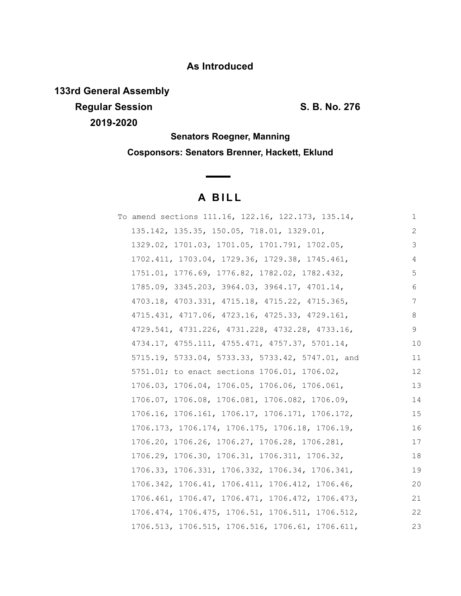# **As Introduced**

**133rd General Assembly**

**Regular Session S. B. No. 276 2019-2020**

**Senators Roegner, Manning Cosponsors: Senators Brenner, Hackett, Eklund**

# **A B I L L**

**Contract Contract Contract** 

| To amend sections 111.16, 122.16, 122.173, 135.14, | 1  |
|----------------------------------------------------|----|
| 135.142, 135.35, 150.05, 718.01, 1329.01,          | 2  |
| 1329.02, 1701.03, 1701.05, 1701.791, 1702.05,      | 3  |
| 1702.411, 1703.04, 1729.36, 1729.38, 1745.461,     | 4  |
| 1751.01, 1776.69, 1776.82, 1782.02, 1782.432,      | 5  |
| 1785.09, 3345.203, 3964.03, 3964.17, 4701.14,      | 6  |
| 4703.18, 4703.331, 4715.18, 4715.22, 4715.365,     | 7  |
| 4715.431, 4717.06, 4723.16, 4725.33, 4729.161,     | 8  |
| 4729.541, 4731.226, 4731.228, 4732.28, 4733.16,    | 9  |
| 4734.17, 4755.111, 4755.471, 4757.37, 5701.14,     | 10 |
| 5715.19, 5733.04, 5733.33, 5733.42, 5747.01, and   | 11 |
| 5751.01; to enact sections 1706.01, 1706.02,       | 12 |
| 1706.03, 1706.04, 1706.05, 1706.06, 1706.061,      | 13 |
| 1706.07, 1706.08, 1706.081, 1706.082, 1706.09,     | 14 |
| 1706.16, 1706.161, 1706.17, 1706.171, 1706.172,    | 15 |
| 1706.173, 1706.174, 1706.175, 1706.18, 1706.19,    | 16 |
| 1706.20, 1706.26, 1706.27, 1706.28, 1706.281,      | 17 |
| 1706.29, 1706.30, 1706.31, 1706.311, 1706.32,      | 18 |
| 1706.33, 1706.331, 1706.332, 1706.34, 1706.341,    | 19 |
| 1706.342, 1706.41, 1706.411, 1706.412, 1706.46,    | 20 |
| 1706.461, 1706.47, 1706.471, 1706.472, 1706.473,   | 21 |
| 1706.474, 1706.475, 1706.51, 1706.511, 1706.512,   | 22 |
| 1706.513, 1706.515, 1706.516, 1706.61, 1706.611,   | 23 |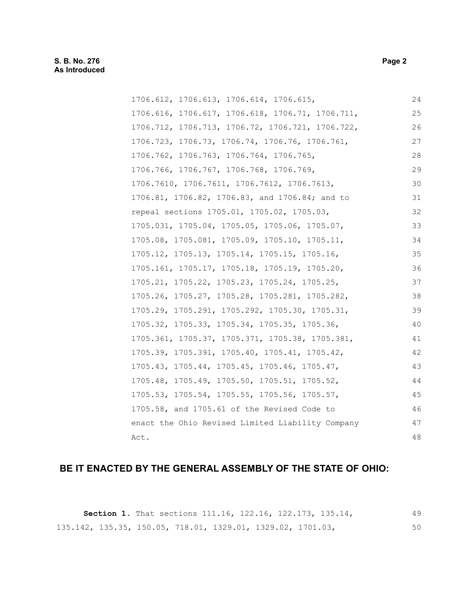## **S. B. No. 276 Page 2 As Introduced**

| 1706.612, 1706.613, 1706.614, 1706.615,          | 24 |
|--------------------------------------------------|----|
| 1706.616, 1706.617, 1706.618, 1706.71, 1706.711, | 25 |
| 1706.712, 1706.713, 1706.72, 1706.721, 1706.722, | 26 |
| 1706.723, 1706.73, 1706.74, 1706.76, 1706.761,   | 27 |
| 1706.762, 1706.763, 1706.764, 1706.765,          | 28 |
| 1706.766, 1706.767, 1706.768, 1706.769,          | 29 |
| 1706.7610, 1706.7611, 1706.7612, 1706.7613,      | 30 |
| 1706.81, 1706.82, 1706.83, and 1706.84; and to   | 31 |
| repeal sections 1705.01, 1705.02, 1705.03,       | 32 |
| 1705.031, 1705.04, 1705.05, 1705.06, 1705.07,    | 33 |
| 1705.08, 1705.081, 1705.09, 1705.10, 1705.11,    | 34 |
| 1705.12, 1705.13, 1705.14, 1705.15, 1705.16,     | 35 |
| 1705.161, 1705.17, 1705.18, 1705.19, 1705.20,    | 36 |
| 1705.21, 1705.22, 1705.23, 1705.24, 1705.25,     | 37 |
| 1705.26, 1705.27, 1705.28, 1705.281, 1705.282,   | 38 |
| 1705.29, 1705.291, 1705.292, 1705.30, 1705.31,   | 39 |
| 1705.32, 1705.33, 1705.34, 1705.35, 1705.36,     | 40 |
| 1705.361, 1705.37, 1705.371, 1705.38, 1705.381,  | 41 |
| 1705.39, 1705.391, 1705.40, 1705.41, 1705.42,    | 42 |
| 1705.43, 1705.44, 1705.45, 1705.46, 1705.47,     | 43 |
| 1705.48, 1705.49, 1705.50, 1705.51, 1705.52,     | 44 |
| 1705.53, 1705.54, 1705.55, 1705.56, 1705.57,     | 45 |
| 1705.58, and 1705.61 of the Revised Code to      | 46 |
| enact the Ohio Revised Limited Liability Company | 47 |
| Act.                                             | 48 |

## **BE IT ENACTED BY THE GENERAL ASSEMBLY OF THE STATE OF OHIO:**

|  |  | <b>Section 1.</b> That sections 111.16, 122.16, 122.173, 135.14, |  | 49 |
|--|--|------------------------------------------------------------------|--|----|
|  |  | 135.142, 135.35, 150.05, 718.01, 1329.01, 1329.02, 1701.03,      |  | 50 |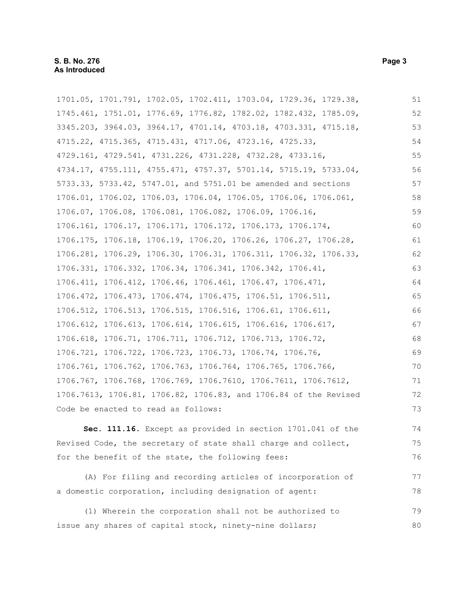1701.05, 1701.791, 1702.05, 1702.411, 1703.04, 1729.36, 1729.38, 1745.461, 1751.01, 1776.69, 1776.82, 1782.02, 1782.432, 1785.09, 3345.203, 3964.03, 3964.17, 4701.14, 4703.18, 4703.331, 4715.18, 4715.22, 4715.365, 4715.431, 4717.06, 4723.16, 4725.33, 4729.161, 4729.541, 4731.226, 4731.228, 4732.28, 4733.16, 4734.17, 4755.111, 4755.471, 4757.37, 5701.14, 5715.19, 5733.04, 5733.33, 5733.42, 5747.01, and 5751.01 be amended and sections 1706.01, 1706.02, 1706.03, 1706.04, 1706.05, 1706.06, 1706.061, 1706.07, 1706.08, 1706.081, 1706.082, 1706.09, 1706.16, 1706.161, 1706.17, 1706.171, 1706.172, 1706.173, 1706.174, 1706.175, 1706.18, 1706.19, 1706.20, 1706.26, 1706.27, 1706.28, 1706.281, 1706.29, 1706.30, 1706.31, 1706.311, 1706.32, 1706.33, 1706.331, 1706.332, 1706.34, 1706.341, 1706.342, 1706.41, 1706.411, 1706.412, 1706.46, 1706.461, 1706.47, 1706.471, 1706.472, 1706.473, 1706.474, 1706.475, 1706.51, 1706.511, 1706.512, 1706.513, 1706.515, 1706.516, 1706.61, 1706.611, 1706.612, 1706.613, 1706.614, 1706.615, 1706.616, 1706.617, 1706.618, 1706.71, 1706.711, 1706.712, 1706.713, 1706.72, 1706.721, 1706.722, 1706.723, 1706.73, 1706.74, 1706.76, 1706.761, 1706.762, 1706.763, 1706.764, 1706.765, 1706.766, 1706.767, 1706.768, 1706.769, 1706.7610, 1706.7611, 1706.7612, 1706.7613, 1706.81, 1706.82, 1706.83, and 1706.84 of the Revised Code be enacted to read as follows: 51 52 53 54 55 56 57 58 59 60 61 62 63 64 65 66 67 68 69 70 71 72 73

**Sec. 111.16.** Except as provided in section 1701.041 of the Revised Code, the secretary of state shall charge and collect, for the benefit of the state, the following fees: 74 75 76

(A) For filing and recording articles of incorporation of a domestic corporation, including designation of agent: 77 78

(1) Wherein the corporation shall not be authorized to issue any shares of capital stock, ninety-nine dollars; 79 80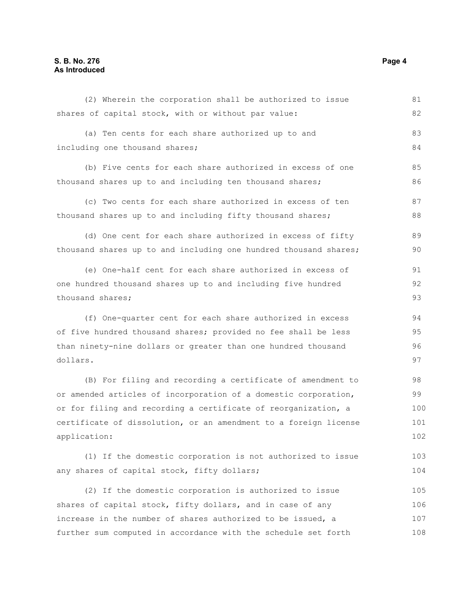### **S. B. No. 276 Page 4 As Introduced**

| shares of capital stock, with or without par value:              | 82  |
|------------------------------------------------------------------|-----|
| (a) Ten cents for each share authorized up to and                | 83  |
| including one thousand shares;                                   | 84  |
| (b) Five cents for each share authorized in excess of one        | 85  |
| thousand shares up to and including ten thousand shares;         | 86  |
| (c) Two cents for each share authorized in excess of ten         | 87  |
| thousand shares up to and including fifty thousand shares;       | 88  |
| (d) One cent for each share authorized in excess of fifty        | 89  |
| thousand shares up to and including one hundred thousand shares; | 90  |
| (e) One-half cent for each share authorized in excess of         | 91  |
| one hundred thousand shares up to and including five hundred     | 92  |
| thousand shares;                                                 | 93  |
| (f) One-quarter cent for each share authorized in excess         | 94  |
| of five hundred thousand shares; provided no fee shall be less   | 95  |
| than ninety-nine dollars or greater than one hundred thousand    | 96  |
| dollars.                                                         | 97  |
| (B) For filing and recording a certificate of amendment to       | 98  |
| or amended articles of incorporation of a domestic corporation,  | 99  |
| or for filing and recording a certificate of reorganization, a   | 100 |
| certificate of dissolution, or an amendment to a foreign license | 101 |
| application:                                                     | 102 |
| (1) If the domestic corporation is not authorized to issue       | 103 |
| any shares of capital stock, fifty dollars;                      | 104 |
| (2) If the domestic corporation is authorized to issue           | 105 |
| shares of capital stock, fifty dollars, and in case of any       | 106 |
| increase in the number of shares authorized to be issued, a      | 107 |
| further sum computed in accordance with the schedule set forth   | 108 |

(2) Wherein the corporation shall be authorized to issue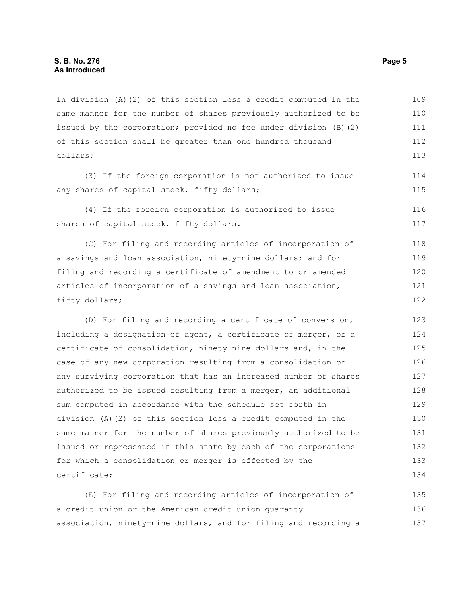in division (A)(2) of this section less a credit computed in the same manner for the number of shares previously authorized to be issued by the corporation; provided no fee under division (B)(2) of this section shall be greater than one hundred thousand dollars; 109 110 111 112 113

(3) If the foreign corporation is not authorized to issue any shares of capital stock, fifty dollars;

(4) If the foreign corporation is authorized to issue shares of capital stock, fifty dollars.

(C) For filing and recording articles of incorporation of a savings and loan association, ninety-nine dollars; and for filing and recording a certificate of amendment to or amended articles of incorporation of a savings and loan association, fifty dollars; 118 119 120 121 122

(D) For filing and recording a certificate of conversion, including a designation of agent, a certificate of merger, or a certificate of consolidation, ninety-nine dollars and, in the case of any new corporation resulting from a consolidation or any surviving corporation that has an increased number of shares authorized to be issued resulting from a merger, an additional sum computed in accordance with the schedule set forth in division (A)(2) of this section less a credit computed in the same manner for the number of shares previously authorized to be issued or represented in this state by each of the corporations for which a consolidation or merger is effected by the certificate; 123 124 125 126 127 128 129 130 131 132 133 134

(E) For filing and recording articles of incorporation of a credit union or the American credit union guaranty association, ninety-nine dollars, and for filing and recording a 135 136 137

114 115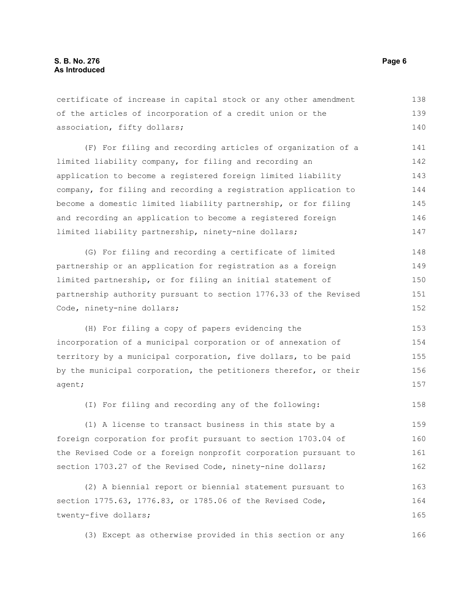certificate of increase in capital stock or any other amendment of the articles of incorporation of a credit union or the association, fifty dollars; (F) For filing and recording articles of organization of a limited liability company, for filing and recording an application to become a registered foreign limited liability company, for filing and recording a registration application to become a domestic limited liability partnership, or for filing and recording an application to become a registered foreign limited liability partnership, ninety-nine dollars; (G) For filing and recording a certificate of limited partnership or an application for registration as a foreign limited partnership, or for filing an initial statement of partnership authority pursuant to section 1776.33 of the Revised Code, ninety-nine dollars; (H) For filing a copy of papers evidencing the incorporation of a municipal corporation or of annexation of territory by a municipal corporation, five dollars, to be paid by the municipal corporation, the petitioners therefor, or their agent; (I) For filing and recording any of the following: (1) A license to transact business in this state by a foreign corporation for profit pursuant to section 1703.04 of the Revised Code or a foreign nonprofit corporation pursuant to section 1703.27 of the Revised Code, ninety-nine dollars; (2) A biennial report or biennial statement pursuant to 138 139 140 141 142 143 144 145 146 147 148 149 150 151 152 153 154 155 156 157 158 159 160 161 162 163

section 1775.63, 1776.83, or 1785.06 of the Revised Code, twenty-five dollars; 165

(3) Except as otherwise provided in this section or any 166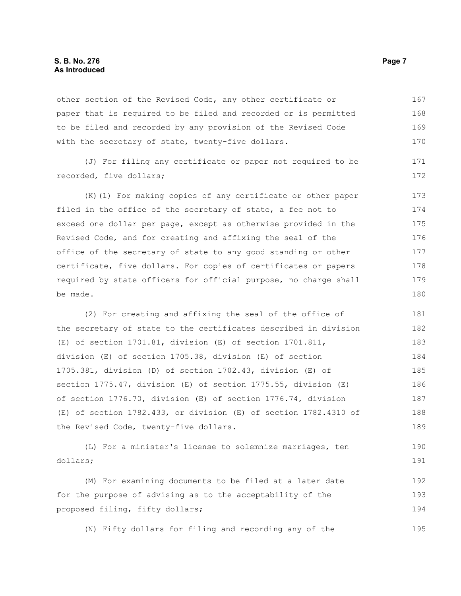#### **S. B. No. 276 Page 7 As Introduced**

other section of the Revised Code, any other certificate or paper that is required to be filed and recorded or is permitted to be filed and recorded by any provision of the Revised Code with the secretary of state, twenty-five dollars. 167 168 169 170

(J) For filing any certificate or paper not required to be recorded, five dollars; 171 172

(K)(1) For making copies of any certificate or other paper filed in the office of the secretary of state, a fee not to exceed one dollar per page, except as otherwise provided in the Revised Code, and for creating and affixing the seal of the office of the secretary of state to any good standing or other certificate, five dollars. For copies of certificates or papers required by state officers for official purpose, no charge shall be made. 173 174 175 176 177 178 179 180

(2) For creating and affixing the seal of the office of the secretary of state to the certificates described in division (E) of section 1701.81, division (E) of section 1701.811, division (E) of section 1705.38, division (E) of section 1705.381, division (D) of section 1702.43, division (E) of section 1775.47, division (E) of section 1775.55, division (E) of section 1776.70, division (E) of section 1776.74, division (E) of section 1782.433, or division (E) of section 1782.4310 of the Revised Code, twenty-five dollars. 181 182 183 184 185 186 187 188 189

(L) For a minister's license to solemnize marriages, ten dollars; 190 191

(M) For examining documents to be filed at a later date for the purpose of advising as to the acceptability of the proposed filing, fifty dollars; 192 193 194

(N) Fifty dollars for filing and recording any of the 195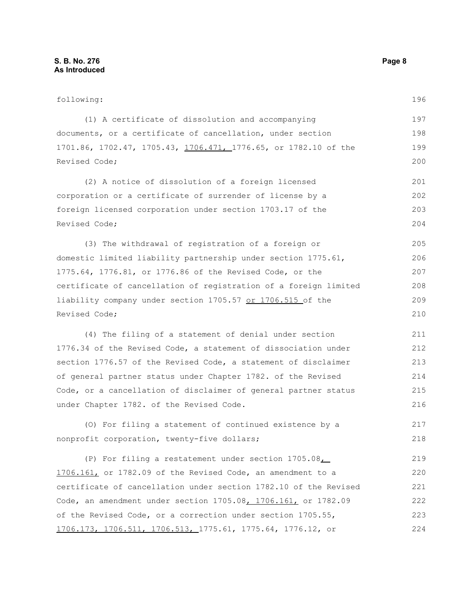following: (1) A certificate of dissolution and accompanying documents, or a certificate of cancellation, under section 1701.86, 1702.47, 1705.43, 1706.471, 1776.65, or 1782.10 of the Revised Code; (2) A notice of dissolution of a foreign licensed corporation or a certificate of surrender of license by a foreign licensed corporation under section 1703.17 of the Revised Code; (3) The withdrawal of registration of a foreign or domestic limited liability partnership under section 1775.61, 1775.64, 1776.81, or 1776.86 of the Revised Code, or the certificate of cancellation of registration of a foreign limited liability company under section 1705.57 or 1706.515 of the Revised Code; (4) The filing of a statement of denial under section 1776.34 of the Revised Code, a statement of dissociation under section 1776.57 of the Revised Code, a statement of disclaimer of general partner status under Chapter 1782. of the Revised Code, or a cancellation of disclaimer of general partner status under Chapter 1782. of the Revised Code. (O) For filing a statement of continued existence by a nonprofit corporation, twenty-five dollars; (P) For filing a restatement under section 1705.08, 1706.161, or 1782.09 of the Revised Code, an amendment to a certificate of cancellation under section 1782.10 of the Revised Code, an amendment under section 1705.08, 1706.161, or 1782.09 of the Revised Code, or a correction under section 1705.55, 1706.173, 1706.511, 1706.513, 1775.61, 1775.64, 1776.12, or 197 198 199 200 201 202 203 204 205 206 207 208 209 210 211 212 213 214 215 216 217 218 219 220 221 222 223 224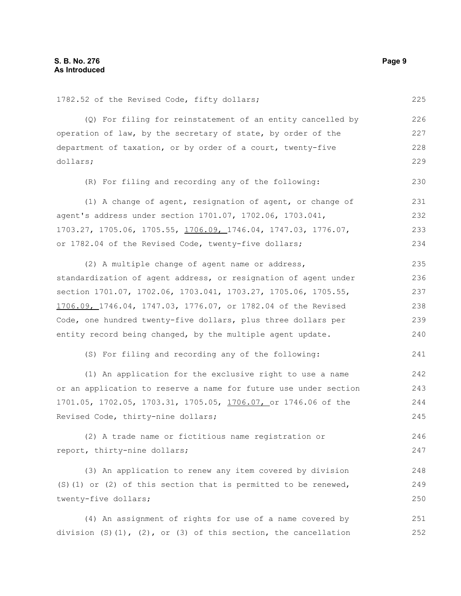| 1782.52 of the Revised Code, fifty dollars;                             | 225 |
|-------------------------------------------------------------------------|-----|
| (Q) For filing for reinstatement of an entity cancelled by              | 226 |
| operation of law, by the secretary of state, by order of the            | 227 |
| department of taxation, or by order of a court, twenty-five             | 228 |
| dollars;                                                                | 229 |
| (R) For filing and recording any of the following:                      | 230 |
| (1) A change of agent, resignation of agent, or change of               | 231 |
| agent's address under section 1701.07, 1702.06, 1703.041,               | 232 |
| 1703.27, 1705.06, 1705.55, <u>1706.09, 1746.04</u> , 1747.03, 1776.07,  | 233 |
| or 1782.04 of the Revised Code, twenty-five dollars;                    | 234 |
| (2) A multiple change of agent name or address,                         | 235 |
| standardization of agent address, or resignation of agent under         | 236 |
| section 1701.07, 1702.06, 1703.041, 1703.27, 1705.06, 1705.55,          | 237 |
| 1706.09, 1746.04, 1747.03, 1776.07, or 1782.04 of the Revised           | 238 |
| Code, one hundred twenty-five dollars, plus three dollars per           | 239 |
| entity record being changed, by the multiple agent update.              | 240 |
| (S) For filing and recording any of the following:                      | 241 |
| (1) An application for the exclusive right to use a name                | 242 |
| or an application to reserve a name for future use under section        | 243 |
| 1701.05, 1702.05, 1703.31, 1705.05, 1706.07, or 1746.06 of the          | 244 |
| Revised Code, thirty-nine dollars;                                      | 245 |
| (2) A trade name or fictitious name registration or                     | 246 |
| report, thirty-nine dollars;                                            | 247 |
| (3) An application to renew any item covered by division                | 248 |
| $(S)$ (1) or (2) of this section that is permitted to be renewed,       | 249 |
| twenty-five dollars;                                                    | 250 |
| (4) An assignment of rights for use of a name covered by                | 251 |
| division $(S) (1)$ , $(2)$ , or $(3)$ of this section, the cancellation | 252 |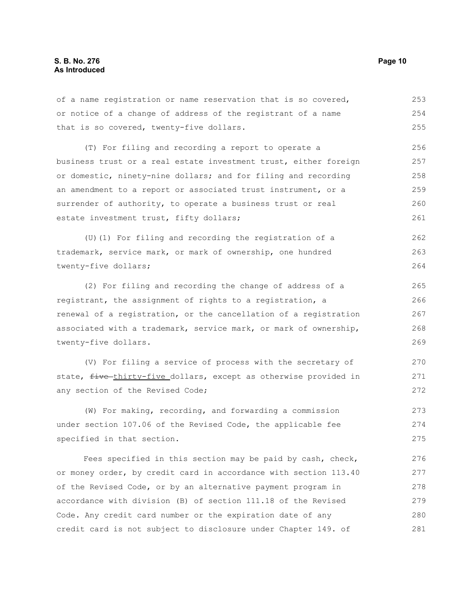of a name registration or name reservation that is so covered, or notice of a change of address of the registrant of a name that is so covered, twenty-five dollars. (T) For filing and recording a report to operate a business trust or a real estate investment trust, either foreign or domestic, ninety-nine dollars; and for filing and recording an amendment to a report or associated trust instrument, or a surrender of authority, to operate a business trust or real estate investment trust, fifty dollars; (U)(1) For filing and recording the registration of a trademark, service mark, or mark of ownership, one hundred twenty-five dollars; (2) For filing and recording the change of address of a registrant, the assignment of rights to a registration, a renewal of a registration, or the cancellation of a registration 253 254 255 256 257 258 259 260 261 262 263 264 265 266 267

associated with a trademark, service mark, or mark of ownership, twenty-five dollars. 268 269

(V) For filing a service of process with the secretary of state, five thirty-five dollars, except as otherwise provided in any section of the Revised Code;

(W) For making, recording, and forwarding a commission under section 107.06 of the Revised Code, the applicable fee specified in that section. 273 274 275

Fees specified in this section may be paid by cash, check, or money order, by credit card in accordance with section 113.40 of the Revised Code, or by an alternative payment program in accordance with division (B) of section 111.18 of the Revised Code. Any credit card number or the expiration date of any credit card is not subject to disclosure under Chapter 149. of 276 277 278 279 280 281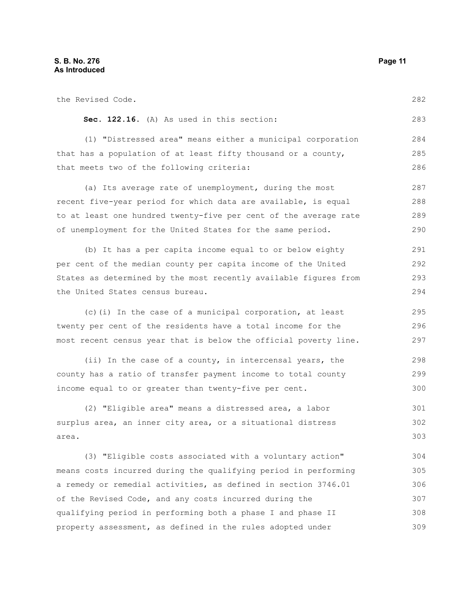the Revised Code. **Sec. 122.16.** (A) As used in this section: (1) "Distressed area" means either a municipal corporation that has a population of at least fifty thousand or a county, that meets two of the following criteria: (a) Its average rate of unemployment, during the most recent five-year period for which data are available, is equal to at least one hundred twenty-five per cent of the average rate of unemployment for the United States for the same period. (b) It has a per capita income equal to or below eighty per cent of the median county per capita income of the United States as determined by the most recently available figures from the United States census bureau. (c)(i) In the case of a municipal corporation, at least twenty per cent of the residents have a total income for the most recent census year that is below the official poverty line. (ii) In the case of a county, in intercensal years, the county has a ratio of transfer payment income to total county income equal to or greater than twenty-five per cent. (2) "Eligible area" means a distressed area, a labor surplus area, an inner city area, or a situational distress area. (3) "Eligible costs associated with a voluntary action" means costs incurred during the qualifying period in performing a remedy or remedial activities, as defined in section 3746.01 of the Revised Code, and any costs incurred during the qualifying period in performing both a phase I and phase II 282 283 284 285 286 287 288 289 290 291 292 293 294 295 296 297 298 299 300 301 302 303 304 305 306 307 308

property assessment, as defined in the rules adopted under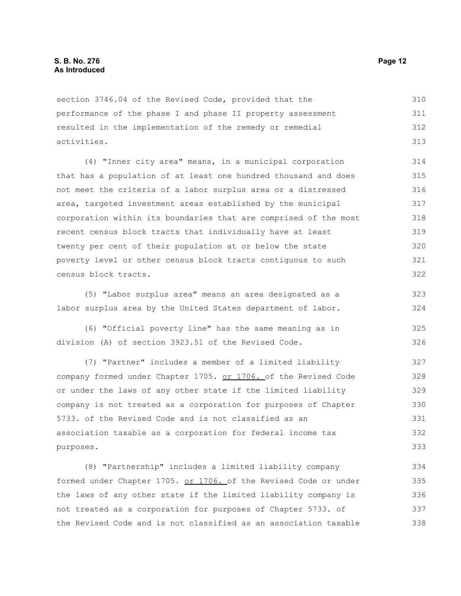section 3746.04 of the Revised Code, provided that the performance of the phase I and phase II property assessment resulted in the implementation of the remedy or remedial activities. 310 311 312 313

(4) "Inner city area" means, in a municipal corporation that has a population of at least one hundred thousand and does not meet the criteria of a labor surplus area or a distressed area, targeted investment areas established by the municipal corporation within its boundaries that are comprised of the most recent census block tracts that individually have at least twenty per cent of their population at or below the state poverty level or other census block tracts contiguous to such census block tracts. 314 315 316 317 318 319 320 321 322

(5) "Labor surplus area" means an area designated as a labor surplus area by the United States department of labor. 323 324

(6) "Official poverty line" has the same meaning as in division (A) of section 3923.51 of the Revised Code. 325 326

(7) "Partner" includes a member of a limited liability company formed under Chapter 1705. or 1706. of the Revised Code or under the laws of any other state if the limited liability company is not treated as a corporation for purposes of Chapter 5733. of the Revised Code and is not classified as an association taxable as a corporation for federal income tax purposes. 327 328 329 330 331 332 333

(8) "Partnership" includes a limited liability company formed under Chapter 1705. or 1706. of the Revised Code or under the laws of any other state if the limited liability company is not treated as a corporation for purposes of Chapter 5733. of the Revised Code and is not classified as an association taxable 334 335 336 337 338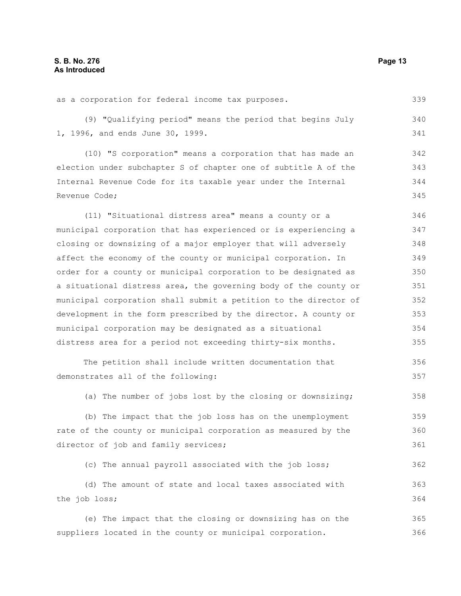366

as a corporation for federal income tax purposes. (9) "Qualifying period" means the period that begins July 1, 1996, and ends June 30, 1999. (10) "S corporation" means a corporation that has made an election under subchapter S of chapter one of subtitle A of the Internal Revenue Code for its taxable year under the Internal Revenue Code; (11) "Situational distress area" means a county or a municipal corporation that has experienced or is experiencing a closing or downsizing of a major employer that will adversely affect the economy of the county or municipal corporation. In order for a county or municipal corporation to be designated as a situational distress area, the governing body of the county or municipal corporation shall submit a petition to the director of development in the form prescribed by the director. A county or municipal corporation may be designated as a situational distress area for a period not exceeding thirty-six months. The petition shall include written documentation that demonstrates all of the following: (a) The number of jobs lost by the closing or downsizing; (b) The impact that the job loss has on the unemployment rate of the county or municipal corporation as measured by the director of job and family services; (c) The annual payroll associated with the job loss; (d) The amount of state and local taxes associated with the job loss; (e) The impact that the closing or downsizing has on the 339 340 341 342 343 344 345 346 347 348 349 350 351 352 353 354 355 356 357 358 359 360 361 362 363 364 365

suppliers located in the county or municipal corporation.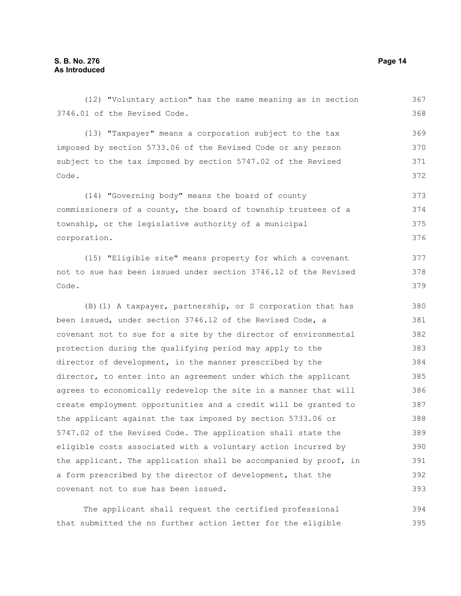Code.

Code.

3746.01 of the Revised Code. (13) "Taxpayer" means a corporation subject to the tax imposed by section 5733.06 of the Revised Code or any person subject to the tax imposed by section 5747.02 of the Revised (14) "Governing body" means the board of county commissioners of a county, the board of township trustees of a township, or the legislative authority of a municipal corporation. (15) "Eligible site" means property for which a covenant not to sue has been issued under section 3746.12 of the Revised (B)(1) A taxpayer, partnership, or S corporation that has been issued, under section 3746.12 of the Revised Code, a covenant not to sue for a site by the director of environmental protection during the qualifying period may apply to the director of development, in the manner prescribed by the director, to enter into an agreement under which the applicant agrees to economically redevelop the site in a manner that will create employment opportunities and a credit will be granted to the applicant against the tax imposed by section 5733.06 or 5747.02 of the Revised Code. The application shall state the 368 369 370 371 372 373 374 375 376 377 378 379 380 381 382 383 384 385 386 387 388 389

(12) "Voluntary action" has the same meaning as in section

eligible costs associated with a voluntary action incurred by the applicant. The application shall be accompanied by proof, in a form prescribed by the director of development, that the covenant not to sue has been issued. 390 391 392 393

The applicant shall request the certified professional that submitted the no further action letter for the eligible 394 395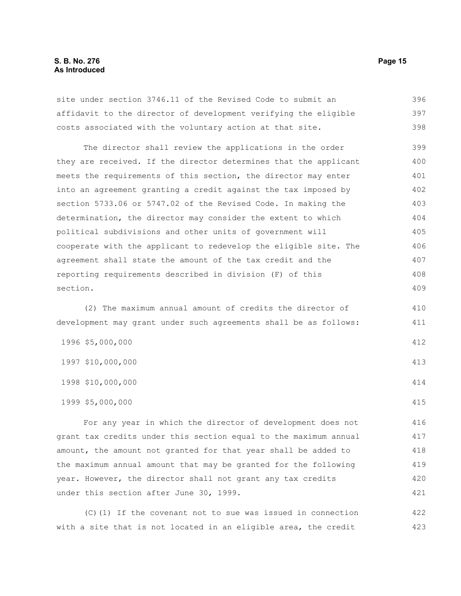#### **S. B. No. 276 Page 15 As Introduced**

site under section 3746.11 of the Revised Code to submit an affidavit to the director of development verifying the eligible costs associated with the voluntary action at that site. The director shall review the applications in the order they are received. If the director determines that the applicant meets the requirements of this section, the director may enter into an agreement granting a credit against the tax imposed by section 5733.06 or 5747.02 of the Revised Code. In making the determination, the director may consider the extent to which political subdivisions and other units of government will cooperate with the applicant to redevelop the eligible site. The agreement shall state the amount of the tax credit and the reporting requirements described in division (F) of this section. (2) The maximum annual amount of credits the director of 396 397 398 399 400 401 402 403 404 405 406 407 408 409 410

development may grant under such agreements shall be as follows: 411

1996 \$5,000,000 1997 \$10,000,000 1998 \$10,000,000 1999 \$5,000,000 412 413 414 415

For any year in which the director of development does not grant tax credits under this section equal to the maximum annual amount, the amount not granted for that year shall be added to the maximum annual amount that may be granted for the following year. However, the director shall not grant any tax credits under this section after June 30, 1999. 416 417 418 419 420 421

(C)(1) If the covenant not to sue was issued in connection with a site that is not located in an eligible area, the credit 422 423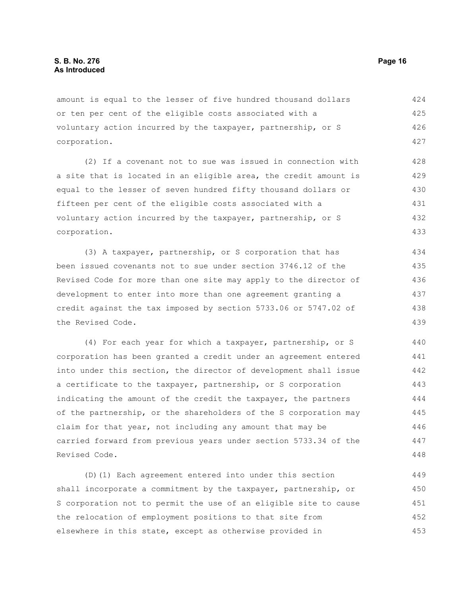amount is equal to the lesser of five hundred thousand dollars or ten per cent of the eligible costs associated with a voluntary action incurred by the taxpayer, partnership, or S corporation. 424 425 426 427

(2) If a covenant not to sue was issued in connection with a site that is located in an eligible area, the credit amount is equal to the lesser of seven hundred fifty thousand dollars or fifteen per cent of the eligible costs associated with a voluntary action incurred by the taxpayer, partnership, or S corporation. 428 429 430 431 432 433

(3) A taxpayer, partnership, or S corporation that has been issued covenants not to sue under section 3746.12 of the Revised Code for more than one site may apply to the director of development to enter into more than one agreement granting a credit against the tax imposed by section 5733.06 or 5747.02 of the Revised Code. 434 435 436 437 438 439

(4) For each year for which a taxpayer, partnership, or S corporation has been granted a credit under an agreement entered into under this section, the director of development shall issue a certificate to the taxpayer, partnership, or S corporation indicating the amount of the credit the taxpayer, the partners of the partnership, or the shareholders of the S corporation may claim for that year, not including any amount that may be carried forward from previous years under section 5733.34 of the Revised Code. 440 441 442 443 444 445 446 447 448

(D)(1) Each agreement entered into under this section shall incorporate a commitment by the taxpayer, partnership, or S corporation not to permit the use of an eligible site to cause the relocation of employment positions to that site from elsewhere in this state, except as otherwise provided in 449 450 451 452 453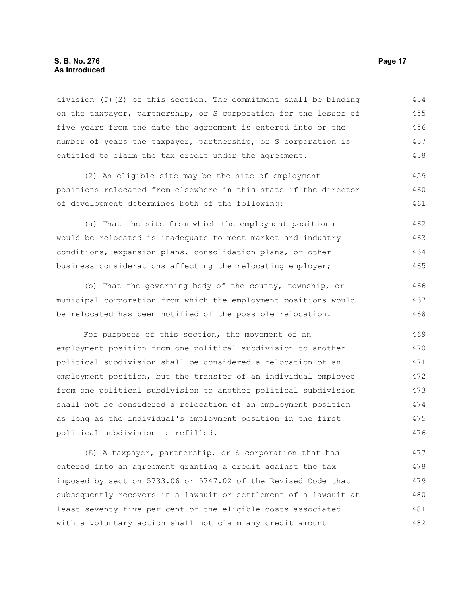#### **S. B. No. 276 Page 17 As Introduced**

division (D)(2) of this section. The commitment shall be binding on the taxpayer, partnership, or S corporation for the lesser of five years from the date the agreement is entered into or the number of years the taxpayer, partnership, or S corporation is entitled to claim the tax credit under the agreement. 454 455 456 457 458

(2) An eligible site may be the site of employment positions relocated from elsewhere in this state if the director of development determines both of the following: 459 460 461

(a) That the site from which the employment positions would be relocated is inadequate to meet market and industry conditions, expansion plans, consolidation plans, or other business considerations affecting the relocating employer; 462 463 464 465

(b) That the governing body of the county, township, or municipal corporation from which the employment positions would be relocated has been notified of the possible relocation. 466 467 468

For purposes of this section, the movement of an employment position from one political subdivision to another political subdivision shall be considered a relocation of an employment position, but the transfer of an individual employee from one political subdivision to another political subdivision shall not be considered a relocation of an employment position as long as the individual's employment position in the first political subdivision is refilled. 469 470 471 472 473 474 475 476

(E) A taxpayer, partnership, or S corporation that has entered into an agreement granting a credit against the tax imposed by section 5733.06 or 5747.02 of the Revised Code that subsequently recovers in a lawsuit or settlement of a lawsuit at least seventy-five per cent of the eligible costs associated with a voluntary action shall not claim any credit amount 477 478 479 480 481 482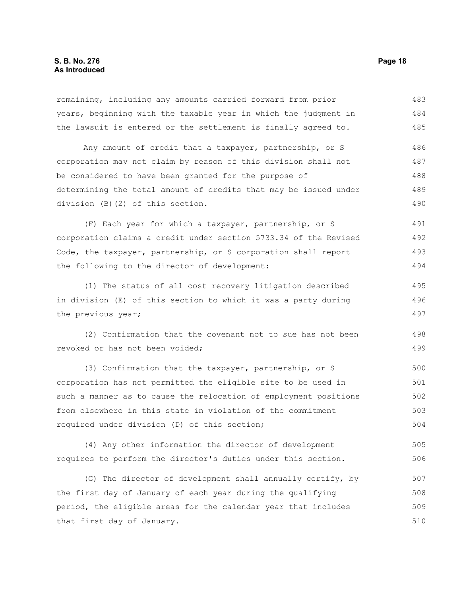remaining, including any amounts carried forward from prior years, beginning with the taxable year in which the judgment in the lawsuit is entered or the settlement is finally agreed to. Any amount of credit that a taxpayer, partnership, or S corporation may not claim by reason of this division shall not be considered to have been granted for the purpose of 483 484 485 486 487 488

determining the total amount of credits that may be issued under division (B)(2) of this section. 489 490

(F) Each year for which a taxpayer, partnership, or S corporation claims a credit under section 5733.34 of the Revised Code, the taxpayer, partnership, or S corporation shall report the following to the director of development: 491 492 493 494

(1) The status of all cost recovery litigation described in division (E) of this section to which it was a party during the previous year; 495 496 497

(2) Confirmation that the covenant not to sue has not been revoked or has not been voided;

(3) Confirmation that the taxpayer, partnership, or S corporation has not permitted the eligible site to be used in such a manner as to cause the relocation of employment positions from elsewhere in this state in violation of the commitment required under division (D) of this section; 500 501 502 503 504

(4) Any other information the director of development requires to perform the director's duties under this section. 505 506

(G) The director of development shall annually certify, by the first day of January of each year during the qualifying period, the eligible areas for the calendar year that includes that first day of January. 507 508 509 510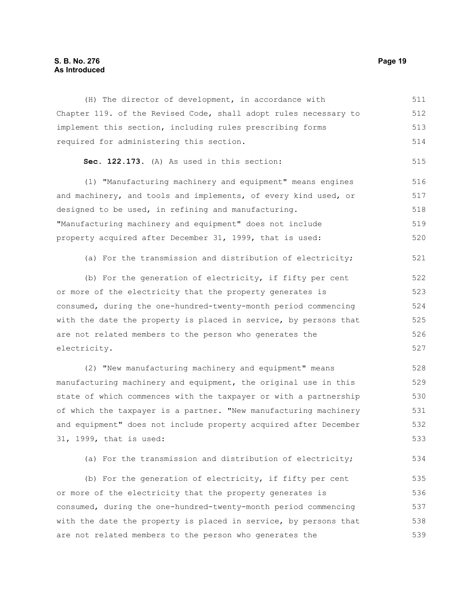#### **S. B. No. 276 Page 19 As Introduced**

(H) The director of development, in accordance with Chapter 119. of the Revised Code, shall adopt rules necessary to implement this section, including rules prescribing forms required for administering this section. **Sec. 122.173.** (A) As used in this section: (1) "Manufacturing machinery and equipment" means engines and machinery, and tools and implements, of every kind used, or designed to be used, in refining and manufacturing. "Manufacturing machinery and equipment" does not include property acquired after December 31, 1999, that is used: (a) For the transmission and distribution of electricity; (b) For the generation of electricity, if fifty per cent or more of the electricity that the property generates is consumed, during the one-hundred-twenty-month period commencing with the date the property is placed in service, by persons that are not related members to the person who generates the electricity. (2) "New manufacturing machinery and equipment" means manufacturing machinery and equipment, the original use in this state of which commences with the taxpayer or with a partnership of which the taxpayer is a partner. "New manufacturing machinery and equipment" does not include property acquired after December 31, 1999, that is used: 511 512 513 514 515 516 517 518 519 520 521 522 523 524 525 526 527 528 529 530 531 532 533

(a) For the transmission and distribution of electricity; 534

(b) For the generation of electricity, if fifty per cent or more of the electricity that the property generates is consumed, during the one-hundred-twenty-month period commencing with the date the property is placed in service, by persons that are not related members to the person who generates the 535 536 537 538 539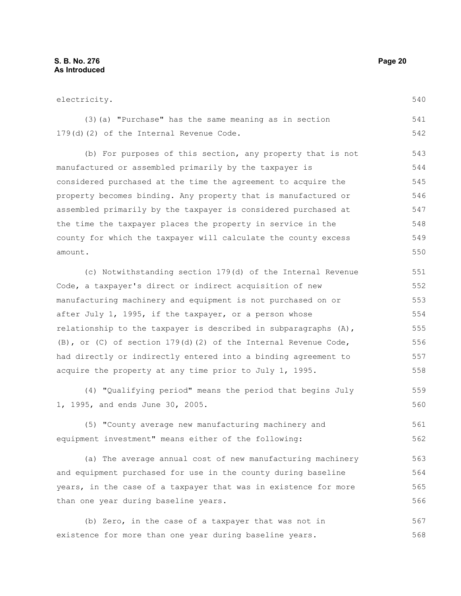540

(3)(a) "Purchase" has the same meaning as in section 179(d)(2) of the Internal Revenue Code. 541 542

(b) For purposes of this section, any property that is not manufactured or assembled primarily by the taxpayer is considered purchased at the time the agreement to acquire the property becomes binding. Any property that is manufactured or assembled primarily by the taxpayer is considered purchased at the time the taxpayer places the property in service in the county for which the taxpayer will calculate the county excess amount. 543 544 545 546 547 548 549 550

(c) Notwithstanding section 179(d) of the Internal Revenue Code, a taxpayer's direct or indirect acquisition of new manufacturing machinery and equipment is not purchased on or after July 1, 1995, if the taxpayer, or a person whose relationship to the taxpayer is described in subparagraphs  $(A)$ , (B), or (C) of section 179(d)(2) of the Internal Revenue Code, had directly or indirectly entered into a binding agreement to acquire the property at any time prior to July 1, 1995. 551 552 553 554 555 556 557 558

(4) "Qualifying period" means the period that begins July 1, 1995, and ends June 30, 2005. 559 560

(5) "County average new manufacturing machinery and equipment investment" means either of the following: 561 562

(a) The average annual cost of new manufacturing machinery and equipment purchased for use in the county during baseline years, in the case of a taxpayer that was in existence for more than one year during baseline years. 563 564 565 566

(b) Zero, in the case of a taxpayer that was not in existence for more than one year during baseline years. 567 568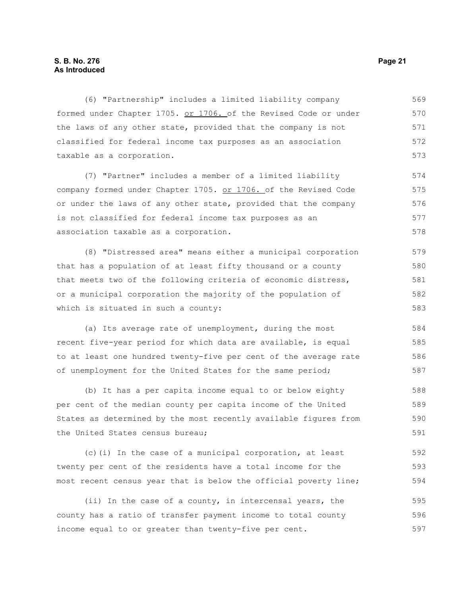#### **S. B. No. 276 Page 21 As Introduced**

(6) "Partnership" includes a limited liability company formed under Chapter 1705. or 1706. of the Revised Code or under the laws of any other state, provided that the company is not classified for federal income tax purposes as an association taxable as a corporation. 569 570 571 572 573

(7) "Partner" includes a member of a limited liability company formed under Chapter 1705. or 1706. of the Revised Code or under the laws of any other state, provided that the company is not classified for federal income tax purposes as an association taxable as a corporation. 574 575 576 577 578

(8) "Distressed area" means either a municipal corporation that has a population of at least fifty thousand or a county that meets two of the following criteria of economic distress, or a municipal corporation the majority of the population of which is situated in such a county: 579 580 581 582 583

(a) Its average rate of unemployment, during the most recent five-year period for which data are available, is equal to at least one hundred twenty-five per cent of the average rate of unemployment for the United States for the same period;

(b) It has a per capita income equal to or below eighty per cent of the median county per capita income of the United States as determined by the most recently available figures from the United States census bureau; 588 589 590 591

(c)(i) In the case of a municipal corporation, at least twenty per cent of the residents have a total income for the most recent census year that is below the official poverty line; 592 593 594

(ii) In the case of a county, in intercensal years, the county has a ratio of transfer payment income to total county income equal to or greater than twenty-five per cent. 595 596 597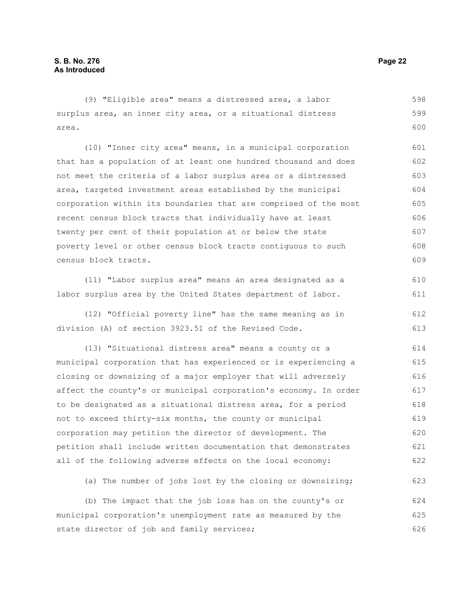(9) "Eligible area" means a distressed area, a labor surplus area, an inner city area, or a situational distress area. 598 599 600

(10) "Inner city area" means, in a municipal corporation that has a population of at least one hundred thousand and does not meet the criteria of a labor surplus area or a distressed area, targeted investment areas established by the municipal corporation within its boundaries that are comprised of the most recent census block tracts that individually have at least twenty per cent of their population at or below the state poverty level or other census block tracts contiguous to such census block tracts. 601 602 603 604 605 606 607 608 609

(11) "Labor surplus area" means an area designated as a labor surplus area by the United States department of labor. 610 611

(12) "Official poverty line" has the same meaning as in division (A) of section 3923.51 of the Revised Code. 612 613

(13) "Situational distress area" means a county or a municipal corporation that has experienced or is experiencing a closing or downsizing of a major employer that will adversely affect the county's or municipal corporation's economy. In order to be designated as a situational distress area, for a period not to exceed thirty-six months, the county or municipal corporation may petition the director of development. The petition shall include written documentation that demonstrates all of the following adverse effects on the local economy: 614 615 616 617 618 619 620 621 622

(a) The number of jobs lost by the closing or downsizing;

(b) The impact that the job loss has on the county's or municipal corporation's unemployment rate as measured by the state director of job and family services; 624 625 626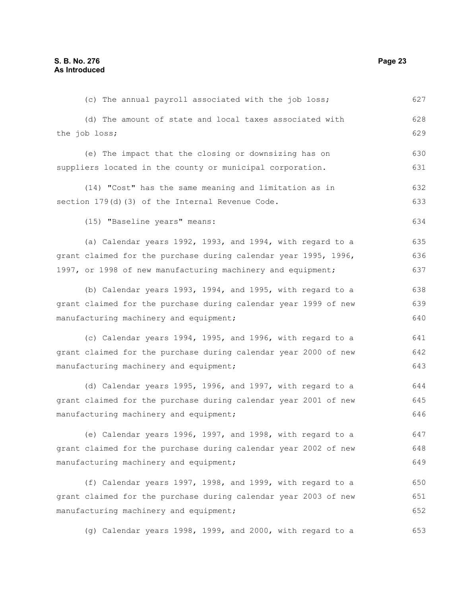(c) The annual payroll associated with the job loss; (d) The amount of state and local taxes associated with the job loss; (e) The impact that the closing or downsizing has on suppliers located in the county or municipal corporation. (14) "Cost" has the same meaning and limitation as in section 179(d)(3) of the Internal Revenue Code. (15) "Baseline years" means: (a) Calendar years 1992, 1993, and 1994, with regard to a grant claimed for the purchase during calendar year 1995, 1996, 1997, or 1998 of new manufacturing machinery and equipment; (b) Calendar years 1993, 1994, and 1995, with regard to a grant claimed for the purchase during calendar year 1999 of new manufacturing machinery and equipment; (c) Calendar years 1994, 1995, and 1996, with regard to a grant claimed for the purchase during calendar year 2000 of new manufacturing machinery and equipment; (d) Calendar years 1995, 1996, and 1997, with regard to a grant claimed for the purchase during calendar year 2001 of new manufacturing machinery and equipment; (e) Calendar years 1996, 1997, and 1998, with regard to a grant claimed for the purchase during calendar year 2002 of new manufacturing machinery and equipment; (f) Calendar years 1997, 1998, and 1999, with regard to a grant claimed for the purchase during calendar year 2003 of new manufacturing machinery and equipment; (g) Calendar years 1998, 1999, and 2000, with regard to a 627 628 629 630 631 632 633 634 635 636 637 638 639 640 641 642 643 644 645 646 647 648 649 650 651 652 653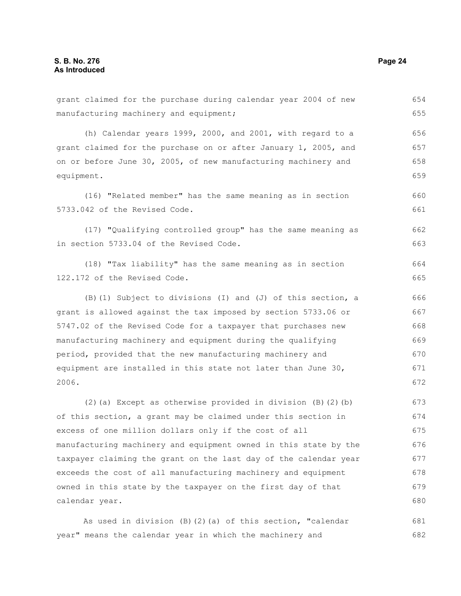grant claimed for the purchase during calendar year 2004 of new manufacturing machinery and equipment; (h) Calendar years 1999, 2000, and 2001, with regard to a grant claimed for the purchase on or after January 1, 2005, and on or before June 30, 2005, of new manufacturing machinery and equipment. (16) "Related member" has the same meaning as in section 5733.042 of the Revised Code. (17) "Qualifying controlled group" has the same meaning as in section 5733.04 of the Revised Code. (18) "Tax liability" has the same meaning as in section 122.172 of the Revised Code. (B)(1) Subject to divisions (I) and (J) of this section, a grant is allowed against the tax imposed by section 5733.06 or 5747.02 of the Revised Code for a taxpayer that purchases new manufacturing machinery and equipment during the qualifying period, provided that the new manufacturing machinery and equipment are installed in this state not later than June 30, 2006. (2)(a) Except as otherwise provided in division  $(B)(2)(b)$ of this section, a grant may be claimed under this section in excess of one million dollars only if the cost of all manufacturing machinery and equipment owned in this state by the taxpayer claiming the grant on the last day of the calendar year exceeds the cost of all manufacturing machinery and equipment owned in this state by the taxpayer on the first day of that calendar year. 654 655 656 657 658 659 660 661 662 663 664 665 666 667 668 669 670 671 672 673 674 675 676 677 678 679 680

As used in division (B)(2)(a) of this section, "calendar year" means the calendar year in which the machinery and 681 682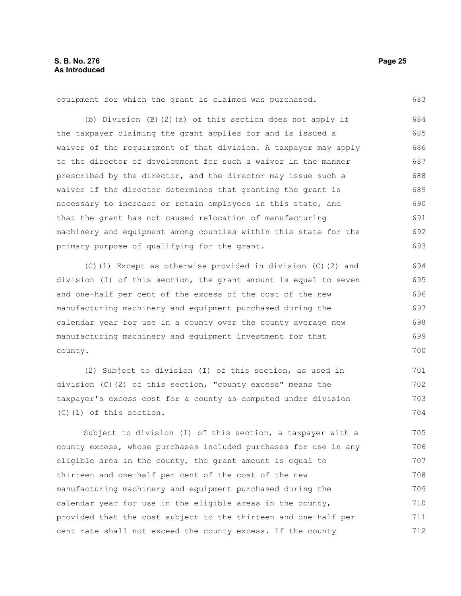equipment for which the grant is claimed was purchased.

(b) Division (B)(2)(a) of this section does not apply if the taxpayer claiming the grant applies for and is issued a waiver of the requirement of that division. A taxpayer may apply to the director of development for such a waiver in the manner prescribed by the director, and the director may issue such a waiver if the director determines that granting the grant is necessary to increase or retain employees in this state, and that the grant has not caused relocation of manufacturing machinery and equipment among counties within this state for the primary purpose of qualifying for the grant. 684 685 686 687 688 689 690 691 692 693

(C)(1) Except as otherwise provided in division (C)(2) and division (I) of this section, the grant amount is equal to seven and one-half per cent of the excess of the cost of the new manufacturing machinery and equipment purchased during the calendar year for use in a county over the county average new manufacturing machinery and equipment investment for that county.

(2) Subject to division (I) of this section, as used in division (C)(2) of this section, "county excess" means the taxpayer's excess cost for a county as computed under division (C)(1) of this section. 701 702 703 704

Subject to division (I) of this section, a taxpayer with a county excess, whose purchases included purchases for use in any eligible area in the county, the grant amount is equal to thirteen and one-half per cent of the cost of the new manufacturing machinery and equipment purchased during the calendar year for use in the eligible areas in the county, provided that the cost subject to the thirteen and one-half per cent rate shall not exceed the county excess. If the county 705 706 707 708 709 710 711 712

683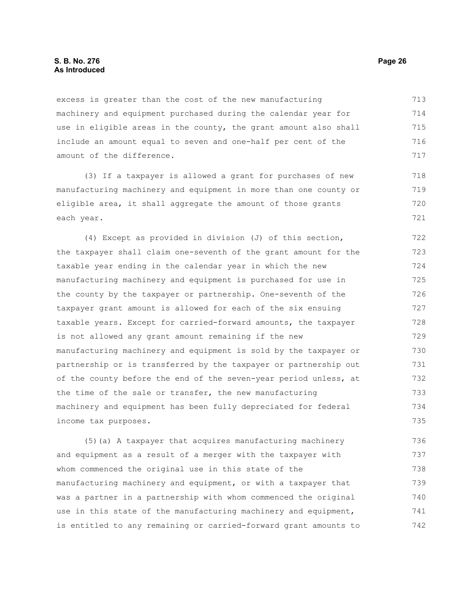excess is greater than the cost of the new manufacturing machinery and equipment purchased during the calendar year for use in eligible areas in the county, the grant amount also shall include an amount equal to seven and one-half per cent of the amount of the difference. 713 714 715 716 717

(3) If a taxpayer is allowed a grant for purchases of new manufacturing machinery and equipment in more than one county or eligible area, it shall aggregate the amount of those grants each year.

(4) Except as provided in division (J) of this section, the taxpayer shall claim one-seventh of the grant amount for the taxable year ending in the calendar year in which the new manufacturing machinery and equipment is purchased for use in the county by the taxpayer or partnership. One-seventh of the taxpayer grant amount is allowed for each of the six ensuing taxable years. Except for carried-forward amounts, the taxpayer is not allowed any grant amount remaining if the new manufacturing machinery and equipment is sold by the taxpayer or partnership or is transferred by the taxpayer or partnership out of the county before the end of the seven-year period unless, at the time of the sale or transfer, the new manufacturing machinery and equipment has been fully depreciated for federal income tax purposes. 722 723 724 725 726 727 728 729 730 731 732 733 734 735

(5)(a) A taxpayer that acquires manufacturing machinery and equipment as a result of a merger with the taxpayer with whom commenced the original use in this state of the manufacturing machinery and equipment, or with a taxpayer that was a partner in a partnership with whom commenced the original use in this state of the manufacturing machinery and equipment, is entitled to any remaining or carried-forward grant amounts to 736 737 738 739 740 741 742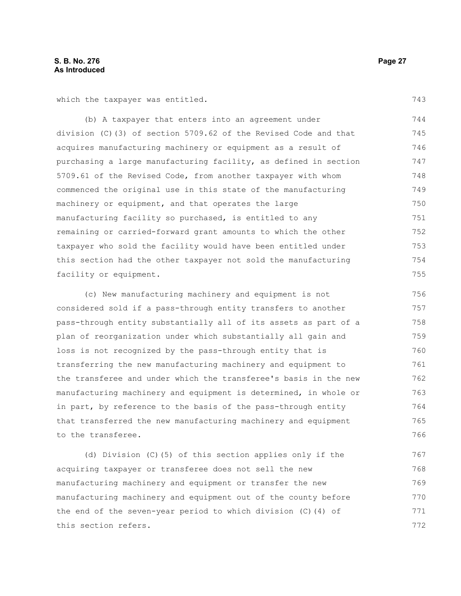which the taxpayer was entitled.

(b) A taxpayer that enters into an agreement under division (C)(3) of section 5709.62 of the Revised Code and that acquires manufacturing machinery or equipment as a result of purchasing a large manufacturing facility, as defined in section 5709.61 of the Revised Code, from another taxpayer with whom commenced the original use in this state of the manufacturing machinery or equipment, and that operates the large manufacturing facility so purchased, is entitled to any remaining or carried-forward grant amounts to which the other taxpayer who sold the facility would have been entitled under this section had the other taxpayer not sold the manufacturing facility or equipment. 744 745 746 747 748 749 750 751 752 753 754 755

(c) New manufacturing machinery and equipment is not considered sold if a pass-through entity transfers to another pass-through entity substantially all of its assets as part of a plan of reorganization under which substantially all gain and loss is not recognized by the pass-through entity that is transferring the new manufacturing machinery and equipment to the transferee and under which the transferee's basis in the new manufacturing machinery and equipment is determined, in whole or in part, by reference to the basis of the pass-through entity that transferred the new manufacturing machinery and equipment to the transferee. 756 757 758 759 760 761 762 763 764 765 766

(d) Division (C)(5) of this section applies only if the acquiring taxpayer or transferee does not sell the new manufacturing machinery and equipment or transfer the new manufacturing machinery and equipment out of the county before the end of the seven-year period to which division (C)(4) of this section refers. 767 768 769 770 771 772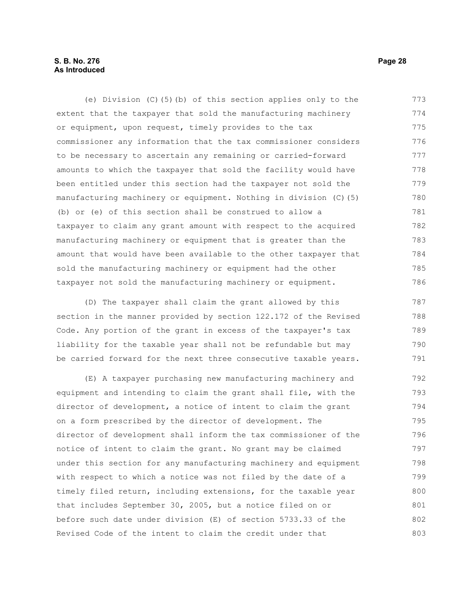#### **S. B. No. 276 Page 28 As Introduced**

(e) Division (C)(5)(b) of this section applies only to the extent that the taxpayer that sold the manufacturing machinery or equipment, upon request, timely provides to the tax commissioner any information that the tax commissioner considers to be necessary to ascertain any remaining or carried-forward amounts to which the taxpayer that sold the facility would have been entitled under this section had the taxpayer not sold the manufacturing machinery or equipment. Nothing in division (C)(5) (b) or (e) of this section shall be construed to allow a taxpayer to claim any grant amount with respect to the acquired manufacturing machinery or equipment that is greater than the amount that would have been available to the other taxpayer that sold the manufacturing machinery or equipment had the other taxpayer not sold the manufacturing machinery or equipment. 773 774 775 776 777 778 779 780 781 782 783 784 785 786

(D) The taxpayer shall claim the grant allowed by this section in the manner provided by section 122.172 of the Revised Code. Any portion of the grant in excess of the taxpayer's tax liability for the taxable year shall not be refundable but may be carried forward for the next three consecutive taxable years. 787 788 789 790 791

(E) A taxpayer purchasing new manufacturing machinery and equipment and intending to claim the grant shall file, with the director of development, a notice of intent to claim the grant on a form prescribed by the director of development. The director of development shall inform the tax commissioner of the notice of intent to claim the grant. No grant may be claimed under this section for any manufacturing machinery and equipment with respect to which a notice was not filed by the date of a timely filed return, including extensions, for the taxable year that includes September 30, 2005, but a notice filed on or before such date under division (E) of section 5733.33 of the Revised Code of the intent to claim the credit under that 792 793 794 795 796 797 798 799 800 801 802 803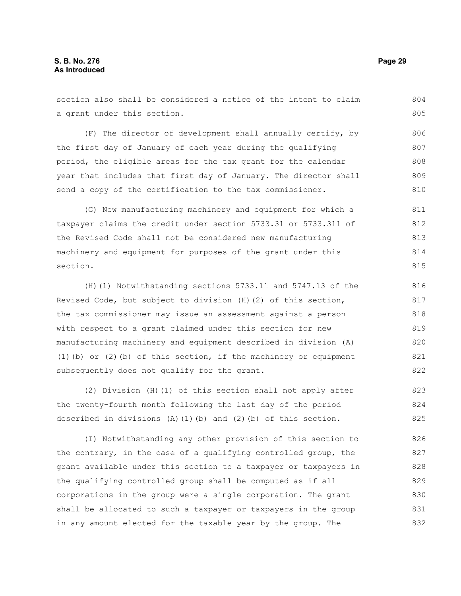section also shall be considered a notice of the intent to claim a grant under this section. (F) The director of development shall annually certify, by the first day of January of each year during the qualifying 804 805 806 807

period, the eligible areas for the tax grant for the calendar year that includes that first day of January. The director shall send a copy of the certification to the tax commissioner. 808 809 810

(G) New manufacturing machinery and equipment for which a taxpayer claims the credit under section 5733.31 or 5733.311 of the Revised Code shall not be considered new manufacturing machinery and equipment for purposes of the grant under this section. 811 812 813 814 815

(H)(1) Notwithstanding sections 5733.11 and 5747.13 of the Revised Code, but subject to division (H)(2) of this section, the tax commissioner may issue an assessment against a person with respect to a grant claimed under this section for new manufacturing machinery and equipment described in division (A) (1)(b) or (2)(b) of this section, if the machinery or equipment subsequently does not qualify for the grant.

(2) Division (H)(1) of this section shall not apply after the twenty-fourth month following the last day of the period described in divisions  $(A)$  (1)(b) and (2)(b) of this section. 823 824 825

(I) Notwithstanding any other provision of this section to the contrary, in the case of a qualifying controlled group, the grant available under this section to a taxpayer or taxpayers in the qualifying controlled group shall be computed as if all corporations in the group were a single corporation. The grant shall be allocated to such a taxpayer or taxpayers in the group in any amount elected for the taxable year by the group. The 826 827 828 829 830 831 832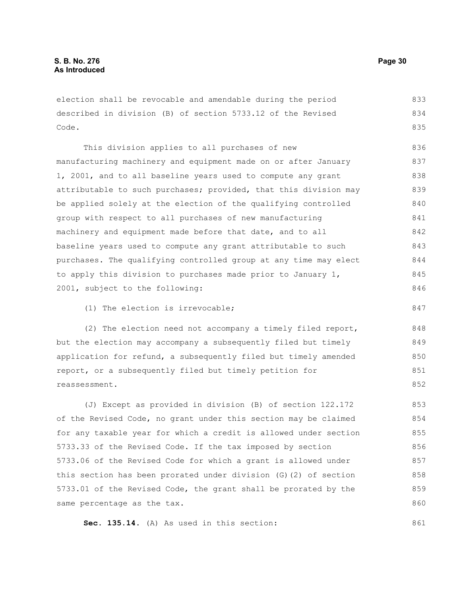election shall be revocable and amendable during the period described in division (B) of section 5733.12 of the Revised Code. 833 834 835

This division applies to all purchases of new manufacturing machinery and equipment made on or after January 1, 2001, and to all baseline years used to compute any grant attributable to such purchases; provided, that this division may be applied solely at the election of the qualifying controlled group with respect to all purchases of new manufacturing machinery and equipment made before that date, and to all baseline years used to compute any grant attributable to such purchases. The qualifying controlled group at any time may elect to apply this division to purchases made prior to January 1, 2001, subject to the following: 836 837 838 839 840 841 842 843 844 845 846

(1) The election is irrevocable;

(2) The election need not accompany a timely filed report, but the election may accompany a subsequently filed but timely application for refund, a subsequently filed but timely amended report, or a subsequently filed but timely petition for reassessment.

(J) Except as provided in division (B) of section 122.172 of the Revised Code, no grant under this section may be claimed for any taxable year for which a credit is allowed under section 5733.33 of the Revised Code. If the tax imposed by section 5733.06 of the Revised Code for which a grant is allowed under this section has been prorated under division (G)(2) of section 5733.01 of the Revised Code, the grant shall be prorated by the same percentage as the tax. 853 854 855 856 857 858 859 860

**Sec. 135.14.** (A) As used in this section:

847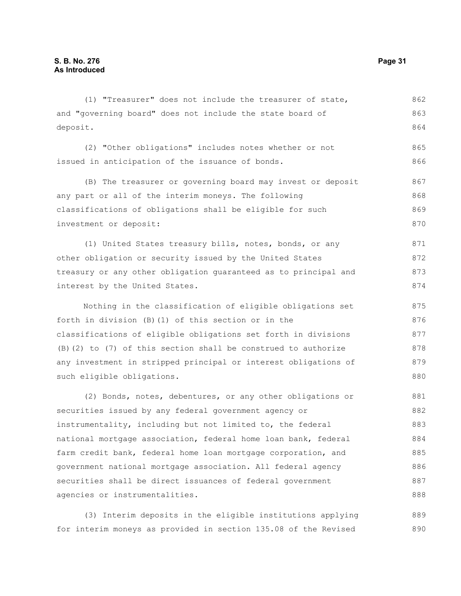| (1) "Treasurer" does not include the treasurer of state,        | 862 |
|-----------------------------------------------------------------|-----|
| and "governing board" does not include the state board of       | 863 |
| deposit.                                                        | 864 |
| (2) "Other obligations" includes notes whether or not           | 865 |
| issued in anticipation of the issuance of bonds.                | 866 |
| (B) The treasurer or governing board may invest or deposit      | 867 |
| any part or all of the interim moneys. The following            | 868 |
| classifications of obligations shall be eligible for such       | 869 |
| investment or deposit:                                          | 870 |
| (1) United States treasury bills, notes, bonds, or any          | 871 |
| other obligation or security issued by the United States        | 872 |
| treasury or any other obligation guaranteed as to principal and | 873 |
| interest by the United States.                                  | 874 |
|                                                                 |     |
| Nothing in the classification of eligible obligations set       | 875 |
| forth in division (B) (1) of this section or in the             | 876 |
| classifications of eligible obligations set forth in divisions  | 877 |
| (B) (2) to (7) of this section shall be construed to authorize  | 878 |
| any investment in stripped principal or interest obligations of | 879 |
| such eligible obligations.                                      | 880 |
| (2) Bonds, notes, debentures, or any other obligations or       | 881 |
| securities issued by any federal government agency or           | 882 |
| instrumentality, including but not limited to, the federal      | 883 |
| national mortgage association, federal home loan bank, federal  | 884 |
| farm credit bank, federal home loan mortgage corporation, and   | 885 |
| government national mortgage association. All federal agency    | 886 |
| securities shall be direct issuances of federal government      | 887 |
| agencies or instrumentalities.                                  | 888 |
|                                                                 |     |

(3) Interim deposits in the eligible institutions applying for interim moneys as provided in section 135.08 of the Revised 889 890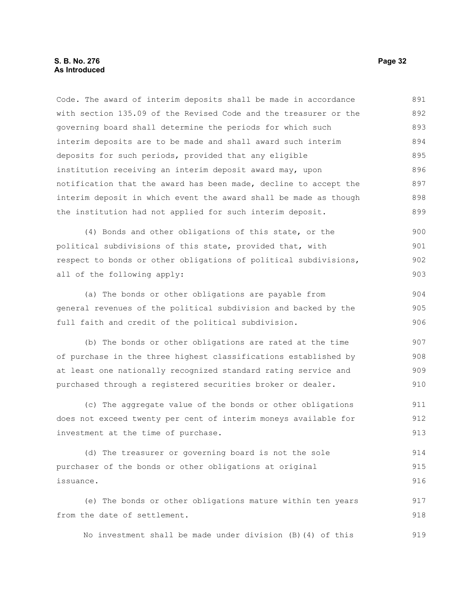#### **S. B. No. 276 Page 32 As Introduced**

Code. The award of interim deposits shall be made in accordance with section 135.09 of the Revised Code and the treasurer or the governing board shall determine the periods for which such interim deposits are to be made and shall award such interim deposits for such periods, provided that any eligible institution receiving an interim deposit award may, upon notification that the award has been made, decline to accept the interim deposit in which event the award shall be made as though the institution had not applied for such interim deposit. 891 892 893 894 895 896 897 898 899

(4) Bonds and other obligations of this state, or the political subdivisions of this state, provided that, with respect to bonds or other obligations of political subdivisions, all of the following apply: 900 901 902 903

(a) The bonds or other obligations are payable from general revenues of the political subdivision and backed by the full faith and credit of the political subdivision. 904 905 906

(b) The bonds or other obligations are rated at the time of purchase in the three highest classifications established by at least one nationally recognized standard rating service and purchased through a registered securities broker or dealer. 907 908 909 910

(c) The aggregate value of the bonds or other obligations does not exceed twenty per cent of interim moneys available for investment at the time of purchase. 911 912 913

(d) The treasurer or governing board is not the sole purchaser of the bonds or other obligations at original issuance. 914 915 916

(e) The bonds or other obligations mature within ten years from the date of settlement. 917 918

No investment shall be made under division (B)(4) of this 919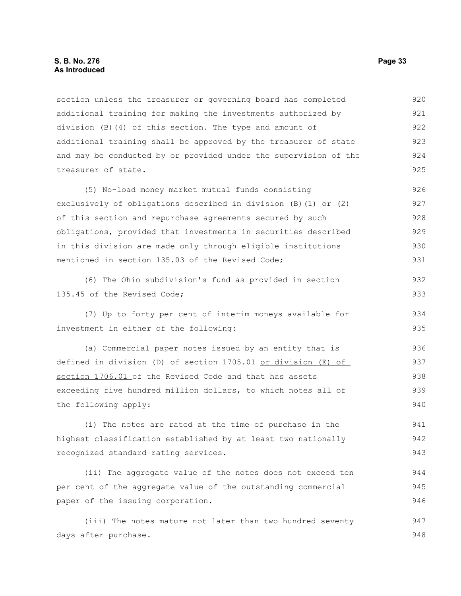section unless the treasurer or governing board has completed additional training for making the investments authorized by division (B)(4) of this section. The type and amount of additional training shall be approved by the treasurer of state and may be conducted by or provided under the supervision of the treasurer of state. 920 921 922 923 924 925

(5) No-load money market mutual funds consisting exclusively of obligations described in division (B)(1) or (2) of this section and repurchase agreements secured by such obligations, provided that investments in securities described in this division are made only through eligible institutions mentioned in section 135.03 of the Revised Code; 926 927 928 929 930 931

(6) The Ohio subdivision's fund as provided in section 135.45 of the Revised Code;

(7) Up to forty per cent of interim moneys available for investment in either of the following: 934 935

(a) Commercial paper notes issued by an entity that is defined in division (D) of section 1705.01 or division (E) of section 1706.01 of the Revised Code and that has assets exceeding five hundred million dollars, to which notes all of the following apply: 936 937 938 939 940

(i) The notes are rated at the time of purchase in the highest classification established by at least two nationally recognized standard rating services. 941 942 943

(ii) The aggregate value of the notes does not exceed ten per cent of the aggregate value of the outstanding commercial paper of the issuing corporation.

(iii) The notes mature not later than two hundred seventy days after purchase. 947 948

932 933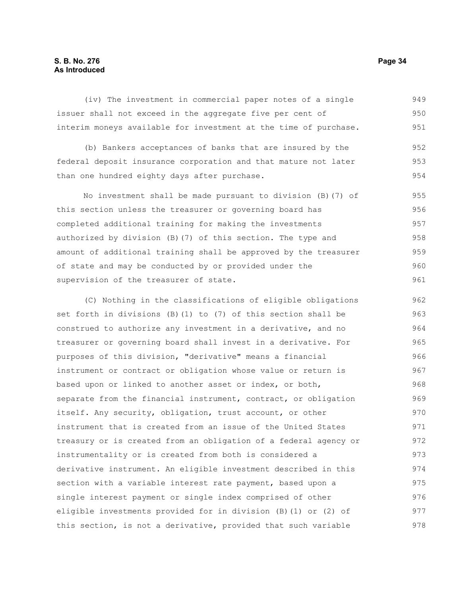#### **S. B. No. 276 Page 34 As Introduced**

(iv) The investment in commercial paper notes of a single issuer shall not exceed in the aggregate five per cent of interim moneys available for investment at the time of purchase. (b) Bankers acceptances of banks that are insured by the federal deposit insurance corporation and that mature not later than one hundred eighty days after purchase. No investment shall be made pursuant to division (B)(7) of this section unless the treasurer or governing board has completed additional training for making the investments authorized by division (B)(7) of this section. The type and amount of additional training shall be approved by the treasurer of state and may be conducted by or provided under the supervision of the treasurer of state. (C) Nothing in the classifications of eligible obligations set forth in divisions (B)(1) to (7) of this section shall be construed to authorize any investment in a derivative, and no treasurer or governing board shall invest in a derivative. For purposes of this division, "derivative" means a financial instrument or contract or obligation whose value or return is based upon or linked to another asset or index, or both, separate from the financial instrument, contract, or obligation itself. Any security, obligation, trust account, or other instrument that is created from an issue of the United States treasury or is created from an obligation of a federal agency or instrumentality or is created from both is considered a derivative instrument. An eligible investment described in this section with a variable interest rate payment, based upon a single interest payment or single index comprised of other eligible investments provided for in division (B)(1) or (2) of 949 950 951 952 953 954 955 956 957 958 959 960 961 962 963 964 965 966 967 968 969 970 971 972 973 974 975 976 977

this section, is not a derivative, provided that such variable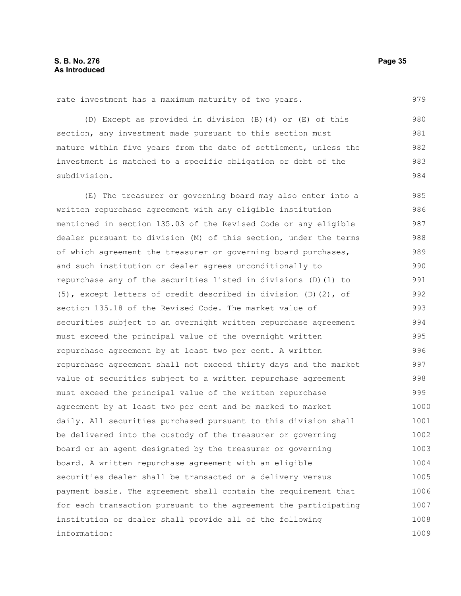rate investment has a maximum maturity of two years.

(D) Except as provided in division (B)(4) or (E) of this section, any investment made pursuant to this section must mature within five years from the date of settlement, unless the investment is matched to a specific obligation or debt of the subdivision. 980 981 982 983 984

(E) The treasurer or governing board may also enter into a written repurchase agreement with any eligible institution mentioned in section 135.03 of the Revised Code or any eligible dealer pursuant to division (M) of this section, under the terms of which agreement the treasurer or governing board purchases, and such institution or dealer agrees unconditionally to repurchase any of the securities listed in divisions (D)(1) to (5), except letters of credit described in division (D)(2), of section 135.18 of the Revised Code. The market value of securities subject to an overnight written repurchase agreement must exceed the principal value of the overnight written repurchase agreement by at least two per cent. A written repurchase agreement shall not exceed thirty days and the market value of securities subject to a written repurchase agreement must exceed the principal value of the written repurchase agreement by at least two per cent and be marked to market daily. All securities purchased pursuant to this division shall be delivered into the custody of the treasurer or governing board or an agent designated by the treasurer or governing board. A written repurchase agreement with an eligible securities dealer shall be transacted on a delivery versus payment basis. The agreement shall contain the requirement that for each transaction pursuant to the agreement the participating institution or dealer shall provide all of the following information: 985 986 987 988 989 990 991 992 993 994 995 996 997 998 999 1000 1001 1002 1003 1004 1005 1006 1007 1008 1009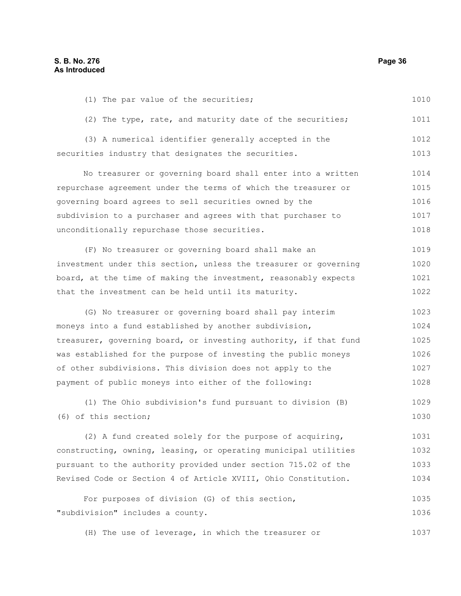(1) The par value of the securities; (2) The type, rate, and maturity date of the securities; (3) A numerical identifier generally accepted in the securities industry that designates the securities. No treasurer or governing board shall enter into a written repurchase agreement under the terms of which the treasurer or governing board agrees to sell securities owned by the subdivision to a purchaser and agrees with that purchaser to unconditionally repurchase those securities. (F) No treasurer or governing board shall make an investment under this section, unless the treasurer or governing board, at the time of making the investment, reasonably expects that the investment can be held until its maturity. (G) No treasurer or governing board shall pay interim moneys into a fund established by another subdivision, treasurer, governing board, or investing authority, if that fund was established for the purpose of investing the public moneys of other subdivisions. This division does not apply to the payment of public moneys into either of the following: (1) The Ohio subdivision's fund pursuant to division (B) (6) of this section; (2) A fund created solely for the purpose of acquiring, constructing, owning, leasing, or operating municipal utilities pursuant to the authority provided under section 715.02 of the Revised Code or Section 4 of Article XVIII, Ohio Constitution. For purposes of division (G) of this section, "subdivision" includes a county. (H) The use of leverage, in which the treasurer or 1010 1011 1012 1013 1014 1015 1016 1017 1018 1019 1020 1021 1022 1023 1024 1025 1026 1027 1028 1029 1030 1031 1032 1033 1034 1035 1036 1037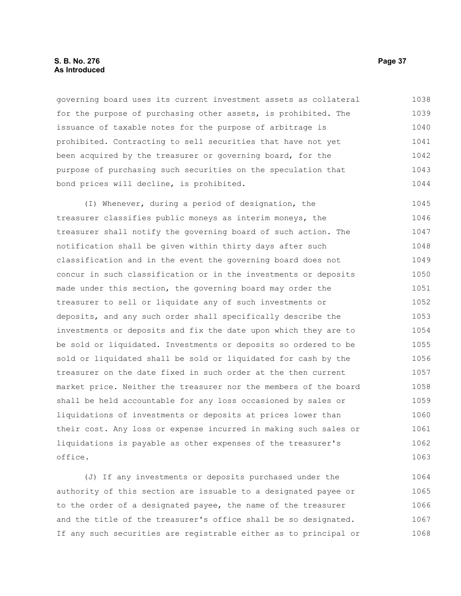## **S. B. No. 276 Page 37 As Introduced**

governing board uses its current investment assets as collateral for the purpose of purchasing other assets, is prohibited. The issuance of taxable notes for the purpose of arbitrage is prohibited. Contracting to sell securities that have not yet been acquired by the treasurer or governing board, for the purpose of purchasing such securities on the speculation that bond prices will decline, is prohibited. 1038 1039 1040 1041 1042 1043 1044

(I) Whenever, during a period of designation, the treasurer classifies public moneys as interim moneys, the treasurer shall notify the governing board of such action. The notification shall be given within thirty days after such classification and in the event the governing board does not concur in such classification or in the investments or deposits made under this section, the governing board may order the treasurer to sell or liquidate any of such investments or deposits, and any such order shall specifically describe the investments or deposits and fix the date upon which they are to be sold or liquidated. Investments or deposits so ordered to be sold or liquidated shall be sold or liquidated for cash by the treasurer on the date fixed in such order at the then current market price. Neither the treasurer nor the members of the board shall be held accountable for any loss occasioned by sales or liquidations of investments or deposits at prices lower than their cost. Any loss or expense incurred in making such sales or liquidations is payable as other expenses of the treasurer's office. 1045 1046 1047 1048 1049 1050 1051 1052 1053 1054 1055 1056 1057 1058 1059 1060 1061 1062 1063

(J) If any investments or deposits purchased under the authority of this section are issuable to a designated payee or to the order of a designated payee, the name of the treasurer and the title of the treasurer's office shall be so designated. If any such securities are registrable either as to principal or 1064 1065 1066 1067 1068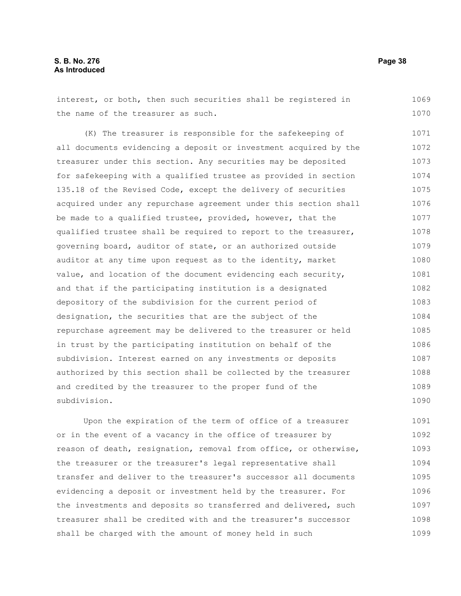interest, or both, then such securities shall be registered in the name of the treasurer as such. 1069 1070

(K) The treasurer is responsible for the safekeeping of all documents evidencing a deposit or investment acquired by the treasurer under this section. Any securities may be deposited for safekeeping with a qualified trustee as provided in section 135.18 of the Revised Code, except the delivery of securities acquired under any repurchase agreement under this section shall be made to a qualified trustee, provided, however, that the qualified trustee shall be required to report to the treasurer, governing board, auditor of state, or an authorized outside auditor at any time upon request as to the identity, market value, and location of the document evidencing each security, and that if the participating institution is a designated depository of the subdivision for the current period of designation, the securities that are the subject of the repurchase agreement may be delivered to the treasurer or held in trust by the participating institution on behalf of the subdivision. Interest earned on any investments or deposits authorized by this section shall be collected by the treasurer and credited by the treasurer to the proper fund of the subdivision. 1071 1072 1073 1074 1075 1076 1077 1078 1079 1080 1081 1082 1083 1084 1085 1086 1087 1088 1089 1090

Upon the expiration of the term of office of a treasurer or in the event of a vacancy in the office of treasurer by reason of death, resignation, removal from office, or otherwise, the treasurer or the treasurer's legal representative shall transfer and deliver to the treasurer's successor all documents evidencing a deposit or investment held by the treasurer. For the investments and deposits so transferred and delivered, such treasurer shall be credited with and the treasurer's successor shall be charged with the amount of money held in such 1091 1092 1093 1094 1095 1096 1097 1098 1099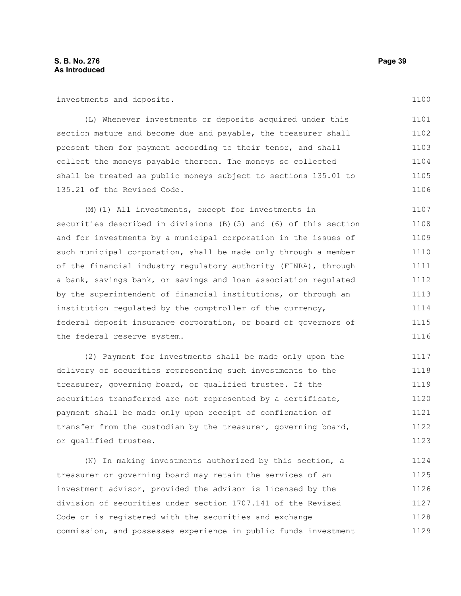investments and deposits.

(L) Whenever investments or deposits acquired under this section mature and become due and payable, the treasurer shall present them for payment according to their tenor, and shall collect the moneys payable thereon. The moneys so collected shall be treated as public moneys subject to sections 135.01 to 135.21 of the Revised Code. 1101 1102 1103 1104 1105 1106

(M)(1) All investments, except for investments in securities described in divisions (B)(5) and (6) of this section and for investments by a municipal corporation in the issues of such municipal corporation, shall be made only through a member of the financial industry regulatory authority (FINRA), through a bank, savings bank, or savings and loan association regulated by the superintendent of financial institutions, or through an institution regulated by the comptroller of the currency, federal deposit insurance corporation, or board of governors of the federal reserve system. 1107 1108 1109 1110 1111 1112 1113 1114 1115 1116

(2) Payment for investments shall be made only upon the delivery of securities representing such investments to the treasurer, governing board, or qualified trustee. If the securities transferred are not represented by a certificate, payment shall be made only upon receipt of confirmation of transfer from the custodian by the treasurer, governing board, or qualified trustee. 1117 1118 1119 1120 1121 1122 1123

(N) In making investments authorized by this section, a treasurer or governing board may retain the services of an investment advisor, provided the advisor is licensed by the division of securities under section 1707.141 of the Revised Code or is registered with the securities and exchange commission, and possesses experience in public funds investment 1124 1125 1126 1127 1128 1129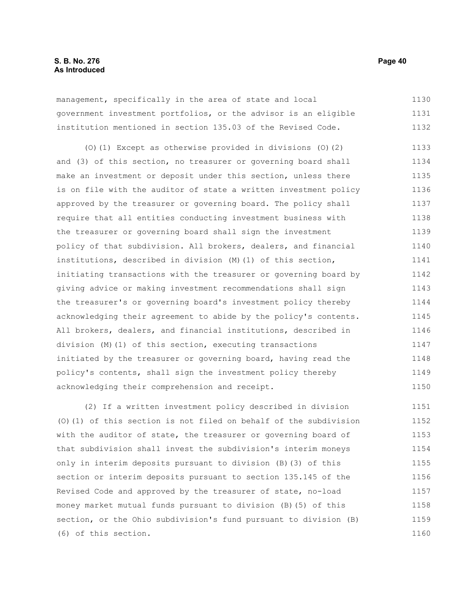management, specifically in the area of state and local government investment portfolios, or the advisor is an eligible institution mentioned in section 135.03 of the Revised Code. 1130 1131 1132

(O)(1) Except as otherwise provided in divisions (O)(2) and (3) of this section, no treasurer or governing board shall make an investment or deposit under this section, unless there is on file with the auditor of state a written investment policy approved by the treasurer or governing board. The policy shall require that all entities conducting investment business with the treasurer or governing board shall sign the investment policy of that subdivision. All brokers, dealers, and financial institutions, described in division (M)(1) of this section, initiating transactions with the treasurer or governing board by giving advice or making investment recommendations shall sign the treasurer's or governing board's investment policy thereby acknowledging their agreement to abide by the policy's contents. All brokers, dealers, and financial institutions, described in division (M)(1) of this section, executing transactions initiated by the treasurer or governing board, having read the policy's contents, shall sign the investment policy thereby acknowledging their comprehension and receipt. 1133 1134 1135 1136 1137 1138 1139 1140 1141 1142 1143 1144 1145 1146 1147 1148 1149 1150

(2) If a written investment policy described in division (O)(1) of this section is not filed on behalf of the subdivision with the auditor of state, the treasurer or governing board of that subdivision shall invest the subdivision's interim moneys only in interim deposits pursuant to division (B)(3) of this section or interim deposits pursuant to section 135.145 of the Revised Code and approved by the treasurer of state, no-load money market mutual funds pursuant to division (B)(5) of this section, or the Ohio subdivision's fund pursuant to division (B) (6) of this section. 1151 1152 1153 1154 1155 1156 1157 1158 1159 1160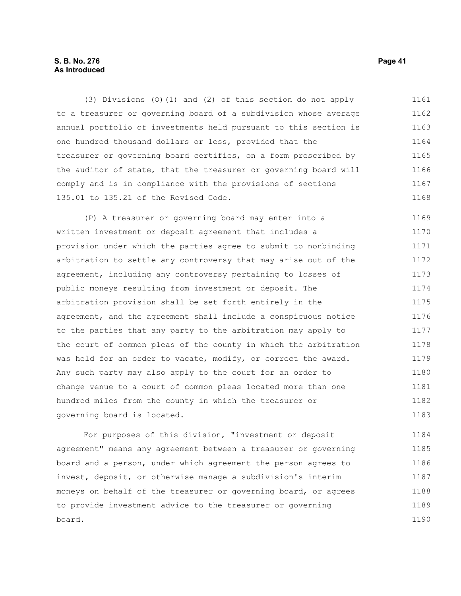## **S. B. No. 276 Page 41 As Introduced**

(3) Divisions (O)(1) and (2) of this section do not apply to a treasurer or governing board of a subdivision whose average annual portfolio of investments held pursuant to this section is one hundred thousand dollars or less, provided that the treasurer or governing board certifies, on a form prescribed by the auditor of state, that the treasurer or governing board will comply and is in compliance with the provisions of sections 135.01 to 135.21 of the Revised Code. 1161 1162 1163 1164 1165 1166 1167 1168

(P) A treasurer or governing board may enter into a written investment or deposit agreement that includes a provision under which the parties agree to submit to nonbinding arbitration to settle any controversy that may arise out of the agreement, including any controversy pertaining to losses of public moneys resulting from investment or deposit. The arbitration provision shall be set forth entirely in the agreement, and the agreement shall include a conspicuous notice to the parties that any party to the arbitration may apply to the court of common pleas of the county in which the arbitration was held for an order to vacate, modify, or correct the award. Any such party may also apply to the court for an order to change venue to a court of common pleas located more than one hundred miles from the county in which the treasurer or governing board is located. 1169 1170 1171 1172 1173 1174 1175 1176 1177 1178 1179 1180 1181 1182 1183

For purposes of this division, "investment or deposit agreement" means any agreement between a treasurer or governing board and a person, under which agreement the person agrees to invest, deposit, or otherwise manage a subdivision's interim moneys on behalf of the treasurer or governing board, or agrees to provide investment advice to the treasurer or governing board. 1184 1185 1186 1187 1188 1189 1190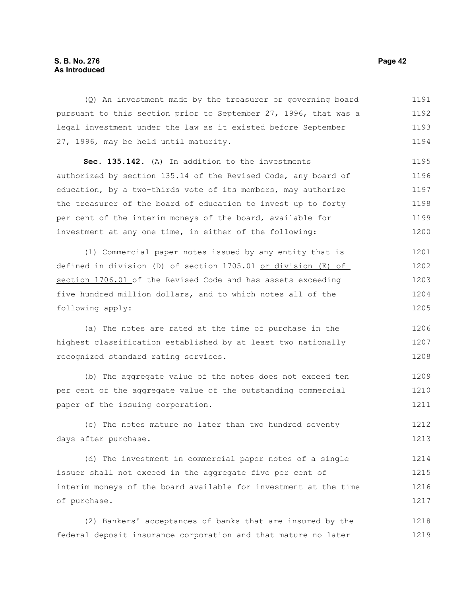## **S. B. No. 276 Page 42 As Introduced**

(Q) An investment made by the treasurer or governing board pursuant to this section prior to September 27, 1996, that was a legal investment under the law as it existed before September 27, 1996, may be held until maturity. 1191 1192 1193 1194

**Sec. 135.142.** (A) In addition to the investments authorized by section 135.14 of the Revised Code, any board of education, by a two-thirds vote of its members, may authorize the treasurer of the board of education to invest up to forty per cent of the interim moneys of the board, available for investment at any one time, in either of the following: 1195 1196 1197 1198 1199 1200

(1) Commercial paper notes issued by any entity that is defined in division (D) of section 1705.01 or division (E) of section 1706.01 of the Revised Code and has assets exceeding five hundred million dollars, and to which notes all of the following apply: 1201 1202 1203 1204 1205

(a) The notes are rated at the time of purchase in the highest classification established by at least two nationally recognized standard rating services. 1206 1207 1208

(b) The aggregate value of the notes does not exceed ten per cent of the aggregate value of the outstanding commercial paper of the issuing corporation. 1209 1210 1211

(c) The notes mature no later than two hundred seventy days after purchase. 1212 1213

(d) The investment in commercial paper notes of a single issuer shall not exceed in the aggregate five per cent of interim moneys of the board available for investment at the time of purchase. 1214 1215 1216 1217

(2) Bankers' acceptances of banks that are insured by the federal deposit insurance corporation and that mature no later 1218 1219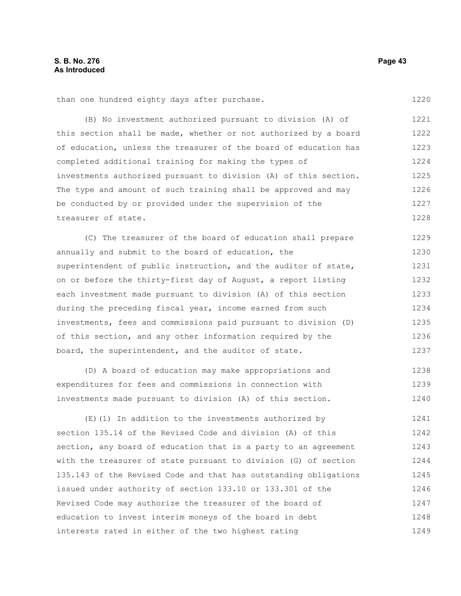than one hundred eighty days after purchase.

(B) No investment authorized pursuant to division (A) of this section shall be made, whether or not authorized by a board of education, unless the treasurer of the board of education has completed additional training for making the types of investments authorized pursuant to division (A) of this section. The type and amount of such training shall be approved and may be conducted by or provided under the supervision of the treasurer of state. 1221 1222 1223 1224 1225 1226 1227 1228

(C) The treasurer of the board of education shall prepare annually and submit to the board of education, the superintendent of public instruction, and the auditor of state, on or before the thirty-first day of August, a report listing each investment made pursuant to division (A) of this section during the preceding fiscal year, income earned from such investments, fees and commissions paid pursuant to division (D) of this section, and any other information required by the board, the superintendent, and the auditor of state. 1229 1230 1231 1232 1233 1234 1235 1236 1237

(D) A board of education may make appropriations and expenditures for fees and commissions in connection with investments made pursuant to division (A) of this section. 1238 1239 1240

(E)(1) In addition to the investments authorized by section 135.14 of the Revised Code and division (A) of this section, any board of education that is a party to an agreement with the treasurer of state pursuant to division (G) of section 135.143 of the Revised Code and that has outstanding obligations issued under authority of section 133.10 or 133.301 of the Revised Code may authorize the treasurer of the board of education to invest interim moneys of the board in debt interests rated in either of the two highest rating 1241 1242 1243 1244 1245 1246 1247 1248 1249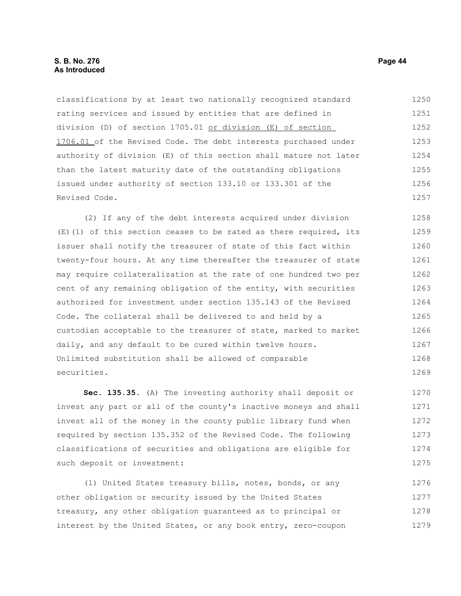classifications by at least two nationally recognized standard rating services and issued by entities that are defined in division (D) of section 1705.01 or division (E) of section 1706.01 of the Revised Code. The debt interests purchased under authority of division (E) of this section shall mature not later than the latest maturity date of the outstanding obligations issued under authority of section 133.10 or 133.301 of the Revised Code. 1250 1251 1252 1253 1254 1255 1256 1257

(2) If any of the debt interests acquired under division (E)(1) of this section ceases to be rated as there required, its issuer shall notify the treasurer of state of this fact within twenty-four hours. At any time thereafter the treasurer of state may require collateralization at the rate of one hundred two per cent of any remaining obligation of the entity, with securities authorized for investment under section 135.143 of the Revised Code. The collateral shall be delivered to and held by a custodian acceptable to the treasurer of state, marked to market daily, and any default to be cured within twelve hours. Unlimited substitution shall be allowed of comparable securities. 1258 1259 1260 1261 1262 1263 1264 1265 1266 1267 1268 1269

**Sec. 135.35.** (A) The investing authority shall deposit or invest any part or all of the county's inactive moneys and shall invest all of the money in the county public library fund when required by section 135.352 of the Revised Code. The following classifications of securities and obligations are eligible for such deposit or investment: 1270 1271 1272 1273 1274 1275

(1) United States treasury bills, notes, bonds, or any other obligation or security issued by the United States treasury, any other obligation guaranteed as to principal or interest by the United States, or any book entry, zero-coupon 1276 1277 1278 1279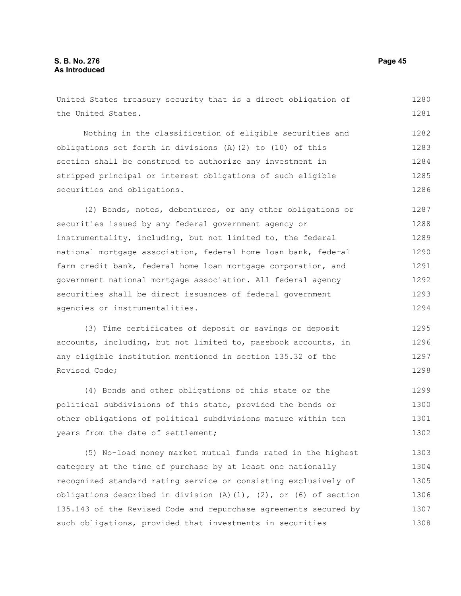United States treasury security that is a direct obligation of the United States. Nothing in the classification of eligible securities and obligations set forth in divisions (A)(2) to (10) of this section shall be construed to authorize any investment in stripped principal or interest obligations of such eligible securities and obligations. (2) Bonds, notes, debentures, or any other obligations or securities issued by any federal government agency or instrumentality, including, but not limited to, the federal national mortgage association, federal home loan bank, federal farm credit bank, federal home loan mortgage corporation, and government national mortgage association. All federal agency securities shall be direct issuances of federal government agencies or instrumentalities. (3) Time certificates of deposit or savings or deposit accounts, including, but not limited to, passbook accounts, in any eligible institution mentioned in section 135.32 of the Revised Code; (4) Bonds and other obligations of this state or the political subdivisions of this state, provided the bonds or other obligations of political subdivisions mature within ten years from the date of settlement; (5) No-load money market mutual funds rated in the highest category at the time of purchase by at least one nationally 1280 1281 1282 1283 1284 1285 1286 1287 1288 1289 1290 1291 1292 1293 1294 1295 1296 1297 1298 1299 1300 1301 1302 1303 1304

recognized standard rating service or consisting exclusively of obligations described in division  $(A)$   $(1)$ ,  $(2)$ , or  $(6)$  of section 135.143 of the Revised Code and repurchase agreements secured by such obligations, provided that investments in securities 1305 1306 1307 1308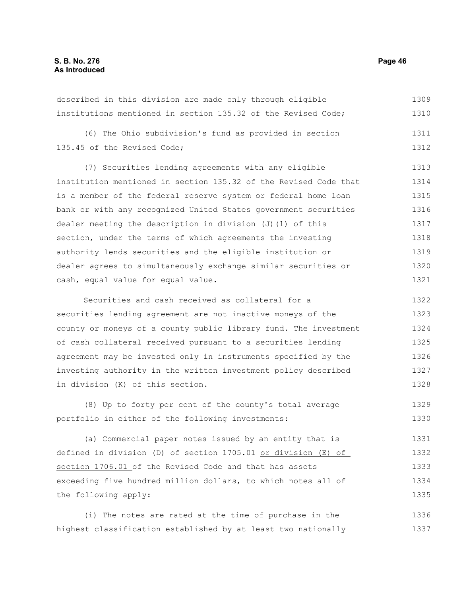described in this division are made only through eligible institutions mentioned in section 135.32 of the Revised Code; (6) The Ohio subdivision's fund as provided in section 135.45 of the Revised Code; (7) Securities lending agreements with any eligible institution mentioned in section 135.32 of the Revised Code that is a member of the federal reserve system or federal home loan bank or with any recognized United States government securities dealer meeting the description in division (J)(1) of this section, under the terms of which agreements the investing authority lends securities and the eligible institution or dealer agrees to simultaneously exchange similar securities or cash, equal value for equal value. Securities and cash received as collateral for a securities lending agreement are not inactive moneys of the county or moneys of a county public library fund. The investment 1309 1310 1311 1312 1313 1314 1315 1316 1317 1318 1319 1320 1321 1322 1323 1324

of cash collateral received pursuant to a securities lending agreement may be invested only in instruments specified by the investing authority in the written investment policy described in division (K) of this section. 1325 1326 1327 1328

(8) Up to forty per cent of the county's total average portfolio in either of the following investments: 1329 1330

(a) Commercial paper notes issued by an entity that is defined in division (D) of section 1705.01 or division (E) of section 1706.01 of the Revised Code and that has assets exceeding five hundred million dollars, to which notes all of the following apply: 1331 1332 1333 1334 1335

(i) The notes are rated at the time of purchase in the highest classification established by at least two nationally 1336 1337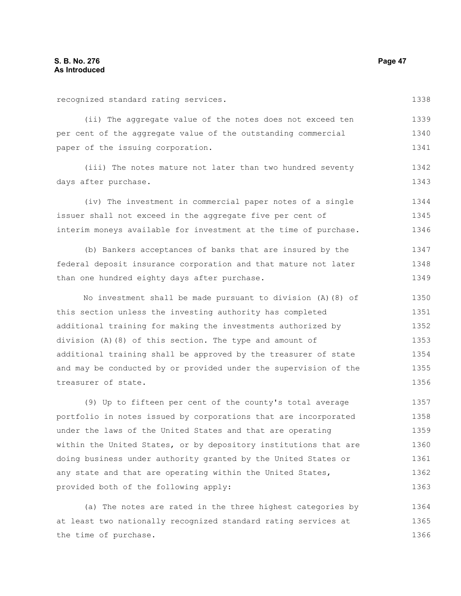(ii) The aggregate value of the notes does not exceed ten per cent of the aggregate value of the outstanding commercial paper of the issuing corporation. 1339 1340 1341

(iii) The notes mature not later than two hundred seventy days after purchase. 1342 1343

(iv) The investment in commercial paper notes of a single issuer shall not exceed in the aggregate five per cent of interim moneys available for investment at the time of purchase. 1344 1345 1346

(b) Bankers acceptances of banks that are insured by the federal deposit insurance corporation and that mature not later than one hundred eighty days after purchase. 1347 1348 1349

No investment shall be made pursuant to division (A)(8) of this section unless the investing authority has completed additional training for making the investments authorized by division (A)(8) of this section. The type and amount of additional training shall be approved by the treasurer of state and may be conducted by or provided under the supervision of the treasurer of state. 1350 1351 1352 1353 1354 1355 1356

(9) Up to fifteen per cent of the county's total average portfolio in notes issued by corporations that are incorporated under the laws of the United States and that are operating within the United States, or by depository institutions that are doing business under authority granted by the United States or any state and that are operating within the United States, provided both of the following apply: 1357 1358 1359 1360 1361 1362 1363

(a) The notes are rated in the three highest categories by at least two nationally recognized standard rating services at the time of purchase. 1364 1365 1366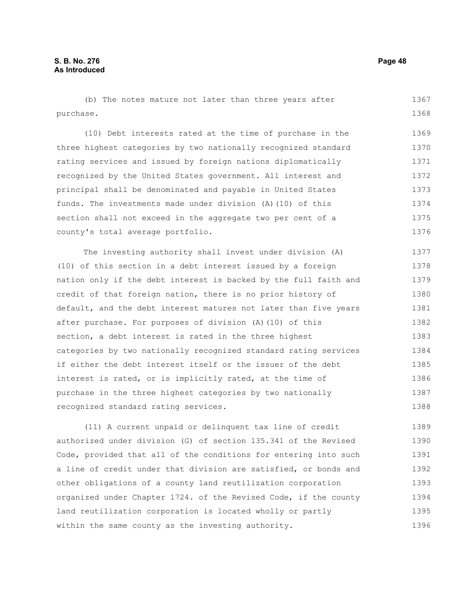(b) The notes mature not later than three years after purchase. 1367 1368

(10) Debt interests rated at the time of purchase in the three highest categories by two nationally recognized standard rating services and issued by foreign nations diplomatically recognized by the United States government. All interest and principal shall be denominated and payable in United States funds. The investments made under division (A)(10) of this section shall not exceed in the aggregate two per cent of a county's total average portfolio. 1369 1370 1371 1372 1373 1374 1375 1376

The investing authority shall invest under division (A) (10) of this section in a debt interest issued by a foreign nation only if the debt interest is backed by the full faith and credit of that foreign nation, there is no prior history of default, and the debt interest matures not later than five years after purchase. For purposes of division (A)(10) of this section, a debt interest is rated in the three highest categories by two nationally recognized standard rating services if either the debt interest itself or the issuer of the debt interest is rated, or is implicitly rated, at the time of purchase in the three highest categories by two nationally recognized standard rating services. 1377 1378 1379 1380 1381 1382 1383 1384 1385 1386 1387 1388

(11) A current unpaid or delinquent tax line of credit authorized under division (G) of section 135.341 of the Revised Code, provided that all of the conditions for entering into such a line of credit under that division are satisfied, or bonds and other obligations of a county land reutilization corporation organized under Chapter 1724. of the Revised Code, if the county land reutilization corporation is located wholly or partly within the same county as the investing authority. 1389 1390 1391 1392 1393 1394 1395 1396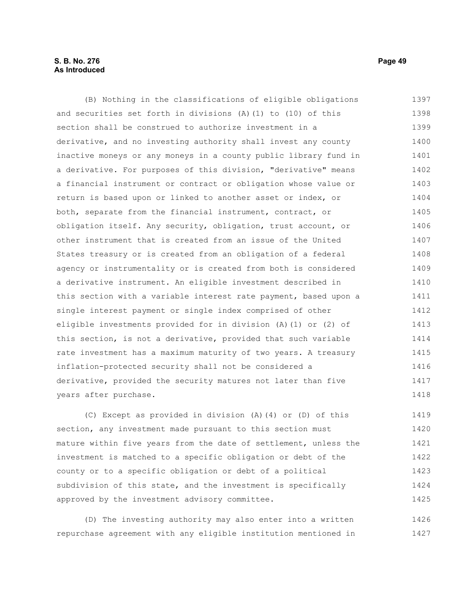## **S. B. No. 276 Page 49 As Introduced**

(B) Nothing in the classifications of eligible obligations and securities set forth in divisions (A)(1) to (10) of this section shall be construed to authorize investment in a derivative, and no investing authority shall invest any county inactive moneys or any moneys in a county public library fund in a derivative. For purposes of this division, "derivative" means a financial instrument or contract or obligation whose value or return is based upon or linked to another asset or index, or both, separate from the financial instrument, contract, or obligation itself. Any security, obligation, trust account, or other instrument that is created from an issue of the United States treasury or is created from an obligation of a federal agency or instrumentality or is created from both is considered a derivative instrument. An eligible investment described in this section with a variable interest rate payment, based upon a single interest payment or single index comprised of other eligible investments provided for in division (A)(1) or (2) of this section, is not a derivative, provided that such variable rate investment has a maximum maturity of two years. A treasury inflation-protected security shall not be considered a derivative, provided the security matures not later than five years after purchase. 1397 1398 1399 1400 1401 1402 1403 1404 1405 1406 1407 1408 1409 1410 1411 1412 1413 1414 1415 1416 1417 1418

(C) Except as provided in division (A)(4) or (D) of this section, any investment made pursuant to this section must mature within five years from the date of settlement, unless the investment is matched to a specific obligation or debt of the county or to a specific obligation or debt of a political subdivision of this state, and the investment is specifically approved by the investment advisory committee. 1419 1420 1421 1422 1423 1424 1425

(D) The investing authority may also enter into a written repurchase agreement with any eligible institution mentioned in 1426 1427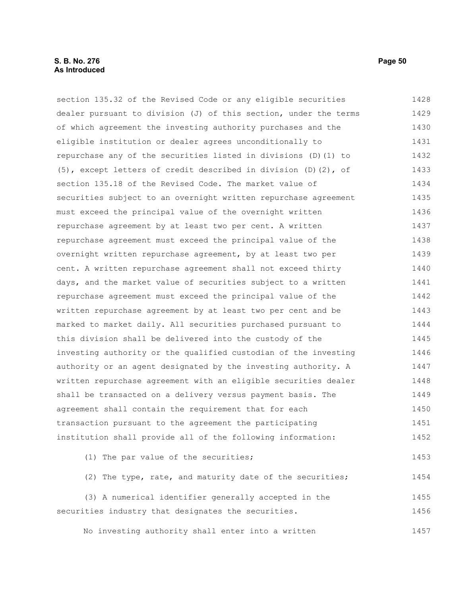## **S. B. No. 276 Page 50 As Introduced**

section 135.32 of the Revised Code or any eligible securities dealer pursuant to division (J) of this section, under the terms of which agreement the investing authority purchases and the eligible institution or dealer agrees unconditionally to repurchase any of the securities listed in divisions (D)(1) to (5), except letters of credit described in division (D)(2), of section 135.18 of the Revised Code. The market value of securities subject to an overnight written repurchase agreement must exceed the principal value of the overnight written repurchase agreement by at least two per cent. A written repurchase agreement must exceed the principal value of the overnight written repurchase agreement, by at least two per cent. A written repurchase agreement shall not exceed thirty days, and the market value of securities subject to a written repurchase agreement must exceed the principal value of the written repurchase agreement by at least two per cent and be marked to market daily. All securities purchased pursuant to this division shall be delivered into the custody of the investing authority or the qualified custodian of the investing authority or an agent designated by the investing authority. A written repurchase agreement with an eligible securities dealer shall be transacted on a delivery versus payment basis. The agreement shall contain the requirement that for each transaction pursuant to the agreement the participating institution shall provide all of the following information: (1) The par value of the securities; (2) The type, rate, and maturity date of the securities; (3) A numerical identifier generally accepted in the 1428 1429 1430 1431 1432 1433 1434 1435 1436 1437 1438 1439 1440 1441 1442 1443 1444 1445 1446 1447 1448 1449 1450 1451 1452 1453 1454 1455

No investing authority shall enter into a written 1457

securities industry that designates the securities.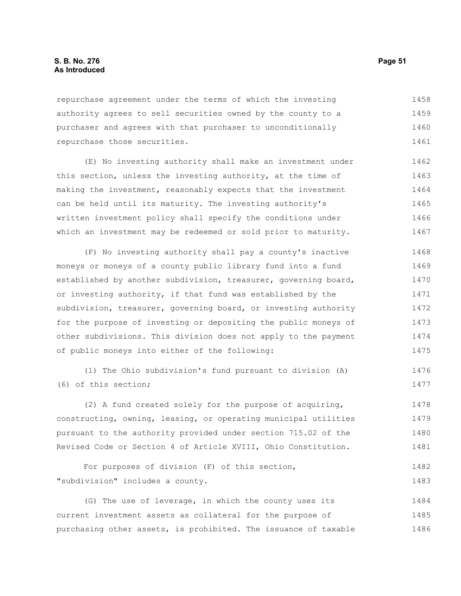## **S. B. No. 276 Page 51 As Introduced**

repurchase agreement under the terms of which the investing authority agrees to sell securities owned by the county to a purchaser and agrees with that purchaser to unconditionally repurchase those securities. 1458 1459 1460 1461

(E) No investing authority shall make an investment under this section, unless the investing authority, at the time of making the investment, reasonably expects that the investment can be held until its maturity. The investing authority's written investment policy shall specify the conditions under which an investment may be redeemed or sold prior to maturity. 1462 1463 1464 1465 1466 1467

(F) No investing authority shall pay a county's inactive moneys or moneys of a county public library fund into a fund established by another subdivision, treasurer, governing board, or investing authority, if that fund was established by the subdivision, treasurer, governing board, or investing authority for the purpose of investing or depositing the public moneys of other subdivisions. This division does not apply to the payment of public moneys into either of the following: 1468 1469 1470 1471 1472 1473 1474 1475

(1) The Ohio subdivision's fund pursuant to division (A) (6) of this section; 1476

(2) A fund created solely for the purpose of acquiring, constructing, owning, leasing, or operating municipal utilities pursuant to the authority provided under section 715.02 of the Revised Code or Section 4 of Article XVIII, Ohio Constitution. 1478 1479 1480 1481

For purposes of division (F) of this section, "subdivision" includes a county. 1482 1483

(G) The use of leverage, in which the county uses its current investment assets as collateral for the purpose of purchasing other assets, is prohibited. The issuance of taxable 1484 1485 1486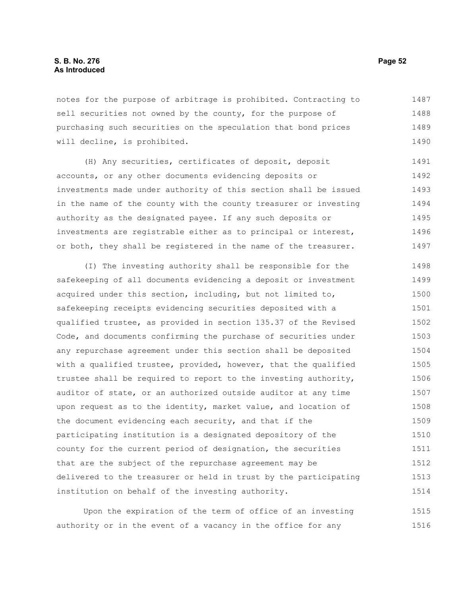notes for the purpose of arbitrage is prohibited. Contracting to sell securities not owned by the county, for the purpose of purchasing such securities on the speculation that bond prices will decline, is prohibited. 1487 1488 1489 1490

(H) Any securities, certificates of deposit, deposit accounts, or any other documents evidencing deposits or investments made under authority of this section shall be issued in the name of the county with the county treasurer or investing authority as the designated payee. If any such deposits or investments are registrable either as to principal or interest, or both, they shall be registered in the name of the treasurer. 1491 1492 1493 1494 1495 1496 1497

(I) The investing authority shall be responsible for the safekeeping of all documents evidencing a deposit or investment acquired under this section, including, but not limited to, safekeeping receipts evidencing securities deposited with a qualified trustee, as provided in section 135.37 of the Revised Code, and documents confirming the purchase of securities under any repurchase agreement under this section shall be deposited with a qualified trustee, provided, however, that the qualified trustee shall be required to report to the investing authority, auditor of state, or an authorized outside auditor at any time upon request as to the identity, market value, and location of the document evidencing each security, and that if the participating institution is a designated depository of the county for the current period of designation, the securities that are the subject of the repurchase agreement may be delivered to the treasurer or held in trust by the participating institution on behalf of the investing authority. 1498 1499 1500 1501 1502 1503 1504 1505 1506 1507 1508 1509 1510 1511 1512 1513 1514

Upon the expiration of the term of office of an investing authority or in the event of a vacancy in the office for any 1515 1516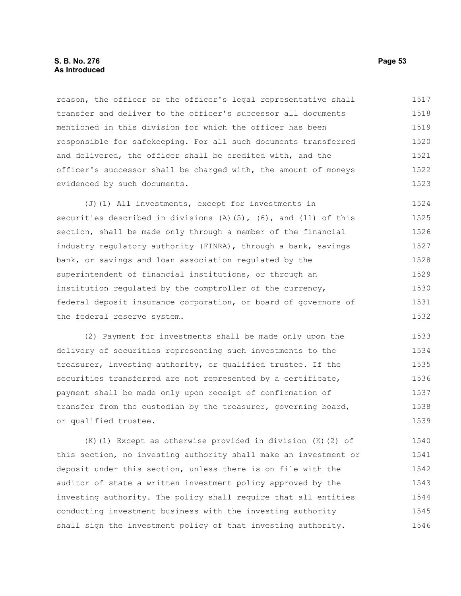## **S. B. No. 276 Page 53 As Introduced**

reason, the officer or the officer's legal representative shall transfer and deliver to the officer's successor all documents mentioned in this division for which the officer has been responsible for safekeeping. For all such documents transferred and delivered, the officer shall be credited with, and the officer's successor shall be charged with, the amount of moneys evidenced by such documents. 1517 1518 1519 1520 1521 1522 1523

(J)(1) All investments, except for investments in securities described in divisions  $(A)$  (5), (6), and (11) of this section, shall be made only through a member of the financial industry regulatory authority (FINRA), through a bank, savings bank, or savings and loan association regulated by the superintendent of financial institutions, or through an institution regulated by the comptroller of the currency, federal deposit insurance corporation, or board of governors of the federal reserve system. 1524 1525 1526 1527 1528 1529 1530 1531 1532

(2) Payment for investments shall be made only upon the delivery of securities representing such investments to the treasurer, investing authority, or qualified trustee. If the securities transferred are not represented by a certificate, payment shall be made only upon receipt of confirmation of transfer from the custodian by the treasurer, governing board, or qualified trustee. 1533 1534 1535 1536 1537 1538 1539

(K)(1) Except as otherwise provided in division (K)(2) of this section, no investing authority shall make an investment or deposit under this section, unless there is on file with the auditor of state a written investment policy approved by the investing authority. The policy shall require that all entities conducting investment business with the investing authority shall sign the investment policy of that investing authority. 1540 1541 1542 1543 1544 1545 1546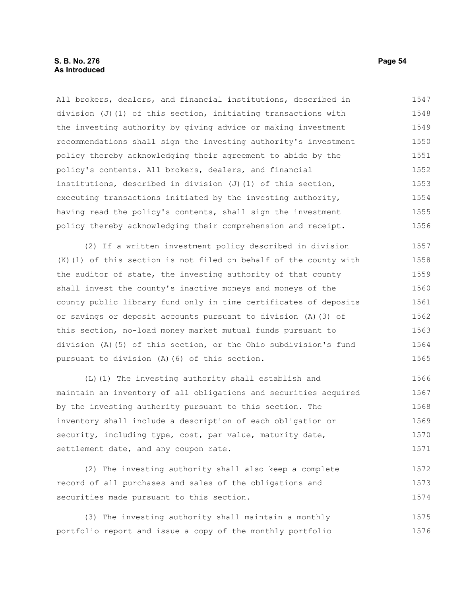All brokers, dealers, and financial institutions, described in division (J)(1) of this section, initiating transactions with the investing authority by giving advice or making investment recommendations shall sign the investing authority's investment policy thereby acknowledging their agreement to abide by the policy's contents. All brokers, dealers, and financial institutions, described in division  $(J)$  (1) of this section, executing transactions initiated by the investing authority, having read the policy's contents, shall sign the investment policy thereby acknowledging their comprehension and receipt. 1547 1548 1549 1550 1551 1552 1553 1554 1555 1556

(2) If a written investment policy described in division (K)(1) of this section is not filed on behalf of the county with the auditor of state, the investing authority of that county shall invest the county's inactive moneys and moneys of the county public library fund only in time certificates of deposits or savings or deposit accounts pursuant to division (A)(3) of this section, no-load money market mutual funds pursuant to division (A)(5) of this section, or the Ohio subdivision's fund pursuant to division (A)(6) of this section. 1557 1558 1559 1560 1561 1562 1563 1564 1565

(L)(1) The investing authority shall establish and maintain an inventory of all obligations and securities acquired by the investing authority pursuant to this section. The inventory shall include a description of each obligation or security, including type, cost, par value, maturity date, settlement date, and any coupon rate. 1566 1567 1568 1569 1570 1571

(2) The investing authority shall also keep a complete record of all purchases and sales of the obligations and securities made pursuant to this section. 1572 1573 1574

(3) The investing authority shall maintain a monthly portfolio report and issue a copy of the monthly portfolio 1575 1576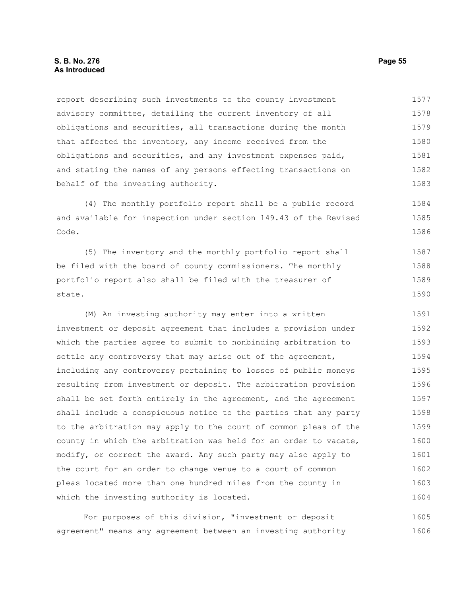report describing such investments to the county investment advisory committee, detailing the current inventory of all obligations and securities, all transactions during the month that affected the inventory, any income received from the obligations and securities, and any investment expenses paid, and stating the names of any persons effecting transactions on behalf of the investing authority. 1577 1578 1579 1580 1581 1582 1583

(4) The monthly portfolio report shall be a public record and available for inspection under section 149.43 of the Revised Code. 1584 1585 1586

(5) The inventory and the monthly portfolio report shall be filed with the board of county commissioners. The monthly portfolio report also shall be filed with the treasurer of state. 1587 1588 1589 1590

(M) An investing authority may enter into a written investment or deposit agreement that includes a provision under which the parties agree to submit to nonbinding arbitration to settle any controversy that may arise out of the agreement, including any controversy pertaining to losses of public moneys resulting from investment or deposit. The arbitration provision shall be set forth entirely in the agreement, and the agreement shall include a conspicuous notice to the parties that any party to the arbitration may apply to the court of common pleas of the county in which the arbitration was held for an order to vacate, modify, or correct the award. Any such party may also apply to the court for an order to change venue to a court of common pleas located more than one hundred miles from the county in which the investing authority is located. 1591 1592 1593 1594 1595 1596 1597 1598 1599 1600 1601 1602 1603 1604

For purposes of this division, "investment or deposit agreement" means any agreement between an investing authority 1605 1606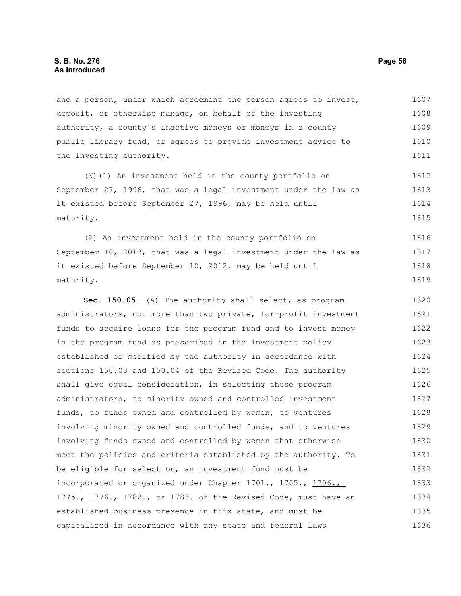and a person, under which agreement the person agrees to invest, deposit, or otherwise manage, on behalf of the investing authority, a county's inactive moneys or moneys in a county public library fund, or agrees to provide investment advice to the investing authority. 1607 1608 1609 1610 1611

(N)(1) An investment held in the county portfolio on September 27, 1996, that was a legal investment under the law as it existed before September 27, 1996, may be held until maturity. 1612 1613 1614 1615

(2) An investment held in the county portfolio on September 10, 2012, that was a legal investment under the law as it existed before September 10, 2012, may be held until maturity. 1616 1617 1618 1619

**Sec. 150.05.** (A) The authority shall select, as program administrators, not more than two private, for-profit investment funds to acquire loans for the program fund and to invest money in the program fund as prescribed in the investment policy established or modified by the authority in accordance with sections 150.03 and 150.04 of the Revised Code. The authority shall give equal consideration, in selecting these program administrators, to minority owned and controlled investment funds, to funds owned and controlled by women, to ventures involving minority owned and controlled funds, and to ventures involving funds owned and controlled by women that otherwise meet the policies and criteria established by the authority. To be eligible for selection, an investment fund must be incorporated or organized under Chapter 1701., 1705., 1706., 1775., 1776., 1782., or 1783. of the Revised Code, must have an established business presence in this state, and must be capitalized in accordance with any state and federal laws 1620 1621 1622 1623 1624 1625 1626 1627 1628 1629 1630 1631 1632 1633 1634 1635 1636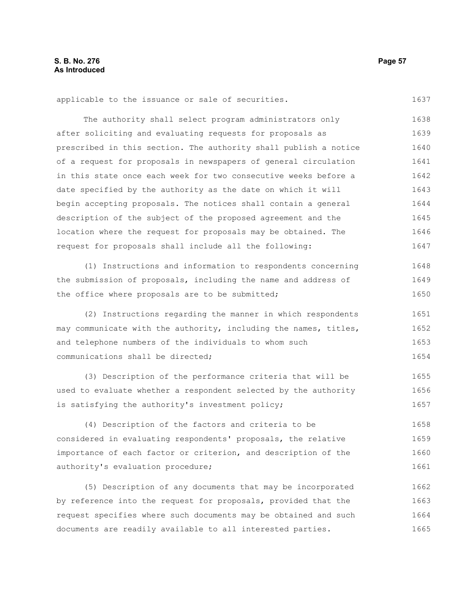applicable to the issuance or sale of securities.

The authority shall select program administrators only after soliciting and evaluating requests for proposals as prescribed in this section. The authority shall publish a notice of a request for proposals in newspapers of general circulation in this state once each week for two consecutive weeks before a date specified by the authority as the date on which it will begin accepting proposals. The notices shall contain a general description of the subject of the proposed agreement and the location where the request for proposals may be obtained. The request for proposals shall include all the following: 1638 1639 1640 1641 1642 1643 1644 1645 1646 1647

(1) Instructions and information to respondents concerning the submission of proposals, including the name and address of the office where proposals are to be submitted; 1648 1649 1650

(2) Instructions regarding the manner in which respondents may communicate with the authority, including the names, titles, and telephone numbers of the individuals to whom such communications shall be directed; 1651 1652 1653 1654

(3) Description of the performance criteria that will be used to evaluate whether a respondent selected by the authority is satisfying the authority's investment policy; 1655 1656 1657

(4) Description of the factors and criteria to be considered in evaluating respondents' proposals, the relative importance of each factor or criterion, and description of the authority's evaluation procedure; 1658 1659 1660 1661

(5) Description of any documents that may be incorporated by reference into the request for proposals, provided that the request specifies where such documents may be obtained and such documents are readily available to all interested parties. 1662 1663 1664 1665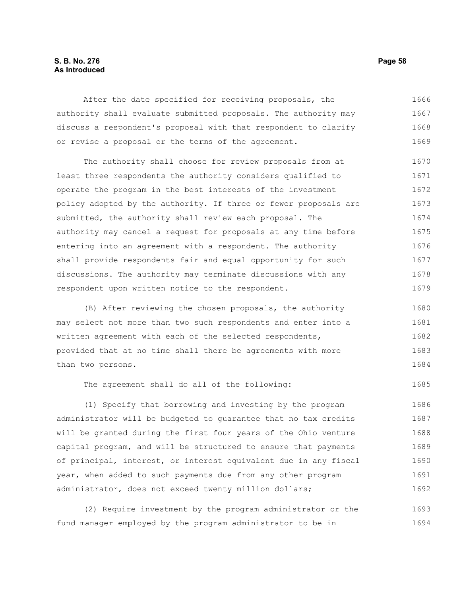## **S. B. No. 276 Page 58 As Introduced**

After the date specified for receiving proposals, the authority shall evaluate submitted proposals. The authority may discuss a respondent's proposal with that respondent to clarify or revise a proposal or the terms of the agreement. 1666 1667 1668 1669

The authority shall choose for review proposals from at least three respondents the authority considers qualified to operate the program in the best interests of the investment policy adopted by the authority. If three or fewer proposals are submitted, the authority shall review each proposal. The authority may cancel a request for proposals at any time before entering into an agreement with a respondent. The authority shall provide respondents fair and equal opportunity for such discussions. The authority may terminate discussions with any respondent upon written notice to the respondent. 1670 1671 1672 1673 1674 1675 1676 1677 1678 1679

(B) After reviewing the chosen proposals, the authority may select not more than two such respondents and enter into a written agreement with each of the selected respondents, provided that at no time shall there be agreements with more than two persons. 1680 1681 1682 1683 1684

The agreement shall do all of the following:

(1) Specify that borrowing and investing by the program administrator will be budgeted to guarantee that no tax credits will be granted during the first four years of the Ohio venture capital program, and will be structured to ensure that payments of principal, interest, or interest equivalent due in any fiscal year, when added to such payments due from any other program administrator, does not exceed twenty million dollars; 1686 1687 1688 1689 1690 1691 1692

(2) Require investment by the program administrator or the fund manager employed by the program administrator to be in 1693 1694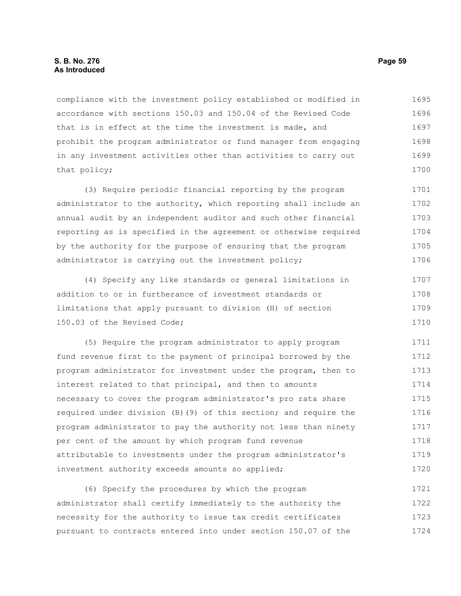## **S. B. No. 276 Page 59 As Introduced**

compliance with the investment policy established or modified in accordance with sections 150.03 and 150.04 of the Revised Code that is in effect at the time the investment is made, and prohibit the program administrator or fund manager from engaging in any investment activities other than activities to carry out that policy; 1695 1696 1697 1698 1699 1700

(3) Require periodic financial reporting by the program administrator to the authority, which reporting shall include an annual audit by an independent auditor and such other financial reporting as is specified in the agreement or otherwise required by the authority for the purpose of ensuring that the program administrator is carrying out the investment policy; 1701 1702 1703 1704 1705 1706

(4) Specify any like standards or general limitations in addition to or in furtherance of investment standards or limitations that apply pursuant to division (H) of section 150.03 of the Revised Code; 1707 1708 1709 1710

(5) Require the program administrator to apply program fund revenue first to the payment of principal borrowed by the program administrator for investment under the program, then to interest related to that principal, and then to amounts necessary to cover the program administrator's pro rata share required under division (B)(9) of this section; and require the program administrator to pay the authority not less than ninety per cent of the amount by which program fund revenue attributable to investments under the program administrator's investment authority exceeds amounts so applied; 1711 1712 1713 1714 1715 1716 1717 1718 1719 1720

(6) Specify the procedures by which the program administrator shall certify immediately to the authority the necessity for the authority to issue tax credit certificates pursuant to contracts entered into under section 150.07 of the 1721 1722 1723 1724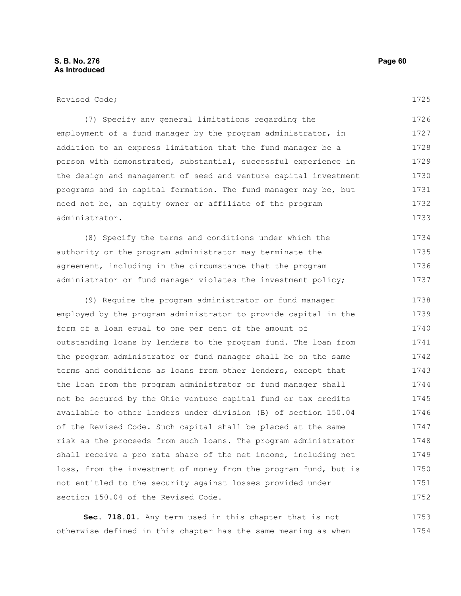Revised Code;

1725

(7) Specify any general limitations regarding the employment of a fund manager by the program administrator, in addition to an express limitation that the fund manager be a person with demonstrated, substantial, successful experience in the design and management of seed and venture capital investment programs and in capital formation. The fund manager may be, but need not be, an equity owner or affiliate of the program administrator. 1726 1727 1728 1729 1730 1731 1732 1733

(8) Specify the terms and conditions under which the authority or the program administrator may terminate the agreement, including in the circumstance that the program administrator or fund manager violates the investment policy; 1734 1735 1736 1737

(9) Require the program administrator or fund manager employed by the program administrator to provide capital in the form of a loan equal to one per cent of the amount of outstanding loans by lenders to the program fund. The loan from the program administrator or fund manager shall be on the same terms and conditions as loans from other lenders, except that the loan from the program administrator or fund manager shall not be secured by the Ohio venture capital fund or tax credits available to other lenders under division (B) of section 150.04 of the Revised Code. Such capital shall be placed at the same risk as the proceeds from such loans. The program administrator shall receive a pro rata share of the net income, including net loss, from the investment of money from the program fund, but is not entitled to the security against losses provided under section 150.04 of the Revised Code. 1738 1739 1740 1741 1742 1743 1744 1745 1746 1747 1748 1749 1750 1751 1752

**Sec. 718.01.** Any term used in this chapter that is not otherwise defined in this chapter has the same meaning as when 1753 1754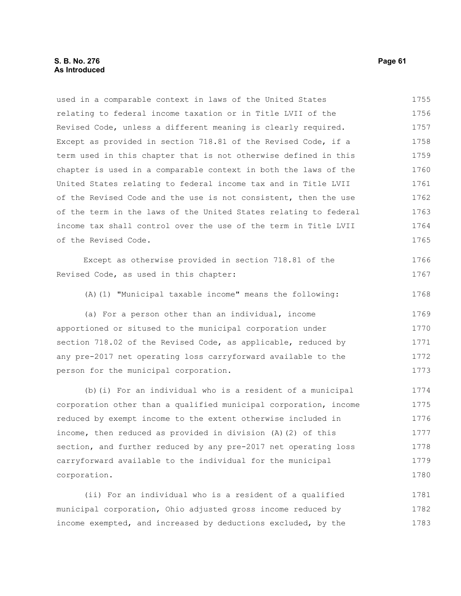# **S. B. No. 276 Page 61 As Introduced**

| used in a comparable context in laws of the United States        | 1755 |
|------------------------------------------------------------------|------|
| relating to federal income taxation or in Title LVII of the      | 1756 |
| Revised Code, unless a different meaning is clearly required.    | 1757 |
| Except as provided in section 718.81 of the Revised Code, if a   | 1758 |
| term used in this chapter that is not otherwise defined in this  | 1759 |
| chapter is used in a comparable context in both the laws of the  | 1760 |
| United States relating to federal income tax and in Title LVII   | 1761 |
| of the Revised Code and the use is not consistent, then the use  | 1762 |
| of the term in the laws of the United States relating to federal | 1763 |
| income tax shall control over the use of the term in Title LVII  | 1764 |
| of the Revised Code.                                             | 1765 |
| Except as otherwise provided in section 718.81 of the            | 1766 |
| Revised Code, as used in this chapter:                           | 1767 |
| (A) (1) "Municipal taxable income" means the following:          | 1768 |
| (a) For a person other than an individual, income                | 1769 |
| apportioned or sitused to the municipal corporation under        | 1770 |
| section 718.02 of the Revised Code, as applicable, reduced by    | 1771 |
| any pre-2017 net operating loss carryforward available to the    | 1772 |
| person for the municipal corporation.                            | 1773 |
| (b) (i) For an individual who is a resident of a municipal       | 1774 |
| corporation other than a qualified municipal corporation, income | 1775 |
| reduced by exempt income to the extent otherwise included in     | 1776 |
| income, then reduced as provided in division (A) (2) of this     | 1777 |
| section, and further reduced by any pre-2017 net operating loss  | 1778 |
| carryforward available to the individual for the municipal       | 1779 |
| corporation.                                                     | 1780 |
| (ii) For an individual who is a resident of a qualified          | 1781 |
| municipal corporation, Ohio adjusted gross income reduced by     | 1782 |
| income exempted, and increased by deductions excluded, by the    | 1783 |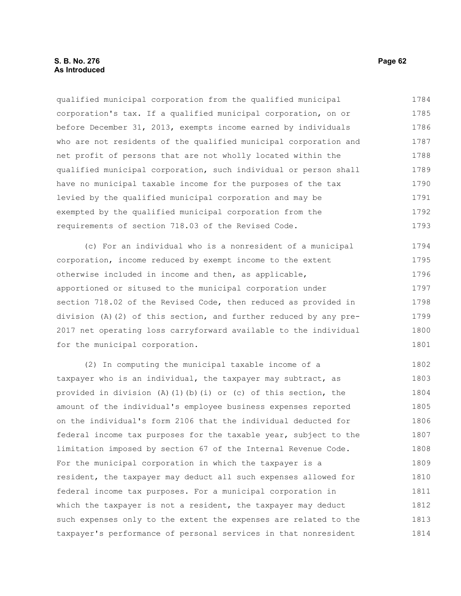## **S. B. No. 276 Page 62 As Introduced**

qualified municipal corporation from the qualified municipal corporation's tax. If a qualified municipal corporation, on or before December 31, 2013, exempts income earned by individuals who are not residents of the qualified municipal corporation and net profit of persons that are not wholly located within the qualified municipal corporation, such individual or person shall have no municipal taxable income for the purposes of the tax levied by the qualified municipal corporation and may be exempted by the qualified municipal corporation from the requirements of section 718.03 of the Revised Code. 1784 1785 1786 1787 1788 1789 1790 1791 1792 1793

(c) For an individual who is a nonresident of a municipal corporation, income reduced by exempt income to the extent otherwise included in income and then, as applicable, apportioned or sitused to the municipal corporation under section 718.02 of the Revised Code, then reduced as provided in division (A)(2) of this section, and further reduced by any pre-2017 net operating loss carryforward available to the individual for the municipal corporation. 1794 1795 1796 1797 1798 1799 1800 1801

(2) In computing the municipal taxable income of a taxpayer who is an individual, the taxpayer may subtract, as provided in division (A)(1)(b)(i) or (c) of this section, the amount of the individual's employee business expenses reported on the individual's form 2106 that the individual deducted for federal income tax purposes for the taxable year, subject to the limitation imposed by section 67 of the Internal Revenue Code. For the municipal corporation in which the taxpayer is a resident, the taxpayer may deduct all such expenses allowed for federal income tax purposes. For a municipal corporation in which the taxpayer is not a resident, the taxpayer may deduct such expenses only to the extent the expenses are related to the taxpayer's performance of personal services in that nonresident 1802 1803 1804 1805 1806 1807 1808 1809 1810 1811 1812 1813 1814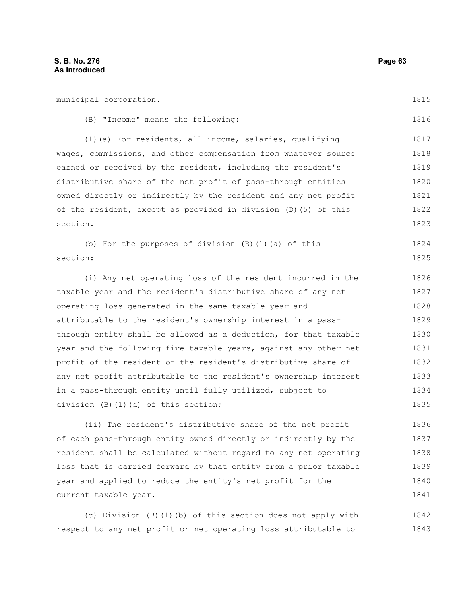municipal corporation. (B) "Income" means the following: (1)(a) For residents, all income, salaries, qualifying wages, commissions, and other compensation from whatever source earned or received by the resident, including the resident's distributive share of the net profit of pass-through entities owned directly or indirectly by the resident and any net profit of the resident, except as provided in division (D)(5) of this section. (b) For the purposes of division (B)(1)(a) of this section: (i) Any net operating loss of the resident incurred in the taxable year and the resident's distributive share of any net operating loss generated in the same taxable year and attributable to the resident's ownership interest in a passthrough entity shall be allowed as a deduction, for that taxable year and the following five taxable years, against any other net profit of the resident or the resident's distributive share of any net profit attributable to the resident's ownership interest in a pass-through entity until fully utilized, subject to division (B)(1)(d) of this section; (ii) The resident's distributive share of the net profit of each pass-through entity owned directly or indirectly by the resident shall be calculated without regard to any net operating loss that is carried forward by that entity from a prior taxable 1815 1816 1817 1818 1819 1820 1821 1822 1823 1824 1825 1826 1827 1828 1829 1830 1831 1832 1833 1834 1835 1836 1837 1838 1839

(c) Division (B)(1)(b) of this section does not apply with respect to any net profit or net operating loss attributable to 1842 1843

year and applied to reduce the entity's net profit for the

current taxable year.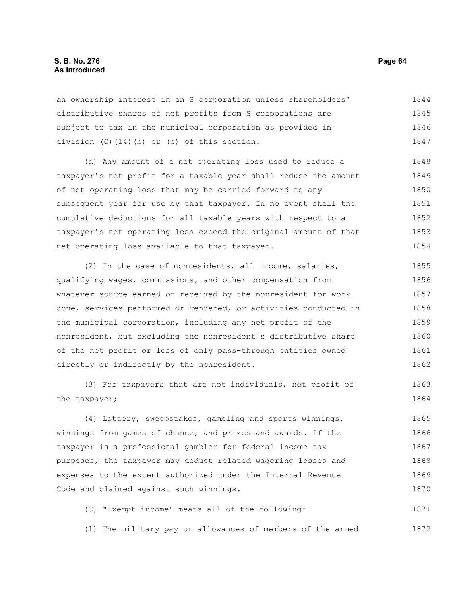## **S. B. No. 276 Page 64 As Introduced**

an ownership interest in an S corporation unless shareholders' distributive shares of net profits from S corporations are subject to tax in the municipal corporation as provided in division (C)(14)(b) or (c) of this section. 1844 1845 1846 1847

(d) Any amount of a net operating loss used to reduce a taxpayer's net profit for a taxable year shall reduce the amount of net operating loss that may be carried forward to any subsequent year for use by that taxpayer. In no event shall the cumulative deductions for all taxable years with respect to a taxpayer's net operating loss exceed the original amount of that net operating loss available to that taxpayer. 1848 1849 1850 1851 1852 1853 1854

(2) In the case of nonresidents, all income, salaries, qualifying wages, commissions, and other compensation from whatever source earned or received by the nonresident for work done, services performed or rendered, or activities conducted in the municipal corporation, including any net profit of the nonresident, but excluding the nonresident's distributive share of the net profit or loss of only pass-through entities owned directly or indirectly by the nonresident. 1855 1856 1857 1858 1859 1860 1861 1862

(3) For taxpayers that are not individuals, net profit of the taxpayer; 1863 1864

(4) Lottery, sweepstakes, gambling and sports winnings, winnings from games of chance, and prizes and awards. If the taxpayer is a professional gambler for federal income tax purposes, the taxpayer may deduct related wagering losses and expenses to the extent authorized under the Internal Revenue Code and claimed against such winnings. 1865 1866 1867 1868 1869 1870

(C) "Exempt income" means all of the following: 1871

(1) The military pay or allowances of members of the armed 1872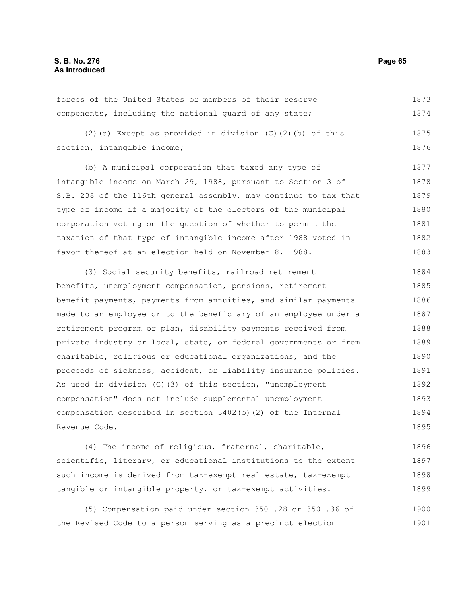forces of the United States or members of their reserve components, including the national guard of any state; 1873 1874

(2)(a) Except as provided in division (C)(2)(b) of this section, intangible income; 1875 1876

(b) A municipal corporation that taxed any type of intangible income on March 29, 1988, pursuant to Section 3 of S.B. 238 of the 116th general assembly, may continue to tax that type of income if a majority of the electors of the municipal corporation voting on the question of whether to permit the taxation of that type of intangible income after 1988 voted in favor thereof at an election held on November 8, 1988. 1877 1878 1879 1880 1881 1882 1883

(3) Social security benefits, railroad retirement benefits, unemployment compensation, pensions, retirement benefit payments, payments from annuities, and similar payments made to an employee or to the beneficiary of an employee under a retirement program or plan, disability payments received from private industry or local, state, or federal governments or from charitable, religious or educational organizations, and the proceeds of sickness, accident, or liability insurance policies. As used in division (C)(3) of this section, "unemployment compensation" does not include supplemental unemployment compensation described in section 3402(o)(2) of the Internal Revenue Code. 1884 1885 1886 1887 1888 1889 1890 1891 1892 1893 1894 1895

(4) The income of religious, fraternal, charitable, scientific, literary, or educational institutions to the extent such income is derived from tax-exempt real estate, tax-exempt tangible or intangible property, or tax-exempt activities. 1896 1897 1898 1899

(5) Compensation paid under section 3501.28 or 3501.36 of the Revised Code to a person serving as a precinct election 1900 1901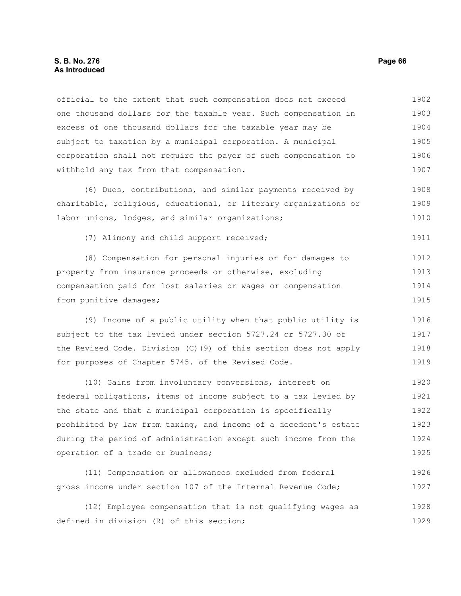#### **S. B. No. 276 Page 66 As Introduced**

official to the extent that such compensation does not exceed one thousand dollars for the taxable year. Such compensation in excess of one thousand dollars for the taxable year may be subject to taxation by a municipal corporation. A municipal corporation shall not require the payer of such compensation to withhold any tax from that compensation. 1902 1903 1904 1905 1906 1907

(6) Dues, contributions, and similar payments received by charitable, religious, educational, or literary organizations or labor unions, lodges, and similar organizations; 1908 1909 1910

(7) Alimony and child support received;

(8) Compensation for personal injuries or for damages to property from insurance proceeds or otherwise, excluding compensation paid for lost salaries or wages or compensation from punitive damages; 1912 1913 1914 1915

(9) Income of a public utility when that public utility is subject to the tax levied under section 5727.24 or 5727.30 of the Revised Code. Division (C)(9) of this section does not apply for purposes of Chapter 5745. of the Revised Code. 1916 1917 1918 1919

(10) Gains from involuntary conversions, interest on federal obligations, items of income subject to a tax levied by the state and that a municipal corporation is specifically prohibited by law from taxing, and income of a decedent's estate during the period of administration except such income from the operation of a trade or business; 1920 1921 1922 1923 1924 1925

(11) Compensation or allowances excluded from federal gross income under section 107 of the Internal Revenue Code; 1926 1927

(12) Employee compensation that is not qualifying wages as defined in division (R) of this section; 1928 1929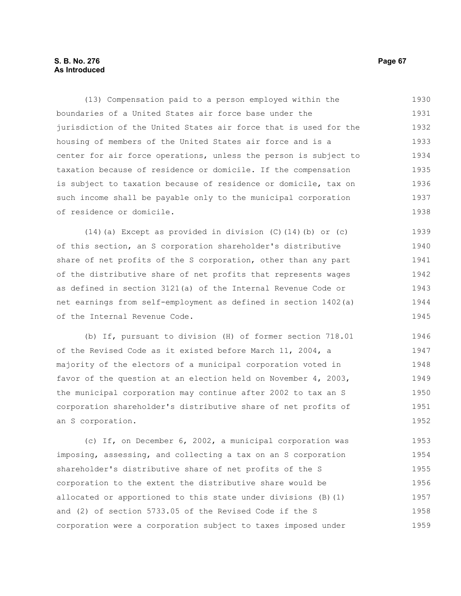## **S. B. No. 276 Page 67 As Introduced**

(13) Compensation paid to a person employed within the boundaries of a United States air force base under the jurisdiction of the United States air force that is used for the housing of members of the United States air force and is a center for air force operations, unless the person is subject to taxation because of residence or domicile. If the compensation is subject to taxation because of residence or domicile, tax on such income shall be payable only to the municipal corporation of residence or domicile. 1930 1931 1932 1933 1934 1935 1936 1937 1938

(14)(a) Except as provided in division (C)(14)(b) or (c) of this section, an S corporation shareholder's distributive share of net profits of the S corporation, other than any part of the distributive share of net profits that represents wages as defined in section 3121(a) of the Internal Revenue Code or net earnings from self-employment as defined in section 1402(a) of the Internal Revenue Code. 1939 1940 1941 1942 1943 1944 1945

(b) If, pursuant to division (H) of former section 718.01 of the Revised Code as it existed before March 11, 2004, a majority of the electors of a municipal corporation voted in favor of the question at an election held on November 4, 2003, the municipal corporation may continue after 2002 to tax an S corporation shareholder's distributive share of net profits of an S corporation. 1946 1947 1948 1949 1950 1951 1952

(c) If, on December 6, 2002, a municipal corporation was imposing, assessing, and collecting a tax on an S corporation shareholder's distributive share of net profits of the S corporation to the extent the distributive share would be allocated or apportioned to this state under divisions (B)(1) and (2) of section 5733.05 of the Revised Code if the S corporation were a corporation subject to taxes imposed under 1953 1954 1955 1956 1957 1958 1959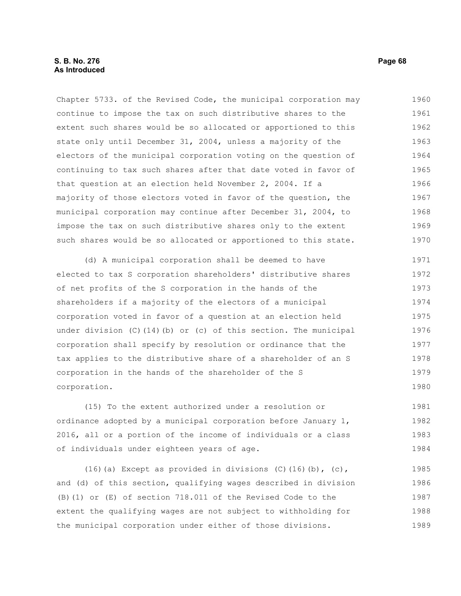Chapter 5733. of the Revised Code, the municipal corporation may continue to impose the tax on such distributive shares to the extent such shares would be so allocated or apportioned to this state only until December 31, 2004, unless a majority of the electors of the municipal corporation voting on the question of continuing to tax such shares after that date voted in favor of that question at an election held November 2, 2004. If a majority of those electors voted in favor of the question, the municipal corporation may continue after December 31, 2004, to impose the tax on such distributive shares only to the extent such shares would be so allocated or apportioned to this state. 1960 1961 1962 1963 1964 1965 1966 1967 1968 1969 1970

(d) A municipal corporation shall be deemed to have elected to tax S corporation shareholders' distributive shares of net profits of the S corporation in the hands of the shareholders if a majority of the electors of a municipal corporation voted in favor of a question at an election held under division (C)(14)(b) or (c) of this section. The municipal corporation shall specify by resolution or ordinance that the tax applies to the distributive share of a shareholder of an S corporation in the hands of the shareholder of the S corporation. 1971 1972 1973 1974 1975 1976 1977 1978 1979 1980

(15) To the extent authorized under a resolution or ordinance adopted by a municipal corporation before January 1, 2016, all or a portion of the income of individuals or a class of individuals under eighteen years of age. 1981 1982 1983 1984

(16)(a) Except as provided in divisions  $(C)$ (16)(b),  $(c)$ , and (d) of this section, qualifying wages described in division (B)(1) or (E) of section 718.011 of the Revised Code to the extent the qualifying wages are not subject to withholding for the municipal corporation under either of those divisions. 1985 1986 1987 1988 1989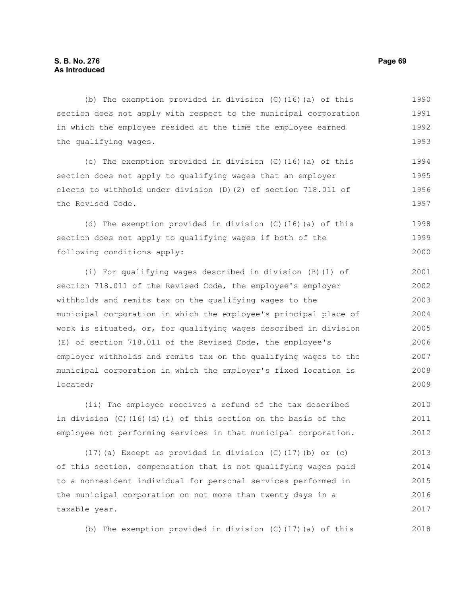(b) The exemption provided in division (C)(16)(a) of this section does not apply with respect to the municipal corporation in which the employee resided at the time the employee earned the qualifying wages. (c) The exemption provided in division (C)(16)(a) of this section does not apply to qualifying wages that an employer elects to withhold under division (D)(2) of section 718.011 of the Revised Code. (d) The exemption provided in division (C)(16)(a) of this section does not apply to qualifying wages if both of the following conditions apply: (i) For qualifying wages described in division (B)(1) of section 718.011 of the Revised Code, the employee's employer withholds and remits tax on the qualifying wages to the municipal corporation in which the employee's principal place of work is situated, or, for qualifying wages described in division (E) of section 718.011 of the Revised Code, the employee's employer withholds and remits tax on the qualifying wages to the municipal corporation in which the employer's fixed location is located; (ii) The employee receives a refund of the tax described 1990 1991 1992 1993 1994 1995 1996 1997 1998 1999 2000 2001 2002 2003 2004 2005 2006 2007 2008 2009 2010

in division (C)(16)(d)(i) of this section on the basis of the employee not performing services in that municipal corporation. 2011 2012

 $(17)$  (a) Except as provided in division (C)(17)(b) or (c) of this section, compensation that is not qualifying wages paid to a nonresident individual for personal services performed in the municipal corporation on not more than twenty days in a taxable year. 2013 2014 2015 2016 2017

(b) The exemption provided in division (C)(17)(a) of this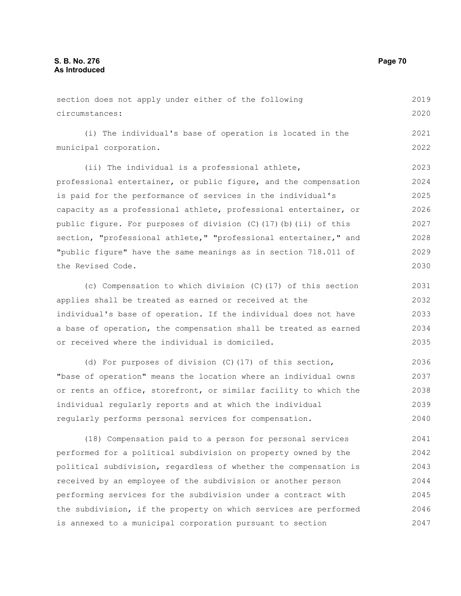| section does not apply under either of the following |  |  |  |  |                                                          |  |  | 2019 |
|------------------------------------------------------|--|--|--|--|----------------------------------------------------------|--|--|------|
| circumstances:                                       |  |  |  |  |                                                          |  |  | 2020 |
|                                                      |  |  |  |  | (i) The individual's base of operation is located in the |  |  | 2021 |

(i) The individual's base of operation is located in the municipal corporation.

(ii) The individual is a professional athlete, professional entertainer, or public figure, and the compensation is paid for the performance of services in the individual's capacity as a professional athlete, professional entertainer, or public figure. For purposes of division (C)(17)(b)(ii) of this section, "professional athlete," "professional entertainer," and "public figure" have the same meanings as in section 718.011 of the Revised Code. 2023 2024 2025 2026 2027 2028 2029 2030

(c) Compensation to which division (C)(17) of this section applies shall be treated as earned or received at the individual's base of operation. If the individual does not have a base of operation, the compensation shall be treated as earned or received where the individual is domiciled. 2031 2032 2033 2034 2035

(d) For purposes of division (C)(17) of this section, "base of operation" means the location where an individual owns or rents an office, storefront, or similar facility to which the individual regularly reports and at which the individual regularly performs personal services for compensation. 2036 2037 2038 2039 2040

(18) Compensation paid to a person for personal services performed for a political subdivision on property owned by the political subdivision, regardless of whether the compensation is received by an employee of the subdivision or another person performing services for the subdivision under a contract with the subdivision, if the property on which services are performed is annexed to a municipal corporation pursuant to section 2041 2042 2043 2044 2045 2046 2047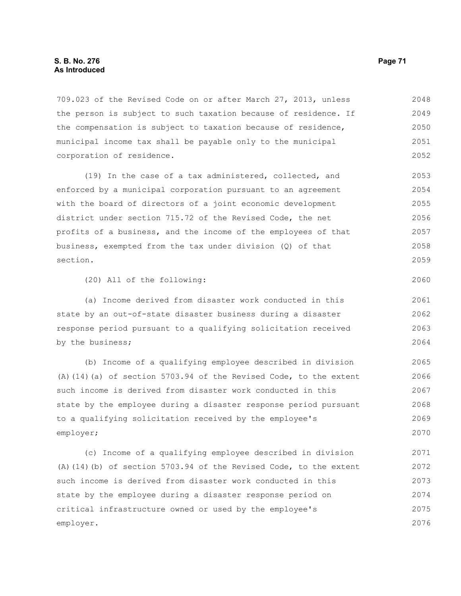709.023 of the Revised Code on or after March 27, 2013, unless the person is subject to such taxation because of residence. If the compensation is subject to taxation because of residence, municipal income tax shall be payable only to the municipal corporation of residence. 2048 2049 2050 2051 2052

(19) In the case of a tax administered, collected, and enforced by a municipal corporation pursuant to an agreement with the board of directors of a joint economic development district under section 715.72 of the Revised Code, the net profits of a business, and the income of the employees of that business, exempted from the tax under division (Q) of that section. 2053 2054 2055 2056 2057 2058 2059

(20) All of the following:

(a) Income derived from disaster work conducted in this state by an out-of-state disaster business during a disaster response period pursuant to a qualifying solicitation received by the business; 2061 2062 2063 2064

(b) Income of a qualifying employee described in division (A)(14)(a) of section 5703.94 of the Revised Code, to the extent such income is derived from disaster work conducted in this state by the employee during a disaster response period pursuant to a qualifying solicitation received by the employee's employer; 2065 2066 2067 2068 2069 2070

(c) Income of a qualifying employee described in division (A)(14)(b) of section 5703.94 of the Revised Code, to the extent such income is derived from disaster work conducted in this state by the employee during a disaster response period on critical infrastructure owned or used by the employee's employer. 2071 2072 2073 2074 2075 2076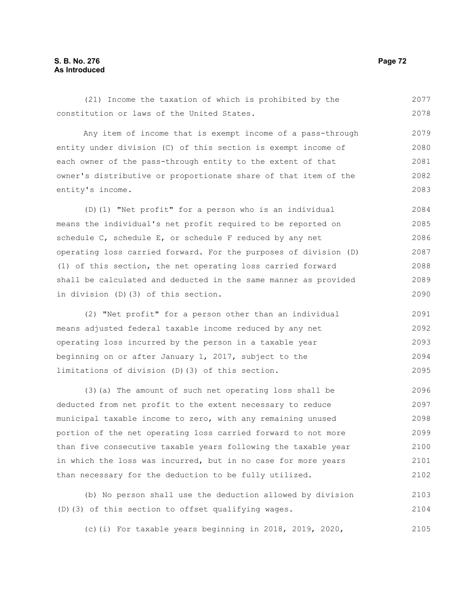## **S. B. No. 276 Page 72 As Introduced**

(21) Income the taxation of which is prohibited by the constitution or laws of the United States. 2077 2078

Any item of income that is exempt income of a pass-through entity under division (C) of this section is exempt income of each owner of the pass-through entity to the extent of that owner's distributive or proportionate share of that item of the entity's income. 2079 2080 2081 2082 2083

(D)(1) "Net profit" for a person who is an individual means the individual's net profit required to be reported on schedule C, schedule E, or schedule F reduced by any net operating loss carried forward. For the purposes of division (D) (1) of this section, the net operating loss carried forward shall be calculated and deducted in the same manner as provided in division (D)(3) of this section. 2084 2085 2086 2087 2088 2089 2090

(2) "Net profit" for a person other than an individual means adjusted federal taxable income reduced by any net operating loss incurred by the person in a taxable year beginning on or after January 1, 2017, subject to the limitations of division (D)(3) of this section. 2091 2092 2093 2094 2095

(3)(a) The amount of such net operating loss shall be deducted from net profit to the extent necessary to reduce municipal taxable income to zero, with any remaining unused portion of the net operating loss carried forward to not more than five consecutive taxable years following the taxable year in which the loss was incurred, but in no case for more years than necessary for the deduction to be fully utilized. 2096 2097 2098 2099 2100 2101 2102

(b) No person shall use the deduction allowed by division (D)(3) of this section to offset qualifying wages. 2103 2104

(c)(i) For taxable years beginning in 2018, 2019, 2020, 2105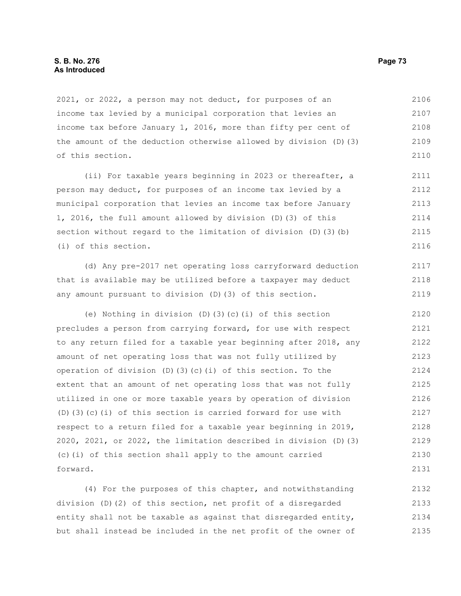2021, or 2022, a person may not deduct, for purposes of an income tax levied by a municipal corporation that levies an income tax before January 1, 2016, more than fifty per cent of the amount of the deduction otherwise allowed by division (D)(3) of this section. 2106 2107 2108 2109 2110

(ii) For taxable years beginning in 2023 or thereafter, a person may deduct, for purposes of an income tax levied by a municipal corporation that levies an income tax before January 1, 2016, the full amount allowed by division (D)(3) of this section without regard to the limitation of division (D)(3)(b) (i) of this section. 2111 2112 2113 2114 2115 2116

(d) Any pre-2017 net operating loss carryforward deduction that is available may be utilized before a taxpayer may deduct any amount pursuant to division (D)(3) of this section.

(e) Nothing in division (D)(3)(c)(i) of this section precludes a person from carrying forward, for use with respect to any return filed for a taxable year beginning after 2018, any amount of net operating loss that was not fully utilized by operation of division (D)(3)(c)(i) of this section. To the extent that an amount of net operating loss that was not fully utilized in one or more taxable years by operation of division (D)(3)(c)(i) of this section is carried forward for use with respect to a return filed for a taxable year beginning in 2019, 2020, 2021, or 2022, the limitation described in division (D)(3) (c)(i) of this section shall apply to the amount carried forward. 2120 2121 2122 2123 2124 2125 2126 2127 2128 2129 2130 2131

(4) For the purposes of this chapter, and notwithstanding division (D)(2) of this section, net profit of a disregarded entity shall not be taxable as against that disregarded entity, but shall instead be included in the net profit of the owner of 2132 2133 2134 2135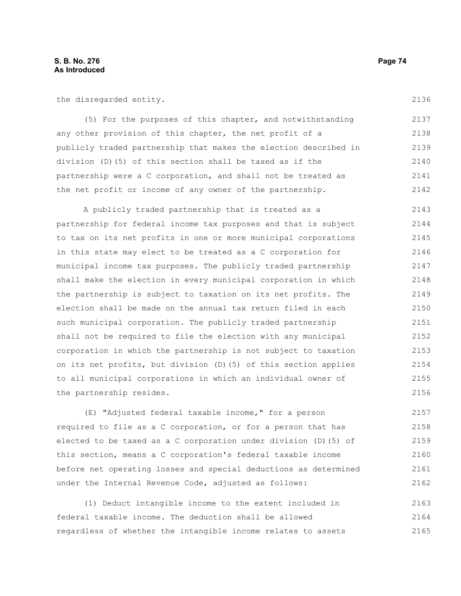the disregarded entity.

(5) For the purposes of this chapter, and notwithstanding any other provision of this chapter, the net profit of a publicly traded partnership that makes the election described in division (D)(5) of this section shall be taxed as if the partnership were a C corporation, and shall not be treated as the net profit or income of any owner of the partnership. 2137 2138 2139 2140 2141 2142

A publicly traded partnership that is treated as a partnership for federal income tax purposes and that is subject to tax on its net profits in one or more municipal corporations in this state may elect to be treated as a C corporation for municipal income tax purposes. The publicly traded partnership shall make the election in every municipal corporation in which the partnership is subject to taxation on its net profits. The election shall be made on the annual tax return filed in each such municipal corporation. The publicly traded partnership shall not be required to file the election with any municipal corporation in which the partnership is not subject to taxation on its net profits, but division (D)(5) of this section applies to all municipal corporations in which an individual owner of the partnership resides. 2143 2144 2145 2146 2147 2148 2149 2150 2151 2152 2153 2154 2155 2156

(E) "Adjusted federal taxable income," for a person required to file as a C corporation, or for a person that has elected to be taxed as a C corporation under division (D)(5) of this section, means a C corporation's federal taxable income before net operating losses and special deductions as determined under the Internal Revenue Code, adjusted as follows: 2157 2158 2159 2160 2161 2162

(1) Deduct intangible income to the extent included in federal taxable income. The deduction shall be allowed regardless of whether the intangible income relates to assets 2163 2164 2165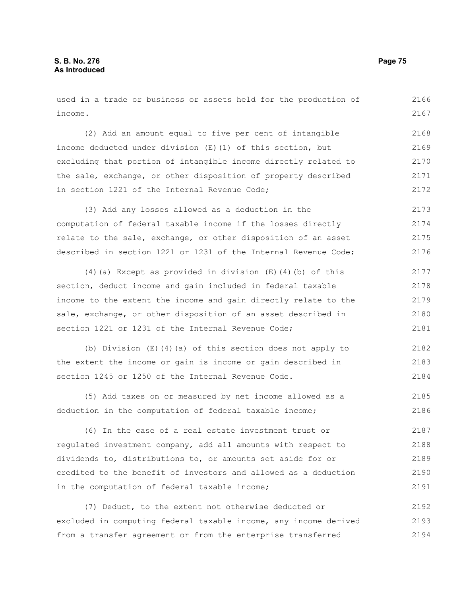used in a trade or business or assets held for the production of income. 2166 2167

(2) Add an amount equal to five per cent of intangible income deducted under division (E)(1) of this section, but excluding that portion of intangible income directly related to the sale, exchange, or other disposition of property described in section 1221 of the Internal Revenue Code; 2168 2169 2170 2171 2172

(3) Add any losses allowed as a deduction in the computation of federal taxable income if the losses directly relate to the sale, exchange, or other disposition of an asset described in section 1221 or 1231 of the Internal Revenue Code; 2173 2174 2175 2176

(4)(a) Except as provided in division (E)(4)(b) of this section, deduct income and gain included in federal taxable income to the extent the income and gain directly relate to the sale, exchange, or other disposition of an asset described in section 1221 or 1231 of the Internal Revenue Code; 2177 2178 2179 2180 2181

(b) Division (E)(4)(a) of this section does not apply to the extent the income or gain is income or gain described in section 1245 or 1250 of the Internal Revenue Code. 2182 2183 2184

(5) Add taxes on or measured by net income allowed as a deduction in the computation of federal taxable income; 2185 2186

(6) In the case of a real estate investment trust or regulated investment company, add all amounts with respect to dividends to, distributions to, or amounts set aside for or credited to the benefit of investors and allowed as a deduction in the computation of federal taxable income; 2187 2188 2189 2190 2191

(7) Deduct, to the extent not otherwise deducted or excluded in computing federal taxable income, any income derived from a transfer agreement or from the enterprise transferred 2192 2193 2194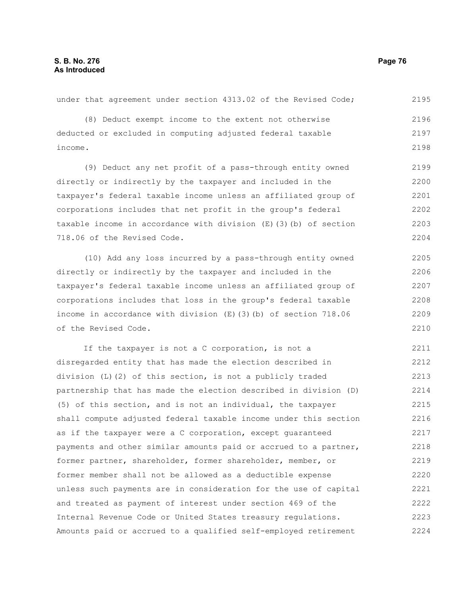under that agreement under section 4313.02 of the Revised Code; (8) Deduct exempt income to the extent not otherwise deducted or excluded in computing adjusted federal taxable income. (9) Deduct any net profit of a pass-through entity owned directly or indirectly by the taxpayer and included in the taxpayer's federal taxable income unless an affiliated group of corporations includes that net profit in the group's federal taxable income in accordance with division (E)(3)(b) of section 718.06 of the Revised Code. (10) Add any loss incurred by a pass-through entity owned 2196 2197 2198 2199 2200 2201 2202 2203 2204 2205

directly or indirectly by the taxpayer and included in the taxpayer's federal taxable income unless an affiliated group of corporations includes that loss in the group's federal taxable income in accordance with division (E)(3)(b) of section 718.06 of the Revised Code. 2206 2207 2208 2209 2210

If the taxpayer is not a C corporation, is not a disregarded entity that has made the election described in division (L)(2) of this section, is not a publicly traded partnership that has made the election described in division (D) (5) of this section, and is not an individual, the taxpayer shall compute adjusted federal taxable income under this section as if the taxpayer were a C corporation, except guaranteed payments and other similar amounts paid or accrued to a partner, former partner, shareholder, former shareholder, member, or former member shall not be allowed as a deductible expense unless such payments are in consideration for the use of capital and treated as payment of interest under section 469 of the Internal Revenue Code or United States treasury regulations. Amounts paid or accrued to a qualified self-employed retirement 2211 2212 2213 2214 2215 2216 2217 2218 2219 2220 2221 2222 2223 2224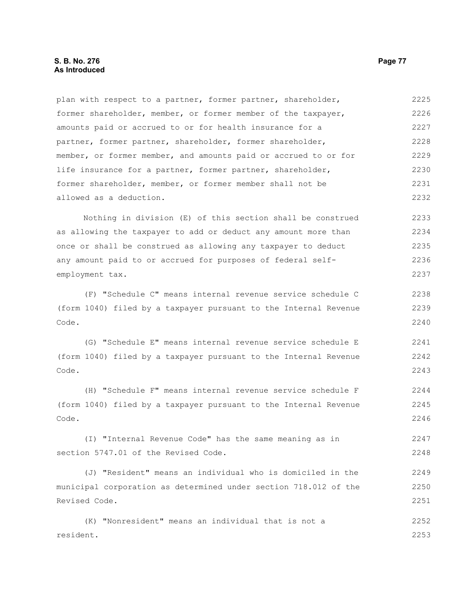# **S. B. No. 276 Page 77 As Introduced**

plan with respect to a partner, former partner, shareholder, former shareholder, member, or former member of the taxpayer, amounts paid or accrued to or for health insurance for a partner, former partner, shareholder, former shareholder, member, or former member, and amounts paid or accrued to or for life insurance for a partner, former partner, shareholder, former shareholder, member, or former member shall not be allowed as a deduction. 2225 2226 2227 2228 2229 2230 2231 2232

Nothing in division (E) of this section shall be construed as allowing the taxpayer to add or deduct any amount more than once or shall be construed as allowing any taxpayer to deduct any amount paid to or accrued for purposes of federal selfemployment tax. 2233 2234 2235 2236 2237

(F) "Schedule C" means internal revenue service schedule C (form 1040) filed by a taxpayer pursuant to the Internal Revenue Code. 2238 2239 2240

(G) "Schedule E" means internal revenue service schedule E (form 1040) filed by a taxpayer pursuant to the Internal Revenue Code. 2241 2242 2243

(H) "Schedule F" means internal revenue service schedule F (form 1040) filed by a taxpayer pursuant to the Internal Revenue Code. 2244 2245 2246

(I) "Internal Revenue Code" has the same meaning as in section 5747.01 of the Revised Code. 2247 2248

(J) "Resident" means an individual who is domiciled in the municipal corporation as determined under section 718.012 of the Revised Code. 2249 2250 2251

(K) "Nonresident" means an individual that is not a resident. 2252 2253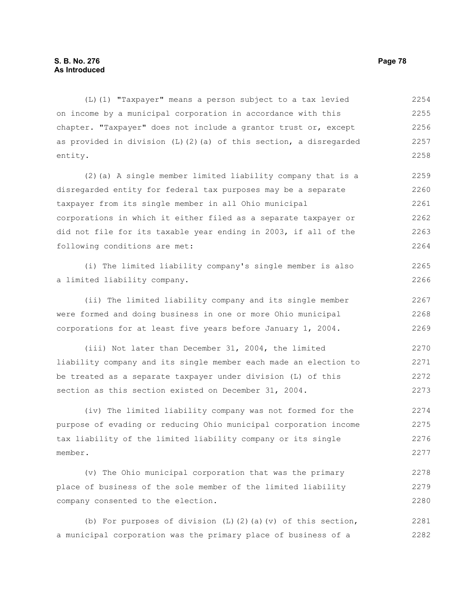(L)(1) "Taxpayer" means a person subject to a tax levied on income by a municipal corporation in accordance with this chapter. "Taxpayer" does not include a grantor trust or, except as provided in division  $(L)$  (2)(a) of this section, a disregarded entity. 2254 2255 2256 2257 2258

(2)(a) A single member limited liability company that is a disregarded entity for federal tax purposes may be a separate taxpayer from its single member in all Ohio municipal corporations in which it either filed as a separate taxpayer or did not file for its taxable year ending in 2003, if all of the following conditions are met: 2259 2260 2261 2262 2263 2264

(i) The limited liability company's single member is also a limited liability company.

(ii) The limited liability company and its single member were formed and doing business in one or more Ohio municipal corporations for at least five years before January 1, 2004. 2267 2268 2269

(iii) Not later than December 31, 2004, the limited liability company and its single member each made an election to be treated as a separate taxpayer under division (L) of this section as this section existed on December 31, 2004. 2270 2271 2272 2273

(iv) The limited liability company was not formed for the purpose of evading or reducing Ohio municipal corporation income tax liability of the limited liability company or its single member. 2274 2275 2276 2277

(v) The Ohio municipal corporation that was the primary place of business of the sole member of the limited liability company consented to the election. 2278 2279 2280

(b) For purposes of division (L)(2)(a)(v) of this section, a municipal corporation was the primary place of business of a 2281 2282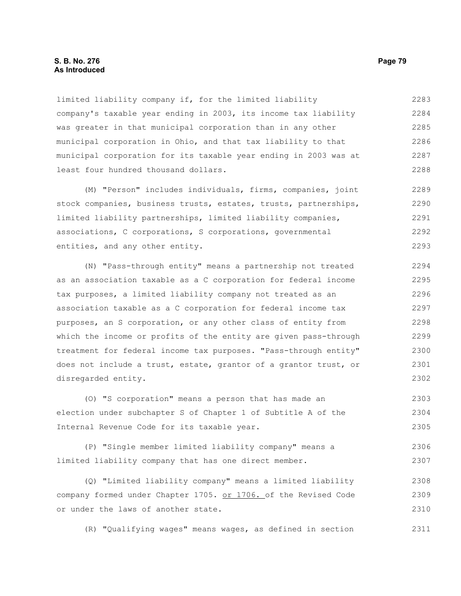## **S. B. No. 276 Page 79 As Introduced**

limited liability company if, for the limited liability company's taxable year ending in 2003, its income tax liability was greater in that municipal corporation than in any other municipal corporation in Ohio, and that tax liability to that municipal corporation for its taxable year ending in 2003 was at least four hundred thousand dollars. 2283 2284 2285 2286 2287 2288

(M) "Person" includes individuals, firms, companies, joint stock companies, business trusts, estates, trusts, partnerships, limited liability partnerships, limited liability companies, associations, C corporations, S corporations, governmental entities, and any other entity. 2289 2290 2291 2292 2293

(N) "Pass-through entity" means a partnership not treated as an association taxable as a C corporation for federal income tax purposes, a limited liability company not treated as an association taxable as a C corporation for federal income tax purposes, an S corporation, or any other class of entity from which the income or profits of the entity are given pass-through treatment for federal income tax purposes. "Pass-through entity" does not include a trust, estate, grantor of a grantor trust, or disregarded entity. 2294 2295 2296 2297 2298 2299 2300 2301 2302

(O) "S corporation" means a person that has made an election under subchapter S of Chapter 1 of Subtitle A of the Internal Revenue Code for its taxable year. 2303 2304 2305

(P) "Single member limited liability company" means a limited liability company that has one direct member. 2306 2307

(Q) "Limited liability company" means a limited liability company formed under Chapter 1705. or 1706. of the Revised Code or under the laws of another state. 2308 2309 2310

(R) "Qualifying wages" means wages, as defined in section 2311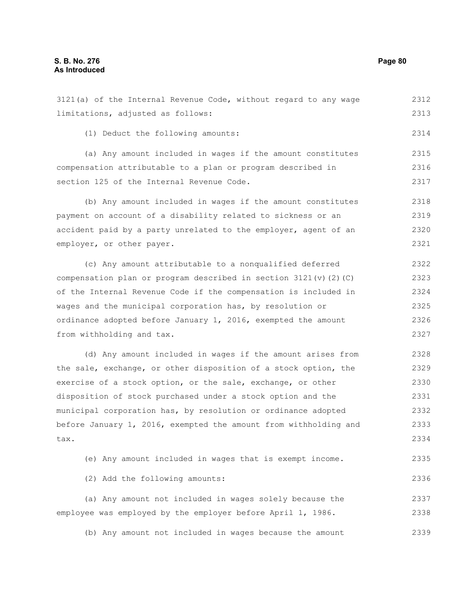limitations, adjusted as follows:

(1) Deduct the following amounts:

section 125 of the Internal Revenue Code.

accident paid by a party unrelated to the employer, agent of an employer, or other payer. (c) Any amount attributable to a nonqualified deferred compensation plan or program described in section  $3121(v)(2)(C)$ of the Internal Revenue Code if the compensation is included in wages and the municipal corporation has, by resolution or ordinance adopted before January 1, 2016, exempted the amount from withholding and tax. (d) Any amount included in wages if the amount arises from the sale, exchange, or other disposition of a stock option, the exercise of a stock option, or the sale, exchange, or other disposition of stock purchased under a stock option and the municipal corporation has, by resolution or ordinance adopted before January 1, 2016, exempted the amount from withholding and tax. (e) Any amount included in wages that is exempt income. (2) Add the following amounts: (a) Any amount not included in wages solely because the employee was employed by the employer before April 1, 1986. (b) Any amount not included in wages because the amount 2320 2321 2322 2323 2324 2325 2326 2327 2328 2329 2330 2331 2332 2333 2334 2335 2336 2337 2338 2339

3121(a) of the Internal Revenue Code, without regard to any wage

compensation attributable to a plan or program described in

payment on account of a disability related to sickness or an

(a) Any amount included in wages if the amount constitutes

(b) Any amount included in wages if the amount constitutes

2312 2313

2314

2315 2316 2317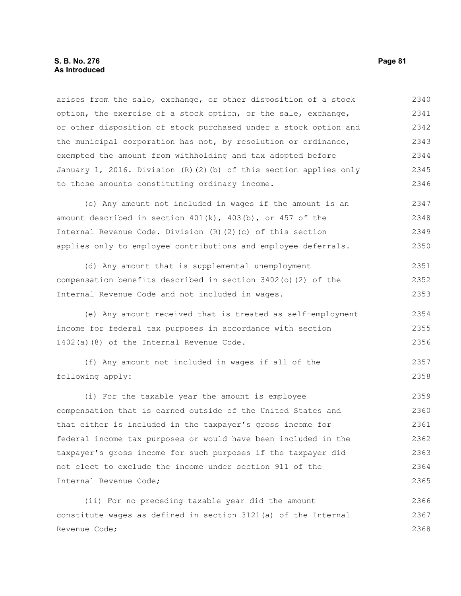arises from the sale, exchange, or other disposition of a stock option, the exercise of a stock option, or the sale, exchange, or other disposition of stock purchased under a stock option and the municipal corporation has not, by resolution or ordinance, exempted the amount from withholding and tax adopted before January 1, 2016. Division (R)(2)(b) of this section applies only to those amounts constituting ordinary income. 2340 2341 2342 2343 2344 2345 2346

(c) Any amount not included in wages if the amount is an amount described in section  $401(k)$ ,  $403(b)$ , or  $457$  of the Internal Revenue Code. Division (R)(2)(c) of this section applies only to employee contributions and employee deferrals. 2347 2348 2349 2350

(d) Any amount that is supplemental unemployment compensation benefits described in section 3402(o)(2) of the Internal Revenue Code and not included in wages. 2351 2352 2353

(e) Any amount received that is treated as self-employment income for federal tax purposes in accordance with section 1402(a)(8) of the Internal Revenue Code. 2354 2355 2356

(f) Any amount not included in wages if all of the following apply: 2357 2358

(i) For the taxable year the amount is employee compensation that is earned outside of the United States and that either is included in the taxpayer's gross income for federal income tax purposes or would have been included in the taxpayer's gross income for such purposes if the taxpayer did not elect to exclude the income under section 911 of the Internal Revenue Code; 2359 2360 2361 2362 2363 2364 2365

(ii) For no preceding taxable year did the amount constitute wages as defined in section 3121(a) of the Internal Revenue Code; 2366 2367 2368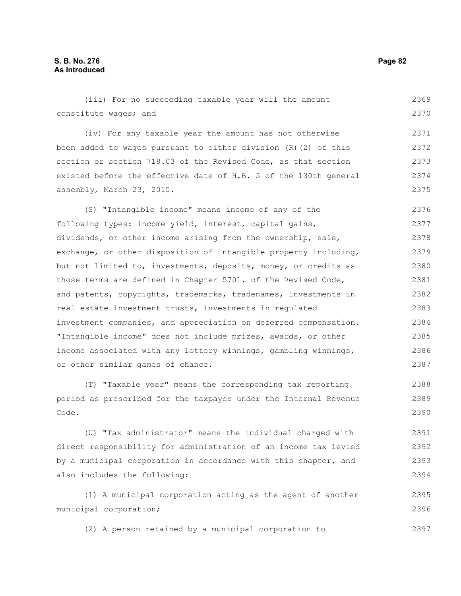(iii) For no succeeding taxable year will the amount constitute wages; and (iv) For any taxable year the amount has not otherwise been added to wages pursuant to either division (R)(2) of this section or section 718.03 of the Revised Code, as that section existed before the effective date of H.B. 5 of the 130th general assembly, March 23, 2015. (S) "Intangible income" means income of any of the following types: income yield, interest, capital gains, dividends, or other income arising from the ownership, sale, exchange, or other disposition of intangible property including, but not limited to, investments, deposits, money, or credits as those terms are defined in Chapter 5701. of the Revised Code, and patents, copyrights, trademarks, tradenames, investments in real estate investment trusts, investments in regulated investment companies, and appreciation on deferred compensation. "Intangible income" does not include prizes, awards, or other income associated with any lottery winnings, gambling winnings, or other similar games of chance. (T) "Taxable year" means the corresponding tax reporting 2369 2370 2371 2372 2373 2374 2375 2376 2377 2378 2379 2380 2381 2382 2383 2384 2385 2386 2387 2388

period as prescribed for the taxpayer under the Internal Revenue Code. 2389 2390

(U) "Tax administrator" means the individual charged with direct responsibility for administration of an income tax levied by a municipal corporation in accordance with this chapter, and also includes the following: 2391 2392 2393 2394

(1) A municipal corporation acting as the agent of another municipal corporation; 2395 2396

(2) A person retained by a municipal corporation to 2397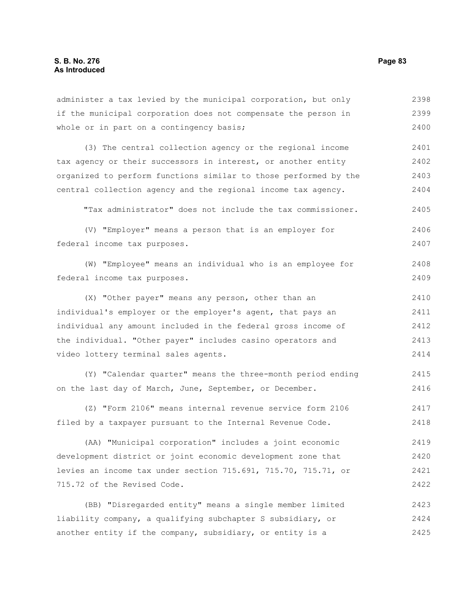| administer a tax levied by the municipal corporation, but only   | 2398 |
|------------------------------------------------------------------|------|
| if the municipal corporation does not compensate the person in   | 2399 |
| whole or in part on a contingency basis;                         | 2400 |
| (3) The central collection agency or the regional income         | 2401 |
| tax agency or their successors in interest, or another entity    | 2402 |
| organized to perform functions similar to those performed by the | 2403 |
| central collection agency and the regional income tax agency.    | 2404 |
| "Tax administrator" does not include the tax commissioner.       | 2405 |
| (V) "Employer" means a person that is an employer for            | 2406 |
| federal income tax purposes.                                     | 2407 |
| (W) "Employee" means an individual who is an employee for        | 2408 |
| federal income tax purposes.                                     | 2409 |
| (X) "Other payer" means any person, other than an                | 2410 |
| individual's employer or the employer's agent, that pays an      | 2411 |
| individual any amount included in the federal gross income of    | 2412 |
| the individual. "Other payer" includes casino operators and      | 2413 |
| video lottery terminal sales agents.                             | 2414 |
| (Y) "Calendar quarter" means the three-month period ending       | 2415 |
| on the last day of March, June, September, or December.          | 2416 |
| (Z) "Form 2106" means internal revenue service form 2106         | 2417 |
| filed by a taxpayer pursuant to the Internal Revenue Code.       | 2418 |
| (AA) "Municipal corporation" includes a joint economic           | 2419 |
| development district or joint economic development zone that     | 2420 |
| levies an income tax under section 715.691, 715.70, 715.71, or   | 2421 |
| 715.72 of the Revised Code.                                      | 2422 |
| (BB) "Disregarded entity" means a single member limited          | 2423 |
| liability company, a qualifying subchapter S subsidiary, or      | 2424 |
| another entity if the company, subsidiary, or entity is a        | 2425 |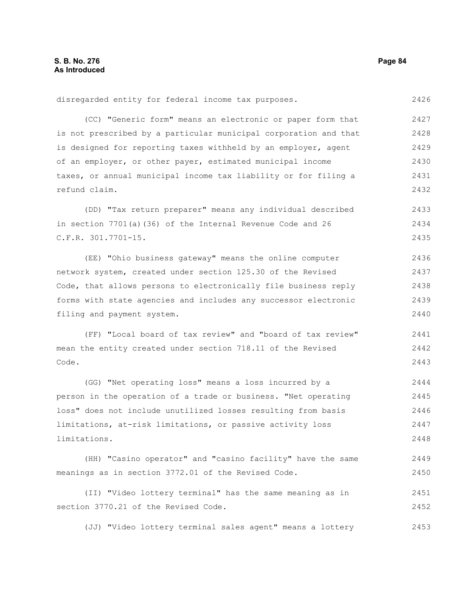2426

disregarded entity for federal income tax purposes.

(CC) "Generic form" means an electronic or paper form that is not prescribed by a particular municipal corporation and that is designed for reporting taxes withheld by an employer, agent of an employer, or other payer, estimated municipal income taxes, or annual municipal income tax liability or for filing a refund claim. 2427 2428 2429 2430 2431 2432

(DD) "Tax return preparer" means any individual described in section 7701(a)(36) of the Internal Revenue Code and 26 C.F.R. 301.7701-15. 2433 2434 2435

(EE) "Ohio business gateway" means the online computer network system, created under section 125.30 of the Revised Code, that allows persons to electronically file business reply forms with state agencies and includes any successor electronic filing and payment system. 2436 2437 2438 2439 2440

(FF) "Local board of tax review" and "board of tax review" mean the entity created under section 718.11 of the Revised Code. 2441 2442 2443

(GG) "Net operating loss" means a loss incurred by a person in the operation of a trade or business. "Net operating loss" does not include unutilized losses resulting from basis limitations, at-risk limitations, or passive activity loss limitations. 2444 2445 2446 2447 2448

(HH) "Casino operator" and "casino facility" have the same meanings as in section 3772.01 of the Revised Code. 2449 2450

(II) "Video lottery terminal" has the same meaning as in section 3770.21 of the Revised Code. 2451 2452

(JJ) "Video lottery terminal sales agent" means a lottery 2453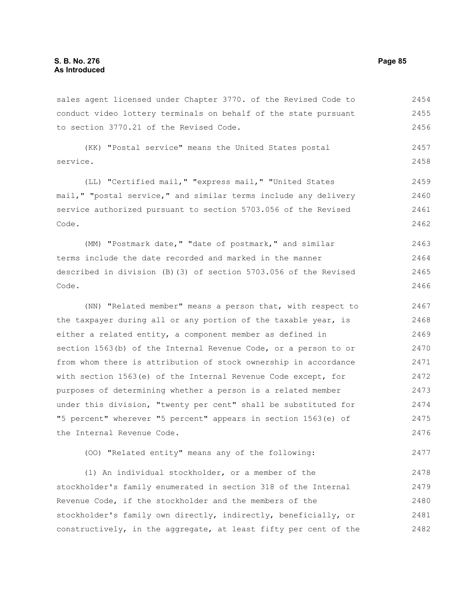sales agent licensed under Chapter 3770. of the Revised Code to conduct video lottery terminals on behalf of the state pursuant to section 3770.21 of the Revised Code. 2454 2455 2456

(KK) "Postal service" means the United States postal service.

(LL) "Certified mail," "express mail," "United States mail," "postal service," and similar terms include any delivery service authorized pursuant to section 5703.056 of the Revised Code. 2459 2460 2461 2462

(MM) "Postmark date," "date of postmark," and similar terms include the date recorded and marked in the manner described in division (B)(3) of section 5703.056 of the Revised Code. 2463 2464 2465 2466

(NN) "Related member" means a person that, with respect to the taxpayer during all or any portion of the taxable year, is either a related entity, a component member as defined in section 1563(b) of the Internal Revenue Code, or a person to or from whom there is attribution of stock ownership in accordance with section 1563(e) of the Internal Revenue Code except, for purposes of determining whether a person is a related member under this division, "twenty per cent" shall be substituted for "5 percent" wherever "5 percent" appears in section 1563(e) of the Internal Revenue Code. 2467 2468 2469 2470 2471 2472 2473 2474 2475 2476

(OO) "Related entity" means any of the following: 2477

(1) An individual stockholder, or a member of the stockholder's family enumerated in section 318 of the Internal Revenue Code, if the stockholder and the members of the stockholder's family own directly, indirectly, beneficially, or constructively, in the aggregate, at least fifty per cent of the 2478 2479 2480 2481 2482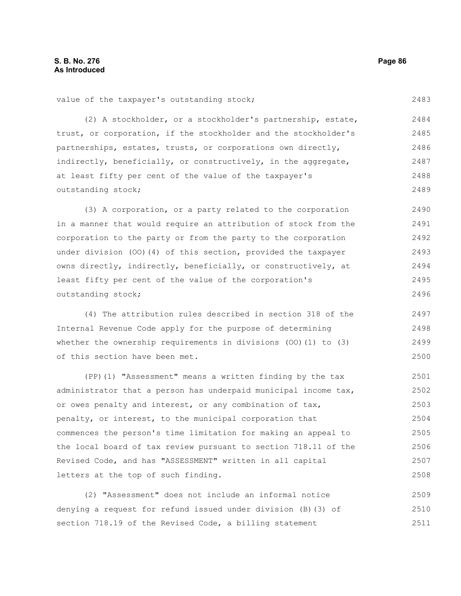2483

value of the taxpayer's outstanding stock;

(2) A stockholder, or a stockholder's partnership, estate, trust, or corporation, if the stockholder and the stockholder's partnerships, estates, trusts, or corporations own directly, indirectly, beneficially, or constructively, in the aggregate, at least fifty per cent of the value of the taxpayer's outstanding stock; 2484 2485 2486 2487 2488 2489

(3) A corporation, or a party related to the corporation in a manner that would require an attribution of stock from the corporation to the party or from the party to the corporation under division (OO)(4) of this section, provided the taxpayer owns directly, indirectly, beneficially, or constructively, at least fifty per cent of the value of the corporation's outstanding stock; 2490 2491 2492 2493 2494 2495 2496

(4) The attribution rules described in section 318 of the Internal Revenue Code apply for the purpose of determining whether the ownership requirements in divisions (OO)(1) to (3) of this section have been met.

(PP)(1) "Assessment" means a written finding by the tax administrator that a person has underpaid municipal income tax, or owes penalty and interest, or any combination of tax, penalty, or interest, to the municipal corporation that commences the person's time limitation for making an appeal to the local board of tax review pursuant to section 718.11 of the Revised Code, and has "ASSESSMENT" written in all capital letters at the top of such finding. 2501 2502 2503 2504 2505 2506 2507 2508

(2) "Assessment" does not include an informal notice denying a request for refund issued under division (B)(3) of section 718.19 of the Revised Code, a billing statement 2509 2510 2511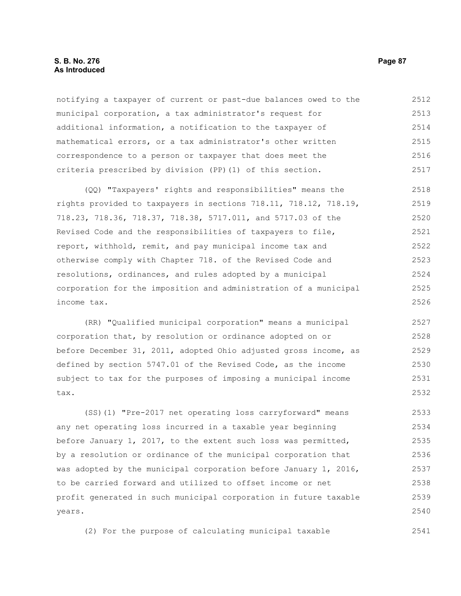# **S. B. No. 276 Page 87 As Introduced**

notifying a taxpayer of current or past-due balances owed to the municipal corporation, a tax administrator's request for additional information, a notification to the taxpayer of mathematical errors, or a tax administrator's other written correspondence to a person or taxpayer that does meet the criteria prescribed by division (PP)(1) of this section. 2512 2513 2514 2515 2516 2517

(QQ) "Taxpayers' rights and responsibilities" means the rights provided to taxpayers in sections 718.11, 718.12, 718.19, 718.23, 718.36, 718.37, 718.38, 5717.011, and 5717.03 of the Revised Code and the responsibilities of taxpayers to file, report, withhold, remit, and pay municipal income tax and otherwise comply with Chapter 718. of the Revised Code and resolutions, ordinances, and rules adopted by a municipal corporation for the imposition and administration of a municipal income tax. 2518 2519 2520 2521 2522 2523 2524 2525 2526

(RR) "Qualified municipal corporation" means a municipal corporation that, by resolution or ordinance adopted on or before December 31, 2011, adopted Ohio adjusted gross income, as defined by section 5747.01 of the Revised Code, as the income subject to tax for the purposes of imposing a municipal income tax. 2527 2528 2529 2530 2531 2532

(SS)(1) "Pre-2017 net operating loss carryforward" means any net operating loss incurred in a taxable year beginning before January 1, 2017, to the extent such loss was permitted, by a resolution or ordinance of the municipal corporation that was adopted by the municipal corporation before January 1, 2016, to be carried forward and utilized to offset income or net profit generated in such municipal corporation in future taxable years. 2533 2534 2535 2536 2537 2538 2539 2540

(2) For the purpose of calculating municipal taxable 2541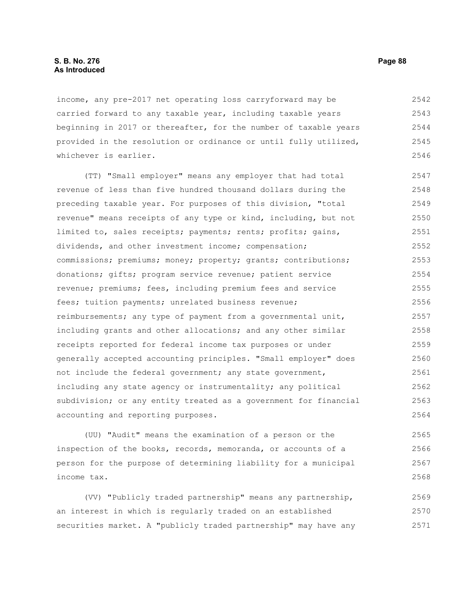### **S. B. No. 276 Page 88 As Introduced**

income, any pre-2017 net operating loss carryforward may be carried forward to any taxable year, including taxable years beginning in 2017 or thereafter, for the number of taxable years provided in the resolution or ordinance or until fully utilized, whichever is earlier. 2542 2543 2544 2545 2546

(TT) "Small employer" means any employer that had total revenue of less than five hundred thousand dollars during the preceding taxable year. For purposes of this division, "total revenue" means receipts of any type or kind, including, but not limited to, sales receipts; payments; rents; profits; gains, dividends, and other investment income; compensation; commissions; premiums; money; property; grants; contributions; donations; gifts; program service revenue; patient service revenue; premiums; fees, including premium fees and service fees; tuition payments; unrelated business revenue; reimbursements; any type of payment from a governmental unit, including grants and other allocations; and any other similar receipts reported for federal income tax purposes or under generally accepted accounting principles. "Small employer" does not include the federal government; any state government, including any state agency or instrumentality; any political subdivision; or any entity treated as a government for financial accounting and reporting purposes. 2547 2548 2549 2550 2551 2552 2553 2554 2555 2556 2557 2558 2559 2560 2561 2562 2563 2564

(UU) "Audit" means the examination of a person or the inspection of the books, records, memoranda, or accounts of a person for the purpose of determining liability for a municipal income tax. 2565 2566 2567 2568

(VV) "Publicly traded partnership" means any partnership, an interest in which is regularly traded on an established securities market. A "publicly traded partnership" may have any 2569 2570 2571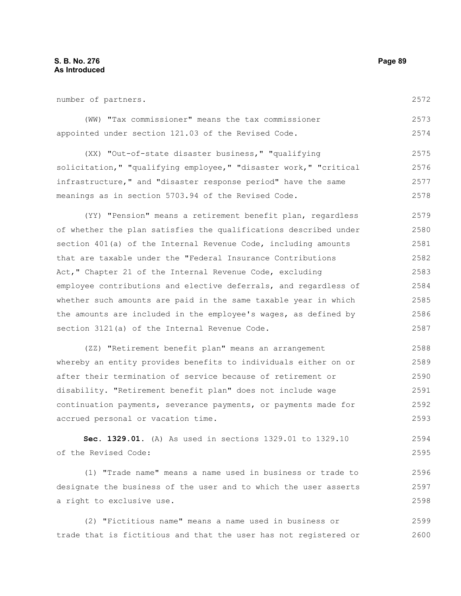2587

| number of partners.                                              | 2572 |
|------------------------------------------------------------------|------|
| (WW) "Tax commissioner" means the tax commissioner               | 2573 |
| appointed under section 121.03 of the Revised Code.              | 2574 |
| (XX) "Out-of-state disaster business," "qualifying               | 2575 |
| solicitation," "qualifying employee," "disaster work," "critical | 2576 |
| infrastructure," and "disaster response period" have the same    | 2577 |
| meanings as in section 5703.94 of the Revised Code.              | 2578 |
| (YY) "Pension" means a retirement benefit plan, regardless       | 2579 |
| of whether the plan satisfies the qualifications described under | 2580 |
| section 401(a) of the Internal Revenue Code, including amounts   | 2581 |
| that are taxable under the "Federal Insurance Contributions      | 2582 |
| Act," Chapter 21 of the Internal Revenue Code, excluding         | 2583 |
| employee contributions and elective deferrals, and regardless of | 2584 |
| whether such amounts are paid in the same taxable year in which  | 2585 |
| the amounts are included in the employee's wages, as defined by  | 2586 |

(ZZ) "Retirement benefit plan" means an arrangement whereby an entity provides benefits to individuals either on or after their termination of service because of retirement or disability. "Retirement benefit plan" does not include wage continuation payments, severance payments, or payments made for accrued personal or vacation time. 2588 2589 2590 2591 2592 2593

section 3121(a) of the Internal Revenue Code.

**Sec. 1329.01.** (A) As used in sections 1329.01 to 1329.10 of the Revised Code: 2594 2595

(1) "Trade name" means a name used in business or trade to designate the business of the user and to which the user asserts a right to exclusive use. 2596 2597 2598

(2) "Fictitious name" means a name used in business or trade that is fictitious and that the user has not registered or 2599 2600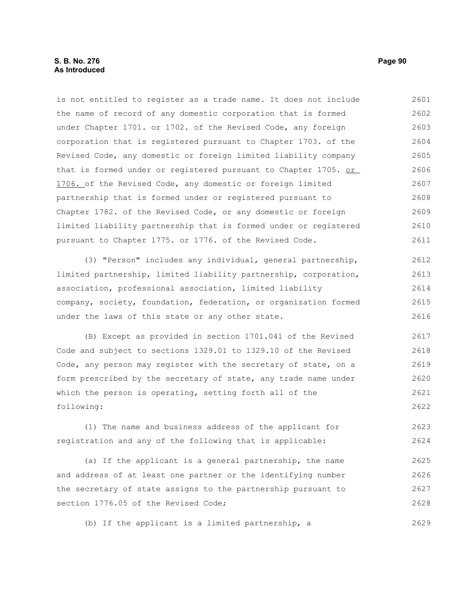# **S. B. No. 276 Page 90 As Introduced**

is not entitled to register as a trade name. It does not include the name of record of any domestic corporation that is formed under Chapter 1701. or 1702. of the Revised Code, any foreign corporation that is registered pursuant to Chapter 1703. of the Revised Code, any domestic or foreign limited liability company that is formed under or registered pursuant to Chapter 1705. or 1706. of the Revised Code, any domestic or foreign limited partnership that is formed under or registered pursuant to Chapter 1782. of the Revised Code, or any domestic or foreign limited liability partnership that is formed under or registered pursuant to Chapter 1775. or 1776. of the Revised Code. 2601 2602 2603 2604 2605 2606 2607 2608 2609 2610 2611

(3) "Person" includes any individual, general partnership, limited partnership, limited liability partnership, corporation, association, professional association, limited liability company, society, foundation, federation, or organization formed under the laws of this state or any other state. 2612 2613 2614 2615 2616

(B) Except as provided in section 1701.041 of the Revised Code and subject to sections 1329.01 to 1329.10 of the Revised Code, any person may register with the secretary of state, on a form prescribed by the secretary of state, any trade name under which the person is operating, setting forth all of the following: 2617 2618 2619 2620 2621 2622

(1) The name and business address of the applicant for registration and any of the following that is applicable: 2623 2624

(a) If the applicant is a general partnership, the name and address of at least one partner or the identifying number the secretary of state assigns to the partnership pursuant to section 1776.05 of the Revised Code; 2625 2626 2627 2628

(b) If the applicant is a limited partnership, a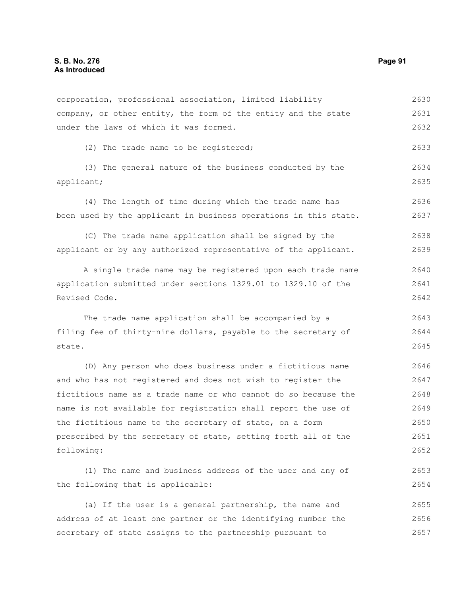corporation, professional association, limited liability company, or other entity, the form of the entity and the state under the laws of which it was formed. (2) The trade name to be registered; (3) The general nature of the business conducted by the applicant; (4) The length of time during which the trade name has been used by the applicant in business operations in this state. (C) The trade name application shall be signed by the applicant or by any authorized representative of the applicant. A single trade name may be registered upon each trade name application submitted under sections 1329.01 to 1329.10 of the Revised Code. The trade name application shall be accompanied by a filing fee of thirty-nine dollars, payable to the secretary of state. (D) Any person who does business under a fictitious name and who has not registered and does not wish to register the fictitious name as a trade name or who cannot do so because the name is not available for registration shall report the use of the fictitious name to the secretary of state, on a form prescribed by the secretary of state, setting forth all of the following: (1) The name and business address of the user and any of the following that is applicable: (a) If the user is a general partnership, the name and address of at least one partner or the identifying number the 2630 2631 2632 2633 2634 2635 2636 2637 2638 2639 2640 2641 2642 2643 2644 2645 2646 2647 2648 2649 2650 2651 2652 2653 2654 2655 2656

secretary of state assigns to the partnership pursuant to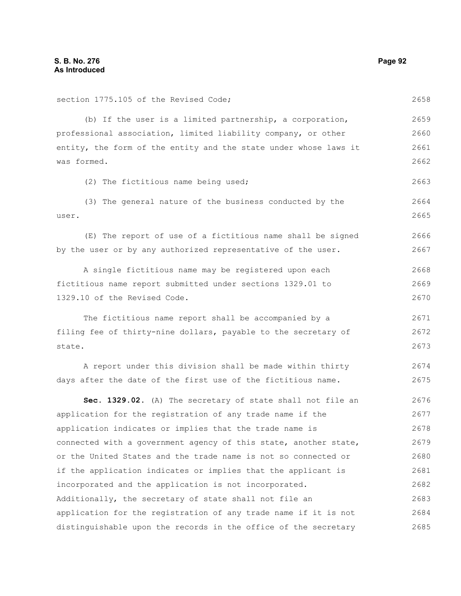section 1775.105 of the Revised Code; (b) If the user is a limited partnership, a corporation, professional association, limited liability company, or other entity, the form of the entity and the state under whose laws it was formed. (2) The fictitious name being used; (3) The general nature of the business conducted by the user. (E) The report of use of a fictitious name shall be signed by the user or by any authorized representative of the user. A single fictitious name may be registered upon each fictitious name report submitted under sections 1329.01 to 1329.10 of the Revised Code. The fictitious name report shall be accompanied by a filing fee of thirty-nine dollars, payable to the secretary of state. A report under this division shall be made within thirty days after the date of the first use of the fictitious name. **Sec. 1329.02.** (A) The secretary of state shall not file an application for the registration of any trade name if the application indicates or implies that the trade name is connected with a government agency of this state, another state, or the United States and the trade name is not so connected or if the application indicates or implies that the applicant is incorporated and the application is not incorporated. Additionally, the secretary of state shall not file an application for the registration of any trade name if it is not distinguishable upon the records in the office of the secretary 2658 2659 2660 2661 2662 2663 2664 2665 2666 2667 2668 2669 2670 2671 2672 2673 2674 2675 2676 2677 2678 2679 2680 2681 2682 2683 2684 2685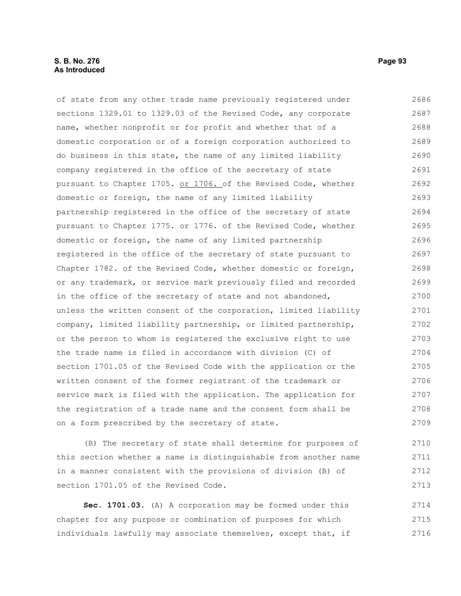# **S. B. No. 276 Page 93 As Introduced**

of state from any other trade name previously registered under sections 1329.01 to 1329.03 of the Revised Code, any corporate name, whether nonprofit or for profit and whether that of a domestic corporation or of a foreign corporation authorized to do business in this state, the name of any limited liability company registered in the office of the secretary of state pursuant to Chapter 1705. or 1706. of the Revised Code, whether domestic or foreign, the name of any limited liability partnership registered in the office of the secretary of state pursuant to Chapter 1775. or 1776. of the Revised Code, whether domestic or foreign, the name of any limited partnership registered in the office of the secretary of state pursuant to Chapter 1782. of the Revised Code, whether domestic or foreign, or any trademark, or service mark previously filed and recorded in the office of the secretary of state and not abandoned, unless the written consent of the corporation, limited liability company, limited liability partnership, or limited partnership, or the person to whom is registered the exclusive right to use the trade name is filed in accordance with division (C) of section 1701.05 of the Revised Code with the application or the written consent of the former registrant of the trademark or service mark is filed with the application. The application for the registration of a trade name and the consent form shall be on a form prescribed by the secretary of state. 2686 2687 2688 2689 2690 2691 2692 2693 2694 2695 2696 2697 2698 2699 2700 2701 2702 2703 2704 2705 2706 2707 2708 2709

(B) The secretary of state shall determine for purposes of this section whether a name is distinguishable from another name in a manner consistent with the provisions of division (B) of section 1701.05 of the Revised Code.

**Sec. 1701.03.** (A) A corporation may be formed under this chapter for any purpose or combination of purposes for which individuals lawfully may associate themselves, except that, if 2714 2715 2716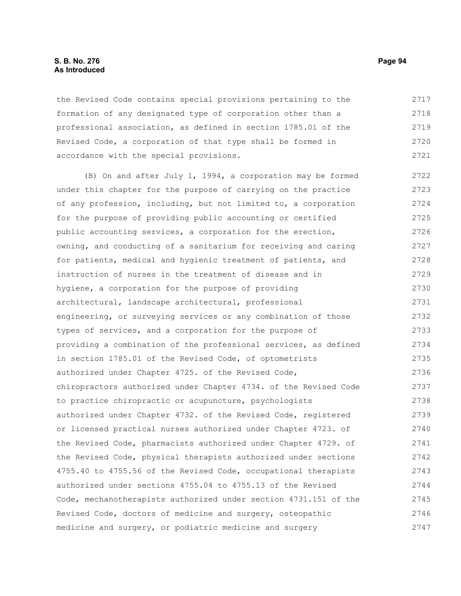### **S. B. No. 276 Page 94 As Introduced**

the Revised Code contains special provisions pertaining to the formation of any designated type of corporation other than a professional association, as defined in section 1785.01 of the Revised Code, a corporation of that type shall be formed in accordance with the special provisions. 2717 2718 2719 2720 2721

(B) On and after July 1, 1994, a corporation may be formed under this chapter for the purpose of carrying on the practice of any profession, including, but not limited to, a corporation for the purpose of providing public accounting or certified public accounting services, a corporation for the erection, owning, and conducting of a sanitarium for receiving and caring for patients, medical and hygienic treatment of patients, and instruction of nurses in the treatment of disease and in hygiene, a corporation for the purpose of providing architectural, landscape architectural, professional engineering, or surveying services or any combination of those types of services, and a corporation for the purpose of providing a combination of the professional services, as defined in section 1785.01 of the Revised Code, of optometrists authorized under Chapter 4725. of the Revised Code, chiropractors authorized under Chapter 4734. of the Revised Code to practice chiropractic or acupuncture, psychologists authorized under Chapter 4732. of the Revised Code, registered or licensed practical nurses authorized under Chapter 4723. of the Revised Code, pharmacists authorized under Chapter 4729. of the Revised Code, physical therapists authorized under sections 4755.40 to 4755.56 of the Revised Code, occupational therapists authorized under sections 4755.04 to 4755.13 of the Revised Code, mechanotherapists authorized under section 4731.151 of the Revised Code, doctors of medicine and surgery, osteopathic medicine and surgery, or podiatric medicine and surgery 2722 2723 2724 2725 2726 2727 2728 2729 2730 2731 2732 2733 2734 2735 2736 2737 2738 2739 2740 2741 2742 2743 2744 2745 2746 2747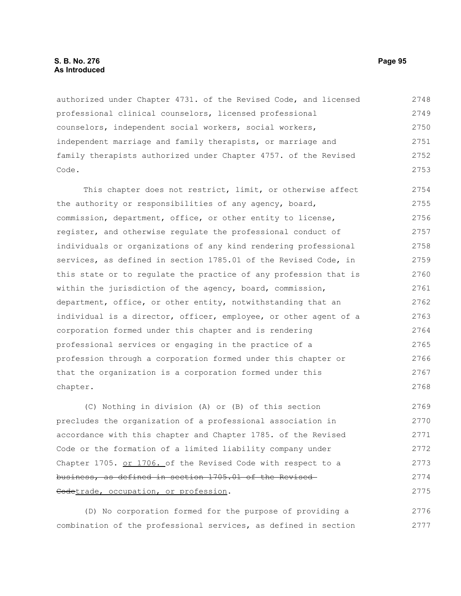authorized under Chapter 4731. of the Revised Code, and licensed professional clinical counselors, licensed professional counselors, independent social workers, social workers, independent marriage and family therapists, or marriage and family therapists authorized under Chapter 4757. of the Revised Code. 2748 2749 2750 2751 2752 2753

This chapter does not restrict, limit, or otherwise affect the authority or responsibilities of any agency, board, commission, department, office, or other entity to license, register, and otherwise regulate the professional conduct of individuals or organizations of any kind rendering professional services, as defined in section 1785.01 of the Revised Code, in this state or to regulate the practice of any profession that is within the jurisdiction of the agency, board, commission, department, office, or other entity, notwithstanding that an individual is a director, officer, employee, or other agent of a corporation formed under this chapter and is rendering professional services or engaging in the practice of a profession through a corporation formed under this chapter or that the organization is a corporation formed under this chapter. 2754 2755 2756 2757 2758 2759 2760 2761 2762 2763 2764 2765 2766 2767 2768

(C) Nothing in division (A) or (B) of this section precludes the organization of a professional association in accordance with this chapter and Chapter 1785. of the Revised Code or the formation of a limited liability company under Chapter 1705. or 1706. of the Revised Code with respect to a business, as defined in section 1705.01 of the Revised Codetrade, occupation, or profession. 2769 2770 2771 2772 2773 2774 2775

(D) No corporation formed for the purpose of providing a combination of the professional services, as defined in section 2776 2777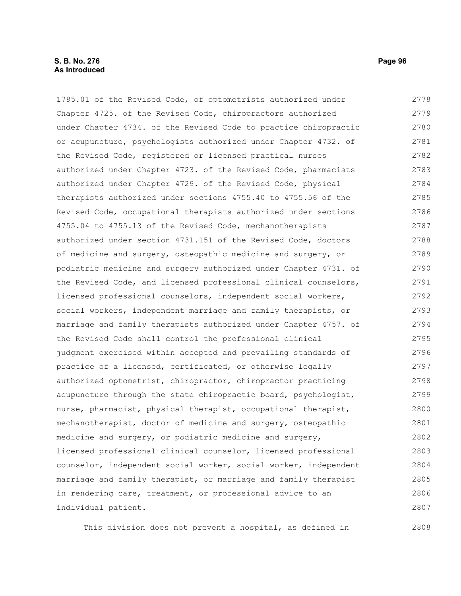# **S. B. No. 276 Page 96 As Introduced**

1785.01 of the Revised Code, of optometrists authorized under Chapter 4725. of the Revised Code, chiropractors authorized under Chapter 4734. of the Revised Code to practice chiropractic or acupuncture, psychologists authorized under Chapter 4732. of the Revised Code, registered or licensed practical nurses authorized under Chapter 4723. of the Revised Code, pharmacists authorized under Chapter 4729. of the Revised Code, physical therapists authorized under sections 4755.40 to 4755.56 of the Revised Code, occupational therapists authorized under sections 4755.04 to 4755.13 of the Revised Code, mechanotherapists authorized under section 4731.151 of the Revised Code, doctors of medicine and surgery, osteopathic medicine and surgery, or podiatric medicine and surgery authorized under Chapter 4731. of the Revised Code, and licensed professional clinical counselors, licensed professional counselors, independent social workers, social workers, independent marriage and family therapists, or marriage and family therapists authorized under Chapter 4757. of the Revised Code shall control the professional clinical judgment exercised within accepted and prevailing standards of practice of a licensed, certificated, or otherwise legally authorized optometrist, chiropractor, chiropractor practicing acupuncture through the state chiropractic board, psychologist, nurse, pharmacist, physical therapist, occupational therapist, mechanotherapist, doctor of medicine and surgery, osteopathic medicine and surgery, or podiatric medicine and surgery, licensed professional clinical counselor, licensed professional counselor, independent social worker, social worker, independent marriage and family therapist, or marriage and family therapist 2778 2779 2780 2781 2782 2783 2784 2785 2786 2787 2788 2789 2790 2791 2792 2793 2794 2795 2796 2797 2798 2799 2800 2801 2802 2803 2804 2805

This division does not prevent a hospital, as defined in

in rendering care, treatment, or professional advice to an

individual patient.

2806 2807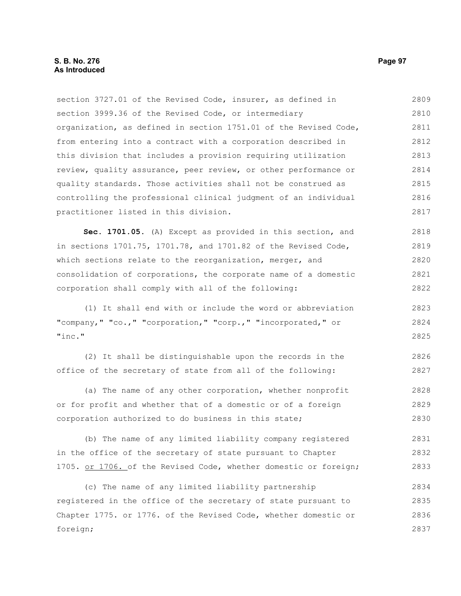section 3727.01 of the Revised Code, insurer, as defined in section 3999.36 of the Revised Code, or intermediary organization, as defined in section 1751.01 of the Revised Code, from entering into a contract with a corporation described in this division that includes a provision requiring utilization review, quality assurance, peer review, or other performance or quality standards. Those activities shall not be construed as controlling the professional clinical judgment of an individual practitioner listed in this division. 2809 2810 2811 2812 2813 2814 2815 2816 2817

**Sec. 1701.05.** (A) Except as provided in this section, and in sections 1701.75, 1701.78, and 1701.82 of the Revised Code, which sections relate to the reorganization, merger, and consolidation of corporations, the corporate name of a domestic corporation shall comply with all of the following: 2818 2819 2820 2821 2822

(1) It shall end with or include the word or abbreviation "company," "co.," "corporation," "corp.," "incorporated," or "inc." 2823 2824 2825

(2) It shall be distinguishable upon the records in the office of the secretary of state from all of the following: 2826 2827

(a) The name of any other corporation, whether nonprofit or for profit and whether that of a domestic or of a foreign corporation authorized to do business in this state; 2828 2829 2830

(b) The name of any limited liability company registered in the office of the secretary of state pursuant to Chapter 1705. or 1706. of the Revised Code, whether domestic or foreign; 2831 2832 2833

(c) The name of any limited liability partnership registered in the office of the secretary of state pursuant to Chapter 1775. or 1776. of the Revised Code, whether domestic or foreign; 2834 2835 2836 2837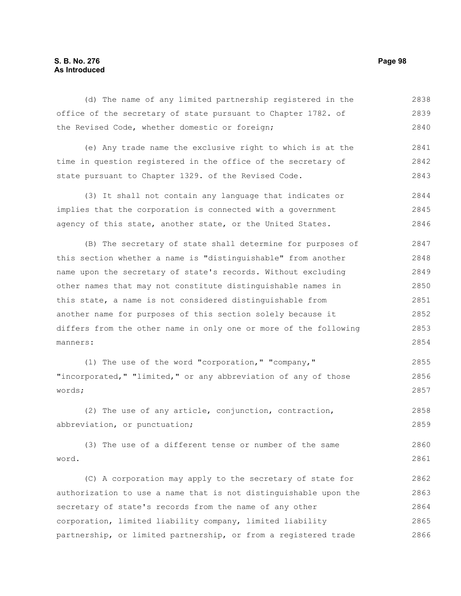# **S. B. No. 276 Page 98 As Introduced**

(d) The name of any limited partnership registered in the office of the secretary of state pursuant to Chapter 1782. of the Revised Code, whether domestic or foreign; 2838 2839 2840

(e) Any trade name the exclusive right to which is at the time in question registered in the office of the secretary of state pursuant to Chapter 1329. of the Revised Code. 2841 2842 2843

(3) It shall not contain any language that indicates or implies that the corporation is connected with a government agency of this state, another state, or the United States. 2844 2845 2846

(B) The secretary of state shall determine for purposes of this section whether a name is "distinguishable" from another name upon the secretary of state's records. Without excluding other names that may not constitute distinguishable names in this state, a name is not considered distinguishable from another name for purposes of this section solely because it differs from the other name in only one or more of the following manners: 2847 2848 2849 2850 2851 2852 2853 2854

(1) The use of the word "corporation," "company," "incorporated," "limited," or any abbreviation of any of those words; 2855 2856 2857

(2) The use of any article, conjunction, contraction, abbreviation, or punctuation; 2858 2859

(3) The use of a different tense or number of the same word. 2860 2861

(C) A corporation may apply to the secretary of state for authorization to use a name that is not distinguishable upon the secretary of state's records from the name of any other corporation, limited liability company, limited liability partnership, or limited partnership, or from a registered trade 2862 2863 2864 2865 2866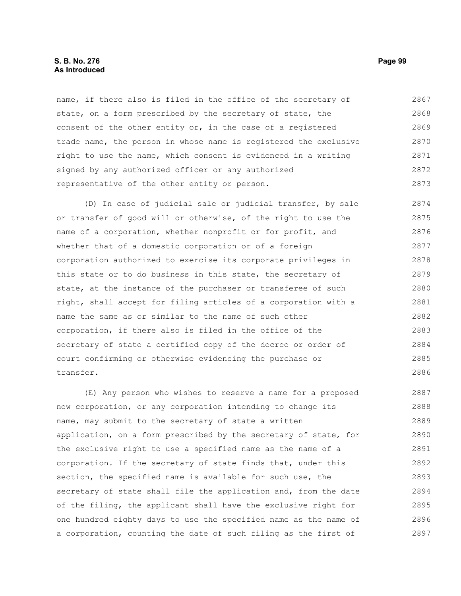# **S. B. No. 276 Page 99 As Introduced**

name, if there also is filed in the office of the secretary of state, on a form prescribed by the secretary of state, the consent of the other entity or, in the case of a registered trade name, the person in whose name is registered the exclusive right to use the name, which consent is evidenced in a writing signed by any authorized officer or any authorized representative of the other entity or person. 2867 2868 2869 2870 2871 2872 2873

(D) In case of judicial sale or judicial transfer, by sale or transfer of good will or otherwise, of the right to use the name of a corporation, whether nonprofit or for profit, and whether that of a domestic corporation or of a foreign corporation authorized to exercise its corporate privileges in this state or to do business in this state, the secretary of state, at the instance of the purchaser or transferee of such right, shall accept for filing articles of a corporation with a name the same as or similar to the name of such other corporation, if there also is filed in the office of the secretary of state a certified copy of the decree or order of court confirming or otherwise evidencing the purchase or transfer. 2874 2875 2876 2877 2878 2879 2880 2881 2882 2883 2884 2885 2886

(E) Any person who wishes to reserve a name for a proposed new corporation, or any corporation intending to change its name, may submit to the secretary of state a written application, on a form prescribed by the secretary of state, for the exclusive right to use a specified name as the name of a corporation. If the secretary of state finds that, under this section, the specified name is available for such use, the secretary of state shall file the application and, from the date of the filing, the applicant shall have the exclusive right for one hundred eighty days to use the specified name as the name of a corporation, counting the date of such filing as the first of 2887 2888 2889 2890 2891 2892 2893 2894 2895 2896 2897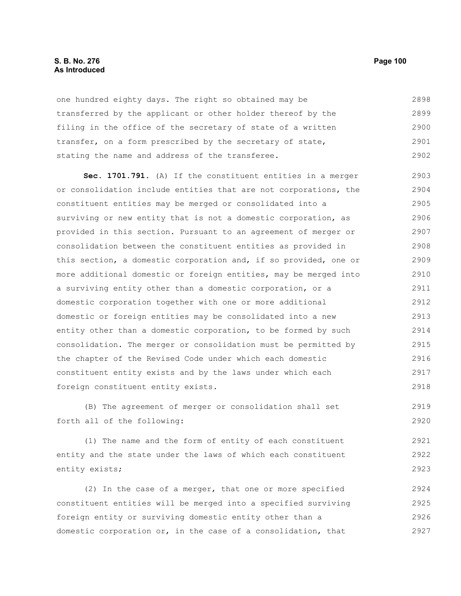#### **S. B. No. 276 Page 100 As Introduced**

one hundred eighty days. The right so obtained may be transferred by the applicant or other holder thereof by the filing in the office of the secretary of state of a written transfer, on a form prescribed by the secretary of state, stating the name and address of the transferee. 2898 2899 2900 2901 2902

**Sec. 1701.791.** (A) If the constituent entities in a merger or consolidation include entities that are not corporations, the constituent entities may be merged or consolidated into a surviving or new entity that is not a domestic corporation, as provided in this section. Pursuant to an agreement of merger or consolidation between the constituent entities as provided in this section, a domestic corporation and, if so provided, one or more additional domestic or foreign entities, may be merged into a surviving entity other than a domestic corporation, or a domestic corporation together with one or more additional domestic or foreign entities may be consolidated into a new entity other than a domestic corporation, to be formed by such consolidation. The merger or consolidation must be permitted by the chapter of the Revised Code under which each domestic constituent entity exists and by the laws under which each foreign constituent entity exists. 2903 2904 2905 2906 2907 2908 2909 2910 2911 2912 2913 2914 2915 2916 2917 2918

(B) The agreement of merger or consolidation shall set forth all of the following: 2919 2920

(1) The name and the form of entity of each constituent entity and the state under the laws of which each constituent entity exists; 2921 2922 2923

(2) In the case of a merger, that one or more specified constituent entities will be merged into a specified surviving foreign entity or surviving domestic entity other than a domestic corporation or, in the case of a consolidation, that 2924 2925 2926 2927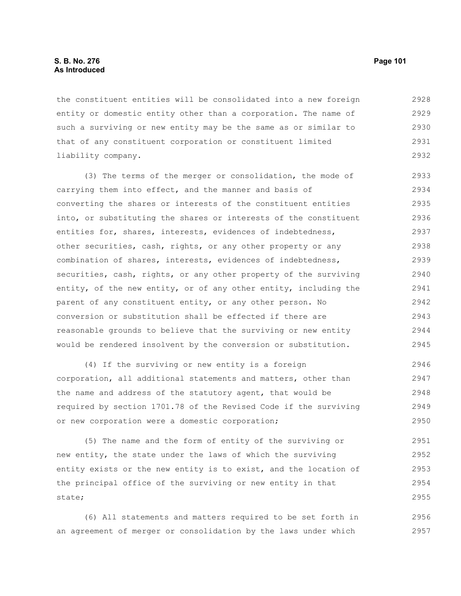the constituent entities will be consolidated into a new foreign entity or domestic entity other than a corporation. The name of such a surviving or new entity may be the same as or similar to that of any constituent corporation or constituent limited liability company. 2928 2929 2930 2931 2932

(3) The terms of the merger or consolidation, the mode of carrying them into effect, and the manner and basis of converting the shares or interests of the constituent entities into, or substituting the shares or interests of the constituent entities for, shares, interests, evidences of indebtedness, other securities, cash, rights, or any other property or any combination of shares, interests, evidences of indebtedness, securities, cash, rights, or any other property of the surviving entity, of the new entity, or of any other entity, including the parent of any constituent entity, or any other person. No conversion or substitution shall be effected if there are reasonable grounds to believe that the surviving or new entity would be rendered insolvent by the conversion or substitution. 2933 2934 2935 2936 2937 2938 2939 2940 2941 2942 2943 2944 2945

(4) If the surviving or new entity is a foreign corporation, all additional statements and matters, other than the name and address of the statutory agent, that would be required by section 1701.78 of the Revised Code if the surviving or new corporation were a domestic corporation; 2946 2947 2948 2949 2950

(5) The name and the form of entity of the surviving or new entity, the state under the laws of which the surviving entity exists or the new entity is to exist, and the location of the principal office of the surviving or new entity in that state; 2951 2952 2953 2954 2955

(6) All statements and matters required to be set forth in an agreement of merger or consolidation by the laws under which 2956 2957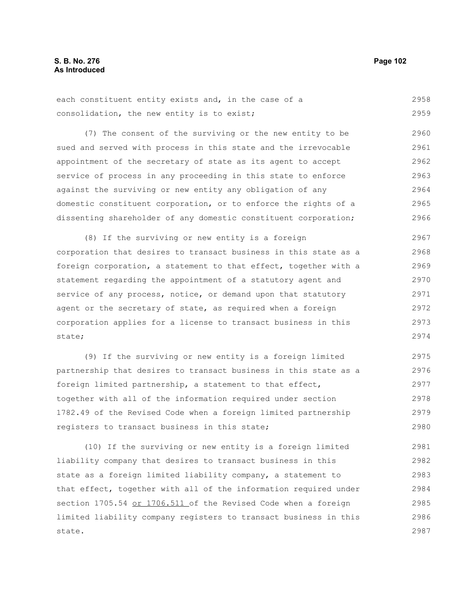each constituent entity exists and, in the case of a consolidation, the new entity is to exist; 2958 2959

(7) The consent of the surviving or the new entity to be sued and served with process in this state and the irrevocable appointment of the secretary of state as its agent to accept service of process in any proceeding in this state to enforce against the surviving or new entity any obligation of any domestic constituent corporation, or to enforce the rights of a dissenting shareholder of any domestic constituent corporation; 2960 2961 2962 2963 2964 2965 2966

(8) If the surviving or new entity is a foreign corporation that desires to transact business in this state as a foreign corporation, a statement to that effect, together with a statement regarding the appointment of a statutory agent and service of any process, notice, or demand upon that statutory agent or the secretary of state, as required when a foreign corporation applies for a license to transact business in this state; 2967 2968 2969 2970 2971 2972 2973 2974

(9) If the surviving or new entity is a foreign limited partnership that desires to transact business in this state as a foreign limited partnership, a statement to that effect, together with all of the information required under section 1782.49 of the Revised Code when a foreign limited partnership registers to transact business in this state; 2975 2976 2977 2978 2979 2980

(10) If the surviving or new entity is a foreign limited liability company that desires to transact business in this state as a foreign limited liability company, a statement to that effect, together with all of the information required under section 1705.54 or 1706.511 of the Revised Code when a foreign limited liability company registers to transact business in this state. 2981 2982 2983 2984 2985 2986 2987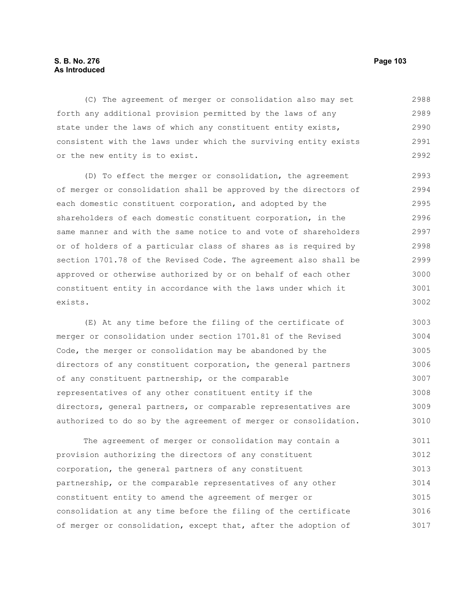# **S. B. No. 276 Page 103 As Introduced**

(C) The agreement of merger or consolidation also may set forth any additional provision permitted by the laws of any state under the laws of which any constituent entity exists, consistent with the laws under which the surviving entity exists or the new entity is to exist. 2988 2989 2990 2991 2992

(D) To effect the merger or consolidation, the agreement of merger or consolidation shall be approved by the directors of each domestic constituent corporation, and adopted by the shareholders of each domestic constituent corporation, in the same manner and with the same notice to and vote of shareholders or of holders of a particular class of shares as is required by section 1701.78 of the Revised Code. The agreement also shall be approved or otherwise authorized by or on behalf of each other constituent entity in accordance with the laws under which it exists. 2993 2994 2995 2996 2997 2998 2999 3000 3001 3002

(E) At any time before the filing of the certificate of merger or consolidation under section 1701.81 of the Revised Code, the merger or consolidation may be abandoned by the directors of any constituent corporation, the general partners of any constituent partnership, or the comparable representatives of any other constituent entity if the directors, general partners, or comparable representatives are authorized to do so by the agreement of merger or consolidation. 3003 3004 3005 3006 3007 3008 3009 3010

The agreement of merger or consolidation may contain a provision authorizing the directors of any constituent corporation, the general partners of any constituent partnership, or the comparable representatives of any other constituent entity to amend the agreement of merger or consolidation at any time before the filing of the certificate of merger or consolidation, except that, after the adoption of 3011 3012 3013 3014 3015 3016 3017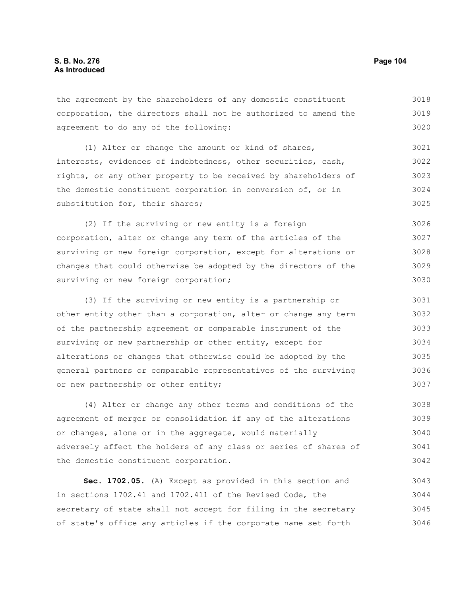the agreement by the shareholders of any domestic constituent corporation, the directors shall not be authorized to amend the agreement to do any of the following: 3018 3019 3020

(1) Alter or change the amount or kind of shares, interests, evidences of indebtedness, other securities, cash, rights, or any other property to be received by shareholders of the domestic constituent corporation in conversion of, or in substitution for, their shares; 3021 3022 3023 3024 3025

(2) If the surviving or new entity is a foreign corporation, alter or change any term of the articles of the surviving or new foreign corporation, except for alterations or changes that could otherwise be adopted by the directors of the surviving or new foreign corporation; 3026 3027 3028 3029 3030

(3) If the surviving or new entity is a partnership or other entity other than a corporation, alter or change any term of the partnership agreement or comparable instrument of the surviving or new partnership or other entity, except for alterations or changes that otherwise could be adopted by the general partners or comparable representatives of the surviving or new partnership or other entity; 3031 3032 3033 3034 3035 3036 3037

(4) Alter or change any other terms and conditions of the agreement of merger or consolidation if any of the alterations or changes, alone or in the aggregate, would materially adversely affect the holders of any class or series of shares of the domestic constituent corporation. 3038 3039 3040 3041 3042

**Sec. 1702.05.** (A) Except as provided in this section and in sections 1702.41 and 1702.411 of the Revised Code, the secretary of state shall not accept for filing in the secretary of state's office any articles if the corporate name set forth 3043 3044 3045 3046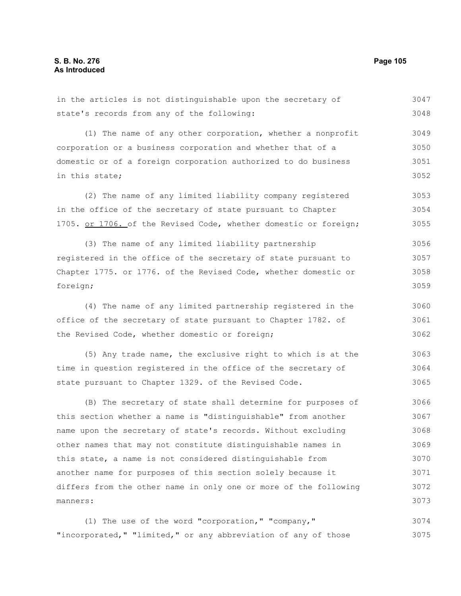| in the articles is not distinguishable upon the secretary of     | 3047 |
|------------------------------------------------------------------|------|
| state's records from any of the following:                       | 3048 |
| (1) The name of any other corporation, whether a nonprofit       | 3049 |
|                                                                  |      |
| corporation or a business corporation and whether that of a      | 3050 |
| domestic or of a foreign corporation authorized to do business   | 3051 |
| in this state;                                                   | 3052 |
| (2) The name of any limited liability company registered         | 3053 |
| in the office of the secretary of state pursuant to Chapter      | 3054 |
| 1705. or 1706. of the Revised Code, whether domestic or foreign; | 3055 |
| (3) The name of any limited liability partnership                | 3056 |
| registered in the office of the secretary of state pursuant to   | 3057 |
| Chapter 1775. or 1776. of the Revised Code, whether domestic or  | 3058 |
| foreign;                                                         | 3059 |
| (4) The name of any limited partnership registered in the        | 3060 |
| office of the secretary of state pursuant to Chapter 1782. of    | 3061 |
| the Revised Code, whether domestic or foreign;                   | 3062 |
| (5) Any trade name, the exclusive right to which is at the       | 3063 |
| time in question registered in the office of the secretary of    | 3064 |
| state pursuant to Chapter 1329. of the Revised Code.             | 3065 |
| (B) The secretary of state shall determine for purposes of       | 3066 |
| this section whether a name is "distinguishable" from another    | 3067 |
| name upon the secretary of state's records. Without excluding    | 3068 |
| other names that may not constitute distinguishable names in     | 3069 |

this state, a name is not considered distinguishable from another name for purposes of this section solely because it differs from the other name in only one or more of the following manners: 3070 3071 3072 3073

(1) The use of the word "corporation," "company," "incorporated," "limited," or any abbreviation of any of those 3074 3075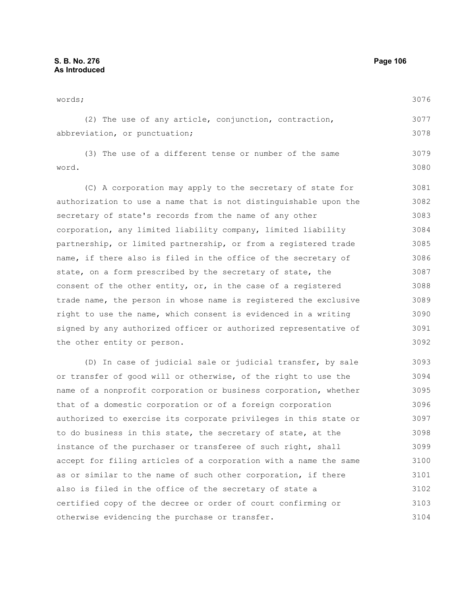words; (2) The use of any article, conjunction, contraction, abbreviation, or punctuation; (3) The use of a different tense or number of the same word. (C) A corporation may apply to the secretary of state for authorization to use a name that is not distinguishable upon the secretary of state's records from the name of any other corporation, any limited liability company, limited liability partnership, or limited partnership, or from a registered trade name, if there also is filed in the office of the secretary of state, on a form prescribed by the secretary of state, the consent of the other entity, or, in the case of a registered trade name, the person in whose name is registered the exclusive right to use the name, which consent is evidenced in a writing signed by any authorized officer or authorized representative of the other entity or person. (D) In case of judicial sale or judicial transfer, by sale or transfer of good will or otherwise, of the right to use the name of a nonprofit corporation or business corporation, whether that of a domestic corporation or of a foreign corporation authorized to exercise its corporate privileges in this state or to do business in this state, the secretary of state, at the instance of the purchaser or transferee of such right, shall accept for filing articles of a corporation with a name the same as or similar to the name of such other corporation, if there 3076 3077 3078 3079 3080 3081 3082 3083 3084 3085 3086 3087 3088 3089 3090 3091 3092 3093 3094 3095 3096 3097 3098 3099 3100 3101

also is filed in the office of the secretary of state a certified copy of the decree or order of court confirming or otherwise evidencing the purchase or transfer. 3102 3103 3104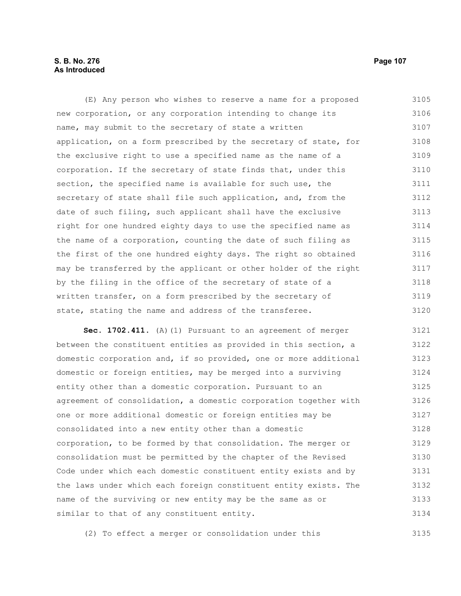# **S. B. No. 276 Page 107 As Introduced**

(E) Any person who wishes to reserve a name for a proposed new corporation, or any corporation intending to change its name, may submit to the secretary of state a written application, on a form prescribed by the secretary of state, for the exclusive right to use a specified name as the name of a corporation. If the secretary of state finds that, under this section, the specified name is available for such use, the secretary of state shall file such application, and, from the date of such filing, such applicant shall have the exclusive right for one hundred eighty days to use the specified name as the name of a corporation, counting the date of such filing as the first of the one hundred eighty days. The right so obtained may be transferred by the applicant or other holder of the right by the filing in the office of the secretary of state of a written transfer, on a form prescribed by the secretary of state, stating the name and address of the transferee. 3105 3106 3107 3108 3109 3110 3111 3112 3113 3114 3115 3116 3117 3118 3119 3120

**Sec. 1702.411.** (A)(1) Pursuant to an agreement of merger between the constituent entities as provided in this section, a domestic corporation and, if so provided, one or more additional domestic or foreign entities, may be merged into a surviving entity other than a domestic corporation. Pursuant to an agreement of consolidation, a domestic corporation together with one or more additional domestic or foreign entities may be consolidated into a new entity other than a domestic corporation, to be formed by that consolidation. The merger or consolidation must be permitted by the chapter of the Revised Code under which each domestic constituent entity exists and by the laws under which each foreign constituent entity exists. The name of the surviving or new entity may be the same as or similar to that of any constituent entity. 3121 3122 3123 3124 3125 3126 3127 3128 3129 3130 3131 3132 3133 3134

(2) To effect a merger or consolidation under this 3135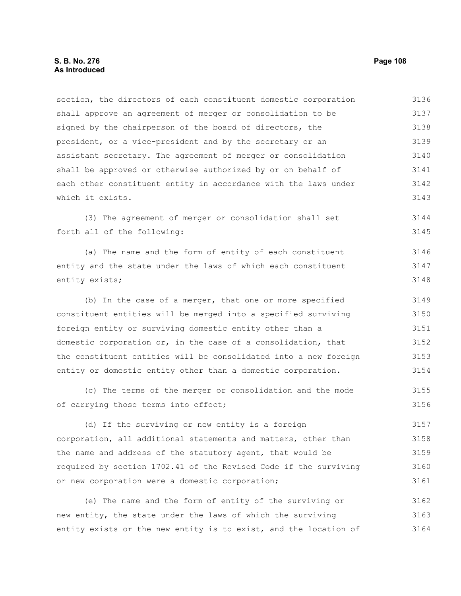section, the directors of each constituent domestic corporation shall approve an agreement of merger or consolidation to be signed by the chairperson of the board of directors, the president, or a vice-president and by the secretary or an assistant secretary. The agreement of merger or consolidation shall be approved or otherwise authorized by or on behalf of each other constituent entity in accordance with the laws under which it exists. (3) The agreement of merger or consolidation shall set forth all of the following: (a) The name and the form of entity of each constituent entity and the state under the laws of which each constituent entity exists; (b) In the case of a merger, that one or more specified constituent entities will be merged into a specified surviving foreign entity or surviving domestic entity other than a domestic corporation or, in the case of a consolidation, that the constituent entities will be consolidated into a new foreign entity or domestic entity other than a domestic corporation. (c) The terms of the merger or consolidation and the mode of carrying those terms into effect; (d) If the surviving or new entity is a foreign corporation, all additional statements and matters, other than the name and address of the statutory agent, that would be required by section 1702.41 of the Revised Code if the surviving or new corporation were a domestic corporation; (e) The name and the form of entity of the surviving or 3136 3137 3138 3139 3140 3141 3142 3143 3144 3145 3146 3147 3148 3149 3150 3151 3152 3153 3154 3155 3156 3157 3158 3159 3160 3161 3162

new entity, the state under the laws of which the surviving entity exists or the new entity is to exist, and the location of 3163 3164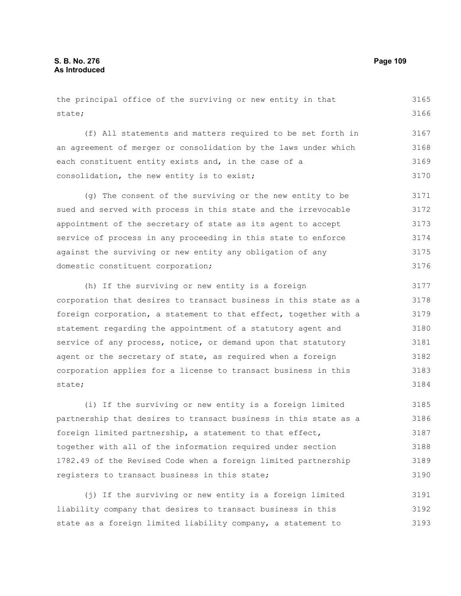| the principal office of the surviving or new entity in that      | 3165 |
|------------------------------------------------------------------|------|
| state;                                                           | 3166 |
| (f) All statements and matters required to be set forth in       | 3167 |
|                                                                  |      |
| an agreement of merger or consolidation by the laws under which  | 3168 |
| each constituent entity exists and, in the case of a             | 3169 |
| consolidation, the new entity is to exist;                       | 3170 |
| (g) The consent of the surviving or the new entity to be         | 3171 |
| sued and served with process in this state and the irrevocable   | 3172 |
| appointment of the secretary of state as its agent to accept     | 3173 |
| service of process in any proceeding in this state to enforce    | 3174 |
| against the surviving or new entity any obligation of any        | 3175 |
| domestic constituent corporation;                                | 3176 |
| (h) If the surviving or new entity is a foreign                  | 3177 |
| corporation that desires to transact business in this state as a | 3178 |
| foreign corporation, a statement to that effect, together with a | 3179 |
| statement regarding the appointment of a statutory agent and     | 3180 |
| service of any process, notice, or demand upon that statutory    | 3181 |
| agent or the secretary of state, as required when a foreign      | 3182 |
| corporation applies for a license to transact business in this   | 3183 |
| state;                                                           | 3184 |
| (i) If the surviving or new entity is a foreign limited          | 3185 |

partnership that desires to transact business in this state as a foreign limited partnership, a statement to that effect, together with all of the information required under section 1782.49 of the Revised Code when a foreign limited partnership registers to transact business in this state; 3186 3187 3188 3189 3190

(j) If the surviving or new entity is a foreign limited liability company that desires to transact business in this state as a foreign limited liability company, a statement to 3191 3192 3193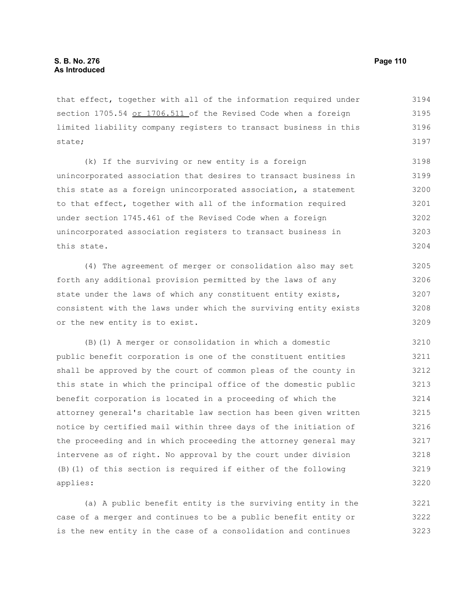that effect, together with all of the information required under section 1705.54 or 1706.511 of the Revised Code when a foreign limited liability company registers to transact business in this state; 3194 3195 3196 3197

(k) If the surviving or new entity is a foreign unincorporated association that desires to transact business in this state as a foreign unincorporated association, a statement to that effect, together with all of the information required under section 1745.461 of the Revised Code when a foreign unincorporated association registers to transact business in this state. 3198 3199 3200 3201 3202 3203 3204

(4) The agreement of merger or consolidation also may set forth any additional provision permitted by the laws of any state under the laws of which any constituent entity exists, consistent with the laws under which the surviving entity exists or the new entity is to exist. 3205 3206 3207 3208 3209

(B)(1) A merger or consolidation in which a domestic public benefit corporation is one of the constituent entities shall be approved by the court of common pleas of the county in this state in which the principal office of the domestic public benefit corporation is located in a proceeding of which the attorney general's charitable law section has been given written notice by certified mail within three days of the initiation of the proceeding and in which proceeding the attorney general may intervene as of right. No approval by the court under division (B)(1) of this section is required if either of the following applies: 3210 3211 3212 3213 3214 3215 3216 3217 3218 3219 3220

(a) A public benefit entity is the surviving entity in the case of a merger and continues to be a public benefit entity or is the new entity in the case of a consolidation and continues 3221 3222 3223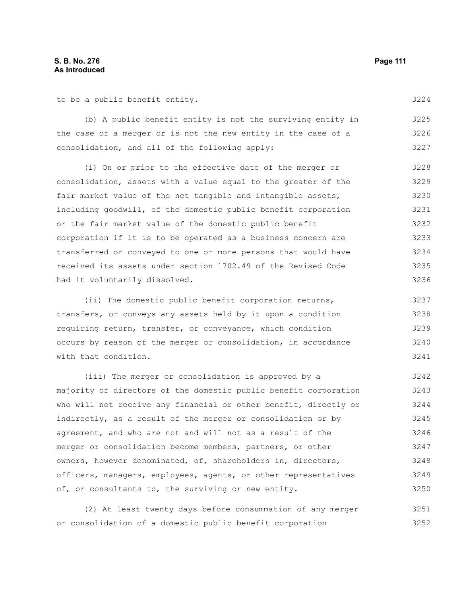to be a public benefit entity.

(b) A public benefit entity is not the surviving entity in the case of a merger or is not the new entity in the case of a consolidation, and all of the following apply: 3225 3226 3227

(i) On or prior to the effective date of the merger or consolidation, assets with a value equal to the greater of the fair market value of the net tangible and intangible assets, including goodwill, of the domestic public benefit corporation or the fair market value of the domestic public benefit corporation if it is to be operated as a business concern are transferred or conveyed to one or more persons that would have received its assets under section 1702.49 of the Revised Code had it voluntarily dissolved. 3228 3229 3230 3231 3232 3233 3234 3235 3236

(ii) The domestic public benefit corporation returns, transfers, or conveys any assets held by it upon a condition requiring return, transfer, or conveyance, which condition occurs by reason of the merger or consolidation, in accordance with that condition. 3237 3238 3239 3240 3241

(iii) The merger or consolidation is approved by a majority of directors of the domestic public benefit corporation who will not receive any financial or other benefit, directly or indirectly, as a result of the merger or consolidation or by agreement, and who are not and will not as a result of the merger or consolidation become members, partners, or other owners, however denominated, of, shareholders in, directors, officers, managers, employees, agents, or other representatives of, or consultants to, the surviving or new entity. 3242 3243 3244 3245 3246 3247 3248 3249 3250

(2) At least twenty days before consummation of any merger or consolidation of a domestic public benefit corporation 3251 3252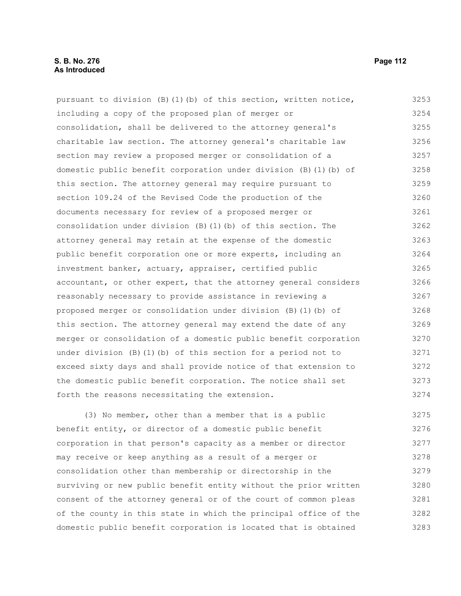## **S. B. No. 276 Page 112 As Introduced**

pursuant to division  $(B)(1)(b)$  of this section, written notice, including a copy of the proposed plan of merger or consolidation, shall be delivered to the attorney general's charitable law section. The attorney general's charitable law section may review a proposed merger or consolidation of a domestic public benefit corporation under division (B)(1)(b) of this section. The attorney general may require pursuant to section 109.24 of the Revised Code the production of the documents necessary for review of a proposed merger or consolidation under division (B)(1)(b) of this section. The attorney general may retain at the expense of the domestic public benefit corporation one or more experts, including an investment banker, actuary, appraiser, certified public accountant, or other expert, that the attorney general considers reasonably necessary to provide assistance in reviewing a proposed merger or consolidation under division (B)(1)(b) of this section. The attorney general may extend the date of any merger or consolidation of a domestic public benefit corporation under division (B)(1)(b) of this section for a period not to exceed sixty days and shall provide notice of that extension to the domestic public benefit corporation. The notice shall set forth the reasons necessitating the extension. 3253 3254 3255 3256 3257 3258 3259 3260 3261 3262 3263 3264 3265 3266 3267 3268 3269 3270 3271 3272 3273 3274

(3) No member, other than a member that is a public benefit entity, or director of a domestic public benefit corporation in that person's capacity as a member or director may receive or keep anything as a result of a merger or consolidation other than membership or directorship in the surviving or new public benefit entity without the prior written consent of the attorney general or of the court of common pleas of the county in this state in which the principal office of the domestic public benefit corporation is located that is obtained 3275 3276 3277 3278 3279 3280 3281 3282 3283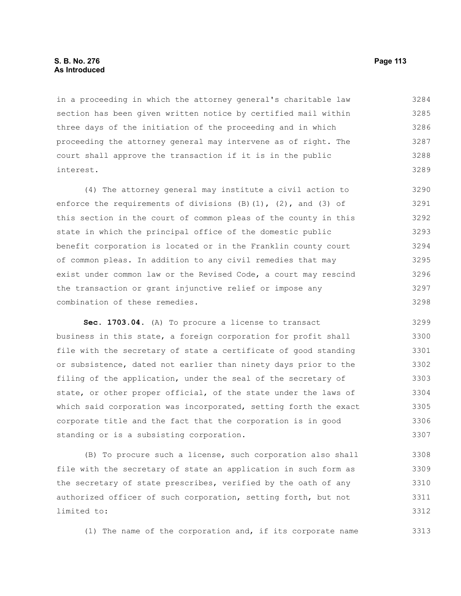## **S. B. No. 276 Page 113 As Introduced**

in a proceeding in which the attorney general's charitable law section has been given written notice by certified mail within three days of the initiation of the proceeding and in which proceeding the attorney general may intervene as of right. The court shall approve the transaction if it is in the public interest. 3284 3285 3286 3287 3288 3289

(4) The attorney general may institute a civil action to enforce the requirements of divisions  $(B)$   $(1)$ ,  $(2)$ , and  $(3)$  of this section in the court of common pleas of the county in this state in which the principal office of the domestic public benefit corporation is located or in the Franklin county court of common pleas. In addition to any civil remedies that may exist under common law or the Revised Code, a court may rescind the transaction or grant injunctive relief or impose any combination of these remedies. 3290 3291 3292 3293 3294 3295 3296 3297 3298

**Sec. 1703.04.** (A) To procure a license to transact business in this state, a foreign corporation for profit shall file with the secretary of state a certificate of good standing or subsistence, dated not earlier than ninety days prior to the filing of the application, under the seal of the secretary of state, or other proper official, of the state under the laws of which said corporation was incorporated, setting forth the exact corporate title and the fact that the corporation is in good standing or is a subsisting corporation. 3299 3300 3301 3302 3303 3304 3305 3306 3307

(B) To procure such a license, such corporation also shall file with the secretary of state an application in such form as the secretary of state prescribes, verified by the oath of any authorized officer of such corporation, setting forth, but not limited to: 3308 3309 3310 3311 3312

(1) The name of the corporation and, if its corporate name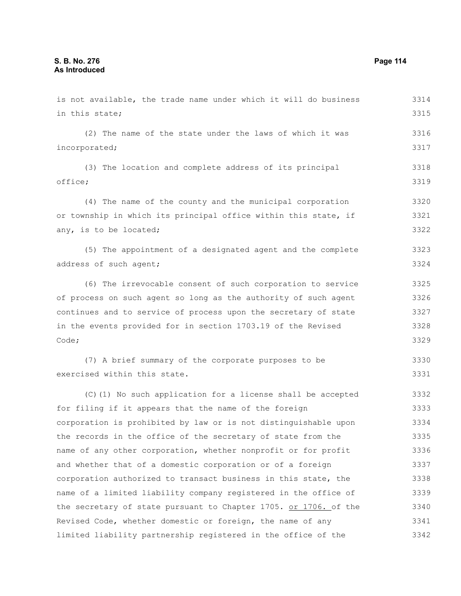is not available, the trade name under which it will do business in this state; (2) The name of the state under the laws of which it was incorporated; (3) The location and complete address of its principal office; (4) The name of the county and the municipal corporation or township in which its principal office within this state, if any, is to be located; (5) The appointment of a designated agent and the complete address of such agent; (6) The irrevocable consent of such corporation to service of process on such agent so long as the authority of such agent continues and to service of process upon the secretary of state in the events provided for in section 1703.19 of the Revised Code; (7) A brief summary of the corporate purposes to be exercised within this state. (C)(1) No such application for a license shall be accepted for filing if it appears that the name of the foreign corporation is prohibited by law or is not distinguishable upon the records in the office of the secretary of state from the name of any other corporation, whether nonprofit or for profit and whether that of a domestic corporation or of a foreign corporation authorized to transact business in this state, the name of a limited liability company registered in the office of the secretary of state pursuant to Chapter 1705. or 1706. of the 3314 3315 3316 3317 3318 3319 3320 3321 3322 3323 3324 3325 3326 3327 3328 3329 3330 3331 3332 3333 3334 3335 3336 3337 3338 3339 3340

Revised Code, whether domestic or foreign, the name of any limited liability partnership registered in the office of the 3341 3342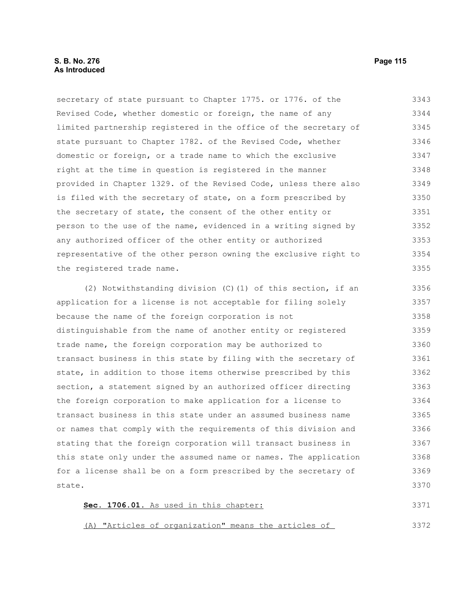## **S. B. No. 276 Page 115 As Introduced**

secretary of state pursuant to Chapter 1775. or 1776. of the Revised Code, whether domestic or foreign, the name of any limited partnership registered in the office of the secretary of state pursuant to Chapter 1782. of the Revised Code, whether domestic or foreign, or a trade name to which the exclusive right at the time in question is registered in the manner provided in Chapter 1329. of the Revised Code, unless there also is filed with the secretary of state, on a form prescribed by the secretary of state, the consent of the other entity or person to the use of the name, evidenced in a writing signed by any authorized officer of the other entity or authorized representative of the other person owning the exclusive right to the registered trade name. 3343 3344 3345 3346 3347 3348 3349 3350 3351 3352 3353 3354 3355

(2) Notwithstanding division (C)(1) of this section, if an application for a license is not acceptable for filing solely because the name of the foreign corporation is not distinguishable from the name of another entity or registered trade name, the foreign corporation may be authorized to transact business in this state by filing with the secretary of state, in addition to those items otherwise prescribed by this section, a statement signed by an authorized officer directing the foreign corporation to make application for a license to transact business in this state under an assumed business name or names that comply with the requirements of this division and stating that the foreign corporation will transact business in this state only under the assumed name or names. The application for a license shall be on a form prescribed by the secretary of state. 3356 3357 3358 3359 3360 3361 3362 3363 3364 3365 3366 3367 3368 3369 3370

| Sec. 1706.01. As used in this chapter:               |  |  |  |  | 3371 |
|------------------------------------------------------|--|--|--|--|------|
|                                                      |  |  |  |  |      |
|                                                      |  |  |  |  |      |
| (A) "Articles of organization" means the articles of |  |  |  |  | 3372 |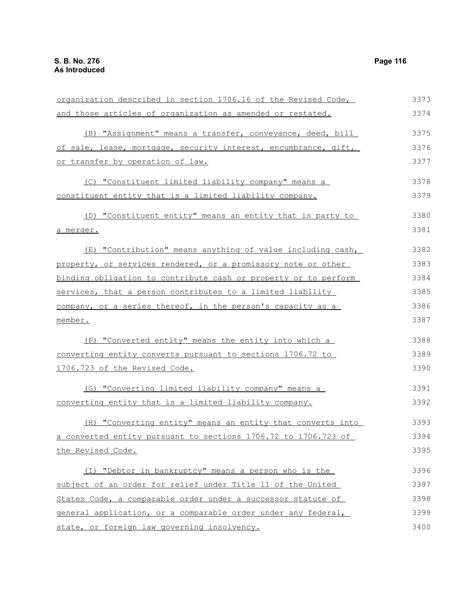| organization described in section 1706.16 of the Revised Code,    | 3373 |
|-------------------------------------------------------------------|------|
| and those articles of organization as amended or restated.        | 3374 |
| (B) "Assignment" means a transfer, conveyance, deed, bill         | 3375 |
| of sale, lease, mortgage, security interest, encumbrance, gift,   | 3376 |
| or transfer by operation of law.                                  | 3377 |
| (C) "Constituent limited liability company" means a               | 3378 |
| constituent entity that is a limited liability company.           | 3379 |
| (D) "Constituent entity" means an entity that is party to         | 3380 |
| a merger.                                                         | 3381 |
| (E) "Contribution" means anything of value including cash,        | 3382 |
| property, or services rendered, or a promissory note or other     | 3383 |
| binding obligation to contribute cash or property or to perform   | 3384 |
| services, that a person contributes to a limited liability        | 3385 |
| company, or a series thereof, in the person's capacity as a       | 3386 |
| member.                                                           | 3387 |
| (F) "Converted entity" means the entity into which a              | 3388 |
| <u>converting entity converts pursuant to sections 1706.72 to</u> | 3389 |
| 1706.723 of the Revised Code.                                     | 3390 |
| (G) "Converting limited liability company" means a                | 3391 |
| converting entity that is a limited liability company.            | 3392 |
| (H) "Converting entity" means an entity that converts into        | 3393 |
| a converted entity pursuant to sections 1706.72 to 1706.723 of    | 3394 |
| the Revised Code.                                                 | 3395 |
| (I) "Debtor in bankruptcy" means a person who is the              | 3396 |
| subject of an order for relief under Title 11 of the United       | 3397 |
| States Code, a comparable order under a successor statute of      | 3398 |
| general application, or a comparable order under any federal,     | 3399 |
| state, or foreign law governing insolvency.                       | 3400 |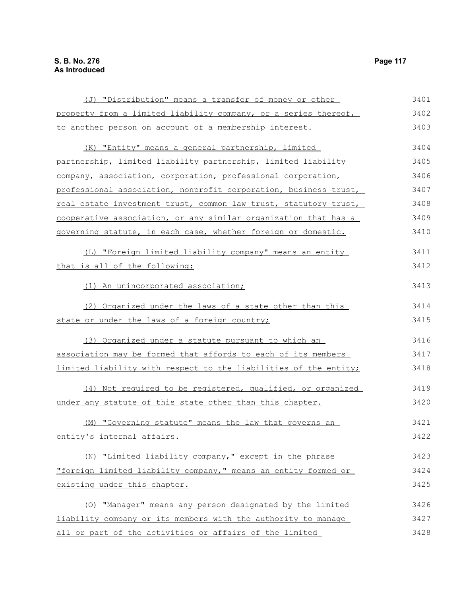(J) "Distribution" means a transfer of money or other property from a limited liability company, or a series thereof, to another person on account of a membership interest. (K) "Entity" means a general partnership, limited partnership, limited liability partnership, limited liability company, association, corporation, professional corporation, professional association, nonprofit corporation, business trust, real estate investment trust, common law trust, statutory trust, cooperative association, or any similar organization that has a governing statute, in each case, whether foreign or domestic. (L) "Foreign limited liability company" means an entity that is all of the following: (1) An unincorporated association; (2) Organized under the laws of a state other than this state or under the laws of a foreign country; (3) Organized under a statute pursuant to which an association may be formed that affords to each of its members limited liability with respect to the liabilities of the entity; (4) Not required to be registered, qualified, or organized under any statute of this state other than this chapter. (M) "Governing statute" means the law that governs an entity's internal affairs. (N) "Limited liability company," except in the phrase "foreign limited liability company," means an entity formed or existing under this chapter. (O) "Manager" means any person designated by the limited liability company or its members with the authority to manage 3401 3402 3403 3404 3405 3406 3407 3408 3409 3410 3411 3412 3413 3414 3415 3416 3417 3418 3419 3420 3421 3422 3423 3424 3425 3426 3427

all or part of the activities or affairs of the limited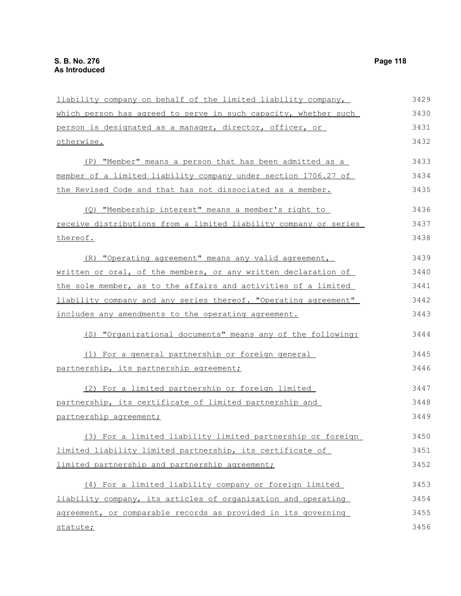liability company on behalf of the limited liability company, which person has agreed to serve in such capacity, whether such person is designated as a manager, director, officer, or otherwise. (P) "Member" means a person that has been admitted as a member of a limited liability company under section 1706.27 of the Revised Code and that has not dissociated as a member. (Q) "Membership interest" means a member's right to receive distributions from a limited liability company or series thereof. (R) "Operating agreement" means any valid agreement, written or oral, of the members, or any written declaration of the sole member, as to the affairs and activities of a limited liability company and any series thereof. "Operating agreement" includes any amendments to the operating agreement. (S) "Organizational documents" means any of the following: (1) For a general partnership or foreign general partnership, its partnership agreement; (2) For a limited partnership or foreign limited partnership, its certificate of limited partnership and partnership agreement; (3) For a limited liability limited partnership or foreign limited liability limited partnership, its certificate of limited partnership and partnership agreement; (4) For a limited liability company or foreign limited liability company, its articles of organization and operating agreement, or comparable records as provided in its governing 3429 3430 3431 3432 3433 3434 3435 3436 3437 3438 3439 3440 3441 3442 3443 3444 3445 3446 3447 3448 3449 3450 3451 3452 3453 3454 3455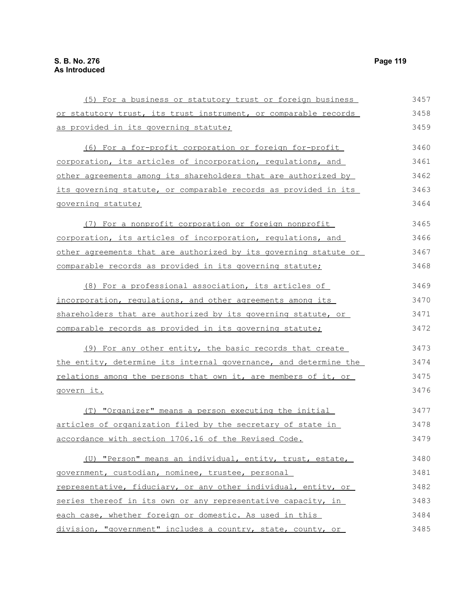(5) For a business or statutory trust or foreign business or statutory trust, its trust instrument, or comparable records as provided in its governing statute; (6) For a for-profit corporation or foreign for-profit corporation, its articles of incorporation, regulations, and other agreements among its shareholders that are authorized by its governing statute, or comparable records as provided in its governing statute; (7) For a nonprofit corporation or foreign nonprofit corporation, its articles of incorporation, regulations, and other agreements that are authorized by its governing statute or comparable records as provided in its governing statute; (8) For a professional association, its articles of incorporation, regulations, and other agreements among its shareholders that are authorized by its governing statute, or comparable records as provided in its governing statute; (9) For any other entity, the basic records that create the entity, determine its internal governance, and determine the relations among the persons that own it, are members of it, or govern it. (T) "Organizer" means a person executing the initial articles of organization filed by the secretary of state in accordance with section 1706.16 of the Revised Code. (U) "Person" means an individual, entity, trust, estate, government, custodian, nominee, trustee, personal representative, fiduciary, or any other individual, entity, or series thereof in its own or any representative capacity, in each case, whether foreign or domestic. As used in this division, "government" includes a country, state, county, or 3457 3458 3459 3460 3461 3462 3463 3464 3465 3466 3467 3468 3469 3470 3471 3472 3473 3474 3475 3476 3477 3478 3479 3480 3481 3482 3483 3484 3485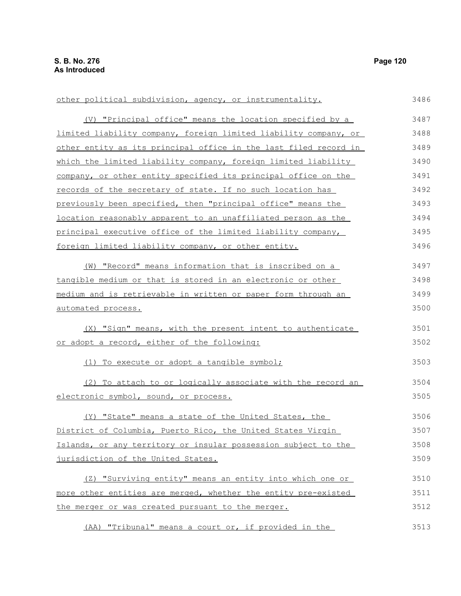(V) "Principal office" means the location specified by a limited liability company, foreign limited liability company, or other entity as its principal office in the last filed record in which the limited liability company, foreign limited liability company, or other entity specified its principal office on the records of the secretary of state. If no such location has previously been specified, then "principal office" means the location reasonably apparent to an unaffiliated person as the principal executive office of the limited liability company, foreign limited liability company, or other entity. (W) "Record" means information that is inscribed on a tangible medium or that is stored in an electronic or other medium and is retrievable in written or paper form through an automated process. (X) "Sign" means, with the present intent to authenticate or adopt a record, either of the following: (1) To execute or adopt a tangible symbol; (2) To attach to or logically associate with the record an electronic symbol, sound, or process. (Y) "State" means a state of the United States, the District of Columbia, Puerto Rico, the United States Virgin Islands, or any territory or insular possession subject to the jurisdiction of the United States. (Z) "Surviving entity" means an entity into which one or more other entities are merged, whether the entity pre-existed 3487 3488 3489 3490 3491 3492 3493 3494 3495 3496 3497 3498 3499 3500 3501 3502 3503 3504 3505 3506 3507 3508 3509 3510 3511

other political subdivision, agency, or instrumentality.

(AA) "Tribunal" means a court or, if provided in the 3513

the merger or was created pursuant to the merger.

3486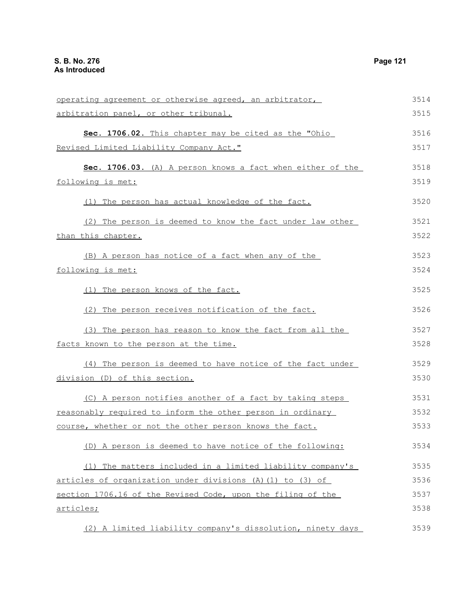| operating agreement or otherwise agreed, an arbitrator,     | 3514 |
|-------------------------------------------------------------|------|
| arbitration panel, or other tribunal.                       | 3515 |
| Sec. 1706.02. This chapter may be cited as the "Ohio        | 3516 |
| Revised Limited Liability Company Act."                     | 3517 |
| Sec. 1706.03. (A) A person knows a fact when either of the  | 3518 |
| following is met:                                           | 3519 |
|                                                             |      |
| (1) The person has actual knowledge of the fact.            | 3520 |
| (2) The person is deemed to know the fact under law other   | 3521 |
| than this chapter.                                          | 3522 |
| (B) A person has notice of a fact when any of the           | 3523 |
| following is met:                                           | 3524 |
| (1) The person knows of the fact.                           | 3525 |
|                                                             |      |
| (2) The person receives notification of the fact.           | 3526 |
| (3) The person has reason to know the fact from all the     | 3527 |
| facts known to the person at the time.                      | 3528 |
| (4) The person is deemed to have notice of the fact under   | 3529 |
| division (D) of this section.                               | 3530 |
| (C) A person notifies another of a fact by taking steps     | 3531 |
| reasonably required to inform the other person in ordinary  | 3532 |
| course, whether or not the other person knows the fact.     | 3533 |
| (D) A person is deemed to have notice of the following:     | 3534 |
|                                                             |      |
| (1) The matters included in a limited liability company's   | 3535 |
| articles of organization under divisions (A) (1) to (3) of  | 3536 |
| section 1706.16 of the Revised Code, upon the filing of the | 3537 |
| articles;                                                   | 3538 |
|                                                             |      |

(2) A limited liability company's dissolution, ninety days 3539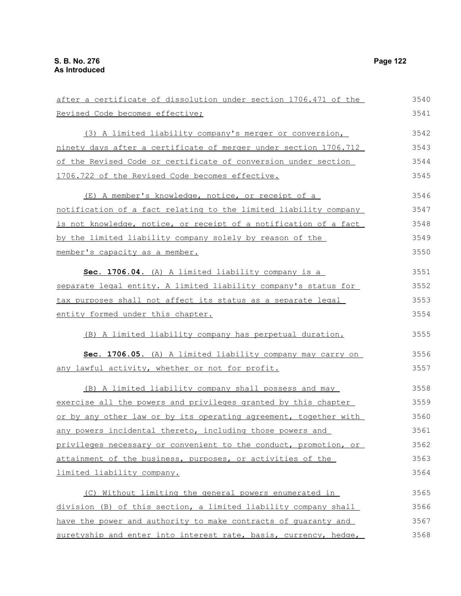| after a certificate of dissolution under section 1706.471 of the | 3540 |
|------------------------------------------------------------------|------|
| Revised Code becomes effective;                                  | 3541 |
| (3) A limited liability company's merger or conversion,          | 3542 |
| ninety days after a certificate of merger under section 1706.712 | 3543 |
| of the Revised Code or certificate of conversion under section   | 3544 |
| 1706.722 of the Revised Code becomes effective.                  | 3545 |
| (E) A member's knowledge, notice, or receipt of a                | 3546 |
| notification of a fact relating to the limited liability company | 3547 |
| is not knowledge, notice, or receipt of a notification of a fact | 3548 |
| by the limited liability company solely by reason of the         | 3549 |
| member's capacity as a member.                                   | 3550 |
| Sec. 1706.04. (A) A limited liability company is a               | 3551 |
| separate legal entity. A limited liability company's status for  | 3552 |
| tax purposes shall not affect its status as a separate legal     | 3553 |
| entity formed under this chapter.                                | 3554 |
| (B) A limited liability company has perpetual duration.          | 3555 |
| Sec. 1706.05. (A) A limited liability company may carry on       | 3556 |
| any lawful activity, whether or not for profit.                  | 3557 |
| (B) A limited liability company shall possess and may            | 3558 |
| exercise all the powers and privileges granted by this chapter   | 3559 |
| or by any other law or by its operating agreement, together with | 3560 |
| any powers incidental thereto, including those powers and        | 3561 |
| privileges necessary or convenient to the conduct, promotion, or | 3562 |
| attainment of the business, purposes, or activities of the       | 3563 |
| limited liability company.                                       | 3564 |
| (C) Without limiting the general powers enumerated in            | 3565 |
| division (B) of this section, a limited liability company shall  | 3566 |
| have the power and authority to make contracts of quaranty and   | 3567 |
| suretyship and enter into interest rate, basis, currency, hedge, | 3568 |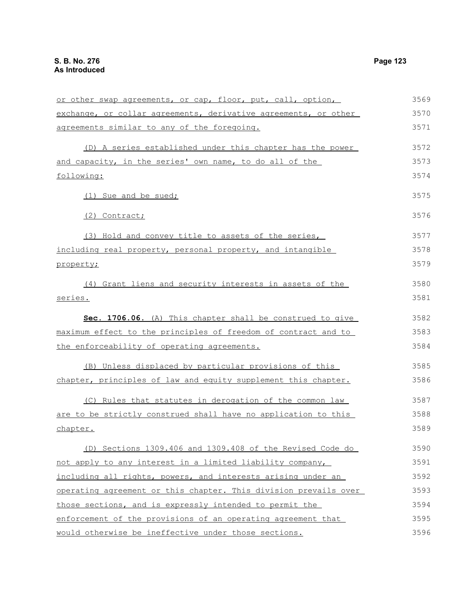or other swap agreements, or cap, floor, put, call, option, exchange, or collar agreements, derivative agreements, or other agreements similar to any of the foregoing. (D) A series established under this chapter has the power and capacity, in the series' own name, to do all of the following: (1) Sue and be sued; (2) Contract; (3) Hold and convey title to assets of the series, including real property, personal property, and intangible property; (4) Grant liens and security interests in assets of the series. **Sec. 1706.06.** (A) This chapter shall be construed to give maximum effect to the principles of freedom of contract and to the enforceability of operating agreements. (B) Unless displaced by particular provisions of this chapter, principles of law and equity supplement this chapter. (C) Rules that statutes in derogation of the common law are to be strictly construed shall have no application to this chapter. (D) Sections 1309.406 and 1309.408 of the Revised Code do not apply to any interest in a limited liability company, including all rights, powers, and interests arising under an operating agreement or this chapter. This division prevails over those sections, and is expressly intended to permit the enforcement of the provisions of an operating agreement that would otherwise be ineffective under those sections. 3569 3570 3571 3572 3573 3574 3575 3576 3577 3578 3579 3580 3581 3582 3583 3584 3585 3586 3587 3588 3589 3590 3591 3592 3593 3594 3595 3596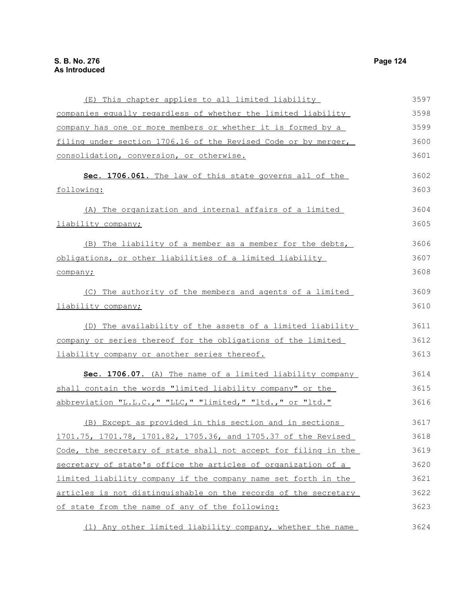(E) This chapter applies to all limited liability companies equally regardless of whether the limited liability company has one or more members or whether it is formed by a filing under section 1706.16 of the Revised Code or by merger, consolidation, conversion, or otherwise. **Sec. 1706.061.** The law of this state governs all of the following: (A) The organization and internal affairs of a limited liability company; (B) The liability of a member as a member for the debts, obligations, or other liabilities of a limited liability company; (C) The authority of the members and agents of a limited liability company; (D) The availability of the assets of a limited liability company or series thereof for the obligations of the limited liability company or another series thereof. **Sec. 1706.07.** (A) The name of a limited liability company shall contain the words "limited liability company" or the abbreviation "L.L.C.," "LLC," "limited," "ltd.," or "ltd." (B) Except as provided in this section and in sections 1701.75, 1701.78, 1701.82, 1705.36, and 1705.37 of the Revised Code, the secretary of state shall not accept for filing in the secretary of state's office the articles of organization of a limited liability company if the company name set forth in the articles is not distinguishable on the records of the secretary of state from the name of any of the following: 3597 3598 3599 3600 3601 3602 3603 3604 3605 3606 3607 3608 3609 3610 3611 3612 3613 3614 3615 3616 3617 3618 3619 3620 3621 3622 3623

(1) Any other limited liability company, whether the name 3624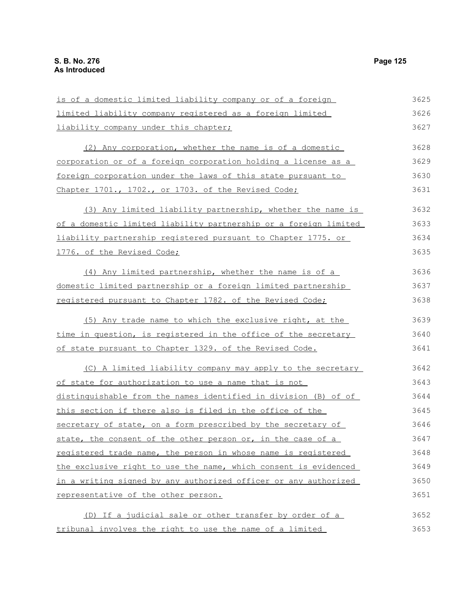is of a domestic limited liability company or of a foreign limited liability company registered as a foreign limited liability company under this chapter; (2) Any corporation, whether the name is of a domestic corporation or of a foreign corporation holding a license as a foreign corporation under the laws of this state pursuant to Chapter 1701., 1702., or 1703. of the Revised Code; (3) Any limited liability partnership, whether the name is of a domestic limited liability partnership or a foreign limited liability partnership registered pursuant to Chapter 1775. or 1776. of the Revised Code; (4) Any limited partnership, whether the name is of a domestic limited partnership or a foreign limited partnership registered pursuant to Chapter 1782. of the Revised Code; (5) Any trade name to which the exclusive right, at the time in question, is reqistered in the office of the secretary of state pursuant to Chapter 1329. of the Revised Code. (C) A limited liability company may apply to the secretary of state for authorization to use a name that is not distinguishable from the names identified in division (B) of of this section if there also is filed in the office of the secretary of state, on a form prescribed by the secretary of state, the consent of the other person or, in the case of a registered trade name, the person in whose name is registered the exclusive right to use the name, which consent is evidenced in a writing signed by any authorized officer or any authorized representative of the other person. (D) If a judicial sale or other transfer by order of a tribunal involves the right to use the name of a limited 3625 3626 3627 3628 3629 3630 3631 3632 3633 3634 3635 3636 3637 3638 3639 3640 3641 3642 3643 3644 3645 3646 3647 3648 3649 3650 3651 3652 3653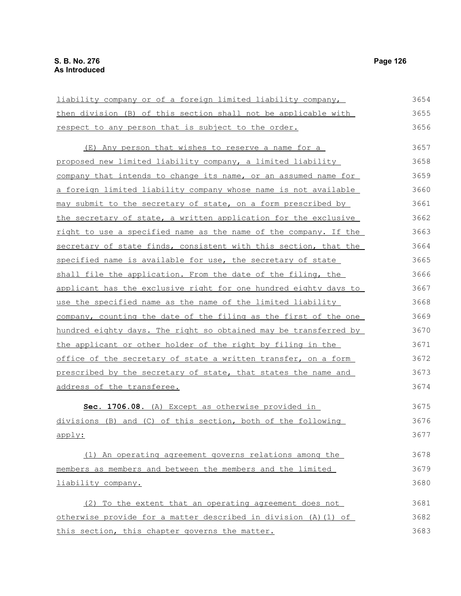liability company or of a foreign limited liability company, then division (B) of this section shall not be applicable with respect to any person that is subject to the order. (E) Any person that wishes to reserve a name for a proposed new limited liability company, a limited liability company that intends to change its name, or an assumed name for a foreign limited liability company whose name is not available may submit to the secretary of state, on a form prescribed by the secretary of state, a written application for the exclusive right to use a specified name as the name of the company. If the secretary of state finds, consistent with this section, that the specified name is available for use, the secretary of state shall file the application. From the date of the filing, the applicant has the exclusive right for one hundred eighty days to use the specified name as the name of the limited liability company, counting the date of the filing as the first of the one hundred eighty days. The right so obtained may be transferred by the applicant or other holder of the right by filing in the office of the secretary of state a written transfer, on a form prescribed by the secretary of state, that states the name and address of the transferee. **Sec. 1706.08.** (A) Except as otherwise provided in divisions (B) and (C) of this section, both of the following apply: (1) An operating agreement governs relations among the members as members and between the members and the limited liability company. 3654 3655 3656 3657 3658 3659 3660 3661 3662 3663 3664 3665 3666 3667 3668 3669 3670 3671 3672 3673 3674 3675 3676 3677 3678 3679 3680 3681

(2) To the extent that an operating agreement does not otherwise provide for a matter described in division (A)(1) of this section, this chapter governs the matter. 3682 3683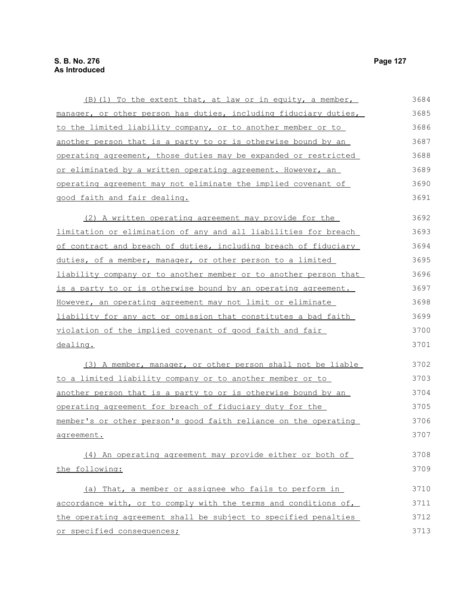| (B) (1) To the extent that, at law or in equity, a member,       | 3684 |
|------------------------------------------------------------------|------|
| manager, or other person has duties, including fiduciary duties, | 3685 |
| to the limited liability company, or to another member or to     | 3686 |
| another person that is a party to or is otherwise bound by an    | 3687 |
| operating agreement, those duties may be expanded or restricted  | 3688 |
| or eliminated by a written operating agreement. However, an      | 3689 |
| operating agreement may not eliminate the implied covenant of    | 3690 |
| good faith and fair dealing.                                     | 3691 |
| (2) A written operating agreement may provide for the            | 3692 |
| limitation or elimination of any and all liabilities for breach  | 3693 |
| of contract and breach of duties, including breach of fiduciary  | 3694 |
| duties, of a member, manager, or other person to a limited       | 3695 |
| liability company or to another member or to another person that | 3696 |
| is a party to or is otherwise bound by an operating agreement.   | 3697 |
| However, an operating agreement may not limit or eliminate       | 3698 |
| liability for any act or omission that constitutes a bad faith   | 3699 |
| violation of the implied covenant of good faith and fair         | 3700 |
| dealing.                                                         | 3701 |
| (3) A member, manager, or other person shall not be liable       | 3702 |
| to a limited liability company or to another member or to        | 3703 |
| another person that is a party to or is otherwise bound by an    | 3704 |
| operating agreement for breach of fiduciary duty for the         | 3705 |
| member's or other person's good faith reliance on the operating  | 3706 |
| agreement.                                                       | 3707 |
| (4) An operating agreement may provide either or both of         | 3708 |
| the following:                                                   | 3709 |
| (a) That, a member or assignee who fails to perform in           | 3710 |
| accordance with, or to comply with the terms and conditions of,  | 3711 |
| the operating agreement shall be subject to specified penalties  | 3712 |
| or specified consequences;                                       | 3713 |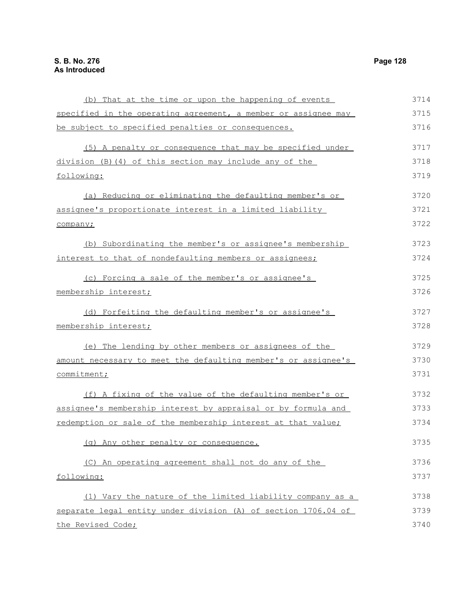(b) That at the time or upon the happening of events specified in the operating agreement, a member or assignee may be subject to specified penalties or consequences. (5) A penalty or consequence that may be specified under division (B)(4) of this section may include any of the following: (a) Reducing or eliminating the defaulting member's or assignee's proportionate interest in a limited liability company; (b) Subordinating the member's or assignee's membership interest to that of nondefaulting members or assignees; (c) Forcing a sale of the member's or assignee's membership interest; (d) Forfeiting the defaulting member's or assignee's membership interest; (e) The lending by other members or assignees of the amount necessary to meet the defaulting member's or assignee's commitment; (f) A fixing of the value of the defaulting member's or assignee's membership interest by appraisal or by formula and redemption or sale of the membership interest at that value; (g) Any other penalty or consequence. (C) An operating agreement shall not do any of the following: (1) Vary the nature of the limited liability company as a separate legal entity under division (A) of section 1706.04 of 3714 3715 3716 3717 3718 3719 3720 3721 3722 3723 3724 3725 3726 3727 3728 3729 3730 3731 3732 3733 3734 3735 3736 3737 3738 3739

the Revised Code;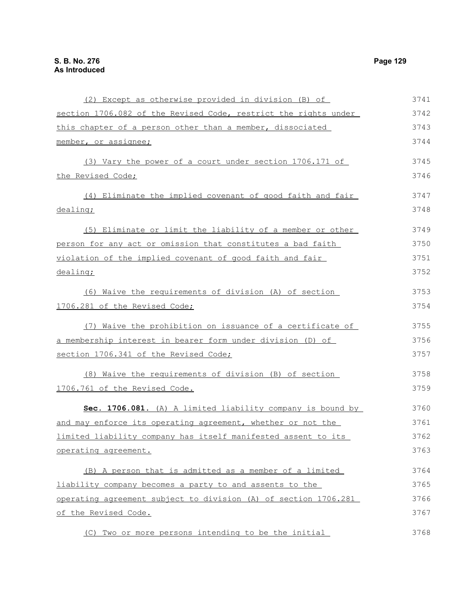(2) Except as otherwise provided in division (B) of section 1706.082 of the Revised Code, restrict the rights under this chapter of a person other than a member, dissociated member, or assignee; (3) Vary the power of a court under section 1706.171 of the Revised Code; (4) Eliminate the implied covenant of good faith and fair dealing; (5) Eliminate or limit the liability of a member or other person for any act or omission that constitutes a bad faith violation of the implied covenant of good faith and fair dealing; (6) Waive the requirements of division (A) of section 1706.281 of the Revised Code; (7) Waive the prohibition on issuance of a certificate of a membership interest in bearer form under division (D) of section 1706.341 of the Revised Code; (8) Waive the requirements of division (B) of section 1706.761 of the Revised Code. **Sec. 1706.081.** (A) A limited liability company is bound by and may enforce its operating agreement, whether or not the limited liability company has itself manifested assent to its operating agreement. (B) A person that is admitted as a member of a limited liability company becomes a party to and assents to the operating agreement subject to division (A) of section 1706.281 of the Revised Code. (C) Two or more persons intending to be the initial 3741 3742 3743 3744 3745 3746 3747 3748 3749 3750 3751 3752 3753 3754 3755 3756 3757 3758 3759 3760 3761 3762 3763 3764 3765 3766 3767 3768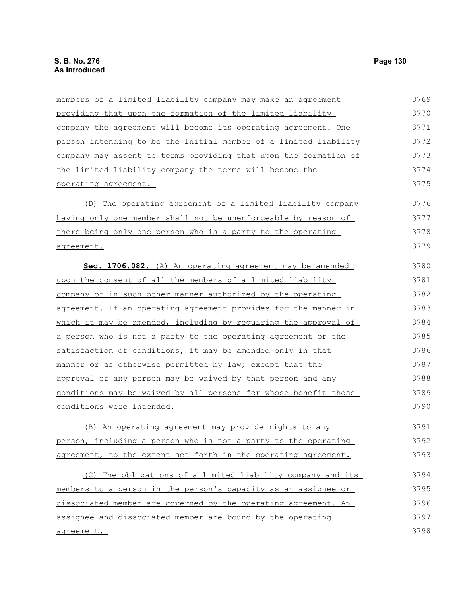| members of a limited liability company may make an agreement            | 3769 |
|-------------------------------------------------------------------------|------|
| providing that upon the formation of the limited liability              | 3770 |
| company the agreement will become its operating agreement. One          | 3771 |
| person intending to be the initial member of a limited liability        | 3772 |
| company may assent to terms providing that upon the formation of        | 3773 |
| the limited liability company the terms will become the                 | 3774 |
| <u>operating agreement.</u>                                             | 3775 |
| (D) The operating agreement of a limited liability company              | 3776 |
| having only one member shall not be unenforceable by reason of          | 3777 |
| there being only one person who is a party to the operating             | 3778 |
| agreement.                                                              | 3779 |
| Sec. 1706.082. (A) An operating agreement may be amended                | 3780 |
| upon the consent of all the members of a limited liability              | 3781 |
| company or in such other manner authorized by the operating             | 3782 |
| <u>agreement. If an operating agreement provides for the manner in </u> | 3783 |
| which it may be amended, including by requiring the approval of         | 3784 |
| <u>a person who is not a party to the operating agreement or the </u>   | 3785 |
| satisfaction of conditions, it may be amended only in that              | 3786 |
| <u>manner or as otherwise permitted by law; except that the </u>        | 3787 |
| approval of any person may be waived by that person and any             | 3788 |
| <u>conditions may be waived by all persons for whose benefit those</u>  | 3789 |
| <u>conditions were intended.</u>                                        | 3790 |
| (B) An operating agreement may provide rights to any                    | 3791 |
| person, including a person who is not a party to the operating          | 3792 |
| agreement, to the extent set forth in the operating agreement.          | 3793 |
| (C) The obligations of a limited liability company and its              | 3794 |
| members to a person in the person's capacity as an assignee or          | 3795 |
| dissociated member are governed by the operating agreement. An          | 3796 |
| assignee and dissociated member are bound by the operating              | 3797 |
| agreement.                                                              | 3798 |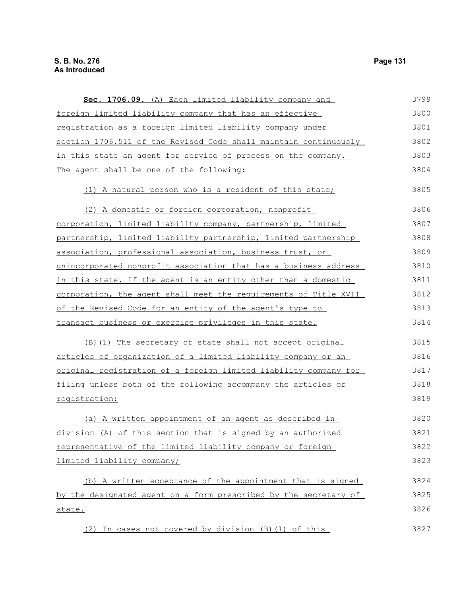| Sec. 1706.09. (A) Each limited liability company and                 | 3799 |
|----------------------------------------------------------------------|------|
| foreign limited liability company that has an effective              | 3800 |
| registration as a foreign limited liability company under            | 3801 |
| section 1706.511 of the Revised Code shall maintain continuously     | 3802 |
| in this state an agent for service of process on the company.        | 3803 |
| The agent shall be one of the following:                             | 3804 |
| (1) A natural person who is a resident of this state;                | 3805 |
| (2) A domestic or foreign corporation, nonprofit                     | 3806 |
| corporation, limited liability company, partnership, limited         | 3807 |
| partnership, limited liability partnership, limited partnership      | 3808 |
| association, professional association, business trust, or            | 3809 |
| unincorporated nonprofit association that has a business address     | 3810 |
| in this state. If the agent is an entity other than a domestic       | 3811 |
| corporation, the agent shall meet the requirements of Title XVII     | 3812 |
| of the Revised Code for an entity of the agent's type to             | 3813 |
| transact business or exercise privileges in this state.              | 3814 |
| (B) (1) The secretary of state shall not accept original             | 3815 |
| <u>articles of organization of a limited liability company or an</u> | 3816 |
| original registration of a foreign limited liability company for     | 3817 |
| filing unless both of the following accompany the articles or        | 3818 |
| registration:                                                        | 3819 |
| (a) A written appointment of an agent as described in                | 3820 |
| division (A) of this section that is signed by an authorized         | 3821 |
| representative of the limited liability company or foreign           | 3822 |
| limited liability company;                                           | 3823 |
| (b) A written acceptance of the appointment that is signed           | 3824 |
| by the designated agent on a form prescribed by the secretary of     | 3825 |
| state.                                                               | 3826 |
| (2) In cases not covered by division (B) (1) of this                 | 3827 |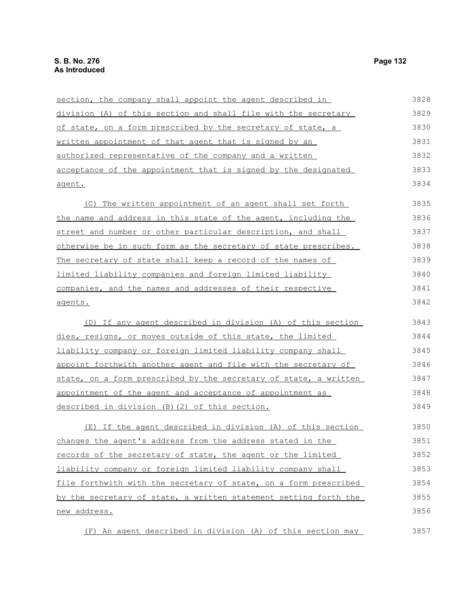section, the company shall appoint the agent described in division (A) of this section and shall file with the secretary of state, on a form prescribed by the secretary of state, a written appointment of that agent that is signed by an authorized representative of the company and a written acceptance of the appointment that is signed by the designated agent. (C) The written appointment of an agent shall set forth the name and address in this state of the agent, including the street and number or other particular description, and shall otherwise be in such form as the secretary of state prescribes. The secretary of state shall keep a record of the names of limited liability companies and foreign limited liability companies, and the names and addresses of their respective agents. (D) If any agent described in division (A) of this section dies, resigns, or moves outside of this state, the limited liability company or foreign limited liability company shall appoint forthwith another agent and file with the secretary of state, on a form prescribed by the secretary of state, a written appointment of the agent and acceptance of appointment as described in division (B)(2) of this section. (E) If the agent described in division (A) of this section changes the agent's address from the address stated in the records of the secretary of state, the agent or the limited liability company or foreign limited liability company shall file forthwith with the secretary of state, on a form prescribed by the secretary of state, a written statement setting forth the new address. 3828 3829 3830 3831 3832 3833 3834 3835 3836 3837 3838 3839 3840 3841 3842 3843 3844 3845 3846 3847 3848 3849 3850 3851 3852 3853 3854 3855 3856

(F) An agent described in division (A) of this section may 3857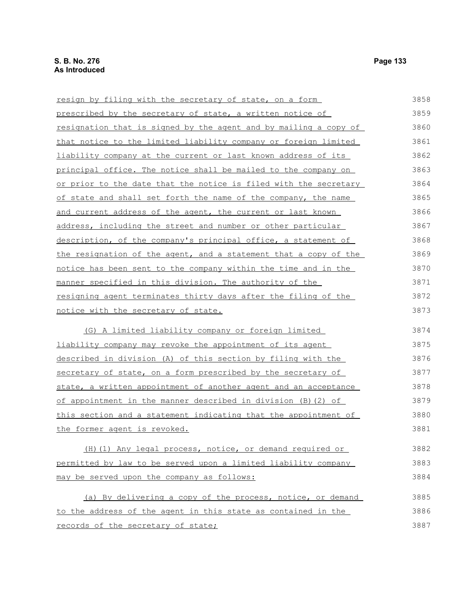| resign by filing with the secretary of state, on a form                 | 3858 |
|-------------------------------------------------------------------------|------|
| prescribed by the secretary of state, a written notice of               | 3859 |
| <u>resignation that is signed by the agent and by mailing a copy of</u> | 3860 |
| that notice to the limited liability company or foreign limited         | 3861 |
| liability company at the current or last known address of its           | 3862 |
| principal office. The notice shall be mailed to the company on          | 3863 |
| or prior to the date that the notice is filed with the secretary        | 3864 |
| of state and shall set forth the name of the company, the name          | 3865 |
| and current address of the agent, the current or last known             | 3866 |
| address, including the street and number or other particular            | 3867 |
| description, of the company's principal office, a statement of          | 3868 |
| the resignation of the agent, and a statement that a copy of the        | 3869 |
| notice has been sent to the company within the time and in the          | 3870 |
| manner specified in this division. The authority of the                 | 3871 |
| resigning agent terminates thirty days after the filing of the          | 3872 |
| notice with the secretary of state.                                     | 3873 |
| (G) A limited liability company or foreign limited                      | 3874 |
| liability company may revoke the appointment of its agent               | 3875 |
| described in division (A) of this section by filing with the            | 3876 |
| secretary of state, on a form prescribed by the secretary of            | 3877 |
| state, a written appointment of another agent and an acceptance         | 3878 |
| of appointment in the manner described in division (B) (2) of           | 3879 |
| <u>this section and a statement indicating that the appointment of</u>  | 3880 |
| the former agent is revoked.                                            | 3881 |
| (H) (1) Any legal process, notice, or demand required or                | 3882 |
| permitted by law to be served upon a limited liability company          | 3883 |
| may be served upon the company as follows:                              | 3884 |
| (a) By delivering a copy of the process, notice, or demand              | 3885 |
| to the address of the agent in this state as contained in the           | 3886 |
| records of the secretary of state;                                      | 3887 |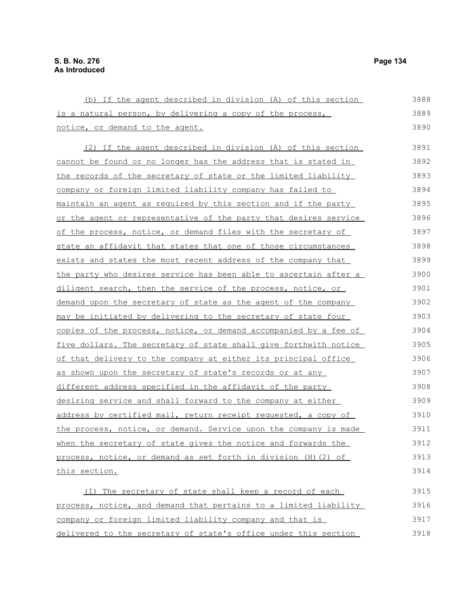(b) If the agent described in division (A) of this section is a natural person, by delivering a copy of the process, notice, or demand to the agent. (2) If the agent described in division (A) of this section cannot be found or no longer has the address that is stated in the records of the secretary of state or the limited liability company or foreign limited liability company has failed to maintain an agent as required by this section and if the party or the agent or representative of the party that desires service of the process, notice, or demand files with the secretary of state an affidavit that states that one of those circumstances exists and states the most recent address of the company that the party who desires service has been able to ascertain after a diligent search, then the service of the process, notice, or demand upon the secretary of state as the agent of the company may be initiated by delivering to the secretary of state four copies of the process, notice, or demand accompanied by a fee of five dollars. The secretary of state shall give forthwith notice of that delivery to the company at either its principal office as shown upon the secretary of state's records or at any different address specified in the affidavit of the party desiring service and shall forward to the company at either address by certified mail, return receipt requested, a copy of the process, notice, or demand. Service upon the company is made when the secretary of state gives the notice and forwards the process, notice, or demand as set forth in division (H)(2) of this section. 3888 3889 3890 3891 3892 3893 3894 3895 3896 3897 3898 3899 3900 3901 3902 3903 3904 3905 3906 3907 3908 3909 3910 3911 3912 3913 3914

(I) The secretary of state shall keep a record of each process, notice, and demand that pertains to a limited liability company or foreign limited liability company and that is delivered to the secretary of state's office under this section 3915 3916 3917 3918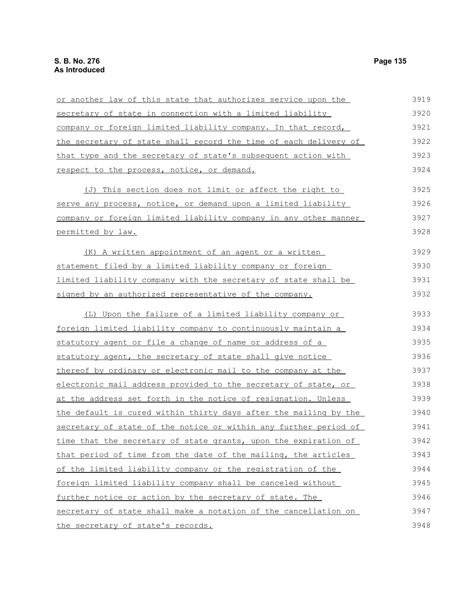| or another law of this state that authorizes service upon the           | 3919 |
|-------------------------------------------------------------------------|------|
| secretary of state in connection with a limited liability               | 3920 |
| company or foreign limited liability company. In that record,           | 3921 |
| <u>the secretary of state shall record the time of each delivery of</u> | 3922 |
| that type and the secretary of state's subsequent action with           | 3923 |
| respect to the process, notice, or demand.                              | 3924 |
| (J) This section does not limit or affect the right to                  | 3925 |
| serve any process, notice, or demand upon a limited liability           | 3926 |
| company or foreign limited liability company in any other manner        | 3927 |
| permitted by law.                                                       | 3928 |
| (K) A written appointment of an agent or a written                      | 3929 |
| statement filed by a limited liability company or foreign               | 3930 |
| limited liability company with the secretary of state shall be          | 3931 |
| signed by an authorized representative of the company.                  | 3932 |
| (L) Upon the failure of a limited liability company or                  | 3933 |
| foreign limited liability company to continuously maintain a            | 3934 |
| statutory agent or file a change of name or address of a                | 3935 |
| statutory agent, the secretary of state shall give notice               | 3936 |
| thereof by ordinary or electronic mail to the company at the            | 3937 |
| electronic mail address provided to the secretary of state, or          | 3938 |
| at the address set forth in the notice of resignation. Unless           | 3939 |
| the default is cured within thirty days after the mailing by the        | 3940 |
| secretary of state of the notice or within any further period of        | 3941 |
| time that the secretary of state grants, upon the expiration of         | 3942 |
| that period of time from the date of the mailing, the articles          | 3943 |
| of the limited liability company or the registration of the             | 3944 |
| foreign limited liability company shall be canceled without             | 3945 |
| further notice or action by the secretary of state. The                 | 3946 |
| secretary of state shall make a notation of the cancellation on         | 3947 |
| the secretary of state's records.                                       | 3948 |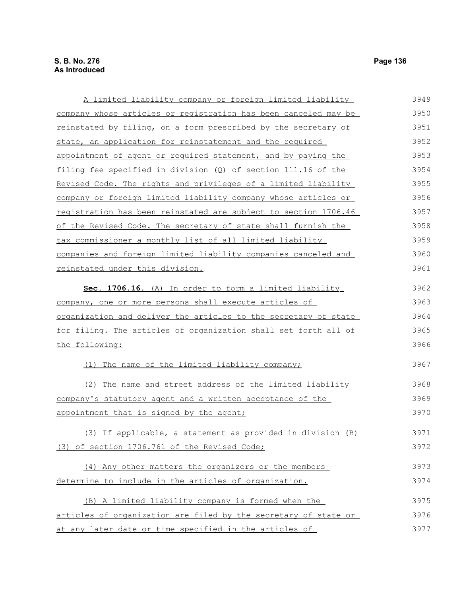A limited liability company or foreign limited liability company whose articles or registration has been canceled may be reinstated by filing, on a form prescribed by the secretary of state, an application for reinstatement and the required appointment of agent or required statement, and by paying the filing fee specified in division (Q) of section 111.16 of the Revised Code. The rights and privileges of a limited liability company or foreign limited liability company whose articles or registration has been reinstated are subject to section 1706.46 of the Revised Code. The secretary of state shall furnish the tax commissioner a monthly list of all limited liability companies and foreign limited liability companies canceled and reinstated under this division. **Sec. 1706.16.** (A) In order to form a limited liability company, one or more persons shall execute articles of organization and deliver the articles to the secretary of state for filing. The articles of organization shall set forth all of the following: (1) The name of the limited liability company; (2) The name and street address of the limited liability company's statutory agent and a written acceptance of the appointment that is signed by the agent; (3) If applicable, a statement as provided in division (B) (3) of section 1706.761 of the Revised Code; (4) Any other matters the organizers or the members determine to include in the articles of organization. (B) A limited liability company is formed when the 3949 3950 3951 3952 3953 3954 3955 3956 3957 3958 3959 3960 3961 3962 3963 3964 3965 3966 3967 3968 3969 3970 3971 3972 3973 3974 3975

articles of organization are filed by the secretary of state or at any later date or time specified in the articles of 3976 3977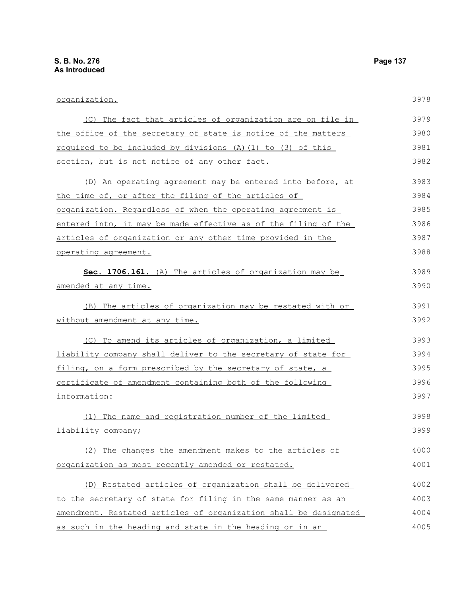| organization.                                                    | 3978 |
|------------------------------------------------------------------|------|
| (C) The fact that articles of organization are on file in        | 3979 |
| the office of the secretary of state is notice of the matters    | 3980 |
| required to be included by divisions (A) (1) to (3) of this      | 3981 |
| section, but is not notice of any other fact.                    | 3982 |
| (D) An operating agreement may be entered into before, at        | 3983 |
| the time of, or after the filing of the articles of              | 3984 |
| organization. Regardless of when the operating agreement is      | 3985 |
| entered into, it may be made effective as of the filing of the   | 3986 |
| articles of organization or any other time provided in the       | 3987 |
| operating agreement.                                             | 3988 |
| Sec. 1706.161. (A) The articles of organization may be           | 3989 |
| amended at any time.                                             | 3990 |
| (B) The articles of organization may be restated with or         | 3991 |
| <u>without amendment at any time.</u>                            | 3992 |
| (C) To amend its articles of organization, a limited             | 3993 |
| liability company shall deliver to the secretary of state for    | 3994 |
| filing, on a form prescribed by the secretary of state, a        | 3995 |
| certificate of amendment containing both of the following        | 3996 |
| information:                                                     | 3997 |
| (1) The name and registration number of the limited              | 3998 |
| liability company;                                               | 3999 |
| (2) The changes the amendment makes to the articles of           | 4000 |
| organization as most recently amended or restated.               | 4001 |
| (D) Restated articles of organization shall be delivered         | 4002 |
| to the secretary of state for filing in the same manner as an    | 4003 |
| amendment. Restated articles of organization shall be designated | 4004 |
| as such in the heading and state in the heading or in an         | 4005 |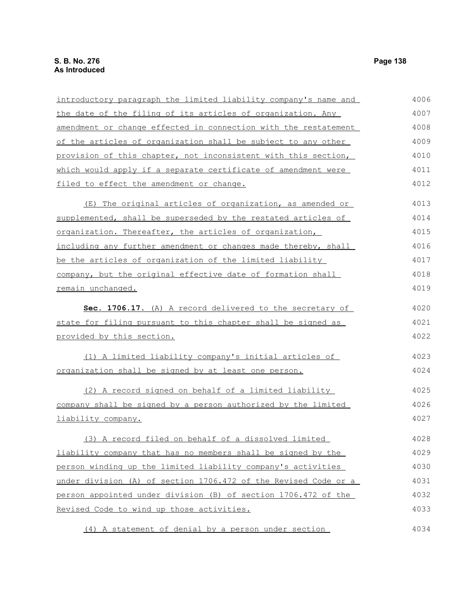| introductory paragraph the limited liability company's name and | 4006 |
|-----------------------------------------------------------------|------|
| the date of the filing of its articles of organization. Any     | 4007 |
| amendment or change effected in connection with the restatement | 4008 |
| of the articles of organization shall be subject to any other   | 4009 |
| provision of this chapter, not inconsistent with this section,  | 4010 |
| which would apply if a separate certificate of amendment were   | 4011 |
| filed to effect the amendment or change.                        | 4012 |
| (E) The original articles of organization, as amended or        | 4013 |
| supplemented, shall be superseded by the restated articles of   | 4014 |
| organization. Thereafter, the articles of organization,         | 4015 |
| including any further amendment or changes made thereby, shall  | 4016 |
| be the articles of organization of the limited liability        | 4017 |
| company, but the original effective date of formation shall     | 4018 |
| remain unchanged.                                               | 4019 |
| Sec. 1706.17. (A) A record delivered to the secretary of        | 4020 |
| state for filing pursuant to this chapter shall be signed as    | 4021 |
| provided by this section.                                       | 4022 |
| (1) A limited liability company's initial articles of           | 4023 |
| organization shall be signed by at least one person.            | 4024 |
| (2) A record signed on behalf of a limited liability            | 4025 |
| company shall be signed by a person authorized by the limited   | 4026 |
| <u>liability company.</u>                                       | 4027 |
| (3) A record filed on behalf of a dissolved limited             | 4028 |
| liability company that has no members shall be signed by the    | 4029 |
| person winding up the limited liability company's activities    | 4030 |
| under division (A) of section 1706.472 of the Revised Code or a | 4031 |
| person appointed under division (B) of section 1706.472 of the  | 4032 |
| Revised Code to wind up those activities.                       | 4033 |
| (4) A statement of denial by a person under section             | 4034 |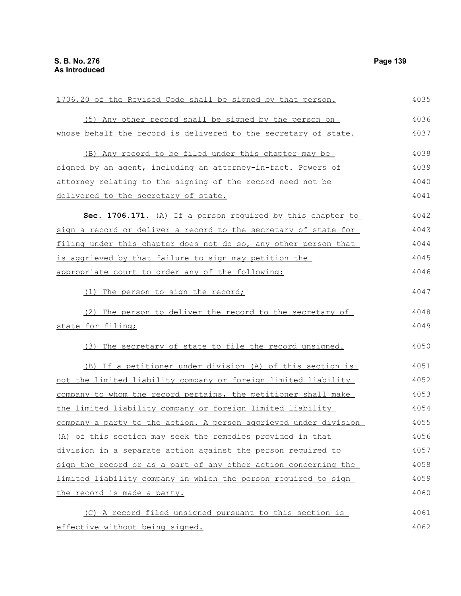| 1706.20 of the Revised Code shall be signed by that person.      | 4035 |
|------------------------------------------------------------------|------|
| (5) Any other record shall be signed by the person on            | 4036 |
| whose behalf the record is delivered to the secretary of state.  | 4037 |
| (B) Any record to be filed under this chapter may be             | 4038 |
| signed by an agent, including an attorney-in-fact. Powers of     | 4039 |
| attorney relating to the signing of the record need not be       | 4040 |
| delivered to the secretary of state.                             | 4041 |
| Sec. 1706.171. (A) If a person required by this chapter to       | 4042 |
| sign a record or deliver a record to the secretary of state for  | 4043 |
| filing under this chapter does not do so, any other person that  | 4044 |
| is aggrieved by that failure to sign may petition the            | 4045 |
| appropriate court to order any of the following:                 | 4046 |
| (1) The person to sign the record;                               | 4047 |
| (2) The person to deliver the record to the secretary of         | 4048 |
| state for filing;                                                | 4049 |
| (3) The secretary of state to file the record unsigned.          | 4050 |
| (B) If a petitioner under division (A) of this section is        | 4051 |
| not the limited liability company or foreign limited liability   | 4052 |
| company to whom the record pertains, the petitioner shall make   | 4053 |
| the limited liability company or foreign limited liability       | 4054 |
| company a party to the action. A person aggrieved under division | 4055 |
| (A) of this section may seek the remedies provided in that       | 4056 |
| division in a separate action against the person required to     | 4057 |
| sign the record or as a part of any other action concerning the  | 4058 |
| limited liability company in which the person required to sign   | 4059 |
| the record is made a party.                                      | 4060 |
| (C) A record filed unsigned pursuant to this section is          | 4061 |
| effective without being signed.                                  | 4062 |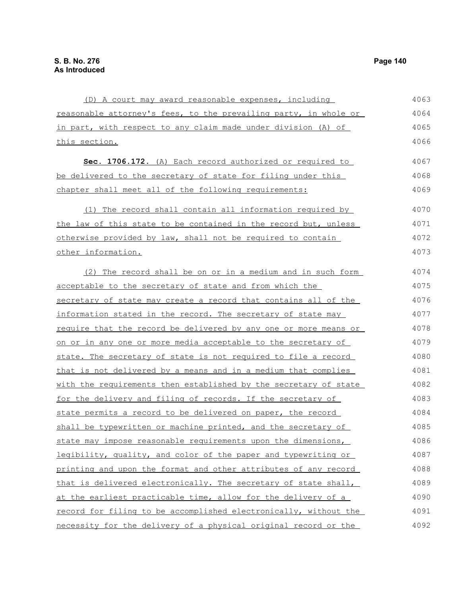(D) A court may award reasonable expenses, including reasonable attorney's fees, to the prevailing party, in whole or in part, with respect to any claim made under division (A) of this section. **Sec. 1706.172.** (A) Each record authorized or required to be delivered to the secretary of state for filing under this chapter shall meet all of the following requirements: (1) The record shall contain all information required by the law of this state to be contained in the record but, unless otherwise provided by law, shall not be required to contain other information. (2) The record shall be on or in a medium and in such form acceptable to the secretary of state and from which the secretary of state may create a record that contains all of the information stated in the record. The secretary of state may require that the record be delivered by any one or more means or on or in any one or more media acceptable to the secretary of state. The secretary of state is not required to file a record that is not delivered by a means and in a medium that complies with the requirements then established by the secretary of state for the delivery and filing of records. If the secretary of state permits a record to be delivered on paper, the record shall be typewritten or machine printed, and the secretary of state may impose reasonable requirements upon the dimensions, legibility, quality, and color of the paper and typewriting or printing and upon the format and other attributes of any record that is delivered electronically. The secretary of state shall, at the earliest practicable time, allow for the delivery of a record for filing to be accomplished electronically, without the 4063 4064 4065 4066 4067 4068 4069 4070 4071 4072 4073 4074 4075 4076 4077 4078 4079 4080 4081 4082 4083 4084 4085 4086 4087 4088 4089 4090 4091

necessity for the delivery of a physical original record or the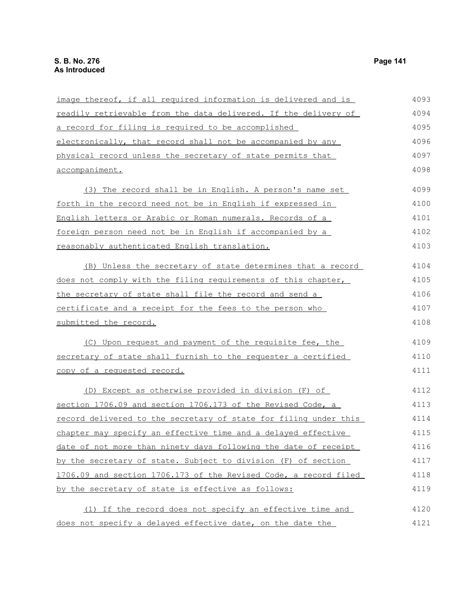| image thereof, if all required information is delivered and is   | 4093 |
|------------------------------------------------------------------|------|
| readily retrievable from the data delivered. If the delivery of  | 4094 |
| a record for filing is required to be accomplished               | 4095 |
| electronically, that record shall not be accompanied by any      | 4096 |
| physical record unless the secretary of state permits that       | 4097 |
| accompaniment.                                                   | 4098 |
| (3) The record shall be in English. A person's name set          | 4099 |
| forth in the record need not be in English if expressed in       | 4100 |
| English letters or Arabic or Roman numerals. Records of a        | 4101 |
| foreign person need not be in English if accompanied by a        | 4102 |
| reasonably authenticated English translation.                    | 4103 |
| (B) Unless the secretary of state determines that a record       | 4104 |
| does not comply with the filing requirements of this chapter,    | 4105 |
| the secretary of state shall file the record and send a          | 4106 |
| certificate and a receipt for the fees to the person who         | 4107 |
| submitted the record.                                            | 4108 |
| (C) Upon request and payment of the requisite fee, the           | 4109 |
| secretary of state shall furnish to the requester a certified    | 4110 |
| copy of a requested record.                                      | 4111 |
| (D) Except as otherwise provided in division (F) of              | 4112 |
| section 1706.09 and section 1706.173 of the Revised Code, a      | 4113 |
| record delivered to the secretary of state for filing under this | 4114 |
| chapter may specify an effective time and a delayed effective    | 4115 |
| date of not more than ninety days following the date of receipt  | 4116 |
| by the secretary of state. Subject to division (F) of section    | 4117 |
| 1706.09 and section 1706.173 of the Revised Code, a record filed | 4118 |
| by the secretary of state is effective as follows:               | 4119 |
| (1) If the record does not specify an effective time and         | 4120 |
| does not specify a delayed effective date, on the date the       | 4121 |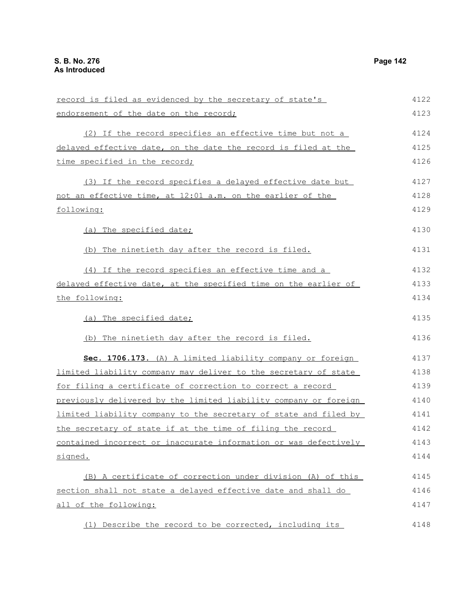record is filed as evidenced by the secretary of state's endorsement of the date on the record; (2) If the record specifies an effective time but not a delayed effective date, on the date the record is filed at the time specified in the record; (3) If the record specifies a delayed effective date but not an effective time, at 12:01 a.m. on the earlier of the following: (a) The specified date; (b) The ninetieth day after the record is filed. (4) If the record specifies an effective time and a delayed effective date, at the specified time on the earlier of the following: (a) The specified date; (b) The ninetieth day after the record is filed. **Sec. 1706.173.** (A) A limited liability company or foreign limited liability company may deliver to the secretary of state for filing a certificate of correction to correct a record previously delivered by the limited liability company or foreign limited liability company to the secretary of state and filed by the secretary of state if at the time of filing the record contained incorrect or inaccurate information or was defectively signed. (B) A certificate of correction under division (A) of this section shall not state a delayed effective date and shall do all of the following: 4122 4123 4124 4125 4126 4127 4128 4129 4130 4131 4132 4133 4134 4135 4136 4137 4138 4139 4140 4141 4142 4143 4144 4145 4146 4147 4148

(1) Describe the record to be corrected, including its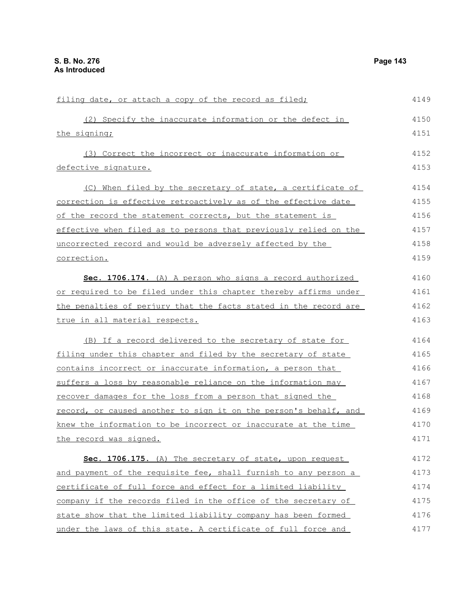| filing date, or attach a copy of the record as filed;            | 4149 |
|------------------------------------------------------------------|------|
| (2) Specify the inaccurate information or the defect in          | 4150 |
| the signing;                                                     | 4151 |
| (3) Correct the incorrect or inaccurate information or           | 4152 |
| defective signature.                                             | 4153 |
| (C) When filed by the secretary of state, a certificate of       | 4154 |
| correction is effective retroactively as of the effective date   | 4155 |
| of the record the statement corrects, but the statement is       | 4156 |
| effective when filed as to persons that previously relied on the | 4157 |
| uncorrected record and would be adversely affected by the        | 4158 |
| <u>correction.</u>                                               | 4159 |
| Sec. 1706.174. (A) A person who signs a record authorized        | 4160 |
| or required to be filed under this chapter thereby affirms under | 4161 |
| the penalties of perjury that the facts stated in the record are | 4162 |
| true in all material respects.                                   | 4163 |
| (B) If a record delivered to the secretary of state for          | 4164 |
| filing under this chapter and filed by the secretary of state    | 4165 |
| contains incorrect or inaccurate information, a person that      | 4166 |
| suffers a loss by reasonable reliance on the information may     | 4167 |
| recover damages for the loss from a person that signed the       | 4168 |
| record, or caused another to sign it on the person's behalf, and | 4169 |
| knew the information to be incorrect or inaccurate at the time   | 4170 |
| the record was signed.                                           | 4171 |
| Sec. 1706.175. (A) The secretary of state, upon request          | 4172 |
| and payment of the requisite fee, shall furnish to any person a  | 4173 |
| certificate of full force and effect for a limited liability     | 4174 |
| company if the records filed in the office of the secretary of   | 4175 |
| state show that the limited liability company has been formed    | 4176 |
| under the laws of this state. A certificate of full force and    | 4177 |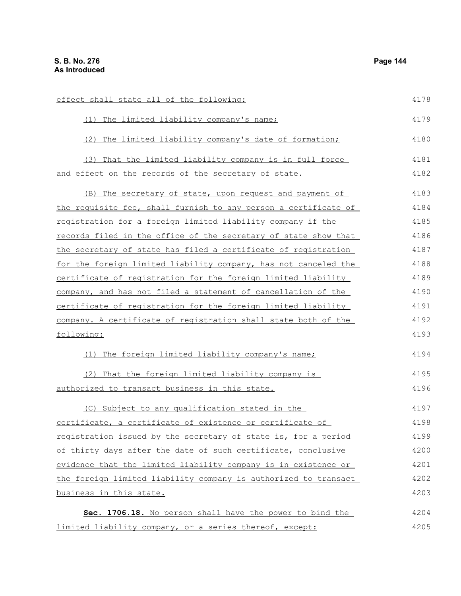| effect shall state all of the following:                        | 4178 |
|-----------------------------------------------------------------|------|
| (1) The limited liability company's name;                       | 4179 |
| (2) The limited liability company's date of formation;          | 4180 |
| (3) That the limited liability company is in full force         | 4181 |
| and effect on the records of the secretary of state.            | 4182 |
| (B) The secretary of state, upon request and payment of         | 4183 |
| the requisite fee, shall furnish to any person a certificate of | 4184 |
| registration for a foreign limited liability company if the     | 4185 |
| records filed in the office of the secretary of state show that | 4186 |
| the secretary of state has filed a certificate of registration  | 4187 |
| for the foreign limited liability company, has not canceled the | 4188 |
| certificate of registration for the foreign limited liability   | 4189 |
| company, and has not filed a statement of cancellation of the   | 4190 |
| certificate of registration for the foreign limited liability   | 4191 |
| company. A certificate of registration shall state both of the  | 4192 |
| following:                                                      | 4193 |
| (1) The foreign limited liability company's name;               | 4194 |
| (2) That the foreign limited liability company is               | 4195 |
| authorized to transact business in this state.                  | 4196 |
| (C) Subject to any qualification stated in the                  | 4197 |
| certificate, a certificate of existence or certificate of       | 4198 |
| registration issued by the secretary of state is, for a period  | 4199 |
| of thirty days after the date of such certificate, conclusive   | 4200 |
| evidence that the limited liability company is in existence or  | 4201 |
| the foreign limited liability company is authorized to transact | 4202 |
| business in this state.                                         | 4203 |
| Sec. 1706.18. No person shall have the power to bind the        | 4204 |
| limited liability company, or a series thereof, except:         | 4205 |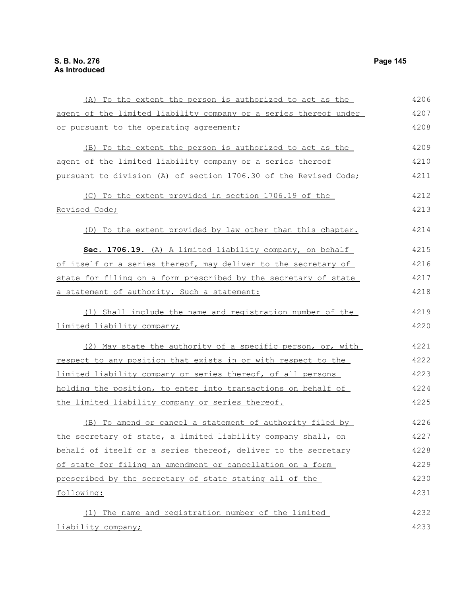(A) To the extent the person is authorized to act as the agent of the limited liability company or a series thereof under or pursuant to the operating agreement; (B) To the extent the person is authorized to act as the agent of the limited liability company or a series thereof pursuant to division (A) of section 1706.30 of the Revised Code; (C) To the extent provided in section 1706.19 of the Revised Code; (D) To the extent provided by law other than this chapter. **Sec. 1706.19.** (A) A limited liability company, on behalf of itself or a series thereof, may deliver to the secretary of state for filing on a form prescribed by the secretary of state a statement of authority. Such a statement: (1) Shall include the name and registration number of the limited liability company; (2) May state the authority of a specific person, or, with respect to any position that exists in or with respect to the limited liability company or series thereof, of all persons holding the position, to enter into transactions on behalf of the limited liability company or series thereof. (B) To amend or cancel a statement of authority filed by the secretary of state, a limited liability company shall, on behalf of itself or a series thereof, deliver to the secretary of state for filing an amendment or cancellation on a form prescribed by the secretary of state stating all of the following: (1) The name and registration number of the limited liability company; 4206 4207 4208 4209 4210 4211 4212 4213 4214 4215 4216 4217 4218 4219 4220 4221 4222 4223 4224 4225 4226 4227 4228 4229 4230 4231 4232 4233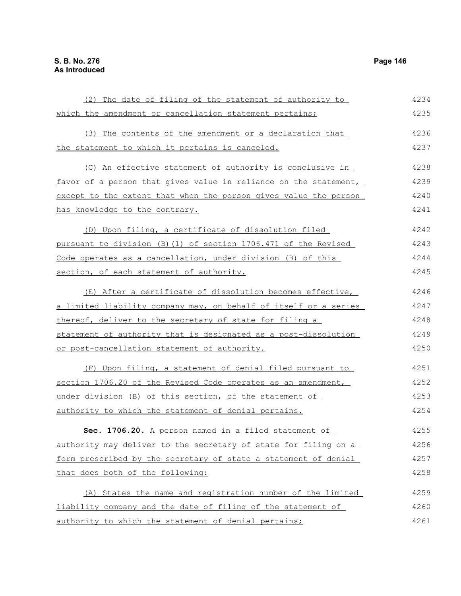(2) The date of filing of the statement of authority to which the amendment or cancellation statement pertains; (3) The contents of the amendment or a declaration that the statement to which it pertains is canceled. (C) An effective statement of authority is conclusive in favor of a person that gives value in reliance on the statement, except to the extent that when the person gives value the person has knowledge to the contrary. (D) Upon filing, a certificate of dissolution filed pursuant to division (B)(1) of section 1706.471 of the Revised Code operates as a cancellation, under division (B) of this section, of each statement of authority. (E) After a certificate of dissolution becomes effective, a limited liability company may, on behalf of itself or a series thereof, deliver to the secretary of state for filing a statement of authority that is designated as a post-dissolution or post-cancellation statement of authority. (F) Upon filing, a statement of denial filed pursuant to section 1706.20 of the Revised Code operates as an amendment, under division (B) of this section, of the statement of authority to which the statement of denial pertains. **Sec. 1706.20.** A person named in a filed statement of authority may deliver to the secretary of state for filing on a form prescribed by the secretary of state a statement of denial that does both of the following: (A) States the name and registration number of the limited liability company and the date of filing of the statement of authority to which the statement of denial pertains; 4234 4235 4236 4237 4238 4239 4240 4241 4242 4243 4244 4245 4246 4247 4248 4249 4250 4251 4252 4253 4254 4255 4256 4257 4258 4259 4260 4261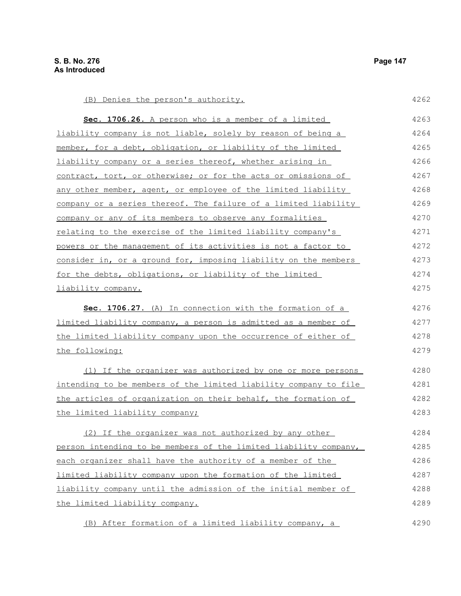| (B) Denies the person's authority.                               | 4262 |
|------------------------------------------------------------------|------|
| Sec. 1706.26. A person who is a member of a limited              | 4263 |
| liability company is not liable, solely by reason of being a     | 4264 |
| member, for a debt, obligation, or liability of the limited      | 4265 |
| liability company or a series thereof, whether arising in        | 4266 |
| contract, tort, or otherwise; or for the acts or omissions of    | 4267 |
| any other member, agent, or employee of the limited liability    | 4268 |
| company or a series thereof. The failure of a limited liability  | 4269 |
| company or any of its members to observe any formalities         | 4270 |
| relating to the exercise of the limited liability company's      | 4271 |
| powers or the management of its activities is not a factor to    | 4272 |
| consider in, or a ground for, imposing liability on the members  | 4273 |
| for the debts, obligations, or liability of the limited          | 4274 |
| liability company.                                               | 4275 |
| Sec. 1706.27. (A) In connection with the formation of a          | 4276 |
| limited liability company, a person is admitted as a member of   | 4277 |
| the limited liability company upon the occurrence of either of   | 4278 |
| the following:                                                   | 4279 |
| (1) If the organizer was authorized by one or more persons       | 4280 |
| intending to be members of the limited liability company to file | 4281 |
| the articles of organization on their behalf, the formation of   | 4282 |
| the limited liability company;                                   | 4283 |
| (2) If the organizer was not authorized by any other             | 4284 |
| person intending to be members of the limited liability company, | 4285 |
| each organizer shall have the authority of a member of the       | 4286 |
| limited liability company upon the formation of the limited      | 4287 |
| liability company until the admission of the initial member of   | 4288 |
| the limited liability company.                                   | 4289 |
| (B) After formation of a limited liability company, a            | 4290 |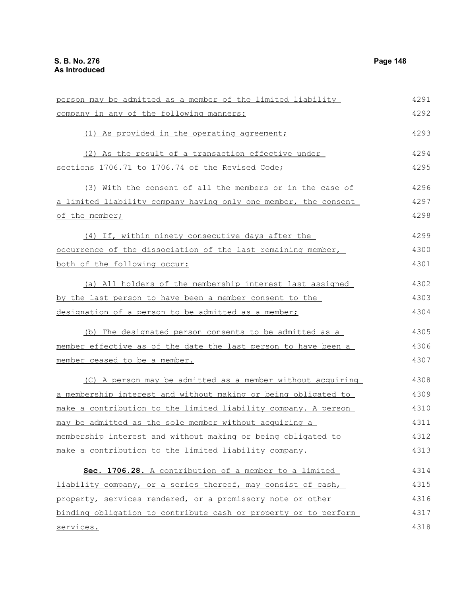| person may be admitted as a member of the limited liability     | 4291 |
|-----------------------------------------------------------------|------|
| company in any of the following manners:                        | 4292 |
| (1) As provided in the operating agreement;                     | 4293 |
| (2) As the result of a transaction effective under              | 4294 |
| sections 1706.71 to 1706.74 of the Revised Code;                | 4295 |
| (3) With the consent of all the members or in the case of       | 4296 |
| a limited liability company having only one member, the consent | 4297 |
| of the member;                                                  | 4298 |
| (4) If, within ninety consecutive days after the                | 4299 |
| occurrence of the dissociation of the last remaining member,    | 4300 |
| both of the following occur:                                    | 4301 |
| (a) All holders of the membership interest last assigned        | 4302 |
| by the last person to have been a member consent to the         | 4303 |
| designation of a person to be admitted as a member;             | 4304 |
| (b) The designated person consents to be admitted as a          | 4305 |
| member effective as of the date the last person to have been a  | 4306 |
| member ceased to be a member.                                   | 4307 |
| (C) A person may be admitted as a member without acquiring      | 4308 |
| a membership interest and without making or being obligated to  | 4309 |
| make a contribution to the limited liability company. A person  | 4310 |
| may be admitted as the sole member without acquiring a          | 4311 |
| membership interest and without making or being obligated to    | 4312 |
| make a contribution to the limited liability company.           | 4313 |
| Sec. 1706.28. A contribution of a member to a limited           | 4314 |
| liability company, or a series thereof, may consist of cash,    | 4315 |
| property, services rendered, or a promissory note or other      | 4316 |
| binding obligation to contribute cash or property or to perform | 4317 |
| services.                                                       | 4318 |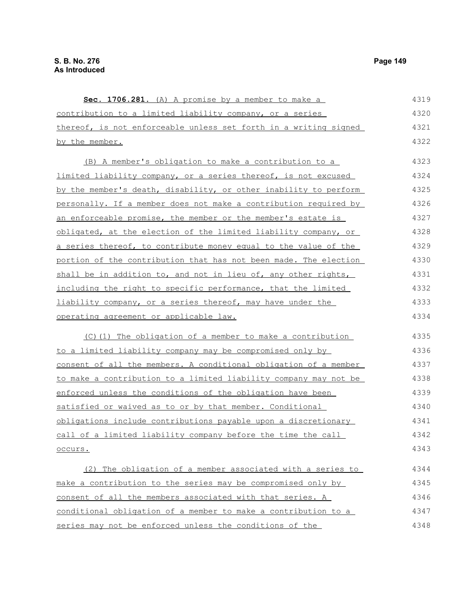**Sec. 1706.281.** (A) A promise by a member to make a contribution to a limited liability company, or a series thereof, is not enforceable unless set forth in a writing signed by the member. (B) A member's obligation to make a contribution to a limited liability company, or a series thereof, is not excused by the member's death, disability, or other inability to perform personally. If a member does not make a contribution required by an enforceable promise, the member or the member's estate is obligated, at the election of the limited liability company, or a series thereof, to contribute money equal to the value of the portion of the contribution that has not been made. The election shall be in addition to, and not in lieu of, any other rights, including the right to specific performance, that the limited liability company, or a series thereof, may have under the operating agreement or applicable law. (C)(1) The obligation of a member to make a contribution to a limited liability company may be compromised only by consent of all the members. A conditional obligation of a member to make a contribution to a limited liability company may not be enforced unless the conditions of the obligation have been satisfied or waived as to or by that member. Conditional obligations include contributions payable upon a discretionary call of a limited liability company before the time the call occurs. (2) The obligation of a member associated with a series to make a contribution to the series may be compromised only by consent of all the members associated with that series. A conditional obligation of a member to make a contribution to a 4319 4320 4321 4322 4323 4324 4325 4326 4327 4328 4329 4330 4331 4332 4333 4334 4335 4336 4337 4338 4339 4340 4341 4342 4343 4344 4345 4346 4347

series may not be enforced unless the conditions of the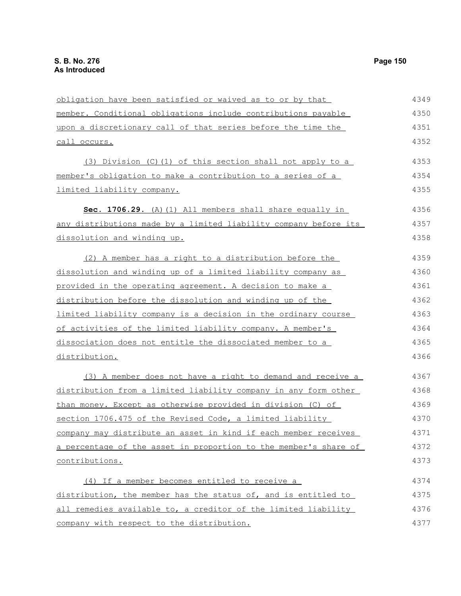obligation have been satisfied or waived as to or by that member. Conditional obligations include contributions payable upon a discretionary call of that series before the time the call occurs. (3) Division (C)(1) of this section shall not apply to a member's obligation to make a contribution to a series of a limited liability company. **Sec. 1706.29.** (A)(1) All members shall share equally in any distributions made by a limited liability company before its dissolution and winding up. (2) A member has a right to a distribution before the dissolution and winding up of a limited liability company as provided in the operating agreement. A decision to make a distribution before the dissolution and winding up of the limited liability company is a decision in the ordinary course of activities of the limited liability company. A member's dissociation does not entitle the dissociated member to a distribution. (3) A member does not have a right to demand and receive a distribution from a limited liability company in any form other than money. Except as otherwise provided in division (C) of section 1706.475 of the Revised Code, a limited liability company may distribute an asset in kind if each member receives a percentage of the asset in proportion to the member's share of contributions. (4) If a member becomes entitled to receive a distribution, the member has the status of, and is entitled to all remedies available to, a creditor of the limited liability company with respect to the distribution. 4349 4350 4351 4352 4353 4354 4355 4356 4357 4358 4359 4360 4361 4362 4363 4364 4365 4366 4367 4368 4369 4370 4371 4372 4373 4374 4375 4376 4377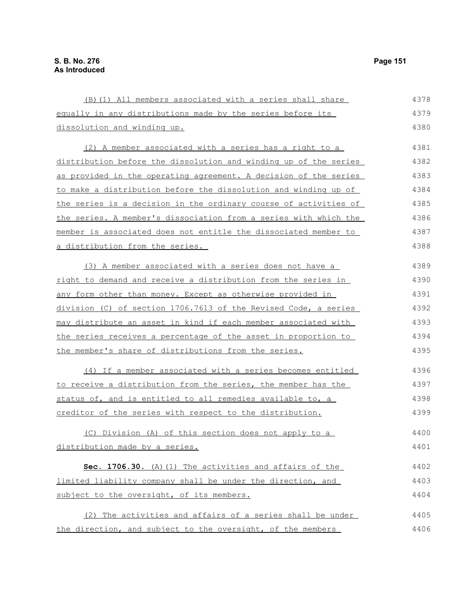| (B) (1) All members associated with a series shall share               | 4378 |
|------------------------------------------------------------------------|------|
| equally in any distributions made by the series before its             | 4379 |
| dissolution and winding up.                                            | 4380 |
| (2) A member associated with a series has a right to a                 | 4381 |
| distribution before the dissolution and winding up of the series       | 4382 |
| as provided in the operating agreement. A decision of the series       | 4383 |
| to make a distribution before the dissolution and winding up of        | 4384 |
| the series is a decision in the ordinary course of activities of       | 4385 |
| the series. A member's dissociation from a series with which the       | 4386 |
| member is associated does not entitle the dissociated member to        | 4387 |
| <u>a distribution from the series.</u>                                 | 4388 |
| (3) A member associated with a series does not have a                  | 4389 |
| right to demand and receive a distribution from the series in          | 4390 |
| any form other than money. Except as otherwise provided in             | 4391 |
| division (C) of section 1706.7613 of the Revised Code, a series        | 4392 |
| <u>may distribute an asset in kind if each member associated with </u> | 4393 |
| the series receives a percentage of the asset in proportion to         | 4394 |
| the member's share of distributions from the series.                   | 4395 |
| (4) If a member associated with a series becomes entitled              | 4396 |
| to receive a distribution from the series, the member has the          | 4397 |
| status of, and is entitled to all remedies available to, a             | 4398 |
| creditor of the series with respect to the distribution.               | 4399 |
| (C) Division (A) of this section does not apply to a                   | 4400 |
| distribution made by a series.                                         | 4401 |
| Sec. 1706.30. (A) (1) The activities and affairs of the                | 4402 |
| limited liability company shall be under the direction, and            | 4403 |
| subject to the oversight, of its members.                              | 4404 |
| (2) The activities and affairs of a series shall be under              | 4405 |
| the direction, and subject to the oversight, of the members            | 4406 |
|                                                                        |      |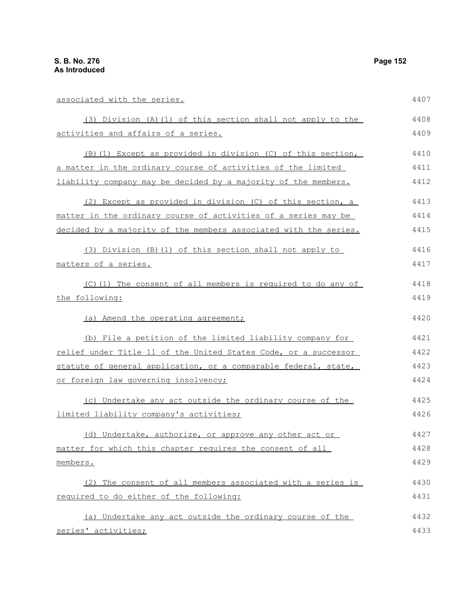| associated with the series.                                      | 4407 |
|------------------------------------------------------------------|------|
| (3) Division (A) (1) of this section shall not apply to the      | 4408 |
| activities and affairs of a series.                              | 4409 |
| (B) (1) Except as provided in division (C) of this section,      | 4410 |
| a matter in the ordinary course of activities of the limited     | 4411 |
| liability company may be decided by a majority of the members.   | 4412 |
| (2) Except as provided in division (C) of this section, a        | 4413 |
| matter in the ordinary course of activities of a series may be   | 4414 |
| decided by a majority of the members associated with the series. | 4415 |
| (3) Division (B) (1) of this section shall not apply to          | 4416 |
| matters of a series.                                             | 4417 |
| (C)(1) The consent of all members is required to do any of       | 4418 |
| the following:                                                   | 4419 |
| (a) Amend the operating agreement;                               | 4420 |
| (b) File a petition of the limited liability company for         | 4421 |
| relief under Title 11 of the United States Code, or a successor  | 4422 |
| statute of general application, or a comparable federal, state,  | 4423 |
| or foreign law governing insolvency;                             | 4424 |
| (c) Undertake any act outside the ordinary course of the         | 4425 |
| limited liability company's activities;                          | 4426 |
| (d) Undertake, authorize, or approve any other act or            | 4427 |
| matter for which this chapter requires the consent of all        | 4428 |
| members.                                                         | 4429 |
| (2) The consent of all members associated with a series is       | 4430 |
| required to do either of the following:                          | 4431 |
| (a) Undertake any act outside the ordinary course of the         | 4432 |
| series' activities;                                              | 4433 |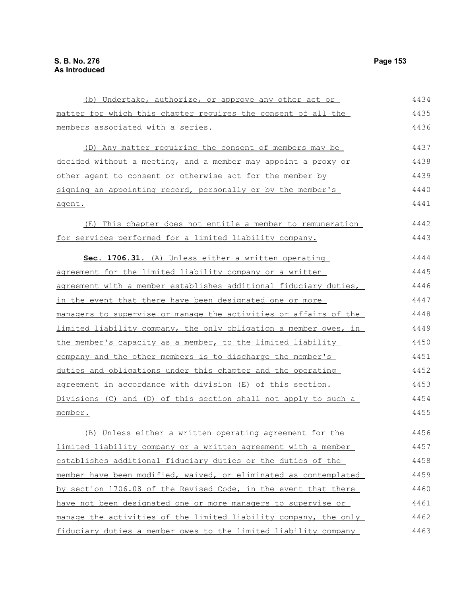matter for which this chapter requires the consent of all the members associated with a series. (D) Any matter requiring the consent of members may be decided without a meeting, and a member may appoint a proxy or other agent to consent or otherwise act for the member by signing an appointing record, personally or by the member's agent. (E) This chapter does not entitle a member to remuneration for services performed for a limited liability company. **Sec. 1706.31.** (A) Unless either a written operating agreement for the limited liability company or a written agreement with a member establishes additional fiduciary duties, in the event that there have been designated one or more managers to supervise or manage the activities or affairs of the limited liability company, the only obligation a member owes, in the member's capacity as a member, to the limited liability company and the other members is to discharge the member's duties and obligations under this chapter and the operating agreement in accordance with division (E) of this section. Divisions (C) and (D) of this section shall not apply to such a member. (B) Unless either a written operating agreement for the limited liability company or a written agreement with a member establishes additional fiduciary duties or the duties of the member have been modified, waived, or eliminated as contemplated 4435 4436 4437 4438 4439 4440 4441 4442 4443 4444 4445 4446 4447 4448 4449 4450 4451 4452 4453 4454 4455 4456 4457 4458 4459

(b) Undertake, authorize, or approve any other act or

by section 1706.08 of the Revised Code, in the event that there

manage the activities of the limited liability company, the only fiduciary duties a member owes to the limited liability company

have not been designated one or more managers to supervise or

4434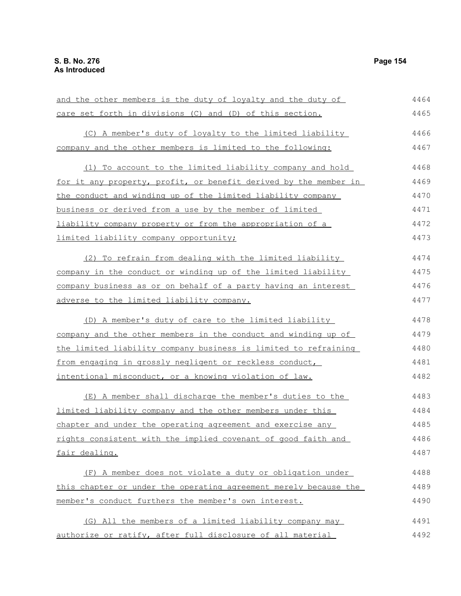and the other members is the duty of loyalty and the duty of care set forth in divisions (C) and (D) of this section. (C) A member's duty of loyalty to the limited liability company and the other members is limited to the following: (1) To account to the limited liability company and hold for it any property, profit, or benefit derived by the member in the conduct and winding up of the limited liability company business or derived from a use by the member of limited liability company property or from the appropriation of a limited liability company opportunity; (2) To refrain from dealing with the limited liability company in the conduct or winding up of the limited liability company business as or on behalf of a party having an interest adverse to the limited liability company. (D) A member's duty of care to the limited liability company and the other members in the conduct and winding up of the limited liability company business is limited to refraining from engaging in grossly negligent or reckless conduct, intentional misconduct, or a knowing violation of law. (E) A member shall discharge the member's duties to the limited liability company and the other members under this chapter and under the operating agreement and exercise any rights consistent with the implied covenant of good faith and fair dealing. (F) A member does not violate a duty or obligation under this chapter or under the operating agreement merely because the member's conduct furthers the member's own interest. (G) All the members of a limited liability company may authorize or ratify, after full disclosure of all material 4464 4465 4466 4467 4468 4469 4470 4471 4472 4473 4474 4475 4476 4477 4478 4479 4480 4481 4482 4483 4484 4485 4486 4487 4488 4489 4490 4491 4492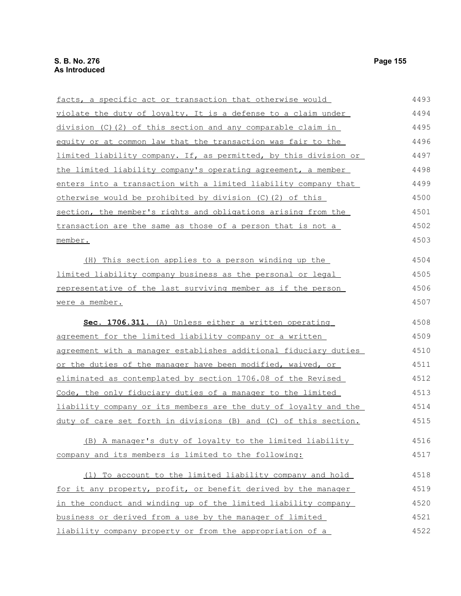facts, a specific act or transaction that otherwise would violate the duty of loyalty. It is a defense to a claim under division (C)(2) of this section and any comparable claim in equity or at common law that the transaction was fair to the limited liability company. If, as permitted, by this division or the limited liability company's operating agreement, a member enters into a transaction with a limited liability company that otherwise would be prohibited by division (C)(2) of this section, the member's rights and obligations arising from the transaction are the same as those of a person that is not a member. (H) This section applies to a person winding up the limited liability company business as the personal or legal representative of the last surviving member as if the person were a member. **Sec. 1706.311.** (A) Unless either a written operating agreement for the limited liability company or a written agreement with a manager establishes additional fiduciary duties or the duties of the manager have been modified, waived, or eliminated as contemplated by section 1706.08 of the Revised Code, the only fiduciary duties of a manager to the limited liability company or its members are the duty of loyalty and the duty of care set forth in divisions (B) and (C) of this section. (B) A manager's duty of loyalty to the limited liability company and its members is limited to the following: (1) To account to the limited liability company and hold for it any property, profit, or benefit derived by the manager in the conduct and winding up of the limited liability company business or derived from a use by the manager of limited liability company property or from the appropriation of a 4493 4494 4495 4496 4497 4498 4499 4500 4501 4502 4503 4504 4505 4506 4507 4508 4509 4510 4511 4512 4513 4514 4515 4516 4517 4518 4519 4520 4521 4522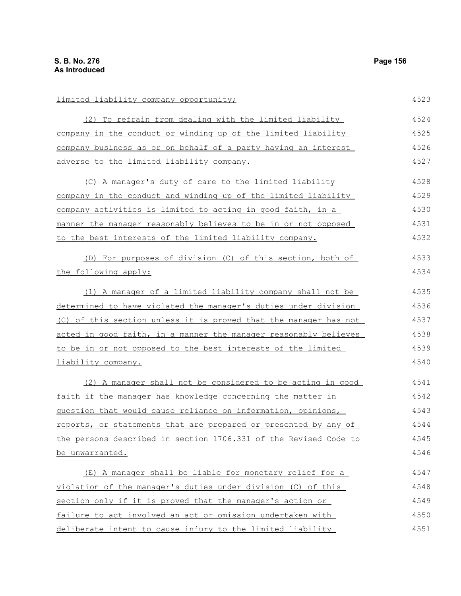limited liability company opportunity; (2) To refrain from dealing with the limited liability company in the conduct or winding up of the limited liability company business as or on behalf of a party having an interest adverse to the limited liability company. (C) A manager's duty of care to the limited liability company in the conduct and winding up of the limited liability company activities is limited to acting in good faith, in a manner the manager reasonably believes to be in or not opposed to the best interests of the limited liability company. (D) For purposes of division (C) of this section, both of the following apply: (1) A manager of a limited liability company shall not be determined to have violated the manager's duties under division (C) of this section unless it is proved that the manager has not acted in good faith, in a manner the manager reasonably believes to be in or not opposed to the best interests of the limited liability company. (2) A manager shall not be considered to be acting in good faith if the manager has knowledge concerning the matter in question that would cause reliance on information, opinions, reports, or statements that are prepared or presented by any of the persons described in section 1706.331 of the Revised Code to be unwarranted. (E) A manager shall be liable for monetary relief for a violation of the manager's duties under division (C) of this section only if it is proved that the manager's action or failure to act involved an act or omission undertaken with deliberate intent to cause injury to the limited liability 4523 4524 4525 4526 4527 4528 4529 4530 4531 4532 4533 4534 4535 4536 4537 4538 4539 4540 4541 4542 4543 4544 4545 4546 4547 4548 4549 4550 4551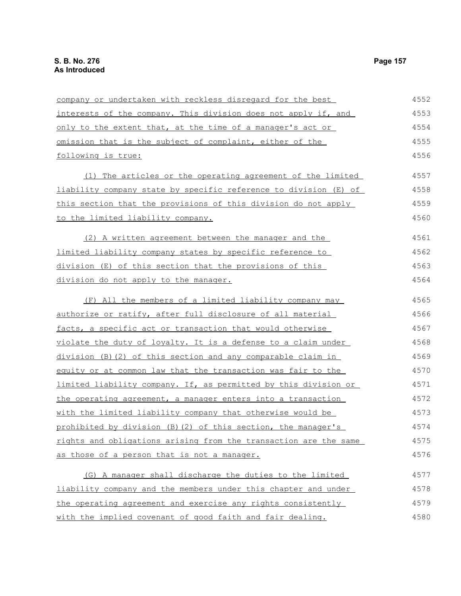| company or undertaken with reckless disregard for the best       | 4552 |
|------------------------------------------------------------------|------|
| interests of the company. This division does not apply if, and   | 4553 |
| only to the extent that, at the time of a manager's act or       | 4554 |
| omission that is the subject of complaint, either of the         | 4555 |
| following is true:                                               | 4556 |
| (1) The articles or the operating agreement of the limited       | 4557 |
| liability company state by specific reference to division (E) of | 4558 |
| this section that the provisions of this division do not apply   | 4559 |
| <u>to the limited liability company.</u>                         | 4560 |
| (2) A written agreement between the manager and the              | 4561 |
| limited liability company states by specific reference to        | 4562 |
| division (E) of this section that the provisions of this         | 4563 |
| division do not apply to the manager.                            | 4564 |
| (F) All the members of a limited liability company may           | 4565 |
| authorize or ratify, after full disclosure of all material       | 4566 |
| facts, a specific act or transaction that would otherwise        | 4567 |
| violate the duty of loyalty. It is a defense to a claim under    | 4568 |
| division (B) (2) of this section and any comparable claim in     | 4569 |
| equity or at common law that the transaction was fair to the     | 4570 |
| limited liability company. If, as permitted by this division or  | 4571 |
| the operating agreement, a manager enters into a transaction     | 4572 |
| with the limited liability company that otherwise would be       | 4573 |
| prohibited by division (B) (2) of this section, the manager's    | 4574 |
| rights and obligations arising from the transaction are the same | 4575 |
| as those of a person that is not a manager.                      | 4576 |
| (G) A manager shall discharge the duties to the limited          | 4577 |
| liability company and the members under this chapter and under   | 4578 |
| the operating agreement and exercise any rights consistently     | 4579 |
| with the implied covenant of good faith and fair dealing.        | 4580 |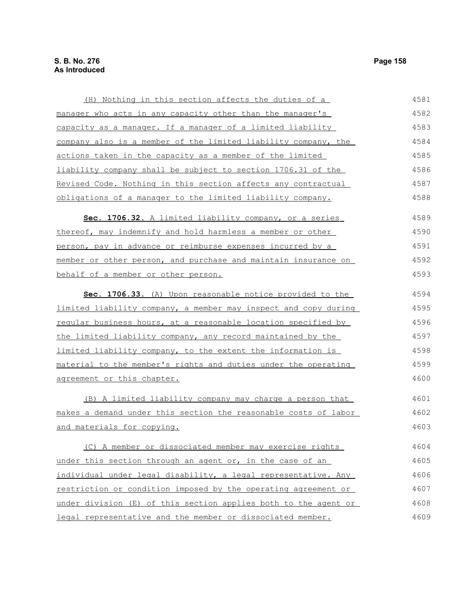(H) Nothing in this section affects the duties of a manager who acts in any capacity other than the manager's capacity as a manager. If a manager of a limited liability company also is a member of the limited liability company, the actions taken in the capacity as a member of the limited liability company shall be subject to section 1706.31 of the Revised Code. Nothing in this section affects any contractual obligations of a manager to the limited liability company. **Sec. 1706.32.** A limited liability company, or a series thereof, may indemnify and hold harmless a member or other person, pay in advance or reimburse expenses incurred by a member or other person, and purchase and maintain insurance on behalf of a member or other person. **Sec. 1706.33.** (A) Upon reasonable notice provided to the limited liability company, a member may inspect and copy during regular business hours, at a reasonable location specified by the limited liability company, any record maintained by the limited liability company, to the extent the information is material to the member's rights and duties under the operating agreement or this chapter. (B) A limited liability company may charge a person that makes a demand under this section the reasonable costs of labor and materials for copying. (C) A member or dissociated member may exercise rights under this section through an agent or, in the case of an individual under legal disability, a legal representative. Any restriction or condition imposed by the operating agreement or under division (E) of this section applies both to the agent or legal representative and the member or dissociated member. 4581 4582 4583 4584 4585 4586 4587 4588 4589 4590 4591 4592 4593 4594 4595 4596 4597 4598 4599 4600 4601 4602 4603 4604 4605 4606 4607 4608 4609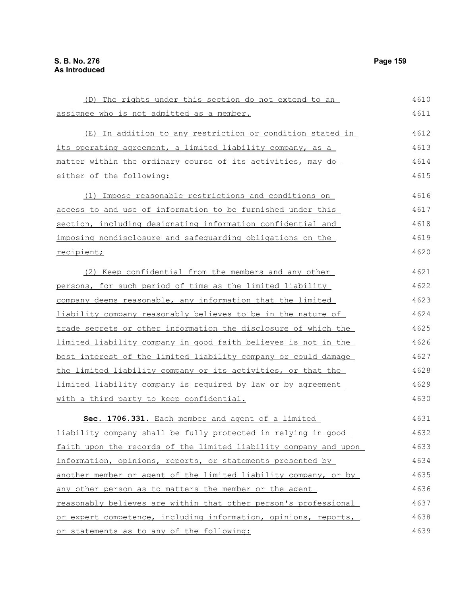| (D) The rights under this section do not extend to an            | 4610 |
|------------------------------------------------------------------|------|
| assignee who is not admitted as a member.                        | 4611 |
| (E) In addition to any restriction or condition stated in        | 4612 |
| its operating agreement, a limited liability company, as a       | 4613 |
| matter within the ordinary course of its activities, may do      | 4614 |
| either of the following:                                         | 4615 |
| Impose reasonable restrictions and conditions on<br>(1)          | 4616 |
| access to and use of information to be furnished under this      | 4617 |
| section, including designating information confidential and      | 4618 |
| imposing nondisclosure and safequarding obligations on the       | 4619 |
| recipient;                                                       | 4620 |
| (2) Keep confidential from the members and any other             | 4621 |
| persons, for such period of time as the limited liability        | 4622 |
| company deems reasonable, any information that the limited       | 4623 |
| liability company reasonably believes to be in the nature of     | 4624 |
| trade secrets or other information the disclosure of which the   | 4625 |
| limited liability company in good faith believes is not in the   | 4626 |
| best interest of the limited liability company or could damage   | 4627 |
| the limited liability company or its activities, or that the     | 4628 |
| limited liability company is required by law or by agreement     | 4629 |
| with a third party to keep confidential.                         | 4630 |
| Sec. 1706.331. Each member and agent of a limited                | 4631 |
| liability company shall be fully protected in relying in good    | 4632 |
| faith upon the records of the limited liability company and upon | 4633 |
| information, opinions, reports, or statements presented by       | 4634 |
| another member or agent of the limited liability company, or by  | 4635 |
| any other person as to matters the member or the agent           | 4636 |
| reasonably believes are within that other person's professional  | 4637 |
| or expert competence, including information, opinions, reports,  | 4638 |
| or statements as to any of the following:                        | 4639 |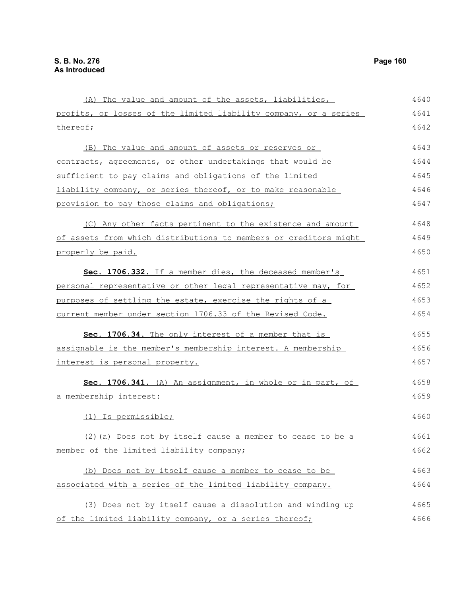| (A) The value and amount of the assets, liabilities,             | 4640 |
|------------------------------------------------------------------|------|
| profits, or losses of the limited liability company, or a series | 4641 |
| thereof;                                                         | 4642 |
| (B) The value and amount of assets or reserves or                | 4643 |
| contracts, agreements, or other undertakings that would be       | 4644 |
| sufficient to pay claims and obligations of the limited          | 4645 |
| liability company, or series thereof, or to make reasonable      | 4646 |
| provision to pay those claims and obligations;                   | 4647 |
| (C) Any other facts pertinent to the existence and amount        | 4648 |
| of assets from which distributions to members or creditors might | 4649 |
| properly be paid.                                                | 4650 |
| Sec. 1706.332. If a member dies, the deceased member's           | 4651 |
| personal representative or other legal representative may, for   | 4652 |
| purposes of settling the estate, exercise the rights of a        | 4653 |
| current member under section 1706.33 of the Revised Code.        | 4654 |
| Sec. 1706.34. The only interest of a member that is              | 4655 |
| assignable is the member's membership interest. A membership     | 4656 |
| <u>interest is personal property.</u>                            | 4657 |
| Sec. 1706.341. (A) An assignment, in whole or in part, of        | 4658 |
| a membership interest:                                           | 4659 |
| (1) Is permissible;                                              | 4660 |
| (2) (a) Does not by itself cause a member to cease to be a       | 4661 |
| member of the limited liability company;                         | 4662 |
| (b) Does not by itself cause a member to cease to be             | 4663 |
| associated with a series of the limited liability company.       | 4664 |
| (3) Does not by itself cause a dissolution and winding up        | 4665 |
| of the limited liability company, or a series thereof;           | 4666 |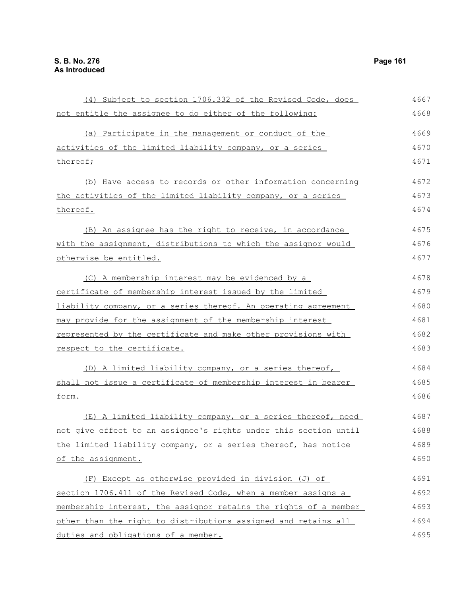| (4) Subject to section 1706.332 of the Revised Code, does        | 4667 |
|------------------------------------------------------------------|------|
| not entitle the assignee to do either of the following:          | 4668 |
| (a) Participate in the management or conduct of the              | 4669 |
| activities of the limited liability company, or a series         | 4670 |
| thereof;                                                         | 4671 |
| (b) Have access to records or other information concerning       | 4672 |
| the activities of the limited liability company, or a series     | 4673 |
| thereof.                                                         | 4674 |
| (B) An assignee has the right to receive, in accordance          | 4675 |
| with the assignment, distributions to which the assignor would   | 4676 |
| otherwise be entitled.                                           | 4677 |
| (C) A membership interest may be evidenced by a                  | 4678 |
| certificate of membership interest issued by the limited         | 4679 |
| liability company, or a series thereof. An operating agreement   | 4680 |
| may provide for the assignment of the membership interest        | 4681 |
| represented by the certificate and make other provisions with    | 4682 |
| respect to the certificate.                                      | 4683 |
| (D) A limited liability company, or a series thereof,            | 4684 |
| shall not issue a certificate of membership interest in bearer   | 4685 |
| form.                                                            | 4686 |
| (E) A limited liability company, or a series thereof, need       | 4687 |
| not give effect to an assignee's rights under this section until | 4688 |
| the limited liability company, or a series thereof, has notice   | 4689 |
| of the assignment.                                               | 4690 |
| (F) Except as otherwise provided in division (J) of              | 4691 |
| section 1706.411 of the Revised Code, when a member assigns a    | 4692 |
| membership interest, the assignor retains the rights of a member | 4693 |
| other than the right to distributions assigned and retains all   | 4694 |
| duties and obligations of a member.                              | 4695 |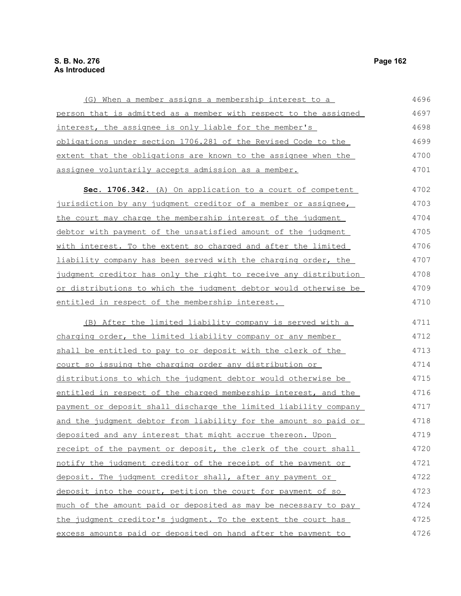## **S. B. No. 276 Page 162 As Introduced**

(G) When a member assigns a membership interest to a person that is admitted as a member with respect to the assigned interest, the assignee is only liable for the member's obligations under section 1706.281 of the Revised Code to the extent that the obligations are known to the assignee when the assignee voluntarily accepts admission as a member. **Sec. 1706.342.** (A) On application to a court of competent jurisdiction by any judgment creditor of a member or assignee, the court may charge the membership interest of the judgment debtor with payment of the unsatisfied amount of the judgment with interest. To the extent so charged and after the limited liability company has been served with the charging order, the judgment creditor has only the right to receive any distribution or distributions to which the judgment debtor would otherwise be entitled in respect of the membership interest. (B) After the limited liability company is served with a charging order, the limited liability company or any member shall be entitled to pay to or deposit with the clerk of the court so issuing the charging order any distribution or distributions to which the judgment debtor would otherwise be entitled in respect of the charged membership interest, and the payment or deposit shall discharge the limited liability company and the judgment debtor from liability for the amount so paid or deposited and any interest that might accrue thereon. Upon receipt of the payment or deposit, the clerk of the court shall notify the judgment creditor of the receipt of the payment or deposit. The judgment creditor shall, after any payment or deposit into the court, petition the court for payment of so much of the amount paid or deposited as may be necessary to pay the judgment creditor's judgment. To the extent the court has excess amounts paid or deposited on hand after the payment to 4696 4697 4698 4699 4700 4701 4702 4703 4704 4705 4706 4707 4708 4709 4710 4711 4712 4713 4714 4715 4716 4717 4718 4719 4720 4721 4722 4723 4724 4725 4726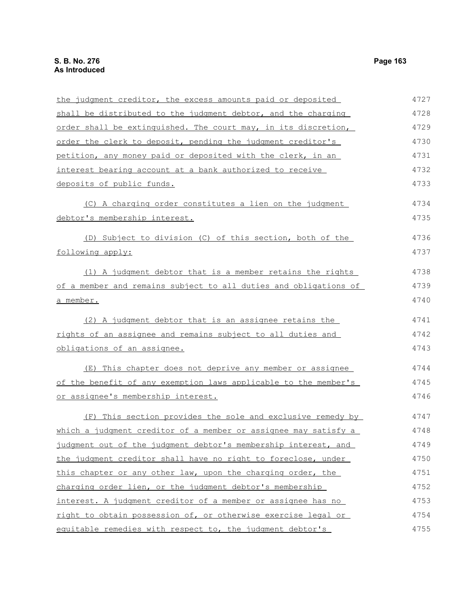| the judgment creditor, the excess amounts paid or deposited      | 4727 |
|------------------------------------------------------------------|------|
| shall be distributed to the judgment debtor, and the charging    | 4728 |
| order shall be extinguished. The court may, in its discretion,   | 4729 |
| order the clerk to deposit, pending the judgment creditor's      | 4730 |
| petition, any money paid or deposited with the clerk, in an      | 4731 |
| interest bearing account at a bank authorized to receive         | 4732 |
| deposits of public funds.                                        | 4733 |
| (C) A charging order constitutes a lien on the judgment          | 4734 |
| debtor's membership interest.                                    | 4735 |
| (D) Subject to division (C) of this section, both of the         | 4736 |
| following apply:                                                 | 4737 |
| (1) A judgment debtor that is a member retains the rights        | 4738 |
| of a member and remains subject to all duties and obligations of | 4739 |
| <u>a member.</u>                                                 | 4740 |
| (2) A judgment debtor that is an assignee retains the            | 4741 |
| rights of an assignee and remains subject to all duties and      | 4742 |
| obligations of an assignee.                                      | 4743 |
| (E) This chapter does not deprive any member or assignee         | 4744 |
| of the benefit of any exemption laws applicable to the member's  | 4745 |
| or assignee's membership interest.                               | 4746 |
| (F) This section provides the sole and exclusive remedy by       | 4747 |
| which a judgment creditor of a member or assignee may satisfy a  | 4748 |
| judgment out of the judgment debtor's membership interest, and   | 4749 |
| the judgment creditor shall have no right to foreclose, under    | 4750 |
| this chapter or any other law, upon the charging order, the      | 4751 |
| charging order lien, or the judgment debtor's membership         | 4752 |
| interest. A judgment creditor of a member or assignee has no     | 4753 |
| right to obtain possession of, or otherwise exercise legal or    | 4754 |
| equitable remedies with respect to, the judgment debtor's        | 4755 |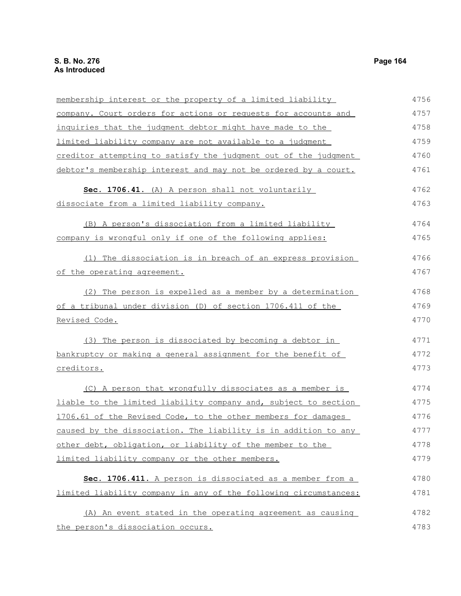membership interest or the property of a limited liability company. Court orders for actions or requests for accounts and inquiries that the judgment debtor might have made to the limited liability company are not available to a judgment creditor attempting to satisfy the judgment out of the judgment debtor's membership interest and may not be ordered by a court. Sec. 1706.41. (A) A person shall not voluntarily dissociate from a limited liability company. (B) A person's dissociation from a limited liability company is wrongful only if one of the following applies: (1) The dissociation is in breach of an express provision of the operating agreement. (2) The person is expelled as a member by a determination of a tribunal under division (D) of section 1706.411 of the Revised Code. (3) The person is dissociated by becoming a debtor in bankruptcy or making a general assignment for the benefit of creditors. (C) A person that wrongfully dissociates as a member is liable to the limited liability company and, subject to section 1706.61 of the Revised Code, to the other members for damages caused by the dissociation. The liability is in addition to any other debt, obligation, or liability of the member to the limited liability company or the other members. **Sec. 1706.411.** A person is dissociated as a member from a limited liability company in any of the following circumstances: (A) An event stated in the operating agreement as causing the person's dissociation occurs. 4756 4757 4758 4759 4760 4761 4762 4763 4764 4765 4766 4767 4768 4769 4770 4771 4772 4773 4774 4775 4776 4777 4778 4779 4780 4781 4782 4783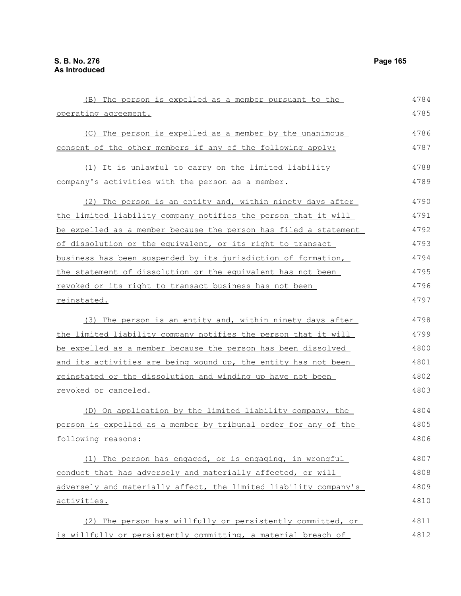(B) The person is expelled as a member pursuant to the operating agreement. (C) The person is expelled as a member by the unanimous consent of the other members if any of the following apply: (1) It is unlawful to carry on the limited liability company's activities with the person as a member. (2) The person is an entity and, within ninety days after the limited liability company notifies the person that it will be expelled as a member because the person has filed a statement of dissolution or the equivalent, or its right to transact business has been suspended by its jurisdiction of formation, the statement of dissolution or the equivalent has not been revoked or its right to transact business has not been reinstated. (3) The person is an entity and, within ninety days after the limited liability company notifies the person that it will be expelled as a member because the person has been dissolved and its activities are being wound up, the entity has not been reinstated or the dissolution and winding up have not been revoked or canceled. (D) On application by the limited liability company, the person is expelled as a member by tribunal order for any of the following reasons: (1) The person has engaged, or is engaging, in wrongful conduct that has adversely and materially affected, or will adversely and materially affect, the limited liability company's activities. (2) The person has willfully or persistently committed, or is willfully or persistently committing, a material breach of 4784 4785 4786 4787 4788 4789 4790 4791 4792 4793 4794 4795 4796 4797 4798 4799 4800 4801 4802 4803 4804 4805 4806 4807 4808 4809 4810 4811 4812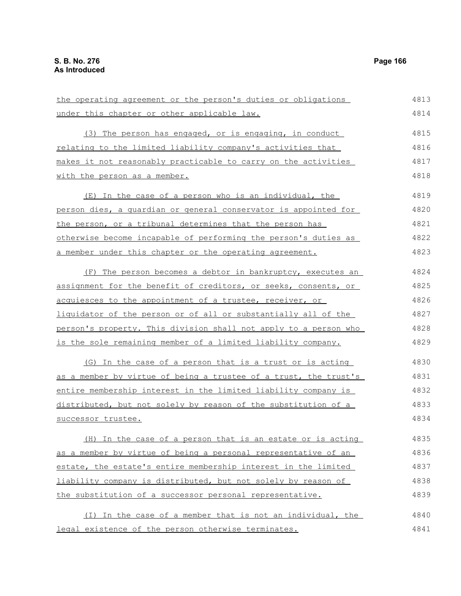| the operating agreement or the person's duties or obligations    | 4813 |
|------------------------------------------------------------------|------|
| under this chapter or other applicable law.                      | 4814 |
| (3) The person has engaged, or is engaging, in conduct           | 4815 |
| relating to the limited liability company's activities that      | 4816 |
| makes it not reasonably practicable to carry on the activities   | 4817 |
| with the person as a member.                                     | 4818 |
| (E) In the case of a person who is an individual, the            | 4819 |
| person dies, a quardian or general conservator is appointed for  | 4820 |
| the person, or a tribunal determines that the person has         | 4821 |
| otherwise become incapable of performing the person's duties as  | 4822 |
| a member under this chapter or the operating agreement.          | 4823 |
| (F) The person becomes a debtor in bankruptcy, executes an       | 4824 |
| assignment for the benefit of creditors, or seeks, consents, or  | 4825 |
| acquiesces to the appointment of a trustee, receiver, or         | 4826 |
| liquidator of the person or of all or substantially all of the   | 4827 |
| person's property. This division shall not apply to a person who | 4828 |
| is the sole remaining member of a limited liability company.     | 4829 |
| (G) In the case of a person that is a trust or is acting         | 4830 |
| as a member by virtue of being a trustee of a trust, the trust's | 4831 |
| entire membership interest in the limited liability company is   | 4832 |
| distributed, but not solely by reason of the substitution of a   | 4833 |
| successor trustee.                                               | 4834 |
| (H) In the case of a person that is an estate or is acting       | 4835 |
| as a member by virtue of being a personal representative of an   | 4836 |
| estate, the estate's entire membership interest in the limited   | 4837 |
| liability company is distributed, but not solely by reason of    | 4838 |
| the substitution of a successor personal representative.         | 4839 |
| (I) In the case of a member that is not an individual, the       | 4840 |
| legal existence of the person otherwise terminates.              | 4841 |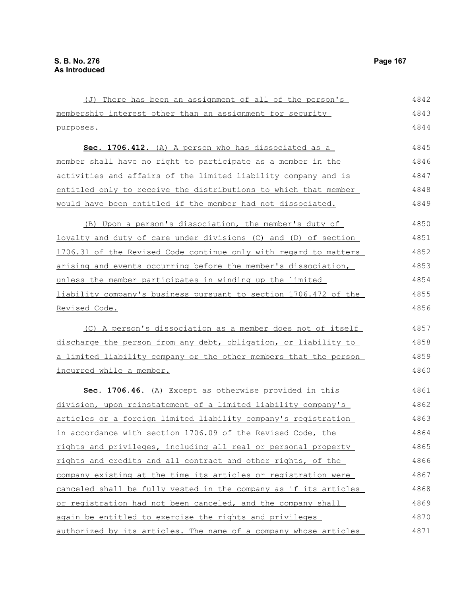(J) There has been an assignment of all of the person's membership interest other than an assignment for security purposes. **Sec. 1706.412.** (A) A person who has dissociated as a member shall have no right to participate as a member in the activities and affairs of the limited liability company and is entitled only to receive the distributions to which that member would have been entitled if the member had not dissociated. (B) Upon a person's dissociation, the member's duty of loyalty and duty of care under divisions (C) and (D) of section 1706.31 of the Revised Code continue only with regard to matters arising and events occurring before the member's dissociation, unless the member participates in winding up the limited liability company's business pursuant to section 1706.472 of the Revised Code. (C) A person's dissociation as a member does not of itself discharge the person from any debt, obligation, or liability to a limited liability company or the other members that the person incurred while a member. **Sec. 1706.46.** (A) Except as otherwise provided in this division, upon reinstatement of a limited liability company's articles or a foreign limited liability company's registration in accordance with section 1706.09 of the Revised Code, the rights and privileges, including all real or personal property rights and credits and all contract and other rights, of the company existing at the time its articles or registration were canceled shall be fully vested in the company as if its articles or registration had not been canceled, and the company shall again be entitled to exercise the rights and privileges 4843 4844 4845 4846 4847 4848 4849 4850 4851 4852 4853 4854 4855 4856 4857 4858 4859 4860 4861 4862 4863 4864 4865 4866 4867 4868 4869 4870

authorized by its articles. The name of a company whose articles 4871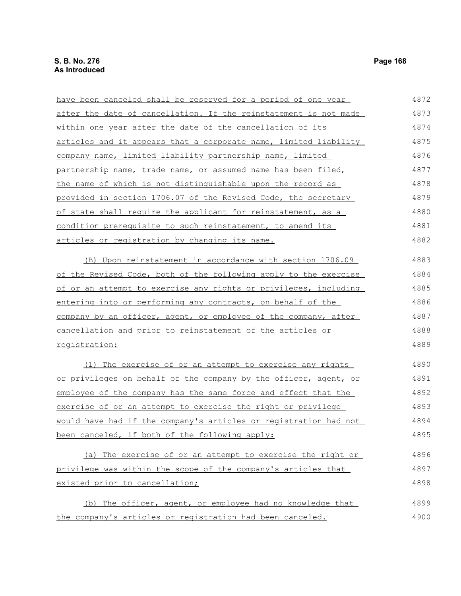have been canceled shall be reserved for a period of one year after the date of cancellation. If the reinstatement is not made within one year after the date of the cancellation of its articles and it appears that a corporate name, limited liability company name, limited liability partnership name, limited partnership name, trade name, or assumed name has been filed, the name of which is not distinguishable upon the record as provided in section 1706.07 of the Revised Code, the secretary of state shall require the applicant for reinstatement, as a condition prerequisite to such reinstatement, to amend its articles or registration by changing its name. (B) Upon reinstatement in accordance with section 1706.09 of the Revised Code, both of the following apply to the exercise of or an attempt to exercise any rights or privileges, including entering into or performing any contracts, on behalf of the company by an officer, agent, or employee of the company, after cancellation and prior to reinstatement of the articles or registration: (1) The exercise of or an attempt to exercise any rights or privileges on behalf of the company by the officer, agent, or employee of the company has the same force and effect that the exercise of or an attempt to exercise the right or privilege would have had if the company's articles or registration had not been canceled, if both of the following apply: (a) The exercise of or an attempt to exercise the right or privilege was within the scope of the company's articles that existed prior to cancellation; (b) The officer, agent, or employee had no knowledge that 4872 4873 4874 4875 4876 4877 4878 4879 4880 4881 4882 4883 4884 4885 4886 4887 4888 4889 4890 4891 4892 4893 4894 4895 4896 4897 4898 4899

the company's articles or registration had been canceled.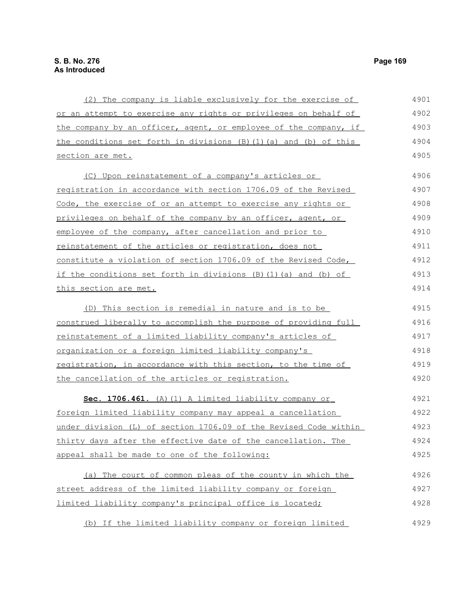| (2) The company is liable exclusively for the exercise of           | 4901 |
|---------------------------------------------------------------------|------|
| or an attempt to exercise any rights or privileges on behalf of     | 4902 |
| the company by an officer, agent, or employee of the company, if    | 4903 |
| the conditions set forth in divisions (B)(1)(a) and (b) of this     | 4904 |
| section are met.                                                    | 4905 |
| (C) Upon reinstatement of a company's articles or                   | 4906 |
| registration in accordance with section 1706.09 of the Revised      | 4907 |
| Code, the exercise of or an attempt to exercise any rights or       | 4908 |
| privileges on behalf of the company by an officer, agent, or        | 4909 |
| employee of the company, after cancellation and prior to            | 4910 |
| reinstatement of the articles or registration, does not             | 4911 |
| constitute a violation of section 1706.09 of the Revised Code,      | 4912 |
| if the conditions set forth in divisions $(B) (1) (a)$ and $(b)$ of | 4913 |
| this section are met.                                               | 4914 |
| (D) This section is remedial in nature and is to be                 | 4915 |
| construed liberally to accomplish the purpose of providing full     | 4916 |
| reinstatement of a limited liability company's articles of          | 4917 |
| <u>organization or a foreign limited liability company's</u>        | 4918 |
| registration, in accordance with this section, to the time of       | 4919 |
| the cancellation of the articles or registration.                   | 4920 |
| Sec. 1706.461. (A) (1) A limited liability company or               | 4921 |
| <u>foreign limited liability company may appeal a cancellation</u>  | 4922 |
| under division (L) of section 1706.09 of the Revised Code within    | 4923 |
| thirty days after the effective date of the cancellation. The       | 4924 |
| appeal shall be made to one of the following:                       | 4925 |
| (a) The court of common pleas of the county in which the            | 4926 |
| street address of the limited liability company or foreign          | 4927 |
| limited liability company's principal office is located;            | 4928 |
| (b) If the limited liability company or foreign limited             | 4929 |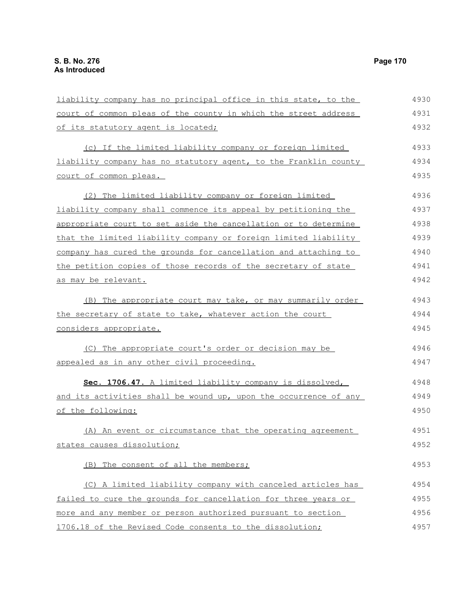of its statutory agent is located;

court of common pleas.

liability company has no principal office in this state, to the court of common pleas of the county in which the street address (c) If the limited liability company or foreign limited liability company has no statutory agent, to the Franklin county (2) The limited liability company or foreign limited 4930 4931 4932 4933 4934 4935 4936

liability company shall commence its appeal by petitioning the appropriate court to set aside the cancellation or to determine that the limited liability company or foreign limited liability company has cured the grounds for cancellation and attaching to the petition copies of those records of the secretary of state as may be relevant. 4937 4938 4939 4940 4941 4942

(B) The appropriate court may take, or may summarily order the secretary of state to take, whatever action the court considers appropriate. 4943 4944 4945

(C) The appropriate court's order or decision may be appealed as in any other civil proceeding. 4946 4947

 **Sec. 1706.47.** A limited liability company is dissolved, and its activities shall be wound up, upon the occurrence of any of the following: 4948 4949 4950

(A) An event or circumstance that the operating agreement states causes dissolution; 4951 4952

(B) The consent of all the members;

(C) A limited liability company with canceled articles has failed to cure the grounds for cancellation for three years or more and any member or person authorized pursuant to section 1706.18 of the Revised Code consents to the dissolution; 4954 4955 4956 4957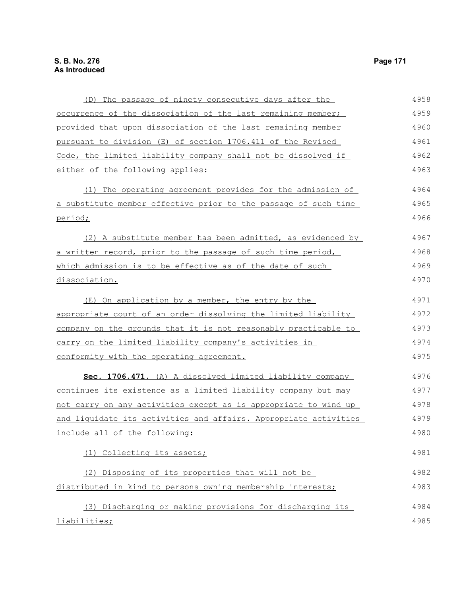| (D) The passage of ninety consecutive days after the             | 4958 |
|------------------------------------------------------------------|------|
| occurrence of the dissociation of the last remaining member;     | 4959 |
| provided that upon dissociation of the last remaining member     | 4960 |
| pursuant to division (E) of section 1706.411 of the Revised      | 4961 |
| Code, the limited liability company shall not be dissolved if    | 4962 |
| either of the following applies:                                 | 4963 |
| (1) The operating agreement provides for the admission of        | 4964 |
| a substitute member effective prior to the passage of such time  | 4965 |
| period;                                                          | 4966 |
| (2) A substitute member has been admitted, as evidenced by       | 4967 |
| a written record, prior to the passage of such time period,      | 4968 |
| which admission is to be effective as of the date of such        | 4969 |
| dissociation.                                                    | 4970 |
| (E) On application by a member, the entry by the                 | 4971 |
| appropriate court of an order dissolving the limited liability   | 4972 |
| company on the grounds that it is not reasonably practicable to  | 4973 |
| carry on the limited liability company's activities in           | 4974 |
| conformity with the operating agreement.                         | 4975 |
| Sec. 1706.471. (A) A dissolved limited liability company         | 4976 |
| continues its existence as a limited liability company but may   | 4977 |
| not carry on any activities except as is appropriate to wind up  | 4978 |
| and liquidate its activities and affairs. Appropriate activities | 4979 |
| include all of the following:                                    | 4980 |
| (1) Collecting its assets;                                       | 4981 |
| (2) Disposing of its properties that will not be                 | 4982 |
| distributed in kind to persons owning membership interests;      | 4983 |
| (3) Discharging or making provisions for discharging its         | 4984 |
| liabilities;                                                     | 4985 |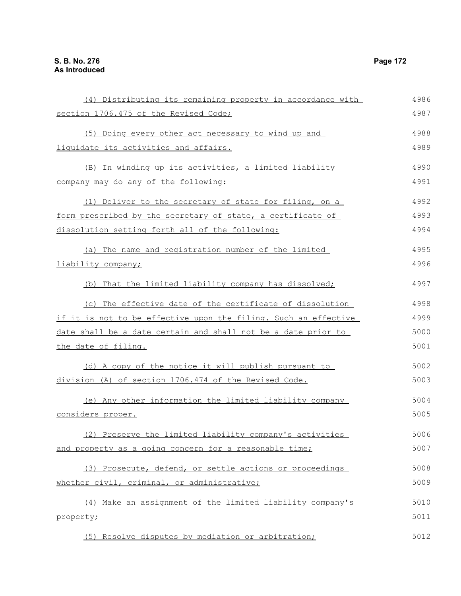| (4) Distributing its remaining property in accordance with      | 4986 |
|-----------------------------------------------------------------|------|
| section 1706.475 of the Revised Code;                           | 4987 |
| (5) Doing every other act necessary to wind up and              | 4988 |
| liquidate its activities and affairs.                           | 4989 |
| (B) In winding up its activities, a limited liability           | 4990 |
| company may do any of the following:                            | 4991 |
| (1) Deliver to the secretary of state for filing, on a          | 4992 |
| form prescribed by the secretary of state, a certificate of     | 4993 |
| dissolution setting forth all of the following:                 | 4994 |
| (a) The name and registration number of the limited             | 4995 |
| liability company;                                              | 4996 |
| (b) That the limited liability company has dissolved;           | 4997 |
| (c) The effective date of the certificate of dissolution        | 4998 |
| if it is not to be effective upon the filing. Such an effective | 4999 |
| date shall be a date certain and shall not be a date prior to   | 5000 |
| the date of filing.                                             | 5001 |
| (d) A copy of the notice it will publish pursuant to            | 5002 |
| division (A) of section 1706.474 of the Revised Code.           | 5003 |
| (e) Any other information the limited liability company         | 5004 |
| considers proper.                                               | 5005 |
| Preserve the limited liability company's activities             | 5006 |
| and property as a going concern for a reasonable time;          | 5007 |
| (3) Prosecute, defend, or settle actions or proceedings         | 5008 |
| whether civil, criminal, or administrative;                     | 5009 |
| (4) Make an assignment of the limited liability company's       | 5010 |
| property;                                                       | 5011 |
| (5) Resolve disputes by mediation or arbitration;               | 5012 |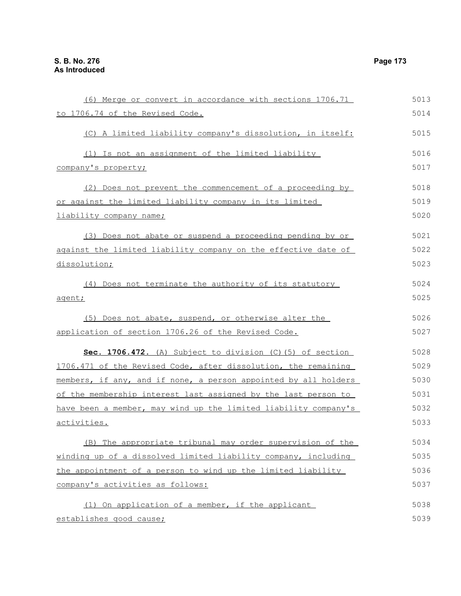| (6) Merge or convert in accordance with sections 1706.71        | 5013 |
|-----------------------------------------------------------------|------|
| to 1706.74 of the Revised Code.                                 | 5014 |
| (C) A limited liability company's dissolution, in itself:       | 5015 |
| (1) Is not an assignment of the limited liability               | 5016 |
| company's property;                                             | 5017 |
| (2) Does not prevent the commencement of a proceeding by        | 5018 |
| or against the limited liability company in its limited         | 5019 |
| liability company name;                                         | 5020 |
| (3) Does not abate or suspend a proceeding pending by or        | 5021 |
| against the limited liability company on the effective date of  | 5022 |
| dissolution;                                                    | 5023 |
| (4) Does not terminate the authority of its statutory           | 5024 |
| agent;                                                          | 5025 |
| (5) Does not abate, suspend, or otherwise alter the             | 5026 |
| application of section 1706.26 of the Revised Code.             | 5027 |
| Sec. 1706.472. (A) Subject to division (C) (5) of section       | 5028 |
| 1706.471 of the Revised Code, after dissolution, the remaining  | 5029 |
| members, if any, and if none, a person appointed by all holders | 5030 |
| of the membership interest last assigned by the last person to  | 5031 |
| have been a member, may wind up the limited liability company's | 5032 |
| <u>activities.</u>                                              | 5033 |
| (B) The appropriate tribunal may order supervision of the       | 5034 |
| winding up of a dissolved limited liability company, including  | 5035 |
| the appointment of a person to wind up the limited liability    | 5036 |
| company's activities as follows:                                | 5037 |
| (1) On application of a member, if the applicant                | 5038 |
| establishes good cause;                                         | 5039 |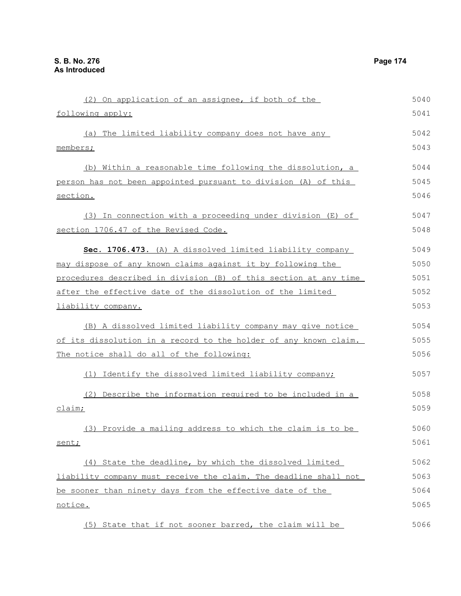| (2) On application of an assignee, if both of the                | 5040 |
|------------------------------------------------------------------|------|
| following apply:                                                 | 5041 |
| The limited liability company does not have any<br>(a)           | 5042 |
| members;                                                         | 5043 |
| (b) Within a reasonable time following the dissolution, a        | 5044 |
| person has not been appointed pursuant to division (A) of this   | 5045 |
| section.                                                         | 5046 |
| (3) In connection with a proceeding under division (E) of        | 5047 |
| section 1706.47 of the Revised Code.                             | 5048 |
| Sec. 1706.473. (A) A dissolved limited liability company         | 5049 |
| may dispose of any known claims against it by following the      | 5050 |
| procedures described in division (B) of this section at any time | 5051 |
| after the effective date of the dissolution of the limited       | 5052 |
| liability company.                                               | 5053 |
| (B) A dissolved limited liability company may give notice        | 5054 |
| of its dissolution in a record to the holder of any known claim. | 5055 |
| The notice shall do all of the following:                        | 5056 |
| (1) Identify the dissolved limited liability company;            | 5057 |
| (2) Describe the information required to be included in a        | 5058 |
| claim;                                                           | 5059 |
| (3) Provide a mailing address to which the claim is to be        | 5060 |
| sent;                                                            | 5061 |
| (4) State the deadline, by which the dissolved limited           | 5062 |
| liability company must receive the claim. The deadline shall not | 5063 |
| be sooner than ninety days from the effective date of the        | 5064 |
| notice.                                                          | 5065 |
| (5) State that if not sooner barred, the claim will be           | 5066 |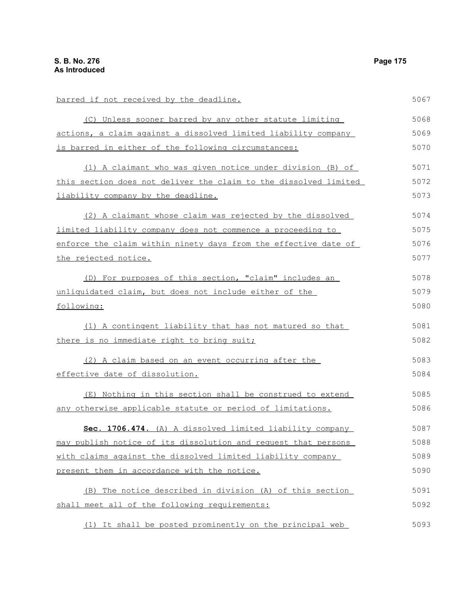barred if not received by the deadline. (C) Unless sooner barred by any other statute limiting actions, a claim against a dissolved limited liability company is barred in either of the following circumstances: (1) A claimant who was given notice under division (B) of this section does not deliver the claim to the dissolved limited liability company by the deadline. (2) A claimant whose claim was rejected by the dissolved limited liability company does not commence a proceeding to enforce the claim within ninety days from the effective date of the rejected notice. (D) For purposes of this section, "claim" includes an unliquidated claim, but does not include either of the following: (1) A contingent liability that has not matured so that there is no immediate right to bring suit; (2) A claim based on an event occurring after the effective date of dissolution. (E) Nothing in this section shall be construed to extend any otherwise applicable statute or period of limitations. **Sec. 1706.474.** (A) A dissolved limited liability company may publish notice of its dissolution and request that persons with claims against the dissolved limited liability company present them in accordance with the notice. (B) The notice described in division (A) of this section shall meet all of the following requirements: 5067 5068 5069 5070 5071 5072 5073 5074 5075 5076 5077 5078 5079 5080 5081 5082 5083 5084 5085 5086 5087 5088 5089 5090 5091 5092

(1) It shall be posted prominently on the principal web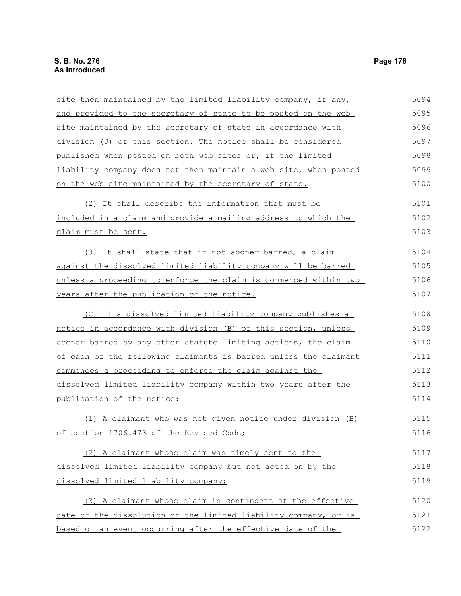| site then maintained by the limited liability company, if any,   | 5094 |
|------------------------------------------------------------------|------|
| and provided to the secretary of state to be posted on the web   | 5095 |
| site maintained by the secretary of state in accordance with     | 5096 |
| division (J) of this section. The notice shall be considered     | 5097 |
| published when posted on both web sites or, if the limited       | 5098 |
| liability company does not then maintain a web site, when posted | 5099 |
| on the web site maintained by the secretary of state.            | 5100 |
| (2) It shall describe the information that must be               | 5101 |
| included in a claim and provide a mailing address to which the   | 5102 |
| claim must be sent.                                              | 5103 |
| (3) It shall state that if not sooner barred, a claim            | 5104 |
| against the dissolved limited liability company will be barred   | 5105 |
| unless a proceeding to enforce the claim is commenced within two | 5106 |
| years after the publication of the notice.                       | 5107 |
| (C) If a dissolved limited liability company publishes a         | 5108 |
| notice in accordance with division (B) of this section, unless   | 5109 |
| sooner barred by any other statute limiting actions, the claim   | 5110 |
| of each of the following claimants is barred unless the claimant | 5111 |
| commences a proceeding to enforce the claim against the          | 5112 |
| dissolved limited liability company within two years after the   | 5113 |
| publication of the notice:                                       | 5114 |
| (1) A claimant who was not given notice under division (B)       | 5115 |
| of section 1706.473 of the Revised Code;                         | 5116 |
| (2) A claimant whose claim was timely sent to the                | 5117 |
| dissolved limited liability company but not acted on by the      | 5118 |
| dissolved limited liability company;                             | 5119 |
| (3) A claimant whose claim is contingent at the effective        | 5120 |
| date of the dissolution of the limited liability company, or is  | 5121 |
| based on an event occurring after the effective date of the      | 5122 |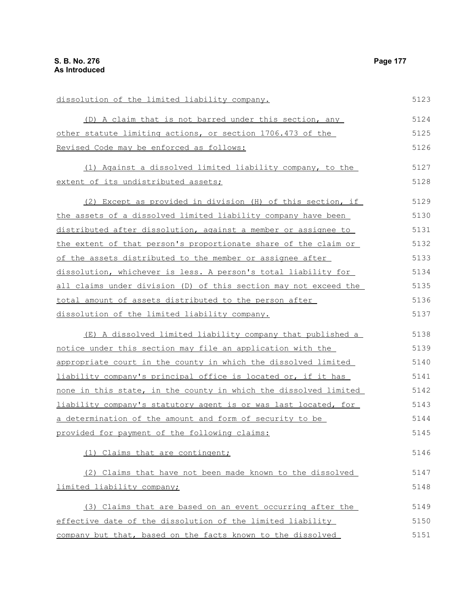| dissolution of the limited liability company.                    | 5123 |
|------------------------------------------------------------------|------|
| (D) A claim that is not barred under this section, any           | 5124 |
| other statute limiting actions, or section 1706.473 of the       | 5125 |
| Revised Code may be enforced as follows:                         | 5126 |
| (1) Against a dissolved limited liability company, to the        | 5127 |
| extent of its undistributed assets;                              | 5128 |
| (2) Except as provided in division (H) of this section, if       | 5129 |
| the assets of a dissolved limited liability company have been    | 5130 |
| distributed after dissolution, against a member or assignee to   | 5131 |
| the extent of that person's proportionate share of the claim or  | 5132 |
| of the assets distributed to the member or assignee after        | 5133 |
| dissolution, whichever is less. A person's total liability for   | 5134 |
| all claims under division (D) of this section may not exceed the | 5135 |
| total amount of assets distributed to the person after           | 5136 |
| dissolution of the limited liability company.                    | 5137 |
| (E) A dissolved limited liability company that published a       | 5138 |
| notice under this section may file an application with the       | 5139 |
| appropriate court in the county in which the dissolved limited   | 5140 |
| liability company's principal office is located or, if it has    | 5141 |
| none in this state, in the county in which the dissolved limited | 5142 |
| liability company's statutory agent is or was last located, for  | 5143 |
| a determination of the amount and form of security to be         | 5144 |
| provided for payment of the following claims:                    | 5145 |
| (1) Claims that are contingent;                                  | 5146 |
| (2) Claims that have not been made known to the dissolved        | 5147 |
| limited liability company;                                       | 5148 |
| (3) Claims that are based on an event occurring after the        | 5149 |
| effective date of the dissolution of the limited liability       | 5150 |
| company but that, based on the facts known to the dissolved      | 5151 |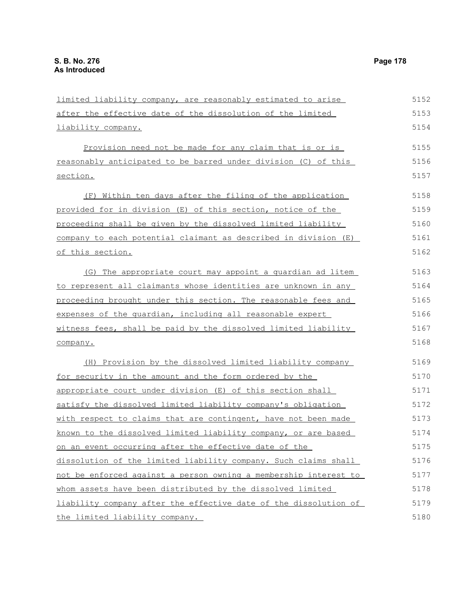the limited liability company.

limited liability company, are reasonably estimated to arise after the effective date of the dissolution of the limited liability company. Provision need not be made for any claim that is or is reasonably anticipated to be barred under division (C) of this section. (F) Within ten days after the filing of the application provided for in division (E) of this section, notice of the proceeding shall be given by the dissolved limited liability company to each potential claimant as described in division (E) of this section. (G) The appropriate court may appoint a guardian ad litem to represent all claimants whose identities are unknown in any proceeding brought under this section. The reasonable fees and expenses of the quardian, including all reasonable expert witness fees, shall be paid by the dissolved limited liability company. (H) Provision by the dissolved limited liability company for security in the amount and the form ordered by the appropriate court under division (E) of this section shall satisfy the dissolved limited liability company's obligation with respect to claims that are contingent, have not been made known to the dissolved limited liability company, or are based on an event occurring after the effective date of the dissolution of the limited liability company. Such claims shall not be enforced against a person owning a membership interest to whom assets have been distributed by the dissolved limited liability company after the effective date of the dissolution of 5152 5153 5154 5155 5156 5157 5158 5159 5160 5161 5162 5163 5164 5165 5166 5167 5168 5169 5170 5171 5172 5173 5174 5175 5176 5177 5178 5179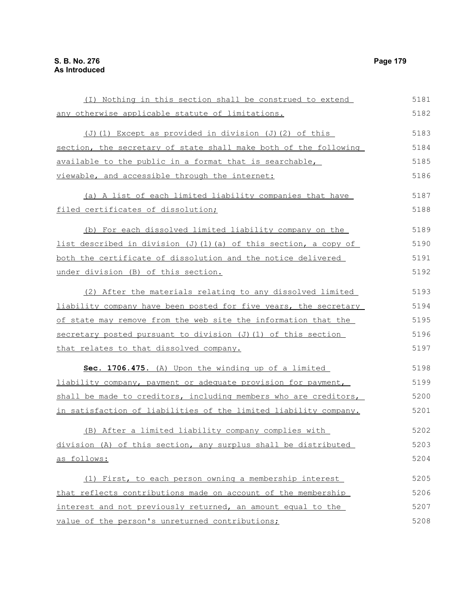(I) Nothing in this section shall be construed to extend any otherwise applicable statute of limitations. (J)(1) Except as provided in division (J)(2) of this section, the secretary of state shall make both of the following available to the public in a format that is searchable, viewable, and accessible through the internet: (a) A list of each limited liability companies that have filed certificates of dissolution; (b) For each dissolved limited liability company on the list described in division (J)(1)(a) of this section, a copy of both the certificate of dissolution and the notice delivered under division (B) of this section. (2) After the materials relating to any dissolved limited liability company have been posted for five years, the secretary of state may remove from the web site the information that the secretary posted pursuant to division (J)(1) of this section that relates to that dissolved company. **Sec. 1706.475.** (A) Upon the winding up of a limited liability company, payment or adequate provision for payment, shall be made to creditors, including members who are creditors, in satisfaction of liabilities of the limited liability company. (B) After a limited liability company complies with division (A) of this section, any surplus shall be distributed as follows: (1) First, to each person owning a membership interest that reflects contributions made on account of the membership interest and not previously returned, an amount equal to the value of the person's unreturned contributions; 5181 5182 5183 5184 5185 5186 5187 5188 5189 5190 5191 5192 5193 5194 5195 5196 5197 5198 5199 5200 5201 5202 5203 5204 5205 5206 5207 5208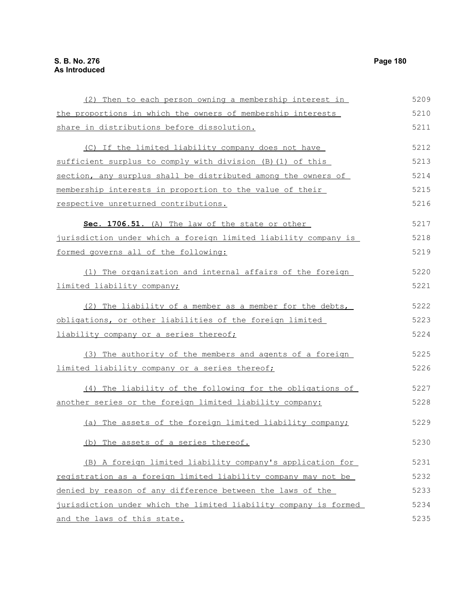| (2) Then to each person owning a membership interest in          | 5209 |
|------------------------------------------------------------------|------|
| the proportions in which the owners of membership interests      | 5210 |
| share in distributions before dissolution.                       | 5211 |
| (C) If the limited liability company does not have               | 5212 |
| sufficient surplus to comply with division (B) (1) of this       | 5213 |
| section, any surplus shall be distributed among the owners of    | 5214 |
| membership interests in proportion to the value of their         | 5215 |
| respective unreturned contributions.                             | 5216 |
| Sec. 1706.51. (A) The law of the state or other                  | 5217 |
| jurisdiction under which a foreign limited liability company is  | 5218 |
| formed governs all of the following:                             | 5219 |
| (1) The organization and internal affairs of the foreign         | 5220 |
| limited liability company;                                       | 5221 |
| (2) The liability of a member as a member for the debts,         | 5222 |
| obligations, or other liabilities of the foreign limited         | 5223 |
| liability company or a series thereof;                           | 5224 |
| (3) The authority of the members and agents of a foreign         | 5225 |
| limited liability company or a series thereof;                   | 5226 |
| (4) The liability of the following for the obligations of        | 5227 |
| another series or the foreign limited liability company:         | 5228 |
| (a) The assets of the foreign limited liability company;         | 5229 |
| (b) The assets of a series thereof.                              | 5230 |
| (B) A foreign limited liability company's application for        | 5231 |
| registration as a foreign limited liability company may not be   | 5232 |
| denied by reason of any difference between the laws of the       | 5233 |
| jurisdiction under which the limited liability company is formed | 5234 |
| and the laws of this state.                                      | 5235 |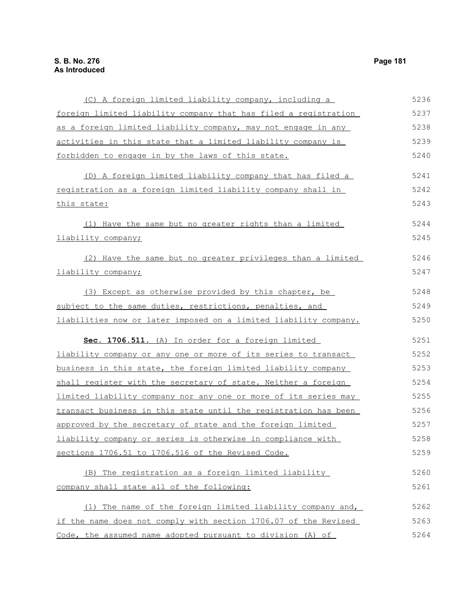(C) A foreign limited liability company, including a foreign limited liability company that has filed a registration as a foreign limited liability company, may not engage in any activities in this state that a limited liability company is forbidden to engage in by the laws of this state. (D) A foreign limited liability company that has filed a registration as a foreign limited liability company shall in this state: (1) Have the same but no greater rights than a limited liability company; (2) Have the same but no greater privileges than a limited liability company; (3) Except as otherwise provided by this chapter, be subject to the same duties, restrictions, penalties, and liabilities now or later imposed on a limited liability company. **Sec. 1706.511.** (A) In order for a foreign limited liability company or any one or more of its series to transact business in this state, the foreign limited liability company shall register with the secretary of state. Neither a foreign limited liability company nor any one or more of its series may transact business in this state until the registration has been approved by the secretary of state and the foreign limited liability company or series is otherwise in compliance with sections 1706.51 to 1706.516 of the Revised Code. (B) The registration as a foreign limited liability company shall state all of the following: (1) The name of the foreign limited liability company and, if the name does not comply with section 1706.07 of the Revised Code, the assumed name adopted pursuant to division (A) of 5236 5237 5238 5239 5240 5241 5242 5243 5244 5245 5246 5247 5248 5249 5250 5251 5252 5253 5254 5255 5256 5257 5258 5259 5260 5261 5262 5263 5264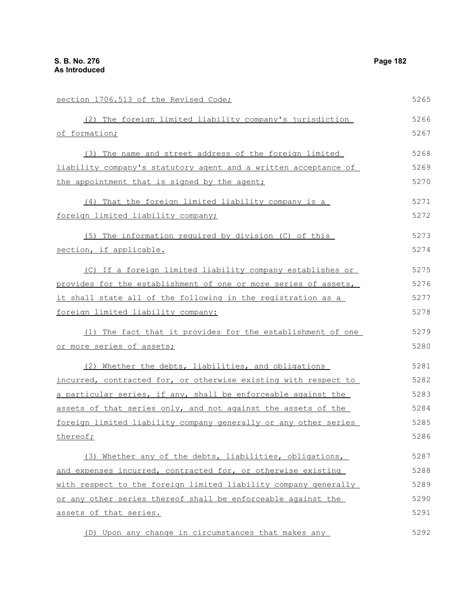| section 1706.513 of the Revised Code;                           | 5265 |
|-----------------------------------------------------------------|------|
| (2) The foreign limited liability company's jurisdiction        | 5266 |
| of formation;                                                   | 5267 |
| (3) The name and street address of the foreign limited          | 5268 |
| liability company's statutory agent and a written acceptance of | 5269 |
| the appointment that is signed by the agent;                    | 5270 |
| (4) That the foreign limited liability company is a             | 5271 |
| foreign limited liability company;                              | 5272 |
| (5) The information required by division (C) of this            | 5273 |
| section, if applicable.                                         | 5274 |
| (C) If a foreign limited liability company establishes or       | 5275 |
| provides for the establishment of one or more series of assets, | 5276 |
| it shall state all of the following in the registration as a    | 5277 |
| foreign limited liability company:                              | 5278 |
| (1) The fact that it provides for the establishment of one      | 5279 |
| or more series of assets;                                       | 5280 |
| (2) Whether the debts, liabilities, and obligations             | 5281 |
| incurred, contracted for, or otherwise existing with respect to | 5282 |
| a particular series, if any, shall be enforceable against the   | 5283 |
| assets of that series only, and not against the assets of the   | 5284 |
| foreign limited liability company generally or any other series | 5285 |
| thereof;                                                        | 5286 |
| (3) Whether any of the debts, liabilities, obligations,         | 5287 |
| and expenses incurred, contracted for, or otherwise existing    | 5288 |
| with respect to the foreign limited liability company generally | 5289 |
| or any other series thereof shall be enforceable against the    | 5290 |
| assets of that series.                                          | 5291 |
| (D) Upon any change in circumstances that makes any             | 5292 |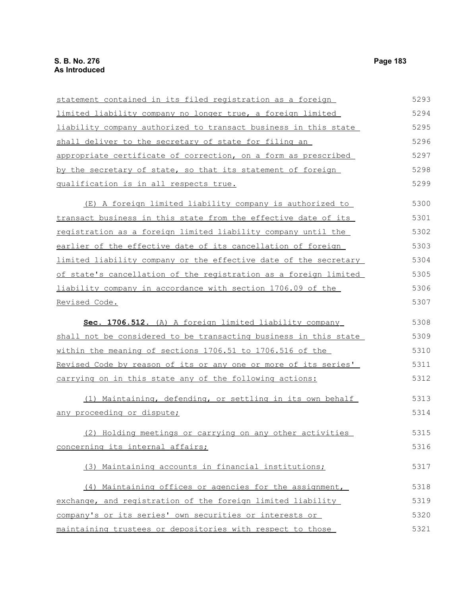| statement contained in its filed registration as a foreign       | 5293 |
|------------------------------------------------------------------|------|
| limited liability company no longer true, a foreign limited      | 5294 |
| liability company authorized to transact business in this state  | 5295 |
| shall deliver to the secretary of state for filing an            | 5296 |
| appropriate certificate of correction, on a form as prescribed   | 5297 |
| by the secretary of state, so that its statement of foreign      | 5298 |
| qualification is in all respects true.                           | 5299 |
| (E) A foreign limited liability company is authorized to         | 5300 |
| transact business in this state from the effective date of its   | 5301 |
| registration as a foreign limited liability company until the    | 5302 |
| earlier of the effective date of its cancellation of foreign     | 5303 |
| limited liability company or the effective date of the secretary | 5304 |
| of state's cancellation of the registration as a foreign limited | 5305 |
| liability company in accordance with section 1706.09 of the      | 5306 |
| Revised Code.                                                    | 5307 |
| Sec. 1706.512. (A) A foreign limited liability company           | 5308 |
| shall not be considered to be transacting business in this state | 5309 |
| within the meaning of sections 1706.51 to 1706.516 of the        | 5310 |
| Revised Code by reason of its or any one or more of its series'  | 5311 |
| carrying on in this state any of the following actions:          | 5312 |
| (1) Maintaining, defending, or settling in its own behalf        | 5313 |
| any proceeding or dispute;                                       | 5314 |
| (2) Holding meetings or carrying on any other activities         | 5315 |
| concerning its internal affairs;                                 | 5316 |
| (3) Maintaining accounts in financial institutions;              | 5317 |
| (4) Maintaining offices or agencies for the assignment,          | 5318 |
| exchange, and registration of the foreign limited liability      | 5319 |
| company's or its series' own securities or interests or          | 5320 |
| maintaining trustees or depositories with respect to those       | 5321 |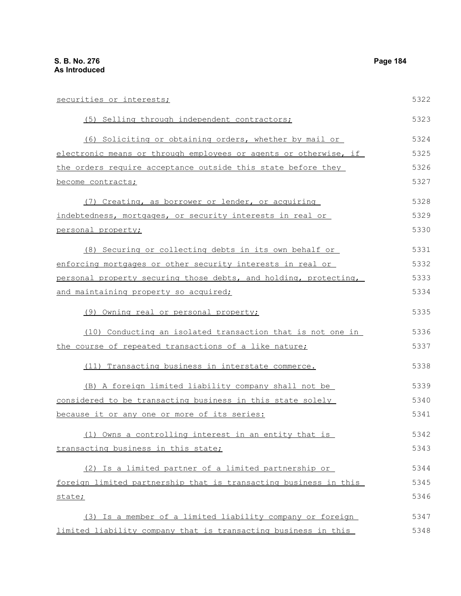securities or interests; (5) Selling through independent contractors; (6) Soliciting or obtaining orders, whether by mail or electronic means or through employees or agents or otherwise, if the orders require acceptance outside this state before they become contracts; (7) Creating, as borrower or lender, or acquiring indebtedness, mortgages, or security interests in real or personal property; (8) Securing or collecting debts in its own behalf or enforcing mortgages or other security interests in real or personal property securing those debts, and holding, protecting, and maintaining property so acquired; (9) Owning real or personal property; (10) Conducting an isolated transaction that is not one in the course of repeated transactions of a like nature; (11) Transacting business in interstate commerce. (B) A foreign limited liability company shall not be considered to be transacting business in this state solely because it or any one or more of its series: (1) Owns a controlling interest in an entity that is transacting business in this state; (2) Is a limited partner of a limited partnership or foreign limited partnership that is transacting business in this state; (3) Is a member of a limited liability company or foreign limited liability company that is transacting business in this 5322 5323 5324 5325 5326 5327 5328 5329 5330 5331 5332 5333 5334 5335 5336 5337 5338 5339 5340 5341 5342 5343 5344 5345 5346 5347 5348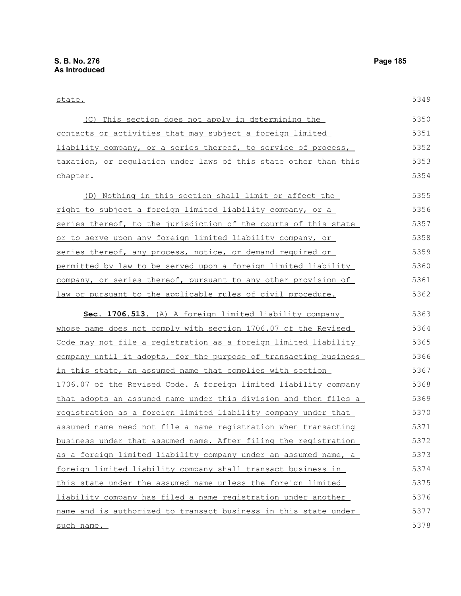## state.

| (C) This section does not apply in determining the                    | 5350 |
|-----------------------------------------------------------------------|------|
| contacts or activities that may subject a foreign limited             | 5351 |
| <u>liability company, or a series thereof, to service of process,</u> | 5352 |
| taxation, or regulation under laws of this state other than this      | 5353 |
| chapter.                                                              | 5354 |
| (D) Nothing in this section shall limit or affect the                 | 5355 |
| right to subject a foreign limited liability company, or a            | 5356 |
| series thereof, to the jurisdiction of the courts of this state       | 5357 |
| or to serve upon any foreign limited liability company, or            | 5358 |
| series thereof, any process, notice, or demand required or            | 5359 |
| permitted by law to be served upon a foreign limited liability        | 5360 |
| company, or series thereof, pursuant to any other provision of        | 5361 |
| law or pursuant to the applicable rules of civil procedure.           | 5362 |
| Sec. 1706.513. (A) A foreign limited liability company                | 5363 |
| whose name does not comply with section 1706.07 of the Revised        | 5364 |
| Code may not file a registration as a foreign limited liability       | 5365 |
| company until it adopts, for the purpose of transacting business      | 5366 |
| in this state, an assumed name that complies with section             | 5367 |
| 1706.07 of the Revised Code. A foreign limited liability company      | 5368 |
| that adopts an assumed name under this division and then files a      | 5369 |
| registration as a foreign limited liability company under that        | 5370 |
| assumed name need not file a name registration when transacting       | 5371 |
| business under that assumed name. After filing the registration       | 5372 |
| as a foreign limited liability company under an assumed name, a       | 5373 |
| foreign limited liability company shall transact business in          | 5374 |
| this state under the assumed name unless the foreign limited          | 5375 |
| liability company has filed a name registration under another         | 5376 |
| name and is authorized to transact business in this state under       | 5377 |
| such name.                                                            | 5378 |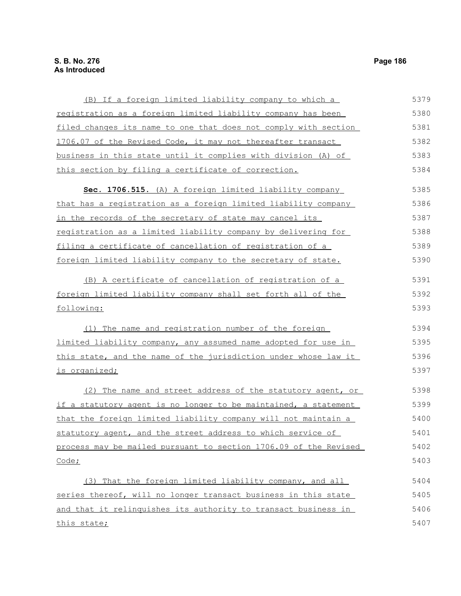| (B) If a foreign limited liability company to which a            | 5379 |
|------------------------------------------------------------------|------|
| registration as a foreign limited liability company has been     | 5380 |
| filed changes its name to one that does not comply with section  | 5381 |
| 1706.07 of the Revised Code, it may not thereafter transact      | 5382 |
| business in this state until it complies with division (A) of    | 5383 |
| this section by filing a certificate of correction.              | 5384 |
| Sec. 1706.515. (A) A foreign limited liability company           | 5385 |
| that has a registration as a foreign limited liability company   | 5386 |
| in the records of the secretary of state may cancel its          | 5387 |
| registration as a limited liability company by delivering for    | 5388 |
| filing a certificate of cancellation of registration of a        | 5389 |
| foreign limited liability company to the secretary of state.     | 5390 |
| (B) A certificate of cancellation of registration of a           | 5391 |
| foreign limited liability company shall set forth all of the     | 5392 |
| following:                                                       | 5393 |
| (1) The name and registration number of the foreign              | 5394 |
| limited liability company, any assumed name adopted for use in   | 5395 |
| this state, and the name of the jurisdiction under whose law it  | 5396 |
| is organized;                                                    | 5397 |
| (2) The name and street address of the statutory agent, or       | 5398 |
| if a statutory agent is no longer to be maintained, a statement  | 5399 |
| that the foreign limited liability company will not maintain a   | 5400 |
| statutory agent, and the street address to which service of      | 5401 |
| process may be mailed pursuant to section 1706.09 of the Revised | 5402 |
| Code;                                                            | 5403 |
| (3) That the foreign limited liability company, and all          | 5404 |
| series thereof, will no longer transact business in this state   | 5405 |
| and that it relinguishes its authority to transact business in   | 5406 |
| this state;                                                      | 5407 |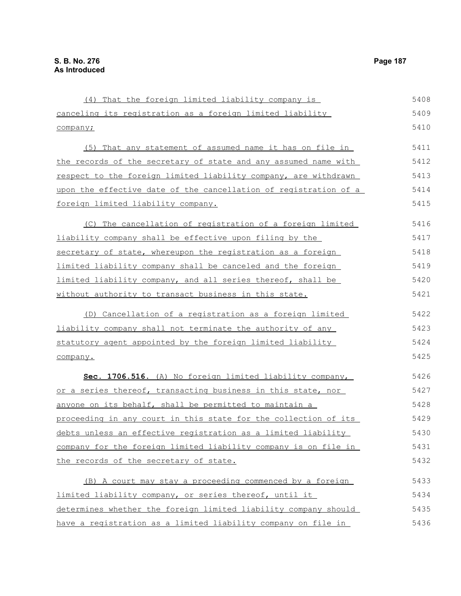(4) That the foreign limited liability company is canceling its registration as a foreign limited liability company; (5) That any statement of assumed name it has on file in the records of the secretary of state and any assumed name with respect to the foreign limited liability company, are withdrawn upon the effective date of the cancellation of registration of a foreign limited liability company. (C) The cancellation of registration of a foreign limited liability company shall be effective upon filing by the secretary of state, whereupon the registration as a foreign limited liability company shall be canceled and the foreign limited liability company, and all series thereof, shall be without authority to transact business in this state. (D) Cancellation of a registration as a foreign limited liability company shall not terminate the authority of any statutory agent appointed by the foreign limited liability company. **Sec. 1706.516.** (A) No foreign limited liability company, or a series thereof, transacting business in this state, nor anyone on its behalf, shall be permitted to maintain a proceeding in any court in this state for the collection of its debts unless an effective registration as a limited liability company for the foreign limited liability company is on file in the records of the secretary of state. (B) A court may stay a proceeding commenced by a foreign limited liability company, or series thereof, until it determines whether the foreign limited liability company should have a registration as a limited liability company on file in 5408 5409 5410 5411 5412 5413 5414 5415 5416 5417 5418 5419 5420 5421 5422 5423 5424 5425 5426 5427 5428 5429 5430 5431 5432 5433 5434 5435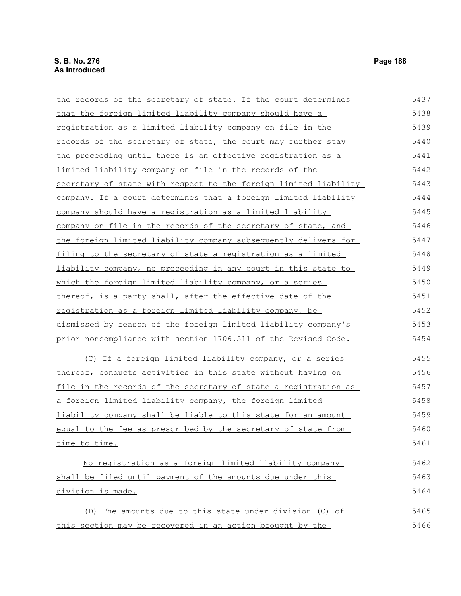the records of the secretary of state. If the court determines that the foreign limited liability company should have a registration as a limited liability company on file in the records of the secretary of state, the court may further stay the proceeding until there is an effective registration as a limited liability company on file in the records of the secretary of state with respect to the foreign limited liability company. If a court determines that a foreign limited liability company should have a registration as a limited liability company on file in the records of the secretary of state, and the foreign limited liability company subsequently delivers for filing to the secretary of state a registration as a limited liability company, no proceeding in any court in this state to which the foreign limited liability company, or a series thereof, is a party shall, after the effective date of the registration as a foreign limited liability company, be dismissed by reason of the foreign limited liability company's prior noncompliance with section 1706.511 of the Revised Code. (C) If a foreign limited liability company, or a series thereof, conducts activities in this state without having on file in the records of the secretary of state a registration as a foreign limited liability company, the foreign limited liability company shall be liable to this state for an amount equal to the fee as prescribed by the secretary of state from time to time. No registration as a foreign limited liability company shall be filed until payment of the amounts due under this division is made. 5437 5438 5439 5440 5441 5442 5443 5444 5445 5446 5447 5448 5449 5450 5451 5452 5453 5454 5455 5456 5457 5458 5459 5460 5461 5462 5463 5464 5465

(D) The amounts due to this state under division (C) of this section may be recovered in an action brought by the 5466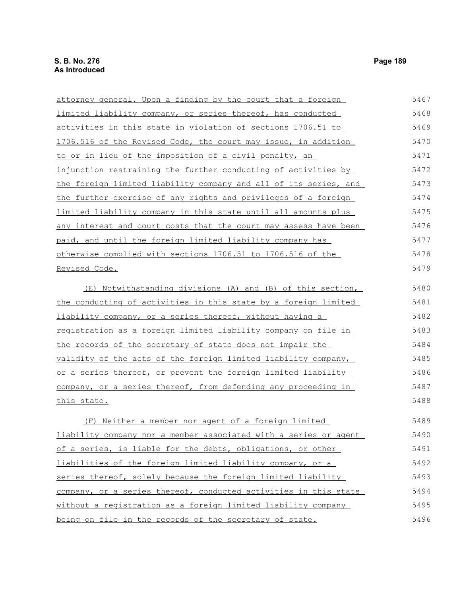attorney general. Upon a finding by the court that a foreign limited liability company, or series thereof, has conducted activities in this state in violation of sections 1706.51 to 1706.516 of the Revised Code, the court may issue, in addition to or in lieu of the imposition of a civil penalty, an injunction restraining the further conducting of activities by the foreign limited liability company and all of its series, and the further exercise of any rights and privileges of a foreign limited liability company in this state until all amounts plus any interest and court costs that the court may assess have been paid, and until the foreign limited liability company has otherwise complied with sections 1706.51 to 1706.516 of the Revised Code. (E) Notwithstanding divisions (A) and (B) of this section, the conducting of activities in this state by a foreign limited liability company, or a series thereof, without having a registration as a foreign limited liability company on file in the records of the secretary of state does not impair the validity of the acts of the foreign limited liability company, or a series thereof, or prevent the foreign limited liability company, or a series thereof, from defending any proceeding in this state. (F) Neither a member nor agent of a foreign limited liability company nor a member associated with a series or agent of a series, is liable for the debts, obligations, or other liabilities of the foreign limited liability company, or a 5467 5468 5469 5470 5471 5472 5473 5474 5475 5476 5477 5478 5479 5480 5481 5482 5483 5484 5485 5486 5487 5488 5489 5490 5491 5492

## series thereof, solely because the foreign limited liability company, or a series thereof, conducted activities in this state without a registration as a foreign limited liability company being on file in the records of the secretary of state. 5493 5494 5495 5496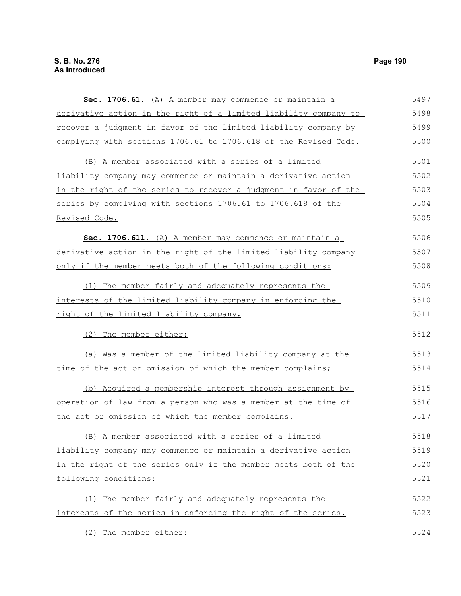**Sec. 1706.61.** (A) A member may commence or maintain a derivative action in the right of a limited liability company to recover a judgment in favor of the limited liability company by complying with sections 1706.61 to 1706.618 of the Revised Code. (B) A member associated with a series of a limited liability company may commence or maintain a derivative action in the right of the series to recover a judgment in favor of the series by complying with sections 1706.61 to 1706.618 of the Revised Code. **Sec. 1706.611.** (A) A member may commence or maintain a derivative action in the right of the limited liability company only if the member meets both of the following conditions: (1) The member fairly and adequately represents the interests of the limited liability company in enforcing the right of the limited liability company. (2) The member either: (a) Was a member of the limited liability company at the time of the act or omission of which the member complains; (b) Acquired a membership interest through assignment by operation of law from a person who was a member at the time of the act or omission of which the member complains. (B) A member associated with a series of a limited liability company may commence or maintain a derivative action in the right of the series only if the member meets both of the following conditions: (1) The member fairly and adequately represents the interests of the series in enforcing the right of the series. (2) The member either: 5497 5498 5499 5500 5501 5502 5503 5504 5505 5506 5507 5508 5509 5510 5511 5512 5513 5514 5515 5516 5517 5518 5519 5520 5521 5522 5523 5524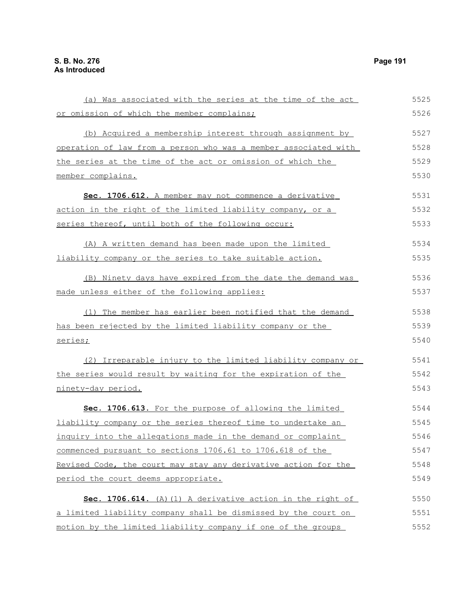(a) Was associated with the series at the time of the act or omission of which the member complains; (b) Acquired a membership interest through assignment by operation of law from a person who was a member associated with the series at the time of the act or omission of which the member complains. **Sec. 1706.612.** A member may not commence a derivative action in the right of the limited liability company, or a series thereof, until both of the following occur: (A) A written demand has been made upon the limited liability company or the series to take suitable action. (B) Ninety days have expired from the date the demand was made unless either of the following applies: (1) The member has earlier been notified that the demand has been rejected by the limited liability company or the series; (2) Irreparable injury to the limited liability company or the series would result by waiting for the expiration of the ninety-day period. **Sec. 1706.613.** For the purpose of allowing the limited liability company or the series thereof time to undertake an inquiry into the allegations made in the demand or complaint commenced pursuant to sections 1706.61 to 1706.618 of the Revised Code, the court may stay any derivative action for the period the court deems appropriate. **Sec. 1706.614.** (A)(1) A derivative action in the right of a limited liability company shall be dismissed by the court on motion by the limited liability company if one of the groups 5525 5526 5527 5528 5529 5530 5531 5532 5533 5534 5535 5536 5537 5538 5539 5540 5541 5542 5543 5544 5545 5546 5547 5548 5549 5550 5551 5552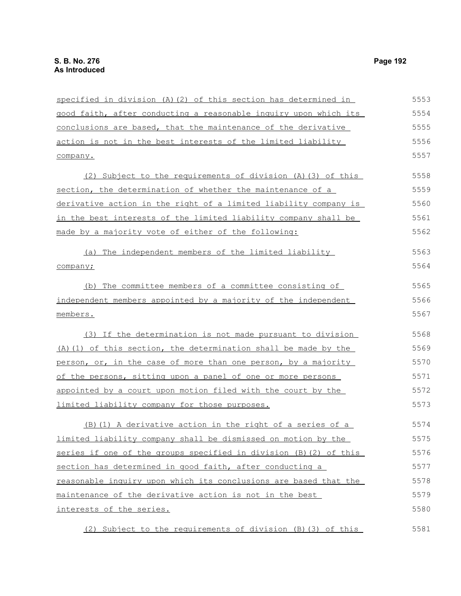specified in division (A)(2) of this section has determined in good faith, after conducting a reasonable inquiry upon which its conclusions are based, that the maintenance of the derivative action is not in the best interests of the limited liability company. (2) Subject to the requirements of division (A)(3) of this section, the determination of whether the maintenance of a derivative action in the right of a limited liability company is in the best interests of the limited liability company shall be made by a majority vote of either of the following: (a) The independent members of the limited liability company; (b) The committee members of a committee consisting of independent members appointed by a majority of the independent members. (3) If the determination is not made pursuant to division (A)(1) of this section, the determination shall be made by the person, or, in the case of more than one person, by a majority of the persons, sitting upon a panel of one or more persons appointed by a court upon motion filed with the court by the limited liability company for those purposes. (B)(1) A derivative action in the right of a series of a limited liability company shall be dismissed on motion by the series if one of the groups specified in division (B)(2) of this section has determined in good faith, after conducting a reasonable inquiry upon which its conclusions are based that the maintenance of the derivative action is not in the best interests of the series. (2) Subject to the requirements of division (B)(3) of this 5553 5554 5555 5556 5557 5558 5559 5560 5561 5562 5563 5564 5565 5566 5567 5568 5569 5570 5571 5572 5573 5574 5575 5576 5577 5578 5579 5580 5581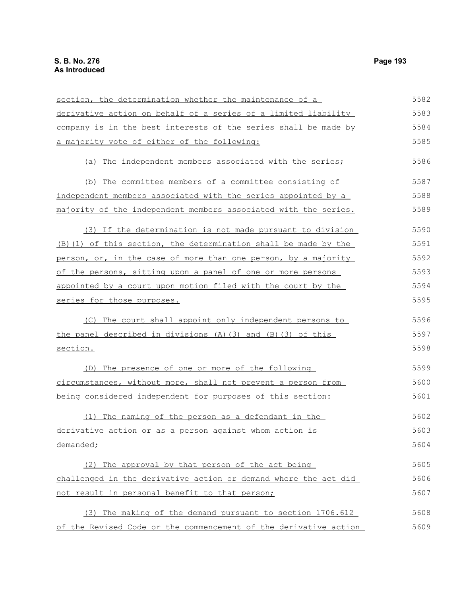| section, the determination whether the maintenance of a          | 5582 |
|------------------------------------------------------------------|------|
| derivative action on behalf of a series of a limited liability   | 5583 |
| company is in the best interests of the series shall be made by  | 5584 |
| a majority vote of either of the following:                      | 5585 |
| The independent members associated with the series;<br>(a)       | 5586 |
| The committee members of a committee consisting of<br>(b)        | 5587 |
| independent members associated with the series appointed by a    | 5588 |
| majority of the independent members associated with the series.  | 5589 |
| (3) If the determination is not made pursuant to division        | 5590 |
| (B) (1) of this section, the determination shall be made by the  | 5591 |
| person, or, in the case of more than one person, by a majority   | 5592 |
| of the persons, sitting upon a panel of one or more persons      | 5593 |
| appointed by a court upon motion filed with the court by the     | 5594 |
| series for those purposes.                                       | 5595 |
| The court shall appoint only independent persons to<br>(C)       | 5596 |
| the panel described in divisions (A) (3) and (B) (3) of this     | 5597 |
| section.                                                         | 5598 |
| (D) The presence of one or more of the following                 | 5599 |
| circumstances, without more, shall not prevent a person from     | 5600 |
| being considered independent for purposes of this section:       | 5601 |
| The naming of the person as a defendant in the<br>(1)            | 5602 |
| derivative action or as a person against whom action is          | 5603 |
| demanded;                                                        | 5604 |
| (2) The approval by that person of the act being                 | 5605 |
| challenged in the derivative action or demand where the act did  | 5606 |
| not result in personal benefit to that person;                   | 5607 |
| (3) The making of the demand pursuant to section 1706.612        | 5608 |
| of the Revised Code or the commencement of the derivative action | 5609 |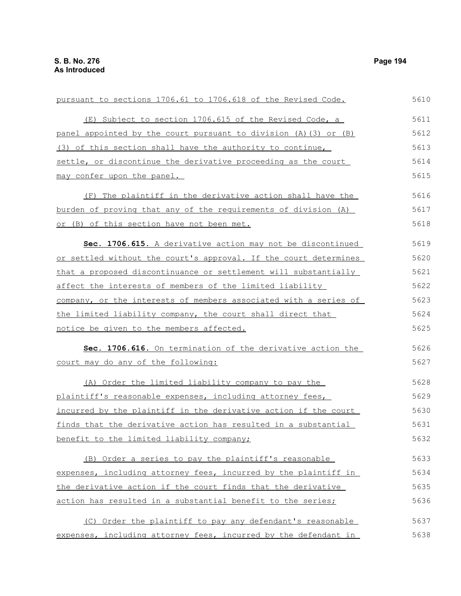| pursuant to sections 1706.61 to 1706.618 of the Revised Code.    | 5610 |
|------------------------------------------------------------------|------|
| (E) Subject to section 1706.615 of the Revised Code, a           | 5611 |
| panel appointed by the court pursuant to division (A) (3) or (B) | 5612 |
| (3) of this section shall have the authority to continue,        | 5613 |
| settle, or discontinue the derivative proceeding as the court    | 5614 |
| may confer upon the panel.                                       | 5615 |
| (F) The plaintiff in the derivative action shall have the        | 5616 |
| burden of proving that any of the requirements of division (A)   | 5617 |
| or (B) of this section have not been met.                        | 5618 |
| Sec. 1706.615. A derivative action may not be discontinued       | 5619 |
| or settled without the court's approval. If the court determines | 5620 |
| that a proposed discontinuance or settlement will substantially  | 5621 |
| affect the interests of members of the limited liability         | 5622 |
| company, or the interests of members associated with a series of | 5623 |
| the limited liability company, the court shall direct that       | 5624 |
| notice be given to the members affected.                         | 5625 |
| Sec. 1706.616. On termination of the derivative action the       | 5626 |
| court may do any of the following:                               | 5627 |
| (A) Order the limited liability company to pay the               | 5628 |
| plaintiff's reasonable expenses, including attorney fees,        | 5629 |
| incurred by the plaintiff in the derivative action if the court  | 5630 |
| finds that the derivative action has resulted in a substantial   | 5631 |
| benefit to the limited liability company;                        | 5632 |
| (B) Order a series to pay the plaintiff's reasonable             | 5633 |
| expenses, including attorney fees, incurred by the plaintiff in  | 5634 |
| the derivative action if the court finds that the derivative     | 5635 |
| action has resulted in a substantial benefit to the series;      | 5636 |
| (C) Order the plaintiff to pay any defendant's reasonable        | 5637 |
| expenses, including attorney fees, incurred by the defendant in  | 5638 |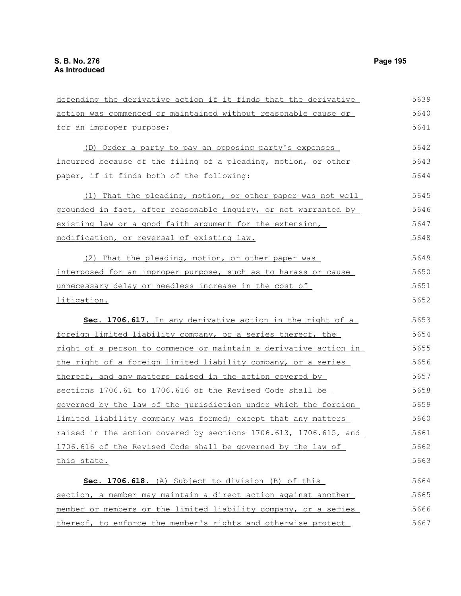defending the derivative action if it finds that the derivative action was commenced or maintained without reasonable cause or for an improper purpose; (D) Order a party to pay an opposing party's expenses incurred because of the filing of a pleading, motion, or other paper, if it finds both of the following: (1) That the pleading, motion, or other paper was not well grounded in fact, after reasonable inquiry, or not warranted by existing law or a good faith argument for the extension, modification, or reversal of existing law. (2) That the pleading, motion, or other paper was interposed for an improper purpose, such as to harass or cause unnecessary delay or needless increase in the cost of litigation. **Sec. 1706.617.** In any derivative action in the right of a foreign limited liability company, or a series thereof, the right of a person to commence or maintain a derivative action in the right of a foreign limited liability company, or a series thereof, and any matters raised in the action covered by sections 1706.61 to 1706.616 of the Revised Code shall be governed by the law of the jurisdiction under which the foreign limited liability company was formed; except that any matters raised in the action covered by sections 1706.613, 1706.615, and 1706.616 of the Revised Code shall be governed by the law of this state. **Sec. 1706.618.** (A) Subject to division (B) of this section, a member may maintain a direct action against another member or members or the limited liability company, or a series thereof, to enforce the member's rights and otherwise protect 5639 5640 5641 5642 5643 5644 5645 5646 5647 5648 5649 5650 5651 5652 5653 5654 5655 5656 5657 5658 5659 5660 5661 5662 5663 5664 5665 5666 5667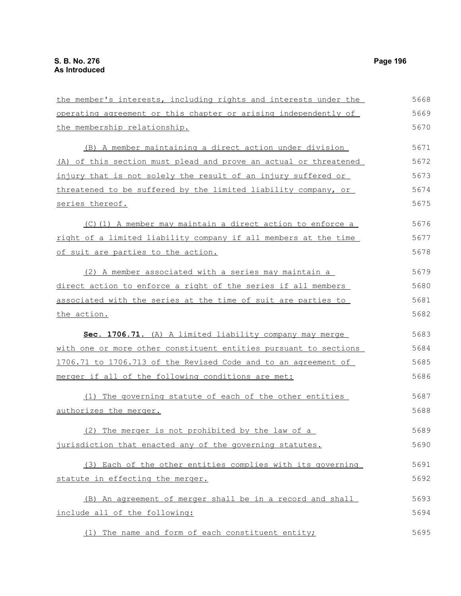the member's interests, including rights and interests under the operating agreement or this chapter or arising independently of the membership relationship. (B) A member maintaining a direct action under division (A) of this section must plead and prove an actual or threatened injury that is not solely the result of an injury suffered or threatened to be suffered by the limited liability company, or series thereof. (C)(1) A member may maintain a direct action to enforce a right of a limited liability company if all members at the time of suit are parties to the action. (2) A member associated with a series may maintain a direct action to enforce a right of the series if all members associated with the series at the time of suit are parties to the action. **Sec. 1706.71.** (A) A limited liability company may merge with one or more other constituent entities pursuant to sections 1706.71 to 1706.713 of the Revised Code and to an agreement of merger if all of the following conditions are met: (1) The governing statute of each of the other entities authorizes the merger. (2) The merger is not prohibited by the law of a jurisdiction that enacted any of the governing statutes. (3) Each of the other entities complies with its governing statute in effecting the merger. (B) An agreement of merger shall be in a record and shall include all of the following: 5668 5669 5670 5671 5672 5673 5674 5675 5676 5677 5678 5679 5680 5681 5682 5683 5684 5685 5686 5687 5688 5689 5690 5691 5692 5693 5694

(1) The name and form of each constituent entity;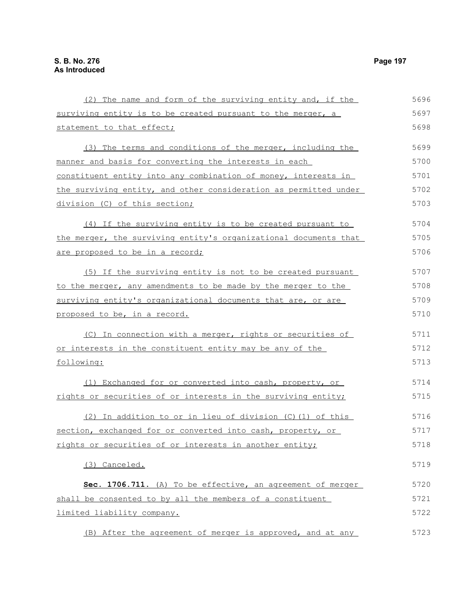(2) The name and form of the surviving entity and, if the surviving entity is to be created pursuant to the merger, a statement to that effect; (3) The terms and conditions of the merger, including the manner and basis for converting the interests in each constituent entity into any combination of money, interests in the surviving entity, and other consideration as permitted under division (C) of this section; (4) If the surviving entity is to be created pursuant to the merger, the surviving entity's organizational documents that are proposed to be in a record; (5) If the surviving entity is not to be created pursuant to the merger, any amendments to be made by the merger to the surviving entity's organizational documents that are, or are proposed to be, in a record. (C) In connection with a merger, rights or securities of or interests in the constituent entity may be any of the following: (1) Exchanged for or converted into cash, property, or rights or securities of or interests in the surviving entity; (2) In addition to or in lieu of division (C)(1) of this section, exchanged for or converted into cash, property, or rights or securities of or interests in another entity; (3) Canceled. Sec. 1706.711. (A) To be effective, an agreement of merger shall be consented to by all the members of a constituent limited liability company. (B) After the agreement of merger is approved, and at any 5696 5697 5698 5699 5700 5701 5702 5703 5704 5705 5706 5707 5708 5709 5710 5711 5712 5713 5714 5715 5716 5717 5718 5719 5720 5721 5722 5723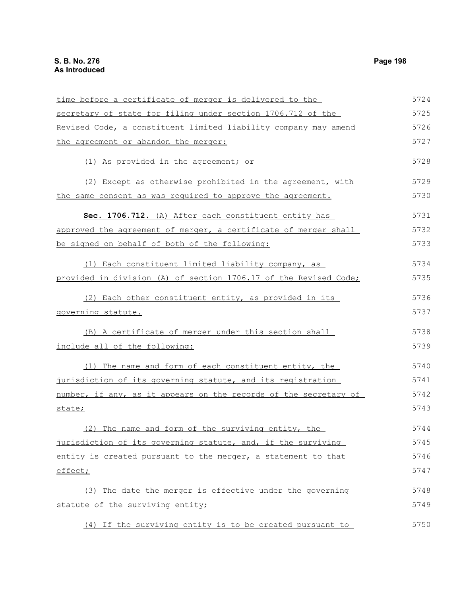time before a certificate of merger is delivered to the secretary of state for filing under section 1706.712 of the Revised Code, a constituent limited liability company may amend the agreement or abandon the merger: (1) As provided in the agreement; or (2) Except as otherwise prohibited in the agreement, with the same consent as was required to approve the agreement. **Sec. 1706.712.** (A) After each constituent entity has approved the agreement of merger, a certificate of merger shall be signed on behalf of both of the following: (1) Each constituent limited liability company, as provided in division (A) of section 1706.17 of the Revised Code; (2) Each other constituent entity, as provided in its governing statute. (B) A certificate of merger under this section shall include all of the following: (1) The name and form of each constituent entity, the jurisdiction of its governing statute, and its registration number, if any, as it appears on the records of the secretary of state; (2) The name and form of the surviving entity, the jurisdiction of its governing statute, and, if the surviving entity is created pursuant to the merger, a statement to that effect; (3) The date the merger is effective under the governing statute of the surviving entity; (4) If the surviving entity is to be created pursuant to 5724 5725 5726 5727 5728 5729 5730 5731 5732 5733 5734 5735 5736 5737 5738 5739 5740 5741 5742 5743 5744 5745 5746 5747 5748 5749 5750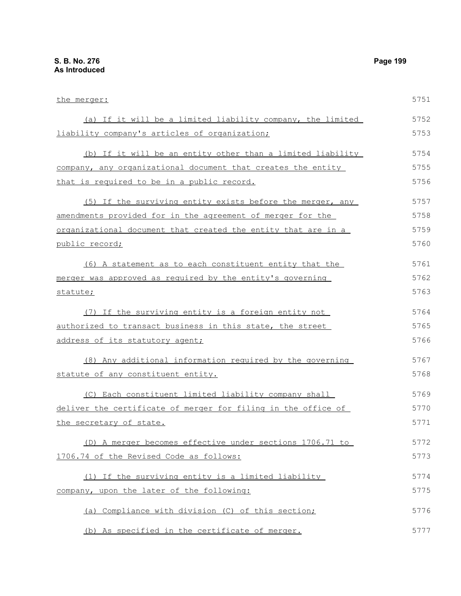the merger: (a) If it will be a limited liability company, the limited liability company's articles of organization; (b) If it will be an entity other than a limited liability company, any organizational document that creates the entity that is required to be in a public record. (5) If the surviving entity exists before the merger, any amendments provided for in the agreement of merger for the organizational document that created the entity that are in a public record; (6) A statement as to each constituent entity that the merger was approved as required by the entity's governing statute; (7) If the surviving entity is a foreign entity not authorized to transact business in this state, the street address of its statutory agent; (8) Any additional information required by the governing statute of any constituent entity. (C) Each constituent limited liability company shall deliver the certificate of merger for filing in the office of the secretary of state. (D) A merger becomes effective under sections 1706.71 to 1706.74 of the Revised Code as follows: (1) If the surviving entity is a limited liability company, upon the later of the following: (a) Compliance with division (C) of this section; 5751 5752 5753 5754 5755 5756 5757 5758 5759 5760 5761 5762 5763 5764 5765 5766 5767 5768 5769 5770 5771 5772 5773 5774 5775 5776

(b) As specified in the certificate of merger. 5777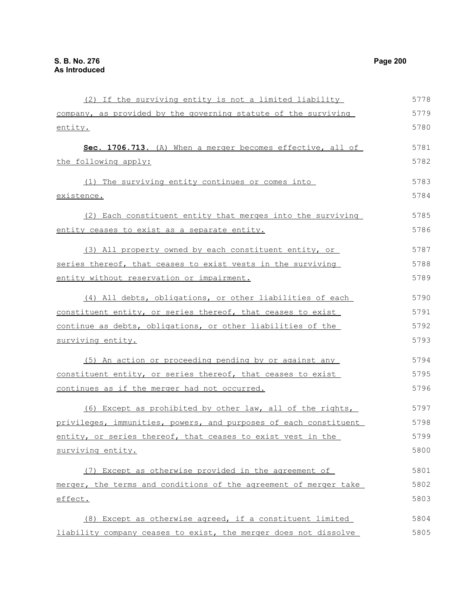(2) If the surviving entity is not a limited liability company, as provided by the governing statute of the surviving entity. **Sec. 1706.713.** (A) When a merger becomes effective, all of the following apply: (1) The surviving entity continues or comes into existence. (2) Each constituent entity that merges into the surviving entity ceases to exist as a separate entity. (3) All property owned by each constituent entity, or series thereof, that ceases to exist vests in the surviving entity without reservation or impairment. (4) All debts, obligations, or other liabilities of each constituent entity, or series thereof, that ceases to exist continue as debts, obligations, or other liabilities of the surviving entity. (5) An action or proceeding pending by or against any constituent entity, or series thereof, that ceases to exist continues as if the merger had not occurred. (6) Except as prohibited by other law, all of the rights, privileges, immunities, powers, and purposes of each constituent entity, or series thereof, that ceases to exist vest in the surviving entity. (7) Except as otherwise provided in the agreement of merger, the terms and conditions of the agreement of merger take effect. (8) Except as otherwise agreed, if a constituent limited liability company ceases to exist, the merger does not dissolve 5778 5779 5780 5781 5782 5783 5784 5785 5786 5787 5788 5789 5790 5791 5792 5793 5794 5795 5796 5797 5798 5799 5800 5801 5802 5803 5804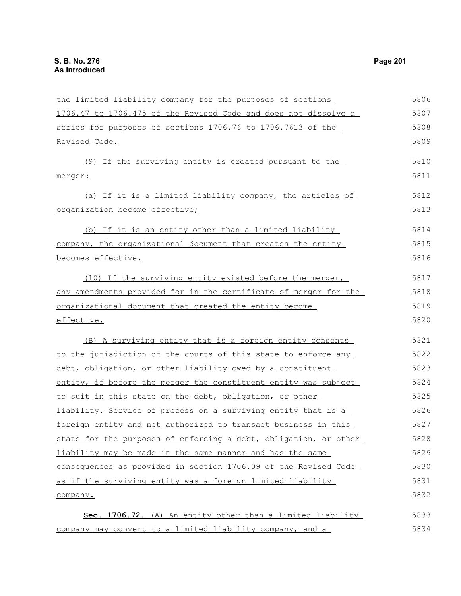the limited liability company for the purposes of sections 1706.47 to 1706.475 of the Revised Code and does not dissolve a series for purposes of sections 1706.76 to 1706.7613 of the Revised Code. (9) If the surviving entity is created pursuant to the merger: (a) If it is a limited liability company, the articles of organization become effective; (b) If it is an entity other than a limited liability company, the organizational document that creates the entity becomes effective. (10) If the surviving entity existed before the merger, any amendments provided for in the certificate of merger for the organizational document that created the entity become effective. (B) A surviving entity that is a foreign entity consents to the jurisdiction of the courts of this state to enforce any debt, obligation, or other liability owed by a constituent entity, if before the merger the constituent entity was subject to suit in this state on the debt, obligation, or other liability. Service of process on a surviving entity that is a foreign entity and not authorized to transact business in this state for the purposes of enforcing a debt, obligation, or other liability may be made in the same manner and has the same consequences as provided in section 1706.09 of the Revised Code as if the surviving entity was a foreign limited liability company. **Sec. 1706.72.** (A) An entity other than a limited liability company may convert to a limited liability company, and a 5806 5807 5808 5809 5810 5811 5812 5813 5814 5815 5816 5817 5818 5819 5820 5821 5822 5823 5824 5825 5826 5827 5828 5829 5830 5831 5832 5833 5834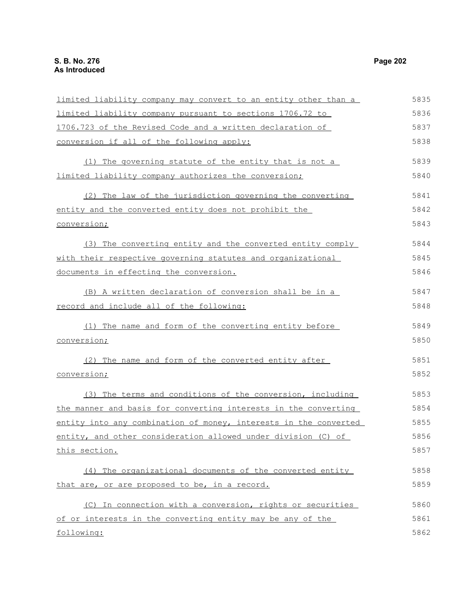limited liability company may convert to an entity other than a limited liability company pursuant to sections 1706.72 to 1706.723 of the Revised Code and a written declaration of conversion if all of the following apply: (1) The governing statute of the entity that is not a limited liability company authorizes the conversion; (2) The law of the jurisdiction governing the converting entity and the converted entity does not prohibit the conversion; (3) The converting entity and the converted entity comply with their respective governing statutes and organizational documents in effecting the conversion. (B) A written declaration of conversion shall be in a record and include all of the following: (1) The name and form of the converting entity before conversion; (2) The name and form of the converted entity after conversion; (3) The terms and conditions of the conversion, including the manner and basis for converting interests in the converting entity into any combination of money, interests in the converted entity, and other consideration allowed under division (C) of this section. (4) The organizational documents of the converted entity that are, or are proposed to be, in a record. (C) In connection with a conversion, rights or securities of or interests in the converting entity may be any of the 5835 5836 5837 5838 5839 5840 5841 5842 5843 5844 5845 5846 5847 5848 5849 5850 5851 5852 5853 5854 5855 5856 5857 5858 5859 5860 5861

# following: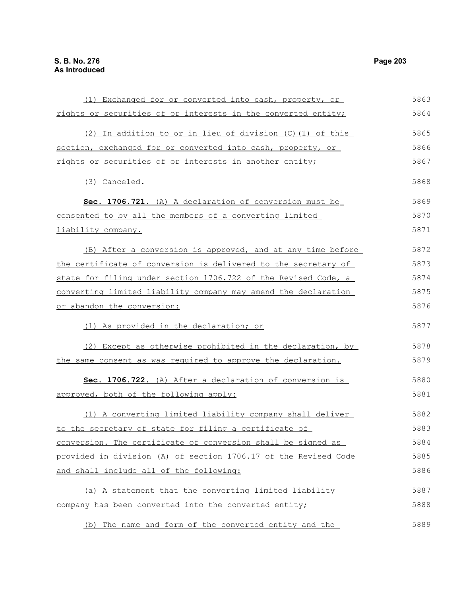| (1) Exchanged for or converted into cash, property, or          | 5863 |
|-----------------------------------------------------------------|------|
| rights or securities of or interests in the converted entity;   | 5864 |
| (2) In addition to or in lieu of division (C) (1) of this       | 5865 |
| section, exchanged for or converted into cash, property, or     | 5866 |
| rights or securities of or interests in another entity;         | 5867 |
| (3) Canceled.                                                   | 5868 |
| Sec. 1706.721. (A) A declaration of conversion must be          | 5869 |
| consented to by all the members of a converting limited         | 5870 |
| liability company.                                              | 5871 |
| (B) After a conversion is approved, and at any time before      | 5872 |
| the certificate of conversion is delivered to the secretary of  | 5873 |
| state for filing under section 1706.722 of the Revised Code, a  | 5874 |
| converting limited liability company may amend the declaration  | 5875 |
| or abandon the conversion:                                      | 5876 |
| (1) As provided in the declaration; or                          | 5877 |
| (2) Except as otherwise prohibited in the declaration, by       | 5878 |
| the same consent as was required to approve the declaration.    | 5879 |
| Sec. 1706.722. (A) After a declaration of conversion is         | 5880 |
| approved, both of the following apply:                          | 5881 |
| (1) A converting limited liability company shall deliver        | 5882 |
| to the secretary of state for filing a certificate of           | 5883 |
| conversion. The certificate of conversion shall be signed as    | 5884 |
| provided in division (A) of section 1706.17 of the Revised Code | 5885 |
| and shall include all of the following:                         | 5886 |
| (a) A statement that the converting limited liability           | 5887 |
| company has been converted into the converted entity;           | 5888 |
| (b) The name and form of the converted entity and the           | 5889 |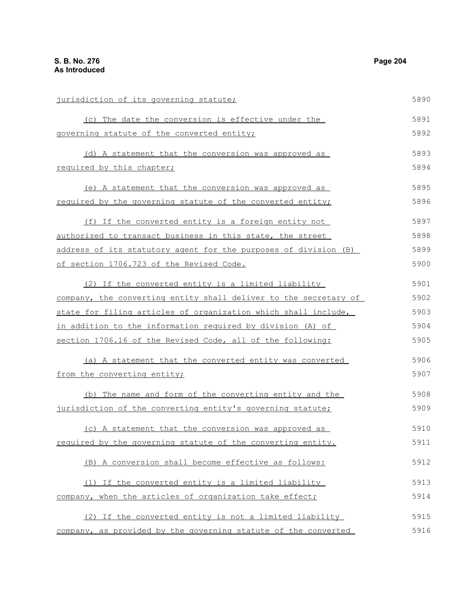jurisdiction of its governing statute; (c) The date the conversion is effective under the governing statute of the converted entity; (d) A statement that the conversion was approved as required by this chapter; (e) A statement that the conversion was approved as required by the governing statute of the converted entity; (f) If the converted entity is a foreign entity not authorized to transact business in this state, the street address of its statutory agent for the purposes of division (B) of section 1706.723 of the Revised Code. (2) If the converted entity is a limited liability company, the converting entity shall deliver to the secretary of state for filing articles of organization which shall include, in addition to the information required by division (A) of section 1706.16 of the Revised Code, all of the following: (a) A statement that the converted entity was converted from the converting entity; (b) The name and form of the converting entity and the jurisdiction of the converting entity's governing statute; (c) A statement that the conversion was approved as required by the governing statute of the converting entity. (B) A conversion shall become effective as follows: (1) If the converted entity is a limited liability company, when the articles of organization take effect; (2) If the converted entity is not a limited liability 5890 5891 5892 5893 5894 5895 5896 5897 5898 5899 5900 5901 5902 5903 5904 5905 5906 5907 5908 5909 5910 5911 5912 5913 5914 5915

company, as provided by the governing statute of the converted 5916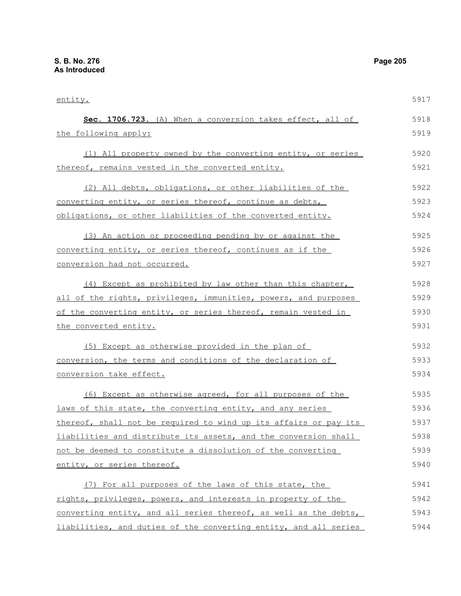entity. **Sec. 1706.723.** (A) When a conversion takes effect, all of the following apply: (1) All property owned by the converting entity, or series thereof, remains vested in the converted entity. (2) All debts, obligations, or other liabilities of the converting entity, or series thereof, continue as debts, obligations, or other liabilities of the converted entity. (3) An action or proceeding pending by or against the converting entity, or series thereof, continues as if the conversion had not occurred. (4) Except as prohibited by law other than this chapter, all of the rights, privileges, immunities, powers, and purposes of the converting entity, or series thereof, remain vested in the converted entity. (5) Except as otherwise provided in the plan of conversion, the terms and conditions of the declaration of conversion take effect. (6) Except as otherwise agreed, for all purposes of the laws of this state, the converting entity, and any series thereof, shall not be required to wind up its affairs or pay its liabilities and distribute its assets, and the conversion shall not be deemed to constitute a dissolution of the converting entity, or series thereof. (7) For all purposes of the laws of this state, the rights, privileges, powers, and interests in property of the converting entity, and all series thereof, as well as the debts, 5917 5918 5919 5920 5921 5922 5923 5924 5925 5926 5927 5928 5929 5930 5931 5932 5933 5934 5935 5936 5937 5938 5939 5940 5941 5942 5943

liabilities, and duties of the converting entity, and all series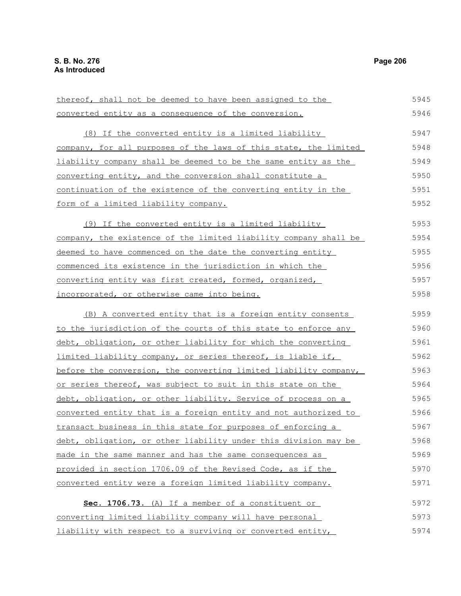converted entity as a consequence of the conversion. (8) If the converted entity is a limited liability company, for all purposes of the laws of this state, the limited liability company shall be deemed to be the same entity as the converting entity, and the conversion shall constitute a continuation of the existence of the converting entity in the form of a limited liability company. (9) If the converted entity is a limited liability company, the existence of the limited liability company shall be deemed to have commenced on the date the converting entity commenced its existence in the jurisdiction in which the converting entity was first created, formed, organized, incorporated, or otherwise came into being. (B) A converted entity that is a foreign entity consents to the jurisdiction of the courts of this state to enforce any debt, obligation, or other liability for which the converting limited liability company, or series thereof, is liable if, before the conversion, the converting limited liability company, or series thereof, was subject to suit in this state on the debt, obligation, or other liability. Service of process on a converted entity that is a foreign entity and not authorized to transact business in this state for purposes of enforcing a debt, obligation, or other liability under this division may be made in the same manner and has the same consequences as provided in section 1706.09 of the Revised Code, as if the converted entity were a foreign limited liability company. Sec. 1706.73. (A) If a member of a constituent or converting limited liability company will have personal liability with respect to a surviving or converted entity, 5946 5947 5948 5949 5950 5951 5952 5953 5954 5955 5956 5957 5958 5959 5960 5961 5962 5963 5964 5965 5966 5967 5968 5969 5970 5971 5972 5973 5974

thereof, shall not be deemed to have been assigned to the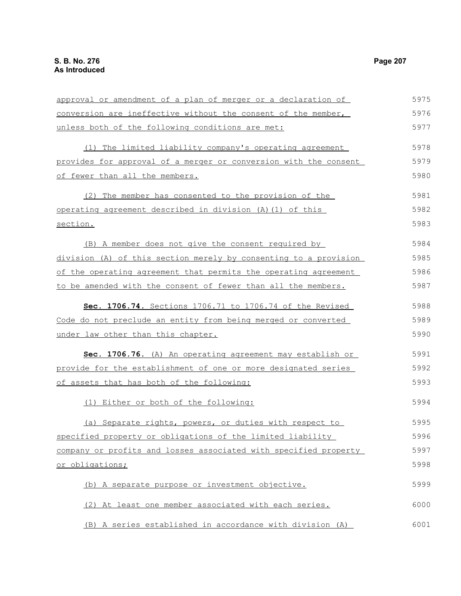conversion are ineffective without the consent of the member, unless both of the following conditions are met: (1) The limited liability company's operating agreement provides for approval of a merger or conversion with the consent of fewer than all the members. (2) The member has consented to the provision of the operating agreement described in division (A)(1) of this section. (B) A member does not give the consent required by division (A) of this section merely by consenting to a provision of the operating agreement that permits the operating agreement to be amended with the consent of fewer than all the members. **Sec. 1706.74.** Sections 1706.71 to 1706.74 of the Revised Code do not preclude an entity from being merged or converted under law other than this chapter. **Sec. 1706.76.** (A) An operating agreement may establish or provide for the establishment of one or more designated series of assets that has both of the following: (1) Either or both of the following: (a) Separate rights, powers, or duties with respect to specified property or obligations of the limited liability company or profits and losses associated with specified property or obligations; (b) A separate purpose or investment objective. (2) At least one member associated with each series. 5976 5977 5978 5979 5980 5981 5982 5983 5984 5985 5986 5987 5988 5989 5990 5991 5992 5993 5994 5995 5996 5997 5998 5999 6000

approval or amendment of a plan of merger or a declaration of

(B) A series established in accordance with division (A) 6001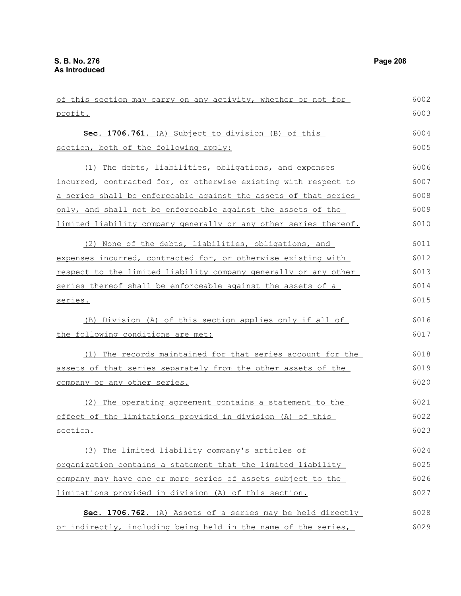| of this section may carry on any activity, whether or not for    | 6002 |
|------------------------------------------------------------------|------|
| profit.                                                          | 6003 |
| Sec. 1706.761. (A) Subject to division (B) of this               | 6004 |
| section, both of the following apply:                            | 6005 |
| (1) The debts, liabilities, obligations, and expenses            | 6006 |
| incurred, contracted for, or otherwise existing with respect to  | 6007 |
| a series shall be enforceable against the assets of that series  | 6008 |
| only, and shall not be enforceable against the assets of the     | 6009 |
| limited liability company generally or any other series thereof. | 6010 |
| (2) None of the debts, liabilities, obligations, and             | 6011 |
| expenses incurred, contracted for, or otherwise existing with    | 6012 |
| respect to the limited liability company generally or any other  | 6013 |
| series thereof shall be enforceable against the assets of a      | 6014 |
| series.                                                          | 6015 |
| (B) Division (A) of this section applies only if all of          | 6016 |
| the following conditions are met:                                | 6017 |
| (1) The records maintained for that series account for the       | 6018 |
| assets of that series separately from the other assets of the    | 6019 |
| company or any other series.                                     | 6020 |
| (2) The operating agreement contains a statement to the          | 6021 |
| effect of the limitations provided in division (A) of this       | 6022 |
| section.                                                         | 6023 |
| (3) The limited liability company's articles of                  | 6024 |
| organization contains a statement that the limited liability     | 6025 |
| company may have one or more series of assets subject to the     | 6026 |
| limitations provided in division (A) of this section.            | 6027 |
| Sec. 1706.762. (A) Assets of a series may be held directly       | 6028 |
| or indirectly, including being held in the name of the series,   | 6029 |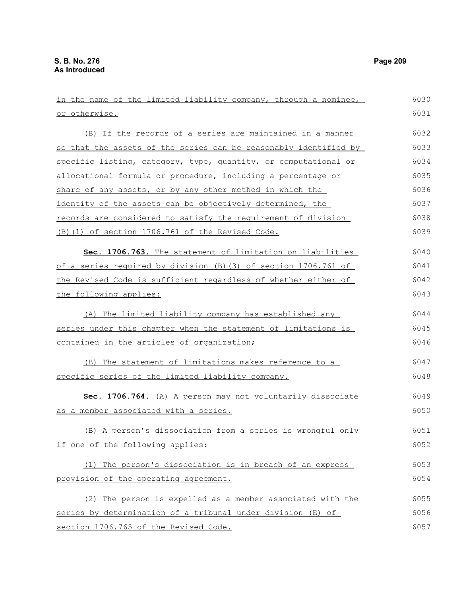| in the name of the limited liability company, through a nominee, | 6030 |
|------------------------------------------------------------------|------|
| or otherwise.                                                    | 6031 |
| (B) If the records of a series are maintained in a manner        | 6032 |
| so that the assets of the series can be reasonably identified by | 6033 |
| specific listing, category, type, quantity, or computational or  | 6034 |
| allocational formula or procedure, including a percentage or     | 6035 |
| share of any assets, or by any other method in which the         | 6036 |
| identity of the assets can be objectively determined, the        | 6037 |
| records are considered to satisfy the requirement of division    | 6038 |
| (B) (1) of section 1706.761 of the Revised Code.                 | 6039 |
| Sec. 1706.763. The statement of limitation on liabilities        | 6040 |
| of a series required by division (B) (3) of section 1706.761 of  | 6041 |
| the Revised Code is sufficient regardless of whether either of   | 6042 |
| the following applies:                                           | 6043 |
| (A) The limited liability company has established any            | 6044 |
| series under this chapter when the statement of limitations is   | 6045 |
| contained in the articles of organization;                       | 6046 |
| (B) The statement of limitations makes reference to a            | 6047 |
| specific series of the limited liability company.                | 6048 |
| Sec. 1706.764. (A) A person may not voluntarily dissociate       | 6049 |
| as a member associated with a series.                            | 6050 |
| (B) A person's dissociation from a series is wrongful only       | 6051 |
| if one of the following applies:                                 | 6052 |
| (1) The person's dissociation is in breach of an express         | 6053 |
| provision of the operating agreement.                            | 6054 |
| (2) The person is expelled as a member associated with the       | 6055 |
| series by determination of a tribunal under division (E) of      | 6056 |
| section 1706.765 of the Revised Code.                            | 6057 |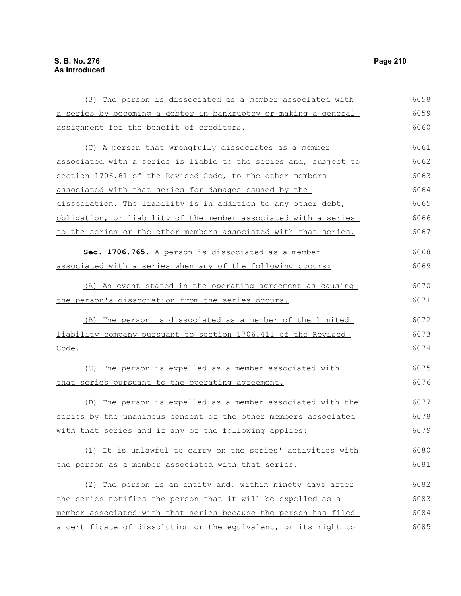(3) The person is dissociated as a member associated with a series by becoming a debtor in bankruptcy or making a general assignment for the benefit of creditors. (C) A person that wrongfully dissociates as a member associated with a series is liable to the series and, subject to section 1706.61 of the Revised Code, to the other members associated with that series for damages caused by the dissociation. The liability is in addition to any other debt, obligation, or liability of the member associated with a series to the series or the other members associated with that series. **Sec. 1706.765.** A person is dissociated as a member associated with a series when any of the following occurs: (A) An event stated in the operating agreement as causing the person's dissociation from the series occurs. (B) The person is dissociated as a member of the limited liability company pursuant to section 1706.411 of the Revised Code. (C) The person is expelled as a member associated with that series pursuant to the operating agreement. (D) The person is expelled as a member associated with the series by the unanimous consent of the other members associated with that series and if any of the following applies: (1) It is unlawful to carry on the series' activities with the person as a member associated with that series. (2) The person is an entity and, within ninety days after the series notifies the person that it will be expelled as a member associated with that series because the person has filed 6058 6059 6060 6061 6062 6063 6064 6065 6066 6067 6068 6069 6070 6071 6072 6073 6074 6075 6076 6077 6078 6079 6080 6081 6082 6083 6084

a certificate of dissolution or the equivalent, or its right to 6085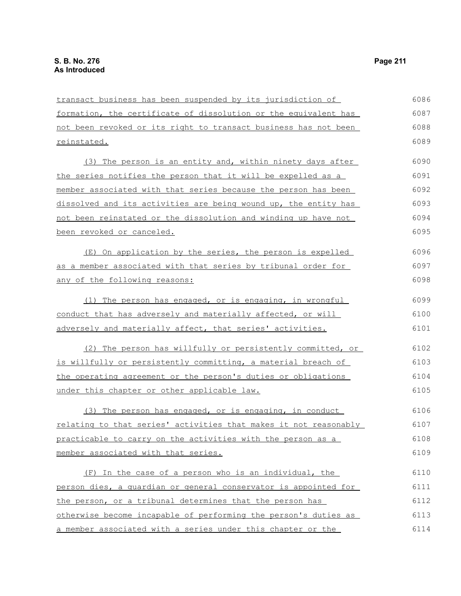transact business has been suspended by its jurisdiction of formation, the certificate of dissolution or the equivalent has not been revoked or its right to transact business has not been reinstated. (3) The person is an entity and, within ninety days after the series notifies the person that it will be expelled as a member associated with that series because the person has been dissolved and its activities are being wound up, the entity has not been reinstated or the dissolution and winding up have not been revoked or canceled. (E) On application by the series, the person is expelled as a member associated with that series by tribunal order for any of the following reasons: (1) The person has engaged, or is engaging, in wrongful conduct that has adversely and materially affected, or will adversely and materially affect, that series' activities. (2) The person has willfully or persistently committed, or is willfully or persistently committing, a material breach of the operating agreement or the person's duties or obligations under this chapter or other applicable law. (3) The person has engaged, or is engaging, in conduct relating to that series' activities that makes it not reasonably practicable to carry on the activities with the person as a member associated with that series. (F) In the case of a person who is an individual, the person dies, a guardian or general conservator is appointed for the person, or a tribunal determines that the person has otherwise become incapable of performing the person's duties as a member associated with a series under this chapter or the 6086 6087 6088 6089 6090 6091 6092 6093 6094 6095 6096 6097 6098 6099 6100 6101 6102 6103 6104 6105 6106 6107 6108 6109 6110 6111 6112 6113 6114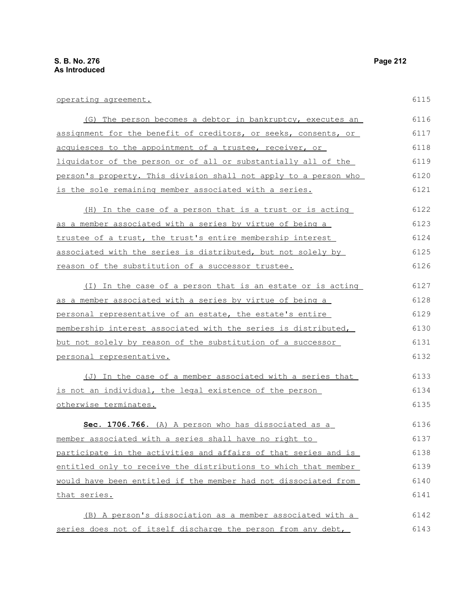| operating agreement.                                             | 6115 |
|------------------------------------------------------------------|------|
| (G) The person becomes a debtor in bankruptcy, executes an       | 6116 |
| assignment for the benefit of creditors, or seeks, consents, or  | 6117 |
| acquiesces to the appointment of a trustee, receiver, or         | 6118 |
| liquidator of the person or of all or substantially all of the   | 6119 |
| person's property. This division shall not apply to a person who | 6120 |
| is the sole remaining member associated with a series.           | 6121 |
| (H) In the case of a person that is a trust or is acting         | 6122 |
| as a member associated with a series by virtue of being a        | 6123 |
| trustee of a trust, the trust's entire membership interest       | 6124 |
| associated with the series is distributed, but not solely by     | 6125 |
| reason of the substitution of a successor trustee.               | 6126 |
| (I) In the case of a person that is an estate or is acting       | 6127 |
| as a member associated with a series by virtue of being a        | 6128 |
| personal representative of an estate, the estate's entire        | 6129 |
| membership interest associated with the series is distributed,   | 6130 |
| but not solely by reason of the substitution of a successor      | 6131 |
| personal representative.                                         | 6132 |
| (J) In the case of a member associated with a series that        | 6133 |
| is not an individual, the legal existence of the person          | 6134 |
| otherwise terminates.                                            | 6135 |
| Sec. 1706.766. (A) A person who has dissociated as a             | 6136 |
| member associated with a series shall have no right to           | 6137 |
| participate in the activities and affairs of that series and is  | 6138 |
| entitled only to receive the distributions to which that member  | 6139 |
| would have been entitled if the member had not dissociated from  | 6140 |
| that series.                                                     | 6141 |
| (B) A person's dissociation as a member associated with a        | 6142 |

series does not of itself discharge the person from any debt, 6143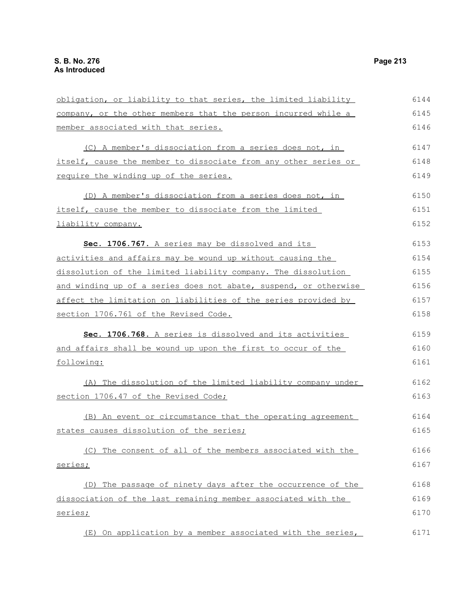obligation, or liability to that series, the limited liability company, or the other members that the person incurred while a member associated with that series. (C) A member's dissociation from a series does not, in itself, cause the member to dissociate from any other series or require the winding up of the series. (D) A member's dissociation from a series does not, in itself, cause the member to dissociate from the limited liability company. **Sec. 1706.767.** A series may be dissolved and its activities and affairs may be wound up without causing the dissolution of the limited liability company. The dissolution and winding up of a series does not abate, suspend, or otherwise affect the limitation on liabilities of the series provided by section 1706.761 of the Revised Code. **Sec. 1706.768.** A series is dissolved and its activities and affairs shall be wound up upon the first to occur of the following: (A) The dissolution of the limited liability company under section 1706.47 of the Revised Code; (B) An event or circumstance that the operating agreement states causes dissolution of the series; (C) The consent of all of the members associated with the series; 6144 6145 6146 6147 6148 6149 6150 6151 6152 6153 6154 6155 6156 6157 6158 6159 6160 6161 6162 6163 6164 6165 6166 6167

(D) The passage of ninety days after the occurrence of the dissociation of the last remaining member associated with the series; 6168 6169 6170

(E) On application by a member associated with the series, 6171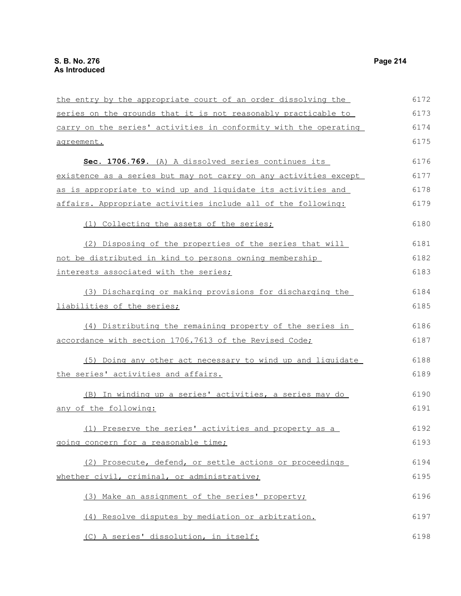the entry by the appropriate court of an order dissolving the series on the grounds that it is not reasonably practicable to carry on the series' activities in conformity with the operating agreement. **Sec. 1706.769.** (A) A dissolved series continues its existence as a series but may not carry on any activities except as is appropriate to wind up and liquidate its activities and affairs. Appropriate activities include all of the following: (1) Collecting the assets of the series; (2) Disposing of the properties of the series that will not be distributed in kind to persons owning membership interests associated with the series; (3) Discharging or making provisions for discharging the liabilities of the series; (4) Distributing the remaining property of the series in accordance with section 1706.7613 of the Revised Code; (5) Doing any other act necessary to wind up and liquidate the series' activities and affairs. (B) In winding up a series' activities, a series may do any of the following: (1) Preserve the series' activities and property as a going concern for a reasonable time; (2) Prosecute, defend, or settle actions or proceedings whether civil, criminal, or administrative; (3) Make an assignment of the series' property; (4) Resolve disputes by mediation or arbitration. (C) A series' dissolution, in itself: 6172 6173 6174 6175 6176 6177 6178 6179 6180 6181 6182 6183 6184 6185 6186 6187 6188 6189 6190 6191 6192 6193 6194 6195 6196 6197 6198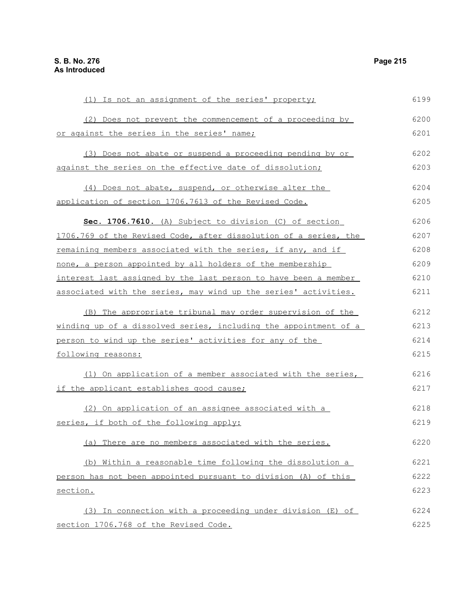(1) Is not an assignment of the series' property; (2) Does not prevent the commencement of a proceeding by or against the series in the series' name; (3) Does not abate or suspend a proceeding pending by or against the series on the effective date of dissolution; (4) Does not abate, suspend, or otherwise alter the application of section 1706.7613 of the Revised Code. **Sec. 1706.7610.** (A) Subject to division (C) of section 1706.769 of the Revised Code, after dissolution of a series, the remaining members associated with the series, if any, and if none, a person appointed by all holders of the membership interest last assigned by the last person to have been a member associated with the series, may wind up the series' activities. (B) The appropriate tribunal may order supervision of the winding up of a dissolved series, including the appointment of a person to wind up the series' activities for any of the following reasons: (1) On application of a member associated with the series, if the applicant establishes good cause; (2) On application of an assignee associated with a series, if both of the following apply: (a) There are no members associated with the series. (b) Within a reasonable time following the dissolution a person has not been appointed pursuant to division (A) of this section. (3) In connection with a proceeding under division (E) of section 1706.768 of the Revised Code. 6199 6200 6201 6202 6203 6204 6205 6206 6207 6208 6209 6210 6211 6212 6213 6214 6215 6216 6217 6218 6219 6220 6221 6222 6223 6224 6225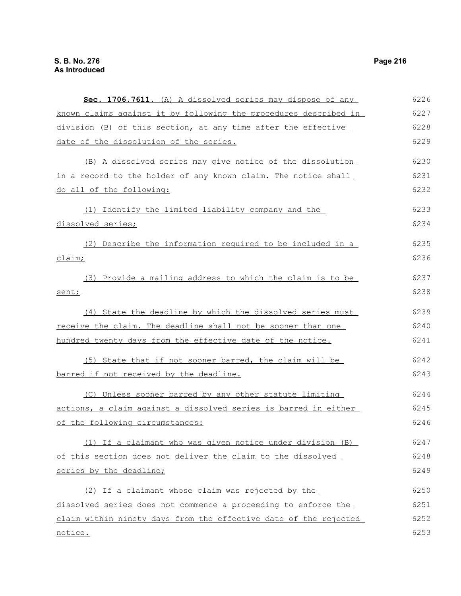**Sec. 1706.7611.** (A) A dissolved series may dispose of any known claims against it by following the procedures described in division (B) of this section, at any time after the effective date of the dissolution of the series. (B) A dissolved series may give notice of the dissolution in a record to the holder of any known claim. The notice shall do all of the following: (1) Identify the limited liability company and the dissolved series; (2) Describe the information required to be included in a claim; (3) Provide a mailing address to which the claim is to be sent; (4) State the deadline by which the dissolved series must receive the claim. The deadline shall not be sooner than one hundred twenty days from the effective date of the notice. (5) State that if not sooner barred, the claim will be barred if not received by the deadline. (C) Unless sooner barred by any other statute limiting actions, a claim against a dissolved series is barred in either of the following circumstances: (1) If a claimant who was given notice under division (B) of this section does not deliver the claim to the dissolved series by the deadline; (2) If a claimant whose claim was rejected by the dissolved series does not commence a proceeding to enforce the claim within ninety days from the effective date of the rejected notice. 6226 6227 6228 6229 6230 6231 6232 6233 6234 6235 6236 6237 6238 6239 6240 6241 6242 6243 6244 6245 6246 6247 6248 6249 6250 6251 6252 6253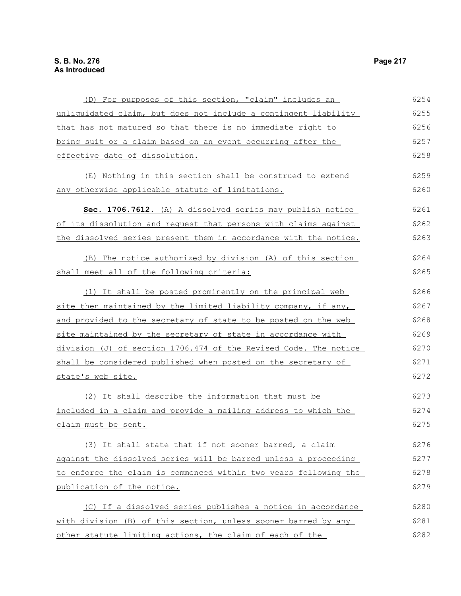| (D) For purposes of this section, "claim" includes an            | 6254 |
|------------------------------------------------------------------|------|
| unliquidated claim, but does not include a contingent liability  | 6255 |
| that has not matured so that there is no immediate right to      | 6256 |
| bring suit or a claim based on an event occurring after the      | 6257 |
| effective date of dissolution.                                   | 6258 |
| (E) Nothing in this section shall be construed to extend         | 6259 |
| any otherwise applicable statute of limitations.                 | 6260 |
| Sec. 1706.7612. (A) A dissolved series may publish notice        | 6261 |
| of its dissolution and request that persons with claims against  | 6262 |
| the dissolved series present them in accordance with the notice. | 6263 |
| (B) The notice authorized by division (A) of this section        | 6264 |
| shall meet all of the following criteria:                        | 6265 |
| (1) It shall be posted prominently on the principal web          | 6266 |
| site then maintained by the limited liability company, if any,   | 6267 |
| and provided to the secretary of state to be posted on the web   | 6268 |
| site maintained by the secretary of state in accordance with     | 6269 |
| division (J) of section 1706.474 of the Revised Code. The notice | 6270 |
| shall be considered published when posted on the secretary of    | 6271 |
| state's web site.                                                | 6272 |
| (2) It shall describe the information that must be               | 6273 |
| included in a claim and provide a mailing address to which the   | 6274 |
| claim must be sent.                                              | 6275 |
| (3) It shall state that if not sooner barred, a claim            | 6276 |
| against the dissolved series will be barred unless a proceeding  | 6277 |
| to enforce the claim is commenced within two years following the | 6278 |
| publication of the notice.                                       | 6279 |
| (C) If a dissolved series publishes a notice in accordance       | 6280 |
| with division (B) of this section, unless sooner barred by any   | 6281 |
| other statute limiting actions, the claim of each of the         | 6282 |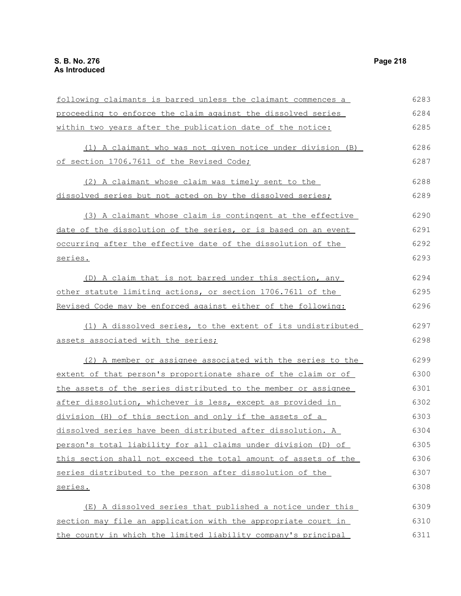| 6283 |
|------|
| 6284 |
| 6285 |
| 6286 |
|      |
| 6287 |
| 6288 |
| 6289 |
| 6290 |
| 6291 |
| 6292 |
| 6293 |
| 6294 |
|      |
| 6295 |
| 6296 |
| 6297 |
| 6298 |
| 6299 |
| 6300 |
| 6301 |
| 6302 |
| 6303 |
| 6304 |
| 6305 |
| 6306 |
| 6307 |
| 6308 |
| 6309 |
| 6310 |
| 6311 |
|      |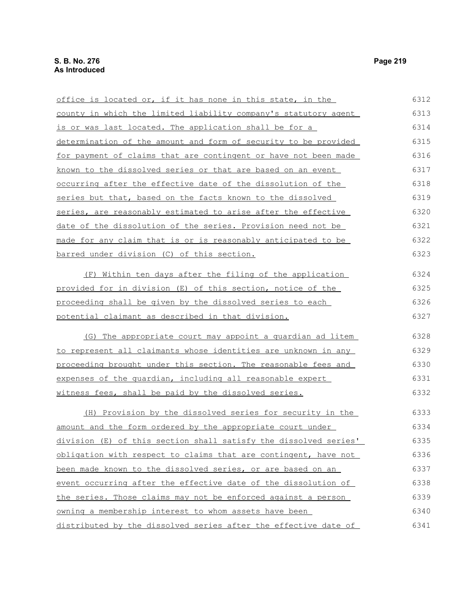office is located or, if it has none in this state, in the county in which the limited liability company's statutory agent is or was last located. The application shall be for a determination of the amount and form of security to be provided for payment of claims that are contingent or have not been made known to the dissolved series or that are based on an event occurring after the effective date of the dissolution of the series but that, based on the facts known to the dissolved series, are reasonably estimated to arise after the effective date of the dissolution of the series. Provision need not be made for any claim that is or is reasonably anticipated to be barred under division (C) of this section. (F) Within ten days after the filing of the application provided for in division (E) of this section, notice of the proceeding shall be given by the dissolved series to each potential claimant as described in that division. (G) The appropriate court may appoint a guardian ad litem to represent all claimants whose identities are unknown in any proceeding brought under this section. The reasonable fees and expenses of the guardian, including all reasonable expert witness fees, shall be paid by the dissolved series. (H) Provision by the dissolved series for security in the amount and the form ordered by the appropriate court under division (E) of this section shall satisfy the dissolved series' obligation with respect to claims that are contingent, have not been made known to the dissolved series, or are based on an event occurring after the effective date of the dissolution of the series. Those claims may not be enforced against a person owning a membership interest to whom assets have been distributed by the dissolved series after the effective date of 6312 6313 6314 6315 6316 6317 6318 6319 6320 6321 6322 6323 6324 6325 6326 6327 6328 6329 6330 6331 6332 6333 6334 6335 6336 6337 6338 6339 6340 6341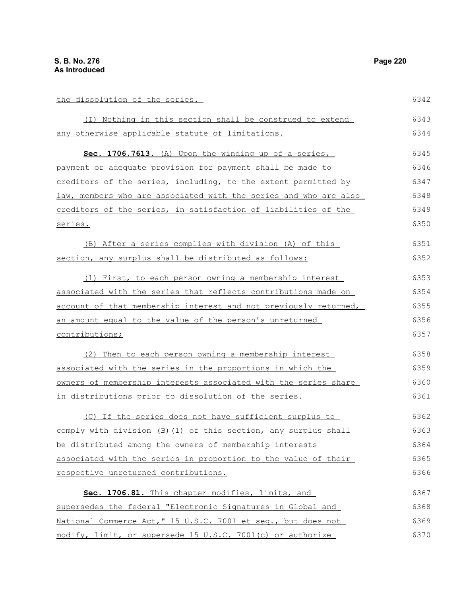| the dissolution of the series.                                   | 6342 |
|------------------------------------------------------------------|------|
| (I) Nothing in this section shall be construed to extend         | 6343 |
| any otherwise applicable statute of limitations.                 | 6344 |
| Sec. 1706.7613. (A) Upon the winding up of a series,             | 6345 |
| payment or adequate provision for payment shall be made to       | 6346 |
| creditors of the series, including, to the extent permitted by   | 6347 |
| law, members who are associated with the series and who are also | 6348 |
| creditors of the series, in satisfaction of liabilities of the   | 6349 |
| series.                                                          | 6350 |
| (B) After a series complies with division (A) of this            | 6351 |
| section, any surplus shall be distributed as follows:            | 6352 |
| (1) First, to each person owning a membership interest           | 6353 |
| associated with the series that reflects contributions made on   | 6354 |
| account of that membership interest and not previously returned, | 6355 |
| an amount equal to the value of the person's unreturned          | 6356 |
| contributions;                                                   | 6357 |
| (2) Then to each person owning a membership interest             | 6358 |
| associated with the series in the proportions in which the       | 6359 |
| owners of membership interests associated with the series share  | 6360 |
| in distributions prior to dissolution of the series.             | 6361 |
| (C) If the series does not have sufficient surplus to            | 6362 |
| comply with division (B) (1) of this section, any surplus shall  | 6363 |
| be distributed among the owners of membership interests          | 6364 |
| associated with the series in proportion to the value of their   | 6365 |
| respective unreturned contributions.                             | 6366 |
| Sec. 1706.81. This chapter modifies, limits, and                 | 6367 |
| supersedes the federal "Electronic Signatures in Global and      | 6368 |
| National Commerce Act," 15 U.S.C. 7001 et seq., but does not     | 6369 |
| modify, limit, or supersede 15 U.S.C. 7001(c) or authorize       | 6370 |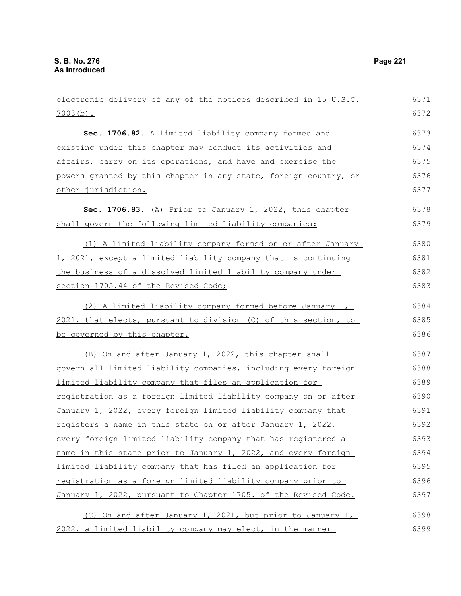| electronic delivery of any of the notices described in 15 U.S.C. | 6371 |
|------------------------------------------------------------------|------|
| $7003(b)$ .                                                      | 6372 |
| Sec. 1706.82. A limited liability company formed and             | 6373 |
| existing under this chapter may conduct its activities and       | 6374 |
| affairs, carry on its operations, and have and exercise the      | 6375 |
| powers granted by this chapter in any state, foreign country, or | 6376 |
| other jurisdiction.                                              | 6377 |
| Sec. 1706.83. (A) Prior to January 1, 2022, this chapter         | 6378 |
| shall govern the following limited liability companies:          | 6379 |
| (1) A limited liability company formed on or after January       | 6380 |
| 1, 2021, except a limited liability company that is continuing   | 6381 |
| the business of a dissolved limited liability company under      | 6382 |
| section 1705.44 of the Revised Code;                             | 6383 |
| (2) A limited liability company formed before January 1,         | 6384 |
| 2021, that elects, pursuant to division (C) of this section, to  | 6385 |
| be governed by this chapter.                                     | 6386 |
| (B) On and after January 1, 2022, this chapter shall             | 6387 |
| govern all limited liability companies, including every foreign  | 6388 |
| limited liability company that files an application for          | 6389 |
| registration as a foreign limited liability company on or after  | 6390 |
| January 1, 2022, every foreign limited liability company that    | 6391 |
| registers a name in this state on or after January 1, 2022,      | 6392 |
| every foreign limited liability company that has registered a    | 6393 |
| name in this state prior to January 1, 2022, and every foreign   | 6394 |
| limited liability company that has filed an application for      | 6395 |
| registration as a foreign limited liability company prior to     | 6396 |
| January 1, 2022, pursuant to Chapter 1705. of the Revised Code.  | 6397 |
| (C) On and after January 1, 2021, but prior to January 1,        | 6398 |
| 2022, a limited liability company may elect, in the manner       | 6399 |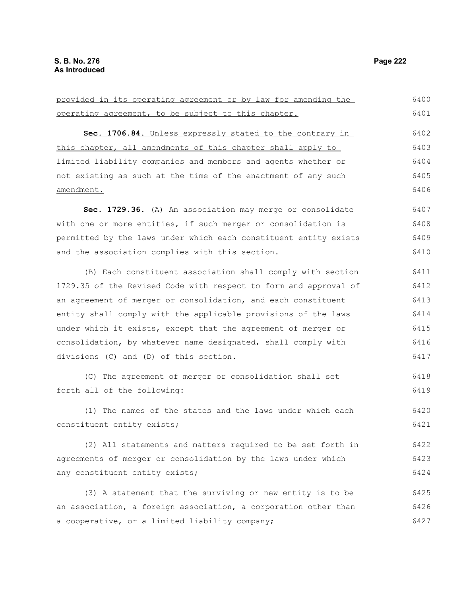provided in its operating agreement or by law for amending the operating agreement, to be subject to this chapter. **Sec. 1706.84.** Unless expressly stated to the contrary in this chapter, all amendments of this chapter shall apply to limited liability companies and members and agents whether or not existing as such at the time of the enactment of any such amendment. **Sec. 1729.36.** (A) An association may merge or consolidate with one or more entities, if such merger or consolidation is permitted by the laws under which each constituent entity exists and the association complies with this section. (B) Each constituent association shall comply with section 1729.35 of the Revised Code with respect to form and approval of an agreement of merger or consolidation, and each constituent entity shall comply with the applicable provisions of the laws under which it exists, except that the agreement of merger or consolidation, by whatever name designated, shall comply with divisions (C) and (D) of this section. (C) The agreement of merger or consolidation shall set forth all of the following: (1) The names of the states and the laws under which each constituent entity exists; (2) All statements and matters required to be set forth in agreements of merger or consolidation by the laws under which any constituent entity exists; (3) A statement that the surviving or new entity is to be an association, a foreign association, a corporation other than a cooperative, or a limited liability company; 6400 6401 6402 6403 6404 6405 6406 6407 6408 6409 6410 6411 6412 6413 6414 6415 6416 6417 6418 6419 6420 6421 6422 6423 6424 6425 6426 6427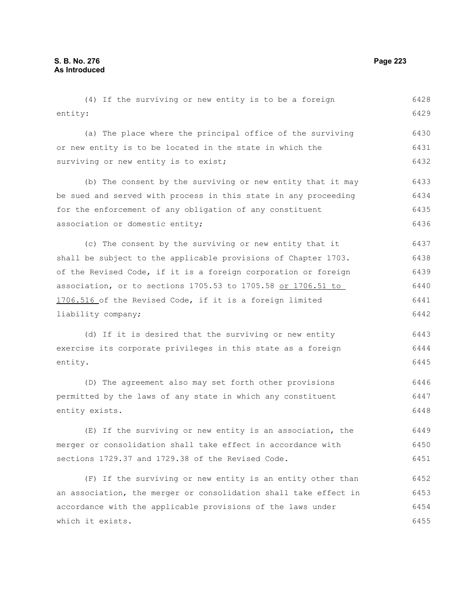(4) If the surviving or new entity is to be a foreign entity: (a) The place where the principal office of the surviving or new entity is to be located in the state in which the surviving or new entity is to exist; (b) The consent by the surviving or new entity that it may be sued and served with process in this state in any proceeding for the enforcement of any obligation of any constituent association or domestic entity; (c) The consent by the surviving or new entity that it shall be subject to the applicable provisions of Chapter 1703. of the Revised Code, if it is a foreign corporation or foreign association, or to sections 1705.53 to 1705.58 or 1706.51 to 1706.516 of the Revised Code, if it is a foreign limited liability company; (d) If it is desired that the surviving or new entity exercise its corporate privileges in this state as a foreign entity. (D) The agreement also may set forth other provisions permitted by the laws of any state in which any constituent entity exists. (E) If the surviving or new entity is an association, the 6429 6430 6431 6432 6433 6434 6435 6436 6437 6438 6439 6440 6441 6442 6443 6444 6445 6446 6447 6448 6449

merger or consolidation shall take effect in accordance with sections 1729.37 and 1729.38 of the Revised Code. 6450 6451

(F) If the surviving or new entity is an entity other than an association, the merger or consolidation shall take effect in accordance with the applicable provisions of the laws under which it exists. 6452 6453 6454 6455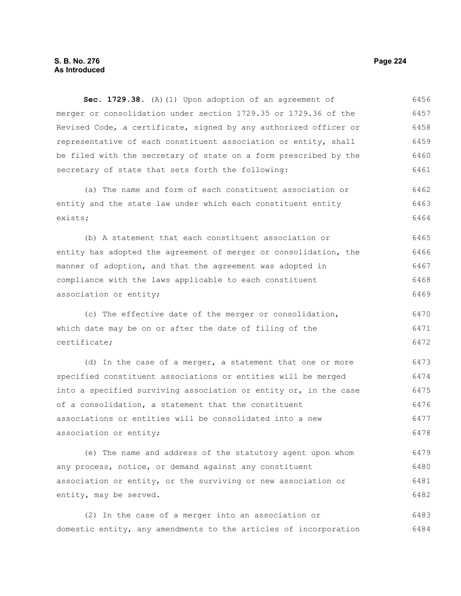## **S. B. No. 276 Page 224 As Introduced**

**Sec. 1729.38.** (A)(1) Upon adoption of an agreement of merger or consolidation under section 1729.35 or 1729.36 of the Revised Code, a certificate, signed by any authorized officer or representative of each constituent association or entity, shall be filed with the secretary of state on a form prescribed by the secretary of state that sets forth the following: 6456 6457 6458 6459 6460 6461

(a) The name and form of each constituent association or entity and the state law under which each constituent entity exists; 6462 6463 6464

(b) A statement that each constituent association or entity has adopted the agreement of merger or consolidation, the manner of adoption, and that the agreement was adopted in compliance with the laws applicable to each constituent association or entity; 6465 6466 6467 6468 6469

(c) The effective date of the merger or consolidation, which date may be on or after the date of filing of the certificate; 6470 6471 6472

(d) In the case of a merger, a statement that one or more specified constituent associations or entities will be merged into a specified surviving association or entity or, in the case of a consolidation, a statement that the constituent associations or entities will be consolidated into a new association or entity; 6473 6474 6475 6476 6477 6478

(e) The name and address of the statutory agent upon whom any process, notice, or demand against any constituent association or entity, or the surviving or new association or entity, may be served. 6479 6480 6481 6482

(2) In the case of a merger into an association or domestic entity, any amendments to the articles of incorporation 6483 6484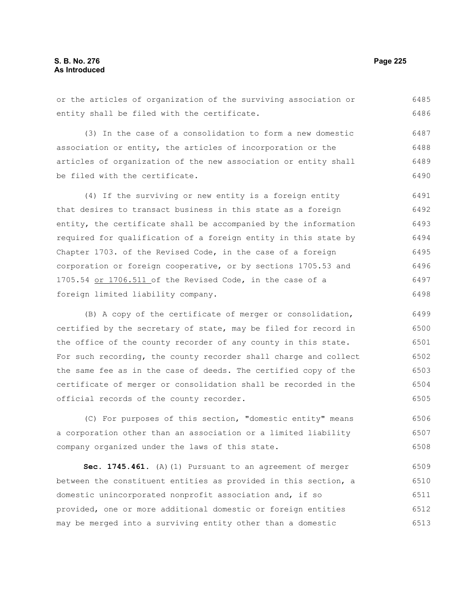or the articles of organization of the surviving association or entity shall be filed with the certificate. 6485 6486

(3) In the case of a consolidation to form a new domestic association or entity, the articles of incorporation or the articles of organization of the new association or entity shall be filed with the certificate. 6487 6488 6489 6490

(4) If the surviving or new entity is a foreign entity that desires to transact business in this state as a foreign entity, the certificate shall be accompanied by the information required for qualification of a foreign entity in this state by Chapter 1703. of the Revised Code, in the case of a foreign corporation or foreign cooperative, or by sections 1705.53 and 1705.54 or 1706.511 of the Revised Code, in the case of a foreign limited liability company. 6491 6492 6493 6494 6495 6496 6497 6498

(B) A copy of the certificate of merger or consolidation, certified by the secretary of state, may be filed for record in the office of the county recorder of any county in this state. For such recording, the county recorder shall charge and collect the same fee as in the case of deeds. The certified copy of the certificate of merger or consolidation shall be recorded in the official records of the county recorder. 6499 6500 6501 6502 6503 6504 6505

(C) For purposes of this section, "domestic entity" means a corporation other than an association or a limited liability company organized under the laws of this state. 6506 6507 6508

**Sec. 1745.461.** (A)(1) Pursuant to an agreement of merger between the constituent entities as provided in this section, a domestic unincorporated nonprofit association and, if so provided, one or more additional domestic or foreign entities may be merged into a surviving entity other than a domestic 6509 6510 6511 6512 6513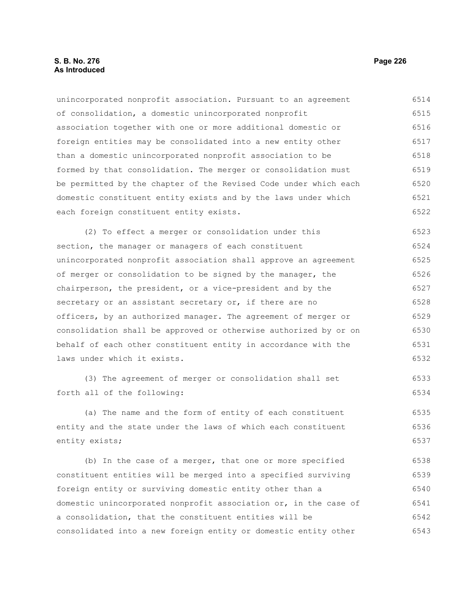## **S. B. No. 276 Page 226 As Introduced**

unincorporated nonprofit association. Pursuant to an agreement of consolidation, a domestic unincorporated nonprofit association together with one or more additional domestic or foreign entities may be consolidated into a new entity other than a domestic unincorporated nonprofit association to be formed by that consolidation. The merger or consolidation must be permitted by the chapter of the Revised Code under which each domestic constituent entity exists and by the laws under which each foreign constituent entity exists. (2) To effect a merger or consolidation under this section, the manager or managers of each constituent unincorporated nonprofit association shall approve an agreement of merger or consolidation to be signed by the manager, the chairperson, the president, or a vice-president and by the secretary or an assistant secretary or, if there are no officers, by an authorized manager. The agreement of merger or consolidation shall be approved or otherwise authorized by or on 6514 6515 6516 6517 6518 6519 6520 6521 6522 6523 6524 6525 6526 6527 6528 6529 6530

behalf of each other constituent entity in accordance with the laws under which it exists. 6531 6532

(3) The agreement of merger or consolidation shall set forth all of the following: 6533 6534

(a) The name and the form of entity of each constituent entity and the state under the laws of which each constituent entity exists; 6535 6536 6537

(b) In the case of a merger, that one or more specified constituent entities will be merged into a specified surviving foreign entity or surviving domestic entity other than a domestic unincorporated nonprofit association or, in the case of a consolidation, that the constituent entities will be consolidated into a new foreign entity or domestic entity other 6538 6539 6540 6541 6542 6543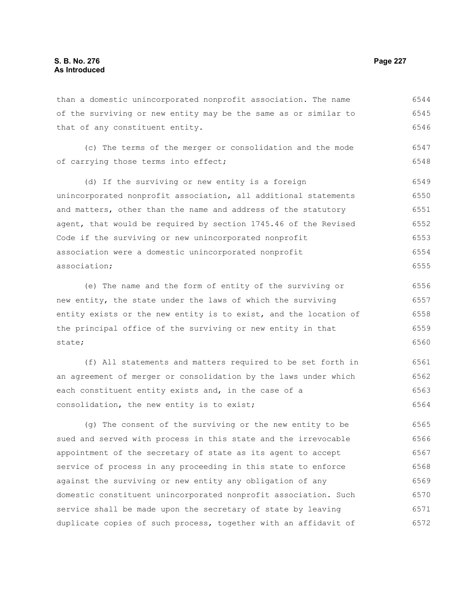than a domestic unincorporated nonprofit association. The name of the surviving or new entity may be the same as or similar to that of any constituent entity. 6544 6545 6546

(c) The terms of the merger or consolidation and the mode of carrying those terms into effect; 6547 6548

(d) If the surviving or new entity is a foreign unincorporated nonprofit association, all additional statements and matters, other than the name and address of the statutory agent, that would be required by section 1745.46 of the Revised Code if the surviving or new unincorporated nonprofit association were a domestic unincorporated nonprofit association; 6549 6550 6551 6552 6553 6554 6555

(e) The name and the form of entity of the surviving or new entity, the state under the laws of which the surviving entity exists or the new entity is to exist, and the location of the principal office of the surviving or new entity in that state; 6556 6557 6558 6559 6560

(f) All statements and matters required to be set forth in an agreement of merger or consolidation by the laws under which each constituent entity exists and, in the case of a consolidation, the new entity is to exist; 6561 6562 6563 6564

(g) The consent of the surviving or the new entity to be sued and served with process in this state and the irrevocable appointment of the secretary of state as its agent to accept service of process in any proceeding in this state to enforce against the surviving or new entity any obligation of any domestic constituent unincorporated nonprofit association. Such service shall be made upon the secretary of state by leaving duplicate copies of such process, together with an affidavit of 6565 6566 6567 6568 6569 6570 6571 6572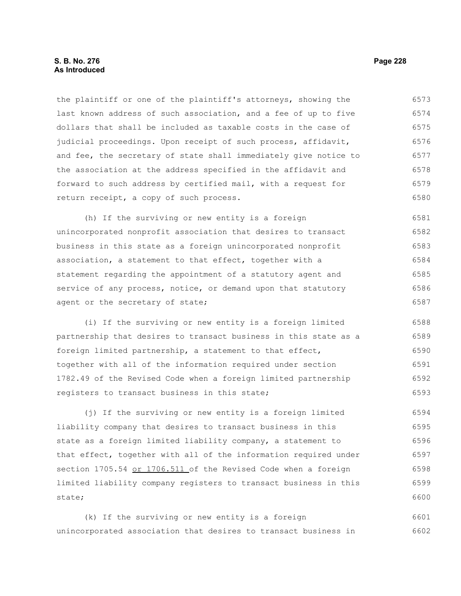the plaintiff or one of the plaintiff's attorneys, showing the last known address of such association, and a fee of up to five dollars that shall be included as taxable costs in the case of judicial proceedings. Upon receipt of such process, affidavit, and fee, the secretary of state shall immediately give notice to the association at the address specified in the affidavit and forward to such address by certified mail, with a request for return receipt, a copy of such process. 6573 6574 6575 6576 6577 6578 6579 6580

(h) If the surviving or new entity is a foreign unincorporated nonprofit association that desires to transact business in this state as a foreign unincorporated nonprofit association, a statement to that effect, together with a statement regarding the appointment of a statutory agent and service of any process, notice, or demand upon that statutory agent or the secretary of state; 6581 6582 6583 6584 6585 6586 6587

(i) If the surviving or new entity is a foreign limited partnership that desires to transact business in this state as a foreign limited partnership, a statement to that effect, together with all of the information required under section 1782.49 of the Revised Code when a foreign limited partnership registers to transact business in this state; 6588 6589 6590 6591 6592 6593

(j) If the surviving or new entity is a foreign limited liability company that desires to transact business in this state as a foreign limited liability company, a statement to that effect, together with all of the information required under section 1705.54 or 1706.511 of the Revised Code when a foreign limited liability company registers to transact business in this state; 6594 6595 6596 6597 6598 6599 6600

(k) If the surviving or new entity is a foreign unincorporated association that desires to transact business in 6601 6602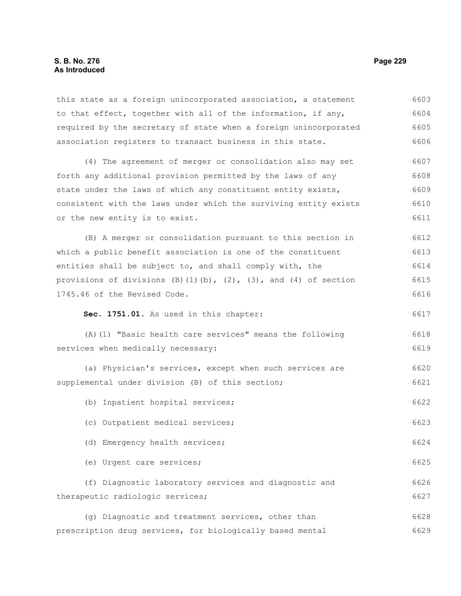this state as a foreign unincorporated association, a statement to that effect, together with all of the information, if any, required by the secretary of state when a foreign unincorporated association registers to transact business in this state. 6603 6604 6605 6606

(4) The agreement of merger or consolidation also may set forth any additional provision permitted by the laws of any state under the laws of which any constituent entity exists, consistent with the laws under which the surviving entity exists or the new entity is to exist. 6607 6608 6609 6610 6611

(B) A merger or consolidation pursuant to this section in which a public benefit association is one of the constituent entities shall be subject to, and shall comply with, the provisions of divisions  $(B)(1)(b)$ ,  $(2)$ ,  $(3)$ , and  $(4)$  of section 1745.46 of the Revised Code. 6612 6613 6614 6615 6616

**Sec. 1751.01.** As used in this chapter:

(c) Outpatient medical services;

(A)(1) "Basic health care services" means the following services when medically necessary: 6618 6619

(a) Physician's services, except when such services are supplemental under division (B) of this section; 6620 6621

(b) Inpatient hospital services; 6622

(d) Emergency health services;

(e) Urgent care services; 6625

(f) Diagnostic laboratory services and diagnostic and therapeutic radiologic services; 6626 6627

(g) Diagnostic and treatment services, other than prescription drug services, for biologically based mental 6628 6629

6617

6623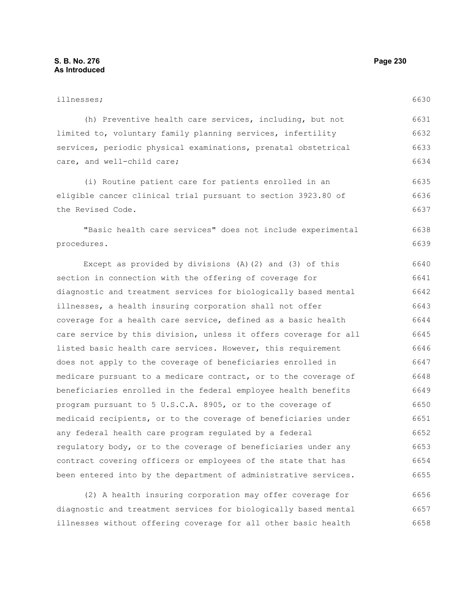# illnesses; (h) Preventive health care services, including, but not limited to, voluntary family planning services, infertility services, periodic physical examinations, prenatal obstetrical care, and well-child care; (i) Routine patient care for patients enrolled in an eligible cancer clinical trial pursuant to section 3923.80 of the Revised Code. "Basic health care services" does not include experimental Except as provided by divisions (A)(2) and (3) of this 6630 6631 6632 6633 6634 6635 6636 6637 6638 6639 6640

procedures.

section in connection with the offering of coverage for diagnostic and treatment services for biologically based mental illnesses, a health insuring corporation shall not offer coverage for a health care service, defined as a basic health care service by this division, unless it offers coverage for all listed basic health care services. However, this requirement does not apply to the coverage of beneficiaries enrolled in medicare pursuant to a medicare contract, or to the coverage of beneficiaries enrolled in the federal employee health benefits program pursuant to 5 U.S.C.A. 8905, or to the coverage of medicaid recipients, or to the coverage of beneficiaries under any federal health care program regulated by a federal regulatory body, or to the coverage of beneficiaries under any contract covering officers or employees of the state that has been entered into by the department of administrative services. 6641 6642 6643 6644 6645 6646 6647 6648 6649 6650 6651 6652 6653 6654 6655

(2) A health insuring corporation may offer coverage for diagnostic and treatment services for biologically based mental illnesses without offering coverage for all other basic health 6656 6657 6658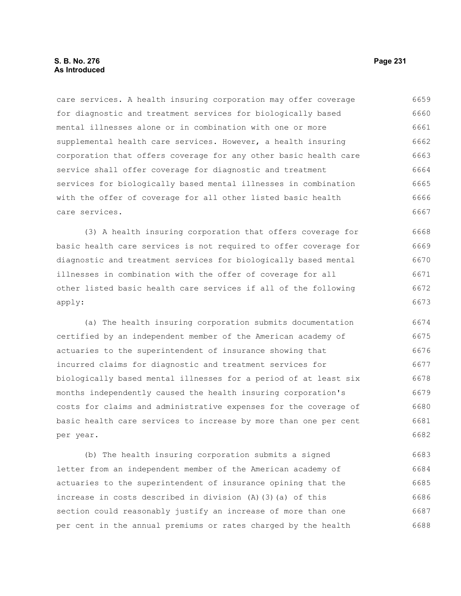care services. A health insuring corporation may offer coverage for diagnostic and treatment services for biologically based mental illnesses alone or in combination with one or more supplemental health care services. However, a health insuring corporation that offers coverage for any other basic health care service shall offer coverage for diagnostic and treatment services for biologically based mental illnesses in combination with the offer of coverage for all other listed basic health care services. 6659 6660 6661 6662 6663 6664 6665 6666 6667

(3) A health insuring corporation that offers coverage for basic health care services is not required to offer coverage for diagnostic and treatment services for biologically based mental illnesses in combination with the offer of coverage for all other listed basic health care services if all of the following apply: 6668 6669 6670 6671 6672 6673

(a) The health insuring corporation submits documentation certified by an independent member of the American academy of actuaries to the superintendent of insurance showing that incurred claims for diagnostic and treatment services for biologically based mental illnesses for a period of at least six months independently caused the health insuring corporation's costs for claims and administrative expenses for the coverage of basic health care services to increase by more than one per cent per year. 6674 6675 6676 6677 6678 6679 6680 6681 6682

(b) The health insuring corporation submits a signed letter from an independent member of the American academy of actuaries to the superintendent of insurance opining that the increase in costs described in division (A)(3)(a) of this section could reasonably justify an increase of more than one per cent in the annual premiums or rates charged by the health 6683 6684 6685 6686 6687 6688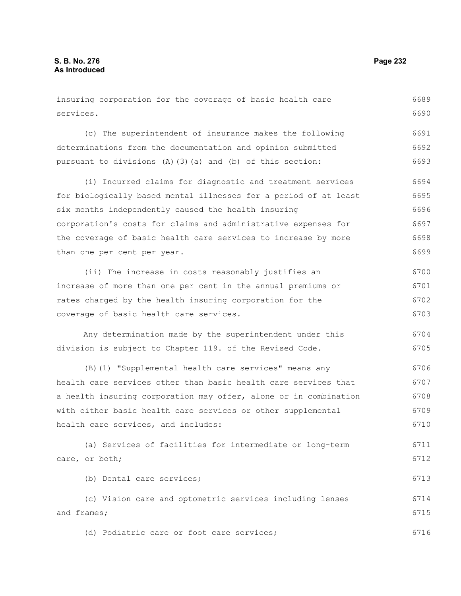services.

insuring corporation for the coverage of basic health care 6689

(c) The superintendent of insurance makes the following determinations from the documentation and opinion submitted pursuant to divisions (A)(3)(a) and (b) of this section: 6691 6692 6693

(i) Incurred claims for diagnostic and treatment services for biologically based mental illnesses for a period of at least six months independently caused the health insuring corporation's costs for claims and administrative expenses for the coverage of basic health care services to increase by more than one per cent per year. 6694 6695 6696 6697 6698 6699

(ii) The increase in costs reasonably justifies an increase of more than one per cent in the annual premiums or rates charged by the health insuring corporation for the coverage of basic health care services. 6700 6701 6702 6703

Any determination made by the superintendent under this division is subject to Chapter 119. of the Revised Code. 6704 6705

(B)(1) "Supplemental health care services" means any health care services other than basic health care services that a health insuring corporation may offer, alone or in combination with either basic health care services or other supplemental health care services, and includes: 6706 6707 6708 6709 6710

(a) Services of facilities for intermediate or long-term care, or both; 6711 6712

(b) Dental care services; 6713

(c) Vision care and optometric services including lenses and frames; 6714 6715

(d) Podiatric care or foot care services;

6690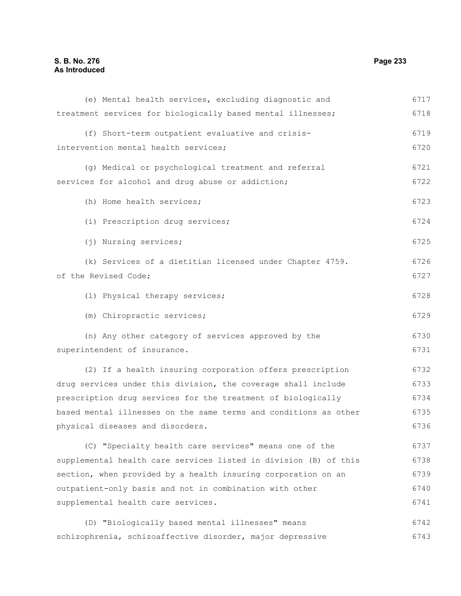| (f) Short-term outpatient evaluative and crisis-                 | 6719 |
|------------------------------------------------------------------|------|
| intervention mental health services;                             | 6720 |
| (g) Medical or psychological treatment and referral              | 6721 |
| services for alcohol and drug abuse or addiction;                | 6722 |
|                                                                  |      |
| (h) Home health services;                                        | 6723 |
| (i) Prescription drug services;                                  | 6724 |
| (j) Nursing services;                                            | 6725 |
| (k) Services of a dietitian licensed under Chapter 4759.         | 6726 |
| of the Revised Code;                                             | 6727 |
| (1) Physical therapy services;                                   | 6728 |
| (m) Chiropractic services;                                       | 6729 |
| (n) Any other category of services approved by the               | 6730 |
| superintendent of insurance.                                     | 6731 |
| (2) If a health insuring corporation offers prescription         | 6732 |
| drug services under this division, the coverage shall include    | 6733 |
| prescription drug services for the treatment of biologically     | 6734 |
| based mental illnesses on the same terms and conditions as other | 6735 |
| physical diseases and disorders.                                 | 6736 |
| (C) "Specialty health care services" means one of the            | 6737 |
| supplemental health care services listed in division (B) of this | 6738 |
| section, when provided by a health insuring corporation on an    | 6739 |
| outpatient-only basis and not in combination with other          | 6740 |
| supplemental health care services.                               | 6741 |
| (D) "Biologically based mental illnesses" means                  | 6742 |

(e) Mental health services, excluding diagnostic and

treatment services for biologically based mental illnesses;

schizophrenia, schizoaffective disorder, major depressive 6743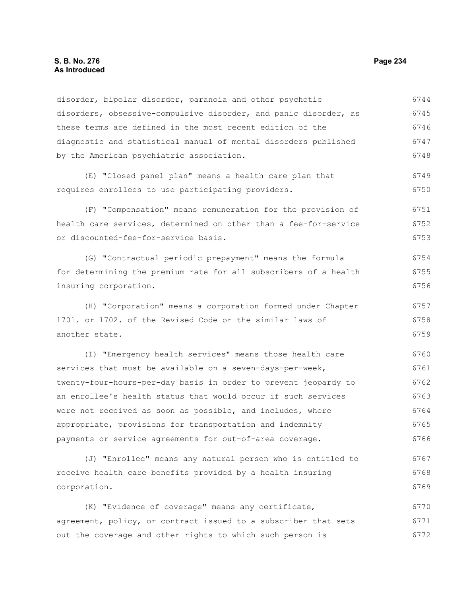disorder, bipolar disorder, paranoia and other psychotic disorders, obsessive-compulsive disorder, and panic disorder, as these terms are defined in the most recent edition of the diagnostic and statistical manual of mental disorders published by the American psychiatric association. (E) "Closed panel plan" means a health care plan that requires enrollees to use participating providers. (F) "Compensation" means remuneration for the provision of health care services, determined on other than a fee-for-service or discounted-fee-for-service basis. (G) "Contractual periodic prepayment" means the formula for determining the premium rate for all subscribers of a health insuring corporation. (H) "Corporation" means a corporation formed under Chapter 1701. or 1702. of the Revised Code or the similar laws of another state. 6744 6745 6746 6747 6748 6749 6750 6751 6752 6753 6754 6755 6756 6757 6758 6759

(I) "Emergency health services" means those health care services that must be available on a seven-days-per-week, twenty-four-hours-per-day basis in order to prevent jeopardy to an enrollee's health status that would occur if such services were not received as soon as possible, and includes, where appropriate, provisions for transportation and indemnity payments or service agreements for out-of-area coverage. 6760 6761 6762 6763 6764 6765 6766

(J) "Enrollee" means any natural person who is entitled to receive health care benefits provided by a health insuring corporation. 6767 6768 6769

(K) "Evidence of coverage" means any certificate, agreement, policy, or contract issued to a subscriber that sets out the coverage and other rights to which such person is 6770 6771 6772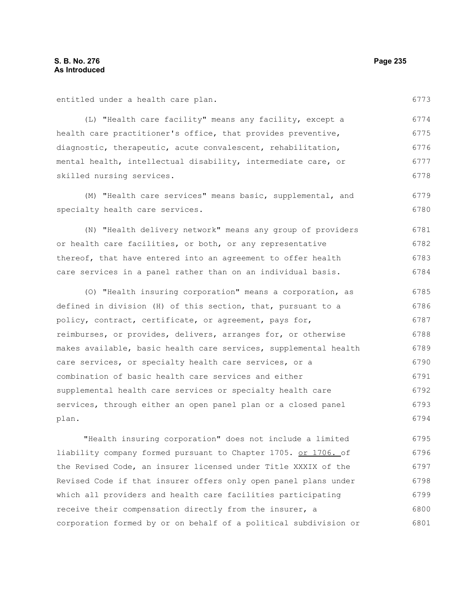entitled under a health care plan.

(L) "Health care facility" means any facility, except a health care practitioner's office, that provides preventive, diagnostic, therapeutic, acute convalescent, rehabilitation, mental health, intellectual disability, intermediate care, or skilled nursing services. 6774 6775 6776 6777

(M) "Health care services" means basic, supplemental, and specialty health care services. 6779 6780

(N) "Health delivery network" means any group of providers or health care facilities, or both, or any representative thereof, that have entered into an agreement to offer health care services in a panel rather than on an individual basis. 6781 6782 6783 6784

(O) "Health insuring corporation" means a corporation, as defined in division (H) of this section, that, pursuant to a policy, contract, certificate, or agreement, pays for, reimburses, or provides, delivers, arranges for, or otherwise makes available, basic health care services, supplemental health care services, or specialty health care services, or a combination of basic health care services and either supplemental health care services or specialty health care services, through either an open panel plan or a closed panel plan. 6785 6786 6787 6788 6789 6790 6791 6792 6793 6794

"Health insuring corporation" does not include a limited liability company formed pursuant to Chapter 1705. or 1706. of the Revised Code, an insurer licensed under Title XXXIX of the Revised Code if that insurer offers only open panel plans under which all providers and health care facilities participating receive their compensation directly from the insurer, a corporation formed by or on behalf of a political subdivision or 6795 6796 6797 6798 6799 6800 6801

6778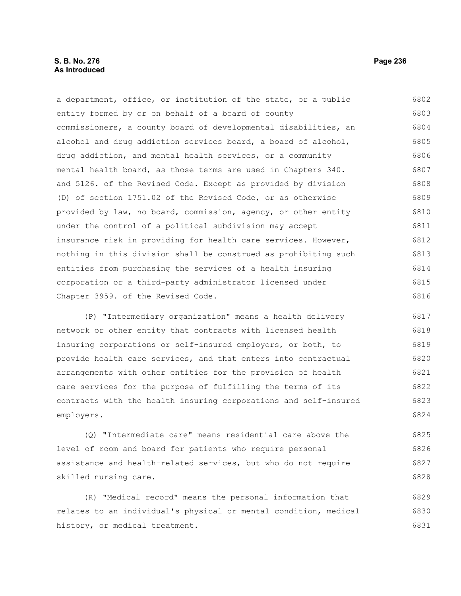## **S. B. No. 276 Page 236 As Introduced**

a department, office, or institution of the state, or a public entity formed by or on behalf of a board of county commissioners, a county board of developmental disabilities, an alcohol and drug addiction services board, a board of alcohol, drug addiction, and mental health services, or a community mental health board, as those terms are used in Chapters 340. and 5126. of the Revised Code. Except as provided by division (D) of section 1751.02 of the Revised Code, or as otherwise provided by law, no board, commission, agency, or other entity under the control of a political subdivision may accept insurance risk in providing for health care services. However, nothing in this division shall be construed as prohibiting such entities from purchasing the services of a health insuring corporation or a third-party administrator licensed under Chapter 3959. of the Revised Code. 6802 6803 6804 6805 6806 6807 6808 6809 6810 6811 6812 6813 6814 6815 6816

(P) "Intermediary organization" means a health delivery network or other entity that contracts with licensed health insuring corporations or self-insured employers, or both, to provide health care services, and that enters into contractual arrangements with other entities for the provision of health care services for the purpose of fulfilling the terms of its contracts with the health insuring corporations and self-insured employers. 6817 6818 6819 6820 6821 6822 6823 6824

(Q) "Intermediate care" means residential care above the level of room and board for patients who require personal assistance and health-related services, but who do not require skilled nursing care. 6825 6826 6827 6828

(R) "Medical record" means the personal information that relates to an individual's physical or mental condition, medical history, or medical treatment. 6829 6830 6831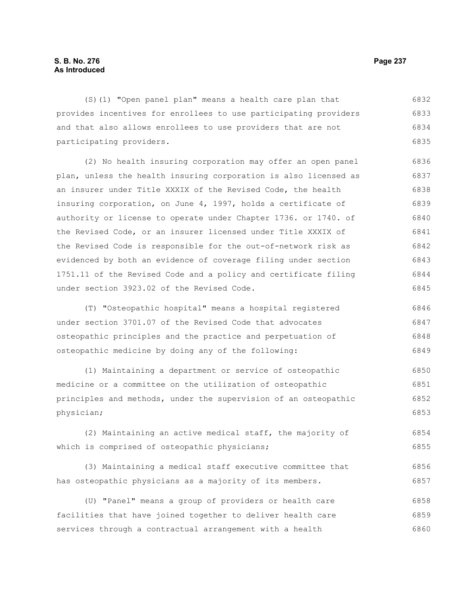(S)(1) "Open panel plan" means a health care plan that provides incentives for enrollees to use participating providers and that also allows enrollees to use providers that are not participating providers. 6832 6833 6834 6835

(2) No health insuring corporation may offer an open panel plan, unless the health insuring corporation is also licensed as an insurer under Title XXXIX of the Revised Code, the health insuring corporation, on June 4, 1997, holds a certificate of authority or license to operate under Chapter 1736. or 1740. of the Revised Code, or an insurer licensed under Title XXXIX of the Revised Code is responsible for the out-of-network risk as evidenced by both an evidence of coverage filing under section 1751.11 of the Revised Code and a policy and certificate filing under section 3923.02 of the Revised Code. 6836 6837 6838 6839 6840 6841 6842 6843 6844 6845

(T) "Osteopathic hospital" means a hospital registered under section 3701.07 of the Revised Code that advocates osteopathic principles and the practice and perpetuation of osteopathic medicine by doing any of the following: 6846 6847 6848 6849

(1) Maintaining a department or service of osteopathic medicine or a committee on the utilization of osteopathic principles and methods, under the supervision of an osteopathic physician; 6850 6851 6852 6853

(2) Maintaining an active medical staff, the majority of which is comprised of osteopathic physicians; 6854 6855

(3) Maintaining a medical staff executive committee that has osteopathic physicians as a majority of its members. 6856 6857

(U) "Panel" means a group of providers or health care facilities that have joined together to deliver health care services through a contractual arrangement with a health 6858 6859 6860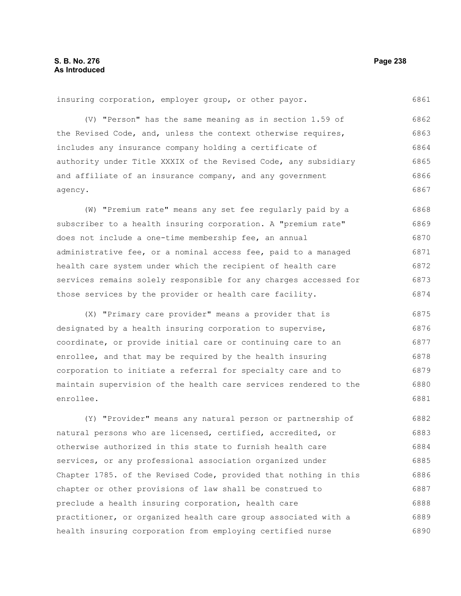insuring corporation, employer group, or other payor.

(V) "Person" has the same meaning as in section 1.59 of the Revised Code, and, unless the context otherwise requires, includes any insurance company holding a certificate of authority under Title XXXIX of the Revised Code, any subsidiary and affiliate of an insurance company, and any government agency. 6862 6863 6864 6865 6866 6867

(W) "Premium rate" means any set fee regularly paid by a subscriber to a health insuring corporation. A "premium rate" does not include a one-time membership fee, an annual administrative fee, or a nominal access fee, paid to a managed health care system under which the recipient of health care services remains solely responsible for any charges accessed for those services by the provider or health care facility. 6868 6869 6870 6871 6872 6873 6874

(X) "Primary care provider" means a provider that is designated by a health insuring corporation to supervise, coordinate, or provide initial care or continuing care to an enrollee, and that may be required by the health insuring corporation to initiate a referral for specialty care and to maintain supervision of the health care services rendered to the enrollee. 6875 6876 6877 6878 6879 6880 6881

(Y) "Provider" means any natural person or partnership of natural persons who are licensed, certified, accredited, or otherwise authorized in this state to furnish health care services, or any professional association organized under Chapter 1785. of the Revised Code, provided that nothing in this chapter or other provisions of law shall be construed to preclude a health insuring corporation, health care practitioner, or organized health care group associated with a health insuring corporation from employing certified nurse 6882 6883 6884 6885 6886 6887 6888 6889 6890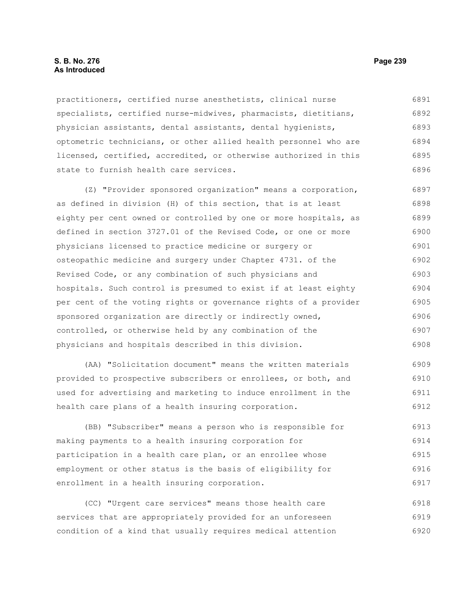## **S. B. No. 276 Page 239 As Introduced**

practitioners, certified nurse anesthetists, clinical nurse specialists, certified nurse-midwives, pharmacists, dietitians, physician assistants, dental assistants, dental hygienists, optometric technicians, or other allied health personnel who are licensed, certified, accredited, or otherwise authorized in this state to furnish health care services. 6891 6892 6893 6894 6895 6896

(Z) "Provider sponsored organization" means a corporation, as defined in division (H) of this section, that is at least eighty per cent owned or controlled by one or more hospitals, as defined in section 3727.01 of the Revised Code, or one or more physicians licensed to practice medicine or surgery or osteopathic medicine and surgery under Chapter 4731. of the Revised Code, or any combination of such physicians and hospitals. Such control is presumed to exist if at least eighty per cent of the voting rights or governance rights of a provider sponsored organization are directly or indirectly owned, controlled, or otherwise held by any combination of the physicians and hospitals described in this division. 6897 6898 6899 6900 6901 6902 6903 6904 6905 6906 6907 6908

(AA) "Solicitation document" means the written materials provided to prospective subscribers or enrollees, or both, and used for advertising and marketing to induce enrollment in the health care plans of a health insuring corporation. 6909 6910 6911 6912

(BB) "Subscriber" means a person who is responsible for making payments to a health insuring corporation for participation in a health care plan, or an enrollee whose employment or other status is the basis of eligibility for enrollment in a health insuring corporation. 6913 6914 6915 6916 6917

(CC) "Urgent care services" means those health care services that are appropriately provided for an unforeseen condition of a kind that usually requires medical attention 6918 6919 6920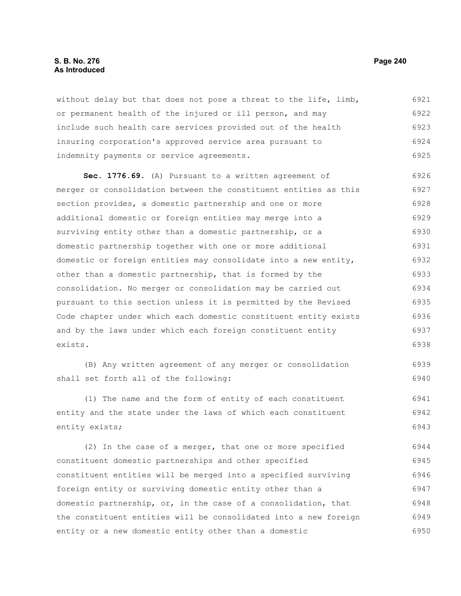## **S. B. No. 276 Page 240 As Introduced**

without delay but that does not pose a threat to the life, limb, or permanent health of the injured or ill person, and may include such health care services provided out of the health insuring corporation's approved service area pursuant to indemnity payments or service agreements. 6921 6922 6923 6924 6925

**Sec. 1776.69.** (A) Pursuant to a written agreement of merger or consolidation between the constituent entities as this section provides, a domestic partnership and one or more additional domestic or foreign entities may merge into a surviving entity other than a domestic partnership, or a domestic partnership together with one or more additional domestic or foreign entities may consolidate into a new entity, other than a domestic partnership, that is formed by the consolidation. No merger or consolidation may be carried out pursuant to this section unless it is permitted by the Revised Code chapter under which each domestic constituent entity exists and by the laws under which each foreign constituent entity exists. 6926 6927 6928 6929 6930 6931 6932 6933 6934 6935 6936 6937 6938

(B) Any written agreement of any merger or consolidation shall set forth all of the following: 6939 6940

(1) The name and the form of entity of each constituent entity and the state under the laws of which each constituent entity exists; 6941 6942 6943

(2) In the case of a merger, that one or more specified constituent domestic partnerships and other specified constituent entities will be merged into a specified surviving foreign entity or surviving domestic entity other than a domestic partnership, or, in the case of a consolidation, that the constituent entities will be consolidated into a new foreign entity or a new domestic entity other than a domestic 6944 6945 6946 6947 6948 6949 6950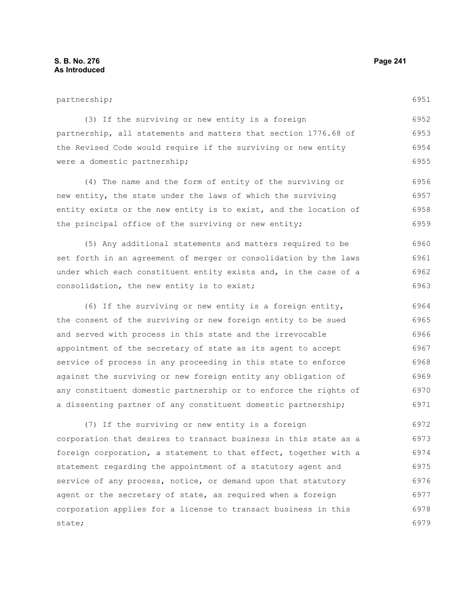## partnership;

6951

| (3) If the surviving or new entity is a foreign                 | 6952 |
|-----------------------------------------------------------------|------|
| partnership, all statements and matters that section 1776.68 of | 6953 |
| the Revised Code would require if the surviving or new entity   | 6954 |
| were a domestic partnership;                                    | 6955 |

(4) The name and the form of entity of the surviving or new entity, the state under the laws of which the surviving entity exists or the new entity is to exist, and the location of the principal office of the surviving or new entity; 6956 6957 6958 6959

(5) Any additional statements and matters required to be set forth in an agreement of merger or consolidation by the laws under which each constituent entity exists and, in the case of a consolidation, the new entity is to exist; 6960 6961 6962 6963

(6) If the surviving or new entity is a foreign entity, the consent of the surviving or new foreign entity to be sued and served with process in this state and the irrevocable appointment of the secretary of state as its agent to accept service of process in any proceeding in this state to enforce against the surviving or new foreign entity any obligation of any constituent domestic partnership or to enforce the rights of a dissenting partner of any constituent domestic partnership; 6964 6965 6966 6967 6968 6969 6970 6971

(7) If the surviving or new entity is a foreign corporation that desires to transact business in this state as a foreign corporation, a statement to that effect, together with a statement regarding the appointment of a statutory agent and service of any process, notice, or demand upon that statutory agent or the secretary of state, as required when a foreign corporation applies for a license to transact business in this state; 6972 6973 6974 6975 6976 6977 6978 6979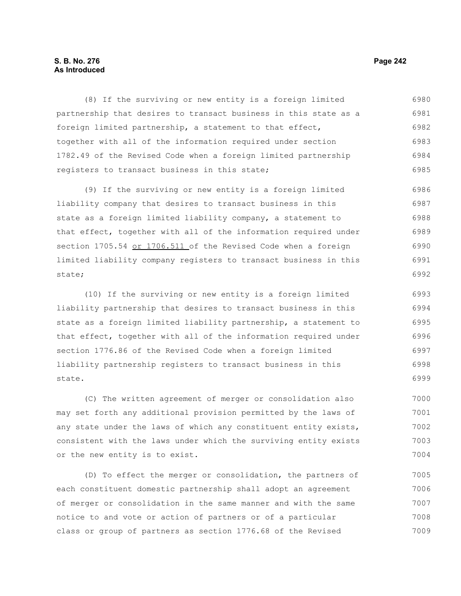## **S. B. No. 276 Page 242 As Introduced**

(8) If the surviving or new entity is a foreign limited partnership that desires to transact business in this state as a foreign limited partnership, a statement to that effect, together with all of the information required under section 1782.49 of the Revised Code when a foreign limited partnership registers to transact business in this state; 6980 6981 6982 6983 6984 6985

(9) If the surviving or new entity is a foreign limited liability company that desires to transact business in this state as a foreign limited liability company, a statement to that effect, together with all of the information required under section 1705.54 or 1706.511 of the Revised Code when a foreign limited liability company registers to transact business in this state; 6986 6987 6988 6989 6990 6991 6992

(10) If the surviving or new entity is a foreign limited liability partnership that desires to transact business in this state as a foreign limited liability partnership, a statement to that effect, together with all of the information required under section 1776.86 of the Revised Code when a foreign limited liability partnership registers to transact business in this state. 6993 6994 6995 6996 6997 6998 6999

(C) The written agreement of merger or consolidation also may set forth any additional provision permitted by the laws of any state under the laws of which any constituent entity exists, consistent with the laws under which the surviving entity exists or the new entity is to exist. 7000 7001 7002 7003 7004

(D) To effect the merger or consolidation, the partners of each constituent domestic partnership shall adopt an agreement of merger or consolidation in the same manner and with the same notice to and vote or action of partners or of a particular class or group of partners as section 1776.68 of the Revised 7005 7006 7007 7008 7009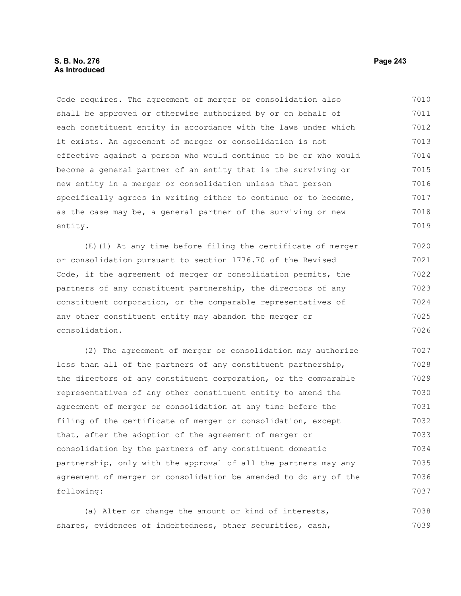Code requires. The agreement of merger or consolidation also shall be approved or otherwise authorized by or on behalf of each constituent entity in accordance with the laws under which it exists. An agreement of merger or consolidation is not effective against a person who would continue to be or who would become a general partner of an entity that is the surviving or new entity in a merger or consolidation unless that person specifically agrees in writing either to continue or to become, as the case may be, a general partner of the surviving or new entity. 7010 7011 7012 7013 7014 7015 7016 7017 7018 7019

(E)(1) At any time before filing the certificate of merger or consolidation pursuant to section 1776.70 of the Revised Code, if the agreement of merger or consolidation permits, the partners of any constituent partnership, the directors of any constituent corporation, or the comparable representatives of any other constituent entity may abandon the merger or consolidation. 7020 7021 7022 7023 7024 7025 7026

(2) The agreement of merger or consolidation may authorize less than all of the partners of any constituent partnership, the directors of any constituent corporation, or the comparable representatives of any other constituent entity to amend the agreement of merger or consolidation at any time before the filing of the certificate of merger or consolidation, except that, after the adoption of the agreement of merger or consolidation by the partners of any constituent domestic partnership, only with the approval of all the partners may any agreement of merger or consolidation be amended to do any of the following: 7027 7028 7029 7030 7031 7032 7033 7034 7035 7036 7037

(a) Alter or change the amount or kind of interests, shares, evidences of indebtedness, other securities, cash, 7038 7039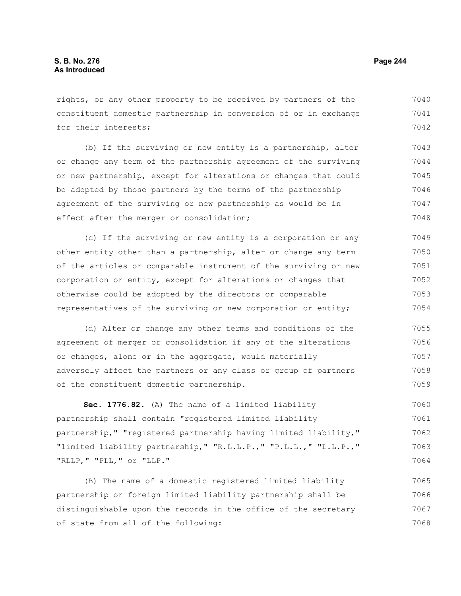rights, or any other property to be received by partners of the constituent domestic partnership in conversion of or in exchange for their interests; 7040 7041 7042

(b) If the surviving or new entity is a partnership, alter or change any term of the partnership agreement of the surviving or new partnership, except for alterations or changes that could be adopted by those partners by the terms of the partnership agreement of the surviving or new partnership as would be in effect after the merger or consolidation; 7043 7044 7045 7046 7047 7048

(c) If the surviving or new entity is a corporation or any other entity other than a partnership, alter or change any term of the articles or comparable instrument of the surviving or new corporation or entity, except for alterations or changes that otherwise could be adopted by the directors or comparable representatives of the surviving or new corporation or entity; 7049 7050 7051 7052 7053 7054

(d) Alter or change any other terms and conditions of the agreement of merger or consolidation if any of the alterations or changes, alone or in the aggregate, would materially adversely affect the partners or any class or group of partners of the constituent domestic partnership. 7055 7056 7057 7058 7059

**Sec. 1776.82.** (A) The name of a limited liability partnership shall contain "registered limited liability partnership," "registered partnership having limited liability," "limited liability partnership," "R.L.L.P.," "P.L.L.," "L.L.P.," "RLLP," "PLL," or "LLP." 7060 7061 7062 7063 7064

(B) The name of a domestic registered limited liability partnership or foreign limited liability partnership shall be distinguishable upon the records in the office of the secretary of state from all of the following: 7065 7066 7067 7068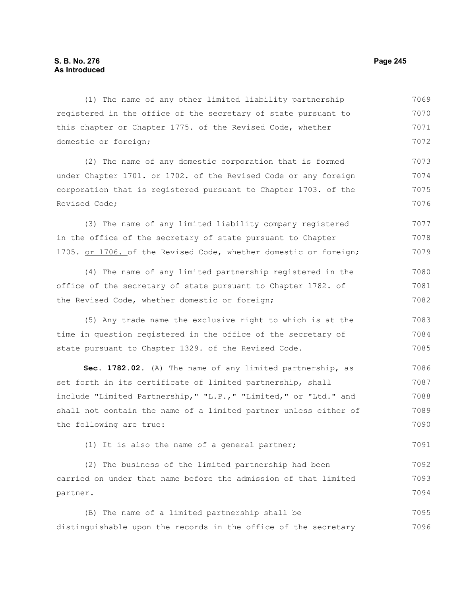| (1) The name of any other limited liability partnership          | 7069 |
|------------------------------------------------------------------|------|
| registered in the office of the secretary of state pursuant to   | 7070 |
| this chapter or Chapter 1775. of the Revised Code, whether       | 7071 |
| domestic or foreign;                                             | 7072 |
| (2) The name of any domestic corporation that is formed          | 7073 |
| under Chapter 1701. or 1702. of the Revised Code or any foreign  | 7074 |
| corporation that is registered pursuant to Chapter 1703. of the  | 7075 |
| Revised Code;                                                    | 7076 |
| (3) The name of any limited liability company registered         | 7077 |
| in the office of the secretary of state pursuant to Chapter      | 7078 |
| 1705. or 1706. of the Revised Code, whether domestic or foreign; | 7079 |
| (4) The name of any limited partnership registered in the        | 7080 |
| office of the secretary of state pursuant to Chapter 1782. of    | 7081 |
| the Revised Code, whether domestic or foreign;                   | 7082 |
| (5) Any trade name the exclusive right to which is at the        | 7083 |
| time in question registered in the office of the secretary of    | 7084 |
| state pursuant to Chapter 1329. of the Revised Code.             | 7085 |
| Sec. 1782.02. (A) The name of any limited partnership, as        | 7086 |
| set forth in its certificate of limited partnership, shall       | 7087 |
| include "Limited Partnership," "L.P.," "Limited," or "Ltd." and  | 7088 |
| shall not contain the name of a limited partner unless either of | 7089 |
| the following are true:                                          | 7090 |
| (1) It is also the name of a general partner;                    | 7091 |
| (2) The business of the limited partnership had been             | 7092 |
| carried on under that name before the admission of that limited  | 7093 |
| partner.                                                         | 7094 |
| (B) The name of a limited partnership shall be                   | 7095 |
| distinguishable upon the records in the office of the secretary  | 7096 |
|                                                                  |      |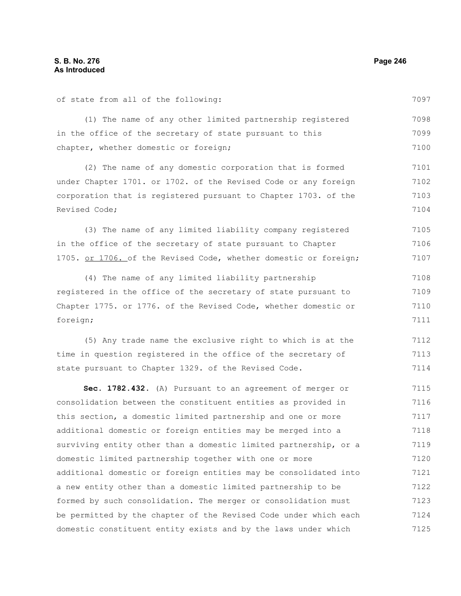of state from all of the following:

(1) The name of any other limited partnership registered 7097 7098

in the office of the secretary of state pursuant to this chapter, whether domestic or foreign; 7099 7100

(2) The name of any domestic corporation that is formed under Chapter 1701. or 1702. of the Revised Code or any foreign corporation that is registered pursuant to Chapter 1703. of the Revised Code; 7101 7102 7103 7104

(3) The name of any limited liability company registered in the office of the secretary of state pursuant to Chapter 1705. or 1706. of the Revised Code, whether domestic or foreign; 7105 7106 7107

(4) The name of any limited liability partnership registered in the office of the secretary of state pursuant to Chapter 1775. or 1776. of the Revised Code, whether domestic or foreign; 7108 7109 7110 7111

(5) Any trade name the exclusive right to which is at the time in question registered in the office of the secretary of state pursuant to Chapter 1329. of the Revised Code. 7112 7113 7114

**Sec. 1782.432.** (A) Pursuant to an agreement of merger or consolidation between the constituent entities as provided in this section, a domestic limited partnership and one or more additional domestic or foreign entities may be merged into a surviving entity other than a domestic limited partnership, or a domestic limited partnership together with one or more additional domestic or foreign entities may be consolidated into a new entity other than a domestic limited partnership to be formed by such consolidation. The merger or consolidation must be permitted by the chapter of the Revised Code under which each domestic constituent entity exists and by the laws under which 7115 7116 7117 7118 7119 7120 7121 7122 7123 7124 7125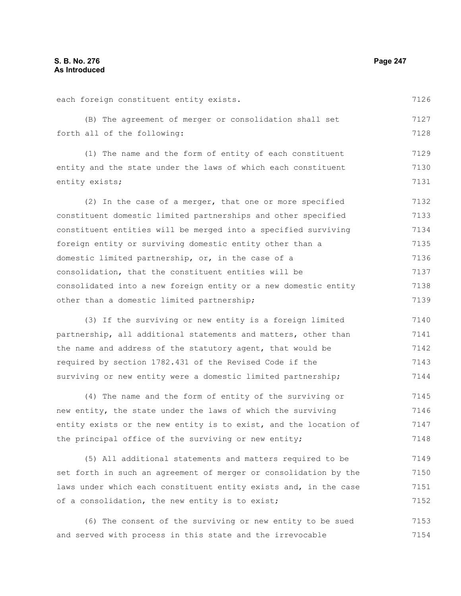each foreign constituent entity exists. (B) The agreement of merger or consolidation shall set forth all of the following: (1) The name and the form of entity of each constituent entity and the state under the laws of which each constituent entity exists; (2) In the case of a merger, that one or more specified constituent domestic limited partnerships and other specified constituent entities will be merged into a specified surviving foreign entity or surviving domestic entity other than a domestic limited partnership, or, in the case of a consolidation, that the constituent entities will be consolidated into a new foreign entity or a new domestic entity other than a domestic limited partnership; (3) If the surviving or new entity is a foreign limited partnership, all additional statements and matters, other than the name and address of the statutory agent, that would be required by section 1782.431 of the Revised Code if the surviving or new entity were a domestic limited partnership; (4) The name and the form of entity of the surviving or 7126 7127 7128 7129 7130 7131 7132 7133 7134 7135 7136 7137 7138 7139 7140 7141 7142 7143 7144 7145

new entity, the state under the laws of which the surviving entity exists or the new entity is to exist, and the location of the principal office of the surviving or new entity; 7146 7147 7148

(5) All additional statements and matters required to be set forth in such an agreement of merger or consolidation by the laws under which each constituent entity exists and, in the case of a consolidation, the new entity is to exist; 7149 7150 7151 7152

(6) The consent of the surviving or new entity to be sued and served with process in this state and the irrevocable 7153 7154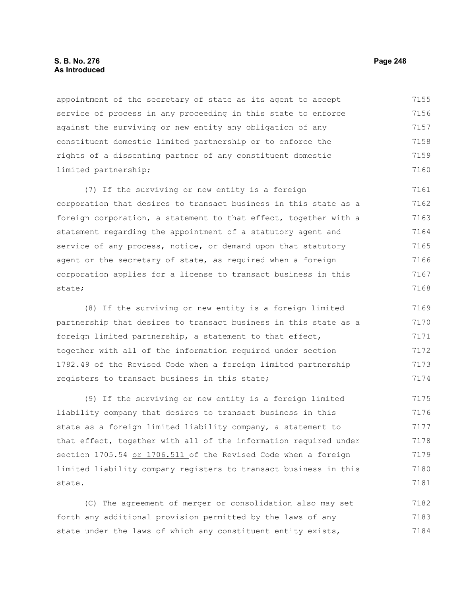## **S. B. No. 276 Page 248 As Introduced**

appointment of the secretary of state as its agent to accept service of process in any proceeding in this state to enforce against the surviving or new entity any obligation of any constituent domestic limited partnership or to enforce the rights of a dissenting partner of any constituent domestic limited partnership; 7155 7156 7157 7158 7159 7160

(7) If the surviving or new entity is a foreign corporation that desires to transact business in this state as a foreign corporation, a statement to that effect, together with a statement regarding the appointment of a statutory agent and service of any process, notice, or demand upon that statutory agent or the secretary of state, as required when a foreign corporation applies for a license to transact business in this state; 7161 7162 7163 7164 7165 7166 7167 7168

(8) If the surviving or new entity is a foreign limited partnership that desires to transact business in this state as a foreign limited partnership, a statement to that effect, together with all of the information required under section 1782.49 of the Revised Code when a foreign limited partnership registers to transact business in this state; 7169 7170 7171 7172 7173 7174

(9) If the surviving or new entity is a foreign limited liability company that desires to transact business in this state as a foreign limited liability company, a statement to that effect, together with all of the information required under section 1705.54 or 1706.511 of the Revised Code when a foreign limited liability company registers to transact business in this state. 7175 7176 7177 7178 7179 7180 7181

(C) The agreement of merger or consolidation also may set forth any additional provision permitted by the laws of any state under the laws of which any constituent entity exists, 7182 7183 7184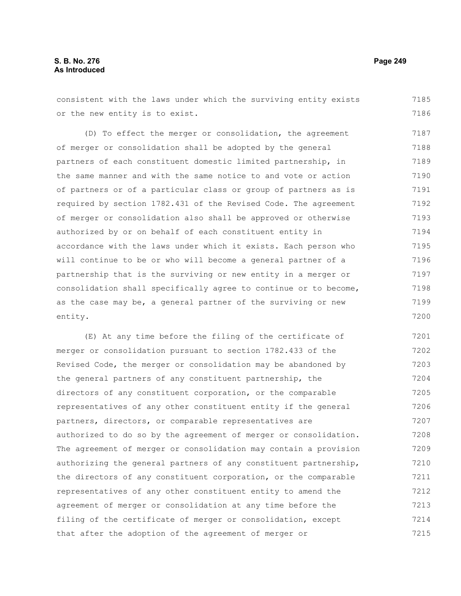## **S. B. No. 276 Page 249 As Introduced**

consistent with the laws under which the surviving entity exists or the new entity is to exist. 7185 7186

(D) To effect the merger or consolidation, the agreement of merger or consolidation shall be adopted by the general partners of each constituent domestic limited partnership, in the same manner and with the same notice to and vote or action of partners or of a particular class or group of partners as is required by section 1782.431 of the Revised Code. The agreement of merger or consolidation also shall be approved or otherwise authorized by or on behalf of each constituent entity in accordance with the laws under which it exists. Each person who will continue to be or who will become a general partner of a partnership that is the surviving or new entity in a merger or consolidation shall specifically agree to continue or to become, as the case may be, a general partner of the surviving or new entity. 7187 7188 7189 7190 7191 7192 7193 7194 7195 7196 7197 7198 7199 7200

(E) At any time before the filing of the certificate of merger or consolidation pursuant to section 1782.433 of the Revised Code, the merger or consolidation may be abandoned by the general partners of any constituent partnership, the directors of any constituent corporation, or the comparable representatives of any other constituent entity if the general partners, directors, or comparable representatives are authorized to do so by the agreement of merger or consolidation. The agreement of merger or consolidation may contain a provision authorizing the general partners of any constituent partnership, the directors of any constituent corporation, or the comparable representatives of any other constituent entity to amend the agreement of merger or consolidation at any time before the filing of the certificate of merger or consolidation, except that after the adoption of the agreement of merger or 7201 7202 7203 7204 7205 7206 7207 7208 7209 7210 7211 7212 7213 7214 7215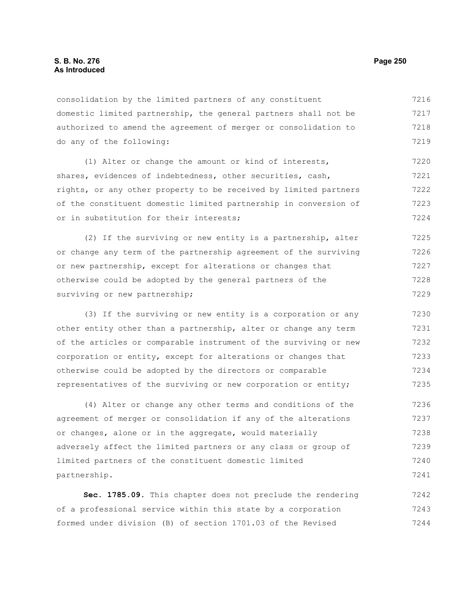consolidation by the limited partners of any constituent domestic limited partnership, the general partners shall not be authorized to amend the agreement of merger or consolidation to do any of the following: 7216 7217 7218 7219

(1) Alter or change the amount or kind of interests, shares, evidences of indebtedness, other securities, cash, rights, or any other property to be received by limited partners of the constituent domestic limited partnership in conversion of or in substitution for their interests; 7220 7221 7222 7223 7224

(2) If the surviving or new entity is a partnership, alter or change any term of the partnership agreement of the surviving or new partnership, except for alterations or changes that otherwise could be adopted by the general partners of the surviving or new partnership; 7225 7226 7227 7228 7229

(3) If the surviving or new entity is a corporation or any other entity other than a partnership, alter or change any term of the articles or comparable instrument of the surviving or new corporation or entity, except for alterations or changes that otherwise could be adopted by the directors or comparable representatives of the surviving or new corporation or entity; 7230 7231 7232 7233 7234 7235

(4) Alter or change any other terms and conditions of the agreement of merger or consolidation if any of the alterations or changes, alone or in the aggregate, would materially adversely affect the limited partners or any class or group of limited partners of the constituent domestic limited partnership. 7236 7237 7238 7239 7240 7241

**Sec. 1785.09.** This chapter does not preclude the rendering of a professional service within this state by a corporation formed under division (B) of section 1701.03 of the Revised 7242 7243 7244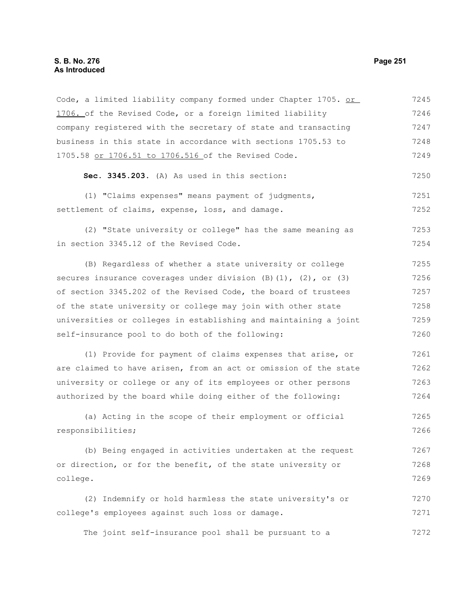## **S. B. No. 276 Page 251 As Introduced**

Code, a limited liability company formed under Chapter 1705. or 1706. of the Revised Code, or a foreign limited liability company registered with the secretary of state and transacting business in this state in accordance with sections 1705.53 to 1705.58 or 1706.51 to 1706.516 of the Revised Code. 7245 7246 7247 7248 7249

**Sec. 3345.203.** (A) As used in this section: 7250

(1) "Claims expenses" means payment of judgments, settlement of claims, expense, loss, and damage. 7251 7252

(2) "State university or college" has the same meaning as in section 3345.12 of the Revised Code. 7253 7254

(B) Regardless of whether a state university or college secures insurance coverages under division  $(B)(1)$ ,  $(2)$ , or  $(3)$ of section 3345.202 of the Revised Code, the board of trustees of the state university or college may join with other state universities or colleges in establishing and maintaining a joint self-insurance pool to do both of the following: 7255 7256 7257 7258 7259 7260

(1) Provide for payment of claims expenses that arise, or are claimed to have arisen, from an act or omission of the state university or college or any of its employees or other persons authorized by the board while doing either of the following: 7261 7262 7263 7264

(a) Acting in the scope of their employment or official responsibilities; 7265 7266

(b) Being engaged in activities undertaken at the request or direction, or for the benefit, of the state university or college. 7267 7268 7269

(2) Indemnify or hold harmless the state university's or college's employees against such loss or damage. 7270 7271

The joint self-insurance pool shall be pursuant to a 7272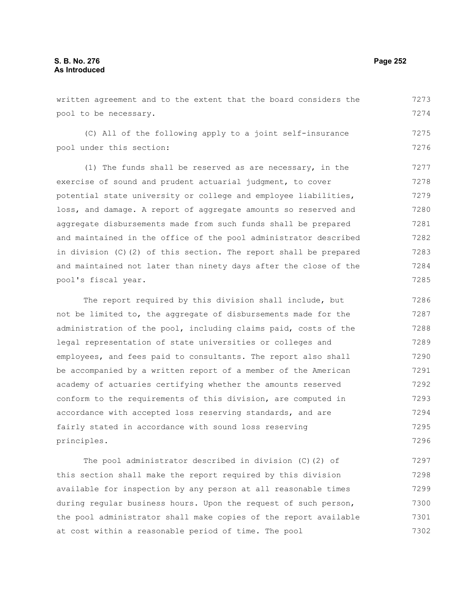written agreement and to the extent that the board considers the pool to be necessary. 7273 7274

(C) All of the following apply to a joint self-insurance pool under this section:

(1) The funds shall be reserved as are necessary, in the exercise of sound and prudent actuarial judgment, to cover potential state university or college and employee liabilities, loss, and damage. A report of aggregate amounts so reserved and aggregate disbursements made from such funds shall be prepared and maintained in the office of the pool administrator described in division (C)(2) of this section. The report shall be prepared and maintained not later than ninety days after the close of the pool's fiscal year. 7277 7278 7279 7280 7281 7282 7283 7284 7285

The report required by this division shall include, but not be limited to, the aggregate of disbursements made for the administration of the pool, including claims paid, costs of the legal representation of state universities or colleges and employees, and fees paid to consultants. The report also shall be accompanied by a written report of a member of the American academy of actuaries certifying whether the amounts reserved conform to the requirements of this division, are computed in accordance with accepted loss reserving standards, and are fairly stated in accordance with sound loss reserving principles. 7286 7287 7288 7289 7290 7291 7292 7293 7294 7295 7296

The pool administrator described in division (C)(2) of this section shall make the report required by this division available for inspection by any person at all reasonable times during regular business hours. Upon the request of such person, the pool administrator shall make copies of the report available at cost within a reasonable period of time. The pool 7297 7298 7299 7300 7301 7302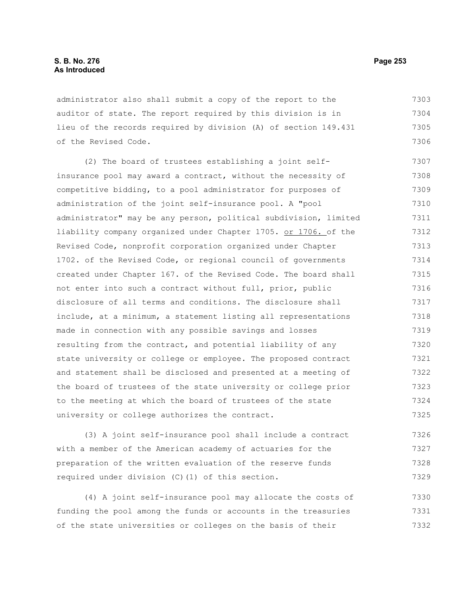administrator also shall submit a copy of the report to the auditor of state. The report required by this division is in lieu of the records required by division (A) of section 149.431 of the Revised Code. 7303 7304 7305 7306

(2) The board of trustees establishing a joint selfinsurance pool may award a contract, without the necessity of competitive bidding, to a pool administrator for purposes of administration of the joint self-insurance pool. A "pool administrator" may be any person, political subdivision, limited liability company organized under Chapter 1705. or 1706. of the Revised Code, nonprofit corporation organized under Chapter 1702. of the Revised Code, or regional council of governments created under Chapter 167. of the Revised Code. The board shall not enter into such a contract without full, prior, public disclosure of all terms and conditions. The disclosure shall include, at a minimum, a statement listing all representations made in connection with any possible savings and losses resulting from the contract, and potential liability of any state university or college or employee. The proposed contract and statement shall be disclosed and presented at a meeting of the board of trustees of the state university or college prior to the meeting at which the board of trustees of the state university or college authorizes the contract. 7307 7308 7309 7310 7311 7312 7313 7314 7315 7316 7317 7318 7319 7320 7321 7322 7323 7324 7325

(3) A joint self-insurance pool shall include a contract with a member of the American academy of actuaries for the preparation of the written evaluation of the reserve funds required under division (C)(1) of this section. 7326 7327 7328 7329

(4) A joint self-insurance pool may allocate the costs of funding the pool among the funds or accounts in the treasuries of the state universities or colleges on the basis of their 7330 7331 7332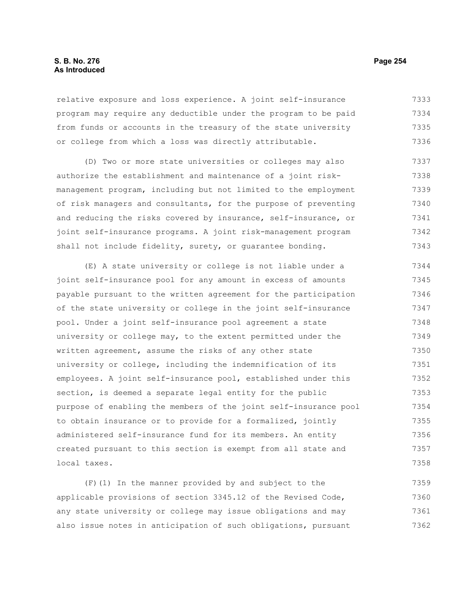## **S. B. No. 276 Page 254 As Introduced**

relative exposure and loss experience. A joint self-insurance program may require any deductible under the program to be paid from funds or accounts in the treasury of the state university or college from which a loss was directly attributable. 7333 7334 7335 7336

(D) Two or more state universities or colleges may also authorize the establishment and maintenance of a joint riskmanagement program, including but not limited to the employment of risk managers and consultants, for the purpose of preventing and reducing the risks covered by insurance, self-insurance, or joint self-insurance programs. A joint risk-management program shall not include fidelity, surety, or guarantee bonding. 7337 7338 7339 7340 7341 7342 7343

(E) A state university or college is not liable under a joint self-insurance pool for any amount in excess of amounts payable pursuant to the written agreement for the participation of the state university or college in the joint self-insurance pool. Under a joint self-insurance pool agreement a state university or college may, to the extent permitted under the written agreement, assume the risks of any other state university or college, including the indemnification of its employees. A joint self-insurance pool, established under this section, is deemed a separate legal entity for the public purpose of enabling the members of the joint self-insurance pool to obtain insurance or to provide for a formalized, jointly administered self-insurance fund for its members. An entity created pursuant to this section is exempt from all state and local taxes. 7344 7345 7346 7347 7348 7349 7350 7351 7352 7353 7354 7355 7356 7357 7358

(F)(1) In the manner provided by and subject to the applicable provisions of section 3345.12 of the Revised Code, any state university or college may issue obligations and may also issue notes in anticipation of such obligations, pursuant 7359 7360 7361 7362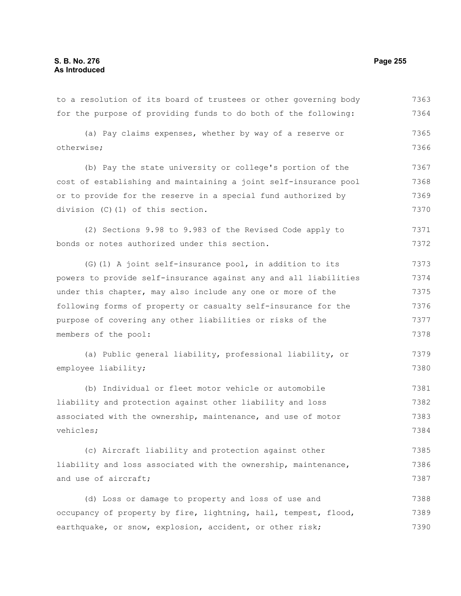to a resolution of its board of trustees or other governing body for the purpose of providing funds to do both of the following: (a) Pay claims expenses, whether by way of a reserve or otherwise; (b) Pay the state university or college's portion of the cost of establishing and maintaining a joint self-insurance pool or to provide for the reserve in a special fund authorized by division (C)(1) of this section. (2) Sections 9.98 to 9.983 of the Revised Code apply to bonds or notes authorized under this section. (G)(1) A joint self-insurance pool, in addition to its powers to provide self-insurance against any and all liabilities under this chapter, may also include any one or more of the following forms of property or casualty self-insurance for the purpose of covering any other liabilities or risks of the members of the pool: (a) Public general liability, professional liability, or employee liability; (b) Individual or fleet motor vehicle or automobile liability and protection against other liability and loss associated with the ownership, maintenance, and use of motor vehicles; (c) Aircraft liability and protection against other liability and loss associated with the ownership, maintenance, and use of aircraft; (d) Loss or damage to property and loss of use and occupancy of property by fire, lightning, hail, tempest, flood, earthquake, or snow, explosion, accident, or other risk; 7363 7364 7365 7366 7367 7368 7369 7370 7371 7372 7373 7374 7375 7376 7377 7378 7379 7380 7381 7382 7383 7384 7385 7386 7387 7388 7389 7390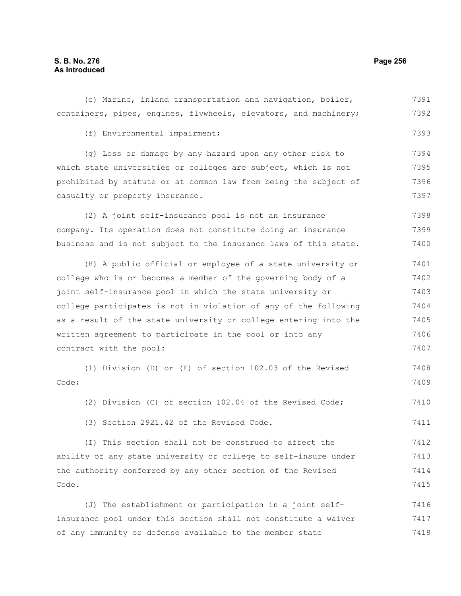# **S. B. No. 276 Page 256 As Introduced**

| (e) Marine, inland transportation and navigation, boiler,        | 7391 |
|------------------------------------------------------------------|------|
| containers, pipes, engines, flywheels, elevators, and machinery; | 7392 |
| (f) Environmental impairment;                                    | 7393 |
| (g) Loss or damage by any hazard upon any other risk to          | 7394 |
| which state universities or colleges are subject, which is not   | 7395 |
| prohibited by statute or at common law from being the subject of | 7396 |
| casualty or property insurance.                                  | 7397 |
| (2) A joint self-insurance pool is not an insurance              | 7398 |
| company. Its operation does not constitute doing an insurance    | 7399 |
| business and is not subject to the insurance laws of this state. | 7400 |
| (H) A public official or employee of a state university or       | 7401 |
| college who is or becomes a member of the governing body of a    | 7402 |
| joint self-insurance pool in which the state university or       | 7403 |
| college participates is not in violation of any of the following | 7404 |
| as a result of the state university or college entering into the | 7405 |
| written agreement to participate in the pool or into any         | 7406 |
| contract with the pool:                                          | 7407 |
| (1) Division (D) or (E) of section 102.03 of the Revised         | 7408 |
| Code;                                                            | 7409 |
| (2) Division (C) of section 102.04 of the Revised Code;          | 7410 |
| (3) Section 2921.42 of the Revised Code.                         | 7411 |
| (I) This section shall not be construed to affect the            | 7412 |
| ability of any state university or college to self-insure under  | 7413 |
| the authority conferred by any other section of the Revised      | 7414 |
| Code.                                                            | 7415 |
| (J) The establishment or participation in a joint self-          | 7416 |
| insurance pool under this section shall not constitute a waiver  | 7417 |
| of any immunity or defense available to the member state         | 7418 |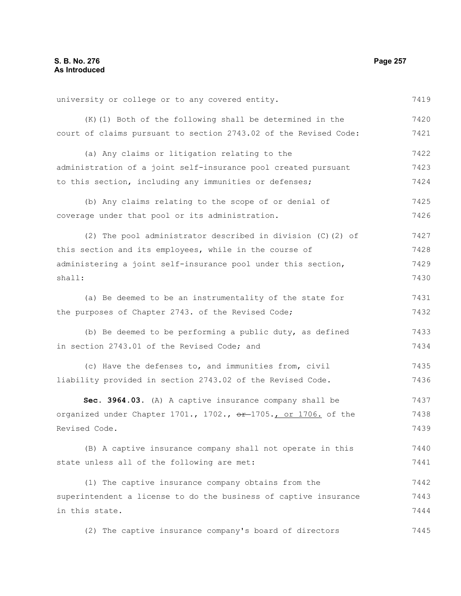university or college or to any covered entity. (K)(1) Both of the following shall be determined in the court of claims pursuant to section 2743.02 of the Revised Code: (a) Any claims or litigation relating to the administration of a joint self-insurance pool created pursuant to this section, including any immunities or defenses; (b) Any claims relating to the scope of or denial of coverage under that pool or its administration. (2) The pool administrator described in division (C)(2) of this section and its employees, while in the course of administering a joint self-insurance pool under this section, shall: (a) Be deemed to be an instrumentality of the state for the purposes of Chapter 2743. of the Revised Code; (b) Be deemed to be performing a public duty, as defined in section 2743.01 of the Revised Code; and (c) Have the defenses to, and immunities from, civil liability provided in section 2743.02 of the Revised Code. **Sec. 3964.03.** (A) A captive insurance company shall be organized under Chapter  $1701.$ ,  $1702.$ ,  $e^{r}-1705.$ , or  $1706.$  of the Revised Code. (B) A captive insurance company shall not operate in this state unless all of the following are met: (1) The captive insurance company obtains from the superintendent a license to do the business of captive insurance in this state. (2) The captive insurance company's board of directors 7419 7420 7421 7422 7423 7424 7425 7426 7427 7428 7429 7430 7431 7432 7433 7434 7435 7436 7437 7438 7439 7440 7441 7442 7443 7444 7445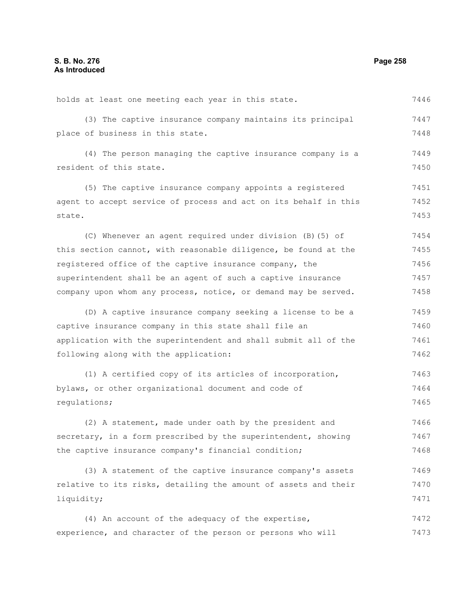| holds at least one meeting each year in this state.              | 7446 |
|------------------------------------------------------------------|------|
| (3) The captive insurance company maintains its principal        | 7447 |
| place of business in this state.                                 | 7448 |
| (4) The person managing the captive insurance company is a       | 7449 |
| resident of this state.                                          | 7450 |
| (5) The captive insurance company appoints a registered          | 7451 |
| agent to accept service of process and act on its behalf in this | 7452 |
| state.                                                           | 7453 |
| (C) Whenever an agent required under division (B) (5) of         | 7454 |
| this section cannot, with reasonable diligence, be found at the  | 7455 |
| registered office of the captive insurance company, the          | 7456 |
| superintendent shall be an agent of such a captive insurance     | 7457 |
| company upon whom any process, notice, or demand may be served.  | 7458 |
| (D) A captive insurance company seeking a license to be a        | 7459 |
| captive insurance company in this state shall file an            | 7460 |
| application with the superintendent and shall submit all of the  | 7461 |
| following along with the application:                            | 7462 |
| (1) A certified copy of its articles of incorporation,           | 7463 |
| bylaws, or other organizational document and code of             | 7464 |
| requlations;                                                     | 7465 |
| (2) A statement, made under oath by the president and            | 7466 |
| secretary, in a form prescribed by the superintendent, showing   | 7467 |
| the captive insurance company's financial condition;             | 7468 |
| (3) A statement of the captive insurance company's assets        | 7469 |
| relative to its risks, detailing the amount of assets and their  | 7470 |
| liquidity;                                                       | 7471 |
| (4) An account of the adequacy of the expertise,                 | 7472 |
| experience, and character of the person or persons who will      | 7473 |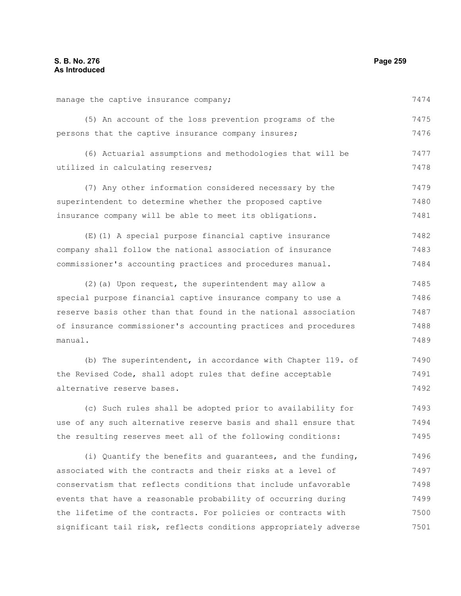7500 7501

| manage the captive insurance company;                           | 7474 |
|-----------------------------------------------------------------|------|
| (5) An account of the loss prevention programs of the           | 7475 |
| persons that the captive insurance company insures;             | 7476 |
| (6) Actuarial assumptions and methodologies that will be        | 7477 |
| utilized in calculating reserves;                               | 7478 |
| (7) Any other information considered necessary by the           | 7479 |
| superintendent to determine whether the proposed captive        | 7480 |
| insurance company will be able to meet its obligations.         | 7481 |
| (E) (1) A special purpose financial captive insurance           | 7482 |
| company shall follow the national association of insurance      | 7483 |
| commissioner's accounting practices and procedures manual.      | 7484 |
| (2) (a) Upon request, the superintendent may allow a            | 7485 |
| special purpose financial captive insurance company to use a    | 7486 |
| reserve basis other than that found in the national association | 7487 |
| of insurance commissioner's accounting practices and procedures | 7488 |
| manual.                                                         | 7489 |
| (b) The superintendent, in accordance with Chapter 119. of      | 7490 |
| the Revised Code, shall adopt rules that define acceptable      | 7491 |
| alternative reserve bases.                                      | 7492 |
| (c) Such rules shall be adopted prior to availability for       | 7493 |
| use of any such alternative reserve basis and shall ensure that | 7494 |
| the resulting reserves meet all of the following conditions:    | 7495 |
| (i) Quantify the benefits and quarantees, and the funding,      | 7496 |
| associated with the contracts and their risks at a level of     | 7497 |
| conservatism that reflects conditions that include unfavorable  | 7498 |
| events that have a reasonable probability of occurring during   | 7499 |

the lifetime of the contracts. For policies or contracts with

significant tail risk, reflects conditions appropriately adverse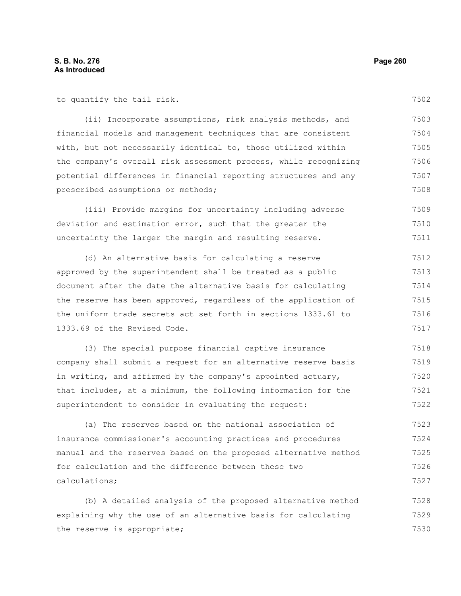to quantify the tail risk.

(ii) Incorporate assumptions, risk analysis methods, and financial models and management techniques that are consistent with, but not necessarily identical to, those utilized within the company's overall risk assessment process, while recognizing potential differences in financial reporting structures and any 7503 7504 7505 7506 7507

prescribed assumptions or methods;

(iii) Provide margins for uncertainty including adverse deviation and estimation error, such that the greater the uncertainty the larger the margin and resulting reserve. 7509 7510 7511

(d) An alternative basis for calculating a reserve approved by the superintendent shall be treated as a public document after the date the alternative basis for calculating the reserve has been approved, regardless of the application of the uniform trade secrets act set forth in sections 1333.61 to 1333.69 of the Revised Code. 7512 7513 7514 7515 7516 7517

(3) The special purpose financial captive insurance company shall submit a request for an alternative reserve basis in writing, and affirmed by the company's appointed actuary, that includes, at a minimum, the following information for the superintendent to consider in evaluating the request: 7518 7519 7520 7521 7522

(a) The reserves based on the national association of insurance commissioner's accounting practices and procedures manual and the reserves based on the proposed alternative method for calculation and the difference between these two calculations; 7523 7524 7525 7526 7527

(b) A detailed analysis of the proposed alternative method explaining why the use of an alternative basis for calculating the reserve is appropriate; 7528 7529 7530

7508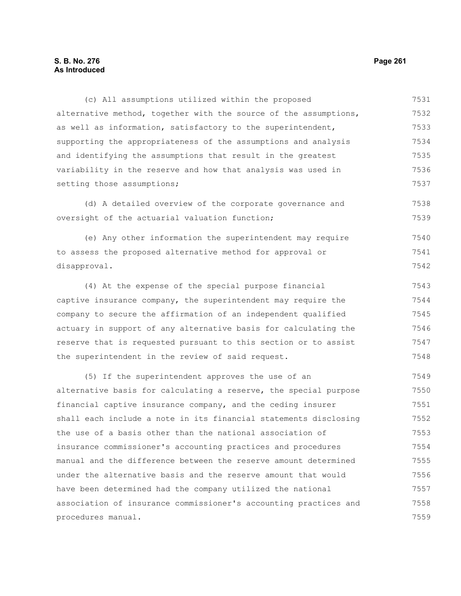(c) All assumptions utilized within the proposed alternative method, together with the source of the assumptions, as well as information, satisfactory to the superintendent, supporting the appropriateness of the assumptions and analysis and identifying the assumptions that result in the greatest variability in the reserve and how that analysis was used in setting those assumptions; 7531 7532 7533 7534 7535 7536 7537

(d) A detailed overview of the corporate governance and oversight of the actuarial valuation function; 7538 7539

(e) Any other information the superintendent may require to assess the proposed alternative method for approval or disapproval. 7540 7541 7542

(4) At the expense of the special purpose financial captive insurance company, the superintendent may require the company to secure the affirmation of an independent qualified actuary in support of any alternative basis for calculating the reserve that is requested pursuant to this section or to assist the superintendent in the review of said request. 7543 7544 7545 7546 7547 7548

(5) If the superintendent approves the use of an alternative basis for calculating a reserve, the special purpose financial captive insurance company, and the ceding insurer shall each include a note in its financial statements disclosing the use of a basis other than the national association of insurance commissioner's accounting practices and procedures manual and the difference between the reserve amount determined under the alternative basis and the reserve amount that would have been determined had the company utilized the national association of insurance commissioner's accounting practices and procedures manual. 7549 7550 7551 7552 7553 7554 7555 7556 7557 7558 7559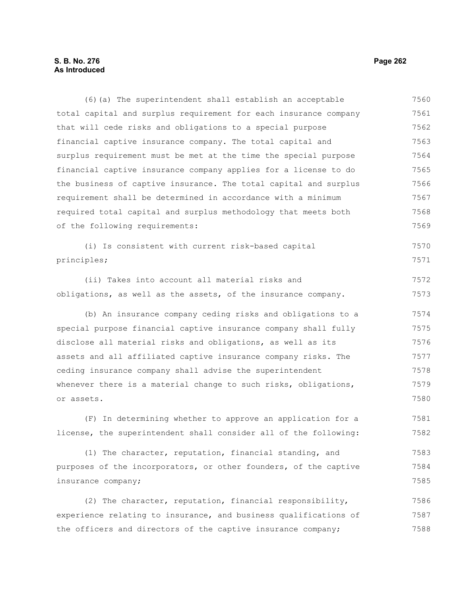## **S. B. No. 276 Page 262 As Introduced**

(6)(a) The superintendent shall establish an acceptable total capital and surplus requirement for each insurance company that will cede risks and obligations to a special purpose financial captive insurance company. The total capital and surplus requirement must be met at the time the special purpose financial captive insurance company applies for a license to do the business of captive insurance. The total capital and surplus requirement shall be determined in accordance with a minimum required total capital and surplus methodology that meets both of the following requirements: (i) Is consistent with current risk-based capital principles; (ii) Takes into account all material risks and obligations, as well as the assets, of the insurance company. (b) An insurance company ceding risks and obligations to a special purpose financial captive insurance company shall fully disclose all material risks and obligations, as well as its assets and all affiliated captive insurance company risks. The ceding insurance company shall advise the superintendent whenever there is a material change to such risks, obligations, or assets. (F) In determining whether to approve an application for a license, the superintendent shall consider all of the following: (1) The character, reputation, financial standing, and purposes of the incorporators, or other founders, of the captive insurance company; 7560 7561 7562 7563 7564 7565 7566 7567 7568 7569 7570 7571 7572 7573 7574 7575 7576 7577 7578 7579 7580 7581 7582 7583 7584 7585

(2) The character, reputation, financial responsibility, experience relating to insurance, and business qualifications of the officers and directors of the captive insurance company; 7586 7587 7588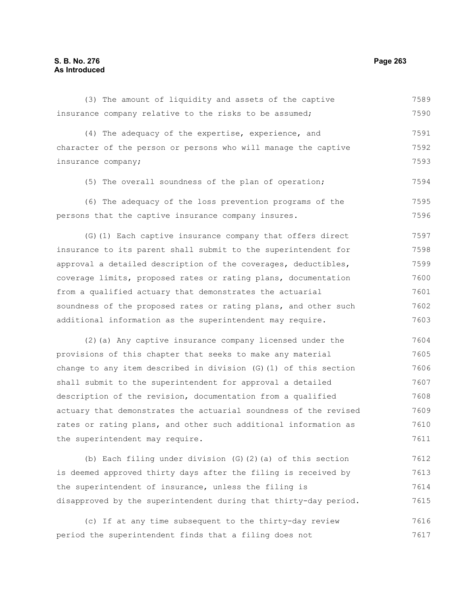#### (3) The amount of liquidity and assets of the captive insurance company relative to the risks to be assumed; (4) The adequacy of the expertise, experience, and character of the person or persons who will manage the captive insurance company; (5) The overall soundness of the plan of operation; (6) The adequacy of the loss prevention programs of the persons that the captive insurance company insures. (G)(1) Each captive insurance company that offers direct insurance to its parent shall submit to the superintendent for approval a detailed description of the coverages, deductibles, coverage limits, proposed rates or rating plans, documentation from a qualified actuary that demonstrates the actuarial soundness of the proposed rates or rating plans, and other such additional information as the superintendent may require. (2)(a) Any captive insurance company licensed under the provisions of this chapter that seeks to make any material change to any item described in division (G)(1) of this section shall submit to the superintendent for approval a detailed 7589 7590 7591 7592 7593 7594 7595 7596 7597 7598 7599 7600 7601 7602 7603 7604 7605 7606 7607

description of the revision, documentation from a qualified actuary that demonstrates the actuarial soundness of the revised rates or rating plans, and other such additional information as the superintendent may require. 7608 7609 7610 7611

(b) Each filing under division (G)(2)(a) of this section is deemed approved thirty days after the filing is received by the superintendent of insurance, unless the filing is disapproved by the superintendent during that thirty-day period. 7612 7613 7614 7615

(c) If at any time subsequent to the thirty-day review period the superintendent finds that a filing does not 7616 7617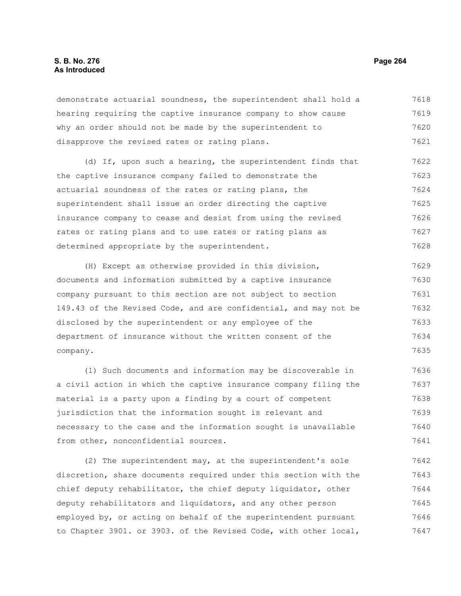#### **S. B. No. 276 Page 264 As Introduced**

demonstrate actuarial soundness, the superintendent shall hold a hearing requiring the captive insurance company to show cause why an order should not be made by the superintendent to disapprove the revised rates or rating plans. 7618 7619 7620 7621

(d) If, upon such a hearing, the superintendent finds that the captive insurance company failed to demonstrate the actuarial soundness of the rates or rating plans, the superintendent shall issue an order directing the captive insurance company to cease and desist from using the revised rates or rating plans and to use rates or rating plans as determined appropriate by the superintendent. 7622 7623 7624 7625 7626 7627 7628

(H) Except as otherwise provided in this division, documents and information submitted by a captive insurance company pursuant to this section are not subject to section 149.43 of the Revised Code, and are confidential, and may not be disclosed by the superintendent or any employee of the department of insurance without the written consent of the company. 7629 7630 7631 7632 7633 7634 7635

(1) Such documents and information may be discoverable in a civil action in which the captive insurance company filing the material is a party upon a finding by a court of competent jurisdiction that the information sought is relevant and necessary to the case and the information sought is unavailable from other, nonconfidential sources. 7636 7637 7638 7639 7640 7641

(2) The superintendent may, at the superintendent's sole discretion, share documents required under this section with the chief deputy rehabilitator, the chief deputy liquidator, other deputy rehabilitators and liquidators, and any other person employed by, or acting on behalf of the superintendent pursuant to Chapter 3901. or 3903. of the Revised Code, with other local, 7642 7643 7644 7645 7646 7647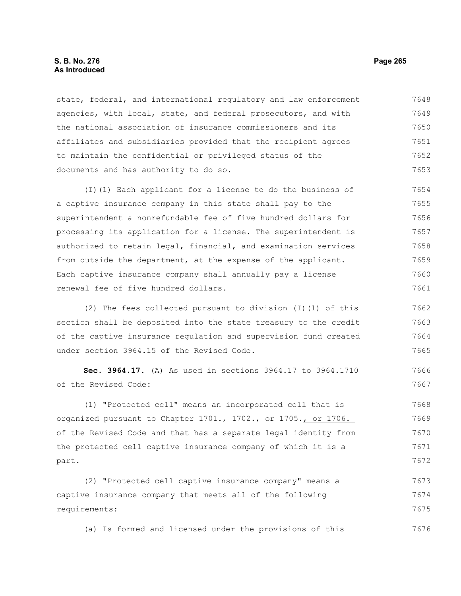#### **S. B. No. 276 Page 265 As Introduced**

state, federal, and international regulatory and law enforcement agencies, with local, state, and federal prosecutors, and with the national association of insurance commissioners and its affiliates and subsidiaries provided that the recipient agrees to maintain the confidential or privileged status of the documents and has authority to do so. 7648 7649 7650 7651 7652 7653

(I)(1) Each applicant for a license to do the business of a captive insurance company in this state shall pay to the superintendent a nonrefundable fee of five hundred dollars for processing its application for a license. The superintendent is authorized to retain legal, financial, and examination services from outside the department, at the expense of the applicant. Each captive insurance company shall annually pay a license renewal fee of five hundred dollars. 7654 7655 7656 7657 7658 7659 7660 7661

(2) The fees collected pursuant to division (I)(1) of this section shall be deposited into the state treasury to the credit of the captive insurance regulation and supervision fund created under section 3964.15 of the Revised Code. 7662 7663 7664 7665

**Sec. 3964.17.** (A) As used in sections 3964.17 to 3964.1710 of the Revised Code:

(1) "Protected cell" means an incorporated cell that is organized pursuant to Chapter  $1701.$ ,  $1702.$ ,  $e^{2}$ -1705., or  $1706.$ of the Revised Code and that has a separate legal identity from the protected cell captive insurance company of which it is a part. 7668 7669 7670 7671 7672

(2) "Protected cell captive insurance company" means a captive insurance company that meets all of the following requirements: 7673 7674 7675

(a) Is formed and licensed under the provisions of this 7676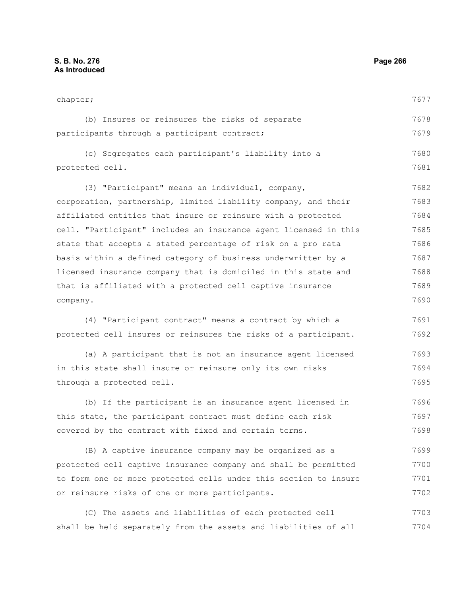chapter; (b) Insures or reinsures the risks of separate participants through a participant contract; (c) Segregates each participant's liability into a protected cell. (3) "Participant" means an individual, company, corporation, partnership, limited liability company, and their affiliated entities that insure or reinsure with a protected cell. "Participant" includes an insurance agent licensed in this state that accepts a stated percentage of risk on a pro rata basis within a defined category of business underwritten by a licensed insurance company that is domiciled in this state and that is affiliated with a protected cell captive insurance company. (4) "Participant contract" means a contract by which a protected cell insures or reinsures the risks of a participant. (a) A participant that is not an insurance agent licensed in this state shall insure or reinsure only its own risks through a protected cell. (b) If the participant is an insurance agent licensed in this state, the participant contract must define each risk 7677 7678 7679 7680 7681 7682 7683 7684 7685 7686 7687 7688 7689 7690 7691 7692 7693 7694 7695 7696 7697

covered by the contract with fixed and certain terms. 7698

(B) A captive insurance company may be organized as a protected cell captive insurance company and shall be permitted to form one or more protected cells under this section to insure or reinsure risks of one or more participants. 7699 7700 7701 7702

(C) The assets and liabilities of each protected cell shall be held separately from the assets and liabilities of all 7703 7704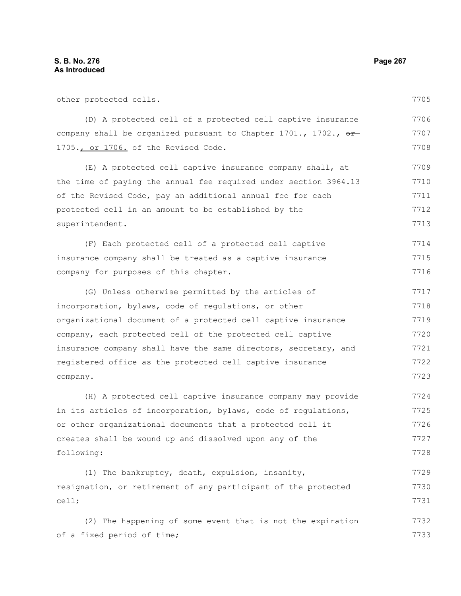cell;

other protected cells. (D) A protected cell of a protected cell captive insurance company shall be organized pursuant to Chapter 1701., 1702.,  $\Theta$ -1705., or 1706. of the Revised Code. (E) A protected cell captive insurance company shall, at the time of paying the annual fee required under section 3964.13 of the Revised Code, pay an additional annual fee for each protected cell in an amount to be established by the superintendent. (F) Each protected cell of a protected cell captive insurance company shall be treated as a captive insurance company for purposes of this chapter. (G) Unless otherwise permitted by the articles of incorporation, bylaws, code of regulations, or other organizational document of a protected cell captive insurance company, each protected cell of the protected cell captive insurance company shall have the same directors, secretary, and registered office as the protected cell captive insurance company. (H) A protected cell captive insurance company may provide in its articles of incorporation, bylaws, code of regulations, or other organizational documents that a protected cell it creates shall be wound up and dissolved upon any of the following: (1) The bankruptcy, death, expulsion, insanity, resignation, or retirement of any participant of the protected 7705 7706 7707 7708 7709 7710 7711 7712 7713 7714 7715 7716 7717 7718 7719 7720 7721 7722 7723 7724 7725 7726 7727 7728 7729 7730

(2) The happening of some event that is not the expiration of a fixed period of time; 7732 7733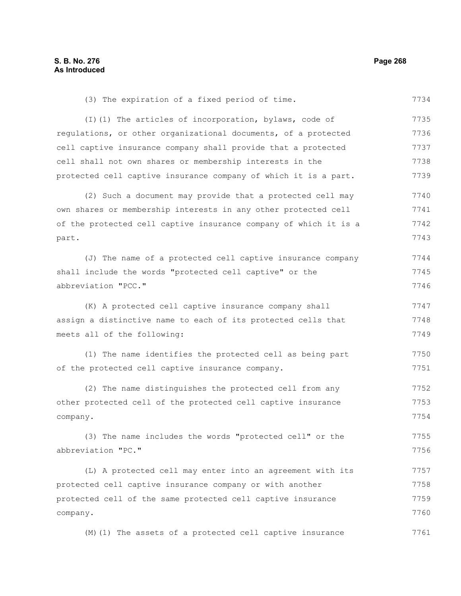(3) The expiration of a fixed period of time. 7734

(I)(1) The articles of incorporation, bylaws, code of regulations, or other organizational documents, of a protected cell captive insurance company shall provide that a protected cell shall not own shares or membership interests in the protected cell captive insurance company of which it is a part. 7735 7736 7737 7738 7739

(2) Such a document may provide that a protected cell may own shares or membership interests in any other protected cell of the protected cell captive insurance company of which it is a part. 7740 7741 7742 7743

(J) The name of a protected cell captive insurance company shall include the words "protected cell captive" or the abbreviation "PCC." 7744 7745 7746

(K) A protected cell captive insurance company shall assign a distinctive name to each of its protected cells that meets all of the following: 7747 7748 7749

(1) The name identifies the protected cell as being part of the protected cell captive insurance company. 7750 7751

(2) The name distinguishes the protected cell from any other protected cell of the protected cell captive insurance company. 7752 7753 7754

(3) The name includes the words "protected cell" or the abbreviation "PC." 7755 7756

(L) A protected cell may enter into an agreement with its protected cell captive insurance company or with another protected cell of the same protected cell captive insurance company. 7757 7758 7759 7760

(M)(1) The assets of a protected cell captive insurance 7761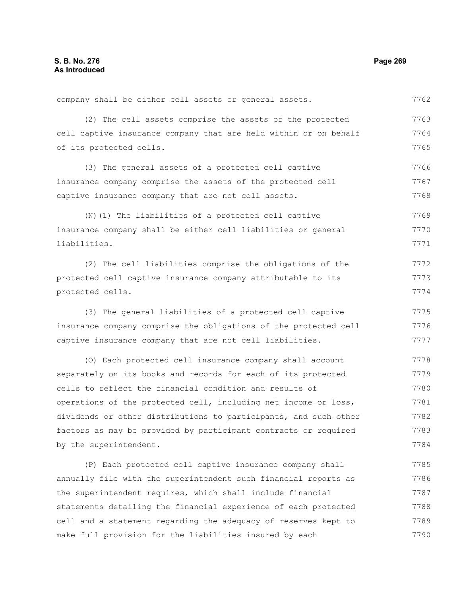company shall be either cell assets or general assets. 7762

(2) The cell assets comprise the assets of the protected cell captive insurance company that are held within or on behalf of its protected cells. 7763 7764 7765

(3) The general assets of a protected cell captive insurance company comprise the assets of the protected cell captive insurance company that are not cell assets. 7766 7767 7768

(N)(1) The liabilities of a protected cell captive insurance company shall be either cell liabilities or general liabilities. 7769 7770 7771

(2) The cell liabilities comprise the obligations of the protected cell captive insurance company attributable to its protected cells. 7772 7773 7774

(3) The general liabilities of a protected cell captive insurance company comprise the obligations of the protected cell captive insurance company that are not cell liabilities. 7775 7776 7777

(O) Each protected cell insurance company shall account separately on its books and records for each of its protected cells to reflect the financial condition and results of operations of the protected cell, including net income or loss, dividends or other distributions to participants, and such other factors as may be provided by participant contracts or required by the superintendent. 7778 7779 7780 7781 7782 7783 7784

(P) Each protected cell captive insurance company shall annually file with the superintendent such financial reports as the superintendent requires, which shall include financial statements detailing the financial experience of each protected cell and a statement regarding the adequacy of reserves kept to make full provision for the liabilities insured by each 7785 7786 7787 7788 7789 7790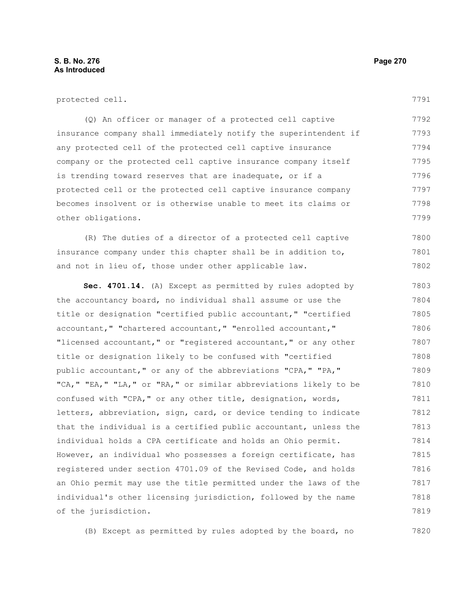| protected cell. |  |
|-----------------|--|
|-----------------|--|

(Q) An officer or manager of a protected cell captive insurance company shall immediately notify the superintendent if any protected cell of the protected cell captive insurance company or the protected cell captive insurance company itself is trending toward reserves that are inadequate, or if a protected cell or the protected cell captive insurance company becomes insolvent or is otherwise unable to meet its claims or other obligations. 7792 7793 7794 7795 7796 7797 7798 7799

(R) The duties of a director of a protected cell captive insurance company under this chapter shall be in addition to, and not in lieu of, those under other applicable law. 7800 7801 7802

**Sec. 4701.14.** (A) Except as permitted by rules adopted by the accountancy board, no individual shall assume or use the title or designation "certified public accountant," "certified accountant," "chartered accountant," "enrolled accountant," "licensed accountant," or "registered accountant," or any other title or designation likely to be confused with "certified public accountant," or any of the abbreviations "CPA," "PA," "CA," "EA," "LA," or "RA," or similar abbreviations likely to be confused with "CPA," or any other title, designation, words, letters, abbreviation, sign, card, or device tending to indicate that the individual is a certified public accountant, unless the individual holds a CPA certificate and holds an Ohio permit. However, an individual who possesses a foreign certificate, has registered under section 4701.09 of the Revised Code, and holds an Ohio permit may use the title permitted under the laws of the individual's other licensing jurisdiction, followed by the name of the jurisdiction. 7803 7804 7805 7806 7807 7808 7809 7810 7811 7812 7813 7814 7815 7816 7817 7818 7819

(B) Except as permitted by rules adopted by the board, no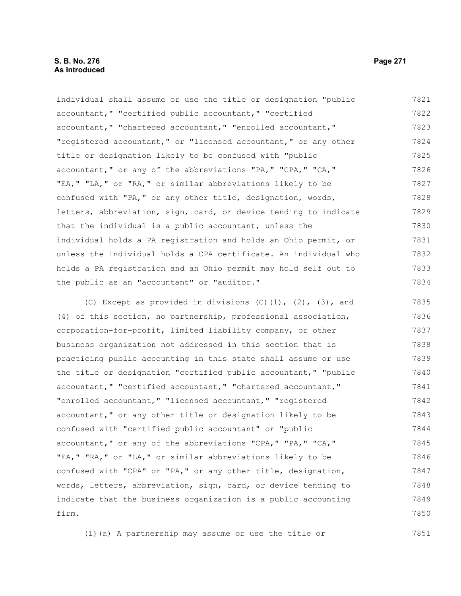individual shall assume or use the title or designation "public accountant," "certified public accountant," "certified accountant," "chartered accountant," "enrolled accountant," "registered accountant," or "licensed accountant," or any other title or designation likely to be confused with "public accountant," or any of the abbreviations "PA," "CPA," "CA," "EA," "LA," or "RA," or similar abbreviations likely to be confused with "PA," or any other title, designation, words, letters, abbreviation, sign, card, or device tending to indicate that the individual is a public accountant, unless the individual holds a PA registration and holds an Ohio permit, or unless the individual holds a CPA certificate. An individual who holds a PA registration and an Ohio permit may hold self out to the public as an "accountant" or "auditor." 7821 7822 7823 7824 7825 7826 7827 7828 7829 7830 7831 7832 7833 7834

(C) Except as provided in divisions  $(C)$   $(1)$ ,  $(2)$ ,  $(3)$ , and (4) of this section, no partnership, professional association, corporation-for-profit, limited liability company, or other business organization not addressed in this section that is practicing public accounting in this state shall assume or use the title or designation "certified public accountant," "public accountant," "certified accountant," "chartered accountant," "enrolled accountant," "licensed accountant," "registered accountant," or any other title or designation likely to be confused with "certified public accountant" or "public accountant," or any of the abbreviations "CPA," "PA," "CA," "EA," "RA," or "LA," or similar abbreviations likely to be confused with "CPA" or "PA," or any other title, designation, words, letters, abbreviation, sign, card, or device tending to indicate that the business organization is a public accounting firm. 7835 7836 7837 7838 7839 7840 7841 7842 7843 7844 7845 7846 7847 7848 7849 7850

(1)(a) A partnership may assume or use the title or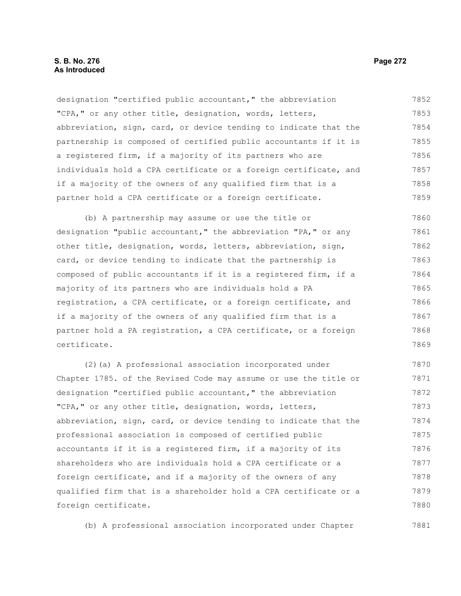#### **S. B. No. 276 Page 272 As Introduced**

designation "certified public accountant," the abbreviation "CPA," or any other title, designation, words, letters, abbreviation, sign, card, or device tending to indicate that the partnership is composed of certified public accountants if it is a registered firm, if a majority of its partners who are individuals hold a CPA certificate or a foreign certificate, and if a majority of the owners of any qualified firm that is a partner hold a CPA certificate or a foreign certificate. 7852 7853 7854 7855 7856 7857 7858 7859

(b) A partnership may assume or use the title or designation "public accountant," the abbreviation "PA," or any other title, designation, words, letters, abbreviation, sign, card, or device tending to indicate that the partnership is composed of public accountants if it is a registered firm, if a majority of its partners who are individuals hold a PA registration, a CPA certificate, or a foreign certificate, and if a majority of the owners of any qualified firm that is a partner hold a PA registration, a CPA certificate, or a foreign certificate. 7860 7861 7862 7863 7864 7865 7866 7867 7868 7869

(2)(a) A professional association incorporated under Chapter 1785. of the Revised Code may assume or use the title or designation "certified public accountant," the abbreviation "CPA," or any other title, designation, words, letters, abbreviation, sign, card, or device tending to indicate that the professional association is composed of certified public accountants if it is a registered firm, if a majority of its shareholders who are individuals hold a CPA certificate or a foreign certificate, and if a majority of the owners of any qualified firm that is a shareholder hold a CPA certificate or a foreign certificate. 7870 7871 7872 7873 7874 7875 7876 7877 7878 7879 7880

(b) A professional association incorporated under Chapter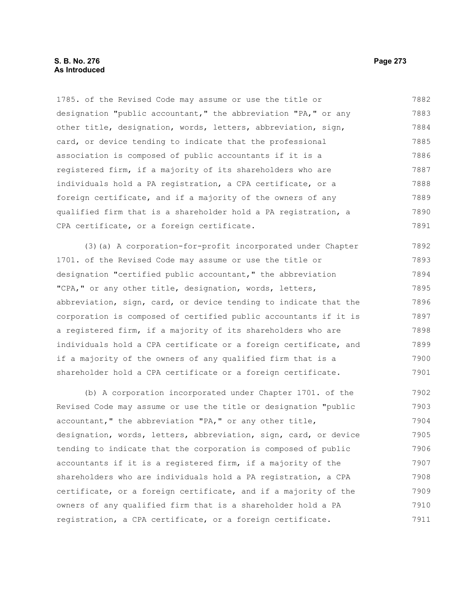## **S. B. No. 276 Page 273 As Introduced**

1785. of the Revised Code may assume or use the title or designation "public accountant," the abbreviation "PA," or any other title, designation, words, letters, abbreviation, sign, card, or device tending to indicate that the professional association is composed of public accountants if it is a registered firm, if a majority of its shareholders who are individuals hold a PA registration, a CPA certificate, or a foreign certificate, and if a majority of the owners of any qualified firm that is a shareholder hold a PA registration, a CPA certificate, or a foreign certificate. 7882 7883 7884 7885 7886 7887 7888 7889 7890 7891

(3)(a) A corporation-for-profit incorporated under Chapter 1701. of the Revised Code may assume or use the title or designation "certified public accountant," the abbreviation "CPA," or any other title, designation, words, letters, abbreviation, sign, card, or device tending to indicate that the corporation is composed of certified public accountants if it is a registered firm, if a majority of its shareholders who are individuals hold a CPA certificate or a foreign certificate, and if a majority of the owners of any qualified firm that is a shareholder hold a CPA certificate or a foreign certificate. 7892 7893 7894 7895 7896 7897 7898 7899 7900 7901

(b) A corporation incorporated under Chapter 1701. of the Revised Code may assume or use the title or designation "public accountant," the abbreviation "PA," or any other title, designation, words, letters, abbreviation, sign, card, or device tending to indicate that the corporation is composed of public accountants if it is a registered firm, if a majority of the shareholders who are individuals hold a PA registration, a CPA certificate, or a foreign certificate, and if a majority of the owners of any qualified firm that is a shareholder hold a PA registration, a CPA certificate, or a foreign certificate. 7902 7903 7904 7905 7906 7907 7908 7909 7910 7911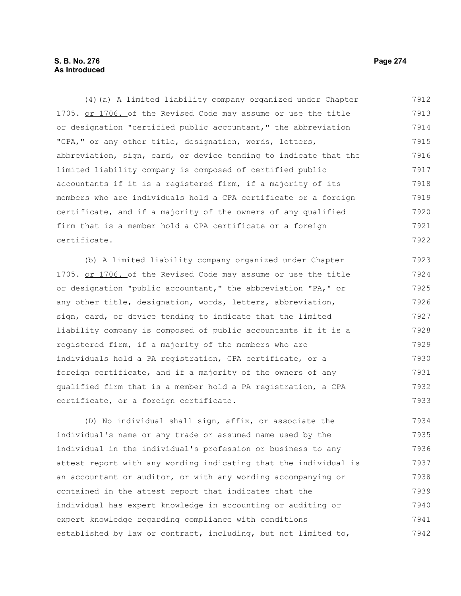## **S. B. No. 276 Page 274 As Introduced**

(4)(a) A limited liability company organized under Chapter 1705. or 1706. of the Revised Code may assume or use the title or designation "certified public accountant," the abbreviation "CPA," or any other title, designation, words, letters, abbreviation, sign, card, or device tending to indicate that the limited liability company is composed of certified public accountants if it is a registered firm, if a majority of its members who are individuals hold a CPA certificate or a foreign certificate, and if a majority of the owners of any qualified firm that is a member hold a CPA certificate or a foreign certificate. 7912 7913 7914 7915 7916 7917 7918 7919 7920 7921 7922

(b) A limited liability company organized under Chapter 1705. or 1706. of the Revised Code may assume or use the title or designation "public accountant," the abbreviation "PA," or any other title, designation, words, letters, abbreviation, sign, card, or device tending to indicate that the limited liability company is composed of public accountants if it is a registered firm, if a majority of the members who are individuals hold a PA registration, CPA certificate, or a foreign certificate, and if a majority of the owners of any qualified firm that is a member hold a PA registration, a CPA certificate, or a foreign certificate. 7923 7924 7925 7926 7927 7928 7929 7930 7931 7932 7933

(D) No individual shall sign, affix, or associate the individual's name or any trade or assumed name used by the individual in the individual's profession or business to any attest report with any wording indicating that the individual is an accountant or auditor, or with any wording accompanying or contained in the attest report that indicates that the individual has expert knowledge in accounting or auditing or expert knowledge regarding compliance with conditions established by law or contract, including, but not limited to, 7934 7935 7936 7937 7938 7939 7940 7941 7942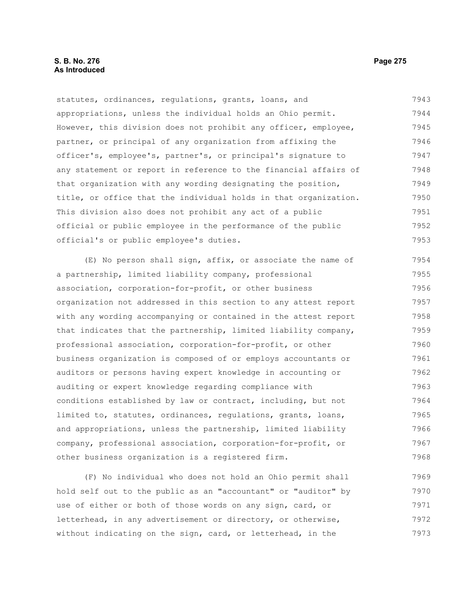## **S. B. No. 276 Page 275 As Introduced**

statutes, ordinances, regulations, grants, loans, and appropriations, unless the individual holds an Ohio permit. However, this division does not prohibit any officer, employee, partner, or principal of any organization from affixing the officer's, employee's, partner's, or principal's signature to any statement or report in reference to the financial affairs of that organization with any wording designating the position, title, or office that the individual holds in that organization. This division also does not prohibit any act of a public official or public employee in the performance of the public official's or public employee's duties. 7943 7944 7945 7946 7947 7948 7949 7950 7951 7952 7953

(E) No person shall sign, affix, or associate the name of a partnership, limited liability company, professional association, corporation-for-profit, or other business organization not addressed in this section to any attest report with any wording accompanying or contained in the attest report that indicates that the partnership, limited liability company, professional association, corporation-for-profit, or other business organization is composed of or employs accountants or auditors or persons having expert knowledge in accounting or auditing or expert knowledge regarding compliance with conditions established by law or contract, including, but not limited to, statutes, ordinances, regulations, grants, loans, and appropriations, unless the partnership, limited liability company, professional association, corporation-for-profit, or other business organization is a registered firm. 7954 7955 7956 7957 7958 7959 7960 7961 7962 7963 7964 7965 7966 7967 7968

(F) No individual who does not hold an Ohio permit shall hold self out to the public as an "accountant" or "auditor" by use of either or both of those words on any sign, card, or letterhead, in any advertisement or directory, or otherwise, without indicating on the sign, card, or letterhead, in the 7969 7970 7971 7972 7973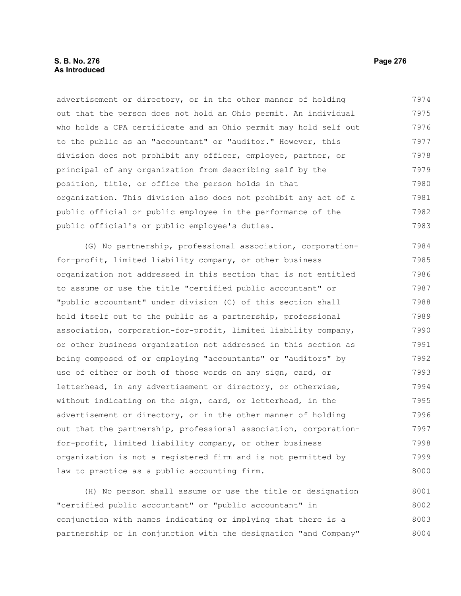advertisement or directory, or in the other manner of holding out that the person does not hold an Ohio permit. An individual who holds a CPA certificate and an Ohio permit may hold self out to the public as an "accountant" or "auditor." However, this division does not prohibit any officer, employee, partner, or principal of any organization from describing self by the position, title, or office the person holds in that organization. This division also does not prohibit any act of a public official or public employee in the performance of the public official's or public employee's duties. 7974 7975 7976 7977 7978 7979 7980 7981 7982 7983

(G) No partnership, professional association, corporationfor-profit, limited liability company, or other business organization not addressed in this section that is not entitled to assume or use the title "certified public accountant" or "public accountant" under division (C) of this section shall hold itself out to the public as a partnership, professional association, corporation-for-profit, limited liability company, or other business organization not addressed in this section as being composed of or employing "accountants" or "auditors" by use of either or both of those words on any sign, card, or letterhead, in any advertisement or directory, or otherwise, without indicating on the sign, card, or letterhead, in the advertisement or directory, or in the other manner of holding out that the partnership, professional association, corporationfor-profit, limited liability company, or other business organization is not a registered firm and is not permitted by law to practice as a public accounting firm. 7984 7985 7986 7987 7988 7989 7990 7991 7992 7993 7994 7995 7996 7997 7998 7999 8000

(H) No person shall assume or use the title or designation "certified public accountant" or "public accountant" in conjunction with names indicating or implying that there is a partnership or in conjunction with the designation "and Company" 8001 8002 8003 8004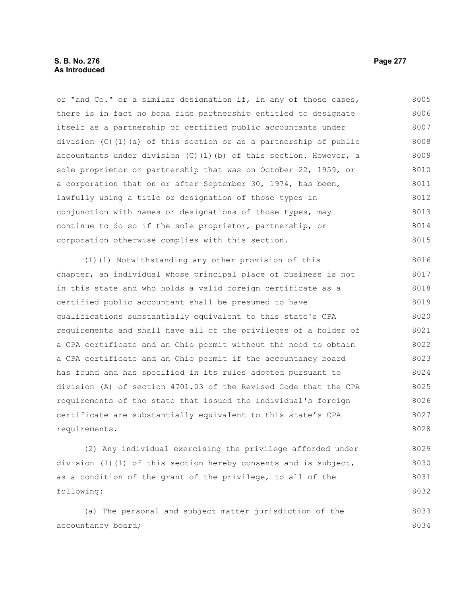or "and Co." or a similar designation if, in any of those cases, there is in fact no bona fide partnership entitled to designate itself as a partnership of certified public accountants under division (C)(1)(a) of this section or as a partnership of public accountants under division  $(C)$  (1)(b) of this section. However, a sole proprietor or partnership that was on October 22, 1959, or a corporation that on or after September 30, 1974, has been, lawfully using a title or designation of those types in conjunction with names or designations of those types, may continue to do so if the sole proprietor, partnership, or corporation otherwise complies with this section. 8005 8006 8007 8008 8009 8010 8011 8012 8013 8014 8015

(I)(1) Notwithstanding any other provision of this chapter, an individual whose principal place of business is not in this state and who holds a valid foreign certificate as a certified public accountant shall be presumed to have qualifications substantially equivalent to this state's CPA requirements and shall have all of the privileges of a holder of a CPA certificate and an Ohio permit without the need to obtain a CPA certificate and an Ohio permit if the accountancy board has found and has specified in its rules adopted pursuant to division (A) of section 4701.03 of the Revised Code that the CPA requirements of the state that issued the individual's foreign certificate are substantially equivalent to this state's CPA requirements. 8016 8017 8018 8019 8020 8021 8022 8023 8024 8025 8026 8027 8028

(2) Any individual exercising the privilege afforded under division (I)(1) of this section hereby consents and is subject, as a condition of the grant of the privilege, to all of the following: 8029 8030 8031 8032

(a) The personal and subject matter jurisdiction of the accountancy board; 8033 8034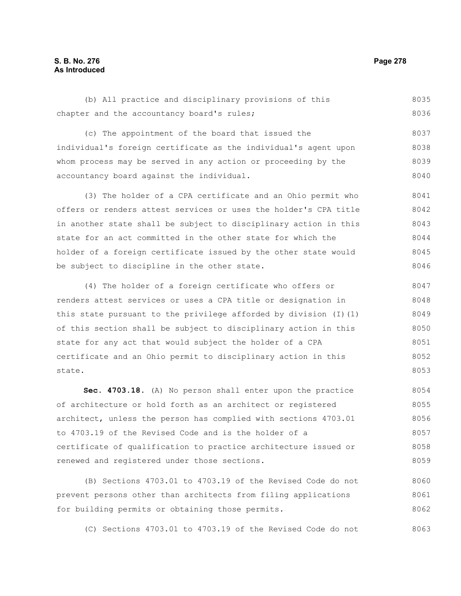## **S. B. No. 276 Page 278 As Introduced**

(b) All practice and disciplinary provisions of this chapter and the accountancy board's rules; 8035 8036

(c) The appointment of the board that issued the individual's foreign certificate as the individual's agent upon whom process may be served in any action or proceeding by the accountancy board against the individual. 8037 8038 8039 8040

(3) The holder of a CPA certificate and an Ohio permit who offers or renders attest services or uses the holder's CPA title in another state shall be subject to disciplinary action in this state for an act committed in the other state for which the holder of a foreign certificate issued by the other state would be subject to discipline in the other state. 8041 8042 8043 8044 8045 8046

(4) The holder of a foreign certificate who offers or renders attest services or uses a CPA title or designation in this state pursuant to the privilege afforded by division (I)(1) of this section shall be subject to disciplinary action in this state for any act that would subject the holder of a CPA certificate and an Ohio permit to disciplinary action in this state. 8047 8048 8049 8050 8051 8052 8053

**Sec. 4703.18.** (A) No person shall enter upon the practice of architecture or hold forth as an architect or registered architect, unless the person has complied with sections 4703.01 to 4703.19 of the Revised Code and is the holder of a certificate of qualification to practice architecture issued or renewed and registered under those sections. 8054 8055 8056 8057 8058 8059

(B) Sections 4703.01 to 4703.19 of the Revised Code do not prevent persons other than architects from filing applications for building permits or obtaining those permits. 8060 8061 8062

(C) Sections 4703.01 to 4703.19 of the Revised Code do not 8063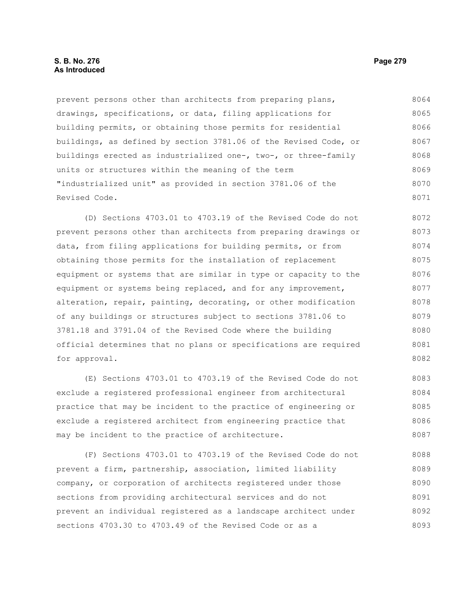### **S. B. No. 276 Page 279 As Introduced**

prevent persons other than architects from preparing plans, drawings, specifications, or data, filing applications for building permits, or obtaining those permits for residential buildings, as defined by section 3781.06 of the Revised Code, or buildings erected as industrialized one-, two-, or three-family units or structures within the meaning of the term "industrialized unit" as provided in section 3781.06 of the Revised Code. 8064 8065 8066 8067 8068 8069 8070 8071

(D) Sections 4703.01 to 4703.19 of the Revised Code do not prevent persons other than architects from preparing drawings or data, from filing applications for building permits, or from obtaining those permits for the installation of replacement equipment or systems that are similar in type or capacity to the equipment or systems being replaced, and for any improvement, alteration, repair, painting, decorating, or other modification of any buildings or structures subject to sections 3781.06 to 3781.18 and 3791.04 of the Revised Code where the building official determines that no plans or specifications are required for approval. 8072 8073 8074 8075 8076 8077 8078 8079 8080 8081 8082

(E) Sections 4703.01 to 4703.19 of the Revised Code do not exclude a registered professional engineer from architectural practice that may be incident to the practice of engineering or exclude a registered architect from engineering practice that may be incident to the practice of architecture. 8083 8084 8085 8086 8087

(F) Sections 4703.01 to 4703.19 of the Revised Code do not prevent a firm, partnership, association, limited liability company, or corporation of architects registered under those sections from providing architectural services and do not prevent an individual registered as a landscape architect under sections 4703.30 to 4703.49 of the Revised Code or as a 8088 8089 8090 8091 8092 8093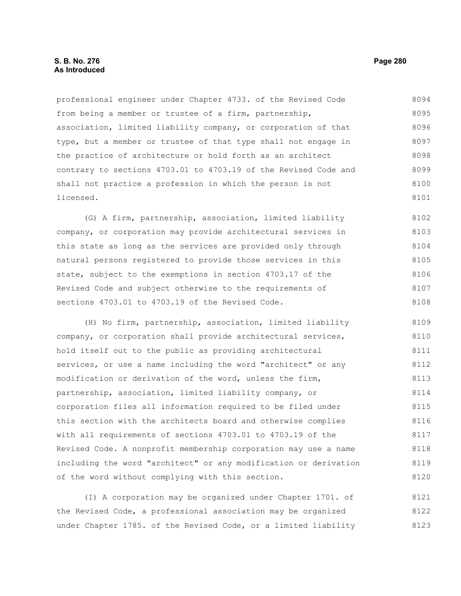#### **S. B. No. 276 Page 280 As Introduced**

professional engineer under Chapter 4733. of the Revised Code from being a member or trustee of a firm, partnership, association, limited liability company, or corporation of that type, but a member or trustee of that type shall not engage in the practice of architecture or hold forth as an architect contrary to sections 4703.01 to 4703.19 of the Revised Code and shall not practice a profession in which the person is not licensed. 8094 8095 8096 8097 8098 8099 8100 8101

(G) A firm, partnership, association, limited liability company, or corporation may provide architectural services in this state as long as the services are provided only through natural persons registered to provide those services in this state, subject to the exemptions in section 4703.17 of the Revised Code and subject otherwise to the requirements of sections 4703.01 to 4703.19 of the Revised Code. 8102 8103 8104 8105 8106 8107 8108

(H) No firm, partnership, association, limited liability company, or corporation shall provide architectural services, hold itself out to the public as providing architectural services, or use a name including the word "architect" or any modification or derivation of the word, unless the firm, partnership, association, limited liability company, or corporation files all information required to be filed under this section with the architects board and otherwise complies with all requirements of sections 4703.01 to 4703.19 of the Revised Code. A nonprofit membership corporation may use a name including the word "architect" or any modification or derivation of the word without complying with this section. 8109 8110 8111 8112 8113 8114 8115 8116 8117 8118 8119 8120

(I) A corporation may be organized under Chapter 1701. of the Revised Code, a professional association may be organized under Chapter 1785. of the Revised Code, or a limited liability 8121 8122 8123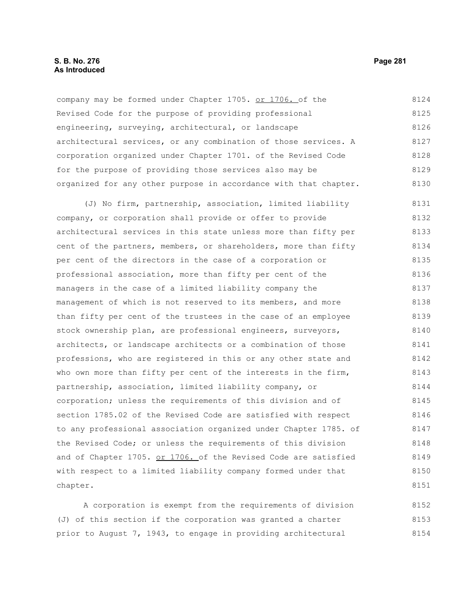#### **S. B. No. 276 Page 281 As Introduced**

company may be formed under Chapter 1705. or 1706. of the Revised Code for the purpose of providing professional engineering, surveying, architectural, or landscape architectural services, or any combination of those services. A corporation organized under Chapter 1701. of the Revised Code for the purpose of providing those services also may be organized for any other purpose in accordance with that chapter. 8124 8125 8126 8127 8128 8129 8130

(J) No firm, partnership, association, limited liability company, or corporation shall provide or offer to provide architectural services in this state unless more than fifty per cent of the partners, members, or shareholders, more than fifty per cent of the directors in the case of a corporation or professional association, more than fifty per cent of the managers in the case of a limited liability company the management of which is not reserved to its members, and more than fifty per cent of the trustees in the case of an employee stock ownership plan, are professional engineers, surveyors, architects, or landscape architects or a combination of those professions, who are registered in this or any other state and who own more than fifty per cent of the interests in the firm, partnership, association, limited liability company, or corporation; unless the requirements of this division and of section 1785.02 of the Revised Code are satisfied with respect to any professional association organized under Chapter 1785. of the Revised Code; or unless the requirements of this division and of Chapter 1705. or 1706. of the Revised Code are satisfied with respect to a limited liability company formed under that chapter. 8131 8132 8133 8134 8135 8136 8137 8138 8139 8140 8141 8142 8143 8144 8145 8146 8147 8148 8149 8150 8151

A corporation is exempt from the requirements of division (J) of this section if the corporation was granted a charter prior to August 7, 1943, to engage in providing architectural 8152 8153 8154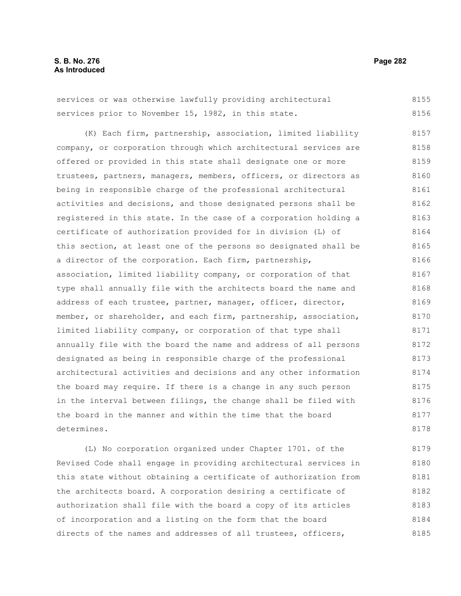services or was otherwise lawfully providing architectural services prior to November 15, 1982, in this state. 8155 8156

(K) Each firm, partnership, association, limited liability company, or corporation through which architectural services are offered or provided in this state shall designate one or more trustees, partners, managers, members, officers, or directors as being in responsible charge of the professional architectural activities and decisions, and those designated persons shall be registered in this state. In the case of a corporation holding a certificate of authorization provided for in division (L) of this section, at least one of the persons so designated shall be a director of the corporation. Each firm, partnership, association, limited liability company, or corporation of that type shall annually file with the architects board the name and address of each trustee, partner, manager, officer, director, member, or shareholder, and each firm, partnership, association, limited liability company, or corporation of that type shall annually file with the board the name and address of all persons designated as being in responsible charge of the professional architectural activities and decisions and any other information the board may require. If there is a change in any such person in the interval between filings, the change shall be filed with the board in the manner and within the time that the board determines. 8157 8158 8159 8160 8161 8162 8163 8164 8165 8166 8167 8168 8169 8170 8171 8172 8173 8174 8175 8176 8177 8178

(L) No corporation organized under Chapter 1701. of the Revised Code shall engage in providing architectural services in this state without obtaining a certificate of authorization from the architects board. A corporation desiring a certificate of authorization shall file with the board a copy of its articles of incorporation and a listing on the form that the board directs of the names and addresses of all trustees, officers, 8179 8180 8181 8182 8183 8184 8185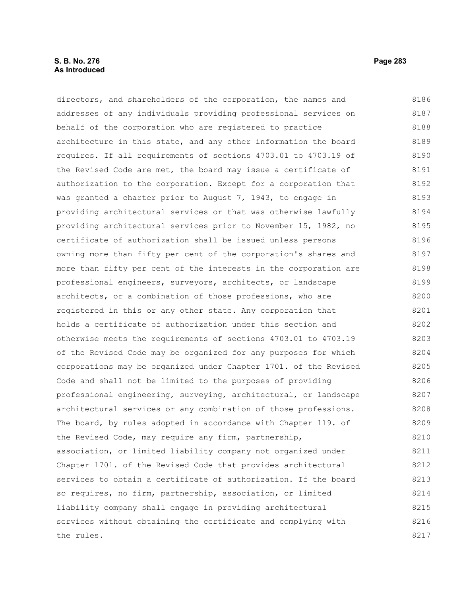### **S. B. No. 276 Page 283 As Introduced**

directors, and shareholders of the corporation, the names and addresses of any individuals providing professional services on behalf of the corporation who are registered to practice architecture in this state, and any other information the board requires. If all requirements of sections 4703.01 to 4703.19 of the Revised Code are met, the board may issue a certificate of authorization to the corporation. Except for a corporation that was granted a charter prior to August 7, 1943, to engage in providing architectural services or that was otherwise lawfully providing architectural services prior to November 15, 1982, no certificate of authorization shall be issued unless persons owning more than fifty per cent of the corporation's shares and more than fifty per cent of the interests in the corporation are professional engineers, surveyors, architects, or landscape architects, or a combination of those professions, who are registered in this or any other state. Any corporation that holds a certificate of authorization under this section and otherwise meets the requirements of sections 4703.01 to 4703.19 of the Revised Code may be organized for any purposes for which corporations may be organized under Chapter 1701. of the Revised Code and shall not be limited to the purposes of providing professional engineering, surveying, architectural, or landscape architectural services or any combination of those professions. The board, by rules adopted in accordance with Chapter 119. of the Revised Code, may require any firm, partnership, association, or limited liability company not organized under Chapter 1701. of the Revised Code that provides architectural services to obtain a certificate of authorization. If the board so requires, no firm, partnership, association, or limited liability company shall engage in providing architectural services without obtaining the certificate and complying with the rules. 8186 8187 8188 8189 8190 8191 8192 8193 8194 8195 8196 8197 8198 8199 8200 8201 8202 8203 8204 8205 8206 8207 8208 8209 8210 8211 8212 8213 8214 8215 8216 8217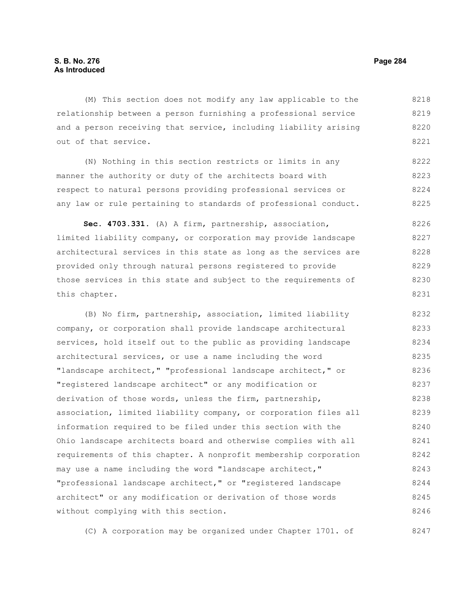(M) This section does not modify any law applicable to the relationship between a person furnishing a professional service and a person receiving that service, including liability arising out of that service. 8218 8219 8220 8221

(N) Nothing in this section restricts or limits in any manner the authority or duty of the architects board with respect to natural persons providing professional services or any law or rule pertaining to standards of professional conduct. 8222 8223 8224 8225

**Sec. 4703.331.** (A) A firm, partnership, association, limited liability company, or corporation may provide landscape architectural services in this state as long as the services are provided only through natural persons registered to provide those services in this state and subject to the requirements of this chapter. 8226 8227 8228 8229 8230 8231

(B) No firm, partnership, association, limited liability company, or corporation shall provide landscape architectural services, hold itself out to the public as providing landscape architectural services, or use a name including the word "landscape architect," "professional landscape architect," or "registered landscape architect" or any modification or derivation of those words, unless the firm, partnership, association, limited liability company, or corporation files all information required to be filed under this section with the Ohio landscape architects board and otherwise complies with all requirements of this chapter. A nonprofit membership corporation may use a name including the word "landscape architect," "professional landscape architect," or "registered landscape architect" or any modification or derivation of those words without complying with this section. 8232 8233 8234 8235 8236 8237 8238 8239 8240 8241 8242 8243 8244 8245 8246

(C) A corporation may be organized under Chapter 1701. of 8247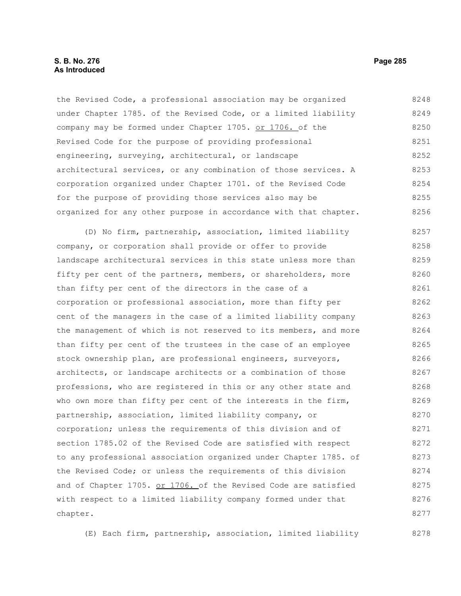#### **S. B. No. 276 Page 285 As Introduced**

the Revised Code, a professional association may be organized under Chapter 1785. of the Revised Code, or a limited liability company may be formed under Chapter 1705. or 1706. of the Revised Code for the purpose of providing professional engineering, surveying, architectural, or landscape architectural services, or any combination of those services. A corporation organized under Chapter 1701. of the Revised Code for the purpose of providing those services also may be organized for any other purpose in accordance with that chapter. 8248 8249 8250 8251 8252 8253 8254 8255 8256

(D) No firm, partnership, association, limited liability company, or corporation shall provide or offer to provide landscape architectural services in this state unless more than fifty per cent of the partners, members, or shareholders, more than fifty per cent of the directors in the case of a corporation or professional association, more than fifty per cent of the managers in the case of a limited liability company the management of which is not reserved to its members, and more than fifty per cent of the trustees in the case of an employee stock ownership plan, are professional engineers, surveyors, architects, or landscape architects or a combination of those professions, who are registered in this or any other state and who own more than fifty per cent of the interests in the firm, partnership, association, limited liability company, or corporation; unless the requirements of this division and of section 1785.02 of the Revised Code are satisfied with respect to any professional association organized under Chapter 1785. of the Revised Code; or unless the requirements of this division and of Chapter 1705. or 1706. of the Revised Code are satisfied with respect to a limited liability company formed under that chapter. 8257 8258 8259 8260 8261 8262 8263 8264 8265 8266 8267 8268 8269 8270 8271 8272 8273 8274 8275 8276 8277

(E) Each firm, partnership, association, limited liability 8278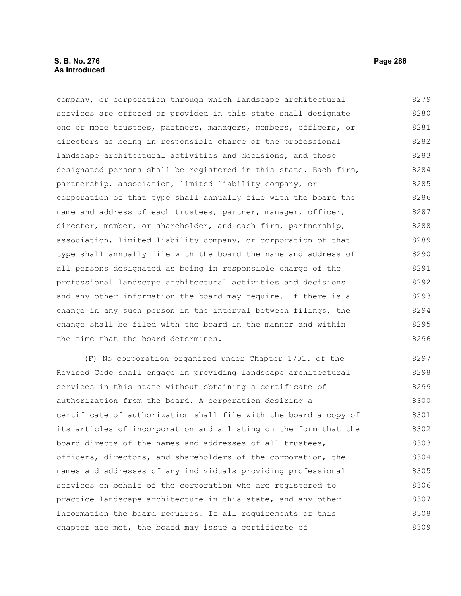company, or corporation through which landscape architectural services are offered or provided in this state shall designate one or more trustees, partners, managers, members, officers, or directors as being in responsible charge of the professional landscape architectural activities and decisions, and those designated persons shall be registered in this state. Each firm, partnership, association, limited liability company, or corporation of that type shall annually file with the board the name and address of each trustees, partner, manager, officer, director, member, or shareholder, and each firm, partnership, association, limited liability company, or corporation of that type shall annually file with the board the name and address of all persons designated as being in responsible charge of the professional landscape architectural activities and decisions and any other information the board may require. If there is a change in any such person in the interval between filings, the change shall be filed with the board in the manner and within the time that the board determines. 8279 8280 8281 8282 8283 8284 8285 8286 8287 8288 8289 8290 8291 8292 8293 8294 8295 8296

(F) No corporation organized under Chapter 1701. of the Revised Code shall engage in providing landscape architectural services in this state without obtaining a certificate of authorization from the board. A corporation desiring a certificate of authorization shall file with the board a copy of its articles of incorporation and a listing on the form that the board directs of the names and addresses of all trustees, officers, directors, and shareholders of the corporation, the names and addresses of any individuals providing professional services on behalf of the corporation who are registered to practice landscape architecture in this state, and any other information the board requires. If all requirements of this chapter are met, the board may issue a certificate of 8297 8298 8299 8300 8301 8302 8303 8304 8305 8306 8307 8308 8309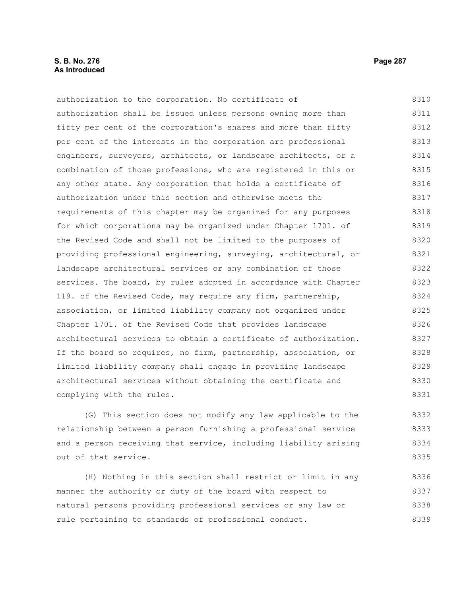### **S. B. No. 276 Page 287 As Introduced**

authorization to the corporation. No certificate of authorization shall be issued unless persons owning more than fifty per cent of the corporation's shares and more than fifty per cent of the interests in the corporation are professional engineers, surveyors, architects, or landscape architects, or a combination of those professions, who are registered in this or any other state. Any corporation that holds a certificate of authorization under this section and otherwise meets the requirements of this chapter may be organized for any purposes for which corporations may be organized under Chapter 1701. of the Revised Code and shall not be limited to the purposes of providing professional engineering, surveying, architectural, or landscape architectural services or any combination of those services. The board, by rules adopted in accordance with Chapter 119. of the Revised Code, may require any firm, partnership, association, or limited liability company not organized under Chapter 1701. of the Revised Code that provides landscape architectural services to obtain a certificate of authorization. If the board so requires, no firm, partnership, association, or limited liability company shall engage in providing landscape architectural services without obtaining the certificate and complying with the rules. 8310 8311 8312 8313 8314 8315 8316 8317 8318 8319 8320 8321 8322 8323 8324 8325 8326 8327 8328 8329 8330 8331

(G) This section does not modify any law applicable to the relationship between a person furnishing a professional service and a person receiving that service, including liability arising out of that service. 8332 8333 8334 8335

(H) Nothing in this section shall restrict or limit in any manner the authority or duty of the board with respect to natural persons providing professional services or any law or rule pertaining to standards of professional conduct. 8336 8337 8338 8339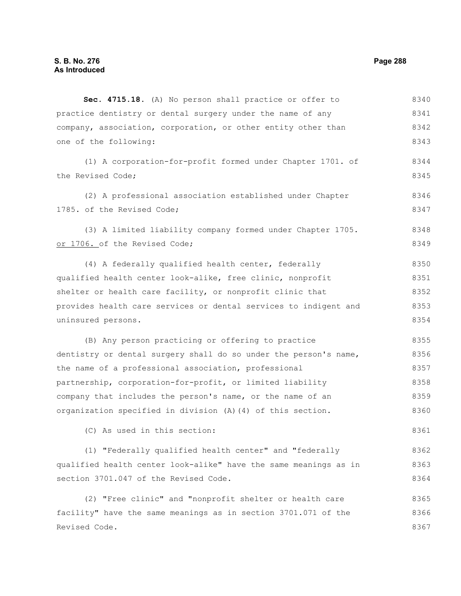**Sec. 4715.18.** (A) No person shall practice or offer to practice dentistry or dental surgery under the name of any company, association, corporation, or other entity other than one of the following: (1) A corporation-for-profit formed under Chapter 1701. of the Revised Code; (2) A professional association established under Chapter 1785. of the Revised Code; (3) A limited liability company formed under Chapter 1705. or 1706. of the Revised Code; (4) A federally qualified health center, federally qualified health center look-alike, free clinic, nonprofit shelter or health care facility, or nonprofit clinic that provides health care services or dental services to indigent and uninsured persons. (B) Any person practicing or offering to practice dentistry or dental surgery shall do so under the person's name, the name of a professional association, professional partnership, corporation-for-profit, or limited liability company that includes the person's name, or the name of an organization specified in division (A)(4) of this section. (C) As used in this section: (1) "Federally qualified health center" and "federally qualified health center look-alike" have the same meanings as in section 3701.047 of the Revised Code. (2) "Free clinic" and "nonprofit shelter or health care facility" have the same meanings as in section 3701.071 of the Revised Code. 8340 8341 8342 8343 8344 8345 8346 8347 8348 8349 8350 8351 8352 8353 8354 8355 8356 8357 8358 8359 8360 8361 8362 8363 8364 8365 8366 8367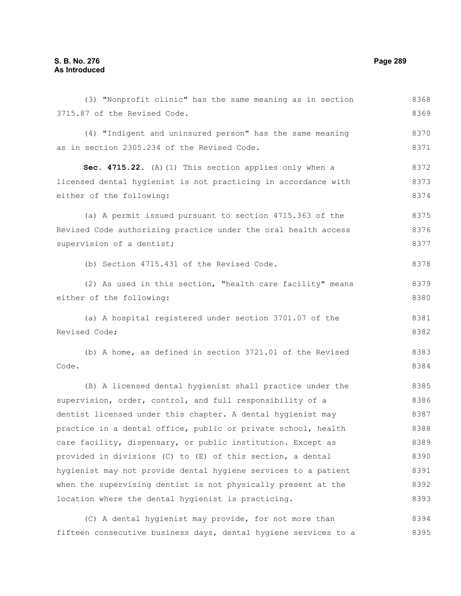| (3) "Nonprofit clinic" has the same meaning as in section      | 8368 |
|----------------------------------------------------------------|------|
| 3715.87 of the Revised Code.                                   | 8369 |
| (4) "Indigent and uninsured person" has the same meaning       | 8370 |
| as in section 2305.234 of the Revised Code.                    | 8371 |
|                                                                |      |
| Sec. 4715.22. (A) (1) This section applies only when a         | 8372 |
| licensed dental hygienist is not practicing in accordance with | 8373 |
| either of the following:                                       | 8374 |
| (a) A permit issued pursuant to section 4715.363 of the        | 8375 |
| Revised Code authorizing practice under the oral health access | 8376 |
| supervision of a dentist;                                      | 8377 |
| (b) Section 4715.431 of the Revised Code.                      | 8378 |
|                                                                |      |
| (2) As used in this section, "health care facility" means      | 8379 |
| either of the following:                                       | 8380 |
| (a) A hospital registered under section 3701.07 of the         | 8381 |
| Revised Code;                                                  | 8382 |
| (b) A home, as defined in section 3721.01 of the Revised       | 8383 |
| Code.                                                          | 8384 |
|                                                                |      |
| (B) A licensed dental hygienist shall practice under the       | 8385 |
| supervision, order, control, and full responsibility of a      | 8386 |
| dentist licensed under this chapter. A dental hygienist may    | 8387 |
| practice in a dental office, public or private school, health  | 8388 |
| care facility, dispensary, or public institution. Except as    | 8389 |
| provided in divisions (C) to (E) of this section, a dental     | 8390 |
| hygienist may not provide dental hygiene services to a patient | 8391 |
| when the supervising dentist is not physically present at the  | 8392 |
| location where the dental hygienist is practicing.             | 8393 |
| (C) A dental hygienist may provide, for not more than          | 8394 |
|                                                                |      |

fifteen consecutive business days, dental hygiene services to a 8395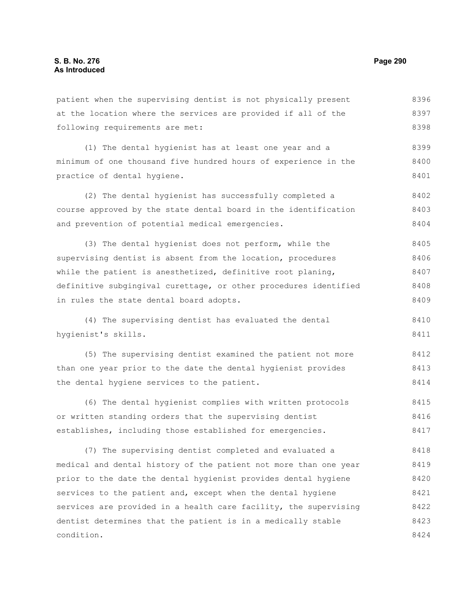patient when the supervising dentist is not physically present at the location where the services are provided if all of the following requirements are met: 8396 8397 8398

(1) The dental hygienist has at least one year and a minimum of one thousand five hundred hours of experience in the practice of dental hygiene. 8399 8400 8401

(2) The dental hygienist has successfully completed a course approved by the state dental board in the identification and prevention of potential medical emergencies. 8402 8403 8404

(3) The dental hygienist does not perform, while the supervising dentist is absent from the location, procedures while the patient is anesthetized, definitive root planing, definitive subgingival curettage, or other procedures identified in rules the state dental board adopts. 8405 8406 8407 8408 8409

(4) The supervising dentist has evaluated the dental hygienist's skills. 8410 8411

(5) The supervising dentist examined the patient not more than one year prior to the date the dental hygienist provides the dental hygiene services to the patient. 8412 8413 8414

(6) The dental hygienist complies with written protocols or written standing orders that the supervising dentist establishes, including those established for emergencies. 8415 8416 8417

(7) The supervising dentist completed and evaluated a medical and dental history of the patient not more than one year prior to the date the dental hygienist provides dental hygiene services to the patient and, except when the dental hygiene services are provided in a health care facility, the supervising dentist determines that the patient is in a medically stable condition. 8418 8419 8420 8421 8422 8423 8424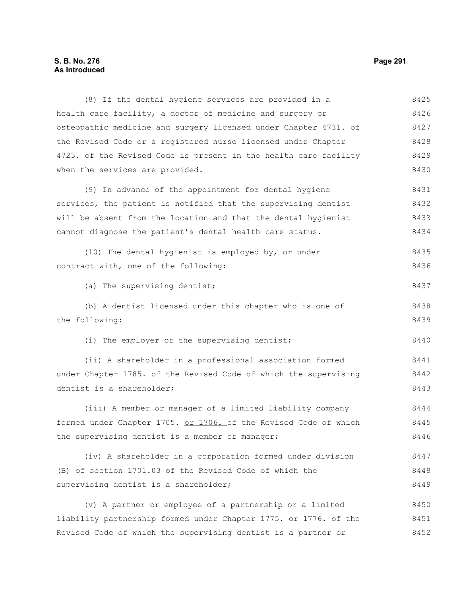### **S. B. No. 276 Page 291 As Introduced**

(8) If the dental hygiene services are provided in a health care facility, a doctor of medicine and surgery or osteopathic medicine and surgery licensed under Chapter 4731. of the Revised Code or a registered nurse licensed under Chapter 4723. of the Revised Code is present in the health care facility when the services are provided. (9) In advance of the appointment for dental hygiene services, the patient is notified that the supervising dentist will be absent from the location and that the dental hygienist cannot diagnose the patient's dental health care status. (10) The dental hygienist is employed by, or under contract with, one of the following: (a) The supervising dentist; (b) A dentist licensed under this chapter who is one of the following: (i) The employer of the supervising dentist; (ii) A shareholder in a professional association formed under Chapter 1785. of the Revised Code of which the supervising dentist is a shareholder; (iii) A member or manager of a limited liability company formed under Chapter 1705. or 1706. of the Revised Code of which the supervising dentist is a member or manager; (iv) A shareholder in a corporation formed under division (B) of section 1701.03 of the Revised Code of which the supervising dentist is a shareholder; 8425 8426 8427 8428 8429 8430 8431 8432 8433 8434 8435 8436 8437 8438 8439 8440 8441 8442 8443 8444 8445 8446 8447 8448 8449

(v) A partner or employee of a partnership or a limited liability partnership formed under Chapter 1775. or 1776. of the Revised Code of which the supervising dentist is a partner or 8450 8451 8452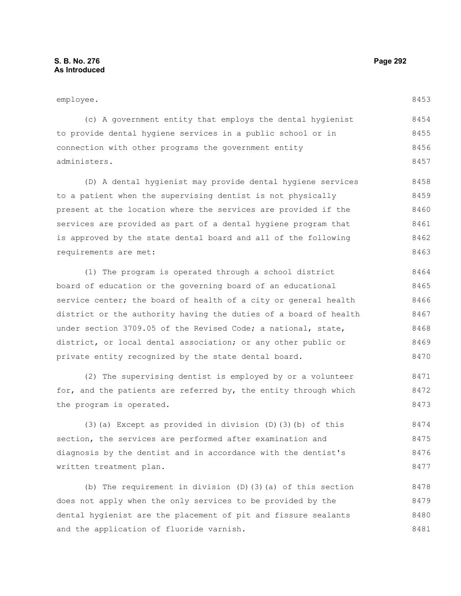#### employee.

8453

| (c) A government entity that employs the dental hygienist   | 8454 |
|-------------------------------------------------------------|------|
| to provide dental hygiene services in a public school or in | 8455 |
| connection with other programs the government entity        | 8456 |
| administers.                                                | 8457 |

(D) A dental hygienist may provide dental hygiene services to a patient when the supervising dentist is not physically present at the location where the services are provided if the services are provided as part of a dental hygiene program that is approved by the state dental board and all of the following requirements are met: 8458 8459 8460 8461 8462 8463

(1) The program is operated through a school district board of education or the governing board of an educational service center; the board of health of a city or general health district or the authority having the duties of a board of health under section 3709.05 of the Revised Code; a national, state, district, or local dental association; or any other public or private entity recognized by the state dental board. 8464 8465 8466 8467 8468 8469 8470

(2) The supervising dentist is employed by or a volunteer for, and the patients are referred by, the entity through which the program is operated. 8471 8472 8473

(3)(a) Except as provided in division (D)(3)(b) of this section, the services are performed after examination and diagnosis by the dentist and in accordance with the dentist's written treatment plan. 8474 8475 8476 8477

(b) The requirement in division (D)(3)(a) of this section does not apply when the only services to be provided by the dental hygienist are the placement of pit and fissure sealants and the application of fluoride varnish. 8478 8479 8480 8481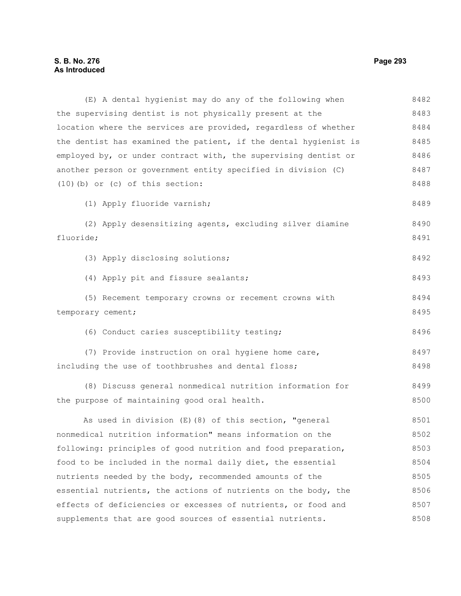## **S. B. No. 276 Page 293 As Introduced**

(E) A dental hygienist may do any of the following when the supervising dentist is not physically present at the location where the services are provided, regardless of whether the dentist has examined the patient, if the dental hygienist is employed by, or under contract with, the supervising dentist or another person or government entity specified in division (C) (10)(b) or (c) of this section: (1) Apply fluoride varnish; (2) Apply desensitizing agents, excluding silver diamine fluoride; (3) Apply disclosing solutions; (4) Apply pit and fissure sealants; (5) Recement temporary crowns or recement crowns with temporary cement; (6) Conduct caries susceptibility testing; (7) Provide instruction on oral hygiene home care, including the use of toothbrushes and dental floss; (8) Discuss general nonmedical nutrition information for the purpose of maintaining good oral health. As used in division (E)(8) of this section, "general nonmedical nutrition information" means information on the following: principles of good nutrition and food preparation, food to be included in the normal daily diet, the essential nutrients needed by the body, recommended amounts of the essential nutrients, the actions of nutrients on the body, the effects of deficiencies or excesses of nutrients, or food and 8482 8483 8484 8485 8486 8487 8488 8489 8490 8491 8492 8493 8494 8495 8496 8497 8498 8499 8500 8501 8502 8503 8504 8505 8506 8507

supplements that are good sources of essential nutrients.

8508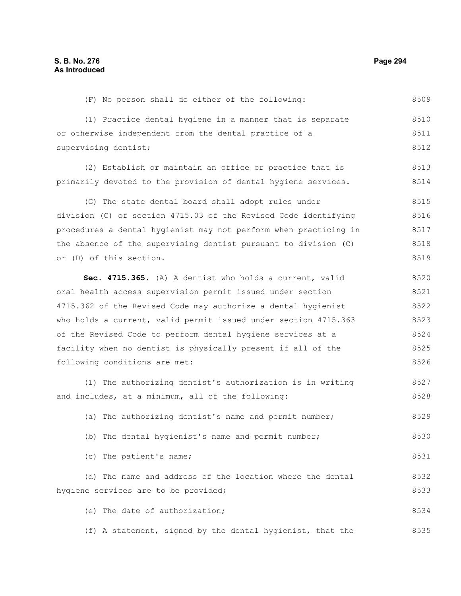supervising dentist;

8509

8510 8511 8512

8513

| primarily devoted to the provision of dental hygiene services.   | 8514 |
|------------------------------------------------------------------|------|
| (G) The state dental board shall adopt rules under               | 8515 |
| division (C) of section 4715.03 of the Revised Code identifying  | 8516 |
| procedures a dental hygienist may not perform when practicing in | 8517 |
| the absence of the supervising dentist pursuant to division (C)  | 8518 |
| or (D) of this section.                                          | 8519 |
| Sec. 4715.365. (A) A dentist who holds a current, valid          | 8520 |
| oral health access supervision permit issued under section       | 8521 |
| 4715.362 of the Revised Code may authorize a dental hygienist    | 8522 |
| who holds a current, valid permit issued under section 4715.363  | 8523 |
| of the Revised Code to perform dental hygiene services at a      | 8524 |
| facility when no dentist is physically present if all of the     | 8525 |
| following conditions are met:                                    | 8526 |
| (1) The authorizing dentist's authorization is in writing        | 8527 |
| and includes, at a minimum, all of the following:                | 8528 |
| (a) The authorizing dentist's name and permit number;            | 8529 |
| (b) The dental hygienist's name and permit number;               | 8530 |
| (c) The patient's name;                                          | 8531 |
| (d) The name and address of the location where the dental        | 8532 |
| hygiene services are to be provided;                             | 8533 |
|                                                                  |      |

(F) No person shall do either of the following:

or otherwise independent from the dental practice of a

(1) Practice dental hygiene in a manner that is separate

(2) Establish or maintain an office or practice that is

(e) The date of authorization; 8534

(f) A statement, signed by the dental hygienist, that the 8535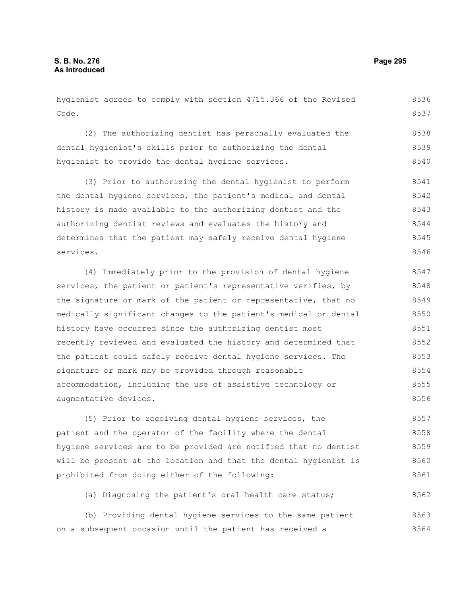hygienist agrees to comply with section 4715.366 of the Revised Code. 8536 8537

(2) The authorizing dentist has personally evaluated the dental hygienist's skills prior to authorizing the dental hygienist to provide the dental hygiene services. 8538 8539 8540

(3) Prior to authorizing the dental hygienist to perform the dental hygiene services, the patient's medical and dental history is made available to the authorizing dentist and the authorizing dentist reviews and evaluates the history and determines that the patient may safely receive dental hygiene services. 8541 8542 8543 8544 8545 8546

(4) Immediately prior to the provision of dental hygiene services, the patient or patient's representative verifies, by the signature or mark of the patient or representative, that no medically significant changes to the patient's medical or dental history have occurred since the authorizing dentist most recently reviewed and evaluated the history and determined that the patient could safely receive dental hygiene services. The signature or mark may be provided through reasonable accommodation, including the use of assistive technology or augmentative devices. 8547 8548 8549 8550 8551 8552 8553 8554 8555 8556

(5) Prior to receiving dental hygiene services, the patient and the operator of the facility where the dental hygiene services are to be provided are notified that no dentist will be present at the location and that the dental hygienist is prohibited from doing either of the following: 8557 8558 8559 8560 8561

(a) Diagnosing the patient's oral health care status; 8562

(b) Providing dental hygiene services to the same patient on a subsequent occasion until the patient has received a 8563 8564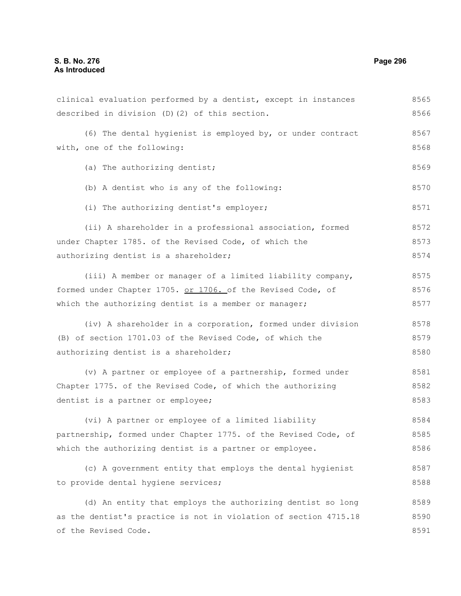# **S. B. No. 276 Page 296 As Introduced**

| clinical evaluation performed by a dentist, except in instances  | 8565 |
|------------------------------------------------------------------|------|
| described in division (D)(2) of this section.                    | 8566 |
| (6) The dental hygienist is employed by, or under contract       | 8567 |
| with, one of the following:                                      | 8568 |
| (a) The authorizing dentist;                                     | 8569 |
| (b) A dentist who is any of the following:                       | 8570 |
| (i) The authorizing dentist's employer;                          | 8571 |
| (ii) A shareholder in a professional association, formed         | 8572 |
| under Chapter 1785. of the Revised Code, of which the            | 8573 |
| authorizing dentist is a shareholder;                            | 8574 |
| (iii) A member or manager of a limited liability company,        | 8575 |
| formed under Chapter 1705. or 1706. of the Revised Code, of      | 8576 |
| which the authorizing dentist is a member or manager;            | 8577 |
| (iv) A shareholder in a corporation, formed under division       | 8578 |
| (B) of section 1701.03 of the Revised Code, of which the         | 8579 |
| authorizing dentist is a shareholder;                            | 8580 |
| (v) A partner or employee of a partnership, formed under         | 8581 |
| Chapter 1775. of the Revised Code, of which the authorizing      | 8582 |
| dentist is a partner or employee;                                | 8583 |
| (vi) A partner or employee of a limited liability                | 8584 |
| partnership, formed under Chapter 1775. of the Revised Code, of  | 8585 |
| which the authorizing dentist is a partner or employee.          | 8586 |
| (c) A government entity that employs the dental hygienist        | 8587 |
| to provide dental hygiene services;                              | 8588 |
| (d) An entity that employs the authorizing dentist so long       | 8589 |
| as the dentist's practice is not in violation of section 4715.18 | 8590 |
| of the Revised Code.                                             | 8591 |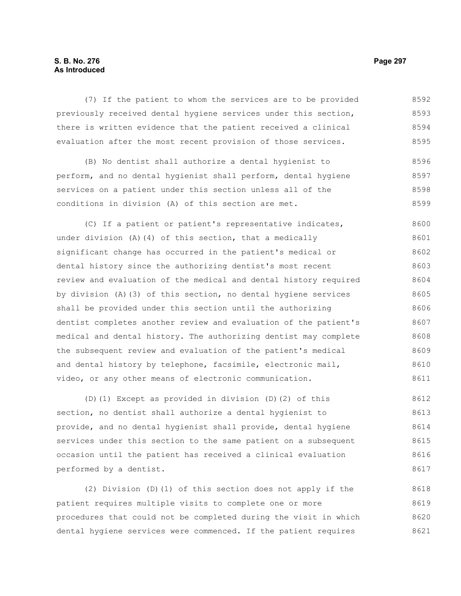## **S. B. No. 276 Page 297 As Introduced**

(7) If the patient to whom the services are to be provided previously received dental hygiene services under this section, there is written evidence that the patient received a clinical evaluation after the most recent provision of those services. 8592 8593 8594 8595

(B) No dentist shall authorize a dental hygienist to perform, and no dental hygienist shall perform, dental hygiene services on a patient under this section unless all of the conditions in division (A) of this section are met. 8596 8597 8598 8599

(C) If a patient or patient's representative indicates, under division (A)(4) of this section, that a medically significant change has occurred in the patient's medical or dental history since the authorizing dentist's most recent review and evaluation of the medical and dental history required by division (A)(3) of this section, no dental hygiene services shall be provided under this section until the authorizing dentist completes another review and evaluation of the patient's medical and dental history. The authorizing dentist may complete the subsequent review and evaluation of the patient's medical and dental history by telephone, facsimile, electronic mail, video, or any other means of electronic communication. 8600 8601 8602 8603 8604 8605 8606 8607 8608 8609 8610 8611

(D)(1) Except as provided in division (D)(2) of this section, no dentist shall authorize a dental hygienist to provide, and no dental hygienist shall provide, dental hygiene services under this section to the same patient on a subsequent occasion until the patient has received a clinical evaluation performed by a dentist. 8612 8613 8614 8615 8616 8617

(2) Division (D)(1) of this section does not apply if the patient requires multiple visits to complete one or more procedures that could not be completed during the visit in which dental hygiene services were commenced. If the patient requires 8618 8619 8620 8621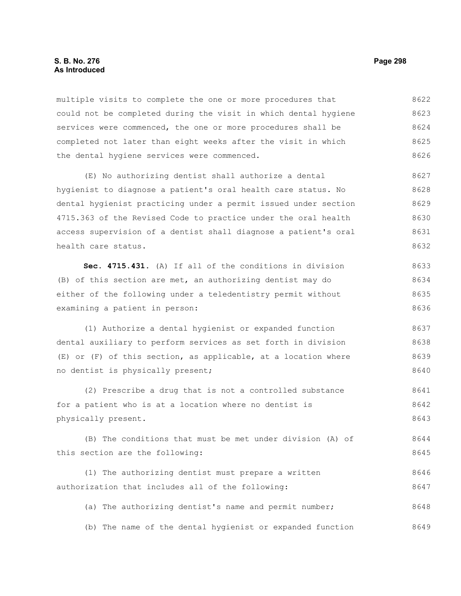#### **S. B. No. 276 Page 298 As Introduced**

multiple visits to complete the one or more procedures that could not be completed during the visit in which dental hygiene services were commenced, the one or more procedures shall be completed not later than eight weeks after the visit in which the dental hygiene services were commenced. 8622 8623 8624 8625 8626

(E) No authorizing dentist shall authorize a dental hygienist to diagnose a patient's oral health care status. No dental hygienist practicing under a permit issued under section 4715.363 of the Revised Code to practice under the oral health access supervision of a dentist shall diagnose a patient's oral health care status. 8627 8628 8629 8630 8631 8632

**Sec. 4715.431.** (A) If all of the conditions in division (B) of this section are met, an authorizing dentist may do either of the following under a teledentistry permit without examining a patient in person: 8633 8634 8635 8636

(1) Authorize a dental hygienist or expanded function dental auxiliary to perform services as set forth in division (E) or (F) of this section, as applicable, at a location where no dentist is physically present; 8637 8638 8639 8640

(2) Prescribe a drug that is not a controlled substance for a patient who is at a location where no dentist is physically present. 8641 8642 8643

(B) The conditions that must be met under division (A) of this section are the following: 8644 8645

(1) The authorizing dentist must prepare a written authorization that includes all of the following: 8646 8647

(a) The authorizing dentist's name and permit number; 8648

(b) The name of the dental hygienist or expanded function 8649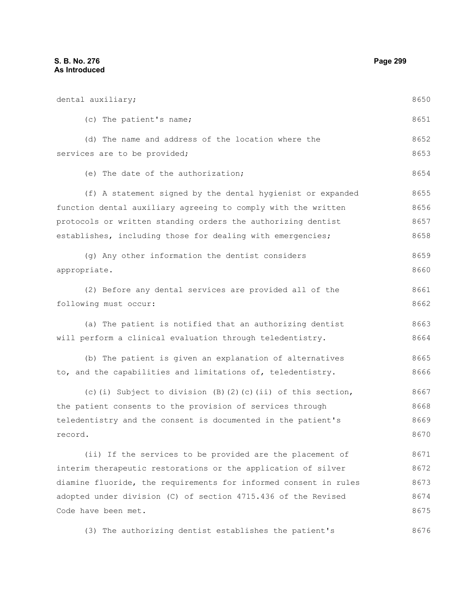dental auxiliary; (c) The patient's name; (d) The name and address of the location where the services are to be provided; (e) The date of the authorization; (f) A statement signed by the dental hygienist or expanded function dental auxiliary agreeing to comply with the written protocols or written standing orders the authorizing dentist establishes, including those for dealing with emergencies; (g) Any other information the dentist considers appropriate. (2) Before any dental services are provided all of the following must occur: (a) The patient is notified that an authorizing dentist will perform a clinical evaluation through teledentistry. (b) The patient is given an explanation of alternatives to, and the capabilities and limitations of, teledentistry. (c)(i) Subject to division  $(B)$ (2)(c)(ii) of this section, the patient consents to the provision of services through teledentistry and the consent is documented in the patient's record. (ii) If the services to be provided are the placement of interim therapeutic restorations or the application of silver diamine fluoride, the requirements for informed consent in rules adopted under division (C) of section 4715.436 of the Revised Code have been met. 8650 8651 8652 8653 8654 8655 8656 8657 8658 8659 8660 8661 8662 8663 8664 8665 8666 8667 8668 8669 8670 8671 8672 8673 8674 8675

(3) The authorizing dentist establishes the patient's 8676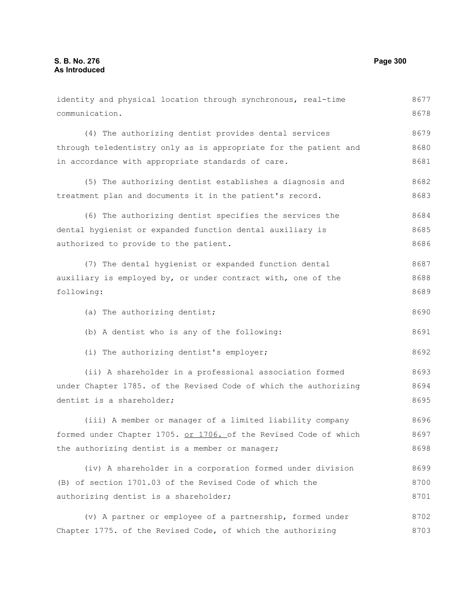| identity and physical location through synchronous, real-time    | 8677 |
|------------------------------------------------------------------|------|
| communication.                                                   | 8678 |
| (4) The authorizing dentist provides dental services             | 8679 |
| through teledentistry only as is appropriate for the patient and | 8680 |
| in accordance with appropriate standards of care.                | 8681 |
| (5) The authorizing dentist establishes a diagnosis and          | 8682 |
| treatment plan and documents it in the patient's record.         | 8683 |
| (6) The authorizing dentist specifies the services the           | 8684 |
| dental hygienist or expanded function dental auxiliary is        | 8685 |
| authorized to provide to the patient.                            | 8686 |
| (7) The dental hygienist or expanded function dental             | 8687 |
| auxiliary is employed by, or under contract with, one of the     | 8688 |
| following:                                                       | 8689 |
| (a) The authorizing dentist;                                     | 8690 |
| (b) A dentist who is any of the following:                       | 8691 |
| (i) The authorizing dentist's employer;                          | 8692 |
| (ii) A shareholder in a professional association formed          | 8693 |
| under Chapter 1785. of the Revised Code of which the authorizing | 8694 |
| dentist is a shareholder;                                        | 8695 |
| (iii) A member or manager of a limited liability company         | 8696 |
| formed under Chapter 1705. or 1706. of the Revised Code of which | 8697 |
| the authorizing dentist is a member or manager;                  | 8698 |
| (iv) A shareholder in a corporation formed under division        | 8699 |
| (B) of section 1701.03 of the Revised Code of which the          | 8700 |
| authorizing dentist is a shareholder;                            | 8701 |
| (v) A partner or employee of a partnership, formed under         | 8702 |
| Chapter 1775. of the Revised Code, of which the authorizing      | 8703 |
|                                                                  |      |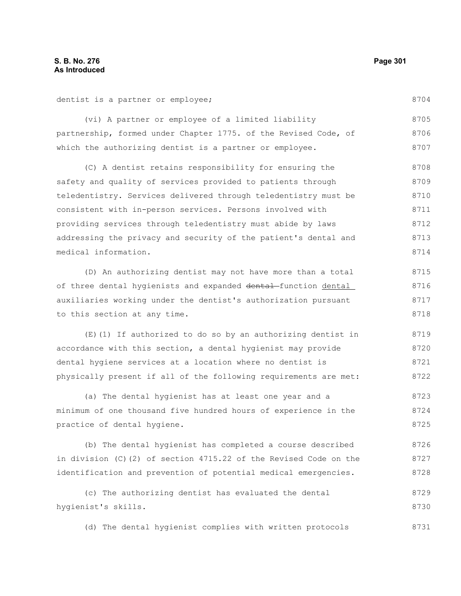dentist is a partner or employee;

8704

| (vi) A partner or employee of a limited liability               | 8705 |
|-----------------------------------------------------------------|------|
| partnership, formed under Chapter 1775. of the Revised Code, of | 8706 |
| which the authorizing dentist is a partner or employee.         | 8707 |

(C) A dentist retains responsibility for ensuring the safety and quality of services provided to patients through teledentistry. Services delivered through teledentistry must be consistent with in-person services. Persons involved with providing services through teledentistry must abide by laws addressing the privacy and security of the patient's dental and medical information. 8708 8709 8710 8711 8712 8713 8714

(D) An authorizing dentist may not have more than a total of three dental hygienists and expanded dental function dental auxiliaries working under the dentist's authorization pursuant to this section at any time. 8715 8716 8717 8718

(E)(1) If authorized to do so by an authorizing dentist in accordance with this section, a dental hygienist may provide dental hygiene services at a location where no dentist is physically present if all of the following requirements are met: 8719 8720 8721 8722

(a) The dental hygienist has at least one year and a minimum of one thousand five hundred hours of experience in the practice of dental hygiene. 8723 8724 8725

(b) The dental hygienist has completed a course described in division (C)(2) of section 4715.22 of the Revised Code on the identification and prevention of potential medical emergencies. 8726 8727 8728

(c) The authorizing dentist has evaluated the dental hygienist's skills. 8729 8730

(d) The dental hygienist complies with written protocols 8731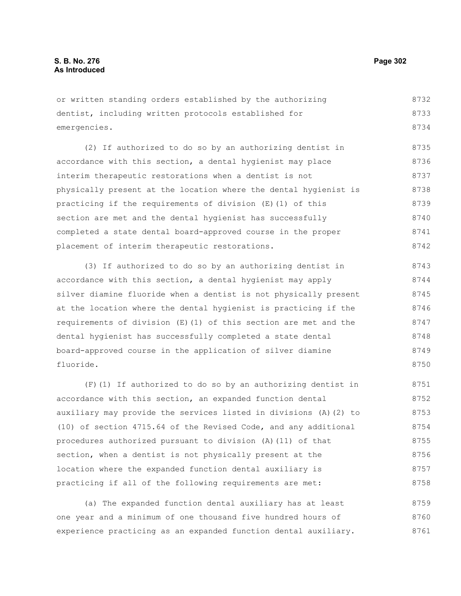or written standing orders established by the authorizing dentist, including written protocols established for emergencies. 8732 8733 8734

(2) If authorized to do so by an authorizing dentist in accordance with this section, a dental hygienist may place interim therapeutic restorations when a dentist is not physically present at the location where the dental hygienist is practicing if the requirements of division (E)(1) of this section are met and the dental hygienist has successfully completed a state dental board-approved course in the proper placement of interim therapeutic restorations. 8735 8736 8737 8738 8739 8740 8741 8742

(3) If authorized to do so by an authorizing dentist in accordance with this section, a dental hygienist may apply silver diamine fluoride when a dentist is not physically present at the location where the dental hygienist is practicing if the requirements of division (E)(1) of this section are met and the dental hygienist has successfully completed a state dental board-approved course in the application of silver diamine fluoride. 8743 8744 8745 8746 8747 8748 8749 8750

(F)(1) If authorized to do so by an authorizing dentist in accordance with this section, an expanded function dental auxiliary may provide the services listed in divisions (A)(2) to (10) of section 4715.64 of the Revised Code, and any additional procedures authorized pursuant to division (A)(11) of that section, when a dentist is not physically present at the location where the expanded function dental auxiliary is practicing if all of the following requirements are met: 8751 8752 8753 8754 8755 8756 8757 8758

(a) The expanded function dental auxiliary has at least one year and a minimum of one thousand five hundred hours of experience practicing as an expanded function dental auxiliary. 8759 8760 8761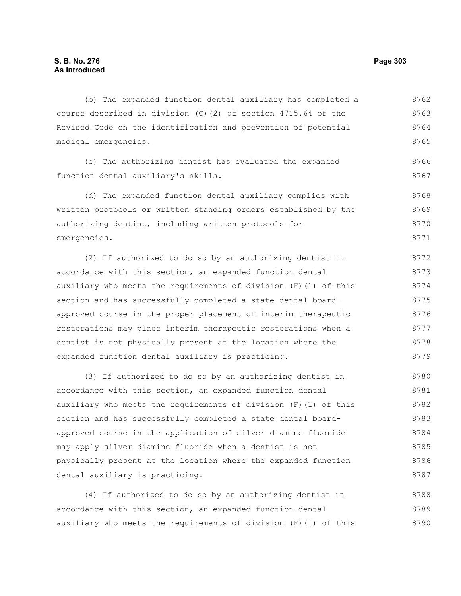(b) The expanded function dental auxiliary has completed a course described in division (C)(2) of section 4715.64 of the Revised Code on the identification and prevention of potential medical emergencies. 8762 8763 8764 8765

(c) The authorizing dentist has evaluated the expanded function dental auxiliary's skills. 8766 8767

(d) The expanded function dental auxiliary complies with written protocols or written standing orders established by the authorizing dentist, including written protocols for emergencies. 8768 8769 8770 8771

(2) If authorized to do so by an authorizing dentist in accordance with this section, an expanded function dental auxiliary who meets the requirements of division (F)(1) of this section and has successfully completed a state dental boardapproved course in the proper placement of interim therapeutic restorations may place interim therapeutic restorations when a dentist is not physically present at the location where the expanded function dental auxiliary is practicing. 8772 8773 8774 8775 8776 8777 8778 8779

(3) If authorized to do so by an authorizing dentist in accordance with this section, an expanded function dental auxiliary who meets the requirements of division (F)(1) of this section and has successfully completed a state dental boardapproved course in the application of silver diamine fluoride may apply silver diamine fluoride when a dentist is not physically present at the location where the expanded function dental auxiliary is practicing. 8780 8781 8782 8783 8784 8785 8786 8787

(4) If authorized to do so by an authorizing dentist in accordance with this section, an expanded function dental auxiliary who meets the requirements of division (F)(1) of this 8788 8789 8790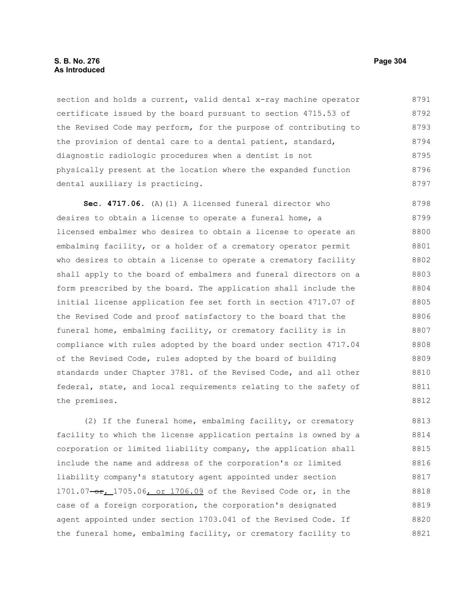#### **S. B. No. 276 Page 304 As Introduced**

section and holds a current, valid dental x-ray machine operator certificate issued by the board pursuant to section 4715.53 of the Revised Code may perform, for the purpose of contributing to the provision of dental care to a dental patient, standard, diagnostic radiologic procedures when a dentist is not physically present at the location where the expanded function dental auxiliary is practicing. 8791 8792 8793 8794 8795 8796 8797

**Sec. 4717.06.** (A)(1) A licensed funeral director who desires to obtain a license to operate a funeral home, a licensed embalmer who desires to obtain a license to operate an embalming facility, or a holder of a crematory operator permit who desires to obtain a license to operate a crematory facility shall apply to the board of embalmers and funeral directors on a form prescribed by the board. The application shall include the initial license application fee set forth in section 4717.07 of the Revised Code and proof satisfactory to the board that the funeral home, embalming facility, or crematory facility is in compliance with rules adopted by the board under section 4717.04 of the Revised Code, rules adopted by the board of building standards under Chapter 3781. of the Revised Code, and all other federal, state, and local requirements relating to the safety of the premises. 8798 8799 8800 8801 8802 8803 8804 8805 8806 8807 8808 8809 8810 8811 8812

(2) If the funeral home, embalming facility, or crematory facility to which the license application pertains is owned by a corporation or limited liability company, the application shall include the name and address of the corporation's or limited liability company's statutory agent appointed under section 1701.07-or, 1705.06, or 1706.09 of the Revised Code or, in the case of a foreign corporation, the corporation's designated agent appointed under section 1703.041 of the Revised Code. If the funeral home, embalming facility, or crematory facility to 8813 8814 8815 8816 8817 8818 8819 8820 8821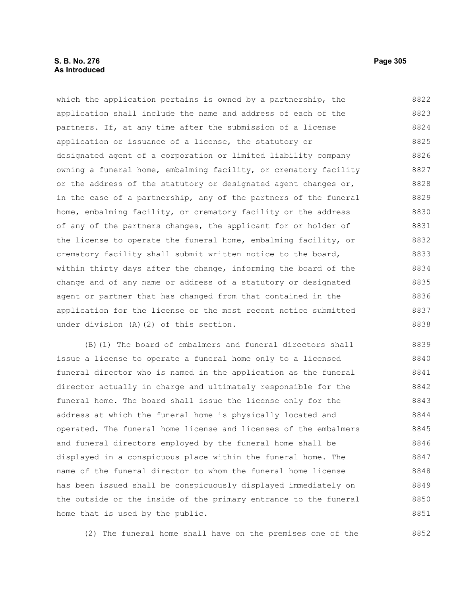## **S. B. No. 276 Page 305 As Introduced**

which the application pertains is owned by a partnership, the application shall include the name and address of each of the partners. If, at any time after the submission of a license application or issuance of a license, the statutory or designated agent of a corporation or limited liability company owning a funeral home, embalming facility, or crematory facility or the address of the statutory or designated agent changes or, in the case of a partnership, any of the partners of the funeral home, embalming facility, or crematory facility or the address of any of the partners changes, the applicant for or holder of 8822 8823 8824 8825 8826 8827 8828 8829 8830 8831

the license to operate the funeral home, embalming facility, or crematory facility shall submit written notice to the board, within thirty days after the change, informing the board of the change and of any name or address of a statutory or designated agent or partner that has changed from that contained in the application for the license or the most recent notice submitted under division (A)(2) of this section. 8832 8833 8834 8835 8836 8837 8838

(B)(1) The board of embalmers and funeral directors shall issue a license to operate a funeral home only to a licensed funeral director who is named in the application as the funeral director actually in charge and ultimately responsible for the funeral home. The board shall issue the license only for the address at which the funeral home is physically located and operated. The funeral home license and licenses of the embalmers and funeral directors employed by the funeral home shall be displayed in a conspicuous place within the funeral home. The name of the funeral director to whom the funeral home license has been issued shall be conspicuously displayed immediately on the outside or the inside of the primary entrance to the funeral home that is used by the public. 8839 8840 8841 8842 8843 8844 8845 8846 8847 8848 8849 8850 8851

(2) The funeral home shall have on the premises one of the 8852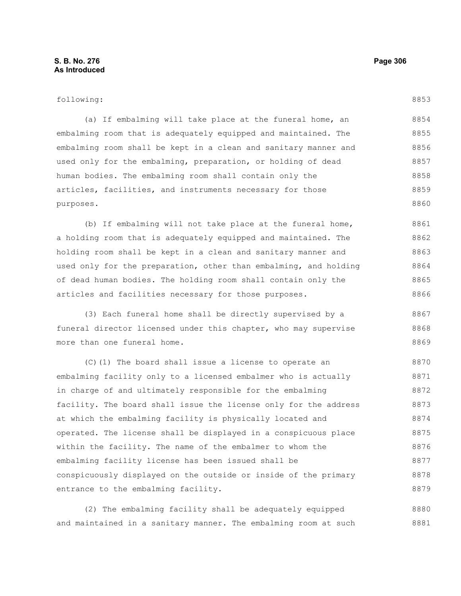#### following:

(a) If embalming will take place at the funeral home, an embalming room that is adequately equipped and maintained. The embalming room shall be kept in a clean and sanitary manner and used only for the embalming, preparation, or holding of dead human bodies. The embalming room shall contain only the articles, facilities, and instruments necessary for those purposes. 8854 8855 8856 8857 8858 8859 8860

(b) If embalming will not take place at the funeral home, a holding room that is adequately equipped and maintained. The holding room shall be kept in a clean and sanitary manner and used only for the preparation, other than embalming, and holding of dead human bodies. The holding room shall contain only the articles and facilities necessary for those purposes. 8861 8862 8863 8864 8865 8866

(3) Each funeral home shall be directly supervised by a funeral director licensed under this chapter, who may supervise more than one funeral home. 8867 8868 8869

(C)(1) The board shall issue a license to operate an embalming facility only to a licensed embalmer who is actually in charge of and ultimately responsible for the embalming facility. The board shall issue the license only for the address at which the embalming facility is physically located and operated. The license shall be displayed in a conspicuous place within the facility. The name of the embalmer to whom the embalming facility license has been issued shall be conspicuously displayed on the outside or inside of the primary entrance to the embalming facility. 8870 8871 8872 8873 8874 8875 8876 8877 8878 8879

(2) The embalming facility shall be adequately equipped and maintained in a sanitary manner. The embalming room at such 8880 8881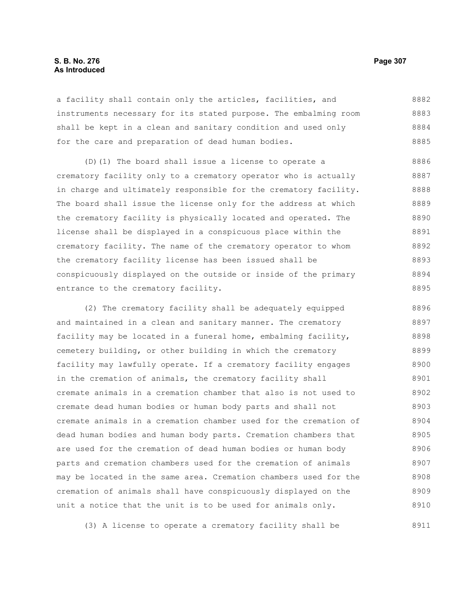### **S. B. No. 276 Page 307 As Introduced**

a facility shall contain only the articles, facilities, and instruments necessary for its stated purpose. The embalming room shall be kept in a clean and sanitary condition and used only for the care and preparation of dead human bodies. 8882 8883 8884 8885

(D)(1) The board shall issue a license to operate a crematory facility only to a crematory operator who is actually in charge and ultimately responsible for the crematory facility. The board shall issue the license only for the address at which the crematory facility is physically located and operated. The license shall be displayed in a conspicuous place within the crematory facility. The name of the crematory operator to whom the crematory facility license has been issued shall be conspicuously displayed on the outside or inside of the primary entrance to the crematory facility. 8886 8887 8888 8889 8890 8891 8892 8893 8894 8895

(2) The crematory facility shall be adequately equipped and maintained in a clean and sanitary manner. The crematory facility may be located in a funeral home, embalming facility, cemetery building, or other building in which the crematory facility may lawfully operate. If a crematory facility engages in the cremation of animals, the crematory facility shall cremate animals in a cremation chamber that also is not used to cremate dead human bodies or human body parts and shall not cremate animals in a cremation chamber used for the cremation of dead human bodies and human body parts. Cremation chambers that are used for the cremation of dead human bodies or human body parts and cremation chambers used for the cremation of animals may be located in the same area. Cremation chambers used for the cremation of animals shall have conspicuously displayed on the unit a notice that the unit is to be used for animals only. 8896 8897 8898 8899 8900 8901 8902 8903 8904 8905 8906 8907 8908 8909 8910

(3) A license to operate a crematory facility shall be

8911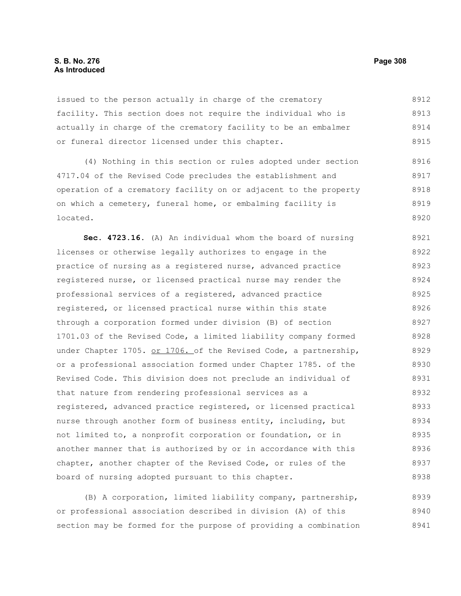## **S. B. No. 276 Page 308 As Introduced**

issued to the person actually in charge of the crematory facility. This section does not require the individual who is actually in charge of the crematory facility to be an embalmer or funeral director licensed under this chapter. 8912 8913 8914 8915

(4) Nothing in this section or rules adopted under section 4717.04 of the Revised Code precludes the establishment and operation of a crematory facility on or adjacent to the property on which a cemetery, funeral home, or embalming facility is located. 8916 8917 8918 8919 8920

**Sec. 4723.16.** (A) An individual whom the board of nursing licenses or otherwise legally authorizes to engage in the practice of nursing as a registered nurse, advanced practice registered nurse, or licensed practical nurse may render the professional services of a registered, advanced practice registered, or licensed practical nurse within this state through a corporation formed under division (B) of section 1701.03 of the Revised Code, a limited liability company formed under Chapter 1705. or 1706. of the Revised Code, a partnership, or a professional association formed under Chapter 1785. of the Revised Code. This division does not preclude an individual of that nature from rendering professional services as a registered, advanced practice registered, or licensed practical nurse through another form of business entity, including, but not limited to, a nonprofit corporation or foundation, or in another manner that is authorized by or in accordance with this chapter, another chapter of the Revised Code, or rules of the board of nursing adopted pursuant to this chapter. 8921 8922 8923 8924 8925 8926 8927 8928 8929 8930 8931 8932 8933 8934 8935 8936 8937 8938

(B) A corporation, limited liability company, partnership, or professional association described in division (A) of this section may be formed for the purpose of providing a combination 8939 8940 8941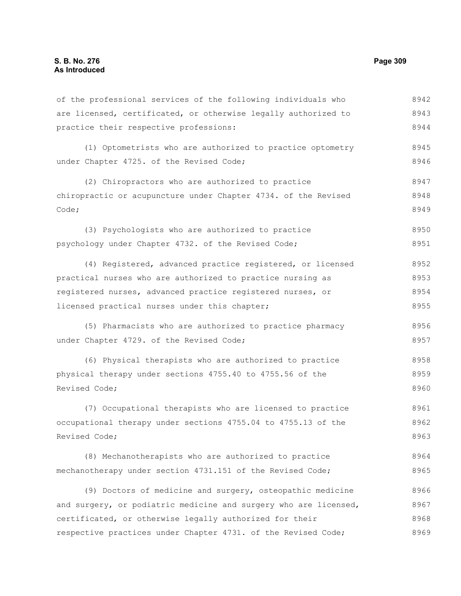of the professional services of the following individuals who are licensed, certificated, or otherwise legally authorized to practice their respective professions: (1) Optometrists who are authorized to practice optometry under Chapter 4725. of the Revised Code; (2) Chiropractors who are authorized to practice chiropractic or acupuncture under Chapter 4734. of the Revised Code; (3) Psychologists who are authorized to practice psychology under Chapter 4732. of the Revised Code; (4) Registered, advanced practice registered, or licensed practical nurses who are authorized to practice nursing as registered nurses, advanced practice registered nurses, or licensed practical nurses under this chapter; (5) Pharmacists who are authorized to practice pharmacy under Chapter 4729. of the Revised Code; (6) Physical therapists who are authorized to practice physical therapy under sections 4755.40 to 4755.56 of the Revised Code; (7) Occupational therapists who are licensed to practice occupational therapy under sections 4755.04 to 4755.13 of the Revised Code; (8) Mechanotherapists who are authorized to practice mechanotherapy under section 4731.151 of the Revised Code; (9) Doctors of medicine and surgery, osteopathic medicine 8942 8943 8944 8945 8946 8947 8948 8949 8950 8951 8952 8953 8954 8955 8956 8957 8958 8959 8960 8961 8962 8963 8964 8965 8966

and surgery, or podiatric medicine and surgery who are licensed, certificated, or otherwise legally authorized for their respective practices under Chapter 4731. of the Revised Code; 8967 8968 8969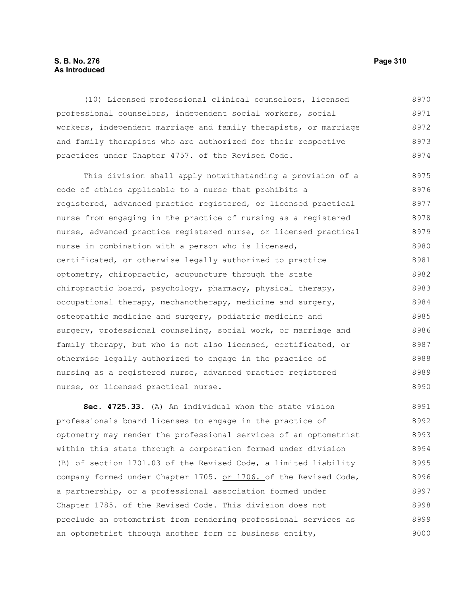## **S. B. No. 276 Page 310 As Introduced**

(10) Licensed professional clinical counselors, licensed professional counselors, independent social workers, social workers, independent marriage and family therapists, or marriage and family therapists who are authorized for their respective practices under Chapter 4757. of the Revised Code. 8970 8971 8972 8973 8974

This division shall apply notwithstanding a provision of a code of ethics applicable to a nurse that prohibits a registered, advanced practice registered, or licensed practical nurse from engaging in the practice of nursing as a registered nurse, advanced practice registered nurse, or licensed practical nurse in combination with a person who is licensed, certificated, or otherwise legally authorized to practice optometry, chiropractic, acupuncture through the state chiropractic board, psychology, pharmacy, physical therapy, occupational therapy, mechanotherapy, medicine and surgery, osteopathic medicine and surgery, podiatric medicine and surgery, professional counseling, social work, or marriage and family therapy, but who is not also licensed, certificated, or otherwise legally authorized to engage in the practice of nursing as a registered nurse, advanced practice registered nurse, or licensed practical nurse. 8975 8976 8977 8978 8979 8980 8981 8982 8983 8984 8985 8986 8987 8988 8989 8990

**Sec. 4725.33.** (A) An individual whom the state vision professionals board licenses to engage in the practice of optometry may render the professional services of an optometrist within this state through a corporation formed under division (B) of section 1701.03 of the Revised Code, a limited liability company formed under Chapter 1705. or 1706. of the Revised Code, a partnership, or a professional association formed under Chapter 1785. of the Revised Code. This division does not preclude an optometrist from rendering professional services as an optometrist through another form of business entity, 8991 8992 8993 8994 8995 8996 8997 8998 8999 9000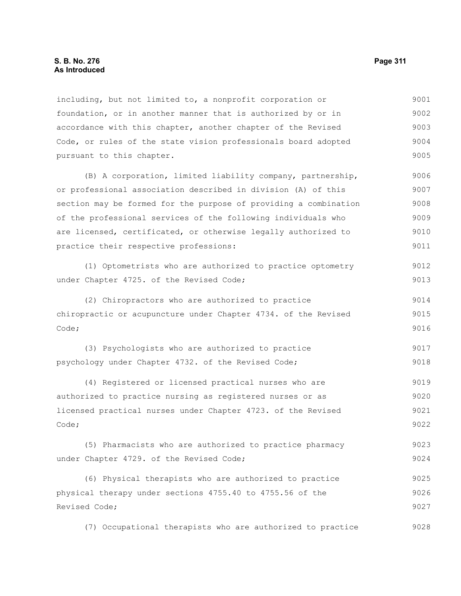#### **S. B. No. 276 Page 311 As Introduced**

including, but not limited to, a nonprofit corporation or foundation, or in another manner that is authorized by or in accordance with this chapter, another chapter of the Revised Code, or rules of the state vision professionals board adopted pursuant to this chapter. 9001 9002 9003 9004 9005

(B) A corporation, limited liability company, partnership, or professional association described in division (A) of this section may be formed for the purpose of providing a combination of the professional services of the following individuals who are licensed, certificated, or otherwise legally authorized to practice their respective professions: 9006 9007 9008 9009 9010 9011

(1) Optometrists who are authorized to practice optometry under Chapter 4725. of the Revised Code; 9012 9013

(2) Chiropractors who are authorized to practice chiropractic or acupuncture under Chapter 4734. of the Revised Code; 9014 9015 9016

(3) Psychologists who are authorized to practice psychology under Chapter 4732. of the Revised Code; 9017 9018

(4) Registered or licensed practical nurses who are authorized to practice nursing as registered nurses or as licensed practical nurses under Chapter 4723. of the Revised Code; 9019 9020 9021 9022

(5) Pharmacists who are authorized to practice pharmacy under Chapter 4729. of the Revised Code; 9023 9024

(6) Physical therapists who are authorized to practice physical therapy under sections 4755.40 to 4755.56 of the Revised Code; 9025 9026 9027

(7) Occupational therapists who are authorized to practice 9028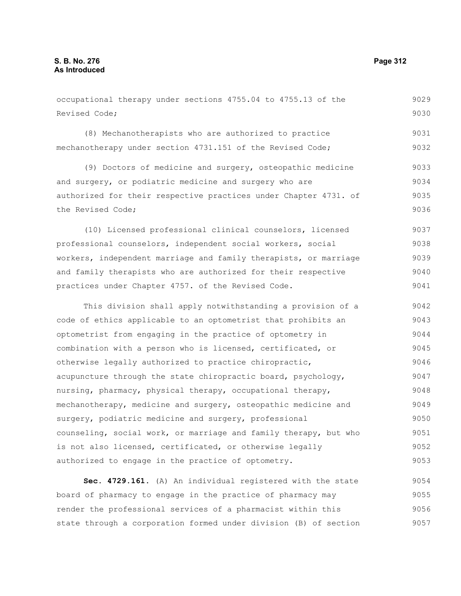#### occupational therapy under sections 4755.04 to 4755.13 of the Revised Code; (8) Mechanotherapists who are authorized to practice mechanotherapy under section 4731.151 of the Revised Code; (9) Doctors of medicine and surgery, osteopathic medicine and surgery, or podiatric medicine and surgery who are authorized for their respective practices under Chapter 4731. of the Revised Code; (10) Licensed professional clinical counselors, licensed professional counselors, independent social workers, social workers, independent marriage and family therapists, or marriage and family therapists who are authorized for their respective practices under Chapter 4757. of the Revised Code. This division shall apply notwithstanding a provision of a code of ethics applicable to an optometrist that prohibits an optometrist from engaging in the practice of optometry in combination with a person who is licensed, certificated, or otherwise legally authorized to practice chiropractic, acupuncture through the state chiropractic board, psychology, nursing, pharmacy, physical therapy, occupational therapy, mechanotherapy, medicine and surgery, osteopathic medicine and surgery, podiatric medicine and surgery, professional counseling, social work, or marriage and family therapy, but who is not also licensed, certificated, or otherwise legally authorized to engage in the practice of optometry. 9029 9030 9031 9032 9033 9034 9035 9036 9037 9038 9039 9040 9041 9042 9043 9044 9045 9046 9047 9048 9049 9050 9051 9052 9053

**Sec. 4729.161.** (A) An individual registered with the state board of pharmacy to engage in the practice of pharmacy may render the professional services of a pharmacist within this state through a corporation formed under division (B) of section 9054 9055 9056 9057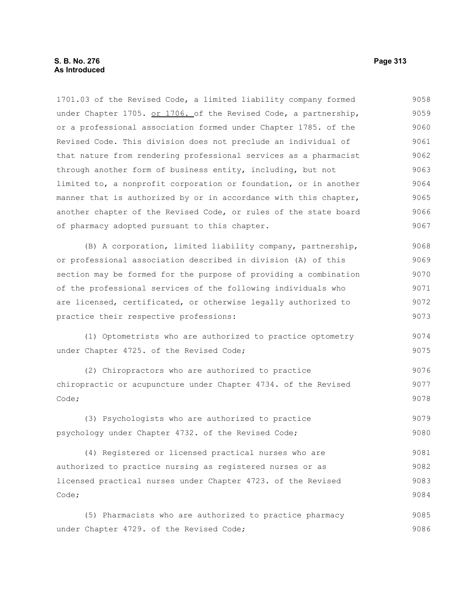1701.03 of the Revised Code, a limited liability company formed under Chapter 1705. or 1706. of the Revised Code, a partnership, or a professional association formed under Chapter 1785. of the Revised Code. This division does not preclude an individual of that nature from rendering professional services as a pharmacist through another form of business entity, including, but not limited to, a nonprofit corporation or foundation, or in another manner that is authorized by or in accordance with this chapter, another chapter of the Revised Code, or rules of the state board of pharmacy adopted pursuant to this chapter. 9058 9059 9060 9061 9062 9063 9064 9065 9066 9067

(B) A corporation, limited liability company, partnership, or professional association described in division (A) of this section may be formed for the purpose of providing a combination of the professional services of the following individuals who are licensed, certificated, or otherwise legally authorized to practice their respective professions: 9068 9069 9070 9071 9072 9073

(1) Optometrists who are authorized to practice optometry under Chapter 4725. of the Revised Code; 9074 9075

(2) Chiropractors who are authorized to practice chiropractic or acupuncture under Chapter 4734. of the Revised Code; 9076 9077 9078

(3) Psychologists who are authorized to practice psychology under Chapter 4732. of the Revised Code; 9079 9080

(4) Registered or licensed practical nurses who are authorized to practice nursing as registered nurses or as licensed practical nurses under Chapter 4723. of the Revised Code; 9081 9082 9083 9084

(5) Pharmacists who are authorized to practice pharmacy under Chapter 4729. of the Revised Code; 9085 9086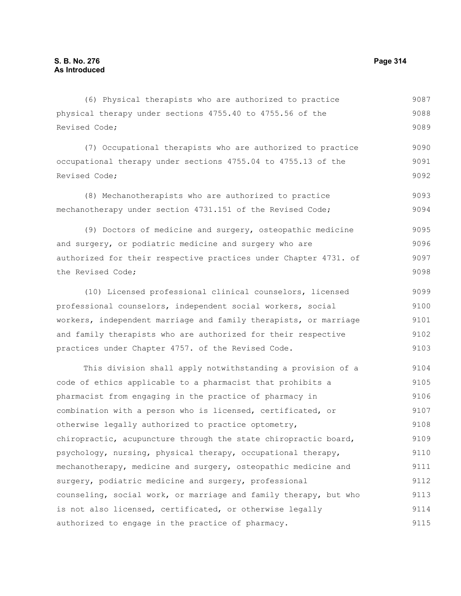#### (6) Physical therapists who are authorized to practice physical therapy under sections 4755.40 to 4755.56 of the Revised Code; (7) Occupational therapists who are authorized to practice occupational therapy under sections 4755.04 to 4755.13 of the Revised Code; (8) Mechanotherapists who are authorized to practice mechanotherapy under section 4731.151 of the Revised Code; (9) Doctors of medicine and surgery, osteopathic medicine and surgery, or podiatric medicine and surgery who are authorized for their respective practices under Chapter 4731. of the Revised Code; (10) Licensed professional clinical counselors, licensed professional counselors, independent social workers, social workers, independent marriage and family therapists, or marriage and family therapists who are authorized for their respective practices under Chapter 4757. of the Revised Code. This division shall apply notwithstanding a provision of a code of ethics applicable to a pharmacist that prohibits a pharmacist from engaging in the practice of pharmacy in combination with a person who is licensed, certificated, or otherwise legally authorized to practice optometry, chiropractic, acupuncture through the state chiropractic board, psychology, nursing, physical therapy, occupational therapy, mechanotherapy, medicine and surgery, osteopathic medicine and surgery, podiatric medicine and surgery, professional counseling, social work, or marriage and family therapy, but who is not also licensed, certificated, or otherwise legally authorized to engage in the practice of pharmacy. 9087 9088 9089 9090 9091 9092 9093 9094 9095 9096 9097 9098 9099 9100 9101 9102 9103 9104 9105 9106 9107 9108 9109 9110 9111 9112 9113 9114 9115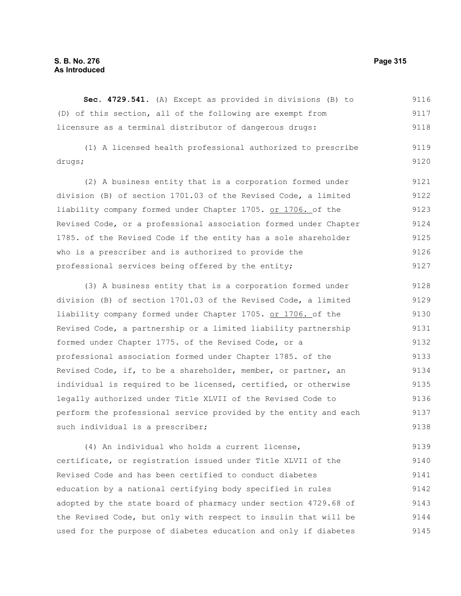## **S. B. No. 276 Page 315 As Introduced**

**Sec. 4729.541.** (A) Except as provided in divisions (B) to (D) of this section, all of the following are exempt from licensure as a terminal distributor of dangerous drugs: 9116 9117 9118

(1) A licensed health professional authorized to prescribe drugs; 9119 9120

(2) A business entity that is a corporation formed under division (B) of section 1701.03 of the Revised Code, a limited liability company formed under Chapter 1705. or 1706. of the Revised Code, or a professional association formed under Chapter 1785. of the Revised Code if the entity has a sole shareholder who is a prescriber and is authorized to provide the professional services being offered by the entity; 9121 9122 9123 9124 9125 9126 9127

(3) A business entity that is a corporation formed under division (B) of section 1701.03 of the Revised Code, a limited liability company formed under Chapter 1705. or 1706. of the Revised Code, a partnership or a limited liability partnership formed under Chapter 1775. of the Revised Code, or a professional association formed under Chapter 1785. of the Revised Code, if, to be a shareholder, member, or partner, an individual is required to be licensed, certified, or otherwise legally authorized under Title XLVII of the Revised Code to perform the professional service provided by the entity and each such individual is a prescriber; 9128 9129 9130 9131 9132 9133 9134 9135 9136 9137 9138

(4) An individual who holds a current license, certificate, or registration issued under Title XLVII of the Revised Code and has been certified to conduct diabetes education by a national certifying body specified in rules adopted by the state board of pharmacy under section 4729.68 of the Revised Code, but only with respect to insulin that will be used for the purpose of diabetes education and only if diabetes 9139 9140 9141 9142 9143 9144 9145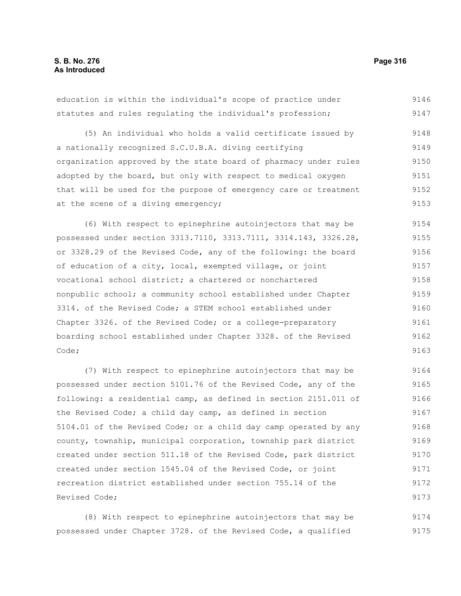education is within the individual's scope of practice under statutes and rules regulating the individual's profession; (5) An individual who holds a valid certificate issued by a nationally recognized S.C.U.B.A. diving certifying organization approved by the state board of pharmacy under rules adopted by the board, but only with respect to medical oxygen that will be used for the purpose of emergency care or treatment at the scene of a diving emergency; 9146 9147 9148 9149 9150 9151 9152 9153

(6) With respect to epinephrine autoinjectors that may be possessed under section 3313.7110, 3313.7111, 3314.143, 3326.28, or 3328.29 of the Revised Code, any of the following: the board of education of a city, local, exempted village, or joint vocational school district; a chartered or nonchartered nonpublic school; a community school established under Chapter 3314. of the Revised Code; a STEM school established under Chapter 3326. of the Revised Code; or a college-preparatory boarding school established under Chapter 3328. of the Revised Code; 9154 9155 9156 9157 9158 9159 9160 9161 9162 9163

(7) With respect to epinephrine autoinjectors that may be possessed under section 5101.76 of the Revised Code, any of the following: a residential camp, as defined in section 2151.011 of the Revised Code; a child day camp, as defined in section 5104.01 of the Revised Code; or a child day camp operated by any county, township, municipal corporation, township park district created under section 511.18 of the Revised Code, park district created under section 1545.04 of the Revised Code, or joint recreation district established under section 755.14 of the Revised Code; 9164 9165 9166 9167 9168 9169 9170 9171 9172 9173

(8) With respect to epinephrine autoinjectors that may be possessed under Chapter 3728. of the Revised Code, a qualified 9174 9175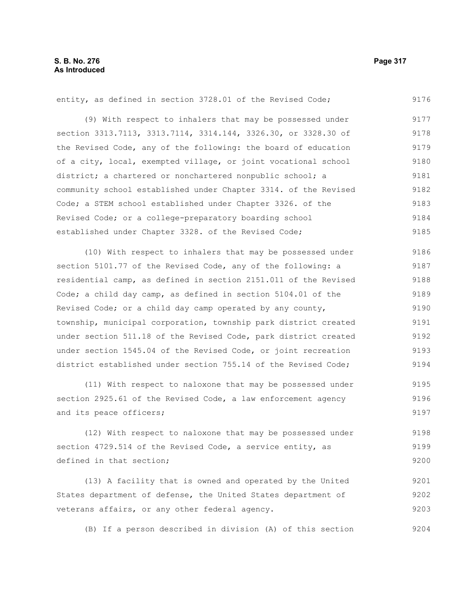#### entity, as defined in section 3728.01 of the Revised Code; (9) With respect to inhalers that may be possessed under section 3313.7113, 3313.7114, 3314.144, 3326.30, or 3328.30 of the Revised Code, any of the following: the board of education of a city, local, exempted village, or joint vocational school district; a chartered or nonchartered nonpublic school; a community school established under Chapter 3314. of the Revised Code; a STEM school established under Chapter 3326. of the Revised Code; or a college-preparatory boarding school established under Chapter 3328. of the Revised Code; 9176 9177 9178 9179 9180 9181 9182 9183 9184 9185

(10) With respect to inhalers that may be possessed under section 5101.77 of the Revised Code, any of the following: a residential camp, as defined in section 2151.011 of the Revised Code; a child day camp, as defined in section 5104.01 of the Revised Code; or a child day camp operated by any county, township, municipal corporation, township park district created under section 511.18 of the Revised Code, park district created under section 1545.04 of the Revised Code, or joint recreation district established under section 755.14 of the Revised Code; 9186 9187 9188 9189 9190 9191 9192 9193 9194

(11) With respect to naloxone that may be possessed under section 2925.61 of the Revised Code, a law enforcement agency and its peace officers; 9195 9196 9197

(12) With respect to naloxone that may be possessed under section 4729.514 of the Revised Code, a service entity, as defined in that section; 9198 9199 9200

(13) A facility that is owned and operated by the United States department of defense, the United States department of veterans affairs, or any other federal agency. 9201 9202 9203

(B) If a person described in division (A) of this section 9204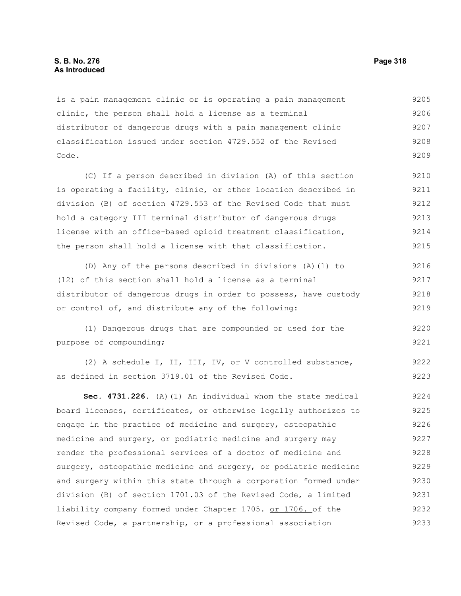#### **S. B. No. 276 Page 318 As Introduced**

is a pain management clinic or is operating a pain management clinic, the person shall hold a license as a terminal distributor of dangerous drugs with a pain management clinic classification issued under section 4729.552 of the Revised Code. 9205 9206 9207 9208 9209

(C) If a person described in division (A) of this section is operating a facility, clinic, or other location described in division (B) of section 4729.553 of the Revised Code that must hold a category III terminal distributor of dangerous drugs license with an office-based opioid treatment classification, the person shall hold a license with that classification. 9210 9211 9212 9213 9214 9215

(D) Any of the persons described in divisions (A)(1) to (12) of this section shall hold a license as a terminal distributor of dangerous drugs in order to possess, have custody or control of, and distribute any of the following: 9216 9217 9218 9219

(1) Dangerous drugs that are compounded or used for the purpose of compounding; 9220 9221

(2) A schedule I, II, III, IV, or V controlled substance, as defined in section 3719.01 of the Revised Code. 9222 9223

**Sec. 4731.226.** (A)(1) An individual whom the state medical board licenses, certificates, or otherwise legally authorizes to engage in the practice of medicine and surgery, osteopathic medicine and surgery, or podiatric medicine and surgery may render the professional services of a doctor of medicine and surgery, osteopathic medicine and surgery, or podiatric medicine and surgery within this state through a corporation formed under division (B) of section 1701.03 of the Revised Code, a limited liability company formed under Chapter 1705. or 1706. of the Revised Code, a partnership, or a professional association 9224 9225 9226 9227 9228 9229 9230 9231 9232 9233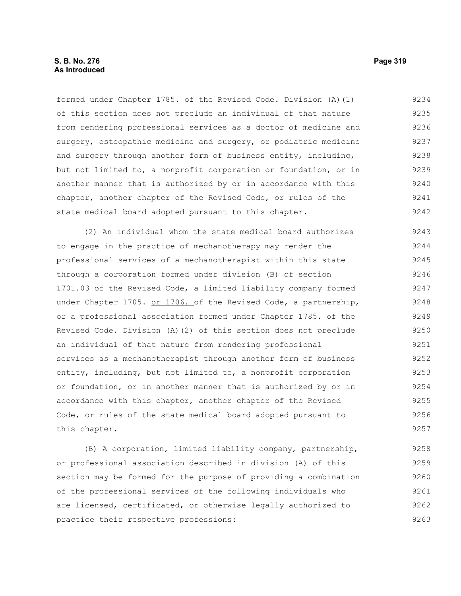## **S. B. No. 276 Page 319 As Introduced**

formed under Chapter 1785. of the Revised Code. Division (A)(1) of this section does not preclude an individual of that nature from rendering professional services as a doctor of medicine and surgery, osteopathic medicine and surgery, or podiatric medicine and surgery through another form of business entity, including, but not limited to, a nonprofit corporation or foundation, or in another manner that is authorized by or in accordance with this chapter, another chapter of the Revised Code, or rules of the state medical board adopted pursuant to this chapter. 9234 9235 9236 9237 9238 9239 9240 9241 9242

(2) An individual whom the state medical board authorizes to engage in the practice of mechanotherapy may render the professional services of a mechanotherapist within this state through a corporation formed under division (B) of section 1701.03 of the Revised Code, a limited liability company formed under Chapter 1705. or 1706. of the Revised Code, a partnership, or a professional association formed under Chapter 1785. of the Revised Code. Division (A)(2) of this section does not preclude an individual of that nature from rendering professional services as a mechanotherapist through another form of business entity, including, but not limited to, a nonprofit corporation or foundation, or in another manner that is authorized by or in accordance with this chapter, another chapter of the Revised Code, or rules of the state medical board adopted pursuant to this chapter. 9243 9244 9245 9246 9247 9248 9249 9250 9251 9252 9253 9254 9255 9256 9257

(B) A corporation, limited liability company, partnership, or professional association described in division (A) of this section may be formed for the purpose of providing a combination of the professional services of the following individuals who are licensed, certificated, or otherwise legally authorized to practice their respective professions: 9258 9259 9260 9261 9262 9263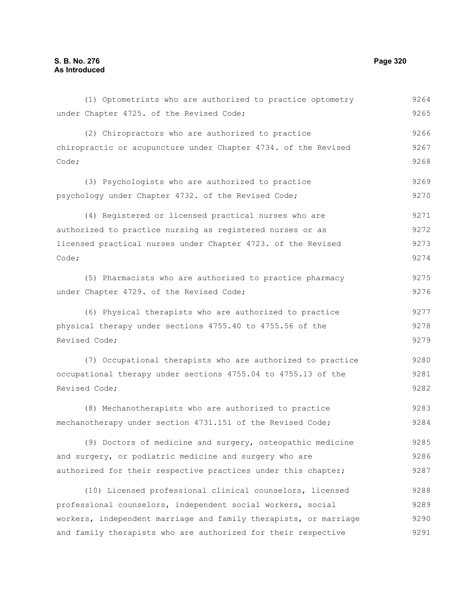(1) Optometrists who are authorized to practice optometry under Chapter 4725. of the Revised Code; (2) Chiropractors who are authorized to practice chiropractic or acupuncture under Chapter 4734. of the Revised Code; (3) Psychologists who are authorized to practice psychology under Chapter 4732. of the Revised Code; (4) Registered or licensed practical nurses who are authorized to practice nursing as registered nurses or as licensed practical nurses under Chapter 4723. of the Revised Code; (5) Pharmacists who are authorized to practice pharmacy under Chapter 4729. of the Revised Code; (6) Physical therapists who are authorized to practice physical therapy under sections 4755.40 to 4755.56 of the Revised Code; (7) Occupational therapists who are authorized to practice occupational therapy under sections 4755.04 to 4755.13 of the Revised Code; (8) Mechanotherapists who are authorized to practice mechanotherapy under section 4731.151 of the Revised Code; (9) Doctors of medicine and surgery, osteopathic medicine and surgery, or podiatric medicine and surgery who are authorized for their respective practices under this chapter; (10) Licensed professional clinical counselors, licensed professional counselors, independent social workers, social workers, independent marriage and family therapists, or marriage and family therapists who are authorized for their respective 9264 9265 9266 9267 9268 9269 9270 9271 9272 9273 9274 9275 9276 9277 9278 9279 9280 9281 9282 9283 9284 9285 9286 9287 9288 9289 9290 9291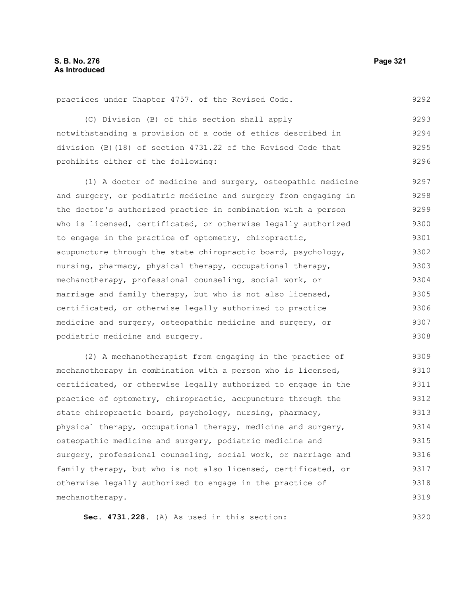practices under Chapter 4757. of the Revised Code. 9292

(C) Division (B) of this section shall apply notwithstanding a provision of a code of ethics described in division (B)(18) of section 4731.22 of the Revised Code that prohibits either of the following: 9293 9294 9295 9296

(1) A doctor of medicine and surgery, osteopathic medicine and surgery, or podiatric medicine and surgery from engaging in the doctor's authorized practice in combination with a person who is licensed, certificated, or otherwise legally authorized to engage in the practice of optometry, chiropractic, acupuncture through the state chiropractic board, psychology, nursing, pharmacy, physical therapy, occupational therapy, mechanotherapy, professional counseling, social work, or marriage and family therapy, but who is not also licensed, certificated, or otherwise legally authorized to practice medicine and surgery, osteopathic medicine and surgery, or podiatric medicine and surgery. 9297 9298 9299 9300 9301 9302 9303 9304 9305 9306 9307 9308

(2) A mechanotherapist from engaging in the practice of mechanotherapy in combination with a person who is licensed, certificated, or otherwise legally authorized to engage in the practice of optometry, chiropractic, acupuncture through the state chiropractic board, psychology, nursing, pharmacy, physical therapy, occupational therapy, medicine and surgery, osteopathic medicine and surgery, podiatric medicine and surgery, professional counseling, social work, or marriage and family therapy, but who is not also licensed, certificated, or otherwise legally authorized to engage in the practice of mechanotherapy. 9309 9310 9311 9312 9313 9314 9315 9316 9317 9318 9319

**Sec. 4731.228.** (A) As used in this section: 9320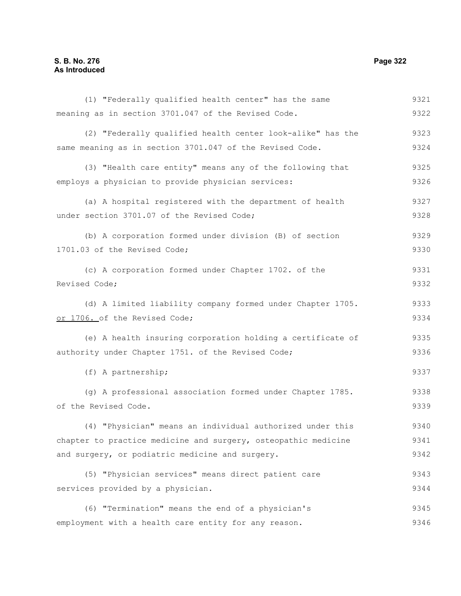## **S. B. No. 276 Page 322 As Introduced**

(1) "Federally qualified health center" has the same meaning as in section 3701.047 of the Revised Code. (2) "Federally qualified health center look-alike" has the same meaning as in section 3701.047 of the Revised Code. (3) "Health care entity" means any of the following that employs a physician to provide physician services: (a) A hospital registered with the department of health under section 3701.07 of the Revised Code; (b) A corporation formed under division (B) of section 1701.03 of the Revised Code; (c) A corporation formed under Chapter 1702. of the Revised Code; (d) A limited liability company formed under Chapter 1705. or 1706. of the Revised Code; (e) A health insuring corporation holding a certificate of authority under Chapter 1751. of the Revised Code; (f) A partnership; (g) A professional association formed under Chapter 1785. of the Revised Code. (4) "Physician" means an individual authorized under this chapter to practice medicine and surgery, osteopathic medicine and surgery, or podiatric medicine and surgery. (5) "Physician services" means direct patient care services provided by a physician. (6) "Termination" means the end of a physician's employment with a health care entity for any reason. 9321 9322 9323 9324 9325 9326 9327 9328 9329 9330 9331 9332 9333 9334 9335 9336 9337 9338 9339 9340 9341 9342 9343 9344 9345 9346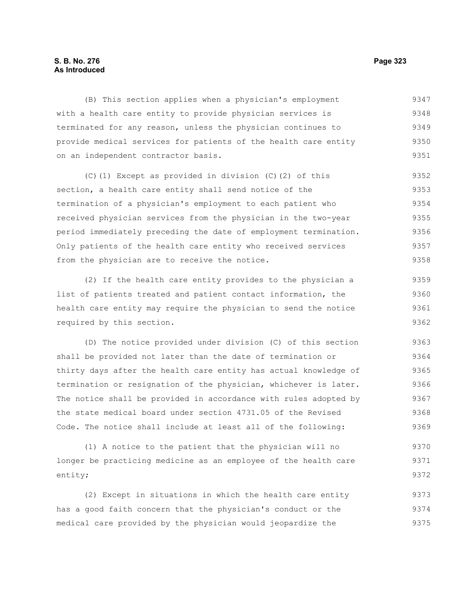## **S. B. No. 276 Page 323 As Introduced**

(B) This section applies when a physician's employment with a health care entity to provide physician services is terminated for any reason, unless the physician continues to provide medical services for patients of the health care entity on an independent contractor basis. 9347 9348 9349 9350 9351

(C)(1) Except as provided in division (C)(2) of this section, a health care entity shall send notice of the termination of a physician's employment to each patient who received physician services from the physician in the two-year period immediately preceding the date of employment termination. Only patients of the health care entity who received services from the physician are to receive the notice. 9352 9353 9354 9355 9356 9357 9358

(2) If the health care entity provides to the physician a list of patients treated and patient contact information, the health care entity may require the physician to send the notice required by this section. 9359 9360 9361 9362

(D) The notice provided under division (C) of this section shall be provided not later than the date of termination or thirty days after the health care entity has actual knowledge of termination or resignation of the physician, whichever is later. The notice shall be provided in accordance with rules adopted by the state medical board under section 4731.05 of the Revised Code. The notice shall include at least all of the following: 9363 9364 9365 9366 9367 9368 9369

(1) A notice to the patient that the physician will no longer be practicing medicine as an employee of the health care entity; 9370 9371 9372

(2) Except in situations in which the health care entity has a good faith concern that the physician's conduct or the medical care provided by the physician would jeopardize the 9373 9374 9375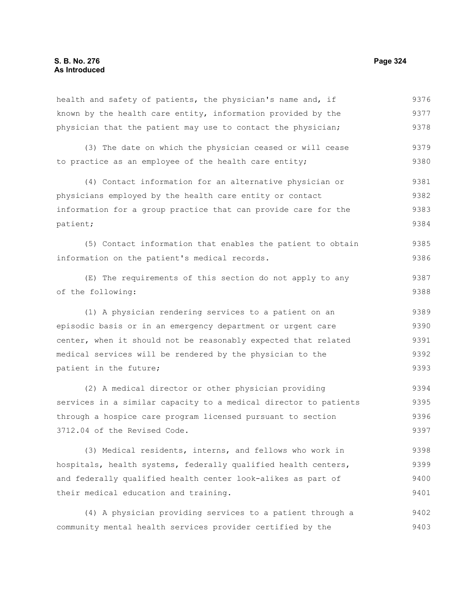health and safety of patients, the physician's name and, if known by the health care entity, information provided by the physician that the patient may use to contact the physician; 9376 9377 9378

(3) The date on which the physician ceased or will cease to practice as an employee of the health care entity; 9379 9380

(4) Contact information for an alternative physician or physicians employed by the health care entity or contact information for a group practice that can provide care for the patient; 9381 9382 9383 9384

(5) Contact information that enables the patient to obtain information on the patient's medical records. 9385 9386

(E) The requirements of this section do not apply to any of the following: 9387 9388

(1) A physician rendering services to a patient on an episodic basis or in an emergency department or urgent care center, when it should not be reasonably expected that related medical services will be rendered by the physician to the patient in the future; 9389 9390 9391 9392 9393

(2) A medical director or other physician providing services in a similar capacity to a medical director to patients through a hospice care program licensed pursuant to section 3712.04 of the Revised Code. 9394 9395 9396 9397

(3) Medical residents, interns, and fellows who work in hospitals, health systems, federally qualified health centers, and federally qualified health center look-alikes as part of their medical education and training. 9398 9399 9400 9401

(4) A physician providing services to a patient through a community mental health services provider certified by the 9402 9403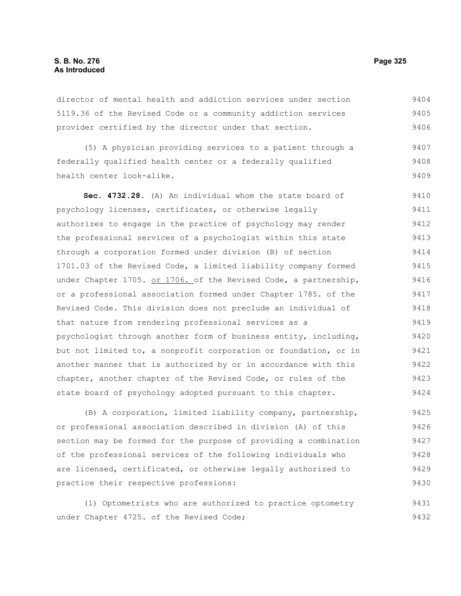director of mental health and addiction services under section 5119.36 of the Revised Code or a community addiction services provider certified by the director under that section. 9404 9405 9406

(5) A physician providing services to a patient through a federally qualified health center or a federally qualified health center look-alike. 9407 9408 9409

**Sec. 4732.28.** (A) An individual whom the state board of psychology licenses, certificates, or otherwise legally authorizes to engage in the practice of psychology may render the professional services of a psychologist within this state through a corporation formed under division (B) of section 1701.03 of the Revised Code, a limited liability company formed under Chapter 1705. or 1706. of the Revised Code, a partnership, or a professional association formed under Chapter 1785. of the Revised Code. This division does not preclude an individual of that nature from rendering professional services as a psychologist through another form of business entity, including, but not limited to, a nonprofit corporation or foundation, or in another manner that is authorized by or in accordance with this chapter, another chapter of the Revised Code, or rules of the state board of psychology adopted pursuant to this chapter. 9410 9411 9412 9413 9414 9415 9416 9417 9418 9419 9420 9421 9422 9423 9424

(B) A corporation, limited liability company, partnership, or professional association described in division (A) of this section may be formed for the purpose of providing a combination of the professional services of the following individuals who are licensed, certificated, or otherwise legally authorized to practice their respective professions: 9425 9426 9427 9428 9429 9430

(1) Optometrists who are authorized to practice optometry under Chapter 4725. of the Revised Code; 9431 9432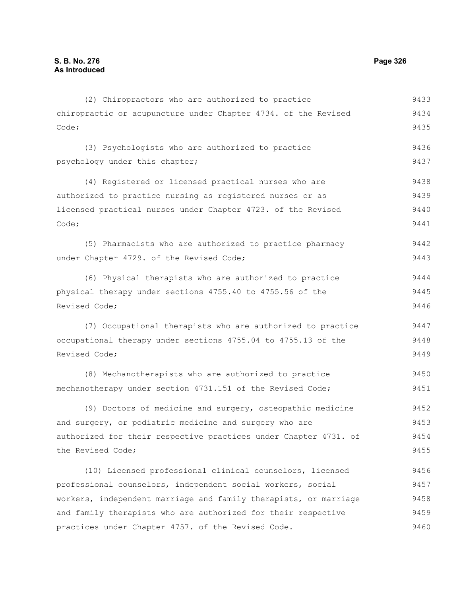| (2) Chiropractors who are authorized to practice                 | 9433 |
|------------------------------------------------------------------|------|
| chiropractic or acupuncture under Chapter 4734. of the Revised   | 9434 |
| Code;                                                            | 9435 |
| (3) Psychologists who are authorized to practice                 | 9436 |
| psychology under this chapter;                                   | 9437 |
| (4) Registered or licensed practical nurses who are              | 9438 |
| authorized to practice nursing as registered nurses or as        | 9439 |
| licensed practical nurses under Chapter 4723. of the Revised     | 9440 |
| Code;                                                            | 9441 |
| (5) Pharmacists who are authorized to practice pharmacy          | 9442 |
| under Chapter 4729. of the Revised Code;                         | 9443 |
| (6) Physical therapists who are authorized to practice           | 9444 |
| physical therapy under sections 4755.40 to 4755.56 of the        | 9445 |
| Revised Code;                                                    | 9446 |
| (7) Occupational therapists who are authorized to practice       | 9447 |
| occupational therapy under sections 4755.04 to 4755.13 of the    | 9448 |
| Revised Code;                                                    | 9449 |
| (8) Mechanotherapists who are authorized to practice             | 9450 |
| mechanotherapy under section 4731.151 of the Revised Code;       | 9451 |
| (9) Doctors of medicine and surgery, osteopathic medicine        | 9452 |
| and surgery, or podiatric medicine and surgery who are           | 9453 |
| authorized for their respective practices under Chapter 4731. of | 9454 |
| the Revised Code;                                                | 9455 |
| (10) Licensed professional clinical counselors, licensed         | 9456 |
| professional counselors, independent social workers, social      | 9457 |
| workers, independent marriage and family therapists, or marriage | 9458 |
| and family therapists who are authorized for their respective    | 9459 |
| practices under Chapter 4757. of the Revised Code.               | 9460 |
|                                                                  |      |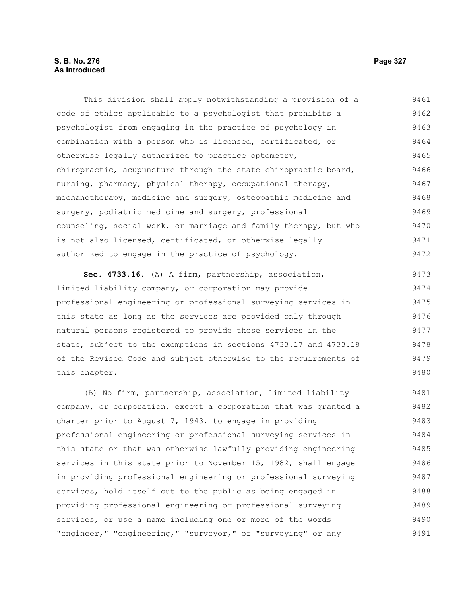# **S. B. No. 276 Page 327 As Introduced**

This division shall apply notwithstanding a provision of a code of ethics applicable to a psychologist that prohibits a psychologist from engaging in the practice of psychology in combination with a person who is licensed, certificated, or otherwise legally authorized to practice optometry, chiropractic, acupuncture through the state chiropractic board, nursing, pharmacy, physical therapy, occupational therapy, mechanotherapy, medicine and surgery, osteopathic medicine and surgery, podiatric medicine and surgery, professional counseling, social work, or marriage and family therapy, but who is not also licensed, certificated, or otherwise legally authorized to engage in the practice of psychology. 9461 9462 9463 9464 9465 9466 9467 9468 9469 9470 9471 9472

**Sec. 4733.16.** (A) A firm, partnership, association, limited liability company, or corporation may provide professional engineering or professional surveying services in this state as long as the services are provided only through natural persons registered to provide those services in the state, subject to the exemptions in sections 4733.17 and 4733.18 of the Revised Code and subject otherwise to the requirements of this chapter. 9473 9474 9475 9476 9477 9478 9479 9480

(B) No firm, partnership, association, limited liability company, or corporation, except a corporation that was granted a charter prior to August 7, 1943, to engage in providing professional engineering or professional surveying services in this state or that was otherwise lawfully providing engineering services in this state prior to November 15, 1982, shall engage in providing professional engineering or professional surveying services, hold itself out to the public as being engaged in providing professional engineering or professional surveying services, or use a name including one or more of the words "engineer," "engineering," "surveyor," or "surveying" or any 9481 9482 9483 9484 9485 9486 9487 9488 9489 9490 9491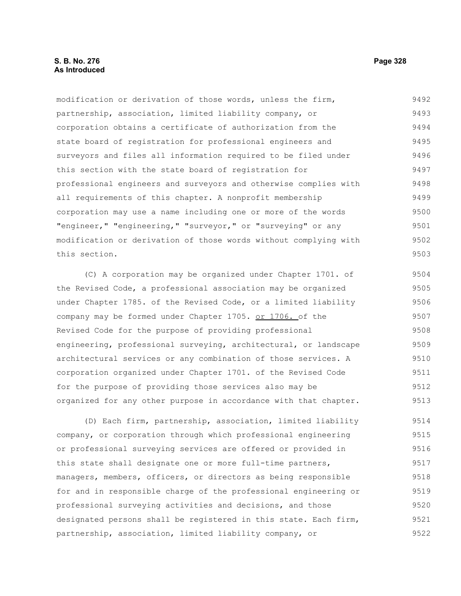# **S. B. No. 276 Page 328 As Introduced**

modification or derivation of those words, unless the firm, partnership, association, limited liability company, or corporation obtains a certificate of authorization from the state board of registration for professional engineers and surveyors and files all information required to be filed under this section with the state board of registration for professional engineers and surveyors and otherwise complies with all requirements of this chapter. A nonprofit membership corporation may use a name including one or more of the words "engineer," "engineering," "surveyor," or "surveying" or any modification or derivation of those words without complying with this section. 9492 9493 9494 9495 9496 9497 9498 9499 9500 9501 9502 9503

(C) A corporation may be organized under Chapter 1701. of the Revised Code, a professional association may be organized under Chapter 1785. of the Revised Code, or a limited liability company may be formed under Chapter 1705. or 1706. of the Revised Code for the purpose of providing professional engineering, professional surveying, architectural, or landscape architectural services or any combination of those services. A corporation organized under Chapter 1701. of the Revised Code for the purpose of providing those services also may be organized for any other purpose in accordance with that chapter. 9504 9505 9506 9507 9508 9509 9510 9511 9512 9513

(D) Each firm, partnership, association, limited liability company, or corporation through which professional engineering or professional surveying services are offered or provided in this state shall designate one or more full-time partners, managers, members, officers, or directors as being responsible for and in responsible charge of the professional engineering or professional surveying activities and decisions, and those designated persons shall be registered in this state. Each firm, partnership, association, limited liability company, or 9514 9515 9516 9517 9518 9519 9520 9521 9522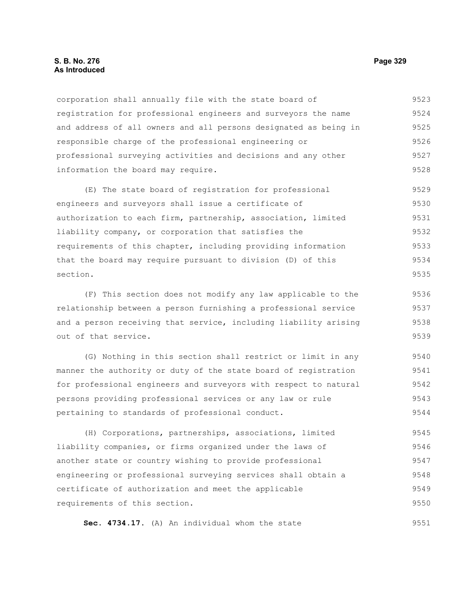## **S. B. No. 276 Page 329 As Introduced**

corporation shall annually file with the state board of registration for professional engineers and surveyors the name and address of all owners and all persons designated as being in responsible charge of the professional engineering or professional surveying activities and decisions and any other information the board may require. 9523 9524 9525 9526 9527 9528

(E) The state board of registration for professional engineers and surveyors shall issue a certificate of authorization to each firm, partnership, association, limited liability company, or corporation that satisfies the requirements of this chapter, including providing information that the board may require pursuant to division (D) of this section. 9529 9530 9531 9532 9533 9534 9535

(F) This section does not modify any law applicable to the relationship between a person furnishing a professional service and a person receiving that service, including liability arising out of that service. 9536 9537 9538 9539

(G) Nothing in this section shall restrict or limit in any manner the authority or duty of the state board of registration for professional engineers and surveyors with respect to natural persons providing professional services or any law or rule pertaining to standards of professional conduct. 9540 9541 9542 9543 9544

(H) Corporations, partnerships, associations, limited liability companies, or firms organized under the laws of another state or country wishing to provide professional engineering or professional surveying services shall obtain a certificate of authorization and meet the applicable requirements of this section. 9545 9546 9547 9548 9549 9550

**Sec. 4734.17.** (A) An individual whom the state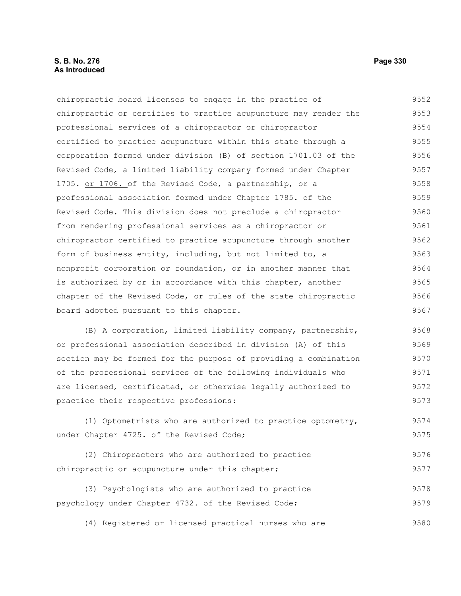# **S. B. No. 276 Page 330 As Introduced**

chiropractic board licenses to engage in the practice of chiropractic or certifies to practice acupuncture may render the professional services of a chiropractor or chiropractor certified to practice acupuncture within this state through a corporation formed under division (B) of section 1701.03 of the Revised Code, a limited liability company formed under Chapter 1705. or 1706. of the Revised Code, a partnership, or a professional association formed under Chapter 1785. of the Revised Code. This division does not preclude a chiropractor from rendering professional services as a chiropractor or chiropractor certified to practice acupuncture through another form of business entity, including, but not limited to, a nonprofit corporation or foundation, or in another manner that is authorized by or in accordance with this chapter, another chapter of the Revised Code, or rules of the state chiropractic board adopted pursuant to this chapter. 9552 9553 9554 9555 9556 9557 9558 9559 9560 9561 9562 9563 9564 9565 9566 9567

(B) A corporation, limited liability company, partnership, or professional association described in division (A) of this section may be formed for the purpose of providing a combination of the professional services of the following individuals who are licensed, certificated, or otherwise legally authorized to practice their respective professions: 9568 9569 9570 9571 9572 9573

(1) Optometrists who are authorized to practice optometry, under Chapter 4725. of the Revised Code; 9574 9575

(2) Chiropractors who are authorized to practice chiropractic or acupuncture under this chapter; 9576 9577

(3) Psychologists who are authorized to practice psychology under Chapter 4732. of the Revised Code; 9578 9579

(4) Registered or licensed practical nurses who are 9580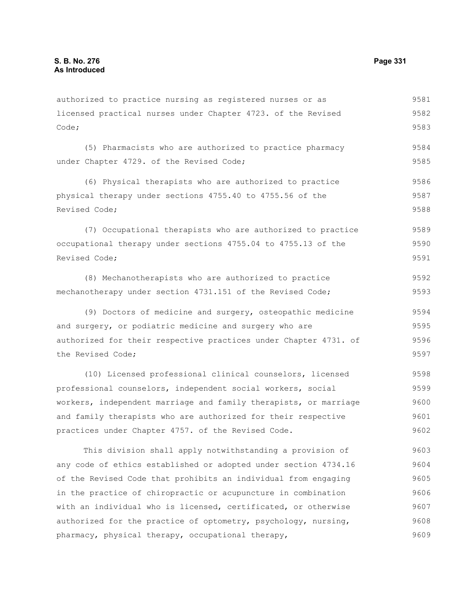Code;

licensed practical nurses under Chapter 4723. of the Revised (5) Pharmacists who are authorized to practice pharmacy under Chapter 4729. of the Revised Code; (6) Physical therapists who are authorized to practice physical therapy under sections 4755.40 to 4755.56 of the Revised Code; (7) Occupational therapists who are authorized to practice occupational therapy under sections 4755.04 to 4755.13 of the Revised Code; (8) Mechanotherapists who are authorized to practice mechanotherapy under section 4731.151 of the Revised Code; (9) Doctors of medicine and surgery, osteopathic medicine and surgery, or podiatric medicine and surgery who are authorized for their respective practices under Chapter 4731. of 9582 9583 9584 9585 9586 9587 9588 9589 9590 9591 9592 9593 9594 9595 9596

authorized to practice nursing as registered nurses or as

the Revised Code; (10) Licensed professional clinical counselors, licensed professional counselors, independent social workers, social workers, independent marriage and family therapists, or marriage 9597 9598 9599 9600

and family therapists who are authorized for their respective practices under Chapter 4757. of the Revised Code. 9601 9602

This division shall apply notwithstanding a provision of any code of ethics established or adopted under section 4734.16 of the Revised Code that prohibits an individual from engaging in the practice of chiropractic or acupuncture in combination with an individual who is licensed, certificated, or otherwise authorized for the practice of optometry, psychology, nursing, pharmacy, physical therapy, occupational therapy, 9603 9604 9605 9606 9607 9608 9609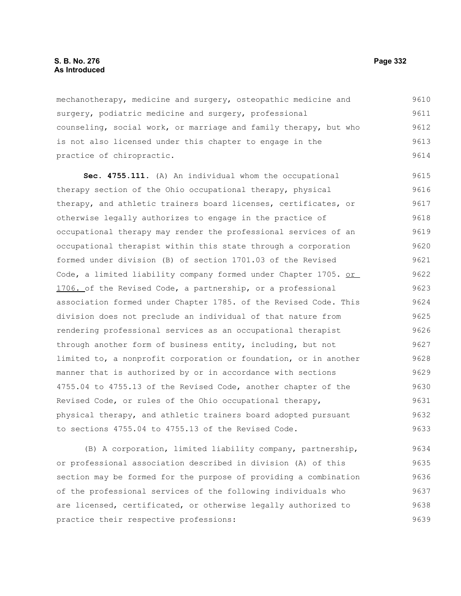## **S. B. No. 276 Page 332 As Introduced**

mechanotherapy, medicine and surgery, osteopathic medicine and surgery, podiatric medicine and surgery, professional counseling, social work, or marriage and family therapy, but who is not also licensed under this chapter to engage in the practice of chiropractic. 9610 9611 9612 9613 9614

**Sec. 4755.111.** (A) An individual whom the occupational therapy section of the Ohio occupational therapy, physical therapy, and athletic trainers board licenses, certificates, or otherwise legally authorizes to engage in the practice of occupational therapy may render the professional services of an occupational therapist within this state through a corporation formed under division (B) of section 1701.03 of the Revised Code, a limited liability company formed under Chapter 1705. or 1706. of the Revised Code, a partnership, or a professional association formed under Chapter 1785. of the Revised Code. This division does not preclude an individual of that nature from rendering professional services as an occupational therapist through another form of business entity, including, but not limited to, a nonprofit corporation or foundation, or in another manner that is authorized by or in accordance with sections 4755.04 to 4755.13 of the Revised Code, another chapter of the Revised Code, or rules of the Ohio occupational therapy, physical therapy, and athletic trainers board adopted pursuant to sections 4755.04 to 4755.13 of the Revised Code. 9615 9616 9617 9618 9619 9620 9621 9622 9623 9624 9625 9626 9627 9628 9629 9630 9631 9632 9633

(B) A corporation, limited liability company, partnership, or professional association described in division (A) of this section may be formed for the purpose of providing a combination of the professional services of the following individuals who are licensed, certificated, or otherwise legally authorized to practice their respective professions: 9634 9635 9636 9637 9638 9639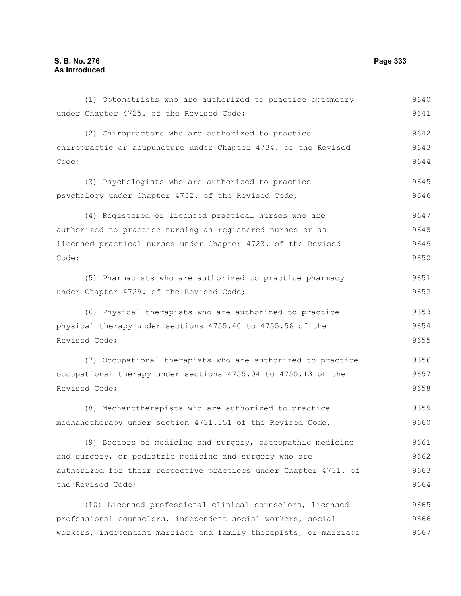(1) Optometrists who are authorized to practice optometry under Chapter 4725. of the Revised Code; (2) Chiropractors who are authorized to practice chiropractic or acupuncture under Chapter 4734. of the Revised Code; (3) Psychologists who are authorized to practice psychology under Chapter 4732. of the Revised Code; (4) Registered or licensed practical nurses who are authorized to practice nursing as registered nurses or as licensed practical nurses under Chapter 4723. of the Revised Code; (5) Pharmacists who are authorized to practice pharmacy under Chapter 4729. of the Revised Code; (6) Physical therapists who are authorized to practice physical therapy under sections 4755.40 to 4755.56 of the Revised Code; (7) Occupational therapists who are authorized to practice occupational therapy under sections 4755.04 to 4755.13 of the Revised Code; (8) Mechanotherapists who are authorized to practice mechanotherapy under section 4731.151 of the Revised Code; (9) Doctors of medicine and surgery, osteopathic medicine and surgery, or podiatric medicine and surgery who are authorized for their respective practices under Chapter 4731. of the Revised Code; (10) Licensed professional clinical counselors, licensed professional counselors, independent social workers, social workers, independent marriage and family therapists, or marriage 9640 9641 9642 9643 9644 9645 9646 9647 9648 9649 9650 9651 9652 9653 9654 9655 9656 9657 9658 9659 9660 9661 9662 9663 9664 9665 9666 9667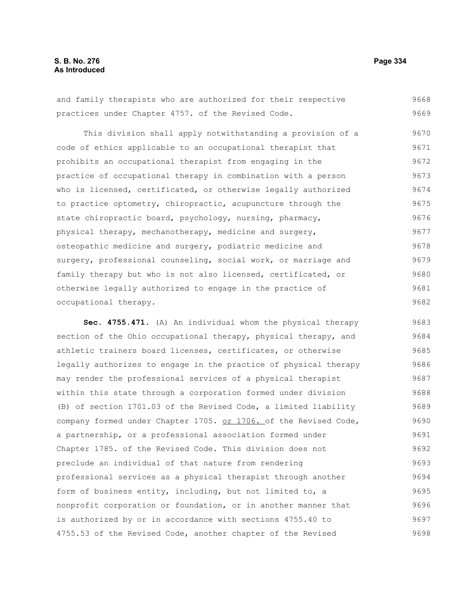# **S. B. No. 276 Page 334 As Introduced**

and family therapists who are authorized for their respective practices under Chapter 4757. of the Revised Code. 9668 9669

This division shall apply notwithstanding a provision of a code of ethics applicable to an occupational therapist that prohibits an occupational therapist from engaging in the practice of occupational therapy in combination with a person who is licensed, certificated, or otherwise legally authorized to practice optometry, chiropractic, acupuncture through the state chiropractic board, psychology, nursing, pharmacy, physical therapy, mechanotherapy, medicine and surgery, osteopathic medicine and surgery, podiatric medicine and surgery, professional counseling, social work, or marriage and family therapy but who is not also licensed, certificated, or otherwise legally authorized to engage in the practice of occupational therapy. 9670 9671 9672 9673 9674 9675 9676 9677 9678 9679 9680 9681 9682

**Sec. 4755.471.** (A) An individual whom the physical therapy section of the Ohio occupational therapy, physical therapy, and athletic trainers board licenses, certificates, or otherwise legally authorizes to engage in the practice of physical therapy may render the professional services of a physical therapist within this state through a corporation formed under division (B) of section 1701.03 of the Revised Code, a limited liability company formed under Chapter 1705. or 1706. of the Revised Code, a partnership, or a professional association formed under Chapter 1785. of the Revised Code. This division does not preclude an individual of that nature from rendering professional services as a physical therapist through another form of business entity, including, but not limited to, a nonprofit corporation or foundation, or in another manner that is authorized by or in accordance with sections 4755.40 to 4755.53 of the Revised Code, another chapter of the Revised 9683 9684 9685 9686 9687 9688 9689 9690 9691 9692 9693 9694 9695 9696 9697 9698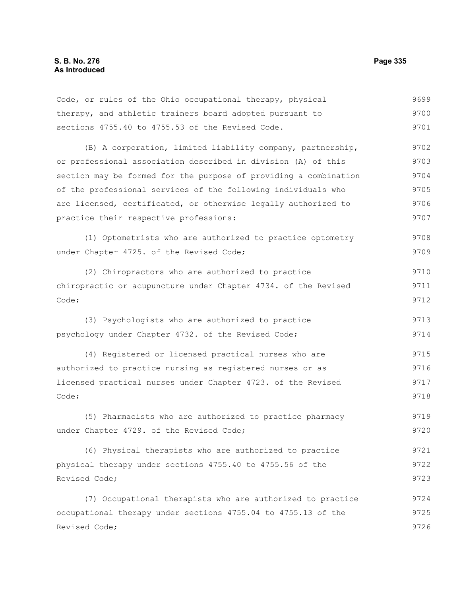| Code, or rules of the Ohio occupational therapy, physical        | 9699 |
|------------------------------------------------------------------|------|
| therapy, and athletic trainers board adopted pursuant to         | 9700 |
| sections 4755.40 to 4755.53 of the Revised Code.                 | 9701 |
| (B) A corporation, limited liability company, partnership,       | 9702 |
| or professional association described in division (A) of this    | 9703 |
| section may be formed for the purpose of providing a combination | 9704 |
| of the professional services of the following individuals who    | 9705 |
| are licensed, certificated, or otherwise legally authorized to   | 9706 |
| practice their respective professions:                           | 9707 |
| (1) Optometrists who are authorized to practice optometry        | 9708 |
| under Chapter 4725. of the Revised Code;                         | 9709 |
| (2) Chiropractors who are authorized to practice                 | 9710 |
| chiropractic or acupuncture under Chapter 4734. of the Revised   | 9711 |
| Code;                                                            | 9712 |
| (3) Psychologists who are authorized to practice                 | 9713 |
| psychology under Chapter 4732. of the Revised Code;              | 9714 |
| (4) Registered or licensed practical nurses who are              | 9715 |
| authorized to practice nursing as registered nurses or as        | 9716 |
| licensed practical nurses under Chapter 4723. of the Revised     | 9717 |
| Code;                                                            | 9718 |
| (5) Pharmacists who are authorized to practice pharmacy          | 9719 |
| under Chapter 4729. of the Revised Code;                         | 9720 |
| (6) Physical therapists who are authorized to practice           | 9721 |
| physical therapy under sections 4755.40 to 4755.56 of the        | 9722 |
| Revised Code;                                                    | 9723 |
| (7) Occupational therapists who are authorized to practice       | 9724 |
| occupational therapy under sections 4755.04 to 4755.13 of the    | 9725 |
| Revised Code;                                                    | 9726 |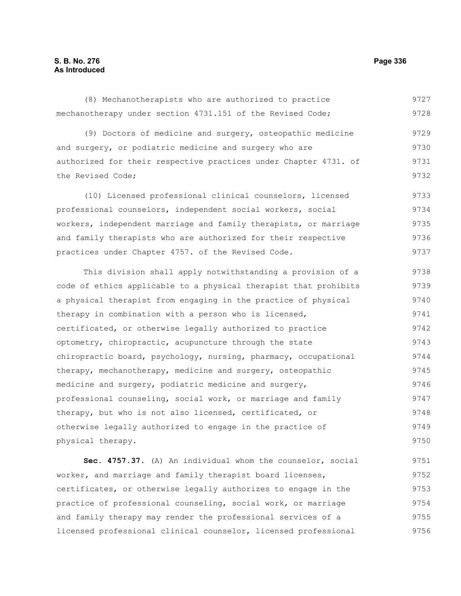# **S. B. No. 276 Page 336 As Introduced**

mechanotherapy under section 4731.151 of the Revised Code; (9) Doctors of medicine and surgery, osteopathic medicine and surgery, or podiatric medicine and surgery who are authorized for their respective practices under Chapter 4731. of the Revised Code; (10) Licensed professional clinical counselors, licensed professional counselors, independent social workers, social workers, independent marriage and family therapists, or marriage and family therapists who are authorized for their respective practices under Chapter 4757. of the Revised Code. This division shall apply notwithstanding a provision of a code of ethics applicable to a physical therapist that prohibits 9728 9729 9730 9731 9732 9733 9734 9735 9736 9737 9738 9739

(8) Mechanotherapists who are authorized to practice

a physical therapist from engaging in the practice of physical therapy in combination with a person who is licensed, certificated, or otherwise legally authorized to practice optometry, chiropractic, acupuncture through the state chiropractic board, psychology, nursing, pharmacy, occupational therapy, mechanotherapy, medicine and surgery, osteopathic medicine and surgery, podiatric medicine and surgery, professional counseling, social work, or marriage and family therapy, but who is not also licensed, certificated, or otherwise legally authorized to engage in the practice of physical therapy. 9740 9741 9742 9743 9744 9745 9746 9747 9748 9749 9750

**Sec. 4757.37.** (A) An individual whom the counselor, social worker, and marriage and family therapist board licenses, certificates, or otherwise legally authorizes to engage in the practice of professional counseling, social work, or marriage and family therapy may render the professional services of a licensed professional clinical counselor, licensed professional 9751 9752 9753 9754 9755 9756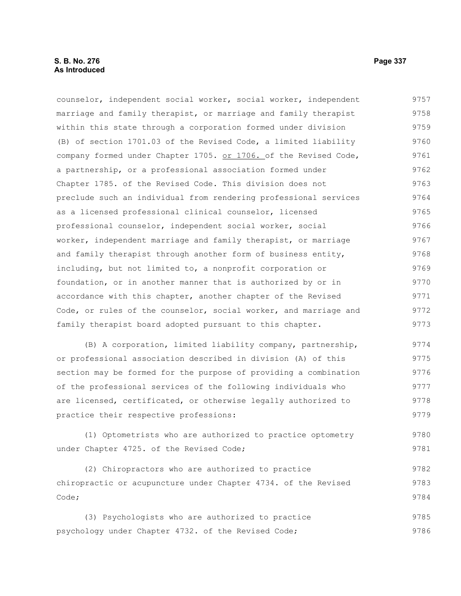## **S. B. No. 276 Page 337 As Introduced**

counselor, independent social worker, social worker, independent marriage and family therapist, or marriage and family therapist within this state through a corporation formed under division (B) of section 1701.03 of the Revised Code, a limited liability company formed under Chapter 1705. or 1706. of the Revised Code, a partnership, or a professional association formed under Chapter 1785. of the Revised Code. This division does not preclude such an individual from rendering professional services as a licensed professional clinical counselor, licensed professional counselor, independent social worker, social worker, independent marriage and family therapist, or marriage and family therapist through another form of business entity, including, but not limited to, a nonprofit corporation or foundation, or in another manner that is authorized by or in accordance with this chapter, another chapter of the Revised Code, or rules of the counselor, social worker, and marriage and family therapist board adopted pursuant to this chapter. 9757 9758 9759 9760 9761 9762 9763 9764 9765 9766 9767 9768 9769 9770 9771 9772 9773

(B) A corporation, limited liability company, partnership, or professional association described in division (A) of this section may be formed for the purpose of providing a combination of the professional services of the following individuals who are licensed, certificated, or otherwise legally authorized to practice their respective professions: 9774 9775 9776 9777 9778 9779

(1) Optometrists who are authorized to practice optometry under Chapter 4725. of the Revised Code; 9780 9781

(2) Chiropractors who are authorized to practice chiropractic or acupuncture under Chapter 4734. of the Revised Code; 9782 9783 9784

(3) Psychologists who are authorized to practice psychology under Chapter 4732. of the Revised Code; 9785 9786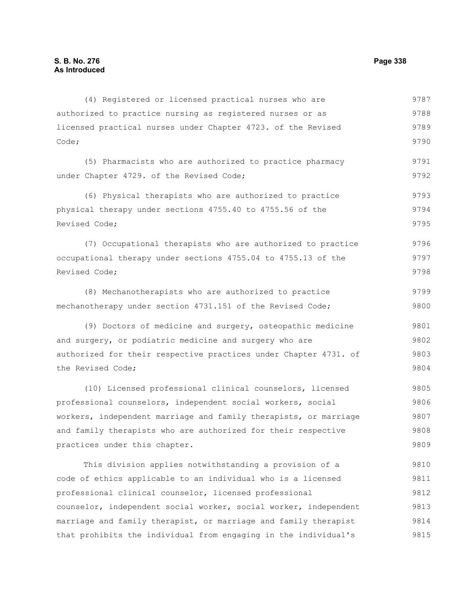authorized to practice nursing as registered nurses or as licensed practical nurses under Chapter 4723. of the Revised Code; (5) Pharmacists who are authorized to practice pharmacy under Chapter 4729. of the Revised Code; (6) Physical therapists who are authorized to practice physical therapy under sections 4755.40 to 4755.56 of the Revised Code; (7) Occupational therapists who are authorized to practice occupational therapy under sections 4755.04 to 4755.13 of the Revised Code; (8) Mechanotherapists who are authorized to practice mechanotherapy under section 4731.151 of the Revised Code; (9) Doctors of medicine and surgery, osteopathic medicine and surgery, or podiatric medicine and surgery who are authorized for their respective practices under Chapter 4731. of the Revised Code; (10) Licensed professional clinical counselors, licensed professional counselors, independent social workers, social workers, independent marriage and family therapists, or marriage and family therapists who are authorized for their respective practices under this chapter. This division applies notwithstanding a provision of a 9788 9789 9790 9791 9792 9793 9794 9795 9796 9797 9798 9799 9800 9801 9802 9803 9804 9805 9806 9807 9808 9809 9810

(4) Registered or licensed practical nurses who are

code of ethics applicable to an individual who is a licensed professional clinical counselor, licensed professional counselor, independent social worker, social worker, independent marriage and family therapist, or marriage and family therapist that prohibits the individual from engaging in the individual's 9812 9813 9814 9815

9787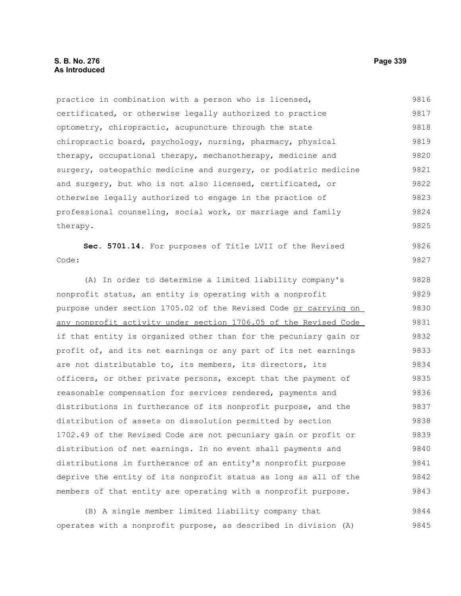# **S. B. No. 276 Page 339 As Introduced**

practice in combination with a person who is licensed, certificated, or otherwise legally authorized to practice optometry, chiropractic, acupuncture through the state chiropractic board, psychology, nursing, pharmacy, physical therapy, occupational therapy, mechanotherapy, medicine and surgery, osteopathic medicine and surgery, or podiatric medicine and surgery, but who is not also licensed, certificated, or otherwise legally authorized to engage in the practice of professional counseling, social work, or marriage and family therapy. 9816 9817 9818 9819 9820 9821 9822 9823 9824 9825

**Sec. 5701.14.** For purposes of Title LVII of the Revised Code: 9826 9827

(A) In order to determine a limited liability company's nonprofit status, an entity is operating with a nonprofit purpose under section 1705.02 of the Revised Code or carrying on any nonprofit activity under section 1706.05 of the Revised Code if that entity is organized other than for the pecuniary gain or profit of, and its net earnings or any part of its net earnings are not distributable to, its members, its directors, its officers, or other private persons, except that the payment of reasonable compensation for services rendered, payments and distributions in furtherance of its nonprofit purpose, and the distribution of assets on dissolution permitted by section 1702.49 of the Revised Code are not pecuniary gain or profit or distribution of net earnings. In no event shall payments and distributions in furtherance of an entity's nonprofit purpose deprive the entity of its nonprofit status as long as all of the members of that entity are operating with a nonprofit purpose. 9828 9829 9830 9831 9832 9833 9834 9835 9836 9837 9838 9839 9840 9841 9842 9843

(B) A single member limited liability company that operates with a nonprofit purpose, as described in division (A) 9844 9845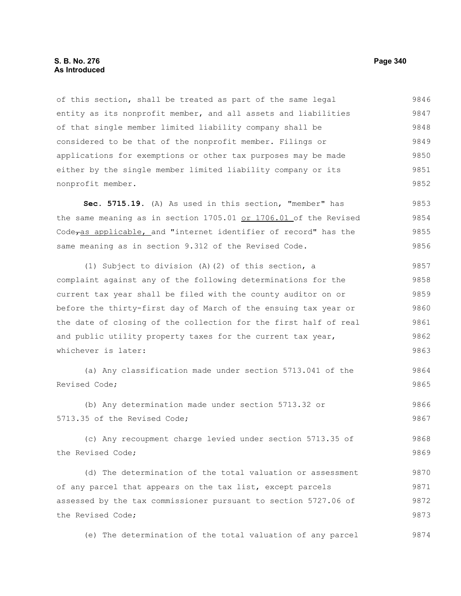of this section, shall be treated as part of the same legal entity as its nonprofit member, and all assets and liabilities of that single member limited liability company shall be considered to be that of the nonprofit member. Filings or applications for exemptions or other tax purposes may be made either by the single member limited liability company or its nonprofit member. 9846 9847 9848 9849 9850 9851 9852

**Sec. 5715.19.** (A) As used in this section, "member" has the same meaning as in section 1705.01 or 1706.01 of the Revised Code<sub>ras applicable, and "internet identifier of record" has the</sub> same meaning as in section 9.312 of the Revised Code. 9853 9854 9855 9856

(1) Subject to division (A)(2) of this section, a complaint against any of the following determinations for the current tax year shall be filed with the county auditor on or before the thirty-first day of March of the ensuing tax year or the date of closing of the collection for the first half of real and public utility property taxes for the current tax year, whichever is later: 9857 9858 9859 9860 9861 9862 9863

(a) Any classification made under section 5713.041 of the Revised Code; 9864 9865

(b) Any determination made under section 5713.32 or 5713.35 of the Revised Code; 9866 9867

(c) Any recoupment charge levied under section 5713.35 of the Revised Code; 9868 9869

(d) The determination of the total valuation or assessment of any parcel that appears on the tax list, except parcels assessed by the tax commissioner pursuant to section 5727.06 of the Revised Code; 9870 9871 9872 9873

(e) The determination of the total valuation of any parcel 9874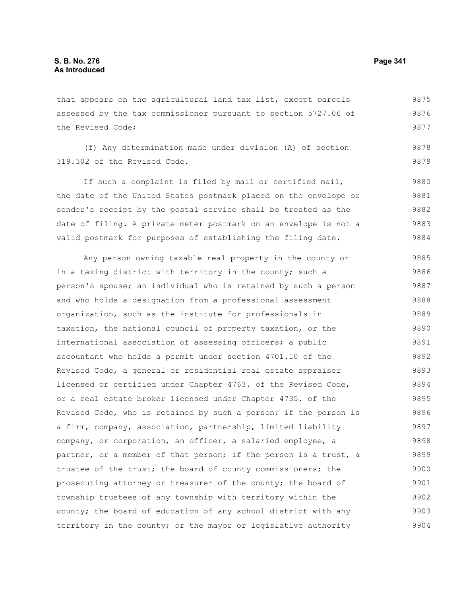that appears on the agricultural land tax list, except parcels assessed by the tax commissioner pursuant to section 5727.06 of the Revised Code; 9875 9876 9877

(f) Any determination made under division (A) of section 319.302 of the Revised Code. 9879

If such a complaint is filed by mail or certified mail, the date of the United States postmark placed on the envelope or sender's receipt by the postal service shall be treated as the date of filing. A private meter postmark on an envelope is not a valid postmark for purposes of establishing the filing date. 9880 9881 9882 9883 9884

Any person owning taxable real property in the county or in a taxing district with territory in the county; such a person's spouse; an individual who is retained by such a person and who holds a designation from a professional assessment organization, such as the institute for professionals in taxation, the national council of property taxation, or the international association of assessing officers; a public accountant who holds a permit under section 4701.10 of the Revised Code, a general or residential real estate appraiser licensed or certified under Chapter 4763. of the Revised Code, or a real estate broker licensed under Chapter 4735. of the Revised Code, who is retained by such a person; if the person is a firm, company, association, partnership, limited liability company, or corporation, an officer, a salaried employee, a partner, or a member of that person; if the person is a trust, a trustee of the trust; the board of county commissioners; the prosecuting attorney or treasurer of the county; the board of township trustees of any township with territory within the county; the board of education of any school district with any territory in the county; or the mayor or legislative authority 9885 9886 9887 9888 9889 9890 9891 9892 9893 9894 9895 9896 9897 9898 9899 9900 9901 9902 9903 9904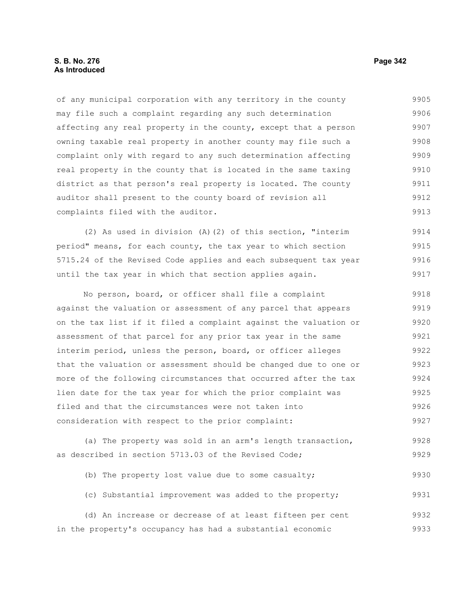## **S. B. No. 276 Page 342 As Introduced**

of any municipal corporation with any territory in the county may file such a complaint regarding any such determination affecting any real property in the county, except that a person owning taxable real property in another county may file such a complaint only with regard to any such determination affecting real property in the county that is located in the same taxing district as that person's real property is located. The county auditor shall present to the county board of revision all complaints filed with the auditor. 9905 9906 9907 9908 9909 9910 9911 9912 9913

(2) As used in division (A)(2) of this section, "interim period" means, for each county, the tax year to which section 5715.24 of the Revised Code applies and each subsequent tax year until the tax year in which that section applies again. 9914 9915 9916 9917

No person, board, or officer shall file a complaint against the valuation or assessment of any parcel that appears on the tax list if it filed a complaint against the valuation or assessment of that parcel for any prior tax year in the same interim period, unless the person, board, or officer alleges that the valuation or assessment should be changed due to one or more of the following circumstances that occurred after the tax lien date for the tax year for which the prior complaint was filed and that the circumstances were not taken into consideration with respect to the prior complaint: 9918 9919 9920 9921 9922 9923 9924 9925 9926 9927

(a) The property was sold in an arm's length transaction, as described in section 5713.03 of the Revised Code; 9928 9929

(b) The property lost value due to some casualty; 9930

(c) Substantial improvement was added to the property; 9931

(d) An increase or decrease of at least fifteen per cent in the property's occupancy has had a substantial economic 9932 9933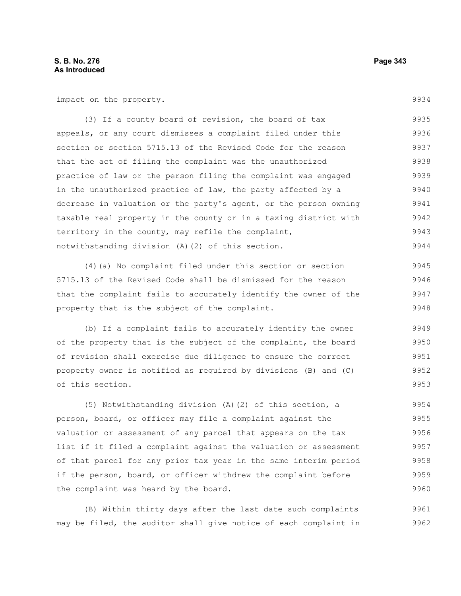impact on the property.

(3) If a county board of revision, the board of tax appeals, or any court dismisses a complaint filed under this section or section 5715.13 of the Revised Code for the reason that the act of filing the complaint was the unauthorized practice of law or the person filing the complaint was engaged in the unauthorized practice of law, the party affected by a decrease in valuation or the party's agent, or the person owning taxable real property in the county or in a taxing district with territory in the county, may refile the complaint, notwithstanding division (A)(2) of this section. 9935 9936 9937 9938 9939 9940 9941 9942 9943 9944

(4)(a) No complaint filed under this section or section 5715.13 of the Revised Code shall be dismissed for the reason that the complaint fails to accurately identify the owner of the property that is the subject of the complaint. 9945 9946 9947 9948

(b) If a complaint fails to accurately identify the owner of the property that is the subject of the complaint, the board of revision shall exercise due diligence to ensure the correct property owner is notified as required by divisions (B) and (C) of this section. 9949 9950 9951 9952 9953

(5) Notwithstanding division (A)(2) of this section, a person, board, or officer may file a complaint against the valuation or assessment of any parcel that appears on the tax list if it filed a complaint against the valuation or assessment of that parcel for any prior tax year in the same interim period if the person, board, or officer withdrew the complaint before the complaint was heard by the board. 9954 9955 9956 9957 9958 9959 9960

(B) Within thirty days after the last date such complaints may be filed, the auditor shall give notice of each complaint in 9961 9962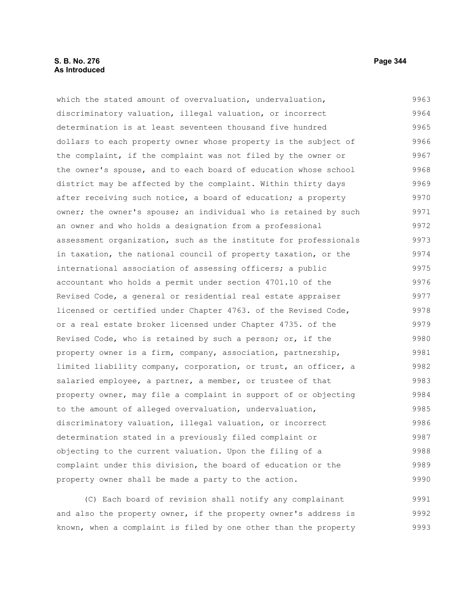## **S. B. No. 276 Page 344 As Introduced**

which the stated amount of overvaluation, undervaluation, discriminatory valuation, illegal valuation, or incorrect determination is at least seventeen thousand five hundred dollars to each property owner whose property is the subject of the complaint, if the complaint was not filed by the owner or the owner's spouse, and to each board of education whose school district may be affected by the complaint. Within thirty days after receiving such notice, a board of education; a property owner; the owner's spouse; an individual who is retained by such an owner and who holds a designation from a professional assessment organization, such as the institute for professionals in taxation, the national council of property taxation, or the international association of assessing officers; a public accountant who holds a permit under section 4701.10 of the Revised Code, a general or residential real estate appraiser licensed or certified under Chapter 4763. of the Revised Code, or a real estate broker licensed under Chapter 4735. of the Revised Code, who is retained by such a person; or, if the property owner is a firm, company, association, partnership, limited liability company, corporation, or trust, an officer, a salaried employee, a partner, a member, or trustee of that property owner, may file a complaint in support of or objecting to the amount of alleged overvaluation, undervaluation, discriminatory valuation, illegal valuation, or incorrect determination stated in a previously filed complaint or objecting to the current valuation. Upon the filing of a complaint under this division, the board of education or the property owner shall be made a party to the action. 9963 9964 9965 9966 9967 9968 9969 9970 9971 9972 9973 9974 9975 9976 9977 9978 9979 9980 9981 9982 9983 9984 9985 9986 9987 9988 9989 9990

(C) Each board of revision shall notify any complainant and also the property owner, if the property owner's address is known, when a complaint is filed by one other than the property 9991 9992 9993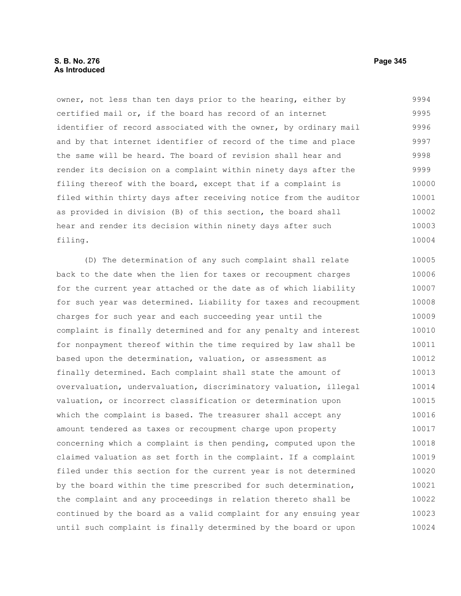# **S. B. No. 276 Page 345 As Introduced**

owner, not less than ten days prior to the hearing, either by certified mail or, if the board has record of an internet identifier of record associated with the owner, by ordinary mail and by that internet identifier of record of the time and place the same will be heard. The board of revision shall hear and render its decision on a complaint within ninety days after the filing thereof with the board, except that if a complaint is filed within thirty days after receiving notice from the auditor as provided in division (B) of this section, the board shall hear and render its decision within ninety days after such filing. 9994 9995 9996 9997 9998 9999 10000 10001 10002 10003 10004

(D) The determination of any such complaint shall relate back to the date when the lien for taxes or recoupment charges for the current year attached or the date as of which liability for such year was determined. Liability for taxes and recoupment charges for such year and each succeeding year until the complaint is finally determined and for any penalty and interest for nonpayment thereof within the time required by law shall be based upon the determination, valuation, or assessment as finally determined. Each complaint shall state the amount of overvaluation, undervaluation, discriminatory valuation, illegal valuation, or incorrect classification or determination upon which the complaint is based. The treasurer shall accept any amount tendered as taxes or recoupment charge upon property concerning which a complaint is then pending, computed upon the claimed valuation as set forth in the complaint. If a complaint filed under this section for the current year is not determined by the board within the time prescribed for such determination, the complaint and any proceedings in relation thereto shall be continued by the board as a valid complaint for any ensuing year until such complaint is finally determined by the board or upon 10005 10006 10007 10008 10009 10010 10011 10012 10013 10014 10015 10016 10017 10018 10019 10020 10021 10022 10023 10024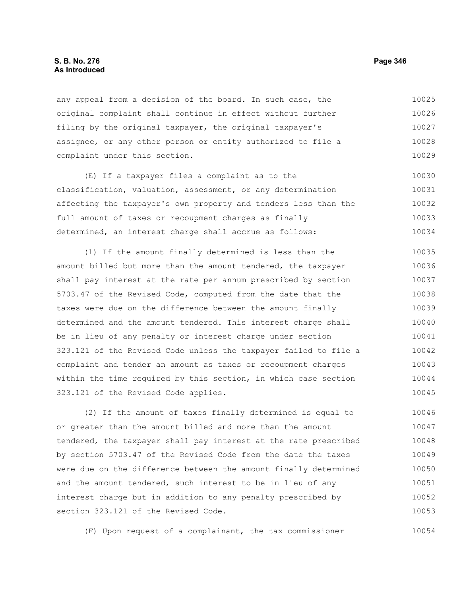## **S. B. No. 276 Page 346 As Introduced**

any appeal from a decision of the board. In such case, the original complaint shall continue in effect without further filing by the original taxpayer, the original taxpayer's assignee, or any other person or entity authorized to file a complaint under this section. 10025 10026 10027 10028 10029

(E) If a taxpayer files a complaint as to the classification, valuation, assessment, or any determination affecting the taxpayer's own property and tenders less than the full amount of taxes or recoupment charges as finally determined, an interest charge shall accrue as follows: 10030 10031 10032 10033 10034

(1) If the amount finally determined is less than the amount billed but more than the amount tendered, the taxpayer shall pay interest at the rate per annum prescribed by section 5703.47 of the Revised Code, computed from the date that the taxes were due on the difference between the amount finally determined and the amount tendered. This interest charge shall be in lieu of any penalty or interest charge under section 323.121 of the Revised Code unless the taxpayer failed to file a complaint and tender an amount as taxes or recoupment charges within the time required by this section, in which case section 323.121 of the Revised Code applies. 10035 10036 10037 10038 10039 10040 10041 10042 10043 10044 10045

(2) If the amount of taxes finally determined is equal to or greater than the amount billed and more than the amount tendered, the taxpayer shall pay interest at the rate prescribed by section 5703.47 of the Revised Code from the date the taxes were due on the difference between the amount finally determined and the amount tendered, such interest to be in lieu of any interest charge but in addition to any penalty prescribed by section 323.121 of the Revised Code. 10046 10047 10048 10049 10050 10051 10052 10053

(F) Upon request of a complainant, the tax commissioner 10054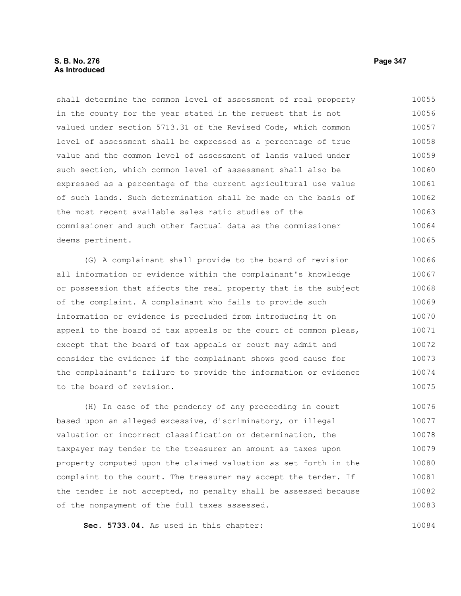# **S. B. No. 276 Page 347 As Introduced**

shall determine the common level of assessment of real property in the county for the year stated in the request that is not valued under section 5713.31 of the Revised Code, which common level of assessment shall be expressed as a percentage of true value and the common level of assessment of lands valued under such section, which common level of assessment shall also be expressed as a percentage of the current agricultural use value of such lands. Such determination shall be made on the basis of the most recent available sales ratio studies of the commissioner and such other factual data as the commissioner deems pertinent. 10055 10056 10057 10058 10059 10060 10061 10062 10063 10064 10065

(G) A complainant shall provide to the board of revision all information or evidence within the complainant's knowledge or possession that affects the real property that is the subject of the complaint. A complainant who fails to provide such information or evidence is precluded from introducing it on appeal to the board of tax appeals or the court of common pleas, except that the board of tax appeals or court may admit and consider the evidence if the complainant shows good cause for the complainant's failure to provide the information or evidence to the board of revision. 10066 10067 10068 10069 10070 10071 10072 10073 10074 10075

(H) In case of the pendency of any proceeding in court based upon an alleged excessive, discriminatory, or illegal valuation or incorrect classification or determination, the taxpayer may tender to the treasurer an amount as taxes upon property computed upon the claimed valuation as set forth in the complaint to the court. The treasurer may accept the tender. If the tender is not accepted, no penalty shall be assessed because of the nonpayment of the full taxes assessed. 10076 10077 10078 10079 10080 10081 10082 10083

**Sec. 5733.04.** As used in this chapter: 10084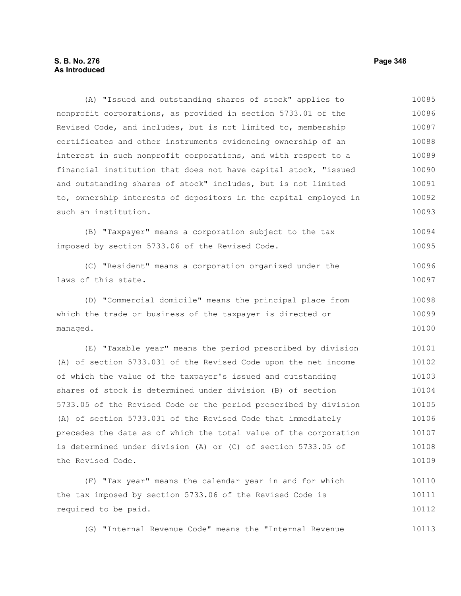# **S. B. No. 276 Page 348 As Introduced**

(A) "Issued and outstanding shares of stock" applies to nonprofit corporations, as provided in section 5733.01 of the Revised Code, and includes, but is not limited to, membership certificates and other instruments evidencing ownership of an interest in such nonprofit corporations, and with respect to a financial institution that does not have capital stock, "issued and outstanding shares of stock" includes, but is not limited to, ownership interests of depositors in the capital employed in such an institution. (B) "Taxpayer" means a corporation subject to the tax imposed by section 5733.06 of the Revised Code. (C) "Resident" means a corporation organized under the laws of this state. (D) "Commercial domicile" means the principal place from which the trade or business of the taxpayer is directed or managed. (E) "Taxable year" means the period prescribed by division (A) of section 5733.031 of the Revised Code upon the net income of which the value of the taxpayer's issued and outstanding shares of stock is determined under division (B) of section 5733.05 of the Revised Code or the period prescribed by division (A) of section 5733.031 of the Revised Code that immediately precedes the date as of which the total value of the corporation is determined under division (A) or (C) of section 5733.05 of the Revised Code. (F) "Tax year" means the calendar year in and for which the tax imposed by section 5733.06 of the Revised Code is required to be paid. (G) "Internal Revenue Code" means the "Internal Revenue 10085 10086 10087 10088 10089 10090 10091 10092 10093 10094 10095 10096 10097 10098 10099 10100 10101 10102 10103 10104 10105 10106 10107 10108 10109 10110 10111 10112 10113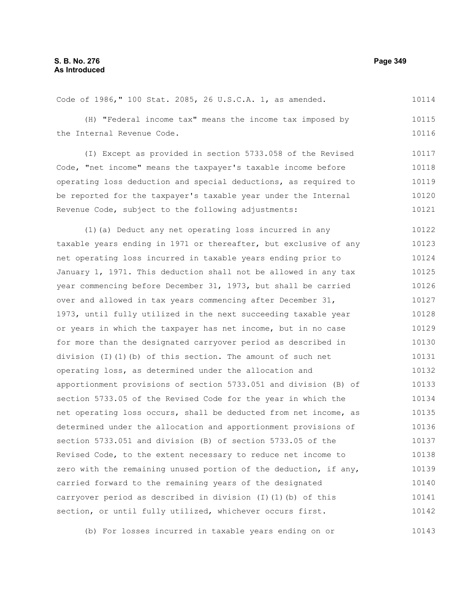#### Code of 1986," 100 Stat. 2085, 26 U.S.C.A. 1, as amended. (H) "Federal income tax" means the income tax imposed by the Internal Revenue Code. (I) Except as provided in section 5733.058 of the Revised Code, "net income" means the taxpayer's taxable income before operating loss deduction and special deductions, as required to be reported for the taxpayer's taxable year under the Internal Revenue Code, subject to the following adjustments: (1)(a) Deduct any net operating loss incurred in any taxable years ending in 1971 or thereafter, but exclusive of any net operating loss incurred in taxable years ending prior to January 1, 1971. This deduction shall not be allowed in any tax year commencing before December 31, 1973, but shall be carried over and allowed in tax years commencing after December 31, 1973, until fully utilized in the next succeeding taxable year or years in which the taxpayer has net income, but in no case for more than the designated carryover period as described in division (I)(1)(b) of this section. The amount of such net operating loss, as determined under the allocation and apportionment provisions of section 5733.051 and division (B) of section 5733.05 of the Revised Code for the year in which the net operating loss occurs, shall be deducted from net income, as determined under the allocation and apportionment provisions of section 5733.051 and division (B) of section 5733.05 of the Revised Code, to the extent necessary to reduce net income to zero with the remaining unused portion of the deduction, if any, carried forward to the remaining years of the designated carryover period as described in division (I)(1)(b) of this section, or until fully utilized, whichever occurs first. 10114 10115 10116 10117 10118 10119 10120 10121 10122 10123 10124 10125 10126 10127 10128 10129 10130 10131 10132 10133 10134 10135 10136 10137 10138 10139 10140 10141 10142

(b) For losses incurred in taxable years ending on or 10143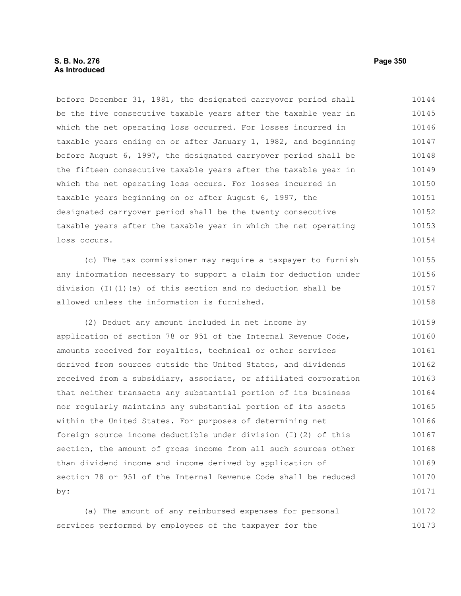before December 31, 1981, the designated carryover period shall be the five consecutive taxable years after the taxable year in which the net operating loss occurred. For losses incurred in taxable years ending on or after January 1, 1982, and beginning before August 6, 1997, the designated carryover period shall be the fifteen consecutive taxable years after the taxable year in which the net operating loss occurs. For losses incurred in taxable years beginning on or after August 6, 1997, the designated carryover period shall be the twenty consecutive taxable years after the taxable year in which the net operating loss occurs. 10144 10145 10146 10147 10148 10149 10150 10151 10152 10153 10154

(c) The tax commissioner may require a taxpayer to furnish any information necessary to support a claim for deduction under division (I)(1)(a) of this section and no deduction shall be allowed unless the information is furnished. 10155 10156 10157 10158

(2) Deduct any amount included in net income by application of section 78 or 951 of the Internal Revenue Code, amounts received for royalties, technical or other services derived from sources outside the United States, and dividends received from a subsidiary, associate, or affiliated corporation that neither transacts any substantial portion of its business nor regularly maintains any substantial portion of its assets within the United States. For purposes of determining net foreign source income deductible under division (I)(2) of this section, the amount of gross income from all such sources other than dividend income and income derived by application of section 78 or 951 of the Internal Revenue Code shall be reduced by: 10159 10160 10161 10162 10163 10164 10165 10166 10167 10168 10169 10170 10171

(a) The amount of any reimbursed expenses for personal services performed by employees of the taxpayer for the 10172 10173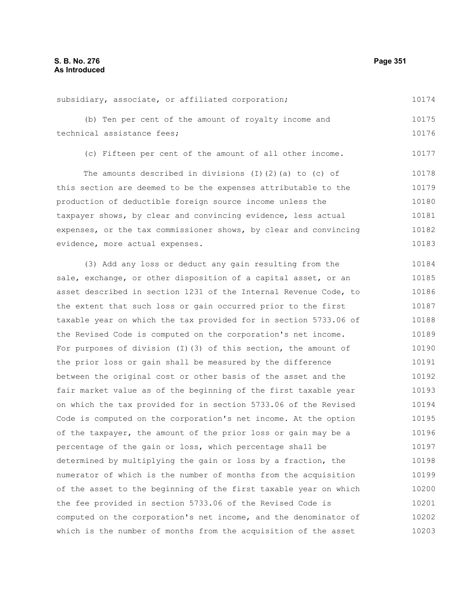subsidiary, associate, or affiliated corporation; (b) Ten per cent of the amount of royalty income and technical assistance fees; (c) Fifteen per cent of the amount of all other income. 10174 10175 10176 10177

The amounts described in divisions (I)(2)(a) to (c) of this section are deemed to be the expenses attributable to the production of deductible foreign source income unless the taxpayer shows, by clear and convincing evidence, less actual expenses, or the tax commissioner shows, by clear and convincing evidence, more actual expenses. 10178 10179 10180 10181 10182 10183

(3) Add any loss or deduct any gain resulting from the sale, exchange, or other disposition of a capital asset, or an asset described in section 1231 of the Internal Revenue Code, to the extent that such loss or gain occurred prior to the first taxable year on which the tax provided for in section 5733.06 of the Revised Code is computed on the corporation's net income. For purposes of division (I)(3) of this section, the amount of the prior loss or gain shall be measured by the difference between the original cost or other basis of the asset and the fair market value as of the beginning of the first taxable year on which the tax provided for in section 5733.06 of the Revised Code is computed on the corporation's net income. At the option of the taxpayer, the amount of the prior loss or gain may be a percentage of the gain or loss, which percentage shall be determined by multiplying the gain or loss by a fraction, the numerator of which is the number of months from the acquisition of the asset to the beginning of the first taxable year on which the fee provided in section 5733.06 of the Revised Code is computed on the corporation's net income, and the denominator of which is the number of months from the acquisition of the asset 10184 10185 10186 10187 10188 10189 10190 10191 10192 10193 10194 10195 10196 10197 10198 10199 10200 10201 10202 10203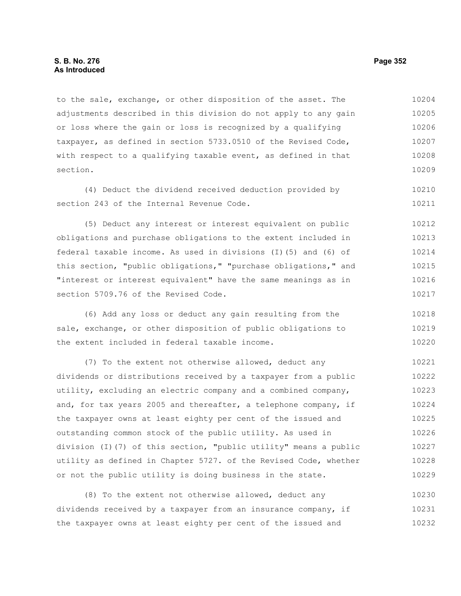to the sale, exchange, or other disposition of the asset. The adjustments described in this division do not apply to any gain or loss where the gain or loss is recognized by a qualifying taxpayer, as defined in section 5733.0510 of the Revised Code, with respect to a qualifying taxable event, as defined in that section. 10204 10205 10206 10207 10208 10209

(4) Deduct the dividend received deduction provided by section 243 of the Internal Revenue Code.

(5) Deduct any interest or interest equivalent on public obligations and purchase obligations to the extent included in federal taxable income. As used in divisions (I)(5) and (6) of this section, "public obligations," "purchase obligations," and "interest or interest equivalent" have the same meanings as in section 5709.76 of the Revised Code. 10212 10213 10214 10215 10216 10217

(6) Add any loss or deduct any gain resulting from the sale, exchange, or other disposition of public obligations to the extent included in federal taxable income. 10218 10219 10220

(7) To the extent not otherwise allowed, deduct any dividends or distributions received by a taxpayer from a public utility, excluding an electric company and a combined company, and, for tax years 2005 and thereafter, a telephone company, if the taxpayer owns at least eighty per cent of the issued and outstanding common stock of the public utility. As used in division (I)(7) of this section, "public utility" means a public utility as defined in Chapter 5727. of the Revised Code, whether or not the public utility is doing business in the state. 10221 10222 10223 10224 10225 10226 10227 10228 10229

(8) To the extent not otherwise allowed, deduct any dividends received by a taxpayer from an insurance company, if the taxpayer owns at least eighty per cent of the issued and 10230 10231 10232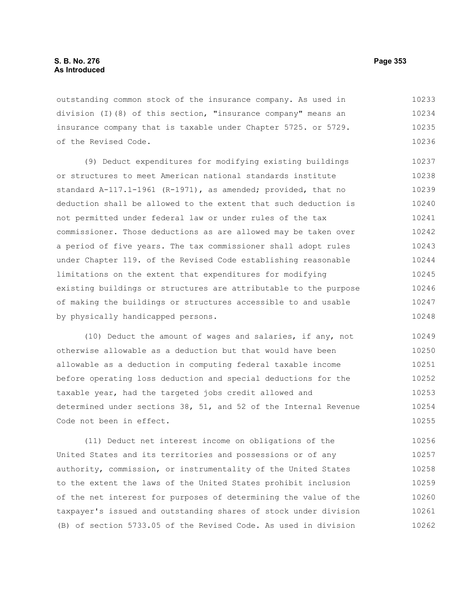# **S. B. No. 276 Page 353 As Introduced**

outstanding common stock of the insurance company. As used in division (I)(8) of this section, "insurance company" means an insurance company that is taxable under Chapter 5725. or 5729. of the Revised Code. 10233 10234 10235 10236

(9) Deduct expenditures for modifying existing buildings or structures to meet American national standards institute standard A-117.1-1961 (R-1971), as amended; provided, that no deduction shall be allowed to the extent that such deduction is not permitted under federal law or under rules of the tax commissioner. Those deductions as are allowed may be taken over a period of five years. The tax commissioner shall adopt rules under Chapter 119. of the Revised Code establishing reasonable limitations on the extent that expenditures for modifying existing buildings or structures are attributable to the purpose of making the buildings or structures accessible to and usable by physically handicapped persons. 10237 10238 10239 10240 10241 10242 10243 10244 10245 10246 10247 10248

(10) Deduct the amount of wages and salaries, if any, not otherwise allowable as a deduction but that would have been allowable as a deduction in computing federal taxable income before operating loss deduction and special deductions for the taxable year, had the targeted jobs credit allowed and determined under sections 38, 51, and 52 of the Internal Revenue Code not been in effect. 10249 10250 10251 10252 10253 10254 10255

(11) Deduct net interest income on obligations of the United States and its territories and possessions or of any authority, commission, or instrumentality of the United States to the extent the laws of the United States prohibit inclusion of the net interest for purposes of determining the value of the taxpayer's issued and outstanding shares of stock under division (B) of section 5733.05 of the Revised Code. As used in division 10256 10257 10258 10259 10260 10261 10262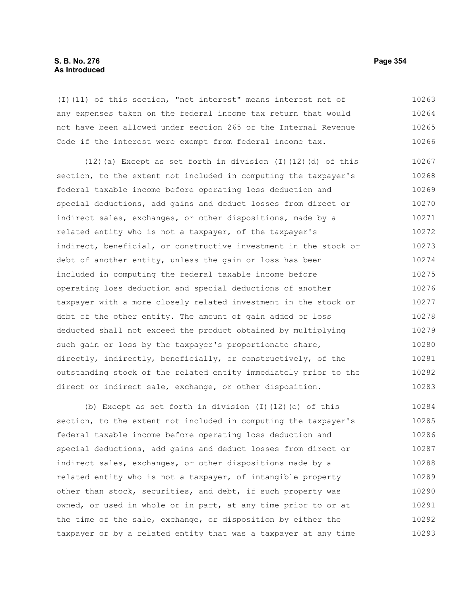(I)(11) of this section, "net interest" means interest net of any expenses taken on the federal income tax return that would not have been allowed under section 265 of the Internal Revenue Code if the interest were exempt from federal income tax. 10263 10264 10265 10266

(12)(a) Except as set forth in division (I)(12)(d) of this section, to the extent not included in computing the taxpayer's federal taxable income before operating loss deduction and special deductions, add gains and deduct losses from direct or indirect sales, exchanges, or other dispositions, made by a related entity who is not a taxpayer, of the taxpayer's indirect, beneficial, or constructive investment in the stock or debt of another entity, unless the gain or loss has been included in computing the federal taxable income before operating loss deduction and special deductions of another taxpayer with a more closely related investment in the stock or debt of the other entity. The amount of gain added or loss deducted shall not exceed the product obtained by multiplying such gain or loss by the taxpayer's proportionate share, directly, indirectly, beneficially, or constructively, of the outstanding stock of the related entity immediately prior to the direct or indirect sale, exchange, or other disposition. 10267 10268 10269 10270 10271 10272 10273 10274 10275 10276 10277 10278 10279 10280 10281 10282 10283

(b) Except as set forth in division (I)(12)(e) of this section, to the extent not included in computing the taxpayer's federal taxable income before operating loss deduction and special deductions, add gains and deduct losses from direct or indirect sales, exchanges, or other dispositions made by a related entity who is not a taxpayer, of intangible property other than stock, securities, and debt, if such property was owned, or used in whole or in part, at any time prior to or at the time of the sale, exchange, or disposition by either the taxpayer or by a related entity that was a taxpayer at any time 10284 10285 10286 10287 10288 10289 10290 10291 10292 10293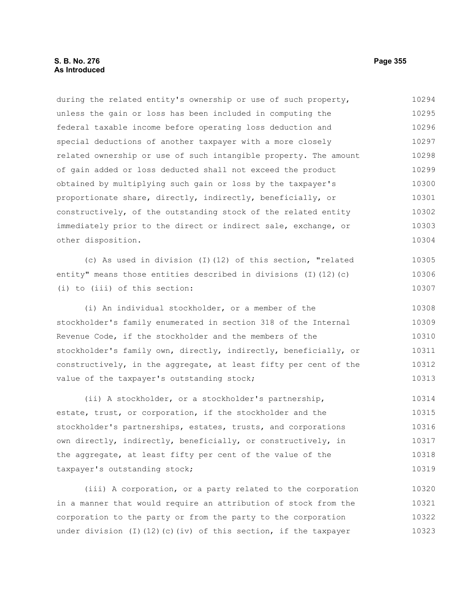# **S. B. No. 276 Page 355 As Introduced**

during the related entity's ownership or use of such property, unless the gain or loss has been included in computing the federal taxable income before operating loss deduction and special deductions of another taxpayer with a more closely related ownership or use of such intangible property. The amount of gain added or loss deducted shall not exceed the product obtained by multiplying such gain or loss by the taxpayer's proportionate share, directly, indirectly, beneficially, or constructively, of the outstanding stock of the related entity immediately prior to the direct or indirect sale, exchange, or other disposition. 10294 10295 10296 10297 10298 10299 10300 10301 10302 10303 10304

(c) As used in division (I)(12) of this section, "related entity" means those entities described in divisions (I)(12)(c) (i) to (iii) of this section:

(i) An individual stockholder, or a member of the stockholder's family enumerated in section 318 of the Internal Revenue Code, if the stockholder and the members of the stockholder's family own, directly, indirectly, beneficially, or constructively, in the aggregate, at least fifty per cent of the value of the taxpayer's outstanding stock; 10308 10309 10310 10311 10312 10313

(ii) A stockholder, or a stockholder's partnership, estate, trust, or corporation, if the stockholder and the stockholder's partnerships, estates, trusts, and corporations own directly, indirectly, beneficially, or constructively, in the aggregate, at least fifty per cent of the value of the taxpayer's outstanding stock; 10314 10315 10316 10317 10318 10319

(iii) A corporation, or a party related to the corporation in a manner that would require an attribution of stock from the corporation to the party or from the party to the corporation under division (I)(12)(c)(iv) of this section, if the taxpayer 10320 10321 10322 10323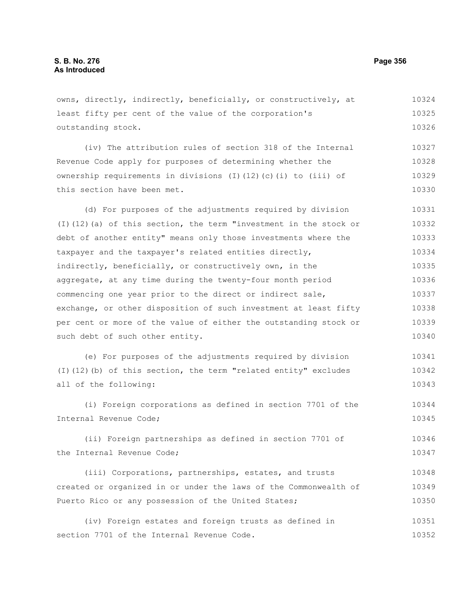owns, directly, indirectly, beneficially, or constructively, at least fifty per cent of the value of the corporation's outstanding stock. 10324 10325 10326

(iv) The attribution rules of section 318 of the Internal Revenue Code apply for purposes of determining whether the ownership requirements in divisions (I)(12)(c)(i) to (iii) of this section have been met. 10327 10328 10329 10330

(d) For purposes of the adjustments required by division (I)(12)(a) of this section, the term "investment in the stock or debt of another entity" means only those investments where the taxpayer and the taxpayer's related entities directly, indirectly, beneficially, or constructively own, in the aggregate, at any time during the twenty-four month period commencing one year prior to the direct or indirect sale, exchange, or other disposition of such investment at least fifty per cent or more of the value of either the outstanding stock or such debt of such other entity. 10331 10332 10333 10334 10335 10336 10337 10338 10339 10340

(e) For purposes of the adjustments required by division (I)(12)(b) of this section, the term "related entity" excludes all of the following: 10341 10342 10343

(i) Foreign corporations as defined in section 7701 of the Internal Revenue Code; 10344 10345

(ii) Foreign partnerships as defined in section 7701 of the Internal Revenue Code; 10346 10347

(iii) Corporations, partnerships, estates, and trusts created or organized in or under the laws of the Commonwealth of Puerto Rico or any possession of the United States; 10348 10349 10350

(iv) Foreign estates and foreign trusts as defined in section 7701 of the Internal Revenue Code. 10351 10352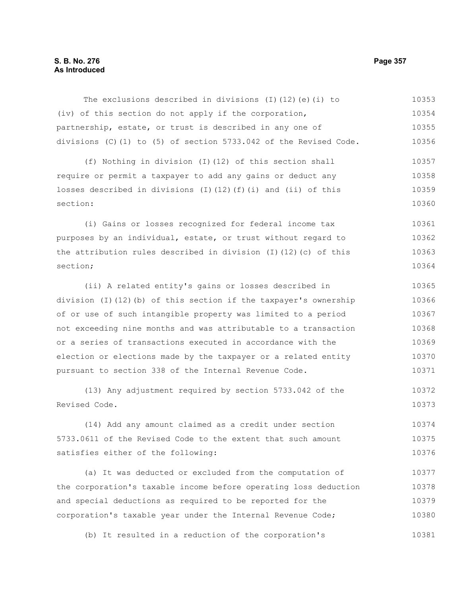# **S. B. No. 276 Page 357 As Introduced**

The exclusions described in divisions (I)(12)(e)(i) to (iv) of this section do not apply if the corporation, partnership, estate, or trust is described in any one of divisions (C)(1) to (5) of section 5733.042 of the Revised Code. 10353 10354 10355 10356

(f) Nothing in division (I)(12) of this section shall require or permit a taxpayer to add any gains or deduct any losses described in divisions (I)(12)(f)(i) and (ii) of this section: 10357 10358 10359 10360

(i) Gains or losses recognized for federal income tax purposes by an individual, estate, or trust without regard to the attribution rules described in division (I)(12)(c) of this section; 10361 10362 10363 10364

(ii) A related entity's gains or losses described in division (I)(12)(b) of this section if the taxpayer's ownership of or use of such intangible property was limited to a period not exceeding nine months and was attributable to a transaction or a series of transactions executed in accordance with the election or elections made by the taxpayer or a related entity pursuant to section 338 of the Internal Revenue Code. 10365 10366 10367 10368 10369 10370 10371

(13) Any adjustment required by section 5733.042 of the Revised Code. 10372 10373

(14) Add any amount claimed as a credit under section 5733.0611 of the Revised Code to the extent that such amount satisfies either of the following: 10374 10375 10376

(a) It was deducted or excluded from the computation of the corporation's taxable income before operating loss deduction and special deductions as required to be reported for the corporation's taxable year under the Internal Revenue Code; 10377 10378 10379 10380

(b) It resulted in a reduction of the corporation's 10381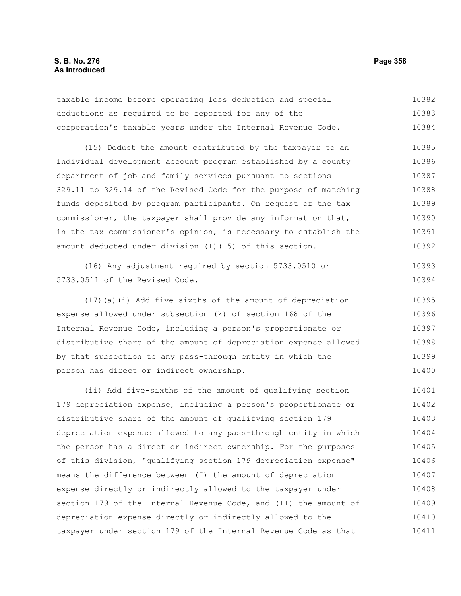taxable income before operating loss deduction and special deductions as required to be reported for any of the corporation's taxable years under the Internal Revenue Code. 10382 10383 10384

(15) Deduct the amount contributed by the taxpayer to an individual development account program established by a county department of job and family services pursuant to sections 329.11 to 329.14 of the Revised Code for the purpose of matching funds deposited by program participants. On request of the tax commissioner, the taxpayer shall provide any information that, in the tax commissioner's opinion, is necessary to establish the amount deducted under division (I)(15) of this section. 10385 10386 10387 10388 10389 10390 10391 10392

(16) Any adjustment required by section 5733.0510 or 5733.0511 of the Revised Code. 10393 10394

(17)(a)(i) Add five-sixths of the amount of depreciation expense allowed under subsection (k) of section 168 of the Internal Revenue Code, including a person's proportionate or distributive share of the amount of depreciation expense allowed by that subsection to any pass-through entity in which the person has direct or indirect ownership. 10395 10396 10397 10398 10399 10400

(ii) Add five-sixths of the amount of qualifying section 179 depreciation expense, including a person's proportionate or distributive share of the amount of qualifying section 179 depreciation expense allowed to any pass-through entity in which the person has a direct or indirect ownership. For the purposes of this division, "qualifying section 179 depreciation expense" means the difference between (I) the amount of depreciation expense directly or indirectly allowed to the taxpayer under section 179 of the Internal Revenue Code, and (II) the amount of depreciation expense directly or indirectly allowed to the taxpayer under section 179 of the Internal Revenue Code as that 10401 10402 10403 10404 10405 10406 10407 10408 10409 10410 10411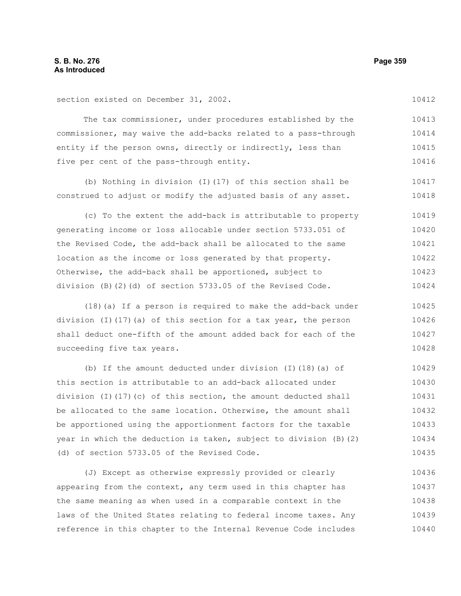10412

section existed on December 31, 2002.

The tax commissioner, under procedures established by the commissioner, may waive the add-backs related to a pass-through entity if the person owns, directly or indirectly, less than five per cent of the pass-through entity. 10413 10414 10415 10416

(b) Nothing in division (I)(17) of this section shall be construed to adjust or modify the adjusted basis of any asset. 10417 10418

(c) To the extent the add-back is attributable to property generating income or loss allocable under section 5733.051 of the Revised Code, the add-back shall be allocated to the same location as the income or loss generated by that property. Otherwise, the add-back shall be apportioned, subject to division (B)(2)(d) of section 5733.05 of the Revised Code. 10419 10420 10421 10422 10423 10424

(18)(a) If a person is required to make the add-back under division (I)(17)(a) of this section for a tax year, the person shall deduct one-fifth of the amount added back for each of the succeeding five tax years. 10425 10426 10427 10428

(b) If the amount deducted under division (I)(18)(a) of this section is attributable to an add-back allocated under division (I)(17)(c) of this section, the amount deducted shall be allocated to the same location. Otherwise, the amount shall be apportioned using the apportionment factors for the taxable year in which the deduction is taken, subject to division (B)(2) (d) of section 5733.05 of the Revised Code. 10429 10430 10431 10432 10433 10434 10435

(J) Except as otherwise expressly provided or clearly appearing from the context, any term used in this chapter has the same meaning as when used in a comparable context in the laws of the United States relating to federal income taxes. Any reference in this chapter to the Internal Revenue Code includes 10436 10437 10438 10439 10440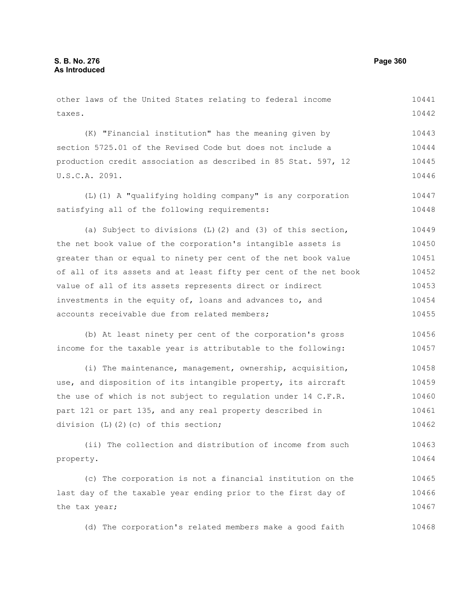| other laws of the United States relating to federal income       | 10441 |
|------------------------------------------------------------------|-------|
| taxes.                                                           | 10442 |
|                                                                  |       |
| (K) "Financial institution" has the meaning given by             | 10443 |
| section 5725.01 of the Revised Code but does not include a       | 10444 |
| production credit association as described in 85 Stat. 597, 12   | 10445 |
| U.S.C.A. 2091.                                                   | 10446 |
| (L) (1) A "qualifying holding company" is any corporation        | 10447 |
| satisfying all of the following requirements:                    | 10448 |
| (a) Subject to divisions $(L)$ (2) and (3) of this section,      | 10449 |
| the net book value of the corporation's intangible assets is     | 10450 |
| greater than or equal to ninety per cent of the net book value   | 10451 |
| of all of its assets and at least fifty per cent of the net book | 10452 |
| value of all of its assets represents direct or indirect         | 10453 |
| investments in the equity of, loans and advances to, and         | 10454 |
| accounts receivable due from related members;                    | 10455 |
| (b) At least ninety per cent of the corporation's gross          | 10456 |
| income for the taxable year is attributable to the following:    | 10457 |
| (i) The maintenance, management, ownership, acquisition,         | 10458 |
| use, and disposition of its intangible property, its aircraft    | 10459 |
| the use of which is not subject to regulation under 14 C.F.R.    | 10460 |
| part 121 or part 135, and any real property described in         | 10461 |
| division (L)(2)(c) of this section;                              | 10462 |
| (ii) The collection and distribution of income from such         | 10463 |
| property.                                                        | 10464 |
| (c) The corporation is not a financial institution on the        | 10465 |
| last day of the taxable year ending prior to the first day of    | 10466 |
| the tax year;                                                    | 10467 |
| (d) The corporation's related members make a good faith          | 10468 |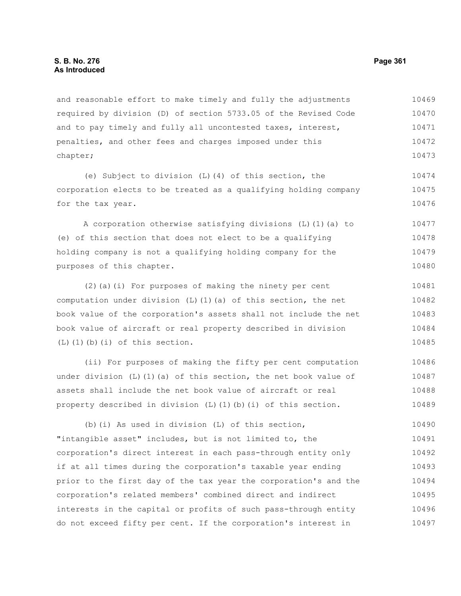and reasonable effort to make timely and fully the adjustments required by division (D) of section 5733.05 of the Revised Code and to pay timely and fully all uncontested taxes, interest, penalties, and other fees and charges imposed under this chapter; 10469 10470 10471 10472 10473

(e) Subject to division (L)(4) of this section, the corporation elects to be treated as a qualifying holding company for the tax year.

A corporation otherwise satisfying divisions (L)(1)(a) to (e) of this section that does not elect to be a qualifying holding company is not a qualifying holding company for the purposes of this chapter. 10477 10478 10479 10480

(2)(a)(i) For purposes of making the ninety per cent computation under division  $(L)$   $(1)$   $(a)$  of this section, the net book value of the corporation's assets shall not include the net book value of aircraft or real property described in division  $(L)$  $(l)$  $(b)$  $(i)$  of this section. 10481 10482 10483 10484 10485

(ii) For purposes of making the fifty per cent computation under division (L)(1)(a) of this section, the net book value of assets shall include the net book value of aircraft or real property described in division  $(L)$   $(1)$   $(b)$   $(i)$  of this section. 10486 10487 10488 10489

(b)(i) As used in division (L) of this section, "intangible asset" includes, but is not limited to, the corporation's direct interest in each pass-through entity only if at all times during the corporation's taxable year ending prior to the first day of the tax year the corporation's and the corporation's related members' combined direct and indirect interests in the capital or profits of such pass-through entity do not exceed fifty per cent. If the corporation's interest in 10490 10491 10492 10493 10494 10495 10496 10497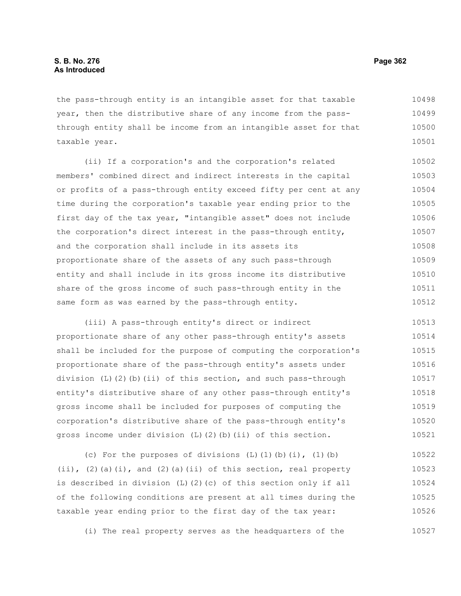the pass-through entity is an intangible asset for that taxable year, then the distributive share of any income from the passthrough entity shall be income from an intangible asset for that taxable year. 10498 10499 10500 10501

(ii) If a corporation's and the corporation's related members' combined direct and indirect interests in the capital or profits of a pass-through entity exceed fifty per cent at any time during the corporation's taxable year ending prior to the first day of the tax year, "intangible asset" does not include the corporation's direct interest in the pass-through entity, and the corporation shall include in its assets its proportionate share of the assets of any such pass-through entity and shall include in its gross income its distributive share of the gross income of such pass-through entity in the same form as was earned by the pass-through entity. 10502 10503 10504 10505 10506 10507 10508 10509 10510 10511 10512

(iii) A pass-through entity's direct or indirect proportionate share of any other pass-through entity's assets shall be included for the purpose of computing the corporation's proportionate share of the pass-through entity's assets under division (L)(2)(b)(ii) of this section, and such pass-through entity's distributive share of any other pass-through entity's gross income shall be included for purposes of computing the corporation's distributive share of the pass-through entity's gross income under division (L)(2)(b)(ii) of this section. 10513 10514 10515 10516 10517 10518 10519 10520 10521

(c) For the purposes of divisions  $(L)$   $(1)$   $(b)$   $(i)$ ,  $(1)$   $(b)$ (ii), (2)(a)(i), and (2)(a)(ii) of this section, real property is described in division (L)(2)(c) of this section only if all of the following conditions are present at all times during the taxable year ending prior to the first day of the tax year: 10522 10523 10524 10525 10526

(i) The real property serves as the headquarters of the 10527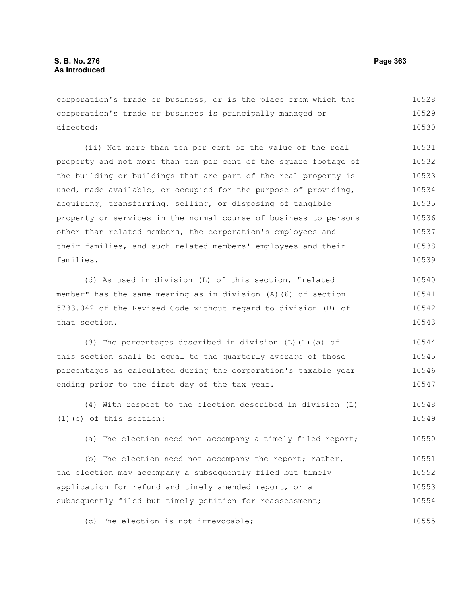corporation's trade or business, or is the place from which the corporation's trade or business is principally managed or directed; 10528 10529 10530

(ii) Not more than ten per cent of the value of the real property and not more than ten per cent of the square footage of the building or buildings that are part of the real property is used, made available, or occupied for the purpose of providing, acquiring, transferring, selling, or disposing of tangible property or services in the normal course of business to persons other than related members, the corporation's employees and their families, and such related members' employees and their families. 10531 10532 10533 10534 10535 10536 10537 10538 10539

(d) As used in division (L) of this section, "related member" has the same meaning as in division (A)(6) of section 5733.042 of the Revised Code without regard to division (B) of that section. 10540 10541 10542 10543

(3) The percentages described in division (L)(1)(a) of this section shall be equal to the quarterly average of those percentages as calculated during the corporation's taxable year ending prior to the first day of the tax year. 10544 10545 10546 10547

(4) With respect to the election described in division (L) (1)(e) of this section: 10548 10549

(a) The election need not accompany a timely filed report; 10550

(b) The election need not accompany the report; rather, the election may accompany a subsequently filed but timely application for refund and timely amended report, or a subsequently filed but timely petition for reassessment; 10551 10552 10553 10554

(c) The election is not irrevocable; 10555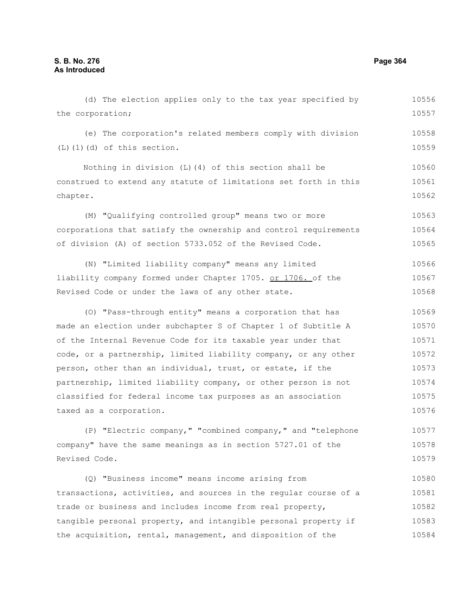the corporation;

(e) The corporation's related members comply with division (L)(1)(d) of this section. Nothing in division (L)(4) of this section shall be construed to extend any statute of limitations set forth in this chapter. (M) "Qualifying controlled group" means two or more corporations that satisfy the ownership and control requirements of division (A) of section 5733.052 of the Revised Code. (N) "Limited liability company" means any limited liability company formed under Chapter 1705. or 1706. of the Revised Code or under the laws of any other state. (O) "Pass-through entity" means a corporation that has made an election under subchapter S of Chapter 1 of Subtitle A of the Internal Revenue Code for its taxable year under that code, or a partnership, limited liability company, or any other person, other than an individual, trust, or estate, if the partnership, limited liability company, or other person is not classified for federal income tax purposes as an association taxed as a corporation. (P) "Electric company," "combined company," and "telephone company" have the same meanings as in section 5727.01 of the Revised Code. (Q) "Business income" means income arising from transactions, activities, and sources in the regular course of a 10558 10559 10560 10561 10562 10563 10564 10565 10566 10567 10568 10569 10570 10571 10572 10573 10574 10575 10576 10577 10578 10579 10580 10581

(d) The election applies only to the tax year specified by

trade or business and includes income from real property, tangible personal property, and intangible personal property if the acquisition, rental, management, and disposition of the 10582 10583 10584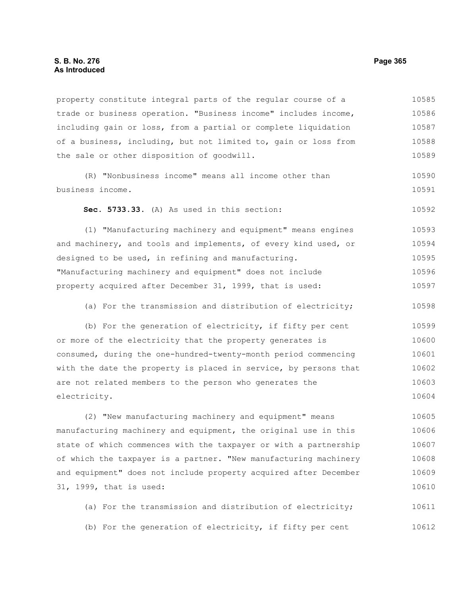#### **S. B. No. 276 Page 365 As Introduced**

property constitute integral parts of the regular course of a trade or business operation. "Business income" includes income, including gain or loss, from a partial or complete liquidation of a business, including, but not limited to, gain or loss from the sale or other disposition of goodwill. (R) "Nonbusiness income" means all income other than business income. **Sec. 5733.33.** (A) As used in this section: (1) "Manufacturing machinery and equipment" means engines and machinery, and tools and implements, of every kind used, or designed to be used, in refining and manufacturing. "Manufacturing machinery and equipment" does not include property acquired after December 31, 1999, that is used: (a) For the transmission and distribution of electricity; (b) For the generation of electricity, if fifty per cent or more of the electricity that the property generates is consumed, during the one-hundred-twenty-month period commencing with the date the property is placed in service, by persons that are not related members to the person who generates the electricity. (2) "New manufacturing machinery and equipment" means manufacturing machinery and equipment, the original use in this state of which commences with the taxpayer or with a partnership of which the taxpayer is a partner. "New manufacturing machinery and equipment" does not include property acquired after December 31, 1999, that is used: (a) For the transmission and distribution of electricity; 10585 10586 10587 10588 10589 10590 10591 10592 10593 10594 10595 10596 10597 10598 10599 10600 10601 10602 10603 10604 10605 10606 10607 10608 10609 10610 10611

(b) For the generation of electricity, if fifty per cent 10612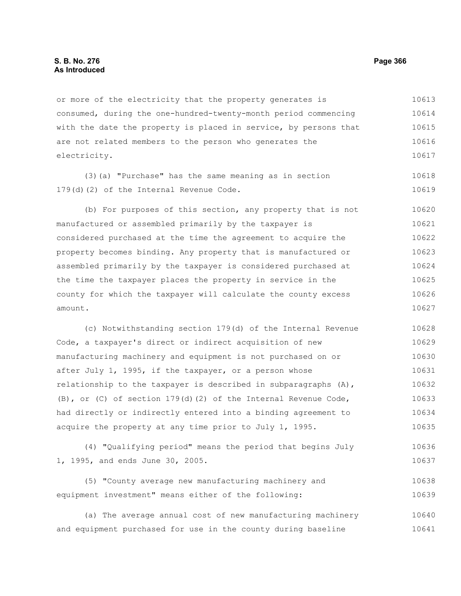or more of the electricity that the property generates is consumed, during the one-hundred-twenty-month period commencing with the date the property is placed in service, by persons that are not related members to the person who generates the electricity. 10613 10614 10615 10616 10617

(3)(a) "Purchase" has the same meaning as in section 179(d)(2) of the Internal Revenue Code. 10618 10619

(b) For purposes of this section, any property that is not manufactured or assembled primarily by the taxpayer is considered purchased at the time the agreement to acquire the property becomes binding. Any property that is manufactured or assembled primarily by the taxpayer is considered purchased at the time the taxpayer places the property in service in the county for which the taxpayer will calculate the county excess amount. 10620 10621 10622 10623 10624 10625 10626 10627

(c) Notwithstanding section 179(d) of the Internal Revenue Code, a taxpayer's direct or indirect acquisition of new manufacturing machinery and equipment is not purchased on or after July 1, 1995, if the taxpayer, or a person whose relationship to the taxpayer is described in subparagraphs (A), (B), or (C) of section  $179(d)$  (2) of the Internal Revenue Code, had directly or indirectly entered into a binding agreement to acquire the property at any time prior to July 1, 1995. 10628 10629 10630 10631 10632 10633 10634 10635

(4) "Qualifying period" means the period that begins July 1, 1995, and ends June 30, 2005. 10636 10637

(5) "County average new manufacturing machinery and equipment investment" means either of the following: 10638 10639

(a) The average annual cost of new manufacturing machinery and equipment purchased for use in the county during baseline 10640 10641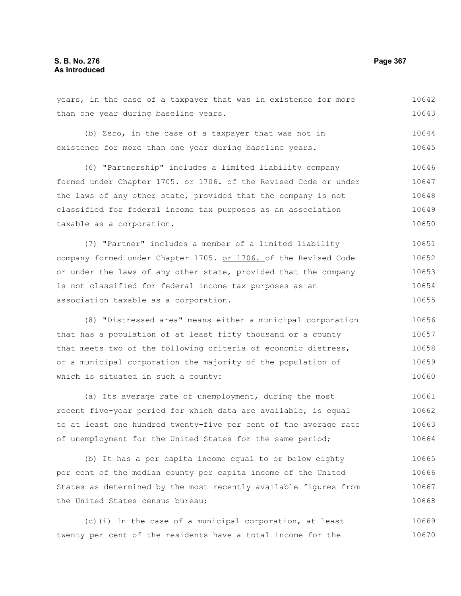#### years, in the case of a taxpayer that was in existence for more than one year during baseline years. (b) Zero, in the case of a taxpayer that was not in existence for more than one year during baseline years. (6) "Partnership" includes a limited liability company formed under Chapter 1705. or 1706. of the Revised Code or under the laws of any other state, provided that the company is not classified for federal income tax purposes as an association taxable as a corporation. (7) "Partner" includes a member of a limited liability company formed under Chapter 1705. or 1706. of the Revised Code or under the laws of any other state, provided that the company is not classified for federal income tax purposes as an association taxable as a corporation. (8) "Distressed area" means either a municipal corporation that has a population of at least fifty thousand or a county that meets two of the following criteria of economic distress, or a municipal corporation the majority of the population of which is situated in such a county: 10642 10643 10644 10645 10646 10647 10648 10649 10650 10651 10652 10653 10654 10655 10656 10657 10658 10659 10660

(a) Its average rate of unemployment, during the most recent five-year period for which data are available, is equal to at least one hundred twenty-five per cent of the average rate of unemployment for the United States for the same period; 10661 10662 10663 10664

(b) It has a per capita income equal to or below eighty per cent of the median county per capita income of the United States as determined by the most recently available figures from the United States census bureau; 10665 10666 10667 10668

(c)(i) In the case of a municipal corporation, at least twenty per cent of the residents have a total income for the 10669 10670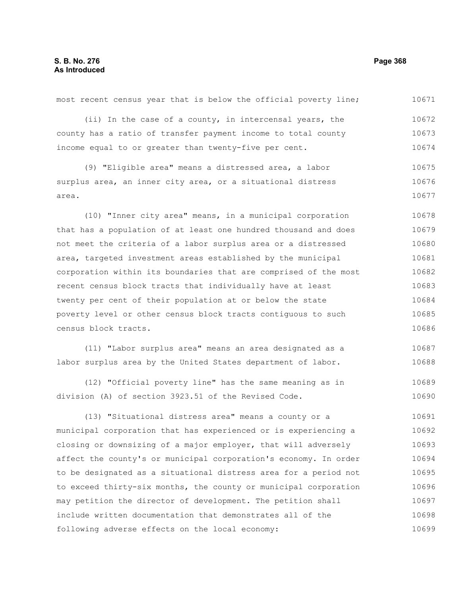(ii) In the case of a county, in intercensal years, the county has a ratio of transfer payment income to total county income equal to or greater than twenty-five per cent. (9) "Eligible area" means a distressed area, a labor surplus area, an inner city area, or a situational distress area. (10) "Inner city area" means, in a municipal corporation that has a population of at least one hundred thousand and does not meet the criteria of a labor surplus area or a distressed area, targeted investment areas established by the municipal corporation within its boundaries that are comprised of the most recent census block tracts that individually have at least twenty per cent of their population at or below the state poverty level or other census block tracts contiguous to such census block tracts. (11) "Labor surplus area" means an area designated as a labor surplus area by the United States department of labor. (12) "Official poverty line" has the same meaning as in division (A) of section 3923.51 of the Revised Code. (13) "Situational distress area" means a county or a municipal corporation that has experienced or is experiencing a closing or downsizing of a major employer, that will adversely affect the county's or municipal corporation's economy. In order to be designated as a situational distress area for a period not to exceed thirty-six months, the county or municipal corporation may petition the director of development. The petition shall 10672 10673 10674 10675 10676 10677 10678 10679 10680 10681 10682 10683 10684 10685 10686 10687 10688 10689 10690 10691 10692 10693 10694 10695 10696 10697

include written documentation that demonstrates all of the

following adverse effects on the local economy:

most recent census year that is below the official poverty line;

10671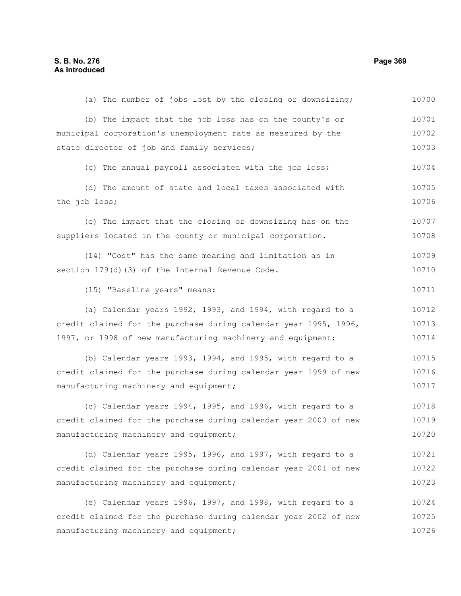(a) The number of jobs lost by the closing or downsizing; (b) The impact that the job loss has on the county's or municipal corporation's unemployment rate as measured by the state director of job and family services; (c) The annual payroll associated with the job loss; (d) The amount of state and local taxes associated with the job loss; (e) The impact that the closing or downsizing has on the suppliers located in the county or municipal corporation. (14) "Cost" has the same meaning and limitation as in section 179(d)(3) of the Internal Revenue Code. (15) "Baseline years" means: (a) Calendar years 1992, 1993, and 1994, with regard to a credit claimed for the purchase during calendar year 1995, 1996, 1997, or 1998 of new manufacturing machinery and equipment; (b) Calendar years 1993, 1994, and 1995, with regard to a credit claimed for the purchase during calendar year 1999 of new manufacturing machinery and equipment; (c) Calendar years 1994, 1995, and 1996, with regard to a credit claimed for the purchase during calendar year 2000 of new manufacturing machinery and equipment; (d) Calendar years 1995, 1996, and 1997, with regard to a credit claimed for the purchase during calendar year 2001 of new manufacturing machinery and equipment; (e) Calendar years 1996, 1997, and 1998, with regard to a credit claimed for the purchase during calendar year 2002 of new manufacturing machinery and equipment; 10700 10701 10702 10703 10704 10705 10706 10707 10708 10709 10710 10711 10712 10713 10714 10715 10716 10717 10718 10719 10720 10721 10722 10723 10724 10725 10726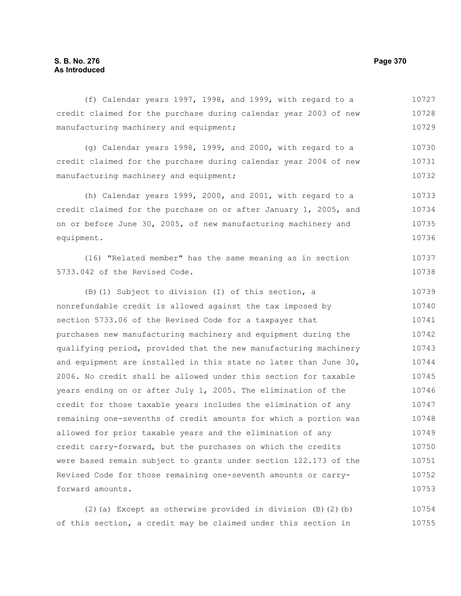#### (f) Calendar years 1997, 1998, and 1999, with regard to a credit claimed for the purchase during calendar year 2003 of new manufacturing machinery and equipment; 10727 10728 10729

(g) Calendar years 1998, 1999, and 2000, with regard to a credit claimed for the purchase during calendar year 2004 of new manufacturing machinery and equipment; 10730 10731 10732

(h) Calendar years 1999, 2000, and 2001, with regard to a credit claimed for the purchase on or after January 1, 2005, and on or before June 30, 2005, of new manufacturing machinery and equipment. 10733 10734 10735 10736

(16) "Related member" has the same meaning as in section 5733.042 of the Revised Code. 10737 10738

(B)(1) Subject to division (I) of this section, a nonrefundable credit is allowed against the tax imposed by section 5733.06 of the Revised Code for a taxpayer that purchases new manufacturing machinery and equipment during the qualifying period, provided that the new manufacturing machinery and equipment are installed in this state no later than June 30, 2006. No credit shall be allowed under this section for taxable years ending on or after July 1, 2005. The elimination of the credit for those taxable years includes the elimination of any remaining one-sevenths of credit amounts for which a portion was allowed for prior taxable years and the elimination of any credit carry-forward, but the purchases on which the credits were based remain subject to grants under section 122.173 of the Revised Code for those remaining one-seventh amounts or carryforward amounts. 10739 10740 10741 10742 10743 10744 10745 10746 10747 10748 10749 10750 10751 10752 10753

(2)(a) Except as otherwise provided in division (B)(2)(b) of this section, a credit may be claimed under this section in 10754 10755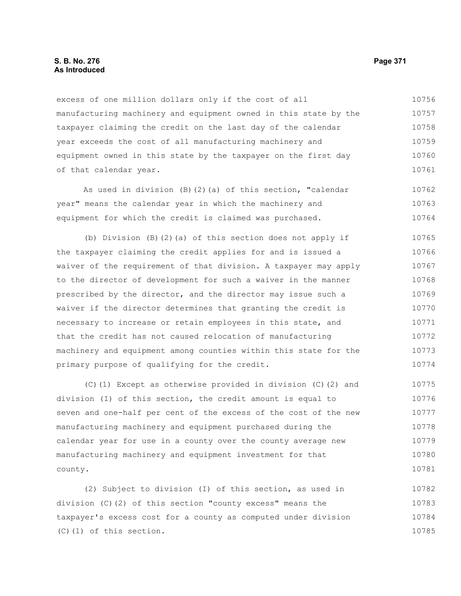excess of one million dollars only if the cost of all manufacturing machinery and equipment owned in this state by the taxpayer claiming the credit on the last day of the calendar year exceeds the cost of all manufacturing machinery and equipment owned in this state by the taxpayer on the first day of that calendar year. 10756 10757 10758 10759 10760 10761

As used in division (B)(2)(a) of this section, "calendar year" means the calendar year in which the machinery and equipment for which the credit is claimed was purchased. 10762 10763 10764

(b) Division (B)(2)(a) of this section does not apply if the taxpayer claiming the credit applies for and is issued a waiver of the requirement of that division. A taxpayer may apply to the director of development for such a waiver in the manner prescribed by the director, and the director may issue such a waiver if the director determines that granting the credit is necessary to increase or retain employees in this state, and that the credit has not caused relocation of manufacturing machinery and equipment among counties within this state for the primary purpose of qualifying for the credit. 10765 10766 10767 10768 10769 10770 10771 10772 10773 10774

(C)(1) Except as otherwise provided in division (C)(2) and division (I) of this section, the credit amount is equal to seven and one-half per cent of the excess of the cost of the new manufacturing machinery and equipment purchased during the calendar year for use in a county over the county average new manufacturing machinery and equipment investment for that county. 10775 10776 10777 10778 10779 10780 10781

(2) Subject to division (I) of this section, as used in division (C)(2) of this section "county excess" means the taxpayer's excess cost for a county as computed under division (C)(1) of this section. 10782 10783 10784 10785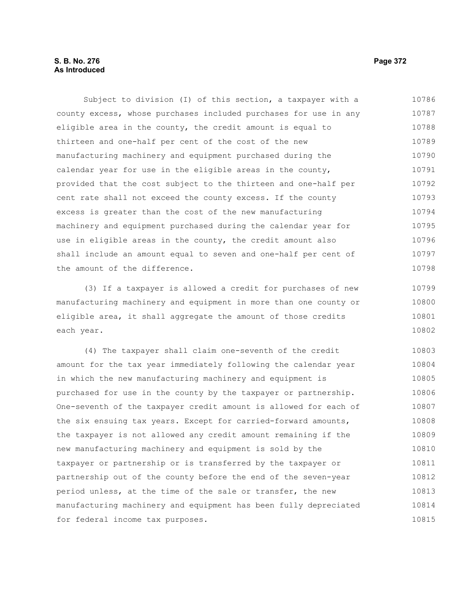Subject to division (I) of this section, a taxpayer with a county excess, whose purchases included purchases for use in any eligible area in the county, the credit amount is equal to thirteen and one-half per cent of the cost of the new manufacturing machinery and equipment purchased during the calendar year for use in the eligible areas in the county, provided that the cost subject to the thirteen and one-half per cent rate shall not exceed the county excess. If the county excess is greater than the cost of the new manufacturing machinery and equipment purchased during the calendar year for use in eligible areas in the county, the credit amount also shall include an amount equal to seven and one-half per cent of the amount of the difference. 10786 10787 10788 10789 10790 10791 10792 10793 10794 10795 10796 10797 10798

(3) If a taxpayer is allowed a credit for purchases of new manufacturing machinery and equipment in more than one county or eligible area, it shall aggregate the amount of those credits each year. 10799 10800 10801 10802

(4) The taxpayer shall claim one-seventh of the credit amount for the tax year immediately following the calendar year in which the new manufacturing machinery and equipment is purchased for use in the county by the taxpayer or partnership. One-seventh of the taxpayer credit amount is allowed for each of the six ensuing tax years. Except for carried-forward amounts, the taxpayer is not allowed any credit amount remaining if the new manufacturing machinery and equipment is sold by the taxpayer or partnership or is transferred by the taxpayer or partnership out of the county before the end of the seven-year period unless, at the time of the sale or transfer, the new manufacturing machinery and equipment has been fully depreciated for federal income tax purposes. 10803 10804 10805 10806 10807 10808 10809 10810 10811 10812 10813 10814 10815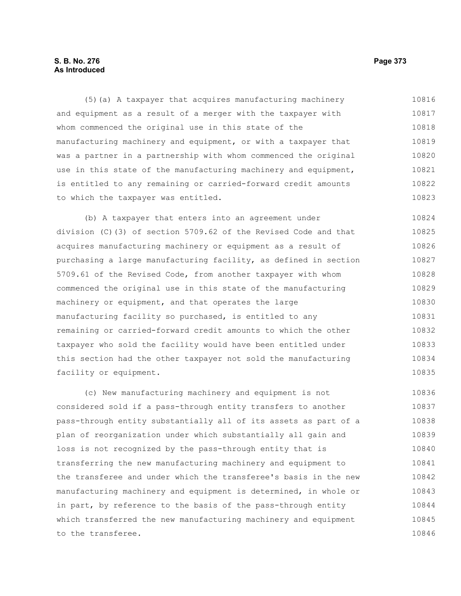# **S. B. No. 276 Page 373 As Introduced**

(5)(a) A taxpayer that acquires manufacturing machinery and equipment as a result of a merger with the taxpayer with whom commenced the original use in this state of the manufacturing machinery and equipment, or with a taxpayer that was a partner in a partnership with whom commenced the original use in this state of the manufacturing machinery and equipment, is entitled to any remaining or carried-forward credit amounts to which the taxpayer was entitled. 10816 10817 10818 10819 10820 10821 10822 10823

(b) A taxpayer that enters into an agreement under division (C)(3) of section 5709.62 of the Revised Code and that acquires manufacturing machinery or equipment as a result of purchasing a large manufacturing facility, as defined in section 5709.61 of the Revised Code, from another taxpayer with whom commenced the original use in this state of the manufacturing machinery or equipment, and that operates the large manufacturing facility so purchased, is entitled to any remaining or carried-forward credit amounts to which the other taxpayer who sold the facility would have been entitled under this section had the other taxpayer not sold the manufacturing facility or equipment. 10824 10825 10826 10827 10828 10829 10830 10831 10832 10833 10834 10835

(c) New manufacturing machinery and equipment is not considered sold if a pass-through entity transfers to another pass-through entity substantially all of its assets as part of a plan of reorganization under which substantially all gain and loss is not recognized by the pass-through entity that is transferring the new manufacturing machinery and equipment to the transferee and under which the transferee's basis in the new manufacturing machinery and equipment is determined, in whole or in part, by reference to the basis of the pass-through entity which transferred the new manufacturing machinery and equipment to the transferee. 10836 10837 10838 10839 10840 10841 10842 10843 10844 10845 10846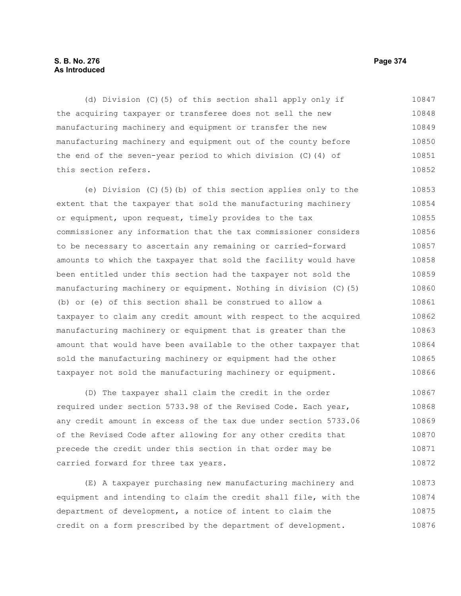## **S. B. No. 276 Page 374 As Introduced**

(d) Division (C)(5) of this section shall apply only if the acquiring taxpayer or transferee does not sell the new manufacturing machinery and equipment or transfer the new manufacturing machinery and equipment out of the county before the end of the seven-year period to which division (C)(4) of this section refers. 10847 10848 10849 10850 10851 10852

(e) Division (C)(5)(b) of this section applies only to the extent that the taxpayer that sold the manufacturing machinery or equipment, upon request, timely provides to the tax commissioner any information that the tax commissioner considers to be necessary to ascertain any remaining or carried-forward amounts to which the taxpayer that sold the facility would have been entitled under this section had the taxpayer not sold the manufacturing machinery or equipment. Nothing in division (C)(5) (b) or (e) of this section shall be construed to allow a taxpayer to claim any credit amount with respect to the acquired manufacturing machinery or equipment that is greater than the amount that would have been available to the other taxpayer that sold the manufacturing machinery or equipment had the other taxpayer not sold the manufacturing machinery or equipment. 10853 10854 10855 10856 10857 10858 10859 10860 10861 10862 10863 10864 10865 10866

(D) The taxpayer shall claim the credit in the order required under section 5733.98 of the Revised Code. Each year, any credit amount in excess of the tax due under section 5733.06 of the Revised Code after allowing for any other credits that precede the credit under this section in that order may be carried forward for three tax years. 10867 10868 10869 10870 10871 10872

(E) A taxpayer purchasing new manufacturing machinery and equipment and intending to claim the credit shall file, with the department of development, a notice of intent to claim the credit on a form prescribed by the department of development. 10873 10874 10875 10876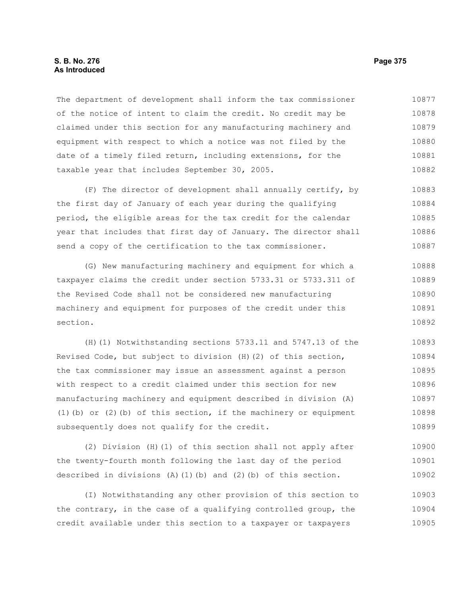#### **S. B. No. 276 Page 375 As Introduced**

The department of development shall inform the tax commissioner of the notice of intent to claim the credit. No credit may be claimed under this section for any manufacturing machinery and equipment with respect to which a notice was not filed by the date of a timely filed return, including extensions, for the taxable year that includes September 30, 2005. 10877 10878 10879 10880 10881 10882

(F) The director of development shall annually certify, by the first day of January of each year during the qualifying period, the eligible areas for the tax credit for the calendar year that includes that first day of January. The director shall send a copy of the certification to the tax commissioner. 10883 10884 10885 10886 10887

(G) New manufacturing machinery and equipment for which a taxpayer claims the credit under section 5733.31 or 5733.311 of the Revised Code shall not be considered new manufacturing machinery and equipment for purposes of the credit under this section. 10888 10889 10890 10891 10892

(H)(1) Notwithstanding sections 5733.11 and 5747.13 of the Revised Code, but subject to division (H)(2) of this section, the tax commissioner may issue an assessment against a person with respect to a credit claimed under this section for new manufacturing machinery and equipment described in division (A) (1)(b) or (2)(b) of this section, if the machinery or equipment subsequently does not qualify for the credit. 10893 10894 10895 10896 10897 10898 10899

(2) Division (H)(1) of this section shall not apply after the twenty-fourth month following the last day of the period described in divisions  $(A)$   $(1)$   $(b)$  and  $(2)$   $(b)$  of this section. 10900 10901 10902

(I) Notwithstanding any other provision of this section to the contrary, in the case of a qualifying controlled group, the credit available under this section to a taxpayer or taxpayers 10903 10904 10905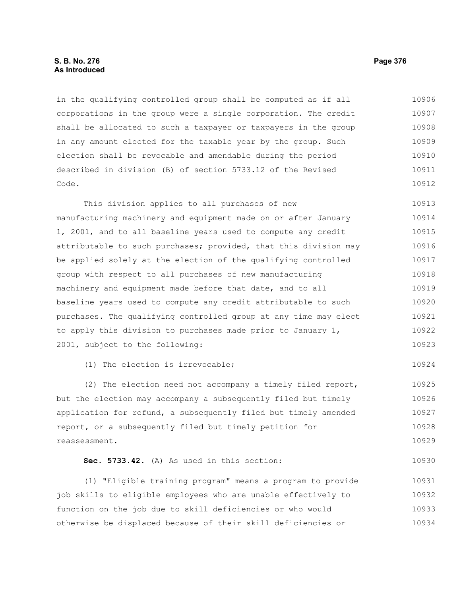### **S. B. No. 276 Page 376 As Introduced**

in the qualifying controlled group shall be computed as if all corporations in the group were a single corporation. The credit shall be allocated to such a taxpayer or taxpayers in the group in any amount elected for the taxable year by the group. Such election shall be revocable and amendable during the period described in division (B) of section 5733.12 of the Revised Code. 10906 10907 10908 10909 10910 10911 10912

This division applies to all purchases of new manufacturing machinery and equipment made on or after January 1, 2001, and to all baseline years used to compute any credit attributable to such purchases; provided, that this division may be applied solely at the election of the qualifying controlled group with respect to all purchases of new manufacturing machinery and equipment made before that date, and to all baseline years used to compute any credit attributable to such purchases. The qualifying controlled group at any time may elect to apply this division to purchases made prior to January 1, 2001, subject to the following: 10913 10914 10915 10916 10917 10918 10919 10920 10921 10922 10923

(1) The election is irrevocable;

(2) The election need not accompany a timely filed report, but the election may accompany a subsequently filed but timely application for refund, a subsequently filed but timely amended report, or a subsequently filed but timely petition for reassessment. 10925 10926 10927 10928 10929

**Sec. 5733.42.** (A) As used in this section: 10930

(1) "Eligible training program" means a program to provide job skills to eligible employees who are unable effectively to function on the job due to skill deficiencies or who would otherwise be displaced because of their skill deficiencies or 10931 10932 10933 10934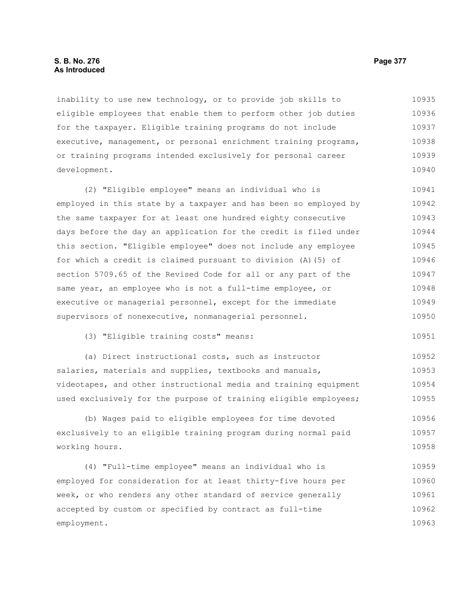#### **S. B. No. 276 Page 377 As Introduced**

inability to use new technology, or to provide job skills to eligible employees that enable them to perform other job duties for the taxpayer. Eligible training programs do not include executive, management, or personal enrichment training programs, or training programs intended exclusively for personal career development. 10935 10936 10937 10938 10939 10940

(2) "Eligible employee" means an individual who is employed in this state by a taxpayer and has been so employed by the same taxpayer for at least one hundred eighty consecutive days before the day an application for the credit is filed under this section. "Eligible employee" does not include any employee for which a credit is claimed pursuant to division (A)(5) of section 5709.65 of the Revised Code for all or any part of the same year, an employee who is not a full-time employee, or executive or managerial personnel, except for the immediate supervisors of nonexecutive, nonmanagerial personnel. 10941 10942 10943 10944 10945 10946 10947 10948 10949 10950

(3) "Eligible training costs" means: 10951

(a) Direct instructional costs, such as instructor salaries, materials and supplies, textbooks and manuals, videotapes, and other instructional media and training equipment used exclusively for the purpose of training eligible employees; 10952 10953 10954 10955

(b) Wages paid to eligible employees for time devoted exclusively to an eligible training program during normal paid working hours. 10956 10957 10958

(4) "Full-time employee" means an individual who is employed for consideration for at least thirty-five hours per week, or who renders any other standard of service generally accepted by custom or specified by contract as full-time employment. 10959 10960 10961 10962 10963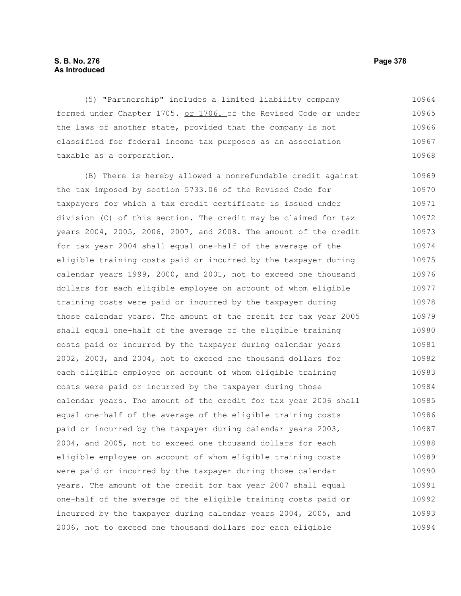# **S. B. No. 276 Page 378 As Introduced**

(5) "Partnership" includes a limited liability company formed under Chapter 1705. or 1706. of the Revised Code or under the laws of another state, provided that the company is not classified for federal income tax purposes as an association taxable as a corporation. 10964 10965 10966 10967 10968

(B) There is hereby allowed a nonrefundable credit against the tax imposed by section 5733.06 of the Revised Code for taxpayers for which a tax credit certificate is issued under division (C) of this section. The credit may be claimed for tax years 2004, 2005, 2006, 2007, and 2008. The amount of the credit for tax year 2004 shall equal one-half of the average of the eligible training costs paid or incurred by the taxpayer during calendar years 1999, 2000, and 2001, not to exceed one thousand dollars for each eligible employee on account of whom eligible training costs were paid or incurred by the taxpayer during those calendar years. The amount of the credit for tax year 2005 shall equal one-half of the average of the eligible training costs paid or incurred by the taxpayer during calendar years 2002, 2003, and 2004, not to exceed one thousand dollars for each eligible employee on account of whom eligible training costs were paid or incurred by the taxpayer during those calendar years. The amount of the credit for tax year 2006 shall equal one-half of the average of the eligible training costs paid or incurred by the taxpayer during calendar years 2003, 2004, and 2005, not to exceed one thousand dollars for each eligible employee on account of whom eligible training costs were paid or incurred by the taxpayer during those calendar years. The amount of the credit for tax year 2007 shall equal one-half of the average of the eligible training costs paid or incurred by the taxpayer during calendar years 2004, 2005, and 2006, not to exceed one thousand dollars for each eligible 10969 10970 10971 10972 10973 10974 10975 10976 10977 10978 10979 10980 10981 10982 10983 10984 10985 10986 10987 10988 10989 10990 10991 10992 10993 10994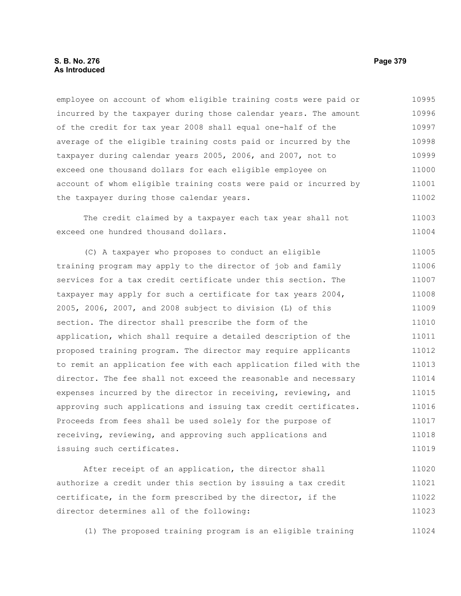### **S. B. No. 276 Page 379 As Introduced**

employee on account of whom eligible training costs were paid or incurred by the taxpayer during those calendar years. The amount of the credit for tax year 2008 shall equal one-half of the average of the eligible training costs paid or incurred by the taxpayer during calendar years 2005, 2006, and 2007, not to exceed one thousand dollars for each eligible employee on account of whom eligible training costs were paid or incurred by the taxpayer during those calendar years. 10995 10996 10997 10998 10999 11000 11001 11002

The credit claimed by a taxpayer each tax year shall not exceed one hundred thousand dollars.

(C) A taxpayer who proposes to conduct an eligible training program may apply to the director of job and family services for a tax credit certificate under this section. The taxpayer may apply for such a certificate for tax years 2004, 2005, 2006, 2007, and 2008 subject to division (L) of this section. The director shall prescribe the form of the application, which shall require a detailed description of the proposed training program. The director may require applicants to remit an application fee with each application filed with the director. The fee shall not exceed the reasonable and necessary expenses incurred by the director in receiving, reviewing, and approving such applications and issuing tax credit certificates. Proceeds from fees shall be used solely for the purpose of receiving, reviewing, and approving such applications and issuing such certificates. 11005 11006 11007 11008 11009 11010 11011 11012 11013 11014 11015 11016 11017 11018 11019

After receipt of an application, the director shall authorize a credit under this section by issuing a tax credit certificate, in the form prescribed by the director, if the director determines all of the following: 11020 11021 11022 11023

(1) The proposed training program is an eligible training 11024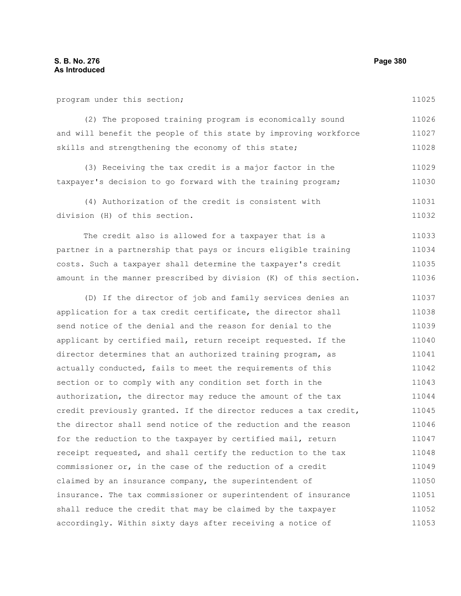program under this section;

11025

(2) The proposed training program is economically sound and will benefit the people of this state by improving workforce skills and strengthening the economy of this state; 11026 11027 11028

(3) Receiving the tax credit is a major factor in the taxpayer's decision to go forward with the training program; 11029 11030

(4) Authorization of the credit is consistent with division (H) of this section. 11031 11032

The credit also is allowed for a taxpayer that is a partner in a partnership that pays or incurs eligible training costs. Such a taxpayer shall determine the taxpayer's credit amount in the manner prescribed by division (K) of this section. 11033 11034 11035 11036

(D) If the director of job and family services denies an application for a tax credit certificate, the director shall send notice of the denial and the reason for denial to the applicant by certified mail, return receipt requested. If the director determines that an authorized training program, as actually conducted, fails to meet the requirements of this section or to comply with any condition set forth in the authorization, the director may reduce the amount of the tax credit previously granted. If the director reduces a tax credit, the director shall send notice of the reduction and the reason for the reduction to the taxpayer by certified mail, return receipt requested, and shall certify the reduction to the tax commissioner or, in the case of the reduction of a credit claimed by an insurance company, the superintendent of insurance. The tax commissioner or superintendent of insurance shall reduce the credit that may be claimed by the taxpayer accordingly. Within sixty days after receiving a notice of 11037 11038 11039 11040 11041 11042 11043 11044 11045 11046 11047 11048 11049 11050 11051 11052 11053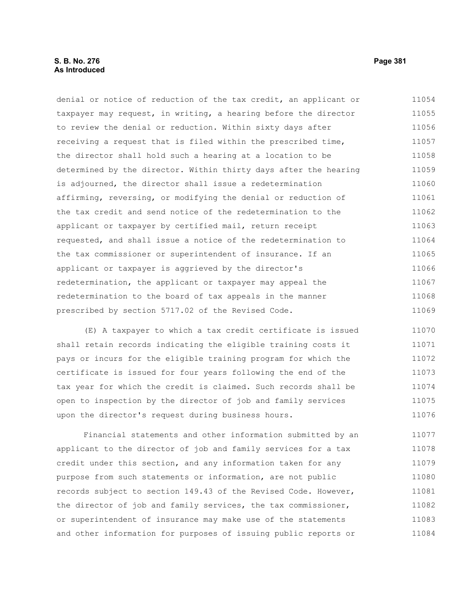## **S. B. No. 276 Page 381 As Introduced**

denial or notice of reduction of the tax credit, an applicant or taxpayer may request, in writing, a hearing before the director to review the denial or reduction. Within sixty days after receiving a request that is filed within the prescribed time, the director shall hold such a hearing at a location to be determined by the director. Within thirty days after the hearing is adjourned, the director shall issue a redetermination affirming, reversing, or modifying the denial or reduction of the tax credit and send notice of the redetermination to the applicant or taxpayer by certified mail, return receipt requested, and shall issue a notice of the redetermination to the tax commissioner or superintendent of insurance. If an applicant or taxpayer is aggrieved by the director's redetermination, the applicant or taxpayer may appeal the redetermination to the board of tax appeals in the manner prescribed by section 5717.02 of the Revised Code. 11054 11055 11056 11057 11058 11059 11060 11061 11062 11063 11064 11065 11066 11067 11068 11069

(E) A taxpayer to which a tax credit certificate is issued shall retain records indicating the eligible training costs it pays or incurs for the eligible training program for which the certificate is issued for four years following the end of the tax year for which the credit is claimed. Such records shall be open to inspection by the director of job and family services upon the director's request during business hours. 11070 11071 11072 11073 11074 11075 11076

Financial statements and other information submitted by an applicant to the director of job and family services for a tax credit under this section, and any information taken for any purpose from such statements or information, are not public records subject to section 149.43 of the Revised Code. However, the director of job and family services, the tax commissioner, or superintendent of insurance may make use of the statements and other information for purposes of issuing public reports or 11077 11078 11079 11080 11081 11082 11083 11084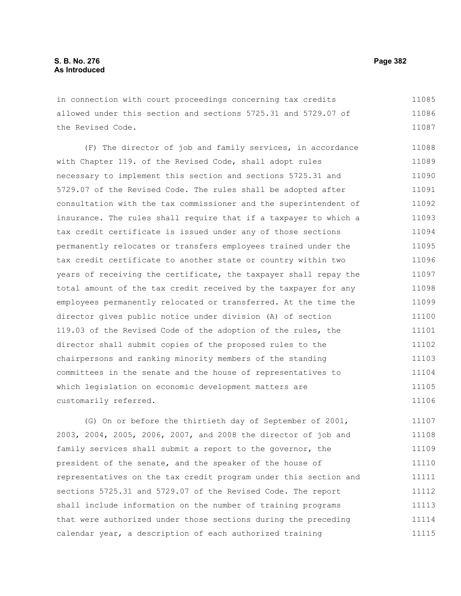in connection with court proceedings concerning tax credits allowed under this section and sections 5725.31 and 5729.07 of the Revised Code. 11085 11086 11087

(F) The director of job and family services, in accordance with Chapter 119. of the Revised Code, shall adopt rules necessary to implement this section and sections 5725.31 and 5729.07 of the Revised Code. The rules shall be adopted after consultation with the tax commissioner and the superintendent of insurance. The rules shall require that if a taxpayer to which a tax credit certificate is issued under any of those sections permanently relocates or transfers employees trained under the tax credit certificate to another state or country within two years of receiving the certificate, the taxpayer shall repay the total amount of the tax credit received by the taxpayer for any employees permanently relocated or transferred. At the time the director gives public notice under division (A) of section 119.03 of the Revised Code of the adoption of the rules, the director shall submit copies of the proposed rules to the chairpersons and ranking minority members of the standing committees in the senate and the house of representatives to which legislation on economic development matters are customarily referred. 11088 11089 11090 11091 11092 11093 11094 11095 11096 11097 11098 11099 11100 11101 11102 11103 11104 11105 11106

(G) On or before the thirtieth day of September of 2001, 2003, 2004, 2005, 2006, 2007, and 2008 the director of job and family services shall submit a report to the governor, the president of the senate, and the speaker of the house of representatives on the tax credit program under this section and sections 5725.31 and 5729.07 of the Revised Code. The report shall include information on the number of training programs that were authorized under those sections during the preceding calendar year, a description of each authorized training 11107 11108 11109 11110 11111 11112 11113 11114 11115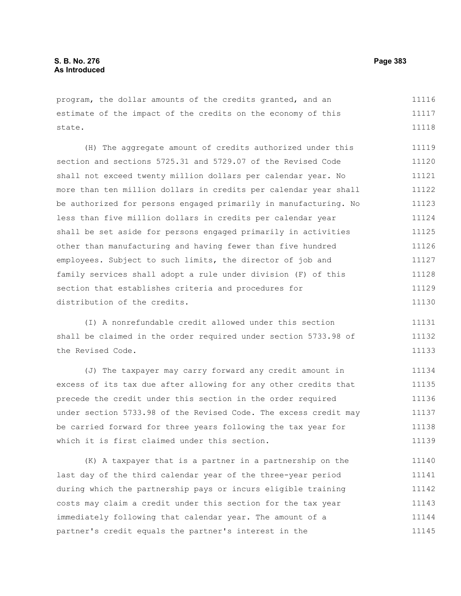program, the dollar amounts of the credits granted, and an estimate of the impact of the credits on the economy of this state. 11116 11117 11118

(H) The aggregate amount of credits authorized under this section and sections 5725.31 and 5729.07 of the Revised Code shall not exceed twenty million dollars per calendar year. No more than ten million dollars in credits per calendar year shall be authorized for persons engaged primarily in manufacturing. No less than five million dollars in credits per calendar year shall be set aside for persons engaged primarily in activities other than manufacturing and having fewer than five hundred employees. Subject to such limits, the director of job and family services shall adopt a rule under division (F) of this section that establishes criteria and procedures for distribution of the credits. 11119 11120 11121 11122 11123 11124 11125 11126 11127 11128 11129 11130

(I) A nonrefundable credit allowed under this section shall be claimed in the order required under section 5733.98 of the Revised Code. 11131 11132 11133

(J) The taxpayer may carry forward any credit amount in excess of its tax due after allowing for any other credits that precede the credit under this section in the order required under section 5733.98 of the Revised Code. The excess credit may be carried forward for three years following the tax year for which it is first claimed under this section. 11134 11135 11136 11137 11138 11139

(K) A taxpayer that is a partner in a partnership on the last day of the third calendar year of the three-year period during which the partnership pays or incurs eligible training costs may claim a credit under this section for the tax year immediately following that calendar year. The amount of a partner's credit equals the partner's interest in the 11140 11141 11142 11143 11144 11145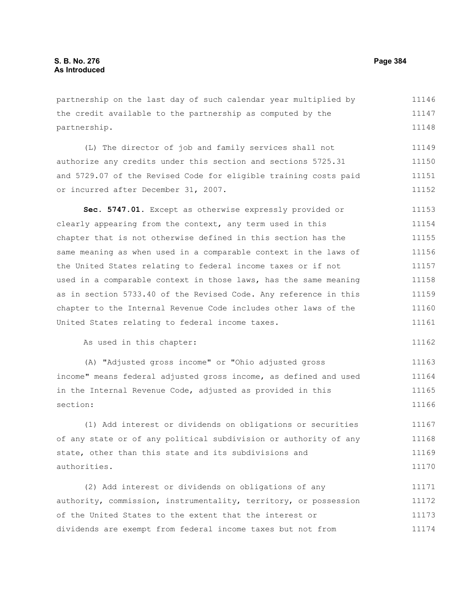partnership on the last day of such calendar year multiplied by the credit available to the partnership as computed by the partnership. 11146 11147 11148

(L) The director of job and family services shall not authorize any credits under this section and sections 5725.31 and 5729.07 of the Revised Code for eligible training costs paid or incurred after December 31, 2007. 11149 11150 11151 11152

**Sec. 5747.01.** Except as otherwise expressly provided or clearly appearing from the context, any term used in this chapter that is not otherwise defined in this section has the same meaning as when used in a comparable context in the laws of the United States relating to federal income taxes or if not used in a comparable context in those laws, has the same meaning as in section 5733.40 of the Revised Code. Any reference in this chapter to the Internal Revenue Code includes other laws of the United States relating to federal income taxes. 11153 11154 11155 11156 11157 11158 11159 11160 11161

As used in this chapter:

(A) "Adjusted gross income" or "Ohio adjusted gross income" means federal adjusted gross income, as defined and used in the Internal Revenue Code, adjusted as provided in this section: 11163 11164 11165 11166

(1) Add interest or dividends on obligations or securities of any state or of any political subdivision or authority of any state, other than this state and its subdivisions and authorities. 11167 11168 11169 11170

(2) Add interest or dividends on obligations of any authority, commission, instrumentality, territory, or possession of the United States to the extent that the interest or dividends are exempt from federal income taxes but not from 11171 11172 11173 11174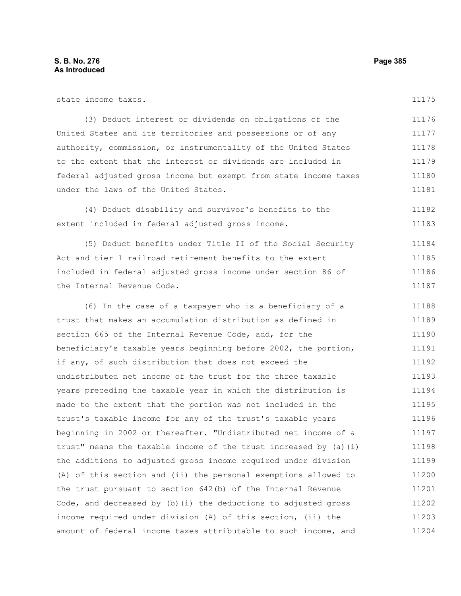| state income taxes.                                               | 11175 |
|-------------------------------------------------------------------|-------|
| (3) Deduct interest or dividends on obligations of the            | 11176 |
| United States and its territories and possessions or of any       | 11177 |
| authority, commission, or instrumentality of the United States    | 11178 |
| to the extent that the interest or dividends are included in      | 11179 |
| federal adjusted gross income but exempt from state income taxes  | 11180 |
| under the laws of the United States.                              | 11181 |
| (4) Deduct disability and survivor's benefits to the              | 11182 |
| extent included in federal adjusted gross income.                 | 11183 |
| (5) Deduct benefits under Title II of the Social Security         | 11184 |
| Act and tier 1 railroad retirement benefits to the extent         | 11185 |
| included in federal adjusted gross income under section 86 of     | 11186 |
| the Internal Revenue Code.                                        | 11187 |
| (6) In the case of a taxpayer who is a beneficiary of a           | 11188 |
| trust that makes an accumulation distribution as defined in       | 11189 |
| section 665 of the Internal Revenue Code, add, for the            | 11190 |
| beneficiary's taxable years beginning before 2002, the portion,   | 11191 |
| if any, of such distribution that does not exceed the             | 11192 |
| undistributed net income of the trust for the three taxable       | 11193 |
| years preceding the taxable year in which the distribution is     | 11194 |
| made to the extent that the portion was not included in the       | 11195 |
| trust's taxable income for any of the trust's taxable years       | 11196 |
| beginning in 2002 or thereafter. "Undistributed net income of a   | 11197 |
| trust" means the taxable income of the trust increased by (a) (i) | 11198 |
| the additions to adjusted gross income required under division    | 11199 |
| (A) of this section and (ii) the personal exemptions allowed to   | 11200 |
| the trust pursuant to section 642(b) of the Internal Revenue      | 11201 |
| Code, and decreased by $(b)$ (i) the deductions to adjusted gross | 11202 |
| income required under division (A) of this section, (ii) the      | 11203 |
| amount of federal income taxes attributable to such income, and   | 11204 |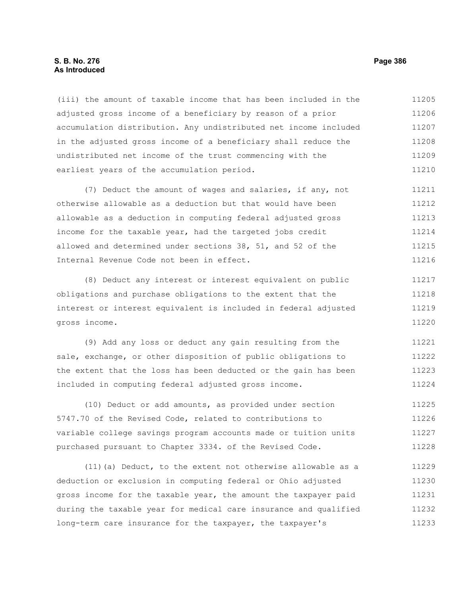#### **S. B. No. 276 Page 386 As Introduced**

(iii) the amount of taxable income that has been included in the adjusted gross income of a beneficiary by reason of a prior accumulation distribution. Any undistributed net income included in the adjusted gross income of a beneficiary shall reduce the undistributed net income of the trust commencing with the earliest years of the accumulation period. 11205 11206 11207 11208 11209 11210

(7) Deduct the amount of wages and salaries, if any, not otherwise allowable as a deduction but that would have been allowable as a deduction in computing federal adjusted gross income for the taxable year, had the targeted jobs credit allowed and determined under sections 38, 51, and 52 of the Internal Revenue Code not been in effect. 11211 11212 11213 11214 11215 11216

(8) Deduct any interest or interest equivalent on public obligations and purchase obligations to the extent that the interest or interest equivalent is included in federal adjusted gross income. 11217 11218 11219 11220

(9) Add any loss or deduct any gain resulting from the sale, exchange, or other disposition of public obligations to the extent that the loss has been deducted or the gain has been included in computing federal adjusted gross income. 11221 11222 11223 11224

(10) Deduct or add amounts, as provided under section 5747.70 of the Revised Code, related to contributions to variable college savings program accounts made or tuition units purchased pursuant to Chapter 3334. of the Revised Code. 11225 11226 11227 11228

(11)(a) Deduct, to the extent not otherwise allowable as a deduction or exclusion in computing federal or Ohio adjusted gross income for the taxable year, the amount the taxpayer paid during the taxable year for medical care insurance and qualified long-term care insurance for the taxpayer, the taxpayer's 11229 11230 11231 11232 11233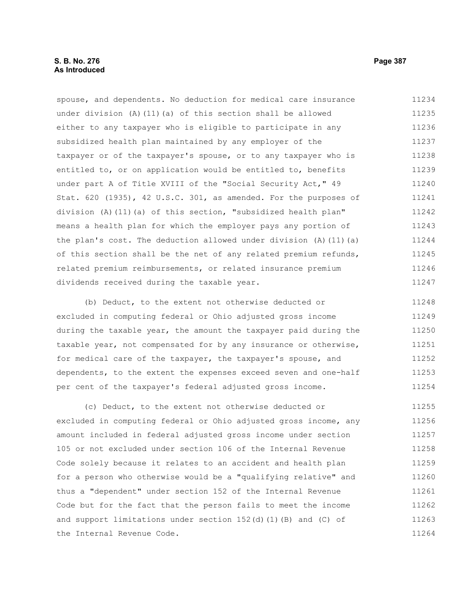spouse, and dependents. No deduction for medical care insurance under division (A)(11)(a) of this section shall be allowed either to any taxpayer who is eligible to participate in any subsidized health plan maintained by any employer of the taxpayer or of the taxpayer's spouse, or to any taxpayer who is entitled to, or on application would be entitled to, benefits under part A of Title XVIII of the "Social Security Act," 49 Stat. 620 (1935), 42 U.S.C. 301, as amended. For the purposes of division (A)(11)(a) of this section, "subsidized health plan" means a health plan for which the employer pays any portion of the plan's cost. The deduction allowed under division (A)(11)(a) of this section shall be the net of any related premium refunds, related premium reimbursements, or related insurance premium dividends received during the taxable year. 11234 11235 11236 11237 11238 11239 11240 11241 11242 11243 11244 11245 11246 11247

(b) Deduct, to the extent not otherwise deducted or excluded in computing federal or Ohio adjusted gross income during the taxable year, the amount the taxpayer paid during the taxable year, not compensated for by any insurance or otherwise, for medical care of the taxpayer, the taxpayer's spouse, and dependents, to the extent the expenses exceed seven and one-half per cent of the taxpayer's federal adjusted gross income. 11248 11249 11250 11251 11252 11253 11254

(c) Deduct, to the extent not otherwise deducted or excluded in computing federal or Ohio adjusted gross income, any amount included in federal adjusted gross income under section 105 or not excluded under section 106 of the Internal Revenue Code solely because it relates to an accident and health plan for a person who otherwise would be a "qualifying relative" and thus a "dependent" under section 152 of the Internal Revenue Code but for the fact that the person fails to meet the income and support limitations under section 152(d)(1)(B) and (C) of the Internal Revenue Code. 11255 11256 11257 11258 11259 11260 11261 11262 11263 11264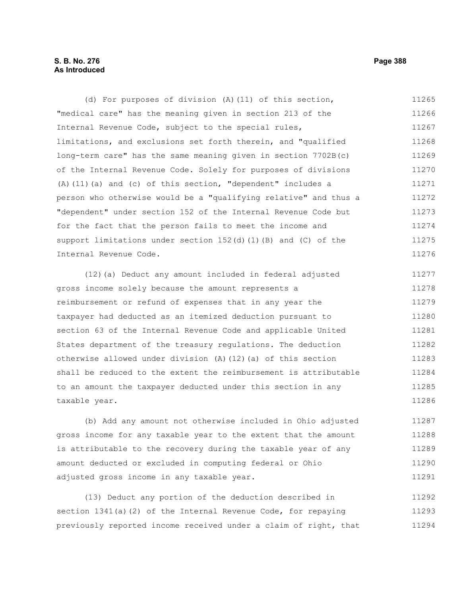# **S. B. No. 276 Page 388 As Introduced**

(d) For purposes of division (A)(11) of this section, "medical care" has the meaning given in section 213 of the Internal Revenue Code, subject to the special rules, limitations, and exclusions set forth therein, and "qualified long-term care" has the same meaning given in section 7702B(c) of the Internal Revenue Code. Solely for purposes of divisions (A)(11)(a) and (c) of this section, "dependent" includes a person who otherwise would be a "qualifying relative" and thus a "dependent" under section 152 of the Internal Revenue Code but for the fact that the person fails to meet the income and support limitations under section 152(d)(1)(B) and (C) of the Internal Revenue Code. 11265 11266 11267 11268 11269 11270 11271 11272 11273 11274 11275 11276

(12)(a) Deduct any amount included in federal adjusted gross income solely because the amount represents a reimbursement or refund of expenses that in any year the taxpayer had deducted as an itemized deduction pursuant to section 63 of the Internal Revenue Code and applicable United States department of the treasury regulations. The deduction otherwise allowed under division (A)(12)(a) of this section shall be reduced to the extent the reimbursement is attributable to an amount the taxpayer deducted under this section in any taxable year. 11277 11278 11279 11280 11281 11282 11283 11284 11285 11286

(b) Add any amount not otherwise included in Ohio adjusted gross income for any taxable year to the extent that the amount is attributable to the recovery during the taxable year of any amount deducted or excluded in computing federal or Ohio adjusted gross income in any taxable year. 11287 11288 11289 11290 11291

(13) Deduct any portion of the deduction described in section 1341(a)(2) of the Internal Revenue Code, for repaying previously reported income received under a claim of right, that 11292 11293 11294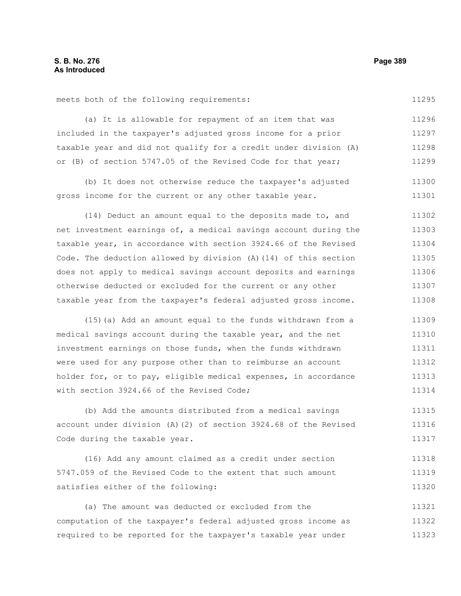meets both of the following requirements:

11295

(a) It is allowable for repayment of an item that was included in the taxpayer's adjusted gross income for a prior taxable year and did not qualify for a credit under division (A) or (B) of section 5747.05 of the Revised Code for that year; 11296 11297 11298 11299

(b) It does not otherwise reduce the taxpayer's adjusted gross income for the current or any other taxable year. 11300 11301

(14) Deduct an amount equal to the deposits made to, and net investment earnings of, a medical savings account during the taxable year, in accordance with section 3924.66 of the Revised Code. The deduction allowed by division (A)(14) of this section does not apply to medical savings account deposits and earnings otherwise deducted or excluded for the current or any other taxable year from the taxpayer's federal adjusted gross income. 11302 11303 11304 11305 11306 11307 11308

(15)(a) Add an amount equal to the funds withdrawn from a medical savings account during the taxable year, and the net investment earnings on those funds, when the funds withdrawn were used for any purpose other than to reimburse an account holder for, or to pay, eligible medical expenses, in accordance with section 3924.66 of the Revised Code; 11309 11310 11311 11312 11313 11314

(b) Add the amounts distributed from a medical savings account under division (A)(2) of section 3924.68 of the Revised Code during the taxable year. 11315 11316 11317

(16) Add any amount claimed as a credit under section 5747.059 of the Revised Code to the extent that such amount satisfies either of the following: 11318 11319 11320

(a) The amount was deducted or excluded from the computation of the taxpayer's federal adjusted gross income as required to be reported for the taxpayer's taxable year under 11321 11322 11323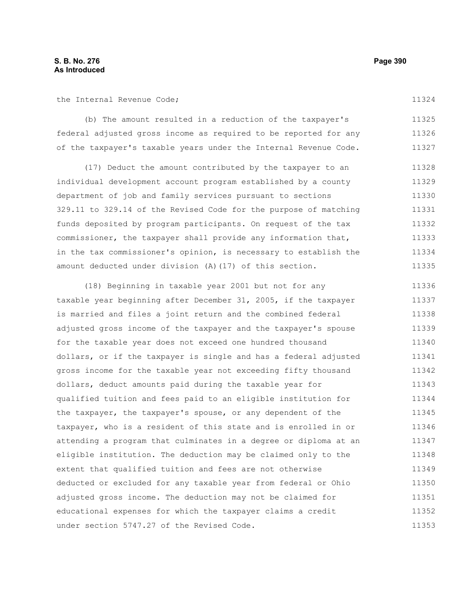the Internal Revenue Code;

(b) The amount resulted in a reduction of the taxpayer's federal adjusted gross income as required to be reported for any of the taxpayer's taxable years under the Internal Revenue Code. 11325 11326 11327

(17) Deduct the amount contributed by the taxpayer to an individual development account program established by a county department of job and family services pursuant to sections 329.11 to 329.14 of the Revised Code for the purpose of matching funds deposited by program participants. On request of the tax commissioner, the taxpayer shall provide any information that, in the tax commissioner's opinion, is necessary to establish the amount deducted under division (A)(17) of this section. 11328 11329 11330 11331 11332 11333 11334 11335

(18) Beginning in taxable year 2001 but not for any taxable year beginning after December 31, 2005, if the taxpayer is married and files a joint return and the combined federal adjusted gross income of the taxpayer and the taxpayer's spouse for the taxable year does not exceed one hundred thousand dollars, or if the taxpayer is single and has a federal adjusted gross income for the taxable year not exceeding fifty thousand dollars, deduct amounts paid during the taxable year for qualified tuition and fees paid to an eligible institution for the taxpayer, the taxpayer's spouse, or any dependent of the taxpayer, who is a resident of this state and is enrolled in or attending a program that culminates in a degree or diploma at an eligible institution. The deduction may be claimed only to the extent that qualified tuition and fees are not otherwise deducted or excluded for any taxable year from federal or Ohio adjusted gross income. The deduction may not be claimed for educational expenses for which the taxpayer claims a credit under section 5747.27 of the Revised Code. 11336 11337 11338 11339 11340 11341 11342 11343 11344 11345 11346 11347 11348 11349 11350 11351 11352 11353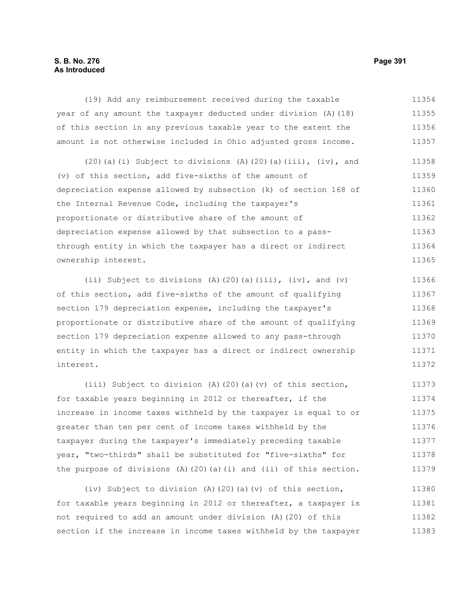# **S. B. No. 276 Page 391 As Introduced**

(19) Add any reimbursement received during the taxable year of any amount the taxpayer deducted under division (A)(18) of this section in any previous taxable year to the extent the amount is not otherwise included in Ohio adjusted gross income. 11354 11355 11356 11357

(20)(a)(i) Subject to divisions (A)(20)(a)(iii),  $(iv)$ , and (v) of this section, add five-sixths of the amount of depreciation expense allowed by subsection (k) of section 168 of the Internal Revenue Code, including the taxpayer's proportionate or distributive share of the amount of depreciation expense allowed by that subsection to a passthrough entity in which the taxpayer has a direct or indirect ownership interest. 11358 11359 11360 11361 11362 11363 11364 11365

(ii) Subject to divisions (A)(20)(a)(iii), (iv), and (v) of this section, add five-sixths of the amount of qualifying section 179 depreciation expense, including the taxpayer's proportionate or distributive share of the amount of qualifying section 179 depreciation expense allowed to any pass-through entity in which the taxpayer has a direct or indirect ownership interest. 11366 11367 11368 11369 11370 11371 11372

(iii) Subject to division (A)(20)(a)(v) of this section, for taxable years beginning in 2012 or thereafter, if the increase in income taxes withheld by the taxpayer is equal to or greater than ten per cent of income taxes withheld by the taxpayer during the taxpayer's immediately preceding taxable year, "two-thirds" shall be substituted for "five-sixths" for the purpose of divisions  $(A)$  (20)(a)(i) and (ii) of this section. 11373 11374 11375 11376 11377 11378 11379

(iv) Subject to division (A)(20)(a)(v) of this section, for taxable years beginning in 2012 or thereafter, a taxpayer is not required to add an amount under division (A)(20) of this section if the increase in income taxes withheld by the taxpayer 11380 11381 11382 11383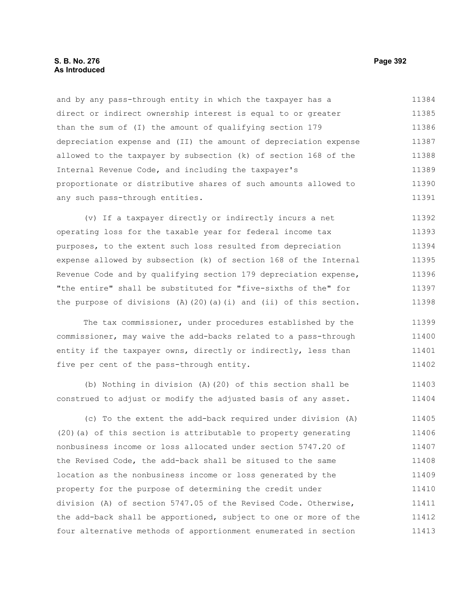#### **S. B. No. 276 Page 392 As Introduced**

and by any pass-through entity in which the taxpayer has a direct or indirect ownership interest is equal to or greater than the sum of (I) the amount of qualifying section 179 depreciation expense and (II) the amount of depreciation expense allowed to the taxpayer by subsection (k) of section 168 of the Internal Revenue Code, and including the taxpayer's proportionate or distributive shares of such amounts allowed to any such pass-through entities. 11384 11385 11386 11387 11388 11389 11390 11391

(v) If a taxpayer directly or indirectly incurs a net operating loss for the taxable year for federal income tax purposes, to the extent such loss resulted from depreciation expense allowed by subsection (k) of section 168 of the Internal Revenue Code and by qualifying section 179 depreciation expense, "the entire" shall be substituted for "five-sixths of the" for the purpose of divisions  $(A)$  (20)(a)(i) and (ii) of this section. 11392 11393 11394 11395 11396 11397 11398

The tax commissioner, under procedures established by the commissioner, may waive the add-backs related to a pass-through entity if the taxpayer owns, directly or indirectly, less than five per cent of the pass-through entity. 11399 11400 11401 11402

(b) Nothing in division (A)(20) of this section shall be construed to adjust or modify the adjusted basis of any asset. 11403 11404

(c) To the extent the add-back required under division (A) (20)(a) of this section is attributable to property generating nonbusiness income or loss allocated under section 5747.20 of the Revised Code, the add-back shall be sitused to the same location as the nonbusiness income or loss generated by the property for the purpose of determining the credit under division (A) of section 5747.05 of the Revised Code. Otherwise, the add-back shall be apportioned, subject to one or more of the four alternative methods of apportionment enumerated in section 11405 11406 11407 11408 11409 11410 11411 11412 11413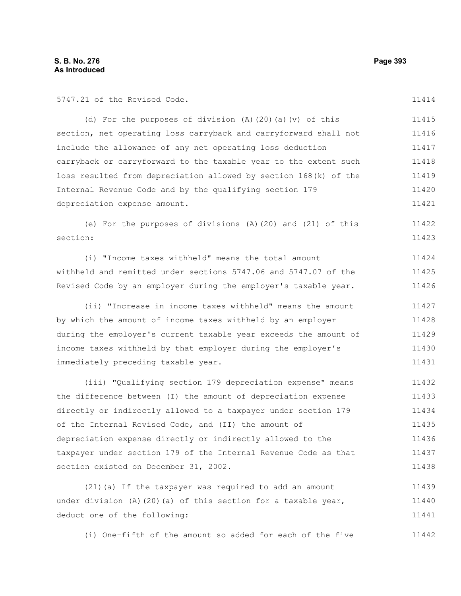5747.21 of the Revised Code.

(d) For the purposes of division (A)(20)(a)(v) of this section, net operating loss carryback and carryforward shall not include the allowance of any net operating loss deduction carryback or carryforward to the taxable year to the extent such loss resulted from depreciation allowed by section 168(k) of the Internal Revenue Code and by the qualifying section 179 depreciation expense amount. 11415 11416 11417 11418 11419 11420 11421

(e) For the purposes of divisions (A)(20) and (21) of this section: 11422 11423

(i) "Income taxes withheld" means the total amount withheld and remitted under sections 5747.06 and 5747.07 of the Revised Code by an employer during the employer's taxable year. 11424 11425 11426

(ii) "Increase in income taxes withheld" means the amount by which the amount of income taxes withheld by an employer during the employer's current taxable year exceeds the amount of income taxes withheld by that employer during the employer's immediately preceding taxable year. 11427 11428 11429 11430 11431

(iii) "Qualifying section 179 depreciation expense" means the difference between (I) the amount of depreciation expense directly or indirectly allowed to a taxpayer under section 179 of the Internal Revised Code, and (II) the amount of depreciation expense directly or indirectly allowed to the taxpayer under section 179 of the Internal Revenue Code as that section existed on December 31, 2002. 11432 11433 11434 11435 11436 11437 11438

(21)(a) If the taxpayer was required to add an amount under division  $(A)$  (20)(a) of this section for a taxable year, deduct one of the following: 11439 11440 11441

(i) One-fifth of the amount so added for each of the five 11442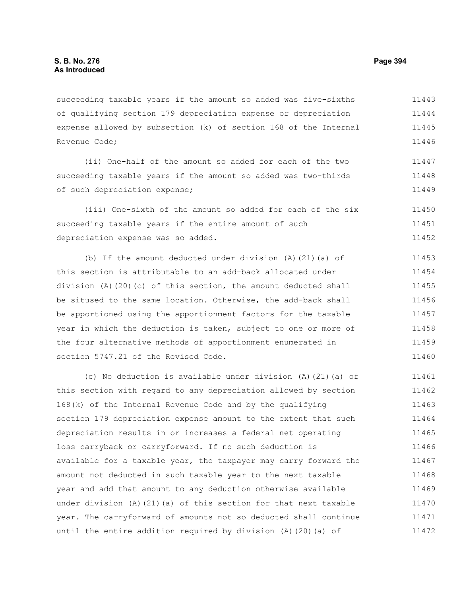succeeding taxable years if the amount so added was five-sixths of qualifying section 179 depreciation expense or depreciation expense allowed by subsection (k) of section 168 of the Internal Revenue Code; 11443 11444 11445 11446

(ii) One-half of the amount so added for each of the two succeeding taxable years if the amount so added was two-thirds of such depreciation expense; 11447 11448 11449

(iii) One-sixth of the amount so added for each of the six succeeding taxable years if the entire amount of such depreciation expense was so added. 11450 11451 11452

(b) If the amount deducted under division (A)(21)(a) of this section is attributable to an add-back allocated under division (A)(20)(c) of this section, the amount deducted shall be sitused to the same location. Otherwise, the add-back shall be apportioned using the apportionment factors for the taxable year in which the deduction is taken, subject to one or more of the four alternative methods of apportionment enumerated in section 5747.21 of the Revised Code. 11453 11454 11455 11456 11457 11458 11459 11460

(c) No deduction is available under division (A)(21)(a) of this section with regard to any depreciation allowed by section 168(k) of the Internal Revenue Code and by the qualifying section 179 depreciation expense amount to the extent that such depreciation results in or increases a federal net operating loss carryback or carryforward. If no such deduction is available for a taxable year, the taxpayer may carry forward the amount not deducted in such taxable year to the next taxable year and add that amount to any deduction otherwise available under division (A)(21)(a) of this section for that next taxable year. The carryforward of amounts not so deducted shall continue until the entire addition required by division (A)(20)(a) of 11461 11462 11463 11464 11465 11466 11467 11468 11469 11470 11471 11472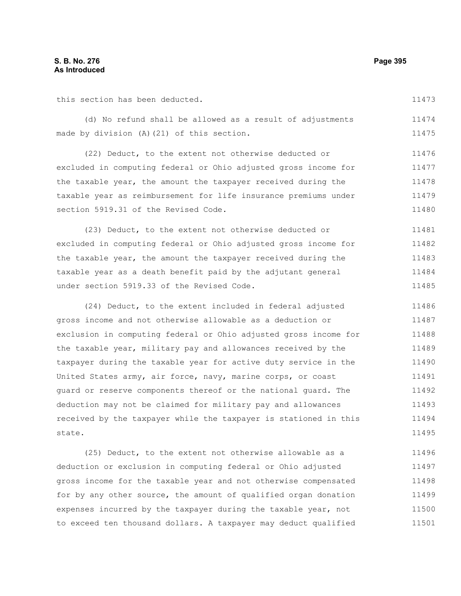this section has been deducted.

11473

|  |  |                                            |  |  |  | (d) No refund shall be allowed as a result of adjustments | 11474 |
|--|--|--------------------------------------------|--|--|--|-----------------------------------------------------------|-------|
|  |  | made by division (A) (21) of this section. |  |  |  |                                                           | 11475 |

(22) Deduct, to the extent not otherwise deducted or excluded in computing federal or Ohio adjusted gross income for the taxable year, the amount the taxpayer received during the taxable year as reimbursement for life insurance premiums under section 5919.31 of the Revised Code. 11476 11477 11478 11479 11480

(23) Deduct, to the extent not otherwise deducted or excluded in computing federal or Ohio adjusted gross income for the taxable year, the amount the taxpayer received during the taxable year as a death benefit paid by the adjutant general under section 5919.33 of the Revised Code. 11481 11482 11483 11484 11485

(24) Deduct, to the extent included in federal adjusted gross income and not otherwise allowable as a deduction or exclusion in computing federal or Ohio adjusted gross income for the taxable year, military pay and allowances received by the taxpayer during the taxable year for active duty service in the United States army, air force, navy, marine corps, or coast guard or reserve components thereof or the national guard. The deduction may not be claimed for military pay and allowances received by the taxpayer while the taxpayer is stationed in this state. 11486 11487 11488 11489 11490 11491 11492 11493 11494 11495

(25) Deduct, to the extent not otherwise allowable as a deduction or exclusion in computing federal or Ohio adjusted gross income for the taxable year and not otherwise compensated for by any other source, the amount of qualified organ donation expenses incurred by the taxpayer during the taxable year, not to exceed ten thousand dollars. A taxpayer may deduct qualified 11496 11497 11498 11499 11500 11501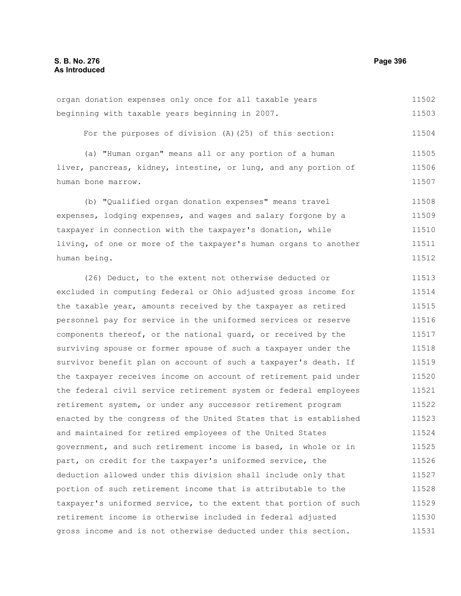organ donation expenses only once for all taxable years beginning with taxable years beginning in 2007. 11502 11503

For the purposes of division (A)(25) of this section: 11504

(a) "Human organ" means all or any portion of a human liver, pancreas, kidney, intestine, or lung, and any portion of human bone marrow. 11505 11506 11507

(b) "Qualified organ donation expenses" means travel expenses, lodging expenses, and wages and salary forgone by a taxpayer in connection with the taxpayer's donation, while living, of one or more of the taxpayer's human organs to another human being. 11508 11509 11510 11511 11512

(26) Deduct, to the extent not otherwise deducted or excluded in computing federal or Ohio adjusted gross income for the taxable year, amounts received by the taxpayer as retired personnel pay for service in the uniformed services or reserve components thereof, or the national guard, or received by the surviving spouse or former spouse of such a taxpayer under the survivor benefit plan on account of such a taxpayer's death. If the taxpayer receives income on account of retirement paid under the federal civil service retirement system or federal employees retirement system, or under any successor retirement program enacted by the congress of the United States that is established and maintained for retired employees of the United States government, and such retirement income is based, in whole or in part, on credit for the taxpayer's uniformed service, the deduction allowed under this division shall include only that portion of such retirement income that is attributable to the taxpayer's uniformed service, to the extent that portion of such retirement income is otherwise included in federal adjusted gross income and is not otherwise deducted under this section. 11513 11514 11515 11516 11517 11518 11519 11520 11521 11522 11523 11524 11525 11526 11527 11528 11529 11530 11531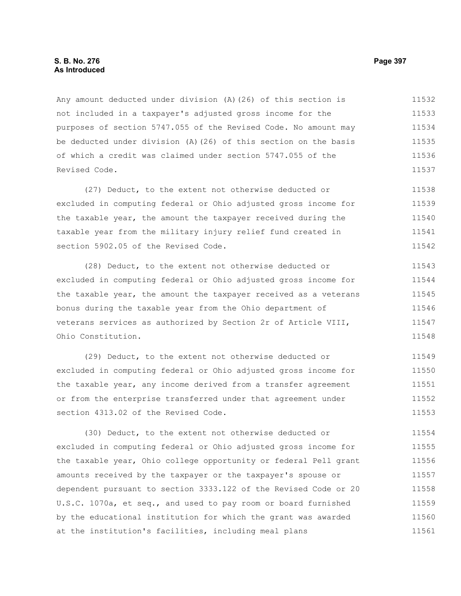#### **S. B. No. 276 Page 397 As Introduced**

Any amount deducted under division (A)(26) of this section is not included in a taxpayer's adjusted gross income for the purposes of section 5747.055 of the Revised Code. No amount may be deducted under division (A)(26) of this section on the basis of which a credit was claimed under section 5747.055 of the Revised Code. 11532 11533 11534 11535 11536 11537

(27) Deduct, to the extent not otherwise deducted or excluded in computing federal or Ohio adjusted gross income for the taxable year, the amount the taxpayer received during the taxable year from the military injury relief fund created in section 5902.05 of the Revised Code. 11538 11539 11540 11541 11542

(28) Deduct, to the extent not otherwise deducted or excluded in computing federal or Ohio adjusted gross income for the taxable year, the amount the taxpayer received as a veterans bonus during the taxable year from the Ohio department of veterans services as authorized by Section 2r of Article VIII, Ohio Constitution. 11543 11544 11545 11546 11547 11548

(29) Deduct, to the extent not otherwise deducted or excluded in computing federal or Ohio adjusted gross income for the taxable year, any income derived from a transfer agreement or from the enterprise transferred under that agreement under section 4313.02 of the Revised Code. 11549 11550 11551 11552 11553

(30) Deduct, to the extent not otherwise deducted or excluded in computing federal or Ohio adjusted gross income for the taxable year, Ohio college opportunity or federal Pell grant amounts received by the taxpayer or the taxpayer's spouse or dependent pursuant to section 3333.122 of the Revised Code or 20 U.S.C. 1070a, et seq., and used to pay room or board furnished by the educational institution for which the grant was awarded at the institution's facilities, including meal plans 11554 11555 11556 11557 11558 11559 11560 11561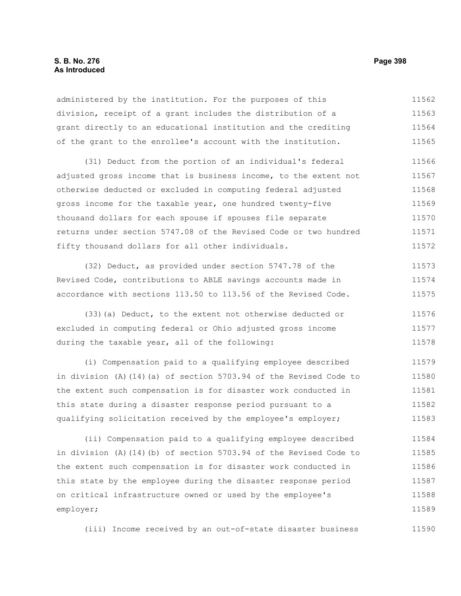### **S. B. No. 276 Page 398 As Introduced**

administered by the institution. For the purposes of this division, receipt of a grant includes the distribution of a grant directly to an educational institution and the crediting of the grant to the enrollee's account with the institution. 11562 11563 11564 11565

(31) Deduct from the portion of an individual's federal adjusted gross income that is business income, to the extent not otherwise deducted or excluded in computing federal adjusted gross income for the taxable year, one hundred twenty-five thousand dollars for each spouse if spouses file separate returns under section 5747.08 of the Revised Code or two hundred fifty thousand dollars for all other individuals. 11566 11567 11568 11569 11570 11571 11572

(32) Deduct, as provided under section 5747.78 of the Revised Code, contributions to ABLE savings accounts made in accordance with sections 113.50 to 113.56 of the Revised Code. 11573 11574 11575

(33)(a) Deduct, to the extent not otherwise deducted or excluded in computing federal or Ohio adjusted gross income during the taxable year, all of the following: 11576 11577 11578

(i) Compensation paid to a qualifying employee described in division (A)(14)(a) of section 5703.94 of the Revised Code to the extent such compensation is for disaster work conducted in this state during a disaster response period pursuant to a qualifying solicitation received by the employee's employer; 11579 11580 11581 11582 11583

(ii) Compensation paid to a qualifying employee described in division (A)(14)(b) of section 5703.94 of the Revised Code to the extent such compensation is for disaster work conducted in this state by the employee during the disaster response period on critical infrastructure owned or used by the employee's employer; 11584 11585 11586 11587 11588 11589

(iii) Income received by an out-of-state disaster business 11590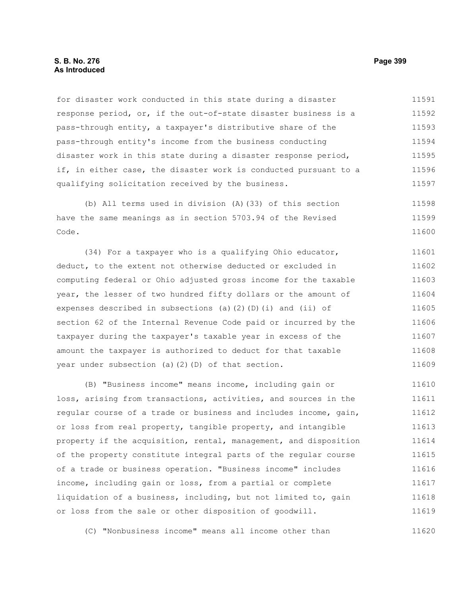#### **S. B. No. 276 Page 399 As Introduced**

for disaster work conducted in this state during a disaster response period, or, if the out-of-state disaster business is a pass-through entity, a taxpayer's distributive share of the pass-through entity's income from the business conducting disaster work in this state during a disaster response period, if, in either case, the disaster work is conducted pursuant to a qualifying solicitation received by the business. 11591 11592 11593 11594 11595 11596 11597

(b) All terms used in division (A)(33) of this section have the same meanings as in section 5703.94 of the Revised Code. 11598 11599 11600

(34) For a taxpayer who is a qualifying Ohio educator, deduct, to the extent not otherwise deducted or excluded in computing federal or Ohio adjusted gross income for the taxable year, the lesser of two hundred fifty dollars or the amount of expenses described in subsections (a)(2)(D)(i) and (ii) of section 62 of the Internal Revenue Code paid or incurred by the taxpayer during the taxpayer's taxable year in excess of the amount the taxpayer is authorized to deduct for that taxable year under subsection (a)(2)(D) of that section. 11601 11602 11603 11604 11605 11606 11607 11608 11609

(B) "Business income" means income, including gain or loss, arising from transactions, activities, and sources in the regular course of a trade or business and includes income, gain, or loss from real property, tangible property, and intangible property if the acquisition, rental, management, and disposition of the property constitute integral parts of the regular course of a trade or business operation. "Business income" includes income, including gain or loss, from a partial or complete liquidation of a business, including, but not limited to, gain or loss from the sale or other disposition of goodwill. 11610 11611 11612 11613 11614 11615 11616 11617 11618 11619

(C) "Nonbusiness income" means all income other than 11620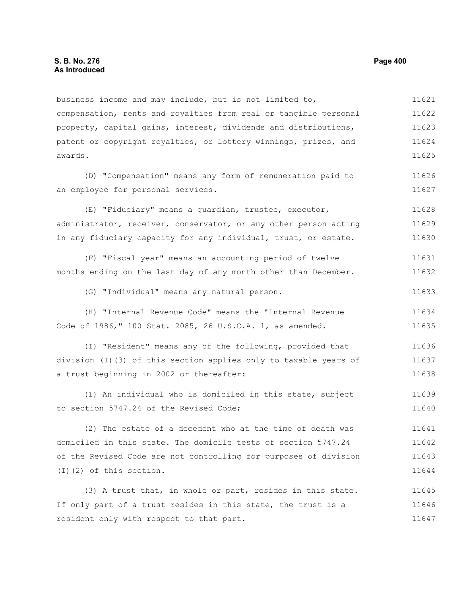business income and may include, but is not limited to, compensation, rents and royalties from real or tangible personal property, capital gains, interest, dividends and distributions, patent or copyright royalties, or lottery winnings, prizes, and awards. 11621 11622 11623 11624 11625

(D) "Compensation" means any form of remuneration paid to an employee for personal services.

(E) "Fiduciary" means a guardian, trustee, executor, administrator, receiver, conservator, or any other person acting in any fiduciary capacity for any individual, trust, or estate. 11628 11629 11630

(F) "Fiscal year" means an accounting period of twelve months ending on the last day of any month other than December. 11631 11632

(G) "Individual" means any natural person. 11633

(H) "Internal Revenue Code" means the "Internal Revenue Code of 1986," 100 Stat. 2085, 26 U.S.C.A. 1, as amended. 11634 11635

(I) "Resident" means any of the following, provided that division (I)(3) of this section applies only to taxable years of a trust beginning in 2002 or thereafter: 11636 11637 11638

(1) An individual who is domiciled in this state, subject to section 5747.24 of the Revised Code; 11639 11640

(2) The estate of a decedent who at the time of death was domiciled in this state. The domicile tests of section 5747.24 of the Revised Code are not controlling for purposes of division (I)(2) of this section. 11641 11642 11643 11644

(3) A trust that, in whole or part, resides in this state. If only part of a trust resides in this state, the trust is a resident only with respect to that part. 11645 11646 11647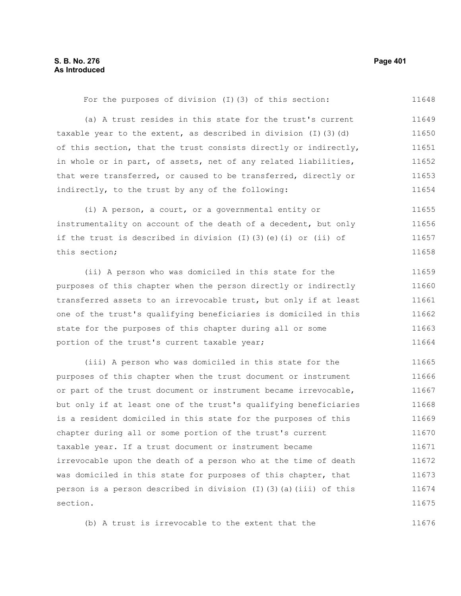| For the purposes of division (I) (3) of this section:                      | 11648 |
|----------------------------------------------------------------------------|-------|
| (a) A trust resides in this state for the trust's current                  | 11649 |
| taxable year to the extent, as described in division $(I)$ $(3)$ $(d)$     | 11650 |
| of this section, that the trust consists directly or indirectly,           | 11651 |
| in whole or in part, of assets, net of any related liabilities,            | 11652 |
| that were transferred, or caused to be transferred, directly or            | 11653 |
| indirectly, to the trust by any of the following:                          | 11654 |
| (i) A person, a court, or a governmental entity or                         | 11655 |
| instrumentality on account of the death of a decedent, but only            | 11656 |
| if the trust is described in division $(I)$ $(3)$ $(e)$ $(i)$ or $(ii)$ of | 11657 |
| this section;                                                              | 11658 |
| (ii) A person who was domiciled in this state for the                      | 11659 |
| purposes of this chapter when the person directly or indirectly            | 11660 |
| transferred assets to an irrevocable trust, but only if at least           | 11661 |
| one of the trust's qualifying beneficiaries is domiciled in this           | 11662 |
| state for the purposes of this chapter during all or some                  | 11663 |
| portion of the trust's current taxable year;                               | 11664 |
| (iii) A person who was domiciled in this state for the                     | 11665 |
| purposes of this chapter when the trust document or instrument             | 11666 |
| or part of the trust document or instrument became irrevocable,            | 11667 |
| but only if at least one of the trust's qualifying beneficiaries           | 11668 |
| is a resident domiciled in this state for the purposes of this             | 11669 |
| chapter during all or some portion of the trust's current                  | 11670 |
| taxable year. If a trust document or instrument became                     | 11671 |
| irrevocable upon the death of a person who at the time of death            | 11672 |
| was domiciled in this state for purposes of this chapter, that             | 11673 |
| person is a person described in division (I)(3)(a)(iii) of this            | 11674 |
| section.                                                                   | 11675 |

(b) A trust is irrevocable to the extent that the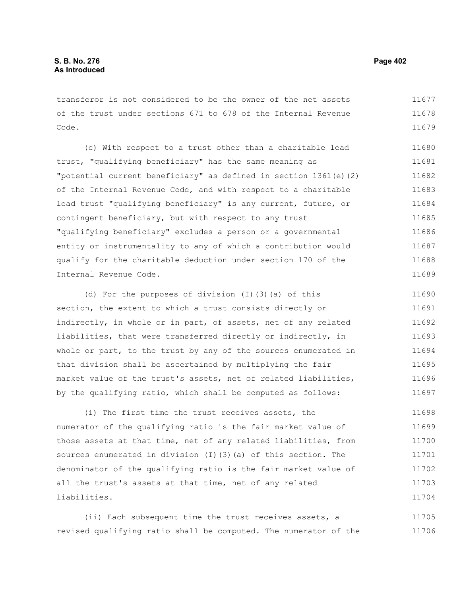transferor is not considered to be the owner of the net assets of the trust under sections 671 to 678 of the Internal Revenue Code. 11677 11678 11679

(c) With respect to a trust other than a charitable lead trust, "qualifying beneficiary" has the same meaning as "potential current beneficiary" as defined in section 1361(e)(2) of the Internal Revenue Code, and with respect to a charitable lead trust "qualifying beneficiary" is any current, future, or contingent beneficiary, but with respect to any trust "qualifying beneficiary" excludes a person or a governmental entity or instrumentality to any of which a contribution would qualify for the charitable deduction under section 170 of the Internal Revenue Code. 11680 11681 11682 11683 11684 11685 11686 11687 11688 11689

(d) For the purposes of division (I)(3)(a) of this section, the extent to which a trust consists directly or indirectly, in whole or in part, of assets, net of any related liabilities, that were transferred directly or indirectly, in whole or part, to the trust by any of the sources enumerated in that division shall be ascertained by multiplying the fair market value of the trust's assets, net of related liabilities, by the qualifying ratio, which shall be computed as follows: 11690 11691 11692 11693 11694 11695 11696 11697

(i) The first time the trust receives assets, the numerator of the qualifying ratio is the fair market value of those assets at that time, net of any related liabilities, from sources enumerated in division (I)(3)(a) of this section. The denominator of the qualifying ratio is the fair market value of all the trust's assets at that time, net of any related liabilities. 11698 11699 11700 11701 11702 11703 11704

(ii) Each subsequent time the trust receives assets, a revised qualifying ratio shall be computed. The numerator of the 11705 11706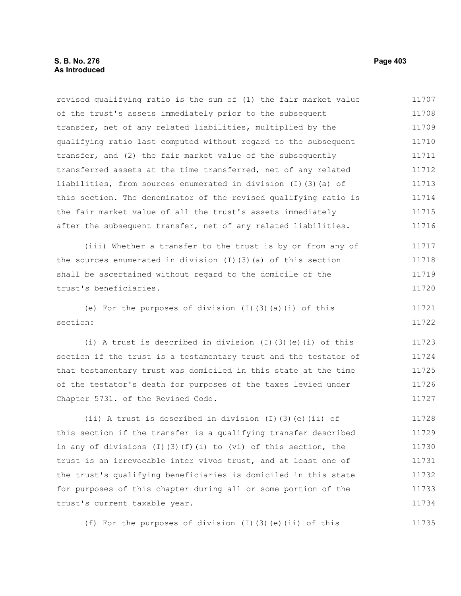#### **S. B. No. 276 Page 403 As Introduced**

revised qualifying ratio is the sum of (1) the fair market value of the trust's assets immediately prior to the subsequent transfer, net of any related liabilities, multiplied by the qualifying ratio last computed without regard to the subsequent transfer, and (2) the fair market value of the subsequently transferred assets at the time transferred, net of any related liabilities, from sources enumerated in division (I)(3)(a) of this section. The denominator of the revised qualifying ratio is the fair market value of all the trust's assets immediately after the subsequent transfer, net of any related liabilities. 11707 11708 11709 11710 11711 11712 11713 11714 11715 11716

(iii) Whether a transfer to the trust is by or from any of the sources enumerated in division (I)(3)(a) of this section shall be ascertained without regard to the domicile of the trust's beneficiaries. 11717 11718 11719 11720

(e) For the purposes of division  $(I)$   $(3)$   $(a)$   $(i)$  of this section: 11721 11722

(i) A trust is described in division (I)(3)(e)(i) of this section if the trust is a testamentary trust and the testator of that testamentary trust was domiciled in this state at the time of the testator's death for purposes of the taxes levied under Chapter 5731. of the Revised Code. 11723 11724 11725 11726 11727

(ii) A trust is described in division (I)(3)(e)(ii) of this section if the transfer is a qualifying transfer described in any of divisions (I)(3)(f)(i) to (vi) of this section, the trust is an irrevocable inter vivos trust, and at least one of the trust's qualifying beneficiaries is domiciled in this state for purposes of this chapter during all or some portion of the trust's current taxable year. 11728 11729 11730 11731 11732 11733 11734

(f) For the purposes of division (I)(3)(e)(ii) of this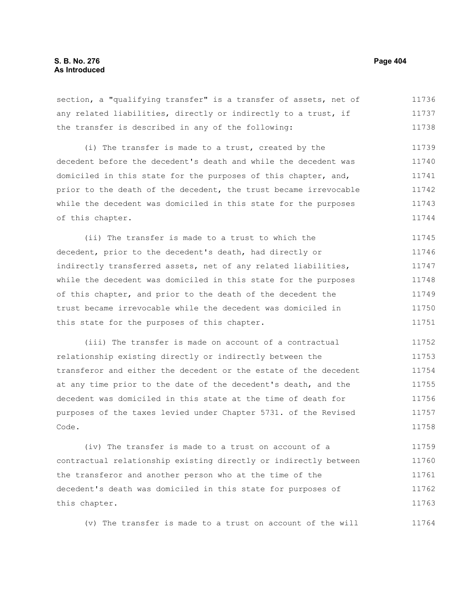section, a "qualifying transfer" is a transfer of assets, net of any related liabilities, directly or indirectly to a trust, if the transfer is described in any of the following: 11736 11737 11738

(i) The transfer is made to a trust, created by the decedent before the decedent's death and while the decedent was domiciled in this state for the purposes of this chapter, and, prior to the death of the decedent, the trust became irrevocable while the decedent was domiciled in this state for the purposes of this chapter. 11739 11740 11741 11742 11743 11744

(ii) The transfer is made to a trust to which the decedent, prior to the decedent's death, had directly or indirectly transferred assets, net of any related liabilities, while the decedent was domiciled in this state for the purposes of this chapter, and prior to the death of the decedent the trust became irrevocable while the decedent was domiciled in this state for the purposes of this chapter. 11745 11746 11747 11748 11749 11750 11751

(iii) The transfer is made on account of a contractual relationship existing directly or indirectly between the transferor and either the decedent or the estate of the decedent at any time prior to the date of the decedent's death, and the decedent was domiciled in this state at the time of death for purposes of the taxes levied under Chapter 5731. of the Revised Code. 11752 11753 11754 11755 11756 11757 11758

(iv) The transfer is made to a trust on account of a contractual relationship existing directly or indirectly between the transferor and another person who at the time of the decedent's death was domiciled in this state for purposes of this chapter. 11759 11760 11761 11762 11763

(v) The transfer is made to a trust on account of the will 11764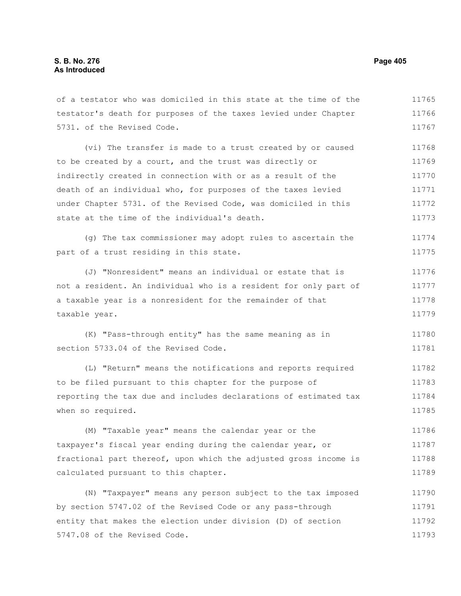| of a testator who was domiciled in this state at the time of the | 11765 |
|------------------------------------------------------------------|-------|
| testator's death for purposes of the taxes levied under Chapter  | 11766 |
| 5731. of the Revised Code.                                       | 11767 |
| (vi) The transfer is made to a trust created by or caused        | 11768 |
| to be created by a court, and the trust was directly or          | 11769 |
| indirectly created in connection with or as a result of the      | 11770 |
| death of an individual who, for purposes of the taxes levied     | 11771 |
| under Chapter 5731. of the Revised Code, was domiciled in this   | 11772 |
| state at the time of the individual's death.                     | 11773 |
| (g) The tax commissioner may adopt rules to ascertain the        | 11774 |
| part of a trust residing in this state.                          | 11775 |
| (J) "Nonresident" means an individual or estate that is          | 11776 |
| not a resident. An individual who is a resident for only part of | 11777 |
| a taxable year is a nonresident for the remainder of that        | 11778 |
| taxable year.                                                    | 11779 |
| (K) "Pass-through entity" has the same meaning as in             | 11780 |
| section 5733.04 of the Revised Code.                             | 11781 |
| (L) "Return" means the notifications and reports required        | 11782 |
| to be filed pursuant to this chapter for the purpose of          | 11783 |
| reporting the tax due and includes declarations of estimated tax | 11784 |
| when so required.                                                | 11785 |
| (M) "Taxable year" means the calendar year or the                | 11786 |
| taxpayer's fiscal year ending during the calendar year, or       | 11787 |
| fractional part thereof, upon which the adjusted gross income is | 11788 |
| calculated pursuant to this chapter.                             | 11789 |
| (N) "Taxpayer" means any person subject to the tax imposed       | 11790 |
| by section 5747.02 of the Revised Code or any pass-through       | 11791 |
| entity that makes the election under division (D) of section     | 11792 |
| 5747.08 of the Revised Code.                                     | 11793 |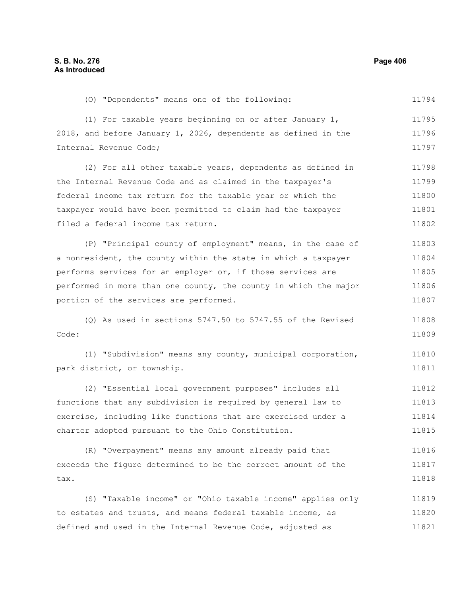(O) "Dependents" means one of the following: 11794

(1) For taxable years beginning on or after January 1, 2018, and before January 1, 2026, dependents as defined in the Internal Revenue Code; 11795 11796 11797

(2) For all other taxable years, dependents as defined in the Internal Revenue Code and as claimed in the taxpayer's federal income tax return for the taxable year or which the taxpayer would have been permitted to claim had the taxpayer filed a federal income tax return. 11798 11799 11800 11801 11802

(P) "Principal county of employment" means, in the case of a nonresident, the county within the state in which a taxpayer performs services for an employer or, if those services are performed in more than one county, the county in which the major portion of the services are performed. 11803 11804 11805 11806 11807

(Q) As used in sections 5747.50 to 5747.55 of the Revised Code: 11808 11809

(1) "Subdivision" means any county, municipal corporation, park district, or township. 11810 11811

(2) "Essential local government purposes" includes all functions that any subdivision is required by general law to exercise, including like functions that are exercised under a charter adopted pursuant to the Ohio Constitution. 11812 11813 11814 11815

(R) "Overpayment" means any amount already paid that exceeds the figure determined to be the correct amount of the tax. 11816 11817 11818

(S) "Taxable income" or "Ohio taxable income" applies only to estates and trusts, and means federal taxable income, as defined and used in the Internal Revenue Code, adjusted as 11819 11820 11821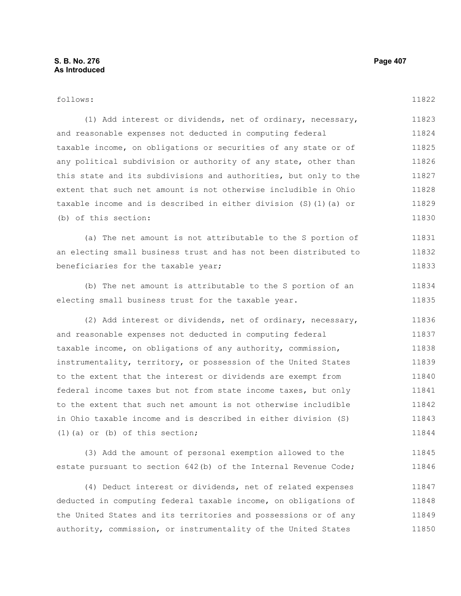| follows:                                                         | 11822 |
|------------------------------------------------------------------|-------|
| (1) Add interest or dividends, net of ordinary, necessary,       | 11823 |
| and reasonable expenses not deducted in computing federal        | 11824 |
| taxable income, on obligations or securities of any state or of  | 11825 |
| any political subdivision or authority of any state, other than  | 11826 |
| this state and its subdivisions and authorities, but only to the | 11827 |
| extent that such net amount is not otherwise includible in Ohio  | 11828 |
| taxable income and is described in either division (S)(1)(a) or  | 11829 |
| (b) of this section:                                             | 11830 |
| (a) The net amount is not attributable to the S portion of       | 11831 |
| an electing small business trust and has not been distributed to | 11832 |
| beneficiaries for the taxable year;                              | 11833 |
| (b) The net amount is attributable to the S portion of an        | 11834 |
| electing small business trust for the taxable year.              | 11835 |
|                                                                  |       |
| (2) Add interest or dividends, net of ordinary, necessary,       | 11836 |
| and reasonable expenses not deducted in computing federal        | 11837 |
| taxable income, on obligations of any authority, commission,     | 11838 |
| instrumentality, territory, or possession of the United States   | 11839 |
| to the extent that the interest or dividends are exempt from     | 11840 |
| federal income taxes but not from state income taxes, but only   | 11841 |
| to the extent that such net amount is not otherwise includible   | 11842 |
| in Ohio taxable income and is described in either division (S)   | 11843 |
| $(1)$ (a) or (b) of this section;                                | 11844 |
| (3) Add the amount of personal exemption allowed to the          | 11845 |
| estate pursuant to section 642(b) of the Internal Revenue Code;  | 11846 |

(4) Deduct interest or dividends, net of related expenses deducted in computing federal taxable income, on obligations of the United States and its territories and possessions or of any authority, commission, or instrumentality of the United States 11847 11848 11849 11850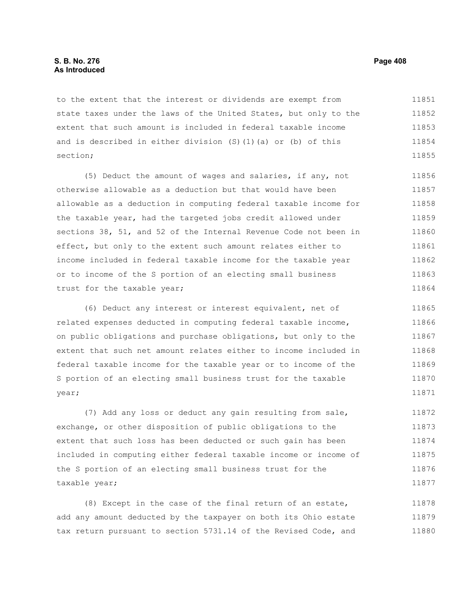to the extent that the interest or dividends are exempt from state taxes under the laws of the United States, but only to the extent that such amount is included in federal taxable income and is described in either division (S)(1)(a) or (b) of this section; 11851 11852 11853 11854 11855

(5) Deduct the amount of wages and salaries, if any, not otherwise allowable as a deduction but that would have been allowable as a deduction in computing federal taxable income for the taxable year, had the targeted jobs credit allowed under sections 38, 51, and 52 of the Internal Revenue Code not been in effect, but only to the extent such amount relates either to income included in federal taxable income for the taxable year or to income of the S portion of an electing small business trust for the taxable year; 11856 11857 11858 11859 11860 11861 11862 11863 11864

(6) Deduct any interest or interest equivalent, net of related expenses deducted in computing federal taxable income, on public obligations and purchase obligations, but only to the extent that such net amount relates either to income included in federal taxable income for the taxable year or to income of the S portion of an electing small business trust for the taxable year; 11865 11866 11867 11868 11869 11870 11871

(7) Add any loss or deduct any gain resulting from sale, exchange, or other disposition of public obligations to the extent that such loss has been deducted or such gain has been included in computing either federal taxable income or income of the S portion of an electing small business trust for the taxable year; 11872 11873 11874 11875 11876 11877

(8) Except in the case of the final return of an estate, add any amount deducted by the taxpayer on both its Ohio estate tax return pursuant to section 5731.14 of the Revised Code, and 11878 11879 11880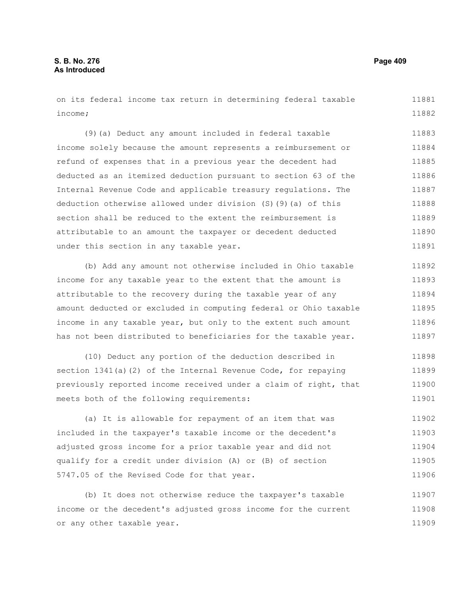on its federal income tax return in determining federal taxable income; 11881 11882

(9)(a) Deduct any amount included in federal taxable income solely because the amount represents a reimbursement or refund of expenses that in a previous year the decedent had deducted as an itemized deduction pursuant to section 63 of the Internal Revenue Code and applicable treasury regulations. The deduction otherwise allowed under division (S)(9)(a) of this section shall be reduced to the extent the reimbursement is attributable to an amount the taxpayer or decedent deducted under this section in any taxable year. 11883 11884 11885 11886 11887 11888 11889 11890 11891

(b) Add any amount not otherwise included in Ohio taxable income for any taxable year to the extent that the amount is attributable to the recovery during the taxable year of any amount deducted or excluded in computing federal or Ohio taxable income in any taxable year, but only to the extent such amount has not been distributed to beneficiaries for the taxable year. 11892 11893 11894 11895 11896 11897

(10) Deduct any portion of the deduction described in section 1341(a)(2) of the Internal Revenue Code, for repaying previously reported income received under a claim of right, that meets both of the following requirements: 11898 11899 11900 11901

(a) It is allowable for repayment of an item that was included in the taxpayer's taxable income or the decedent's adjusted gross income for a prior taxable year and did not qualify for a credit under division (A) or (B) of section 5747.05 of the Revised Code for that year. 11902 11903 11904 11905 11906

(b) It does not otherwise reduce the taxpayer's taxable income or the decedent's adjusted gross income for the current or any other taxable year. 11907 11908 11909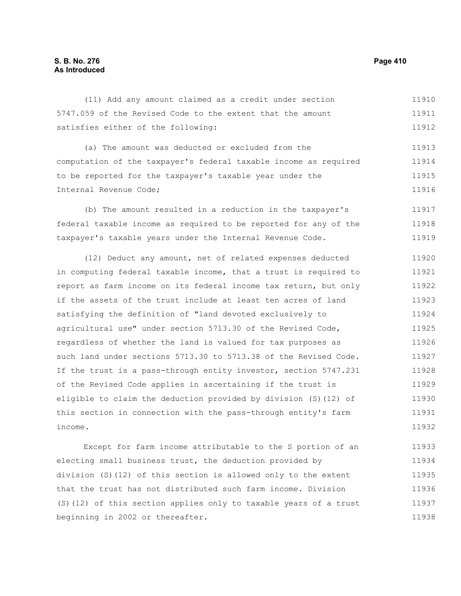#### (11) Add any amount claimed as a credit under section 5747.059 of the Revised Code to the extent that the amount satisfies either of the following: 11910 11911 11912

(a) The amount was deducted or excluded from the computation of the taxpayer's federal taxable income as required to be reported for the taxpayer's taxable year under the Internal Revenue Code; 11913 11914 11915 11916

(b) The amount resulted in a reduction in the taxpayer's federal taxable income as required to be reported for any of the taxpayer's taxable years under the Internal Revenue Code. 11917 11918 11919

(12) Deduct any amount, net of related expenses deducted in computing federal taxable income, that a trust is required to report as farm income on its federal income tax return, but only if the assets of the trust include at least ten acres of land satisfying the definition of "land devoted exclusively to agricultural use" under section 5713.30 of the Revised Code, regardless of whether the land is valued for tax purposes as such land under sections 5713.30 to 5713.38 of the Revised Code. If the trust is a pass-through entity investor, section 5747.231 of the Revised Code applies in ascertaining if the trust is eligible to claim the deduction provided by division (S)(12) of this section in connection with the pass-through entity's farm income. 11920 11921 11922 11923 11924 11925 11926 11927 11928 11929 11930 11931 11932

Except for farm income attributable to the S portion of an electing small business trust, the deduction provided by division (S)(12) of this section is allowed only to the extent that the trust has not distributed such farm income. Division (S)(12) of this section applies only to taxable years of a trust beginning in 2002 or thereafter. 11933 11934 11935 11936 11937 11938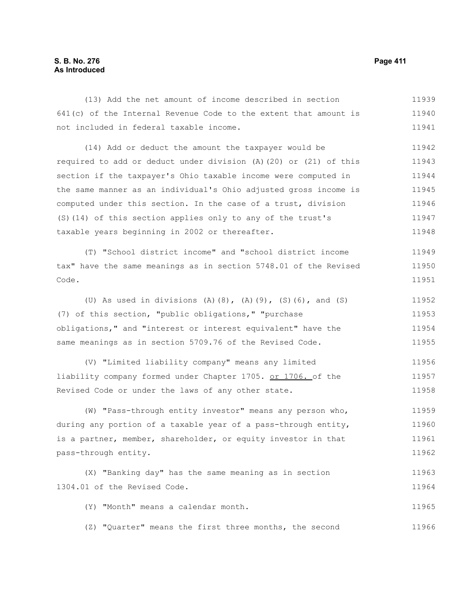# **S. B. No. 276 Page 411 As Introduced**

| (13) Add the net amount of income described in section             | 11939 |
|--------------------------------------------------------------------|-------|
| $641(c)$ of the Internal Revenue Code to the extent that amount is | 11940 |
| not included in federal taxable income.                            | 11941 |
| (14) Add or deduct the amount the taxpayer would be                | 11942 |
| required to add or deduct under division (A) (20) or (21) of this  | 11943 |
| section if the taxpayer's Ohio taxable income were computed in     | 11944 |
| the same manner as an individual's Ohio adjusted gross income is   | 11945 |
| computed under this section. In the case of a trust, division      | 11946 |
| (S) (14) of this section applies only to any of the trust's        | 11947 |
| taxable years beginning in 2002 or thereafter.                     | 11948 |
| (T) "School district income" and "school district income           | 11949 |
| tax" have the same meanings as in section 5748.01 of the Revised   | 11950 |
| Code.                                                              | 11951 |
| (U) As used in divisions (A)(8), (A)(9), (S)(6), and (S)           | 11952 |
| (7) of this section, "public obligations," "purchase               | 11953 |
| obligations," and "interest or interest equivalent" have the       | 11954 |
| same meanings as in section 5709.76 of the Revised Code.           | 11955 |
| (V) "Limited liability company" means any limited                  | 11956 |
| liability company formed under Chapter 1705. or 1706. of the       | 11957 |
| Revised Code or under the laws of any other state.                 | 11958 |
| (W) "Pass-through entity investor" means any person who,           | 11959 |
| during any portion of a taxable year of a pass-through entity,     | 11960 |
| is a partner, member, shareholder, or equity investor in that      | 11961 |
| pass-through entity.                                               | 11962 |
| (X) "Banking day" has the same meaning as in section               | 11963 |
| 1304.01 of the Revised Code.                                       | 11964 |
| (Y) "Month" means a calendar month.                                | 11965 |
| "Quarter" means the first three months, the second<br>(Z)          | 11966 |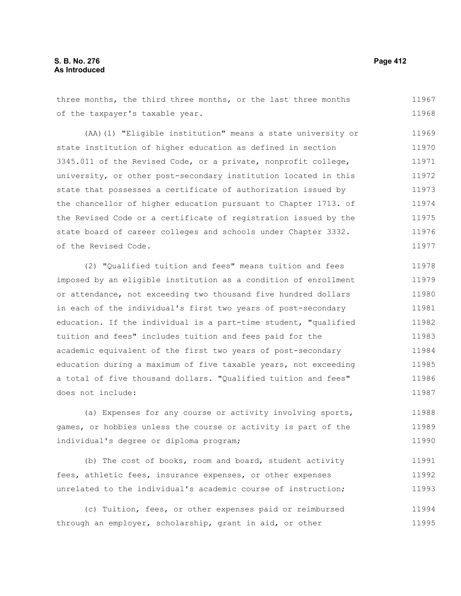### **S. B. No. 276 Page 412 As Introduced**

three months, the third three months, or the last three months of the taxpayer's taxable year. 11967 11968

(AA)(1) "Eligible institution" means a state university or state institution of higher education as defined in section 3345.011 of the Revised Code, or a private, nonprofit college, university, or other post-secondary institution located in this state that possesses a certificate of authorization issued by the chancellor of higher education pursuant to Chapter 1713. of the Revised Code or a certificate of registration issued by the state board of career colleges and schools under Chapter 3332. of the Revised Code. 11969 11970 11971 11972 11973 11974 11975 11976 11977

(2) "Qualified tuition and fees" means tuition and fees imposed by an eligible institution as a condition of enrollment or attendance, not exceeding two thousand five hundred dollars in each of the individual's first two years of post-secondary education. If the individual is a part-time student, "qualified tuition and fees" includes tuition and fees paid for the academic equivalent of the first two years of post-secondary education during a maximum of five taxable years, not exceeding a total of five thousand dollars. "Qualified tuition and fees" does not include: 11978 11979 11980 11981 11982 11983 11984 11985 11986 11987

(a) Expenses for any course or activity involving sports, games, or hobbies unless the course or activity is part of the individual's degree or diploma program; 11988 11989 11990

(b) The cost of books, room and board, student activity fees, athletic fees, insurance expenses, or other expenses unrelated to the individual's academic course of instruction; 11991 11992 11993

(c) Tuition, fees, or other expenses paid or reimbursed through an employer, scholarship, grant in aid, or other 11994 11995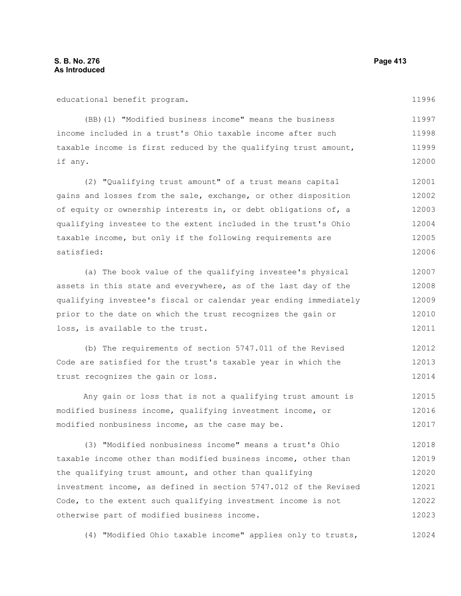educational benefit program.

(BB)(1) "Modified business income" means the business income included in a trust's Ohio taxable income after such taxable income is first reduced by the qualifying trust amount, if any. 11997 11998 11999 12000

(2) "Qualifying trust amount" of a trust means capital gains and losses from the sale, exchange, or other disposition of equity or ownership interests in, or debt obligations of, a qualifying investee to the extent included in the trust's Ohio taxable income, but only if the following requirements are satisfied: 12001 12002 12003 12004 12005 12006

(a) The book value of the qualifying investee's physical assets in this state and everywhere, as of the last day of the qualifying investee's fiscal or calendar year ending immediately prior to the date on which the trust recognizes the gain or loss, is available to the trust. 12007 12008 12009 12010 12011

(b) The requirements of section 5747.011 of the Revised Code are satisfied for the trust's taxable year in which the trust recognizes the gain or loss. 12012 12013 12014

Any gain or loss that is not a qualifying trust amount is modified business income, qualifying investment income, or modified nonbusiness income, as the case may be. 12015 12016 12017

(3) "Modified nonbusiness income" means a trust's Ohio taxable income other than modified business income, other than the qualifying trust amount, and other than qualifying investment income, as defined in section 5747.012 of the Revised Code, to the extent such qualifying investment income is not otherwise part of modified business income. 12018 12019 12020 12021 12022 12023

(4) "Modified Ohio taxable income" applies only to trusts, 12024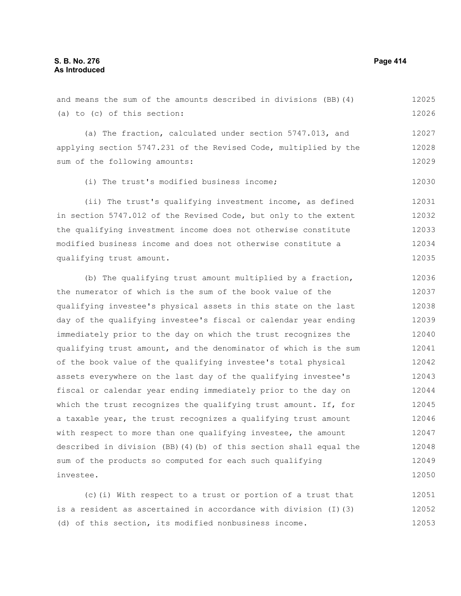#### **S. B. No. 276 Page 414 As Introduced**

and means the sum of the amounts described in divisions (BB)(4) (a) to (c) of this section: (a) The fraction, calculated under section 5747.013, and applying section 5747.231 of the Revised Code, multiplied by the sum of the following amounts: (i) The trust's modified business income; (ii) The trust's qualifying investment income, as defined in section 5747.012 of the Revised Code, but only to the extent the qualifying investment income does not otherwise constitute modified business income and does not otherwise constitute a qualifying trust amount. 12025 12026 12027 12028 12029 12030 12031 12032 12033 12034 12035

(b) The qualifying trust amount multiplied by a fraction, the numerator of which is the sum of the book value of the qualifying investee's physical assets in this state on the last day of the qualifying investee's fiscal or calendar year ending immediately prior to the day on which the trust recognizes the qualifying trust amount, and the denominator of which is the sum of the book value of the qualifying investee's total physical assets everywhere on the last day of the qualifying investee's fiscal or calendar year ending immediately prior to the day on which the trust recognizes the qualifying trust amount. If, for a taxable year, the trust recognizes a qualifying trust amount with respect to more than one qualifying investee, the amount described in division (BB)(4)(b) of this section shall equal the sum of the products so computed for each such qualifying investee. 12036 12037 12038 12039 12040 12041 12042 12043 12044 12045 12046 12047 12048 12049 12050

(c)(i) With respect to a trust or portion of a trust that is a resident as ascertained in accordance with division (I)(3) (d) of this section, its modified nonbusiness income. 12051 12052 12053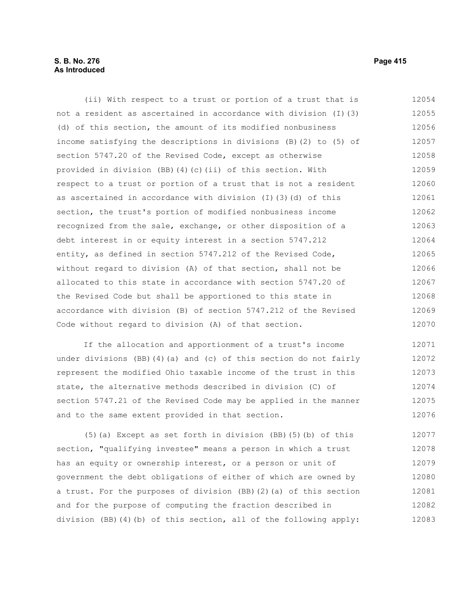## **S. B. No. 276 Page 415 As Introduced**

(ii) With respect to a trust or portion of a trust that is not a resident as ascertained in accordance with division (I)(3) (d) of this section, the amount of its modified nonbusiness income satisfying the descriptions in divisions (B)(2) to (5) of section 5747.20 of the Revised Code, except as otherwise provided in division (BB)(4)(c)(ii) of this section. With respect to a trust or portion of a trust that is not a resident as ascertained in accordance with division (I)(3)(d) of this section, the trust's portion of modified nonbusiness income recognized from the sale, exchange, or other disposition of a debt interest in or equity interest in a section 5747.212 entity, as defined in section 5747.212 of the Revised Code, without regard to division (A) of that section, shall not be allocated to this state in accordance with section 5747.20 of the Revised Code but shall be apportioned to this state in accordance with division (B) of section 5747.212 of the Revised Code without regard to division (A) of that section. 12054 12055 12056 12057 12058 12059 12060 12061 12062 12063 12064 12065 12066 12067 12068 12069 12070

If the allocation and apportionment of a trust's income under divisions (BB)(4)(a) and (c) of this section do not fairly represent the modified Ohio taxable income of the trust in this state, the alternative methods described in division (C) of section 5747.21 of the Revised Code may be applied in the manner and to the same extent provided in that section. 12071 12072 12073 12074 12075 12076

(5)(a) Except as set forth in division (BB)(5)(b) of this section, "qualifying investee" means a person in which a trust has an equity or ownership interest, or a person or unit of government the debt obligations of either of which are owned by a trust. For the purposes of division (BB)(2)(a) of this section and for the purpose of computing the fraction described in division (BB)(4)(b) of this section, all of the following apply: 12077 12078 12079 12080 12081 12082 12083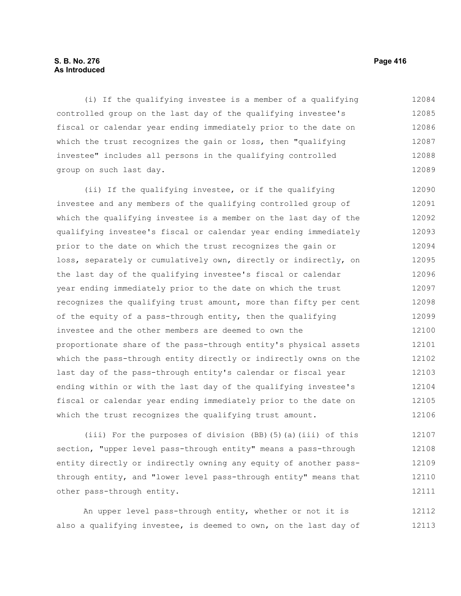## **S. B. No. 276 Page 416 As Introduced**

(i) If the qualifying investee is a member of a qualifying controlled group on the last day of the qualifying investee's fiscal or calendar year ending immediately prior to the date on which the trust recognizes the gain or loss, then "qualifying investee" includes all persons in the qualifying controlled group on such last day. 12084 12085 12086 12087 12088 12089

(ii) If the qualifying investee, or if the qualifying investee and any members of the qualifying controlled group of which the qualifying investee is a member on the last day of the qualifying investee's fiscal or calendar year ending immediately prior to the date on which the trust recognizes the gain or loss, separately or cumulatively own, directly or indirectly, on the last day of the qualifying investee's fiscal or calendar year ending immediately prior to the date on which the trust recognizes the qualifying trust amount, more than fifty per cent of the equity of a pass-through entity, then the qualifying investee and the other members are deemed to own the proportionate share of the pass-through entity's physical assets which the pass-through entity directly or indirectly owns on the last day of the pass-through entity's calendar or fiscal year ending within or with the last day of the qualifying investee's fiscal or calendar year ending immediately prior to the date on which the trust recognizes the qualifying trust amount. 12090 12091 12092 12093 12094 12095 12096 12097 12098 12099 12100 12101 12102 12103 12104 12105 12106

(iii) For the purposes of division (BB)(5)(a)(iii) of this section, "upper level pass-through entity" means a pass-through entity directly or indirectly owning any equity of another passthrough entity, and "lower level pass-through entity" means that other pass-through entity. 12107 12108 12109 12110 12111

An upper level pass-through entity, whether or not it is also a qualifying investee, is deemed to own, on the last day of 12112 12113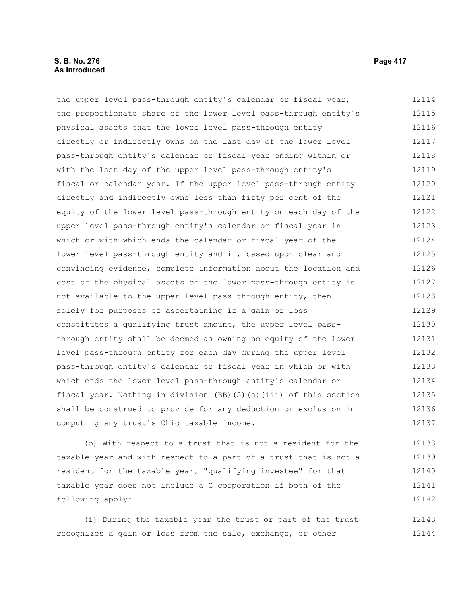#### **S. B. No. 276 Page 417 As Introduced**

the upper level pass-through entity's calendar or fiscal year, the proportionate share of the lower level pass-through entity's physical assets that the lower level pass-through entity directly or indirectly owns on the last day of the lower level pass-through entity's calendar or fiscal year ending within or with the last day of the upper level pass-through entity's fiscal or calendar year. If the upper level pass-through entity directly and indirectly owns less than fifty per cent of the equity of the lower level pass-through entity on each day of the upper level pass-through entity's calendar or fiscal year in which or with which ends the calendar or fiscal year of the lower level pass-through entity and if, based upon clear and convincing evidence, complete information about the location and cost of the physical assets of the lower pass-through entity is not available to the upper level pass-through entity, then solely for purposes of ascertaining if a gain or loss constitutes a qualifying trust amount, the upper level passthrough entity shall be deemed as owning no equity of the lower level pass-through entity for each day during the upper level pass-through entity's calendar or fiscal year in which or with which ends the lower level pass-through entity's calendar or fiscal year. Nothing in division (BB)(5)(a)(iii) of this section shall be construed to provide for any deduction or exclusion in computing any trust's Ohio taxable income. 12114 12115 12116 12117 12118 12119 12120 12121 12122 12123 12124 12125 12126 12127 12128 12129 12130 12131 12132 12133 12134 12135 12136 12137

(b) With respect to a trust that is not a resident for the taxable year and with respect to a part of a trust that is not a resident for the taxable year, "qualifying investee" for that taxable year does not include a C corporation if both of the following apply: 12138 12139 12140 12141 12142

(i) During the taxable year the trust or part of the trust recognizes a gain or loss from the sale, exchange, or other 12143 12144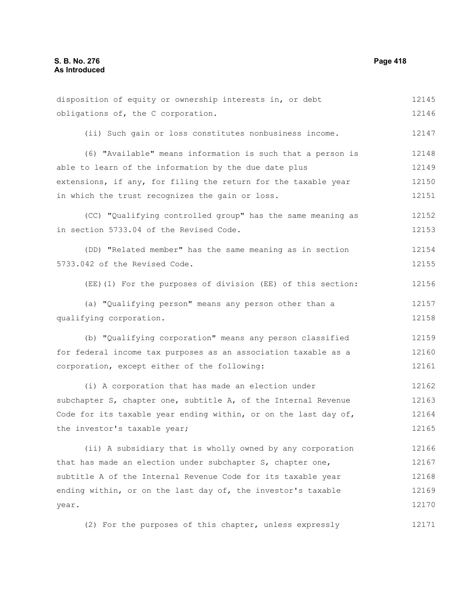disposition of equity or ownership interests in, or debt obligations of, the C corporation. (ii) Such gain or loss constitutes nonbusiness income. (6) "Available" means information is such that a person is able to learn of the information by the due date plus extensions, if any, for filing the return for the taxable year in which the trust recognizes the gain or loss. (CC) "Qualifying controlled group" has the same meaning as in section 5733.04 of the Revised Code. (DD) "Related member" has the same meaning as in section 5733.042 of the Revised Code. (EE)(1) For the purposes of division (EE) of this section: (a) "Qualifying person" means any person other than a qualifying corporation. (b) "Qualifying corporation" means any person classified for federal income tax purposes as an association taxable as a corporation, except either of the following: (i) A corporation that has made an election under subchapter S, chapter one, subtitle A, of the Internal Revenue Code for its taxable year ending within, or on the last day of, the investor's taxable year; (ii) A subsidiary that is wholly owned by any corporation that has made an election under subchapter S, chapter one, subtitle A of the Internal Revenue Code for its taxable year ending within, or on the last day of, the investor's taxable year. (2) For the purposes of this chapter, unless expressly 12145 12146 12147 12148 12149 12150 12151 12152 12153 12154 12155 12156 12157 12158 12159 12160 12161 12162 12163 12164 12165 12166 12167 12168 12169 12170 12171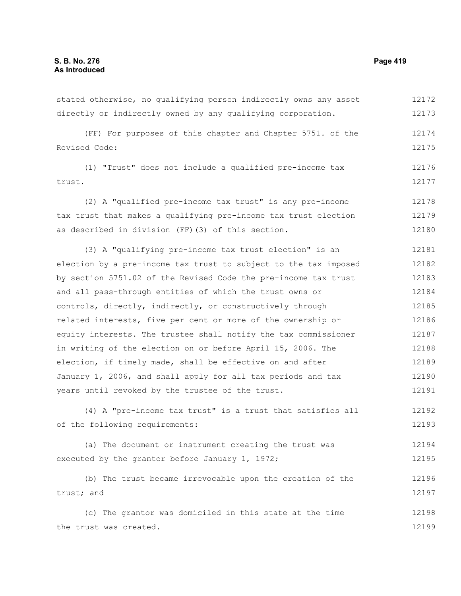the trust was created.

stated otherwise, no qualifying person indirectly owns any asset directly or indirectly owned by any qualifying corporation. (FF) For purposes of this chapter and Chapter 5751. of the Revised Code: (1) "Trust" does not include a qualified pre-income tax trust. (2) A "qualified pre-income tax trust" is any pre-income tax trust that makes a qualifying pre-income tax trust election as described in division (FF)(3) of this section. (3) A "qualifying pre-income tax trust election" is an election by a pre-income tax trust to subject to the tax imposed by section 5751.02 of the Revised Code the pre-income tax trust and all pass-through entities of which the trust owns or controls, directly, indirectly, or constructively through related interests, five per cent or more of the ownership or equity interests. The trustee shall notify the tax commissioner in writing of the election on or before April 15, 2006. The election, if timely made, shall be effective on and after January 1, 2006, and shall apply for all tax periods and tax years until revoked by the trustee of the trust. (4) A "pre-income tax trust" is a trust that satisfies all of the following requirements: (a) The document or instrument creating the trust was executed by the grantor before January 1, 1972; (b) The trust became irrevocable upon the creation of the trust; and (c) The grantor was domiciled in this state at the time 12172 12173 12174 12175 12176 12177 12178 12179 12180 12181 12182 12183 12184 12185 12186 12187 12188 12189 12190 12191 12192 12193 12194 12195 12196 12197 12198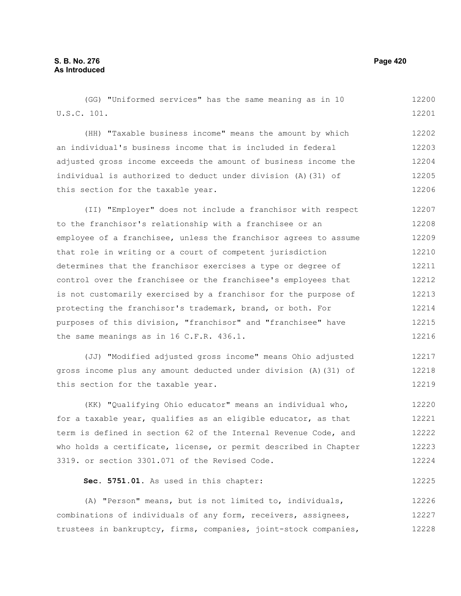| (GG) "Uniformed services" has the same meaning as in 10          | 12200 |
|------------------------------------------------------------------|-------|
| U.S.C. 101.                                                      | 12201 |
| (HH) "Taxable business income" means the amount by which         | 12202 |
| an individual's business income that is included in federal      | 12203 |
| adjusted gross income exceeds the amount of business income the  | 12204 |
| individual is authorized to deduct under division (A) (31) of    | 12205 |
| this section for the taxable year.                               | 12206 |
| (II) "Employer" does not include a franchisor with respect       | 12207 |
| to the franchisor's relationship with a franchisee or an         | 12208 |
| employee of a franchisee, unless the franchisor agrees to assume | 12209 |
| that role in writing or a court of competent jurisdiction        | 12210 |
| determines that the franchisor exercises a type or degree of     | 12211 |
| control over the franchisee or the franchisee's employees that   | 12212 |
| is not customarily exercised by a franchisor for the purpose of  | 12213 |
| protecting the franchisor's trademark, brand, or both. For       | 12214 |
| purposes of this division, "franchisor" and "franchisee" have    | 12215 |
| the same meanings as in 16 C.F.R. 436.1.                         | 12216 |
| (JJ) "Modified adjusted gross income" means Ohio adjusted        | 12217 |

(JJ) "Modified adjusted gross income" means Ohio adjusted gross income plus any amount deducted under division (A)(31) of this section for the taxable year. 12218 12219

(KK) "Qualifying Ohio educator" means an individual who, for a taxable year, qualifies as an eligible educator, as that term is defined in section 62 of the Internal Revenue Code, and who holds a certificate, license, or permit described in Chapter 3319. or section 3301.071 of the Revised Code. 12220 12221 12222 12223 12224

#### **Sec. 5751.01.** As used in this chapter: 12225

(A) "Person" means, but is not limited to, individuals, combinations of individuals of any form, receivers, assignees, trustees in bankruptcy, firms, companies, joint-stock companies, 12226 12227 12228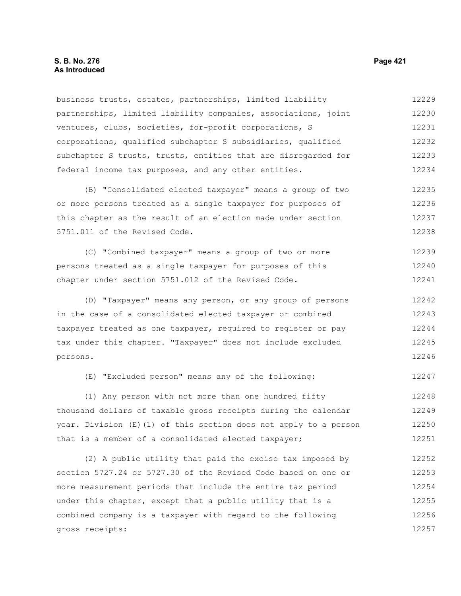#### **S. B. No. 276 Page 421 As Introduced**

business trusts, estates, partnerships, limited liability partnerships, limited liability companies, associations, joint ventures, clubs, societies, for-profit corporations, S corporations, qualified subchapter S subsidiaries, qualified subchapter S trusts, trusts, entities that are disregarded for federal income tax purposes, and any other entities. 12229 12230 12231 12232 12233 12234

(B) "Consolidated elected taxpayer" means a group of two or more persons treated as a single taxpayer for purposes of this chapter as the result of an election made under section 5751.011 of the Revised Code. 12235 12236 12237 12238

(C) "Combined taxpayer" means a group of two or more persons treated as a single taxpayer for purposes of this chapter under section 5751.012 of the Revised Code. 12239 12240 12241

(D) "Taxpayer" means any person, or any group of persons in the case of a consolidated elected taxpayer or combined taxpayer treated as one taxpayer, required to register or pay tax under this chapter. "Taxpayer" does not include excluded persons. 12242 12243 12244 12245 12246

(E) "Excluded person" means any of the following:

(1) Any person with not more than one hundred fifty thousand dollars of taxable gross receipts during the calendar year. Division (E)(1) of this section does not apply to a person that is a member of a consolidated elected taxpayer; 12248 12249 12250 12251

(2) A public utility that paid the excise tax imposed by section 5727.24 or 5727.30 of the Revised Code based on one or more measurement periods that include the entire tax period under this chapter, except that a public utility that is a combined company is a taxpayer with regard to the following gross receipts: 12252 12253 12254 12255 12256 12257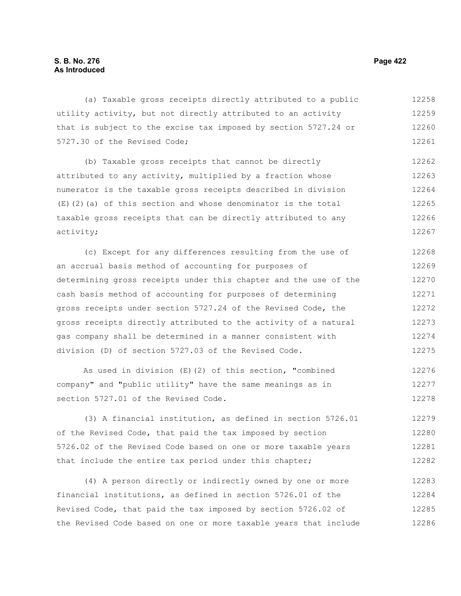(a) Taxable gross receipts directly attributed to a public utility activity, but not directly attributed to an activity that is subject to the excise tax imposed by section 5727.24 or 5727.30 of the Revised Code; 12258 12259 12260 12261

(b) Taxable gross receipts that cannot be directly attributed to any activity, multiplied by a fraction whose numerator is the taxable gross receipts described in division  $(E)$ (2)(a) of this section and whose denominator is the total taxable gross receipts that can be directly attributed to any activity; 12262 12263 12264 12265 12266 12267

(c) Except for any differences resulting from the use of an accrual basis method of accounting for purposes of determining gross receipts under this chapter and the use of the cash basis method of accounting for purposes of determining gross receipts under section 5727.24 of the Revised Code, the gross receipts directly attributed to the activity of a natural gas company shall be determined in a manner consistent with division (D) of section 5727.03 of the Revised Code. 12268 12269 12270 12271 12272 12273 12274 12275

As used in division (E)(2) of this section, "combined company" and "public utility" have the same meanings as in section 5727.01 of the Revised Code. 12276 12277 12278

(3) A financial institution, as defined in section 5726.01 of the Revised Code, that paid the tax imposed by section 5726.02 of the Revised Code based on one or more taxable years that include the entire tax period under this chapter; 12279 12280 12281 12282

(4) A person directly or indirectly owned by one or more financial institutions, as defined in section 5726.01 of the Revised Code, that paid the tax imposed by section 5726.02 of the Revised Code based on one or more taxable years that include 12283 12284 12285 12286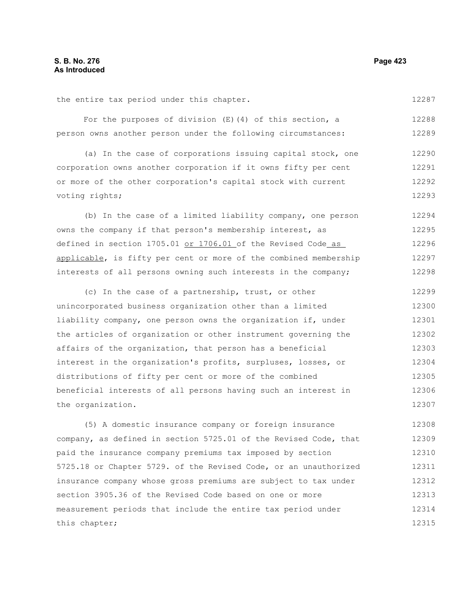#### the entire tax period under this chapter.

12287

For the purposes of division (E)(4) of this section, a person owns another person under the following circumstances: 12288 12289

(a) In the case of corporations issuing capital stock, one corporation owns another corporation if it owns fifty per cent or more of the other corporation's capital stock with current voting rights; 12290 12291 12292 12293

(b) In the case of a limited liability company, one person owns the company if that person's membership interest, as defined in section 1705.01 or 1706.01 of the Revised Code as applicable, is fifty per cent or more of the combined membership interests of all persons owning such interests in the company; 12294 12295 12296 12297 12298

(c) In the case of a partnership, trust, or other unincorporated business organization other than a limited liability company, one person owns the organization if, under the articles of organization or other instrument governing the affairs of the organization, that person has a beneficial interest in the organization's profits, surpluses, losses, or distributions of fifty per cent or more of the combined beneficial interests of all persons having such an interest in the organization. 12299 12300 12301 12302 12303 12304 12305 12306 12307

(5) A domestic insurance company or foreign insurance company, as defined in section 5725.01 of the Revised Code, that paid the insurance company premiums tax imposed by section 5725.18 or Chapter 5729. of the Revised Code, or an unauthorized insurance company whose gross premiums are subject to tax under section 3905.36 of the Revised Code based on one or more measurement periods that include the entire tax period under this chapter; 12308 12309 12310 12311 12312 12313 12314 12315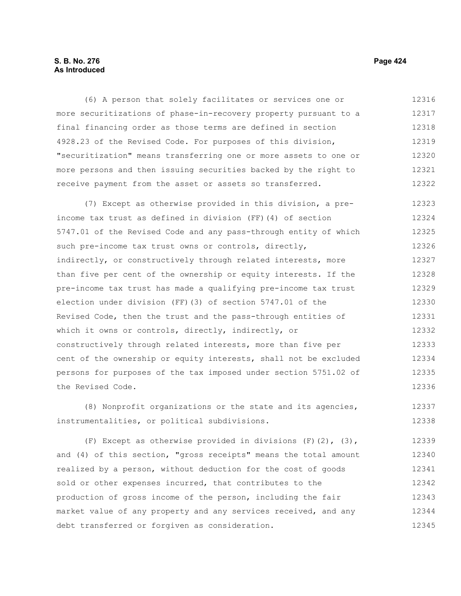## **S. B. No. 276 Page 424 As Introduced**

(6) A person that solely facilitates or services one or more securitizations of phase-in-recovery property pursuant to a final financing order as those terms are defined in section 4928.23 of the Revised Code. For purposes of this division, "securitization" means transferring one or more assets to one or more persons and then issuing securities backed by the right to receive payment from the asset or assets so transferred. 12316 12317 12318 12319 12320 12321 12322

(7) Except as otherwise provided in this division, a preincome tax trust as defined in division (FF)(4) of section 5747.01 of the Revised Code and any pass-through entity of which such pre-income tax trust owns or controls, directly, indirectly, or constructively through related interests, more than five per cent of the ownership or equity interests. If the pre-income tax trust has made a qualifying pre-income tax trust election under division (FF)(3) of section 5747.01 of the Revised Code, then the trust and the pass-through entities of which it owns or controls, directly, indirectly, or constructively through related interests, more than five per cent of the ownership or equity interests, shall not be excluded persons for purposes of the tax imposed under section 5751.02 of the Revised Code. 12323 12324 12325 12326 12327 12328 12329 12330 12331 12332 12333 12334 12335 12336

(8) Nonprofit organizations or the state and its agencies, instrumentalities, or political subdivisions. 12337 12338

(F) Except as otherwise provided in divisions  $(F)(2)$ ,  $(3)$ , and (4) of this section, "gross receipts" means the total amount realized by a person, without deduction for the cost of goods sold or other expenses incurred, that contributes to the production of gross income of the person, including the fair market value of any property and any services received, and any debt transferred or forgiven as consideration. 12339 12340 12341 12342 12343 12344 12345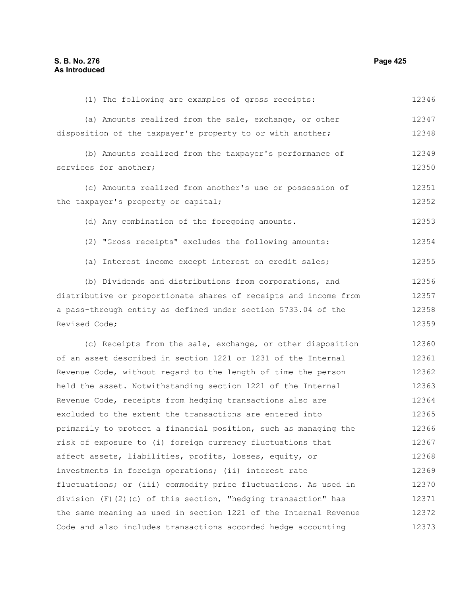(1) The following are examples of gross receipts: (a) Amounts realized from the sale, exchange, or other disposition of the taxpayer's property to or with another; (b) Amounts realized from the taxpayer's performance of services for another; (c) Amounts realized from another's use or possession of the taxpayer's property or capital; (d) Any combination of the foregoing amounts. (2) "Gross receipts" excludes the following amounts: (a) Interest income except interest on credit sales; (b) Dividends and distributions from corporations, and distributive or proportionate shares of receipts and income from a pass-through entity as defined under section 5733.04 of the Revised Code; (c) Receipts from the sale, exchange, or other disposition of an asset described in section 1221 or 1231 of the Internal Revenue Code, without regard to the length of time the person held the asset. Notwithstanding section 1221 of the Internal Revenue Code, receipts from hedging transactions also are excluded to the extent the transactions are entered into primarily to protect a financial position, such as managing the risk of exposure to (i) foreign currency fluctuations that affect assets, liabilities, profits, losses, equity, or investments in foreign operations; (ii) interest rate fluctuations; or (iii) commodity price fluctuations. As used in division  $(F)(2)(c)$  of this section, "hedging transaction" has the same meaning as used in section 1221 of the Internal Revenue 12346 12347 12348 12349 12350 12351 12352 12353 12354 12355 12356 12357 12358 12359 12360 12361 12362 12363 12364 12365 12366 12367 12368 12369 12370 12371 12372

Code and also includes transactions accorded hedge accounting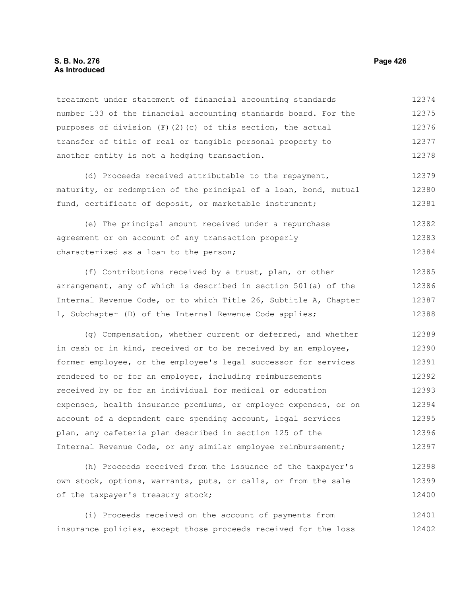#### **S. B. No. 276 Page 426 As Introduced**

treatment under statement of financial accounting standards number 133 of the financial accounting standards board. For the purposes of division  $(F)(2)(c)$  of this section, the actual transfer of title of real or tangible personal property to another entity is not a hedging transaction. 12374 12375 12376 12377 12378

(d) Proceeds received attributable to the repayment, maturity, or redemption of the principal of a loan, bond, mutual fund, certificate of deposit, or marketable instrument; 12379 12380 12381

(e) The principal amount received under a repurchase agreement or on account of any transaction properly characterized as a loan to the person; 12382 12383 12384

(f) Contributions received by a trust, plan, or other arrangement, any of which is described in section 501(a) of the Internal Revenue Code, or to which Title 26, Subtitle A, Chapter 1, Subchapter (D) of the Internal Revenue Code applies; 12385 12386 12387 12388

(g) Compensation, whether current or deferred, and whether in cash or in kind, received or to be received by an employee, former employee, or the employee's legal successor for services rendered to or for an employer, including reimbursements received by or for an individual for medical or education expenses, health insurance premiums, or employee expenses, or on account of a dependent care spending account, legal services plan, any cafeteria plan described in section 125 of the Internal Revenue Code, or any similar employee reimbursement; 12389 12390 12391 12392 12393 12394 12395 12396 12397

(h) Proceeds received from the issuance of the taxpayer's own stock, options, warrants, puts, or calls, or from the sale of the taxpayer's treasury stock; 12398 12399 12400

(i) Proceeds received on the account of payments from insurance policies, except those proceeds received for the loss 12401 12402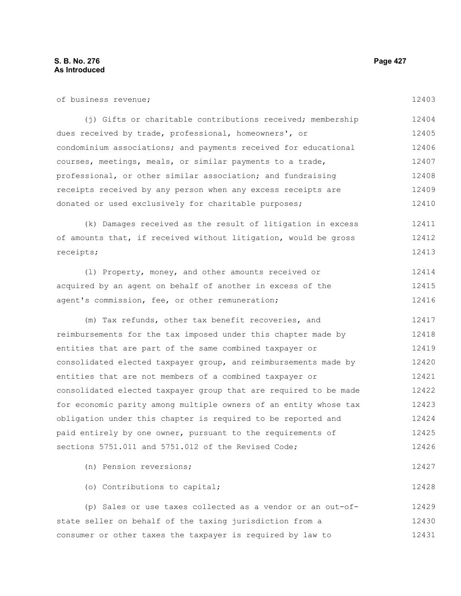| of business revenue;                                             | 12403 |
|------------------------------------------------------------------|-------|
| (j) Gifts or charitable contributions received; membership       | 12404 |
| dues received by trade, professional, homeowners', or            | 12405 |
| condominium associations; and payments received for educational  | 12406 |
| courses, meetings, meals, or similar payments to a trade,        | 12407 |
| professional, or other similar association; and fundraising      | 12408 |
| receipts received by any person when any excess receipts are     | 12409 |
| donated or used exclusively for charitable purposes;             | 12410 |
| (k) Damages received as the result of litigation in excess       | 12411 |
| of amounts that, if received without litigation, would be gross  | 12412 |
| receipts;                                                        | 12413 |
| (1) Property, money, and other amounts received or               | 12414 |
| acquired by an agent on behalf of another in excess of the       | 12415 |
| agent's commission, fee, or other remuneration;                  | 12416 |
| (m) Tax refunds, other tax benefit recoveries, and               | 12417 |
| reimbursements for the tax imposed under this chapter made by    | 12418 |
| entities that are part of the same combined taxpayer or          | 12419 |
| consolidated elected taxpayer group, and reimbursements made by  | 12420 |
| entities that are not members of a combined taxpayer or          | 12421 |
| consolidated elected taxpayer group that are required to be made | 12422 |
| for economic parity among multiple owners of an entity whose tax | 12423 |
| obligation under this chapter is required to be reported and     | 12424 |
| paid entirely by one owner, pursuant to the requirements of      | 12425 |
| sections 5751.011 and 5751.012 of the Revised Code;              | 12426 |
| (n) Pension reversions;                                          | 12427 |
| (o) Contributions to capital;                                    | 12428 |
| (p) Sales or use taxes collected as a vendor or an out-of-       | 12429 |
| state seller on behalf of the taxing jurisdiction from a         | 12430 |
| consumer or other taxes the taxpayer is required by law to       | 12431 |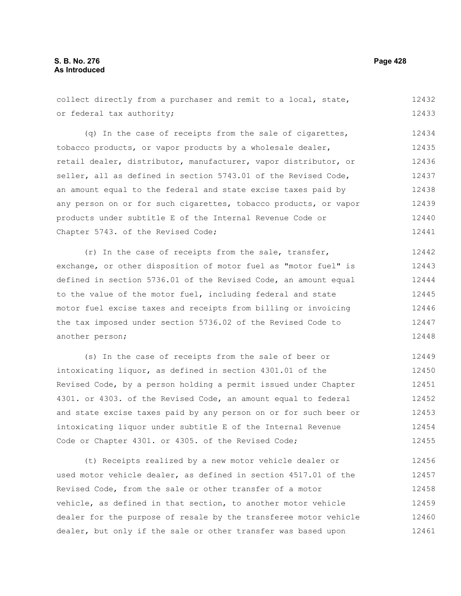collect directly from a purchaser and remit to a local, state, or federal tax authority; 12432 12433

(q) In the case of receipts from the sale of cigarettes, tobacco products, or vapor products by a wholesale dealer, retail dealer, distributor, manufacturer, vapor distributor, or seller, all as defined in section 5743.01 of the Revised Code, an amount equal to the federal and state excise taxes paid by any person on or for such cigarettes, tobacco products, or vapor products under subtitle E of the Internal Revenue Code or Chapter 5743. of the Revised Code; 12434 12435 12436 12437 12438 12439 12440 12441

(r) In the case of receipts from the sale, transfer, exchange, or other disposition of motor fuel as "motor fuel" is defined in section 5736.01 of the Revised Code, an amount equal to the value of the motor fuel, including federal and state motor fuel excise taxes and receipts from billing or invoicing the tax imposed under section 5736.02 of the Revised Code to another person; 12442 12443 12444 12445 12446 12447 12448

(s) In the case of receipts from the sale of beer or intoxicating liquor, as defined in section 4301.01 of the Revised Code, by a person holding a permit issued under Chapter 4301. or 4303. of the Revised Code, an amount equal to federal and state excise taxes paid by any person on or for such beer or intoxicating liquor under subtitle E of the Internal Revenue Code or Chapter 4301. or 4305. of the Revised Code; 12449 12450 12451 12452 12453 12454 12455

(t) Receipts realized by a new motor vehicle dealer or used motor vehicle dealer, as defined in section 4517.01 of the Revised Code, from the sale or other transfer of a motor vehicle, as defined in that section, to another motor vehicle dealer for the purpose of resale by the transferee motor vehicle dealer, but only if the sale or other transfer was based upon 12456 12457 12458 12459 12460 12461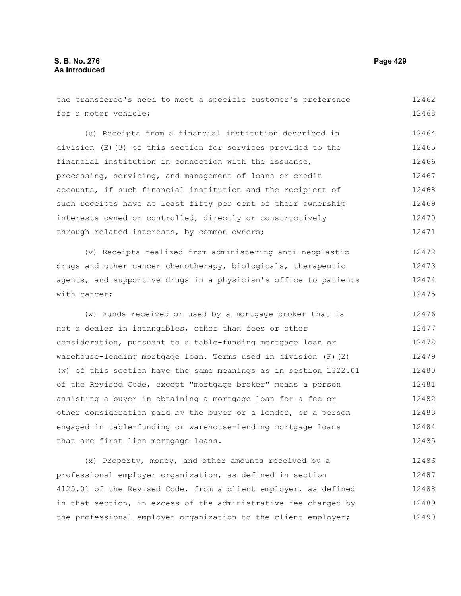the transferee's need to meet a specific customer's preference for a motor vehicle; (u) Receipts from a financial institution described in division (E)(3) of this section for services provided to the financial institution in connection with the issuance, processing, servicing, and management of loans or credit accounts, if such financial institution and the recipient of such receipts have at least fifty per cent of their ownership interests owned or controlled, directly or constructively through related interests, by common owners; (v) Receipts realized from administering anti-neoplastic drugs and other cancer chemotherapy, biologicals, therapeutic agents, and supportive drugs in a physician's office to patients with cancer; (w) Funds received or used by a mortgage broker that is not a dealer in intangibles, other than fees or other consideration, pursuant to a table-funding mortgage loan or warehouse-lending mortgage loan. Terms used in division (F)(2) (w) of this section have the same meanings as in section 1322.01 of the Revised Code, except "mortgage broker" means a person assisting a buyer in obtaining a mortgage loan for a fee or other consideration paid by the buyer or a lender, or a person engaged in table-funding or warehouse-lending mortgage loans that are first lien mortgage loans. (x) Property, money, and other amounts received by a 12462 12463 12464 12465 12466 12467 12468 12469 12470 12471 12472 12473 12474 12475 12476 12477 12478 12479 12480 12481 12482 12483 12484 12485 12486

professional employer organization, as defined in section 4125.01 of the Revised Code, from a client employer, as defined in that section, in excess of the administrative fee charged by the professional employer organization to the client employer; 12487 12488 12489 12490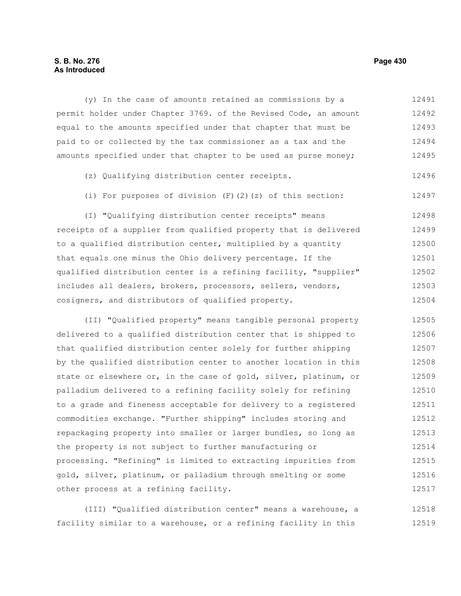### **S. B. No. 276 Page 430 As Introduced**

(y) In the case of amounts retained as commissions by a permit holder under Chapter 3769. of the Revised Code, an amount equal to the amounts specified under that chapter that must be paid to or collected by the tax commissioner as a tax and the amounts specified under that chapter to be used as purse money; 12491 12492 12493 12494 12495

- (z) Qualifying distribution center receipts. 12496
- (i) For purposes of division (F)(2)(z) of this section: 12497

(I) "Qualifying distribution center receipts" means receipts of a supplier from qualified property that is delivered to a qualified distribution center, multiplied by a quantity that equals one minus the Ohio delivery percentage. If the qualified distribution center is a refining facility, "supplier" includes all dealers, brokers, processors, sellers, vendors, cosigners, and distributors of qualified property. 12498 12499 12500 12501 12502 12503 12504

(II) "Qualified property" means tangible personal property delivered to a qualified distribution center that is shipped to that qualified distribution center solely for further shipping by the qualified distribution center to another location in this state or elsewhere or, in the case of gold, silver, platinum, or palladium delivered to a refining facility solely for refining to a grade and fineness acceptable for delivery to a registered commodities exchange. "Further shipping" includes storing and repackaging property into smaller or larger bundles, so long as the property is not subject to further manufacturing or processing. "Refining" is limited to extracting impurities from gold, silver, platinum, or palladium through smelting or some other process at a refining facility. 12505 12506 12507 12508 12509 12510 12511 12512 12513 12514 12515 12516 12517

(III) "Qualified distribution center" means a warehouse, a facility similar to a warehouse, or a refining facility in this 12518 12519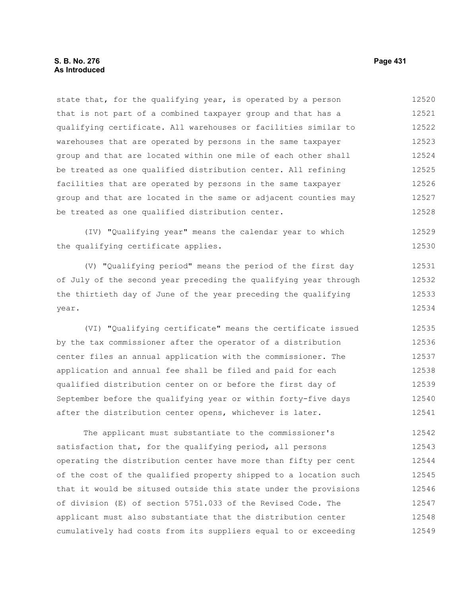state that, for the qualifying year, is operated by a person that is not part of a combined taxpayer group and that has a qualifying certificate. All warehouses or facilities similar to warehouses that are operated by persons in the same taxpayer group and that are located within one mile of each other shall be treated as one qualified distribution center. All refining facilities that are operated by persons in the same taxpayer group and that are located in the same or adjacent counties may be treated as one qualified distribution center. 12520 12521 12522 12523 12524 12525 12526 12527 12528

(IV) "Qualifying year" means the calendar year to which the qualifying certificate applies.

(V) "Qualifying period" means the period of the first day of July of the second year preceding the qualifying year through the thirtieth day of June of the year preceding the qualifying year. 12531 12532 12533 12534

(VI) "Qualifying certificate" means the certificate issued by the tax commissioner after the operator of a distribution center files an annual application with the commissioner. The application and annual fee shall be filed and paid for each qualified distribution center on or before the first day of September before the qualifying year or within forty-five days after the distribution center opens, whichever is later. 12535 12536 12537 12538 12539 12540 12541

The applicant must substantiate to the commissioner's satisfaction that, for the qualifying period, all persons operating the distribution center have more than fifty per cent of the cost of the qualified property shipped to a location such that it would be sitused outside this state under the provisions of division (E) of section 5751.033 of the Revised Code. The applicant must also substantiate that the distribution center cumulatively had costs from its suppliers equal to or exceeding 12542 12543 12544 12545 12546 12547 12548 12549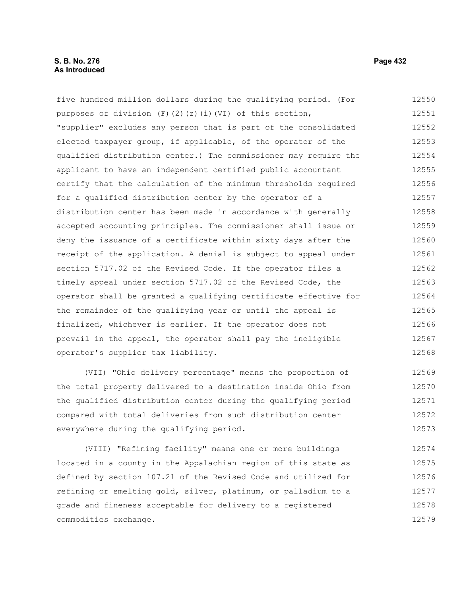### **S. B. No. 276 Page 432 As Introduced**

five hundred million dollars during the qualifying period. (For purposes of division  $(F)$ (2)(z)(i)(VI) of this section, "supplier" excludes any person that is part of the consolidated elected taxpayer group, if applicable, of the operator of the qualified distribution center.) The commissioner may require the applicant to have an independent certified public accountant certify that the calculation of the minimum thresholds required for a qualified distribution center by the operator of a distribution center has been made in accordance with generally accepted accounting principles. The commissioner shall issue or deny the issuance of a certificate within sixty days after the receipt of the application. A denial is subject to appeal under section 5717.02 of the Revised Code. If the operator files a timely appeal under section 5717.02 of the Revised Code, the operator shall be granted a qualifying certificate effective for the remainder of the qualifying year or until the appeal is finalized, whichever is earlier. If the operator does not prevail in the appeal, the operator shall pay the ineligible operator's supplier tax liability. 12550 12551 12552 12553 12554 12555 12556 12557 12558 12559 12560 12561 12562 12563 12564 12565 12566 12567 12568

(VII) "Ohio delivery percentage" means the proportion of the total property delivered to a destination inside Ohio from the qualified distribution center during the qualifying period compared with total deliveries from such distribution center everywhere during the qualifying period. 12569 12570 12571 12572 12573

(VIII) "Refining facility" means one or more buildings located in a county in the Appalachian region of this state as defined by section 107.21 of the Revised Code and utilized for refining or smelting gold, silver, platinum, or palladium to a grade and fineness acceptable for delivery to a registered commodities exchange. 12574 12575 12576 12577 12578 12579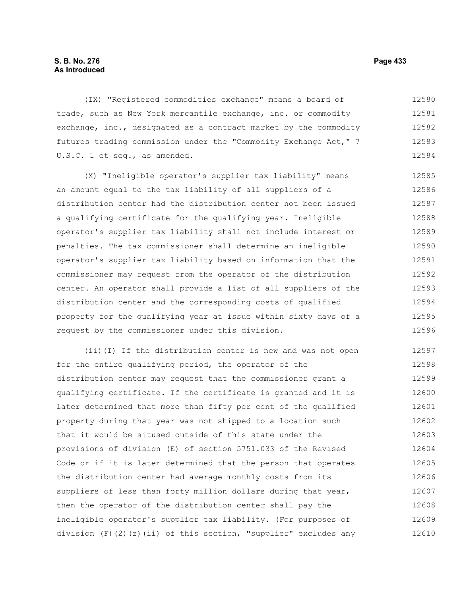# **S. B. No. 276 Page 433 As Introduced**

(IX) "Registered commodities exchange" means a board of trade, such as New York mercantile exchange, inc. or commodity exchange, inc., designated as a contract market by the commodity futures trading commission under the "Commodity Exchange Act," 7 U.S.C. 1 et seq., as amended. 12580 12581 12582 12583 12584

(X) "Ineligible operator's supplier tax liability" means an amount equal to the tax liability of all suppliers of a distribution center had the distribution center not been issued a qualifying certificate for the qualifying year. Ineligible operator's supplier tax liability shall not include interest or penalties. The tax commissioner shall determine an ineligible operator's supplier tax liability based on information that the commissioner may request from the operator of the distribution center. An operator shall provide a list of all suppliers of the distribution center and the corresponding costs of qualified property for the qualifying year at issue within sixty days of a request by the commissioner under this division. 12585 12586 12587 12588 12589 12590 12591 12592 12593 12594 12595 12596

(ii)(I) If the distribution center is new and was not open for the entire qualifying period, the operator of the distribution center may request that the commissioner grant a qualifying certificate. If the certificate is granted and it is later determined that more than fifty per cent of the qualified property during that year was not shipped to a location such that it would be sitused outside of this state under the provisions of division (E) of section 5751.033 of the Revised Code or if it is later determined that the person that operates the distribution center had average monthly costs from its suppliers of less than forty million dollars during that year, then the operator of the distribution center shall pay the ineligible operator's supplier tax liability. (For purposes of division  $(F)$   $(2)$   $(z)$   $(ii)$  of this section, "supplier" excludes any 12597 12598 12599 12600 12601 12602 12603 12604 12605 12606 12607 12608 12609 12610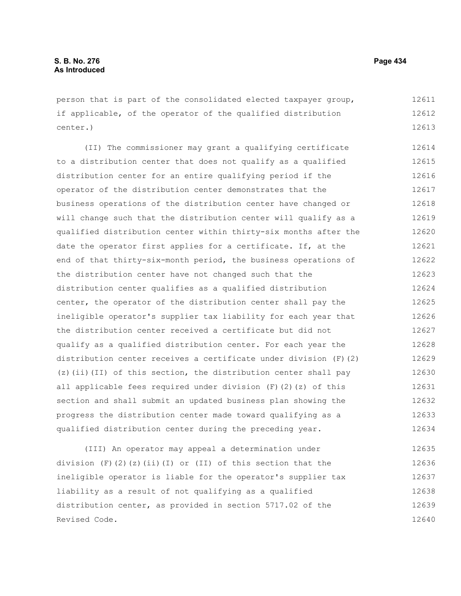person that is part of the consolidated elected taxpayer group, if applicable, of the operator of the qualified distribution center.) 12611 12612 12613

(II) The commissioner may grant a qualifying certificate to a distribution center that does not qualify as a qualified distribution center for an entire qualifying period if the operator of the distribution center demonstrates that the business operations of the distribution center have changed or will change such that the distribution center will qualify as a qualified distribution center within thirty-six months after the date the operator first applies for a certificate. If, at the end of that thirty-six-month period, the business operations of the distribution center have not changed such that the distribution center qualifies as a qualified distribution center, the operator of the distribution center shall pay the ineligible operator's supplier tax liability for each year that the distribution center received a certificate but did not qualify as a qualified distribution center. For each year the distribution center receives a certificate under division (F)(2) (z)(ii)(II) of this section, the distribution center shall pay all applicable fees required under division  $(F)(2)(z)$  of this section and shall submit an updated business plan showing the progress the distribution center made toward qualifying as a qualified distribution center during the preceding year. 12614 12615 12616 12617 12618 12619 12620 12621 12622 12623 12624 12625 12626 12627 12628 12629 12630 12631 12632 12633 12634

(III) An operator may appeal a determination under division  $(F)$  (2)(z)(ii)(I) or (II) of this section that the ineligible operator is liable for the operator's supplier tax liability as a result of not qualifying as a qualified distribution center, as provided in section 5717.02 of the Revised Code. 12635 12636 12637 12638 12639 12640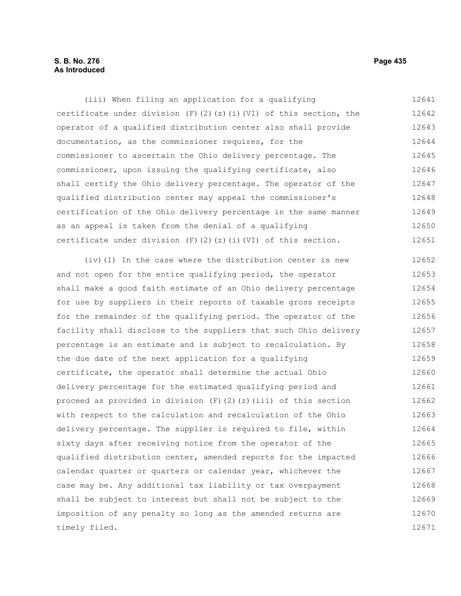# **S. B. No. 276 Page 435 As Introduced**

(iii) When filing an application for a qualifying certificate under division  $(F)(2)(z)(i)(VI)$  of this section, the operator of a qualified distribution center also shall provide documentation, as the commissioner requires, for the commissioner to ascertain the Ohio delivery percentage. The commissioner, upon issuing the qualifying certificate, also shall certify the Ohio delivery percentage. The operator of the qualified distribution center may appeal the commissioner's certification of the Ohio delivery percentage in the same manner as an appeal is taken from the denial of a qualifying certificate under division  $(F)$   $(2)$   $(z)$   $(i)$   $(VI)$  of this section. 12641 12642 12643 12644 12645 12646 12647 12648 12649 12650 12651

(iv)(I) In the case where the distribution center is new and not open for the entire qualifying period, the operator shall make a good faith estimate of an Ohio delivery percentage for use by suppliers in their reports of taxable gross receipts for the remainder of the qualifying period. The operator of the facility shall disclose to the suppliers that such Ohio delivery percentage is an estimate and is subject to recalculation. By the due date of the next application for a qualifying certificate, the operator shall determine the actual Ohio delivery percentage for the estimated qualifying period and proceed as provided in division  $(F)(2)(z)(iii)$  of this section with respect to the calculation and recalculation of the Ohio delivery percentage. The supplier is required to file, within sixty days after receiving notice from the operator of the qualified distribution center, amended reports for the impacted calendar quarter or quarters or calendar year, whichever the case may be. Any additional tax liability or tax overpayment shall be subject to interest but shall not be subject to the imposition of any penalty so long as the amended returns are timely filed. 12652 12653 12654 12655 12656 12657 12658 12659 12660 12661 12662 12663 12664 12665 12666 12667 12668 12669 12670 12671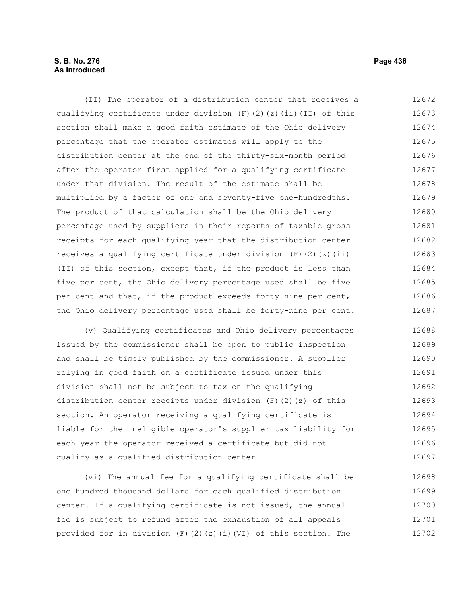# **S. B. No. 276 Page 436 As Introduced**

(II) The operator of a distribution center that receives a qualifying certificate under division  $(F)$  (2)(z)(ii)(II) of this section shall make a good faith estimate of the Ohio delivery percentage that the operator estimates will apply to the distribution center at the end of the thirty-six-month period after the operator first applied for a qualifying certificate under that division. The result of the estimate shall be multiplied by a factor of one and seventy-five one-hundredths. The product of that calculation shall be the Ohio delivery percentage used by suppliers in their reports of taxable gross receipts for each qualifying year that the distribution center receives a qualifying certificate under division  $(F)$   $(2)$   $(2)$   $(ii)$ (II) of this section, except that, if the product is less than five per cent, the Ohio delivery percentage used shall be five per cent and that, if the product exceeds forty-nine per cent, the Ohio delivery percentage used shall be forty-nine per cent. 12672 12673 12674 12675 12676 12677 12678 12679 12680 12681 12682 12683 12684 12685 12686 12687

(v) Qualifying certificates and Ohio delivery percentages issued by the commissioner shall be open to public inspection and shall be timely published by the commissioner. A supplier relying in good faith on a certificate issued under this division shall not be subject to tax on the qualifying distribution center receipts under division  $(F)$  (2)(z) of this section. An operator receiving a qualifying certificate is liable for the ineligible operator's supplier tax liability for each year the operator received a certificate but did not qualify as a qualified distribution center. 12688 12689 12690 12691 12692 12693 12694 12695 12696 12697

(vi) The annual fee for a qualifying certificate shall be one hundred thousand dollars for each qualified distribution center. If a qualifying certificate is not issued, the annual fee is subject to refund after the exhaustion of all appeals provided for in division  $(F)(2)(z)(i)(VI)$  of this section. The 12698 12699 12700 12701 12702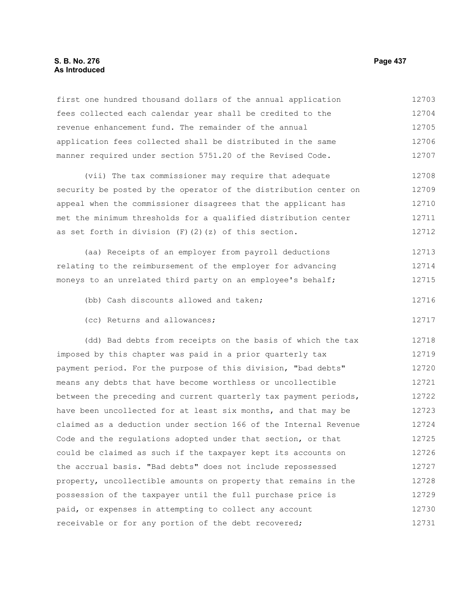## **S. B. No. 276 Page 437 As Introduced**

first one hundred thousand dollars of the annual application fees collected each calendar year shall be credited to the revenue enhancement fund. The remainder of the annual application fees collected shall be distributed in the same manner required under section 5751.20 of the Revised Code. 12703 12704 12705 12706 12707

(vii) The tax commissioner may require that adequate security be posted by the operator of the distribution center on appeal when the commissioner disagrees that the applicant has met the minimum thresholds for a qualified distribution center as set forth in division  $(F)$   $(2)$   $(z)$  of this section. 12708 12709 12710 12711 12712

(aa) Receipts of an employer from payroll deductions relating to the reimbursement of the employer for advancing moneys to an unrelated third party on an employee's behalf; 12713 12714 12715

- (bb) Cash discounts allowed and taken; 12716
- (cc) Returns and allowances;

(dd) Bad debts from receipts on the basis of which the tax imposed by this chapter was paid in a prior quarterly tax payment period. For the purpose of this division, "bad debts" means any debts that have become worthless or uncollectible between the preceding and current quarterly tax payment periods, have been uncollected for at least six months, and that may be claimed as a deduction under section 166 of the Internal Revenue Code and the regulations adopted under that section, or that could be claimed as such if the taxpayer kept its accounts on the accrual basis. "Bad debts" does not include repossessed property, uncollectible amounts on property that remains in the possession of the taxpayer until the full purchase price is paid, or expenses in attempting to collect any account receivable or for any portion of the debt recovered; 12718 12719 12720 12721 12722 12723 12724 12725 12726 12727 12728 12729 12730 12731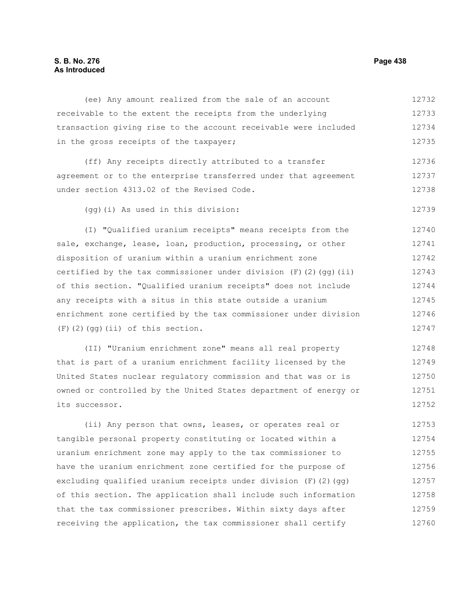# **S. B. No. 276 Page 438 As Introduced**

(ee) Any amount realized from the sale of an account receivable to the extent the receipts from the underlying transaction giving rise to the account receivable were included in the gross receipts of the taxpayer; (ff) Any receipts directly attributed to a transfer agreement or to the enterprise transferred under that agreement under section 4313.02 of the Revised Code. (gg)(i) As used in this division: (I) "Qualified uranium receipts" means receipts from the sale, exchange, lease, loan, production, processing, or other disposition of uranium within a uranium enrichment zone certified by the tax commissioner under division  $(F)$  (2)(qg)(ii) of this section. "Qualified uranium receipts" does not include any receipts with a situs in this state outside a uranium enrichment zone certified by the tax commissioner under division (F)(2)(gg)(ii) of this section. 12732 12733 12734 12735 12736 12737 12738 12739 12740 12741 12742 12743 12744 12745 12746 12747

(II) "Uranium enrichment zone" means all real property that is part of a uranium enrichment facility licensed by the United States nuclear regulatory commission and that was or is owned or controlled by the United States department of energy or its successor. 12748 12749 12750 12751 12752

(ii) Any person that owns, leases, or operates real or tangible personal property constituting or located within a uranium enrichment zone may apply to the tax commissioner to have the uranium enrichment zone certified for the purpose of excluding qualified uranium receipts under division (F)(2)(gg) of this section. The application shall include such information that the tax commissioner prescribes. Within sixty days after receiving the application, the tax commissioner shall certify 12753 12754 12755 12756 12757 12758 12759 12760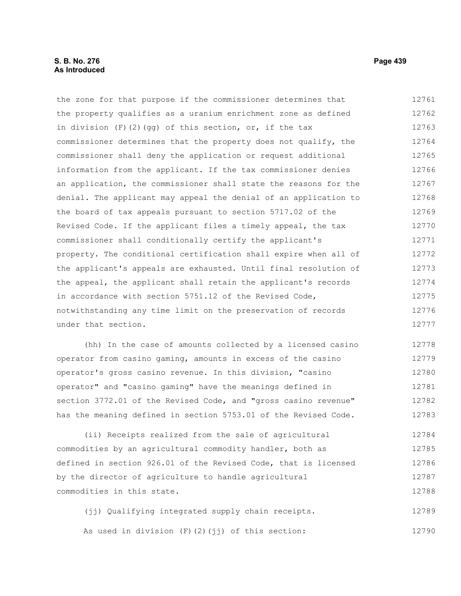## **S. B. No. 276 Page 439 As Introduced**

the zone for that purpose if the commissioner determines that the property qualifies as a uranium enrichment zone as defined in division  $(F)$  (2)(gg) of this section, or, if the tax commissioner determines that the property does not qualify, the commissioner shall deny the application or request additional information from the applicant. If the tax commissioner denies an application, the commissioner shall state the reasons for the denial. The applicant may appeal the denial of an application to the board of tax appeals pursuant to section 5717.02 of the Revised Code. If the applicant files a timely appeal, the tax commissioner shall conditionally certify the applicant's property. The conditional certification shall expire when all of the applicant's appeals are exhausted. Until final resolution of the appeal, the applicant shall retain the applicant's records in accordance with section 5751.12 of the Revised Code, notwithstanding any time limit on the preservation of records under that section. 12761 12762 12763 12764 12765 12766 12767 12768 12769 12770 12771 12772 12773 12774 12775 12776 12777

(hh) In the case of amounts collected by a licensed casino operator from casino gaming, amounts in excess of the casino operator's gross casino revenue. In this division, "casino operator" and "casino gaming" have the meanings defined in section 3772.01 of the Revised Code, and "gross casino revenue" has the meaning defined in section 5753.01 of the Revised Code. 12778 12779 12780 12781 12782 12783

(ii) Receipts realized from the sale of agricultural commodities by an agricultural commodity handler, both as defined in section 926.01 of the Revised Code, that is licensed by the director of agriculture to handle agricultural commodities in this state. 12784 12785 12786 12787 12788

(jj) Qualifying integrated supply chain receipts. As used in division  $(F)$   $(2)$   $(jj)$  of this section: 12789 12790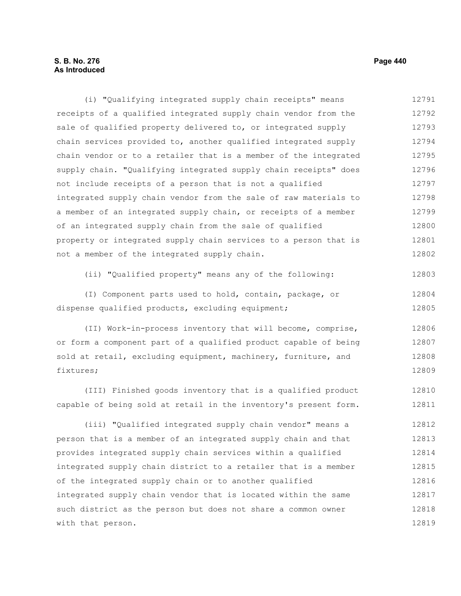# **S. B. No. 276 Page 440 As Introduced**

(i) "Qualifying integrated supply chain receipts" means receipts of a qualified integrated supply chain vendor from the sale of qualified property delivered to, or integrated supply chain services provided to, another qualified integrated supply chain vendor or to a retailer that is a member of the integrated supply chain. "Qualifying integrated supply chain receipts" does not include receipts of a person that is not a qualified integrated supply chain vendor from the sale of raw materials to a member of an integrated supply chain, or receipts of a member of an integrated supply chain from the sale of qualified property or integrated supply chain services to a person that is not a member of the integrated supply chain. (ii) "Qualified property" means any of the following: (I) Component parts used to hold, contain, package, or dispense qualified products, excluding equipment; (II) Work-in-process inventory that will become, comprise, or form a component part of a qualified product capable of being sold at retail, excluding equipment, machinery, furniture, and fixtures; (III) Finished goods inventory that is a qualified product capable of being sold at retail in the inventory's present form. (iii) "Qualified integrated supply chain vendor" means a person that is a member of an integrated supply chain and that provides integrated supply chain services within a qualified integrated supply chain district to a retailer that is a member of the integrated supply chain or to another qualified integrated supply chain vendor that is located within the same such district as the person but does not share a common owner with that person. 12791 12792 12793 12794 12795 12796 12797 12798 12799 12800 12801 12802 12803 12804 12805 12806 12807 12808 12809 12810 12811 12812 12813 12814 12815 12816 12817 12818 12819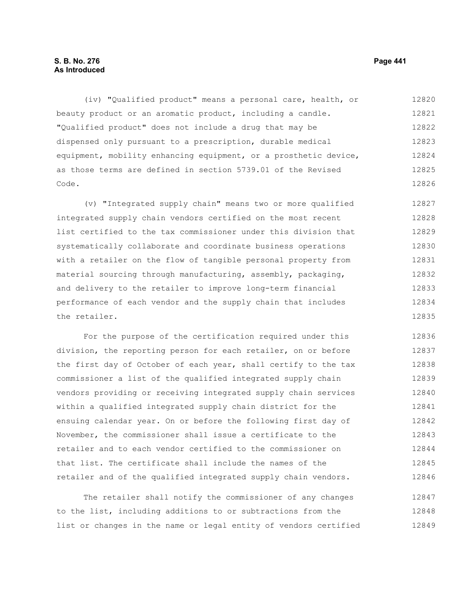# **S. B. No. 276 Page 441 As Introduced**

(iv) "Qualified product" means a personal care, health, or beauty product or an aromatic product, including a candle. "Qualified product" does not include a drug that may be dispensed only pursuant to a prescription, durable medical equipment, mobility enhancing equipment, or a prosthetic device, as those terms are defined in section 5739.01 of the Revised Code. 12820 12821 12822 12823 12824 12825 12826

(v) "Integrated supply chain" means two or more qualified integrated supply chain vendors certified on the most recent list certified to the tax commissioner under this division that systematically collaborate and coordinate business operations with a retailer on the flow of tangible personal property from material sourcing through manufacturing, assembly, packaging, and delivery to the retailer to improve long-term financial performance of each vendor and the supply chain that includes the retailer. 12827 12828 12829 12830 12831 12832 12833 12834 12835

For the purpose of the certification required under this division, the reporting person for each retailer, on or before the first day of October of each year, shall certify to the tax commissioner a list of the qualified integrated supply chain vendors providing or receiving integrated supply chain services within a qualified integrated supply chain district for the ensuing calendar year. On or before the following first day of November, the commissioner shall issue a certificate to the retailer and to each vendor certified to the commissioner on that list. The certificate shall include the names of the retailer and of the qualified integrated supply chain vendors. 12836 12837 12838 12839 12840 12841 12842 12843 12844 12845 12846

The retailer shall notify the commissioner of any changes to the list, including additions to or subtractions from the list or changes in the name or legal entity of vendors certified 12847 12848 12849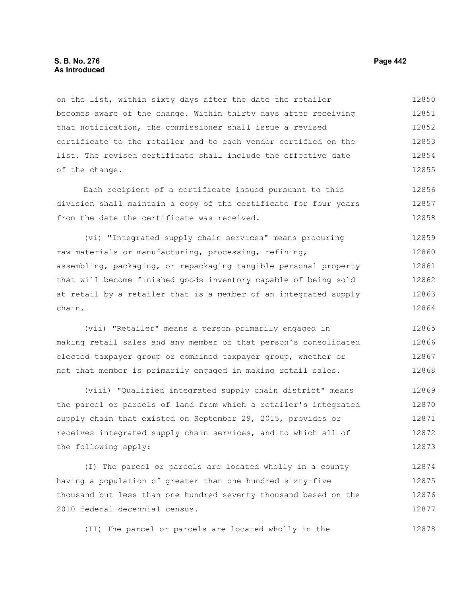### **S. B. No. 276 Page 442 As Introduced**

on the list, within sixty days after the date the retailer becomes aware of the change. Within thirty days after receiving that notification, the commissioner shall issue a revised certificate to the retailer and to each vendor certified on the list. The revised certificate shall include the effective date of the change. 12850 12851 12852 12853 12854 12855

Each recipient of a certificate issued pursuant to this division shall maintain a copy of the certificate for four years from the date the certificate was received. 12856 12857 12858

(vi) "Integrated supply chain services" means procuring raw materials or manufacturing, processing, refining, assembling, packaging, or repackaging tangible personal property that will become finished goods inventory capable of being sold at retail by a retailer that is a member of an integrated supply chain. 12859 12860 12861 12862 12863 12864

(vii) "Retailer" means a person primarily engaged in making retail sales and any member of that person's consolidated elected taxpayer group or combined taxpayer group, whether or not that member is primarily engaged in making retail sales. 12865 12866 12867 12868

(viii) "Qualified integrated supply chain district" means the parcel or parcels of land from which a retailer's integrated supply chain that existed on September 29, 2015, provides or receives integrated supply chain services, and to which all of the following apply: 12869 12870 12871 12872 12873

(I) The parcel or parcels are located wholly in a county having a population of greater than one hundred sixty-five thousand but less than one hundred seventy thousand based on the 2010 federal decennial census. 12874 12875 12876 12877

(II) The parcel or parcels are located wholly in the 12878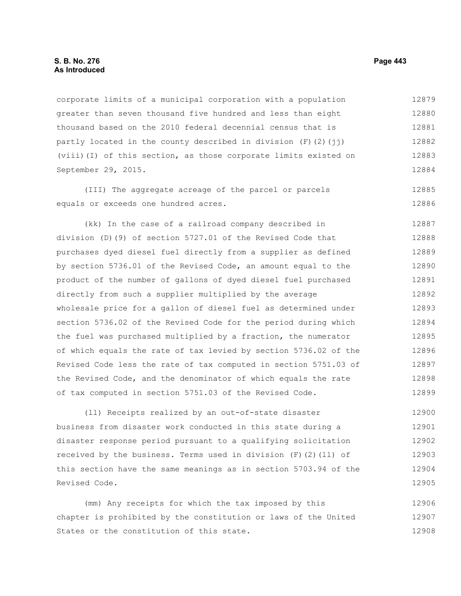## **S. B. No. 276 Page 443 As Introduced**

corporate limits of a municipal corporation with a population greater than seven thousand five hundred and less than eight thousand based on the 2010 federal decennial census that is partly located in the county described in division  $(F)(2)(\dagger i)$ (viii)(I) of this section, as those corporate limits existed on September 29, 2015. 12879 12880 12881 12882 12883 12884

(III) The aggregate acreage of the parcel or parcels equals or exceeds one hundred acres. 12885 12886

(kk) In the case of a railroad company described in division (D)(9) of section 5727.01 of the Revised Code that purchases dyed diesel fuel directly from a supplier as defined by section 5736.01 of the Revised Code, an amount equal to the product of the number of gallons of dyed diesel fuel purchased directly from such a supplier multiplied by the average wholesale price for a gallon of diesel fuel as determined under section 5736.02 of the Revised Code for the period during which the fuel was purchased multiplied by a fraction, the numerator of which equals the rate of tax levied by section 5736.02 of the Revised Code less the rate of tax computed in section 5751.03 of the Revised Code, and the denominator of which equals the rate of tax computed in section 5751.03 of the Revised Code. 12887 12888 12889 12890 12891 12892 12893 12894 12895 12896 12897 12898 12899

(ll) Receipts realized by an out-of-state disaster business from disaster work conducted in this state during a disaster response period pursuant to a qualifying solicitation received by the business. Terms used in division  $(F)(2)(11)$  of this section have the same meanings as in section 5703.94 of the Revised Code. 12900 12901 12902 12903 12904 12905

(mm) Any receipts for which the tax imposed by this chapter is prohibited by the constitution or laws of the United States or the constitution of this state. 12906 12907 12908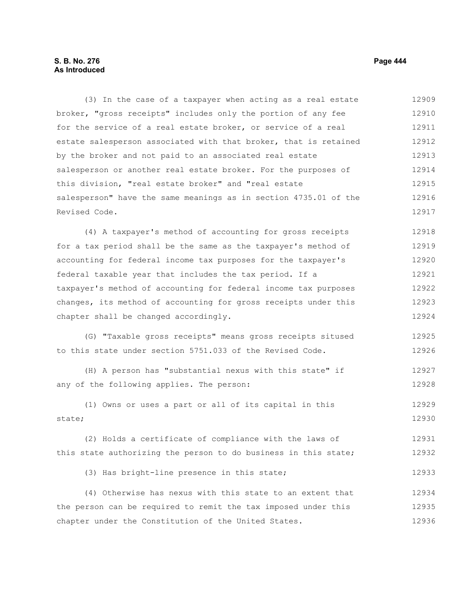# **S. B. No. 276 Page 444 As Introduced**

(3) In the case of a taxpayer when acting as a real estate broker, "gross receipts" includes only the portion of any fee for the service of a real estate broker, or service of a real estate salesperson associated with that broker, that is retained by the broker and not paid to an associated real estate salesperson or another real estate broker. For the purposes of this division, "real estate broker" and "real estate salesperson" have the same meanings as in section 4735.01 of the Revised Code. 12909 12910 12911 12912 12913 12914 12915 12916 12917

(4) A taxpayer's method of accounting for gross receipts for a tax period shall be the same as the taxpayer's method of accounting for federal income tax purposes for the taxpayer's federal taxable year that includes the tax period. If a taxpayer's method of accounting for federal income tax purposes changes, its method of accounting for gross receipts under this chapter shall be changed accordingly. 12918 12919 12920 12921 12922 12923 12924

(G) "Taxable gross receipts" means gross receipts sitused to this state under section 5751.033 of the Revised Code. 12925 12926

(H) A person has "substantial nexus with this state" if any of the following applies. The person: 12927 12928

(1) Owns or uses a part or all of its capital in this state; 12929 12930

(2) Holds a certificate of compliance with the laws of this state authorizing the person to do business in this state; 12931 12932

(3) Has bright-line presence in this state;

(4) Otherwise has nexus with this state to an extent that the person can be required to remit the tax imposed under this chapter under the Constitution of the United States. 12934 12935 12936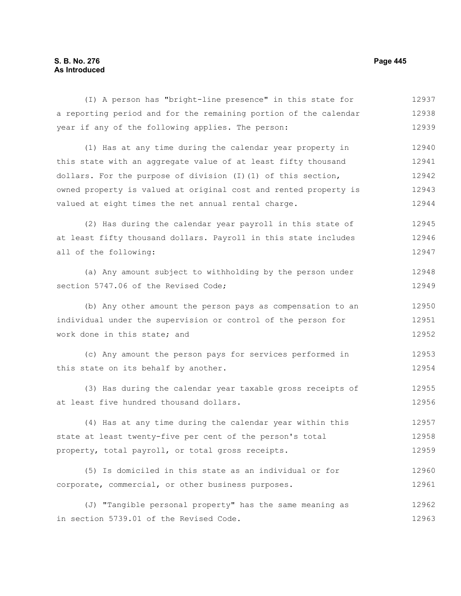# **S. B. No. 276 Page 445 As Introduced**

(I) A person has "bright-line presence" in this state for a reporting period and for the remaining portion of the calendar year if any of the following applies. The person: (1) Has at any time during the calendar year property in this state with an aggregate value of at least fifty thousand dollars. For the purpose of division (I)(1) of this section, owned property is valued at original cost and rented property is valued at eight times the net annual rental charge. (2) Has during the calendar year payroll in this state of at least fifty thousand dollars. Payroll in this state includes all of the following: (a) Any amount subject to withholding by the person under section 5747.06 of the Revised Code; (b) Any other amount the person pays as compensation to an individual under the supervision or control of the person for work done in this state; and (c) Any amount the person pays for services performed in this state on its behalf by another. (3) Has during the calendar year taxable gross receipts of at least five hundred thousand dollars. (4) Has at any time during the calendar year within this state at least twenty-five per cent of the person's total property, total payroll, or total gross receipts. (5) Is domiciled in this state as an individual or for corporate, commercial, or other business purposes. 12937 12938 12939 12940 12941 12942 12943 12944 12945 12946 12947 12948 12949 12950 12951 12952 12953 12954 12955 12956 12957 12958 12959 12960 12961 12962

(J) "Tangible personal property" has the same meaning as in section 5739.01 of the Revised Code. 12963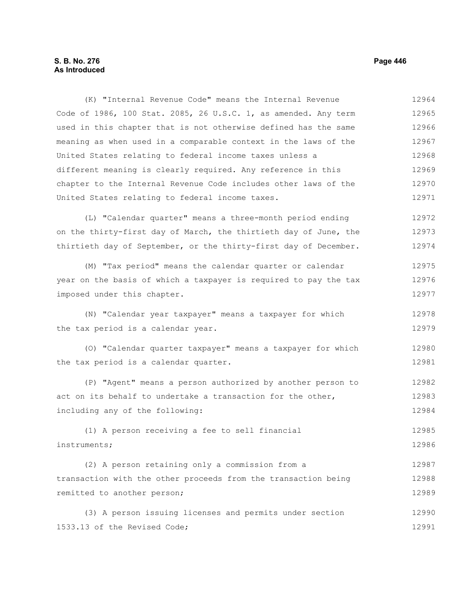# **S. B. No. 276 Page 446 As Introduced**

Code of 1986, 100 Stat. 2085, 26 U.S.C. 1, as amended. Any term used in this chapter that is not otherwise defined has the same meaning as when used in a comparable context in the laws of the United States relating to federal income taxes unless a different meaning is clearly required. Any reference in this chapter to the Internal Revenue Code includes other laws of the United States relating to federal income taxes. (L) "Calendar quarter" means a three-month period ending on the thirty-first day of March, the thirtieth day of June, the thirtieth day of September, or the thirty-first day of December. (M) "Tax period" means the calendar quarter or calendar year on the basis of which a taxpayer is required to pay the tax imposed under this chapter. (N) "Calendar year taxpayer" means a taxpayer for which the tax period is a calendar year. (O) "Calendar quarter taxpayer" means a taxpayer for which the tax period is a calendar quarter. (P) "Agent" means a person authorized by another person to act on its behalf to undertake a transaction for the other, including any of the following: (1) A person receiving a fee to sell financial instruments; (2) A person retaining only a commission from a transaction with the other proceeds from the transaction being remitted to another person; (3) A person issuing licenses and permits under section 1533.13 of the Revised Code; 12965 12966 12967 12968 12969 12970 12971 12972 12973 12974 12975 12976 12977 12978 12979 12980 12981 12982 12983 12984 12985 12986 12987 12988 12989 12990 12991

(K) "Internal Revenue Code" means the Internal Revenue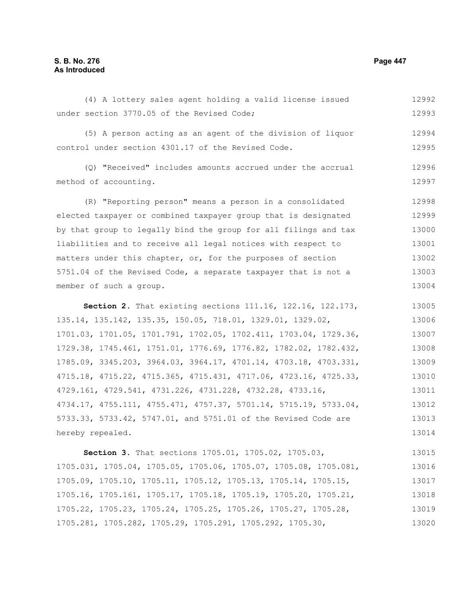# **S. B. No. 276 Page 447 As Introduced**

under section 3770.05 of the Revised Code; (5) A person acting as an agent of the division of liquor control under section 4301.17 of the Revised Code. (Q) "Received" includes amounts accrued under the accrual method of accounting. (R) "Reporting person" means a person in a consolidated elected taxpayer or combined taxpayer group that is designated by that group to legally bind the group for all filings and tax liabilities and to receive all legal notices with respect to matters under this chapter, or, for the purposes of section 5751.04 of the Revised Code, a separate taxpayer that is not a member of such a group. **Section 2.** That existing sections 111.16, 122.16, 122.173, 135.14, 135.142, 135.35, 150.05, 718.01, 1329.01, 1329.02, 1701.03, 1701.05, 1701.791, 1702.05, 1702.411, 1703.04, 1729.36, 1729.38, 1745.461, 1751.01, 1776.69, 1776.82, 1782.02, 1782.432, 1785.09, 3345.203, 3964.03, 3964.17, 4701.14, 4703.18, 4703.331, 4715.18, 4715.22, 4715.365, 4715.431, 4717.06, 4723.16, 4725.33, 4729.161, 4729.541, 4731.226, 4731.228, 4732.28, 4733.16, 4734.17, 4755.111, 4755.471, 4757.37, 5701.14, 5715.19, 5733.04, 5733.33, 5733.42, 5747.01, and 5751.01 of the Revised Code are hereby repealed. **Section 3.** That sections 1705.01, 1705.02, 1705.03, 1705.031, 1705.04, 1705.05, 1705.06, 1705.07, 1705.08, 1705.081, 1705.09, 1705.10, 1705.11, 1705.12, 1705.13, 1705.14, 1705.15, 1705.16, 1705.161, 1705.17, 1705.18, 1705.19, 1705.20, 1705.21, 12993 12994 12995 12996 12997 12998 12999 13000 13001 13002 13003 13004 13005 13006 13007 13008 13009 13010 13011 13012 13013 13014 13015 13016 13017 13018

(4) A lottery sales agent holding a valid license issued

1705.22, 1705.23, 1705.24, 1705.25, 1705.26, 1705.27, 1705.28, 1705.281, 1705.282, 1705.29, 1705.291, 1705.292, 1705.30, 13019 13020